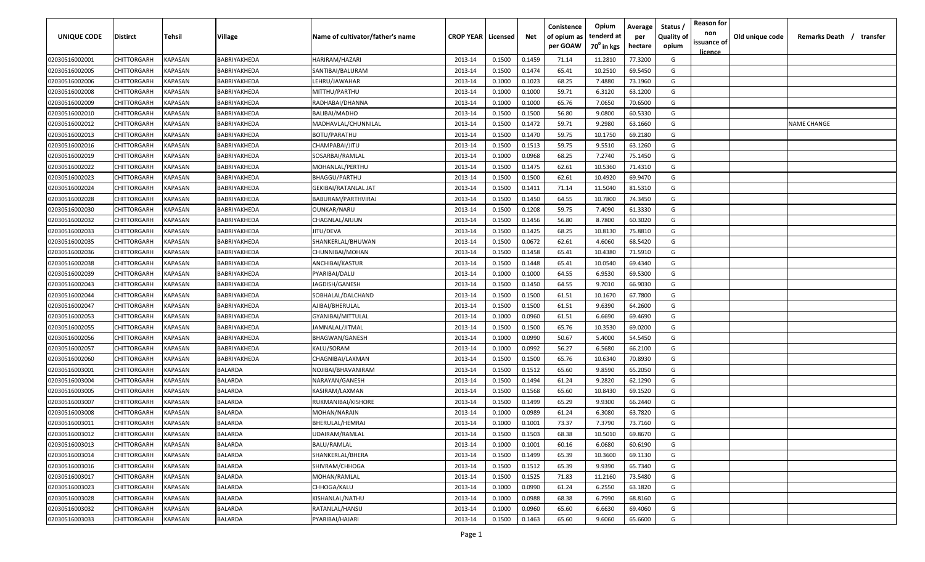| <b>UNIQUE CODE</b> | Distirct           | Tehsil         | Village        | Name of cultivator/father's name | <b>CROP YEAR   Licensed</b> |        | Net    | Conistence<br>of opium as | Opium<br>tenderd at    | Average<br>per | Status /<br><b>Quality of</b> | <b>Reason for</b><br>non<br>issuance of | Old unique code | Remarks Death / transfer |
|--------------------|--------------------|----------------|----------------|----------------------------------|-----------------------------|--------|--------|---------------------------|------------------------|----------------|-------------------------------|-----------------------------------------|-----------------|--------------------------|
|                    |                    |                |                |                                  |                             |        |        | per GOAW                  | 70 <sup>0</sup> in kgs | hectare        | opium                         | <u>licence</u>                          |                 |                          |
| 02030516002001     | CHITTORGARH        | <b>KAPASAN</b> | BABRIYAKHEDA   | HARIRAM/HAZARI                   | 2013-14                     | 0.1500 | 0.1459 | 71.14                     | 11.2810                | 77.3200        | G                             |                                         |                 |                          |
| 02030516002005     | CHITTORGARH        | KAPASAN        | BABRIYAKHEDA   | SANTIBAI/BALURAM                 | 2013-14                     | 0.1500 | 0.1474 | 65.41                     | 10.2510                | 69.5450        | G                             |                                         |                 |                          |
| 02030516002006     | CHITTORGARH        | KAPASAN        | BABRIYAKHEDA   | LEHRU/JAWAHAR                    | 2013-14                     | 0.1000 | 0.1023 | 68.25                     | 7.4880                 | 73.1960        | G                             |                                         |                 |                          |
| 02030516002008     | CHITTORGARH        | KAPASAN        | BABRIYAKHEDA   | MITTHU/PARTHU                    | 2013-14                     | 0.1000 | 0.1000 | 59.71                     | 6.3120                 | 63.1200        | G                             |                                         |                 |                          |
| 02030516002009     | CHITTORGARH        | KAPASAN        | BABRIYAKHEDA   | RADHABAI/DHANNA                  | 2013-14                     | 0.1000 | 0.1000 | 65.76                     | 7.0650                 | 70.6500        | G                             |                                         |                 |                          |
| 02030516002010     | CHITTORGARH        | KAPASAN        | BABRIYAKHEDA   | <b>BALIBAI/MADHO</b>             | 2013-14                     | 0.1500 | 0.1500 | 56.80                     | 9.0800                 | 60.5330        | G                             |                                         |                 |                          |
| 02030516002012     | CHITTORGARH        | KAPASAN        | BABRIYAKHEDA   | MADHAVLAL/CHUNNILAL              | 2013-14                     | 0.1500 | 0.1472 | 59.71                     | 9.2980                 | 63.1660        | G                             |                                         |                 | <b>NAME CHANGE</b>       |
| 02030516002013     | CHITTORGARH        | KAPASAN        | BABRIYAKHEDA   | <b>BOTU/PARATHU</b>              | 2013-14                     | 0.1500 | 0.1470 | 59.75                     | 10.1750                | 69.2180        | G                             |                                         |                 |                          |
| 02030516002016     | CHITTORGARH        | KAPASAN        | BABRIYAKHEDA   | CHAMPABAI/JITU                   | 2013-14                     | 0.1500 | 0.1513 | 59.75                     | 9.5510                 | 63.1260        | G                             |                                         |                 |                          |
| 02030516002019     | CHITTORGARH        | KAPASAN        | BABRIYAKHEDA   | SOSARBAI/RAMLAL                  | 2013-14                     | 0.1000 | 0.0968 | 68.25                     | 7.2740                 | 75.1450        | G                             |                                         |                 |                          |
| 02030516002022     | CHITTORGARH        | KAPASAN        | BABRIYAKHEDA   | MOHANLAL/PERTHU                  | 2013-14                     | 0.1500 | 0.1475 | 62.61                     | 10.5360                | 71.4310        | G                             |                                         |                 |                          |
| 02030516002023     | CHITTORGARH        | KAPASAN        | BABRIYAKHEDA   | <b>BHAGGU/PARTHU</b>             | 2013-14                     | 0.1500 | 0.1500 | 62.61                     | 10.4920                | 69.9470        | G                             |                                         |                 |                          |
| 02030516002024     | CHITTORGARH        | KAPASAN        | BABRIYAKHEDA   | GEKIBAI/RATANLAL JAT             | 2013-14                     | 0.1500 | 0.1411 | 71.14                     | 11.5040                | 81.5310        | G                             |                                         |                 |                          |
| 02030516002028     | CHITTORGARH        | KAPASAN        | BABRIYAKHEDA   | BABURAM/PARTHVIRAJ               | 2013-14                     | 0.1500 | 0.1450 | 64.55                     | 10.7800                | 74.3450        | G                             |                                         |                 |                          |
| 02030516002030     | CHITTORGARH        | KAPASAN        | BABRIYAKHEDA   | OUNKAR/NARU                      | 2013-14                     | 0.1500 | 0.1208 | 59.75                     | 7.4090                 | 61.3330        | G                             |                                         |                 |                          |
| 02030516002032     | CHITTORGARH        | KAPASAN        | BABRIYAKHEDA   | CHAGNLAL/ARJUN                   | 2013-14                     | 0.1500 | 0.1456 | 56.80                     | 8.7800                 | 60.3020        | G                             |                                         |                 |                          |
| 02030516002033     | CHITTORGARH        | KAPASAN        | BABRIYAKHEDA   | JITU/DEVA                        | 2013-14                     | 0.1500 | 0.1425 | 68.25                     | 10.8130                | 75.8810        | G                             |                                         |                 |                          |
| 02030516002035     | CHITTORGARH        | KAPASAN        | BABRIYAKHEDA   | SHANKERLAL/BHUWAN                | 2013-14                     | 0.1500 | 0.0672 | 62.61                     | 4.6060                 | 68.5420        | G                             |                                         |                 |                          |
| 02030516002036     | CHITTORGARH        | KAPASAN        | BABRIYAKHEDA   | CHUNNIBAI/MOHAN                  | 2013-14                     | 0.1500 | 0.1458 | 65.41                     | 10.4380                | 71.5910        | G                             |                                         |                 |                          |
| 02030516002038     | CHITTORGARH        | KAPASAN        | BABRIYAKHEDA   | ANCHIBAI/KASTUR                  | 2013-14                     | 0.1500 | 0.1448 | 65.41                     | 10.0540                | 69.4340        | G                             |                                         |                 |                          |
| 02030516002039     | CHITTORGARH        | KAPASAN        | BABRIYAKHEDA   | PYARIBAI/DALU                    | 2013-14                     | 0.1000 | 0.1000 | 64.55                     | 6.9530                 | 69.5300        | G                             |                                         |                 |                          |
| 02030516002043     | CHITTORGARH        | KAPASAN        | BABRIYAKHEDA   | JAGDISH/GANESH                   | 2013-14                     | 0.1500 | 0.1450 | 64.55                     | 9.7010                 | 66.9030        | G                             |                                         |                 |                          |
| 02030516002044     | CHITTORGARH        | KAPASAN        | BABRIYAKHEDA   | SOBHALAL/DALCHAND                | 2013-14                     | 0.1500 | 0.1500 | 61.51                     | 10.1670                | 67.7800        | G                             |                                         |                 |                          |
| 02030516002047     | CHITTORGARH        | KAPASAN        | BABRIYAKHEDA   | AJIBAI/BHERULAL                  | 2013-14                     | 0.1500 | 0.1500 | 61.51                     | 9.6390                 | 64.2600        | G                             |                                         |                 |                          |
| 02030516002053     | CHITTORGARH        | KAPASAN        | BABRIYAKHEDA   | GYANIBAI/MITTULAL                | 2013-14                     | 0.1000 | 0.0960 | 61.51                     | 6.6690                 | 69.4690        | G                             |                                         |                 |                          |
| 02030516002055     | CHITTORGARH        | KAPASAN        | BABRIYAKHEDA   | JAMNALAL/JITMAL                  | 2013-14                     | 0.1500 | 0.1500 | 65.76                     | 10.3530                | 69.0200        | G                             |                                         |                 |                          |
| 02030516002056     | CHITTORGARH        | KAPASAN        | BABRIYAKHEDA   | BHAGWAN/GANESH                   | 2013-14                     | 0.1000 | 0.0990 | 50.67                     | 5.4000                 | 54.5450        | G                             |                                         |                 |                          |
| 02030516002057     | CHITTORGARH        | KAPASAN        | BABRIYAKHEDA   | KALU/SORAM                       | 2013-14                     | 0.1000 | 0.0992 | 56.27                     | 6.5680                 | 66.2100        | G                             |                                         |                 |                          |
| 02030516002060     | CHITTORGARH        | KAPASAN        | BABRIYAKHEDA   | CHAGNIBAI/LAXMAN                 | 2013-14                     | 0.1500 | 0.1500 | 65.76                     | 10.6340                | 70.8930        | G                             |                                         |                 |                          |
| 02030516003001     | CHITTORGARH        | KAPASAN        | BALARDA        | NOJIBAI/BHAVANIRAM               | 2013-14                     | 0.1500 | 0.1512 | 65.60                     | 9.8590                 | 65.2050        | G                             |                                         |                 |                          |
| 02030516003004     | CHITTORGARH        | KAPASAN        | BALARDA        | NARAYAN/GANESH                   | 2013-14                     | 0.1500 | 0.1494 | 61.24                     | 9.2820                 | 62.1290        | G                             |                                         |                 |                          |
| 02030516003005     | CHITTORGARH        | KAPASAN        | BALARDA        | KASIRAM/LAXMAN                   | 2013-14                     | 0.1500 | 0.1568 | 65.60                     | 10.8430                | 69.1520        | G                             |                                         |                 |                          |
| 02030516003007     | CHITTORGARH        | KAPASAN        | <b>BALARDA</b> | RUKMANIBAI/KISHORE               | 2013-14                     | 0.1500 | 0.1499 | 65.29                     | 9.9300                 | 66.2440        | G                             |                                         |                 |                          |
| 02030516003008     | CHITTORGARH        | KAPASAN        | BALARDA        | MOHAN/NARAIN                     | 2013-14                     | 0.1000 | 0.0989 | 61.24                     | 6.3080                 | 63.7820        | G                             |                                         |                 |                          |
| 02030516003011     | <b>CHITTORGARH</b> | KAPASAN        | BALARDA        | BHERULAL/HEMRAJ                  | 2013-14                     | 0.1000 | 0.1001 | 73.37                     | 7.3790                 | 73.7160        | G                             |                                         |                 |                          |
| 02030516003012     | <b>CHITTORGARH</b> | KAPASAN        | BALARDA        | UDAIRAM/RAMLAL                   | 2013-14                     | 0.1500 | 0.1503 | 68.38                     | 10.5010                | 69.8670        | G                             |                                         |                 |                          |
| 02030516003013     | <b>CHITTORGARH</b> | KAPASAN        | <b>BALARDA</b> | <b>BALU/RAMLAL</b>               | 2013-14                     | 0.1000 | 0.1001 | 60.16                     | 6.0680                 | 60.6190        | G                             |                                         |                 |                          |
| 02030516003014     | <b>CHITTORGARH</b> | <b>KAPASAN</b> | <b>BALARDA</b> | SHANKERLAL/BHERA                 | 2013-14                     | 0.1500 | 0.1499 | 65.39                     | 10.3600                | 69.1130        | G                             |                                         |                 |                          |
| 02030516003016     | <b>CHITTORGARH</b> | KAPASAN        | BALARDA        | SHIVRAM/CHHOGA                   | 2013-14                     | 0.1500 | 0.1512 | 65.39                     | 9.9390                 | 65.7340        | G                             |                                         |                 |                          |
| 02030516003017     | CHITTORGARH        | KAPASAN        | BALARDA        | MOHAN/RAMLAL                     | 2013-14                     | 0.1500 | 0.1525 | 71.83                     | 11.2160                | 73.5480        | G                             |                                         |                 |                          |
| 02030516003023     | CHITTORGARH        | KAPASAN        | <b>BALARDA</b> | CHHOGA/KALU                      | 2013-14                     | 0.1000 | 0.0990 | 61.24                     | 6.2550                 | 63.1820        | G                             |                                         |                 |                          |
| 02030516003028     | <b>CHITTORGARH</b> | KAPASAN        | BALARDA        | KISHANLAL/NATHU                  | 2013-14                     | 0.1000 | 0.0988 | 68.38                     | 6.7990                 | 68.8160        | G                             |                                         |                 |                          |
| 02030516003032     | CHITTORGARH        | KAPASAN        | BALARDA        | RATANLAL/HANSU                   | 2013-14                     | 0.1000 | 0.0960 | 65.60                     | 6.6630                 | 69.4060        | G                             |                                         |                 |                          |
| 02030516003033     | CHITTORGARH        | KAPASAN        | BALARDA        | PYARIBAI/HAJARI                  | 2013-14                     | 0.1500 | 0.1463 | 65.60                     | 9.6060                 | 65.6600        | G                             |                                         |                 |                          |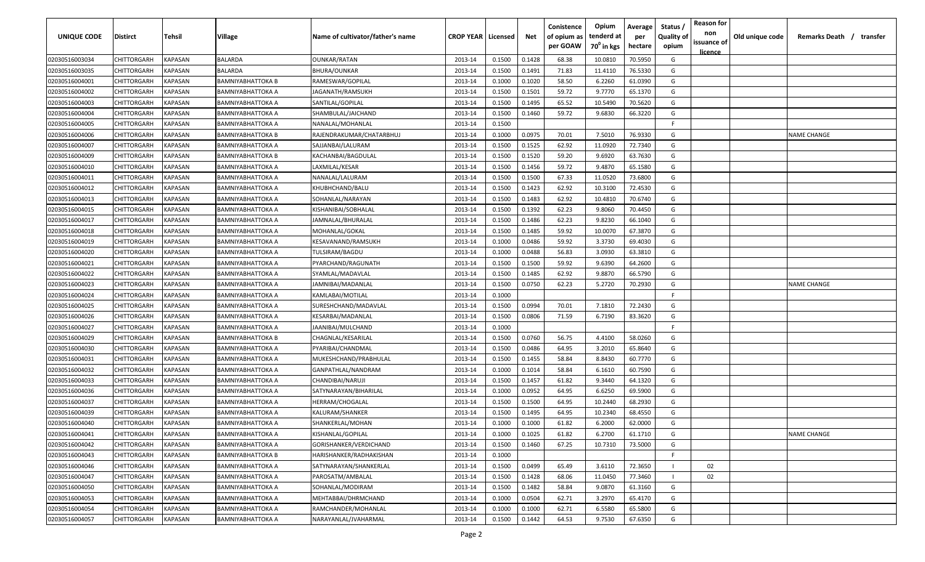| <b>UNIQUE CODE</b> | <b>Distirct</b>    | <b>Tehsil</b>  | Village                  | Name of cultivator/father's name | <b>CROP YEAR   Licensed</b> |        | Net    | Conistence<br>of opium as<br>per GOAW | Opium<br>tenderd at<br>70 <sup>0</sup> in kgs | Average<br>per<br>hectare | Status /<br><b>Quality of</b><br>opium | <b>Reason for</b><br>non<br>issuance of | Old unique code | Remarks Death /<br>transfer |
|--------------------|--------------------|----------------|--------------------------|----------------------------------|-----------------------------|--------|--------|---------------------------------------|-----------------------------------------------|---------------------------|----------------------------------------|-----------------------------------------|-----------------|-----------------------------|
|                    |                    |                |                          |                                  |                             |        |        |                                       |                                               |                           |                                        | <u>licence</u>                          |                 |                             |
| 02030516003034     | CHITTORGARH        | <b>KAPASAN</b> | <b>BALARDA</b>           | <b>OUNKAR/RATAN</b>              | 2013-14                     | 0.1500 | 0.1428 | 68.38                                 | 10.0810                                       | 70.5950                   | G                                      |                                         |                 |                             |
| 02030516003035     | CHITTORGARH        | KAPASAN        | <b>BALARDA</b>           | BHURA/OUNKAR                     | 2013-14                     | 0.1500 | 0.1491 | 71.83                                 | 11.4110                                       | 76.5330                   | G                                      |                                         |                 |                             |
| 02030516004001     | CHITTORGARH        | KAPASAN        | BAMNIYABHATTOKA B        | RAMESWAR/GOPILAL                 | 2013-14                     | 0.1000 | 0.1020 | 58.50                                 | 6.2260                                        | 61.0390                   | G                                      |                                         |                 |                             |
| 02030516004002     | CHITTORGARH        | KAPASAN        | BAMNIYABHATTOKA A        | JAGANATH/RAMSUKH                 | 2013-14                     | 0.1500 | 0.1501 | 59.72                                 | 9.7770                                        | 65.1370                   | G                                      |                                         |                 |                             |
| 02030516004003     | CHITTORGARH        | KAPASAN        | BAMNIYABHATTOKA A        | SANTILAL/GOPILAL                 | 2013-14                     | 0.1500 | 0.1495 | 65.52                                 | 10.5490                                       | 70.5620                   | G                                      |                                         |                 |                             |
| 02030516004004     | CHITTORGARH        | KAPASAN        | BAMNIYABHATTOKA A        | SHAMBULAL/JAICHAND               | 2013-14                     | 0.1500 | 0.1460 | 59.72                                 | 9.6830                                        | 66.3220                   | G                                      |                                         |                 |                             |
| 02030516004005     | CHITTORGARH        | KAPASAN        | BAMNIYABHATTOKA A        | NANALAL/MOHANLAL                 | 2013-14                     | 0.1500 |        |                                       |                                               |                           | -F                                     |                                         |                 |                             |
| 02030516004006     | CHITTORGARH        | KAPASAN        | BAMNIYABHATTOKA B        | RAJENDRAKUMAR/CHATARBHUJ         | 2013-14                     | 0.1000 | 0.0975 | 70.01                                 | 7.5010                                        | 76.9330                   | G                                      |                                         |                 | NAME CHANGE                 |
| 02030516004007     | CHITTORGARH        | KAPASAN        | BAMNIYABHATTOKA A        | SAJJANBAI/LALURAM                | 2013-14                     | 0.1500 | 0.1525 | 62.92                                 | 11.0920                                       | 72.7340                   | G                                      |                                         |                 |                             |
| 02030516004009     | CHITTORGARH        | KAPASAN        | BAMNIYABHATTOKA B        | KACHANBAI/BAGDULAL               | 2013-14                     | 0.1500 | 0.1520 | 59.20                                 | 9.6920                                        | 63.7630                   | G                                      |                                         |                 |                             |
| 02030516004010     | CHITTORGARH        | KAPASAN        | BAMNIYABHATTOKA A        | LAXMILAL/KESAR                   | 2013-14                     | 0.1500 | 0.1456 | 59.72                                 | 9.4870                                        | 65.1580                   | G                                      |                                         |                 |                             |
| 02030516004011     | CHITTORGARH        | KAPASAN        | BAMNIYABHATTOKA A        | NANALAL/LALURAM                  | 2013-14                     | 0.1500 | 0.1500 | 67.33                                 | 11.0520                                       | 73.6800                   | G                                      |                                         |                 |                             |
| 02030516004012     | CHITTORGARH        | KAPASAN        | BAMNIYABHATTOKA A        | KHUBHCHAND/BALU                  | 2013-14                     | 0.1500 | 0.1423 | 62.92                                 | 10.3100                                       | 72.4530                   | G                                      |                                         |                 |                             |
| 02030516004013     | CHITTORGARH        | KAPASAN        | BAMNIYABHATTOKA A        | SOHANLAL/NARAYAN                 | 2013-14                     | 0.1500 | 0.1483 | 62.92                                 | 10.4810                                       | 70.6740                   | G                                      |                                         |                 |                             |
| 02030516004015     | CHITTORGARH        | KAPASAN        | BAMNIYABHATTOKA A        | KISHANIBAI/SOBHALAL              | 2013-14                     | 0.1500 | 0.1392 | 62.23                                 | 9.8060                                        | 70.4450                   | G                                      |                                         |                 |                             |
| 02030516004017     | CHITTORGARH        | KAPASAN        | BAMNIYABHATTOKA A        | JAMNALAL/BHURALAL                | 2013-14                     | 0.1500 | 0.1486 | 62.23                                 | 9.8230                                        | 66.1040                   | G                                      |                                         |                 |                             |
| 02030516004018     | CHITTORGARH        | KAPASAN        | BAMNIYABHATTOKA A        | MOHANLAL/GOKAL                   | 2013-14                     | 0.1500 | 0.1485 | 59.92                                 | 10.0070                                       | 67.3870                   | G                                      |                                         |                 |                             |
| 02030516004019     | CHITTORGARH        | KAPASAN        | BAMNIYABHATTOKA A        | KESAVANAND/RAMSUKH               | 2013-14                     | 0.1000 | 0.0486 | 59.92                                 | 3.3730                                        | 69.4030                   | G                                      |                                         |                 |                             |
| 02030516004020     | CHITTORGARH        | KAPASAN        | BAMNIYABHATTOKA A        | TULSIRAM/BAGDU                   | 2013-14                     | 0.1000 | 0.0488 | 56.83                                 | 3.0930                                        | 63.3810                   | G                                      |                                         |                 |                             |
| 02030516004021     | CHITTORGARH        | KAPASAN        | BAMNIYABHATTOKA A        | PYARCHAND/RAGUNATH               | 2013-14                     | 0.1500 | 0.1500 | 59.92                                 | 9.6390                                        | 64.2600                   | G                                      |                                         |                 |                             |
| 02030516004022     | CHITTORGARH        | KAPASAN        | BAMNIYABHATTOKA A        | SYAMLAL/MADAVLAL                 | 2013-14                     | 0.1500 | 0.1485 | 62.92                                 | 9.8870                                        | 66.5790                   | G                                      |                                         |                 |                             |
| 02030516004023     | CHITTORGARH        | KAPASAN        | BAMNIYABHATTOKA A        | JAMNIBAI/MADANLAL                | 2013-14                     | 0.1500 | 0.0750 | 62.23                                 | 5.2720                                        | 70.2930                   | G                                      |                                         |                 | <b>NAME CHANGE</b>          |
| 02030516004024     | CHITTORGARH        | KAPASAN        | BAMNIYABHATTOKA A        | KAMLABAI/MOTILAL                 | 2013-14                     | 0.1000 |        |                                       |                                               |                           | -F.                                    |                                         |                 |                             |
| 02030516004025     | CHITTORGARH        | KAPASAN        | BAMNIYABHATTOKA A        | SURESHCHAND/MADAVLAL             | 2013-14                     | 0.1500 | 0.0994 | 70.01                                 | 7.1810                                        | 72.2430                   | G                                      |                                         |                 |                             |
| 02030516004026     | CHITTORGARH        | KAPASAN        | BAMNIYABHATTOKA A        | KESARBAI/MADANLAL                | 2013-14                     | 0.1500 | 0.0806 | 71.59                                 | 6.7190                                        | 83.3620                   | G                                      |                                         |                 |                             |
| 02030516004027     | CHITTORGARH        | KAPASAN        | BAMNIYABHATTOKA A        | JAANIBAI/MULCHAND                | 2013-14                     | 0.1000 |        |                                       |                                               |                           | -F.                                    |                                         |                 |                             |
| 02030516004029     | CHITTORGARH        | KAPASAN        | BAMNIYABHATTOKA B        | CHAGNLAL/KESARILAL               | 2013-14                     | 0.1500 | 0.0760 | 56.75                                 | 4.4100                                        | 58.0260                   | G                                      |                                         |                 |                             |
| 02030516004030     | CHITTORGARH        | KAPASAN        | BAMNIYABHATTOKA A        | PYARIBAI/CHANDMAL                | 2013-14                     | 0.1500 | 0.0486 | 64.95                                 | 3.2010                                        | 65.8640                   | G                                      |                                         |                 |                             |
| 02030516004031     | CHITTORGARH        | KAPASAN        | BAMNIYABHATTOKA A        | MUKESHCHAND/PRABHULAL            | 2013-14                     | 0.1500 | 0.1455 | 58.84                                 | 8.8430                                        | 60.7770                   | G                                      |                                         |                 |                             |
| 02030516004032     | CHITTORGARH        | KAPASAN        | BAMNIYABHATTOKA A        | GANPATHLAL/NANDRAM               | 2013-14                     | 0.1000 | 0.1014 | 58.84                                 | 6.1610                                        | 60.7590                   | G                                      |                                         |                 |                             |
| 02030516004033     | CHITTORGARH        | KAPASAN        | BAMNIYABHATTOKA A        | CHANDIBAI/NARUJI                 | 2013-14                     | 0.1500 | 0.1457 | 61.82                                 | 9.3440                                        | 64.1320                   | G                                      |                                         |                 |                             |
| 02030516004036     | CHITTORGARH        | KAPASAN        | BAMNIYABHATTOKA A        | SATYNARAYAN/BIHARILAL            | 2013-14                     | 0.1000 | 0.0952 | 64.95                                 | 6.6250                                        | 69.5900                   | G                                      |                                         |                 |                             |
| 02030516004037     | CHITTORGARH        | KAPASAN        | BAMNIYABHATTOKA A        | HERRAM/CHOGALAL                  | 2013-14                     | 0.1500 | 0.1500 | 64.95                                 | 10.2440                                       | 68.2930                   | G                                      |                                         |                 |                             |
| 02030516004039     | CHITTORGARH        | KAPASAN        | BAMNIYABHATTOKA A        | KALURAM/SHANKER                  | 2013-14                     | 0.1500 | 0.1495 | 64.95                                 | 10.2340                                       | 68.4550                   | G                                      |                                         |                 |                             |
| 02030516004040     | <b>CHITTORGARH</b> | KAPASAN        | BAMNIYABHATTOKA A        | SHANKERLAL/MOHAN                 | 2013-14                     | 0.1000 | 0.1000 | 61.82                                 | 6.2000                                        | 62.0000                   | G                                      |                                         |                 |                             |
| 02030516004041     | <b>CHITTORGARH</b> | <b>KAPASAN</b> | BAMNIYABHATTOKA A        | KISHANLAL/GOPILAL                | 2013-14                     | 0.1000 | 0.1025 | 61.82                                 | 6.2700                                        | 61.1710                   | G                                      |                                         |                 | <b>NAME CHANGE</b>          |
| 02030516004042     | <b>CHITTORGARH</b> | KAPASAN        | <b>BAMNIYABHATTOKA A</b> | GORISHANKER/VERDICHAND           | 2013-14                     | 0.1500 | 0.1460 | 67.25                                 | 10.7310                                       | 73.5000                   | G                                      |                                         |                 |                             |
| 02030516004043     | CHITTORGARH        | KAPASAN        | BAMNIYABHATTOKA B        | HARISHANKER/RADHAKISHAN          | 2013-14                     | 0.1000 |        |                                       |                                               |                           | F                                      |                                         |                 |                             |
| 02030516004046     | CHITTORGARH        | KAPASAN        | BAMNIYABHATTOKA A        | SATYNARAYAN/SHANKERLAL           | 2013-14                     | 0.1500 | 0.0499 | 65.49                                 | 3.6110                                        | 72.3650                   |                                        | 02                                      |                 |                             |
| 02030516004047     | CHITTORGARH        | KAPASAN        | BAMNIYABHATTOKA A        | PAROSATM/AMBALAL                 | 2013-14                     | 0.1500 | 0.1428 | 68.06                                 | 11.0450                                       | 77.3460                   |                                        | 02                                      |                 |                             |
| 02030516004050     | <b>CHITTORGARH</b> | KAPASAN        | BAMNIYABHATTOKA A        | SOHANLAL/MODIRAM                 | 2013-14                     | 0.1500 | 0.1482 | 58.84                                 | 9.0870                                        | 61.3160                   | G                                      |                                         |                 |                             |
| 02030516004053     | <b>CHITTORGARH</b> | KAPASAN        | BAMNIYABHATTOKA A        | MEHTABBAI/DHRMCHAND              | 2013-14                     | 0.1000 | 0.0504 | 62.71                                 | 3.2970                                        | 65.4170                   | G                                      |                                         |                 |                             |
| 02030516004054     | <b>CHITTORGARH</b> | KAPASAN        | BAMNIYABHATTOKA A        | RAMCHANDER/MOHANLAL              | 2013-14                     | 0.1000 | 0.1000 | 62.71                                 | 6.5580                                        | 65.5800                   | G                                      |                                         |                 |                             |
| 02030516004057     | CHITTORGARH        | <b>KAPASAN</b> | BAMNIYABHATTOKA A        | NARAYANLAL/JVAHARMAL             | 2013-14                     | 0.1500 | 0.1442 | 64.53                                 | 9.7530                                        | 67.6350                   | G                                      |                                         |                 |                             |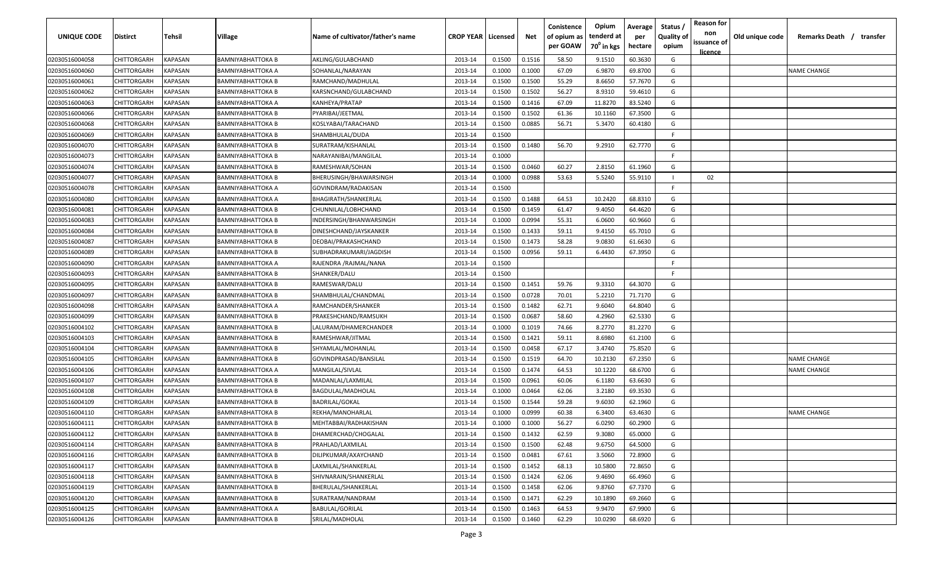| UNIQUE CODE    | <b>Distirct</b>    | Tehsil                | <b>Village</b>           | Name of cultivator/father's name | <b>CROP YEAR   Licensed</b> |        | Net    | Conistence<br>of opium as<br>per GOAW | Opium<br>tenderd at<br>70 <sup>°</sup> in kgs | Average<br>per<br>hectare | Status<br><b>Quality of</b><br>opium | <b>Reason for</b><br>non<br>issuance of<br><u>licence</u> | Old unique code | Remarks Death / transfer |
|----------------|--------------------|-----------------------|--------------------------|----------------------------------|-----------------------------|--------|--------|---------------------------------------|-----------------------------------------------|---------------------------|--------------------------------------|-----------------------------------------------------------|-----------------|--------------------------|
| 02030516004058 | CHITTORGARH        | KAPASAN               | <b>BAMNIYABHATTOKA B</b> | AKLING/GULABCHAND                | 2013-14                     | 0.1500 | 0.1516 | 58.50                                 | 9.1510                                        | 60.3630                   | G                                    |                                                           |                 |                          |
| 02030516004060 | CHITTORGARH        | KAPASAN               | <b>BAMNIYABHATTOKA A</b> | SOHANLAL/NARAYAN                 | 2013-14                     | 0.1000 | 0.1000 | 67.09                                 | 6.9870                                        | 69.8700                   | G                                    |                                                           |                 | <b>NAME CHANGE</b>       |
| 02030516004061 | CHITTORGARH        | KAPASAN               | <b>BAMNIYABHATTOKA B</b> | RAMCHAND/MADHULAL                | 2013-14                     | 0.1500 | 0.1500 | 55.29                                 | 8.6650                                        | 57.7670                   | G                                    |                                                           |                 |                          |
| 02030516004062 | CHITTORGARH        | KAPASAN               | <b>BAMNIYABHATTOKA B</b> | KARSNCHAND/GULABCHAND            | 2013-14                     | 0.1500 | 0.1502 | 56.27                                 | 8.9310                                        | 59.4610                   | G                                    |                                                           |                 |                          |
| 02030516004063 | CHITTORGARH        | KAPASAN               | <b>BAMNIYABHATTOKA A</b> | KANHEYA/PRATAP                   | 2013-14                     | 0.1500 | 0.1416 | 67.09                                 | 11.8270                                       | 83.5240                   | G                                    |                                                           |                 |                          |
| 02030516004066 | CHITTORGARH        | KAPASAN               | <b>BAMNIYABHATTOKA B</b> | PYARIBAI/JEETMAL                 | 2013-14                     | 0.1500 | 0.1502 | 61.36                                 | 10.1160                                       | 67.3500                   | G                                    |                                                           |                 |                          |
| 02030516004068 | CHITTORGARH        | KAPASAN               | <b>BAMNIYABHATTOKA B</b> | KOSLYABAI/TARACHAND              | 2013-14                     | 0.1500 | 0.0885 | 56.71                                 | 5.3470                                        | 60.4180                   | G                                    |                                                           |                 |                          |
| 02030516004069 | CHITTORGARH        | <b><i>KAPASAN</i></b> | <b>BAMNIYABHATTOKA B</b> | SHAMBHULAL/DUDA                  | 2013-14                     | 0.1500 |        |                                       |                                               |                           | -F                                   |                                                           |                 |                          |
| 02030516004070 | CHITTORGARH        | KAPASAN               | <b>BAMNIYABHATTOKA B</b> | SURATRAM/KISHANLAL               | 2013-14                     | 0.1500 | 0.1480 | 56.70                                 | 9.2910                                        | 62.7770                   | G                                    |                                                           |                 |                          |
| 02030516004073 | CHITTORGARH        | KAPASAN               | <b>BAMNIYABHATTOKA B</b> | NARAYANIBAI/MANGILAL             | 2013-14                     | 0.1000 |        |                                       |                                               |                           | F.                                   |                                                           |                 |                          |
| 02030516004074 | CHITTORGARH        | KAPASAN               | <b>BAMNIYABHATTOKA B</b> | RAMESHWAR/SOHAN                  | 2013-14                     | 0.1500 | 0.0460 | 60.27                                 | 2.8150                                        | 61.1960                   | G                                    |                                                           |                 |                          |
| 02030516004077 | CHITTORGARH        | KAPASAN               | BAMNIYABHATTOKA B        | BHERUSINGH/BHAWARSINGH           | 2013-14                     | 0.1000 | 0.0988 | 53.63                                 | 5.5240                                        | 55.9110                   | - 1                                  | 02                                                        |                 |                          |
| 02030516004078 | <b>CHITTORGARH</b> | KAPASAN               | BAMNIYABHATTOKA A        | GOVINDRAM/RADAKISAN              | 2013-14                     | 0.1500 |        |                                       |                                               |                           | -F.                                  |                                                           |                 |                          |
| 02030516004080 | CHITTORGARH        | KAPASAN               | BAMNIYABHATTOKA A        | BHAGIRATH/SHANKERLAL             | 2013-14                     | 0.1500 | 0.1488 | 64.53                                 | 10.2420                                       | 68.8310                   | G                                    |                                                           |                 |                          |
| 02030516004081 | CHITTORGARH        | KAPASAN               | <b>BAMNIYABHATTOKA B</b> | CHUNNILAL/LOBHCHAND              | 2013-14                     | 0.1500 | 0.1459 | 61.47                                 | 9.4050                                        | 64.4620                   | G                                    |                                                           |                 |                          |
| 02030516004083 | CHITTORGARH        | <b><i>KAPASAN</i></b> | <b>BAMNIYABHATTOKA B</b> | INDERSINGH/BHANWARSINGH          | 2013-14                     | 0.1000 | 0.0994 | 55.31                                 | 6.0600                                        | 60.9660                   | G                                    |                                                           |                 |                          |
| 02030516004084 | CHITTORGARH        | KAPASAN               | <b>BAMNIYABHATTOKA B</b> | DINESHCHAND/JAYSKANKER           | 2013-14                     | 0.1500 | 0.1433 | 59.11                                 | 9.4150                                        | 65.7010                   | G                                    |                                                           |                 |                          |
| 02030516004087 | CHITTORGARH        | KAPASAN               | <b>BAMNIYABHATTOKA B</b> | DEOBAI/PRAKASHCHAND              | 2013-14                     | 0.1500 | 0.1473 | 58.28                                 | 9.0830                                        | 61.6630                   | G                                    |                                                           |                 |                          |
| 02030516004089 | CHITTORGARH        | KAPASAN               | <b>BAMNIYABHATTOKA B</b> | SUBHADRAKUMARI/JAGDISH           | 2013-14                     | 0.1500 | 0.0956 | 59.11                                 | 6.4430                                        | 67.3950                   | G                                    |                                                           |                 |                          |
| 02030516004090 | CHITTORGARH        | KAPASAN               | <b>BAMNIYABHATTOKA A</b> | RAJENDRA /RAJMAL/NANA            | 2013-14                     | 0.1500 |        |                                       |                                               |                           | -F                                   |                                                           |                 |                          |
| 02030516004093 | CHITTORGARH        | <b>KAPASAN</b>        | <b>BAMNIYABHATTOKA B</b> | SHANKER/DALU                     | 2013-14                     | 0.1500 |        |                                       |                                               |                           | -F                                   |                                                           |                 |                          |
| 02030516004095 | CHITTORGARH        | KAPASAN               | <b>BAMNIYABHATTOKA B</b> | RAMESWAR/DALU                    | 2013-14                     | 0.1500 | 0.1451 | 59.76                                 | 9.3310                                        | 64.3070                   | G                                    |                                                           |                 |                          |
| 02030516004097 | CHITTORGARH        | KAPASAN               | <b>BAMNIYABHATTOKA B</b> | SHAMBHULAL/CHANDMAL              | 2013-14                     | 0.1500 | 0.0728 | 70.01                                 | 5.2210                                        | 71.7170                   | G                                    |                                                           |                 |                          |
| 02030516004098 | CHITTORGARH        | KAPASAN               | <b>BAMNIYABHATTOKA A</b> | RAMCHANDER/SHANKER               | 2013-14                     | 0.1500 | 0.1482 | 62.71                                 | 9.6040                                        | 64.8040                   | G                                    |                                                           |                 |                          |
| 02030516004099 | CHITTORGARH        | KAPASAN               | <b>BAMNIYABHATTOKA B</b> | PRAKESHCHAND/RAMSUKH             | 2013-14                     | 0.1500 | 0.0687 | 58.60                                 | 4.2960                                        | 62.5330                   | G                                    |                                                           |                 |                          |
| 02030516004102 | CHITTORGARH        | KAPASAN               | <b>BAMNIYABHATTOKA B</b> | LALURAM/DHAMERCHANDER            | 2013-14                     | 0.1000 | 0.1019 | 74.66                                 | 8.2770                                        | 81.2270                   | G                                    |                                                           |                 |                          |
| 02030516004103 | CHITTORGARH        | KAPASAN               | <b>BAMNIYABHATTOKA B</b> | RAMESHWAR/JITMAL                 | 2013-14                     | 0.1500 | 0.1421 | 59.11                                 | 8.6980                                        | 61.2100                   | G                                    |                                                           |                 |                          |
| 02030516004104 | CHITTORGARH        | KAPASAN               | <b>BAMNIYABHATTOKA B</b> | SHYAMLAL/MOHANLAL                | 2013-14                     | 0.1500 | 0.0458 | 67.17                                 | 3.4740                                        | 75.8520                   | G                                    |                                                           |                 |                          |
| 02030516004105 | CHITTORGARH        | KAPASAN               | BAMNIYABHATTOKA B        | GOVINDPRASAD/BANSILAL            | 2013-14                     | 0.1500 | 0.1519 | 64.70                                 | 10.2130                                       | 67.2350                   | G                                    |                                                           |                 | <b>NAME CHANGE</b>       |
| 02030516004106 | CHITTORGARH        | KAPASAN               | BAMNIYABHATTOKA A        | MANGILAL/SIVLAL                  | 2013-14                     | 0.1500 | 0.1474 | 64.53                                 | 10.1220                                       | 68.6700                   | G                                    |                                                           |                 | NAME CHANGE              |
| 02030516004107 | CHITTORGARH        | KAPASAN               | <b>BAMNIYABHATTOKA B</b> | MADANLAL/LAXMILAL                | 2013-14                     | 0.1500 | 0.0961 | 60.06                                 | 6.1180                                        | 63.6630                   | G                                    |                                                           |                 |                          |
| 02030516004108 | CHITTORGARH        | KAPASAN               | <b>BAMNIYABHATTOKA B</b> | BAGDULAL/MADHOLAL                | 2013-14                     | 0.1000 | 0.0464 | 62.06                                 | 3.2180                                        | 69.3530                   | G                                    |                                                           |                 |                          |
| 02030516004109 | CHITTORGARH        | KAPASAN               | <b>BAMNIYABHATTOKA B</b> | <b>BADRILAL/GOKAL</b>            | 2013-14                     | 0.1500 | 0.1544 | 59.28                                 | 9.6030                                        | 62.1960                   | G                                    |                                                           |                 |                          |
| 02030516004110 | CHITTORGARH        | KAPASAN               | <b>BAMNIYABHATTOKA B</b> | REKHA/MANOHARLAL                 | 2013-14                     | 0.1000 | 0.0999 | 60.38                                 | 6.3400                                        | 63.4630                   | G                                    |                                                           |                 | <b>NAME CHANGE</b>       |
| 02030516004111 | CHITTORGARH        | KAPASAN               | <b>BAMNIYABHATTOKA B</b> | MEHTABBAI/RADHAKISHAN            | 2013-14                     | 0.1000 | 0.1000 | 56.27                                 | 6.0290                                        | 60.2900                   | G                                    |                                                           |                 |                          |
| 02030516004112 | CHITTORGARH        | <b>KAPASAN</b>        | <b>BAMNIYABHATTOKA B</b> | DHAMERCHAD/CHOGALAL              | 2013-14                     | 0.1500 | 0.1432 | 62.59                                 | 9.3080                                        | 65.0000                   | G                                    |                                                           |                 |                          |
| 02030516004114 | CHITTORGARH        | <b>KAPASAN</b>        | <b>BAMNIYABHATTOKA B</b> | PRAHLAD/LAXMILAL                 | 2013-14                     | 0.1500 | 0.1500 | 62.48                                 | 9.6750                                        | 64.5000                   | G                                    |                                                           |                 |                          |
| 02030516004116 | CHITTORGARH        | KAPASAN               | <b>BAMNIYABHATTOKA B</b> | DILIPKUMAR/AXAYCHAND             | 2013-14                     | 0.1500 | 0.0481 | 67.61                                 | 3.5060                                        | 72.8900                   | G                                    |                                                           |                 |                          |
| 02030516004117 | CHITTORGARH        | KAPASAN               | <b>BAMNIYABHATTOKA B</b> | LAXMILAL/SHANKERLAL              | 2013-14                     | 0.1500 | 0.1452 | 68.13                                 | 10.5800                                       | 72.8650                   | G                                    |                                                           |                 |                          |
| 02030516004118 | CHITTORGARH        | KAPASAN               | <b>BAMNIYABHATTOKA B</b> | SHIVNARAIN/SHANKERLAL            | 2013-14                     | 0.1500 | 0.1424 | 62.06                                 | 9.4690                                        | 66.4960                   | G                                    |                                                           |                 |                          |
| 02030516004119 | CHITTORGARH        | KAPASAN               | <b>BAMNIYABHATTOKA B</b> | BHERULAL/SHANKERLAL              | 2013-14                     | 0.1500 | 0.1458 | 62.06                                 | 9.8760                                        | 67.7370                   | G                                    |                                                           |                 |                          |
| 02030516004120 | CHITTORGARH        | KAPASAN               | <b>BAMNIYABHATTOKA B</b> | SURATRAM/NANDRAM                 | 2013-14                     | 0.1500 | 0.1471 | 62.29                                 | 10.1890                                       | 69.2660                   | G                                    |                                                           |                 |                          |
| 02030516004125 | CHITTORGARH        | KAPASAN               | <b>BAMNIYABHATTOKA A</b> | BABULAL/GORILAL                  | 2013-14                     | 0.1500 | 0.1463 | 64.53                                 | 9.9470                                        | 67.9900                   | G                                    |                                                           |                 |                          |
| 02030516004126 | CHITTORGARH        | <b>KAPASAN</b>        | <b>BAMNIYABHATTOKA B</b> | SRILAL/MADHOLAL                  | 2013-14                     | 0.1500 | 0.1460 | 62.29                                 | 10.0290                                       | 68.6920                   | G                                    |                                                           |                 |                          |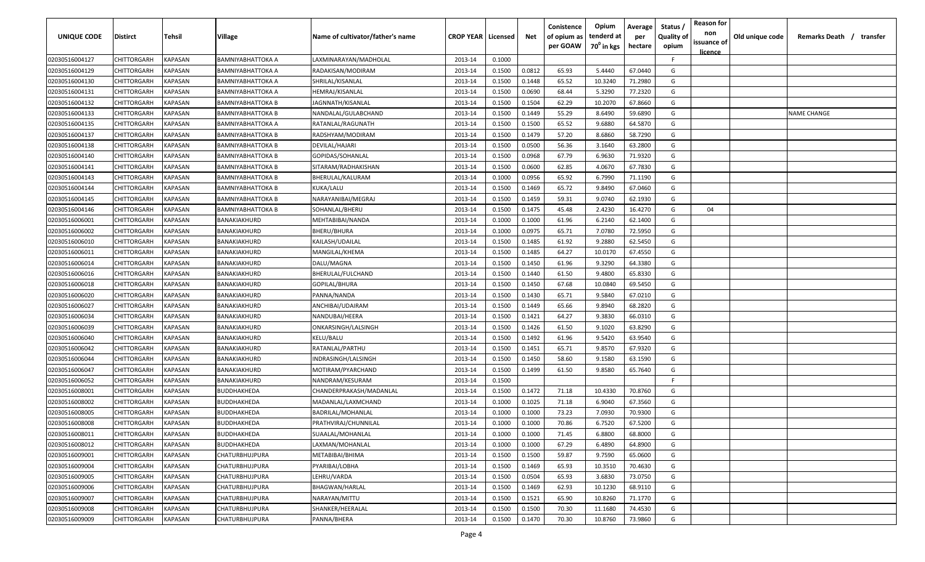| <b>UNIQUE CODE</b> | <b>Distirct</b>    | <b>Tehsil</b>  | Village               | Name of cultivator/father's name | <b>CROP YEAR   Licensed</b> |        | Net    | Conistence<br>of opium as<br>per GOAW | Opium<br>tenderd at    | Average<br>per | Status /<br><b>Quality of</b> | <b>Reason for</b><br>non<br>issuance of | Old unique code | Remarks Death /<br>transfer |
|--------------------|--------------------|----------------|-----------------------|----------------------------------|-----------------------------|--------|--------|---------------------------------------|------------------------|----------------|-------------------------------|-----------------------------------------|-----------------|-----------------------------|
|                    |                    |                |                       |                                  |                             |        |        |                                       | 70 <sup>0</sup> in kgs | hectare        | opium                         | <u>licence</u>                          |                 |                             |
| 02030516004127     | CHITTORGARH        | <b>KAPASAN</b> | BAMNIYABHATTOKA A     | LAXMINARAYAN/MADHOLAL            | 2013-14                     | 0.1000 |        |                                       |                        |                | F.                            |                                         |                 |                             |
| 02030516004129     | CHITTORGARH        | KAPASAN        | BAMNIYABHATTOKA A     | RADAKISAN/MODIRAM                | 2013-14                     | 0.1500 | 0.0812 | 65.93                                 | 5.4440                 | 67.0440        | G                             |                                         |                 |                             |
| 02030516004130     | CHITTORGARH        | KAPASAN        | BAMNIYABHATTOKA A     | SHRILAL/KISANLAL                 | 2013-14                     | 0.1500 | 0.1448 | 65.52                                 | 10.3240                | 71.2980        | G                             |                                         |                 |                             |
| 02030516004131     | CHITTORGARH        | KAPASAN        | BAMNIYABHATTOKA A     | HEMRAJ/KISANLAL                  | 2013-14                     | 0.1500 | 0.0690 | 68.44                                 | 5.3290                 | 77.2320        | G                             |                                         |                 |                             |
| 02030516004132     | CHITTORGARH        | KAPASAN        | BAMNIYABHATTOKA B     | JAGNNATH/KISANLAL                | 2013-14                     | 0.1500 | 0.1504 | 62.29                                 | 10.2070                | 67.8660        | G                             |                                         |                 |                             |
| 02030516004133     | CHITTORGARH        | KAPASAN        | BAMNIYABHATTOKA B     | NANDALAL/GULABCHAND              | 2013-14                     | 0.1500 | 0.1449 | 55.29                                 | 8.6490                 | 59.6890        | G                             |                                         |                 | <b>NAME CHANGE</b>          |
| 02030516004135     | CHITTORGARH        | KAPASAN        | BAMNIYABHATTOKA A     | RATANLAL/RAGUNATH                | 2013-14                     | 0.1500 | 0.1500 | 65.52                                 | 9.6880                 | 64.5870        | G                             |                                         |                 |                             |
| 02030516004137     | CHITTORGARH        | KAPASAN        | BAMNIYABHATTOKA B     | RADSHYAM/MODIRAM                 | 2013-14                     | 0.1500 | 0.1479 | 57.20                                 | 8.6860                 | 58.7290        | G                             |                                         |                 |                             |
| 02030516004138     | CHITTORGARH        | KAPASAN        | BAMNIYABHATTOKA B     | DEVILAL/HAJARI                   | 2013-14                     | 0.1500 | 0.0500 | 56.36                                 | 3.1640                 | 63.2800        | G                             |                                         |                 |                             |
| 02030516004140     | CHITTORGARH        | KAPASAN        | BAMNIYABHATTOKA B     | GOPIDAS/SOHANLAL                 | 2013-14                     | 0.1500 | 0.0968 | 67.79                                 | 6.9630                 | 71.9320        | G                             |                                         |                 |                             |
| 02030516004141     | CHITTORGARH        | KAPASAN        | BAMNIYABHATTOKA B     | SITARAM/RADHAKISHAN              | 2013-14                     | 0.1500 | 0.0600 | 62.85                                 | 4.0670                 | 67.7830        | G                             |                                         |                 |                             |
| 02030516004143     | CHITTORGARH        | KAPASAN        | BAMNIYABHATTOKA B     | BHERULAL/KALURAM                 | 2013-14                     | 0.1000 | 0.0956 | 65.92                                 | 6.7990                 | 71.1190        | G                             |                                         |                 |                             |
| 02030516004144     | CHITTORGARH        | KAPASAN        | BAMNIYABHATTOKA B     | KUKA/LALU                        | 2013-14                     | 0.1500 | 0.1469 | 65.72                                 | 9.8490                 | 67.0460        | G                             |                                         |                 |                             |
| 02030516004145     | CHITTORGARH        | KAPASAN        | BAMNIYABHATTOKA B     | NARAYANIBAI/MEGRAJ               | 2013-14                     | 0.1500 | 0.1459 | 59.31                                 | 9.0740                 | 62.1930        | G                             |                                         |                 |                             |
| 02030516004146     | CHITTORGARH        | KAPASAN        | BAMNIYABHATTOKA B     | SOHANLAL/BHERU                   | 2013-14                     | 0.1500 | 0.1475 | 45.48                                 | 2.4230                 | 16.4270        | G                             | 04                                      |                 |                             |
| 02030516006001     | CHITTORGARH        | KAPASAN        | BANAKIAKHURD          | MEHTABIBAI/NANDA                 | 2013-14                     | 0.1000 | 0.1000 | 61.96                                 | 6.2140                 | 62.1400        | G                             |                                         |                 |                             |
| 02030516006002     | CHITTORGARH        | KAPASAN        | BANAKIAKHURD          | BHERU/BHURA                      | 2013-14                     | 0.1000 | 0.0975 | 65.71                                 | 7.0780                 | 72.5950        | G                             |                                         |                 |                             |
| 02030516006010     | CHITTORGARH        | KAPASAN        | BANAKIAKHURD          | KAILASH/UDAILAL                  | 2013-14                     | 0.1500 | 0.1485 | 61.92                                 | 9.2880                 | 62.5450        | G                             |                                         |                 |                             |
| 02030516006011     | CHITTORGARH        | KAPASAN        | BANAKIAKHURD          | MANGILAL/KHEMA                   | 2013-14                     | 0.1500 | 0.1485 | 64.27                                 | 10.0170                | 67.4550        | G                             |                                         |                 |                             |
| 02030516006014     | CHITTORGARH        | KAPASAN        | BANAKIAKHURD          | DALU/MAGNA                       | 2013-14                     | 0.1500 | 0.1450 | 61.96                                 | 9.3290                 | 64.3380        | G                             |                                         |                 |                             |
| 02030516006016     | CHITTORGARH        | KAPASAN        | BANAKIAKHURD          | BHERULAL/FULCHAND                | 2013-14                     | 0.1500 | 0.1440 | 61.50                                 | 9.4800                 | 65.8330        | G                             |                                         |                 |                             |
| 02030516006018     | CHITTORGARH        | KAPASAN        | BANAKIAKHURD          | GOPILAL/BHURA                    | 2013-14                     | 0.1500 | 0.1450 | 67.68                                 | 10.0840                | 69.5450        | G                             |                                         |                 |                             |
| 02030516006020     | CHITTORGARH        | KAPASAN        | BANAKIAKHURD          | PANNA/NANDA                      | 2013-14                     | 0.1500 | 0.1430 | 65.71                                 | 9.5840                 | 67.0210        | G                             |                                         |                 |                             |
| 02030516006027     | CHITTORGARH        | KAPASAN        | BANAKIAKHURD          | ANCHIBAI/UDAIRAM                 | 2013-14                     | 0.1500 | 0.1449 | 65.66                                 | 9.8940                 | 68.2820        | G                             |                                         |                 |                             |
| 02030516006034     | CHITTORGARH        | KAPASAN        | BANAKIAKHURD          | NANDUBAI/HEERA                   | 2013-14                     | 0.1500 | 0.1421 | 64.27                                 | 9.3830                 | 66.0310        | G                             |                                         |                 |                             |
| 02030516006039     | CHITTORGARH        | KAPASAN        | BANAKIAKHURD          | ONKARSINGH/LALSINGH              | 2013-14                     | 0.1500 | 0.1426 | 61.50                                 | 9.1020                 | 63.8290        | G                             |                                         |                 |                             |
| 02030516006040     | CHITTORGARH        | KAPASAN        | BANAKIAKHURD          | KELU/BALU                        | 2013-14                     | 0.1500 | 0.1492 | 61.96                                 | 9.5420                 | 63.9540        | G                             |                                         |                 |                             |
| 02030516006042     | CHITTORGARH        | KAPASAN        | BANAKIAKHURD          | RATANLAL/PARTHU                  | 2013-14                     | 0.1500 | 0.1451 | 65.71                                 | 9.8570                 | 67.9320        | G                             |                                         |                 |                             |
| 02030516006044     | CHITTORGARH        | KAPASAN        | BANAKIAKHURD          | INDRASINGH/LALSINGH              | 2013-14                     | 0.1500 | 0.1450 | 58.60                                 | 9.1580                 | 63.1590        | G                             |                                         |                 |                             |
| 02030516006047     | CHITTORGARH        | KAPASAN        | BANAKIAKHURD          | MOTIRAM/PYARCHAND                | 2013-14                     | 0.1500 | 0.1499 | 61.50                                 | 9.8580                 | 65.7640        | G                             |                                         |                 |                             |
| 02030516006052     | CHITTORGARH        | KAPASAN        | BANAKIAKHURD          | NANDRAM/KESURAM                  | 2013-14                     | 0.1500 |        |                                       |                        |                | -F.                           |                                         |                 |                             |
| 02030516008001     | CHITTORGARH        | KAPASAN        | BUDDHAKHEDA           | CHANDERPRAKASH/MADANLAL          | 2013-14                     | 0.1500 | 0.1472 | 71.18                                 | 10.4330                | 70.8760        | G                             |                                         |                 |                             |
| 02030516008002     | CHITTORGARH        | KAPASAN        | BUDDHAKHEDA           | MADANLAL/LAXMCHAND               | 2013-14                     | 0.1000 | 0.1025 | 71.18                                 | 6.9040                 | 67.3560        | G                             |                                         |                 |                             |
| 02030516008005     | CHITTORGARH        | KAPASAN        | BUDDHAKHEDA           | <b>BADRILAL/MOHANLAL</b>         | 2013-14                     | 0.1000 | 0.1000 | 73.23                                 | 7.0930                 | 70.9300        | G                             |                                         |                 |                             |
| 02030516008008     | <b>CHITTORGARH</b> | KAPASAN        | BUDDHAKHEDA           | PRATHVIRAJ/CHUNNILAL             | 2013-14                     | 0.1000 | 0.1000 | 70.86                                 | 6.7520                 | 67.5200        | G                             |                                         |                 |                             |
| 02030516008011     | CHITTORGARH        | <b>KAPASAN</b> | BUDDHAKHEDA           | SUAALAL/MOHANLAL                 | 2013-14                     | 0.1000 | 0.1000 | 71.45                                 | 6.8800                 | 68.8000        | G                             |                                         |                 |                             |
| 02030516008012     | <b>CHITTORGARH</b> | KAPASAN        | BUDDHAKHEDA           | LAXMAN/MOHANLAL                  | 2013-14                     | 0.1000 | 0.1000 | 67.29                                 | 6.4890                 | 64.8900        | G                             |                                         |                 |                             |
| 02030516009001     | CHITTORGARH        | KAPASAN        | CHATURBHUJPURA        | METABIBAI/BHIMA                  | 2013-14                     | 0.1500 | 0.1500 | 59.87                                 | 9.7590                 | 65.0600        | G                             |                                         |                 |                             |
| 02030516009004     | CHITTORGARH        | KAPASAN        | CHATURBHUJPURA        | PYARIBAI/LOBHA                   | 2013-14                     | 0.1500 | 0.1469 | 65.93                                 | 10.3510                | 70.4630        | G                             |                                         |                 |                             |
| 02030516009005     | CHITTORGARH        | <b>KAPASAN</b> | CHATURBHUJPURA        | LEHRU/VARDA                      | 2013-14                     | 0.1500 | 0.0504 | 65.93                                 | 3.6830                 | 73.0750        | G                             |                                         |                 |                             |
| 02030516009006     | CHITTORGARH        | KAPASAN        | <b>CHATURBHUJPURA</b> | BHAGWAN/HARLAL                   | 2013-14                     | 0.1500 | 0.1469 | 62.93                                 | 10.1230                | 68.9110        | G                             |                                         |                 |                             |
| 02030516009007     | CHITTORGARH        | KAPASAN        | CHATURBHUJPURA        | NARAYAN/MITTU                    | 2013-14                     | 0.1500 | 0.1521 | 65.90                                 | 10.8260                | 71.1770        | G                             |                                         |                 |                             |
| 02030516009008     | CHITTORGARH        | KAPASAN        | <b>CHATURBHUJPURA</b> | SHANKER/HEERALAL                 | 2013-14                     | 0.1500 | 0.1500 | 70.30                                 | 11.1680                | 74.4530        | G                             |                                         |                 |                             |
| 02030516009009     | CHITTORGARH        | KAPASAN        | CHATURBHUJPURA        | PANNA/BHERA                      | 2013-14                     | 0.1500 | 0.1470 | 70.30                                 | 10.8760                | 73.9860        | G                             |                                         |                 |                             |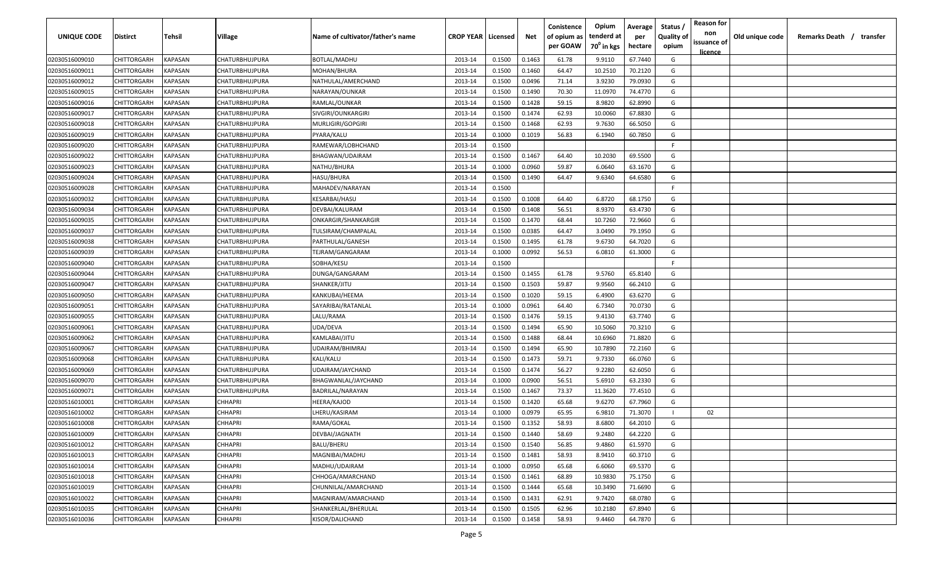| <b>UNIQUE CODE</b> | Distirct           | Tehsil         | Village               | Name of cultivator/father's name | <b>CROP YEAR   Licensed</b> |        | Net    | Conistence<br>of opium as | Opium<br>tenderd at    | Average<br>per | Status /<br><b>Quality of</b> | <b>Reason for</b><br>non | Old unique code | Remarks Death / transfer |
|--------------------|--------------------|----------------|-----------------------|----------------------------------|-----------------------------|--------|--------|---------------------------|------------------------|----------------|-------------------------------|--------------------------|-----------------|--------------------------|
|                    |                    |                |                       |                                  |                             |        |        | per GOAW                  | 70 <sup>0</sup> in kgs | hectare        | opium                         | issuance of              |                 |                          |
| 02030516009010     | CHITTORGARH        | <b>KAPASAN</b> | CHATURBHUJPURA        | <b>BOTLAL/MADHU</b>              | 2013-14                     | 0.1500 | 0.1463 | 61.78                     | 9.9110                 | 67.7440        | G                             | <u>licence</u>           |                 |                          |
| 02030516009011     | CHITTORGARH        | KAPASAN        | CHATURBHUJPURA        | MOHAN/BHURA                      | 2013-14                     | 0.1500 | 0.1460 | 64.47                     | 10.2510                | 70.2120        | G                             |                          |                 |                          |
| 02030516009012     | CHITTORGARH        | KAPASAN        | CHATURBHUJPURA        | NATHULAL/AMERCHAND               | 2013-14                     | 0.1500 | 0.0496 | 71.14                     | 3.9230                 | 79.0930        | G                             |                          |                 |                          |
| 02030516009015     | CHITTORGARH        | KAPASAN        | CHATURBHUJPURA        | NARAYAN/OUNKAR                   | 2013-14                     | 0.1500 | 0.1490 | 70.30                     | 11.0970                | 74.4770        | G                             |                          |                 |                          |
| 02030516009016     | CHITTORGARH        | KAPASAN        | CHATURBHUJPURA        | RAMLAL/OUNKAR                    | 2013-14                     | 0.1500 | 0.1428 | 59.15                     | 8.9820                 | 62.8990        | G                             |                          |                 |                          |
| 02030516009017     | CHITTORGARH        | KAPASAN        | CHATURBHUJPURA        | SIVGIRI/OUNKARGIRI               | 2013-14                     | 0.1500 | 0.1474 | 62.93                     | 10.0060                | 67.8830        | G                             |                          |                 |                          |
| 02030516009018     | CHITTORGARH        | KAPASAN        | CHATURBHUJPURA        | MURLIGIRI/GOPGIRI                | 2013-14                     | 0.1500 | 0.1468 | 62.93                     | 9.7630                 | 66.5050        | G                             |                          |                 |                          |
| 02030516009019     | CHITTORGARH        | KAPASAN        | CHATURBHUJPURA        | PYARA/KALU                       | 2013-14                     | 0.1000 | 0.1019 | 56.83                     | 6.1940                 | 60.7850        | G                             |                          |                 |                          |
| 02030516009020     | CHITTORGARH        | KAPASAN        | CHATURBHUJPURA        | RAMEWAR/LOBHCHAND                | 2013-14                     | 0.1500 |        |                           |                        |                | -F.                           |                          |                 |                          |
| 02030516009022     | CHITTORGARH        | KAPASAN        | CHATURBHUJPURA        | BHAGWAN/UDAIRAM                  | 2013-14                     | 0.1500 | 0.1467 | 64.40                     | 10.2030                | 69.5500        | G                             |                          |                 |                          |
| 02030516009023     | CHITTORGARH        | KAPASAN        | CHATURBHUJPURA        | NATHU/BHURA                      | 2013-14                     | 0.1000 | 0.0960 | 59.87                     | 6.0640                 | 63.1670        | G                             |                          |                 |                          |
| 02030516009024     | CHITTORGARH        | KAPASAN        | CHATURBHUJPURA        | HASU/BHURA                       | 2013-14                     | 0.1500 | 0.1490 | 64.47                     | 9.6340                 | 64.6580        | G                             |                          |                 |                          |
| 02030516009028     | CHITTORGARH        | KAPASAN        | CHATURBHUJPURA        | MAHADEV/NARAYAN                  | 2013-14                     | 0.1500 |        |                           |                        |                | -F.                           |                          |                 |                          |
| 02030516009032     | CHITTORGARH        | KAPASAN        | CHATURBHUJPURA        | KESARBAI/HASU                    | 2013-14                     | 0.1500 | 0.1008 | 64.40                     | 6.8720                 | 68.1750        | G                             |                          |                 |                          |
| 02030516009034     | CHITTORGARH        | KAPASAN        | CHATURBHUJPURA        | DEVBAI/KALURAM                   | 2013-14                     | 0.1500 | 0.1408 | 56.51                     | 8.9370                 | 63.4730        | G                             |                          |                 |                          |
| 02030516009035     | CHITTORGARH        | KAPASAN        | CHATURBHUJPURA        | ONKARGIR/SHANKARGIR              | 2013-14                     | 0.1500 | 0.1470 | 68.44                     | 10.7260                | 72.9660        | G                             |                          |                 |                          |
| 02030516009037     | CHITTORGARH        | KAPASAN        | CHATURBHUJPURA        | TULSIRAM/CHAMPALAL               | 2013-14                     | 0.1500 | 0.0385 | 64.47                     | 3.0490                 | 79.1950        | G                             |                          |                 |                          |
| 02030516009038     | CHITTORGARH        | KAPASAN        | <b>CHATURBHUJPURA</b> | PARTHULAL/GANESH                 | 2013-14                     | 0.1500 | 0.1495 | 61.78                     | 9.6730                 | 64.7020        | G                             |                          |                 |                          |
| 02030516009039     | CHITTORGARH        | KAPASAN        | CHATURBHUJPURA        | TEJRAM/GANGARAM                  | 2013-14                     | 0.1000 | 0.0992 | 56.53                     | 6.0810                 | 61.3000        | G                             |                          |                 |                          |
| 02030516009040     | CHITTORGARH        | KAPASAN        | CHATURBHUJPURA        | SOBHA/KESU                       | 2013-14                     | 0.1500 |        |                           |                        |                | F                             |                          |                 |                          |
| 02030516009044     | CHITTORGARH        | KAPASAN        | CHATURBHUJPURA        | DUNGA/GANGARAM                   | 2013-14                     | 0.1500 | 0.1455 | 61.78                     | 9.5760                 | 65.8140        | G                             |                          |                 |                          |
| 02030516009047     | CHITTORGARH        | KAPASAN        | CHATURBHUJPURA        | SHANKER/JITU                     | 2013-14                     | 0.1500 | 0.1503 | 59.87                     | 9.9560                 | 66.2410        | G                             |                          |                 |                          |
| 02030516009050     | CHITTORGARH        | KAPASAN        | CHATURBHUJPURA        | KANKUBAI/HEEMA                   | 2013-14                     | 0.1500 | 0.1020 | 59.15                     | 6.4900                 | 63.6270        | G                             |                          |                 |                          |
| 02030516009051     | CHITTORGARH        | KAPASAN        | CHATURBHUJPURA        | SAYARIBAI/RATANLAL               | 2013-14                     | 0.1000 | 0.0961 | 64.40                     | 6.7340                 | 70.0730        | G                             |                          |                 |                          |
| 02030516009055     | CHITTORGARH        | KAPASAN        | CHATURBHUJPURA        | LALU/RAMA                        | 2013-14                     | 0.1500 | 0.1476 | 59.15                     | 9.4130                 | 63.7740        | G                             |                          |                 |                          |
| 02030516009061     | CHITTORGARH        | KAPASAN        | CHATURBHUJPURA        | UDA/DEVA                         | 2013-14                     | 0.1500 | 0.1494 | 65.90                     | 10.5060                | 70.3210        | G                             |                          |                 |                          |
| 02030516009062     | CHITTORGARH        | KAPASAN        | CHATURBHUJPURA        | KAMLABAI/JITU                    | 2013-14                     | 0.1500 | 0.1488 | 68.44                     | 10.6960                | 71.8820        | G                             |                          |                 |                          |
| 02030516009067     | CHITTORGARH        | KAPASAN        | CHATURBHUJPURA        | UDAIRAM/BHIMRAJ                  | 2013-14                     | 0.1500 | 0.1494 | 65.90                     | 10.7890                | 72.2160        | G                             |                          |                 |                          |
| 02030516009068     | CHITTORGARH        | KAPASAN        | CHATURBHUJPURA        | KALI/KALU                        | 2013-14                     | 0.1500 | 0.1473 | 59.71                     | 9.7330                 | 66.0760        | G                             |                          |                 |                          |
| 02030516009069     | CHITTORGARH        | KAPASAN        | CHATURBHUJPURA        | UDAIRAM/JAYCHAND                 | 2013-14                     | 0.1500 | 0.1474 | 56.27                     | 9.2280                 | 62.6050        | G                             |                          |                 |                          |
| 02030516009070     | CHITTORGARH        | KAPASAN        | CHATURBHUJPURA        | BHAGWANLAL/JAYCHAND              | 2013-14                     | 0.1000 | 0.0900 | 56.51                     | 5.6910                 | 63.2330        | G                             |                          |                 |                          |
| 02030516009071     | CHITTORGARH        | KAPASAN        | CHATURBHUJPURA        | BADRILAL/NARAYAN                 | 2013-14                     | 0.1500 | 0.1467 | 73.37                     | 11.3620                | 77.4510        | G                             |                          |                 |                          |
| 02030516010001     | CHITTORGARH        | KAPASAN        | <b>CHHAPRI</b>        | HEERA/KAJOD                      | 2013-14                     | 0.1500 | 0.1420 | 65.68                     | 9.6270                 | 67.7960        | G                             |                          |                 |                          |
| 02030516010002     | CHITTORGARH        | KAPASAN        | <b>CHHAPRI</b>        | LHERU/KASIRAM                    | 2013-14                     | 0.1000 | 0.0979 | 65.95                     | 6.9810                 | 71.3070        |                               | 02                       |                 |                          |
| 02030516010008     | CHITTORGARH        | KAPASAN        | <b>CHHAPRI</b>        | RAMA/GOKAL                       | 2013-14                     | 0.1500 | 0.1352 | 58.93                     | 8.6800                 | 64.2010        | G                             |                          |                 |                          |
| 02030516010009     | <b>CHITTORGARH</b> | KAPASAN        | <b>CHHAPRI</b>        | DEVBAI/JAGNATH                   | 2013-14                     | 0.1500 | 0.1440 | 58.69                     | 9.2480                 | 64.2220        | G                             |                          |                 |                          |
| 02030516010012     | <b>CHITTORGARH</b> | <b>KAPASAN</b> | <b>CHHAPRI</b>        | BALU/BHERU                       | 2013-14                     | 0.1500 | 0.1540 | 56.85                     | 9.4860                 | 61.5970        | G                             |                          |                 |                          |
| 02030516010013     | CHITTORGARH        | <b>KAPASAN</b> | <b>CHHAPRI</b>        | MAGNIBAI/MADHU                   | 2013-14                     | 0.1500 | 0.1481 | 58.93                     | 8.9410                 | 60.3710        | G                             |                          |                 |                          |
| 02030516010014     | <b>CHITTORGARH</b> | <b>KAPASAN</b> | <b>CHHAPRI</b>        | MADHU/UDAIRAM                    | 2013-14                     | 0.1000 | 0.0950 | 65.68                     | 6.6060                 | 69.5370        | G                             |                          |                 |                          |
| 02030516010018     | CHITTORGARH        | KAPASAN        | <b>CHHAPRI</b>        | CHHOGA/AMARCHAND                 | 2013-14                     | 0.1500 | 0.1461 | 68.89                     | 10.9830                | 75.1750        | G                             |                          |                 |                          |
| 02030516010019     | <b>CHITTORGARH</b> | KAPASAN        | <b>CHHAPRI</b>        | CHUNNILAL/AMARCHAND              | 2013-14                     | 0.1500 | 0.1444 | 65.68                     | 10.3490                | 71.6690        | G                             |                          |                 |                          |
| 02030516010022     | CHITTORGARH        | KAPASAN        | <b>CHHAPRI</b>        | MAGNIRAM/AMARCHAND               | 2013-14                     | 0.1500 | 0.1431 | 62.91                     | 9.7420                 | 68.0780        | G                             |                          |                 |                          |
| 02030516010035     | CHITTORGARH        | KAPASAN        | <b>CHHAPRI</b>        | SHANKERLAL/BHERULAL              | 2013-14                     | 0.1500 | 0.1505 | 62.96                     | 10.2180                | 67.8940        | G                             |                          |                 |                          |
| 02030516010036     | CHITTORGARH        | KAPASAN        | <b>CHHAPRI</b>        | KISOR/DALICHAND                  | 2013-14                     | 0.1500 | 0.1458 | 58.93                     | 9.4460                 | 64.7870        | G                             |                          |                 |                          |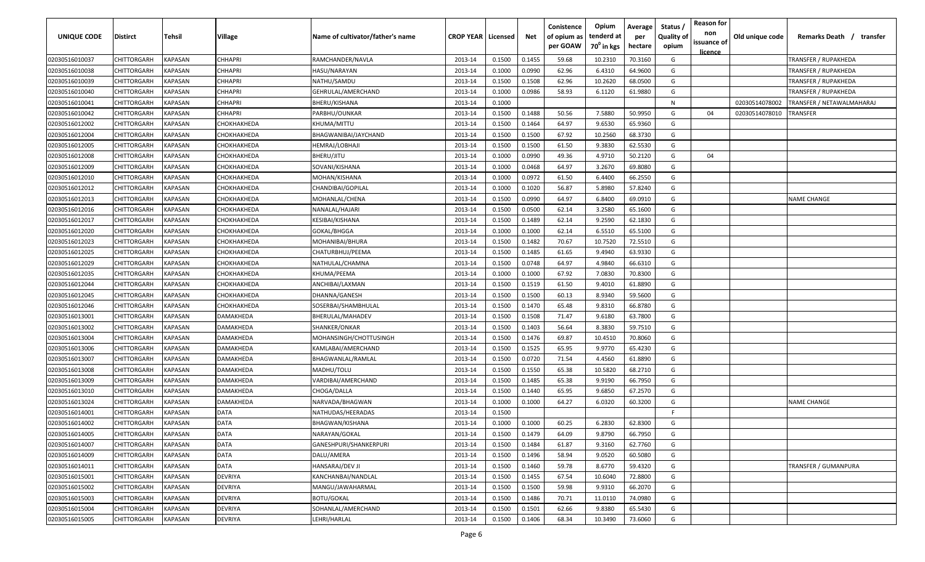| UNIQUE CODE    | Distirct           | Tehsil         | Village            | Name of cultivator/father's name | <b>CROP YEAR   Licensed</b> |        | Net    | Conistence<br>of opium as<br>per GOAW | Opium<br>tenderd at<br>70 <sup>°</sup> in kgs | Average<br>per<br>hectare | Status,<br><b>Quality of</b><br>opium | <b>Reason for</b><br>non<br>issuance of<br>licence | Old unique code | Remarks Death / transfer  |
|----------------|--------------------|----------------|--------------------|----------------------------------|-----------------------------|--------|--------|---------------------------------------|-----------------------------------------------|---------------------------|---------------------------------------|----------------------------------------------------|-----------------|---------------------------|
| 02030516010037 | CHITTORGARH        | KAPASAN        | <b>CHHAPRI</b>     | RAMCHANDER/NAVLA                 | 2013-14                     | 0.1500 | 0.1455 | 59.68                                 | 10.2310                                       | 70.3160                   | G                                     |                                                    |                 | TRANSFER / RUPAKHEDA      |
| 02030516010038 | CHITTORGARH        | <b>KAPASAN</b> | CHHAPRI            | HASU/NARAYAN                     | 2013-14                     | 0.1000 | 0.0990 | 62.96                                 | 6.4310                                        | 64.9600                   | G                                     |                                                    |                 | TRANSFER / RUPAKHEDA      |
| 02030516010039 | CHITTORGARH        | KAPASAN        | CHHAPRI            | NATHU/SAMDU                      | 2013-14                     | 0.1500 | 0.1508 | 62.96                                 | 10.2620                                       | 68.0500                   | G                                     |                                                    |                 | TRANSFER / RUPAKHEDA      |
| 02030516010040 | CHITTORGARH        | KAPASAN        | CHHAPRI            | GEHRULAL/AMERCHAND               | 2013-14                     | 0.1000 | 0.0986 | 58.93                                 | 6.1120                                        | 61.9880                   | G                                     |                                                    |                 | TRANSFER / RUPAKHEDA      |
| 02030516010041 | CHITTORGARH        | KAPASAN        | CHHAPRI            | BHERU/KISHANA                    | 2013-14                     | 0.1000 |        |                                       |                                               |                           | N                                     |                                                    | 02030514078002  | TRANSFER / NETAWALMAHARAJ |
| 02030516010042 | CHITTORGARH        | KAPASAN        | CHHAPRI            | PARBHU/OUNKAR                    | 2013-14                     | 0.1500 | 0.1488 | 50.56                                 | 7.5880                                        | 50.9950                   | G                                     | 04                                                 | 02030514078010  | TRANSFER                  |
| 02030516012002 | CHITTORGARH        | KAPASAN        | СНОКНАКНЕDА        | KHUMA/MITTU                      | 2013-14                     | 0.1500 | 0.1464 | 64.97                                 | 9.6530                                        | 65.9360                   | G                                     |                                                    |                 |                           |
| 02030516012004 | CHITTORGARH        | KAPASAN        | СНОКНАКНЕDА        | BHAGWANIBAI/JAYCHAND             | 2013-14                     | 0.1500 | 0.1500 | 67.92                                 | 10.2560                                       | 68.3730                   | G                                     |                                                    |                 |                           |
| 02030516012005 | CHITTORGARH        | KAPASAN        | СНОКНАКНЕDА        | HEMRAJ/LOBHAJI                   | 2013-14                     | 0.1500 | 0.1500 | 61.50                                 | 9.3830                                        | 62.5530                   | G                                     |                                                    |                 |                           |
| 02030516012008 | CHITTORGARH        | KAPASAN        | СНОКНАКНЕDА        | <b>BHERU/JITU</b>                | 2013-14                     | 0.1000 | 0.0990 | 49.36                                 | 4.9710                                        | 50.2120                   | G                                     | 04                                                 |                 |                           |
| 02030516012009 | CHITTORGARH        | KAPASAN        | СНОКНАКНЕDА        | SOVANI/KISHANA                   | 2013-14                     | 0.1000 | 0.0468 | 64.97                                 | 3.2670                                        | 69.8080                   | G                                     |                                                    |                 |                           |
| 02030516012010 | CHITTORGARH        | KAPASAN        | СНОКНАКНЕDА        | MOHAN/KISHANA                    | 2013-14                     | 0.1000 | 0.0972 | 61.50                                 | 6.4400                                        | 66.2550                   | G                                     |                                                    |                 |                           |
| 02030516012012 | CHITTORGARH        | KAPASAN        | СНОКНАКНЕDА        | CHANDIBAI/GOPILAL                | 2013-14                     | 0.1000 | 0.1020 | 56.87                                 | 5.8980                                        | 57.8240                   | G                                     |                                                    |                 |                           |
| 02030516012013 | CHITTORGARH        | KAPASAN        | СНОКНАКНЕDА        | MOHANLAL/CHENA                   | 2013-14                     | 0.1500 | 0.0990 | 64.97                                 | 6.8400                                        | 69.0910                   | G                                     |                                                    |                 | <b>NAME CHANGE</b>        |
| 02030516012016 | CHITTORGARH        | KAPASAN        | СНОКНАКНЕDА        | NANALAL/HAJARI                   | 2013-14                     | 0.1500 | 0.0500 | 62.14                                 | 3.2580                                        | 65.1600                   | G                                     |                                                    |                 |                           |
| 02030516012017 | CHITTORGARH        | KAPASAN        | СНОКНАКНЕDА        | KESIBAI/KISHANA                  | 2013-14                     | 0.1500 | 0.1489 | 62.14                                 | 9.2590                                        | 62.1830                   | G                                     |                                                    |                 |                           |
| 02030516012020 | CHITTORGARH        | KAPASAN        | СНОКНАКНЕDА        | GOKAL/BHGGA                      | 2013-14                     | 0.1000 | 0.1000 | 62.14                                 | 6.5510                                        | 65.5100                   | G                                     |                                                    |                 |                           |
| 02030516012023 | CHITTORGARH        | <b>KAPASAN</b> | СНОКНАКНЕDА        | MOHANIBAI/BHURA                  | 2013-14                     | 0.1500 | 0.1482 | 70.67                                 | 10.7520                                       | 72.5510                   | G                                     |                                                    |                 |                           |
| 02030516012025 | CHITTORGARH        | KAPASAN        | СНОКНАКНЕDА        | CHATURBHUJ/PEEMA                 | 2013-14                     | 0.1500 | 0.1485 | 61.65                                 | 9.4940                                        | 63.9330                   | G                                     |                                                    |                 |                           |
| 02030516012029 | CHITTORGARH        | <b>KAPASAN</b> | СНОКНАКНЕРА        | NATHULAL/CHAMNA                  | 2013-14                     | 0.1500 | 0.0748 | 64.97                                 | 4.9840                                        | 66.6310                   | G                                     |                                                    |                 |                           |
| 02030516012035 | CHITTORGARH        | KAPASAN        | <b>СНОКНАКНЕDA</b> | KHUMA/PEEMA                      | 2013-14                     | 0.1000 | 0.1000 | 67.92                                 | 7.0830                                        | 70.8300                   | G                                     |                                                    |                 |                           |
| 02030516012044 | CHITTORGARH        | KAPASAN        | СНОКНАКНЕDА        | ANCHIBAI/LAXMAN                  | 2013-14                     | 0.1500 | 0.1519 | 61.50                                 | 9.4010                                        | 61.8890                   | G                                     |                                                    |                 |                           |
| 02030516012045 | CHITTORGARH        | KAPASAN        | СНОКНАКНЕDА        | DHANNA/GANESH                    | 2013-14                     | 0.1500 | 0.1500 | 60.13                                 | 8.9340                                        | 59.5600                   | G                                     |                                                    |                 |                           |
| 02030516012046 | CHITTORGARH        | KAPASAN        | СНОКНАКНЕDА        | SOSERBAI/SHAMBHULAL              | 2013-14                     | 0.1500 | 0.1470 | 65.48                                 | 9.8310                                        | 66.8780                   | G                                     |                                                    |                 |                           |
| 02030516013001 | CHITTORGARH        | KAPASAN        | DAMAKHEDA          | BHERULAL/MAHADEV                 | 2013-14                     | 0.1500 | 0.1508 | 71.47                                 | 9.6180                                        | 63.7800                   | G                                     |                                                    |                 |                           |
| 02030516013002 | CHITTORGARH        | KAPASAN        | DAMAKHEDA          | SHANKER/ONKAR                    | 2013-14                     | 0.1500 | 0.1403 | 56.64                                 | 8.3830                                        | 59.7510                   | G                                     |                                                    |                 |                           |
| 02030516013004 | CHITTORGARH        | KAPASAN        | DAMAKHEDA          | MOHANSINGH/CHOTTUSINGH           | 2013-14                     | 0.1500 | 0.1476 | 69.87                                 | 10.4510                                       | 70.8060                   | G                                     |                                                    |                 |                           |
| 02030516013006 | CHITTORGARH        | KAPASAN        | )AMAKHEDA          | KAMLABAI/AMERCHAND               | 2013-14                     | 0.1500 | 0.1525 | 65.95                                 | 9.9770                                        | 65.4230                   | G                                     |                                                    |                 |                           |
| 02030516013007 | CHITTORGARH        | KAPASAN        | DAMAKHEDA          | BHAGWANLAL/RAMLAL                | 2013-14                     | 0.1500 | 0.0720 | 71.54                                 | 4.4560                                        | 61.8890                   | G                                     |                                                    |                 |                           |
| 02030516013008 | CHITTORGARH        | KAPASAN        | DAMAKHEDA          | MADHU/TOLU                       | 2013-14                     | 0.1500 | 0.1550 | 65.38                                 | 10.5820                                       | 68.2710                   | G                                     |                                                    |                 |                           |
| 02030516013009 | CHITTORGARH        | KAPASAN        | DAMAKHEDA          | VARDIBAI/AMERCHAND               | 2013-14                     | 0.1500 | 0.1485 | 65.38                                 | 9.9190                                        | 66.7950                   | G                                     |                                                    |                 |                           |
| 02030516013010 | CHITTORGARH        | KAPASAN        | DAMAKHEDA          | CHOGA/DALLA                      | 2013-14                     | 0.1500 | 0.1440 | 65.95                                 | 9.6850                                        | 67.2570                   | G                                     |                                                    |                 |                           |
| 02030516013024 | CHITTORGARH        | KAPASAN        | DAMAKHEDA          | NARVADA/BHAGWAN                  | 2013-14                     | 0.1000 | 0.1000 | 64.27                                 | 6.0320                                        | 60.3200                   | G                                     |                                                    |                 | <b>NAME CHANGE</b>        |
| 02030516014001 | CHITTORGARH        | KAPASAN        | <b>DATA</b>        | NATHUDAS/HEERADAS                | 2013-14                     | 0.1500 |        |                                       |                                               |                           | E                                     |                                                    |                 |                           |
| 02030516014002 | <b>CHITTORGARH</b> | <b>KAPASAN</b> | <b>DATA</b>        | <b>BHAGWAN/KISHANA</b>           | 2013-14                     | 0.1000 | 0.1000 | 60.25                                 | 6.2830                                        | 62.8300                   | G                                     |                                                    |                 |                           |
| 02030516014005 | CHITTORGARH        | <b>KAPASAN</b> | <b>DATA</b>        | NARAYAN/GOKAL                    | 2013-14                     | 0.1500 | 0.1479 | 64.09                                 | 9.8790                                        | 66.7950                   | G                                     |                                                    |                 |                           |
| 02030516014007 | CHITTORGARH        | <b>KAPASAN</b> | DATA               | GANESHPURI/SHANKERPURI           | 2013-14                     | 0.1500 | 0.1484 | 61.87                                 | 9.3160                                        | 62.7760                   | G                                     |                                                    |                 |                           |
| 02030516014009 | <b>CHITTORGARH</b> | <b>KAPASAN</b> | <b>DATA</b>        | DALU/AMERA                       | 2013-14                     | 0.1500 | 0.1496 | 58.94                                 | 9.0520                                        | 60.5080                   | G                                     |                                                    |                 |                           |
| 02030516014011 | <b>CHITTORGARH</b> | <b>KAPASAN</b> | <b>DATA</b>        | HANSARAJ/DEV JI                  | 2013-14                     | 0.1500 | 0.1460 | 59.78                                 | 8.6770                                        | 59.4320                   | G                                     |                                                    |                 | TRANSFER / GUMANPURA      |
| 02030516015001 | CHITTORGARH        | KAPASAN        | DEVRIYA            | KANCHANBAI/NANDLAL               | 2013-14                     | 0.1500 | 0.1455 | 67.54                                 | 10.6040                                       | 72.8800                   | G                                     |                                                    |                 |                           |
| 02030516015002 | CHITTORGARH        | KAPASAN        | DEVRIYA            | MANGU/JAWAHARMAL                 | 2013-14                     | 0.1500 | 0.1500 | 59.98                                 | 9.9310                                        | 66.2070                   | G                                     |                                                    |                 |                           |
| 02030516015003 | CHITTORGARH        | KAPASAN        | DEVRIYA            | BOTU/GOKAL                       | 2013-14                     | 0.1500 | 0.1486 | 70.71                                 | 11.0110                                       | 74.0980                   | G                                     |                                                    |                 |                           |
| 02030516015004 | CHITTORGARH        | KAPASAN        | DEVRIYA            | SOHANLAL/AMERCHAND               | 2013-14                     | 0.1500 | 0.1501 | 62.66                                 | 9.8380                                        | 65.5430                   | G                                     |                                                    |                 |                           |
| 02030516015005 | <b>CHITTORGARH</b> | <b>KAPASAN</b> | DEVRIYA            | LEHRI/HARLAL                     | 2013-14                     | 0.1500 | 0.1406 | 68.34                                 | 10.3490                                       | 73.6060                   | G                                     |                                                    |                 |                           |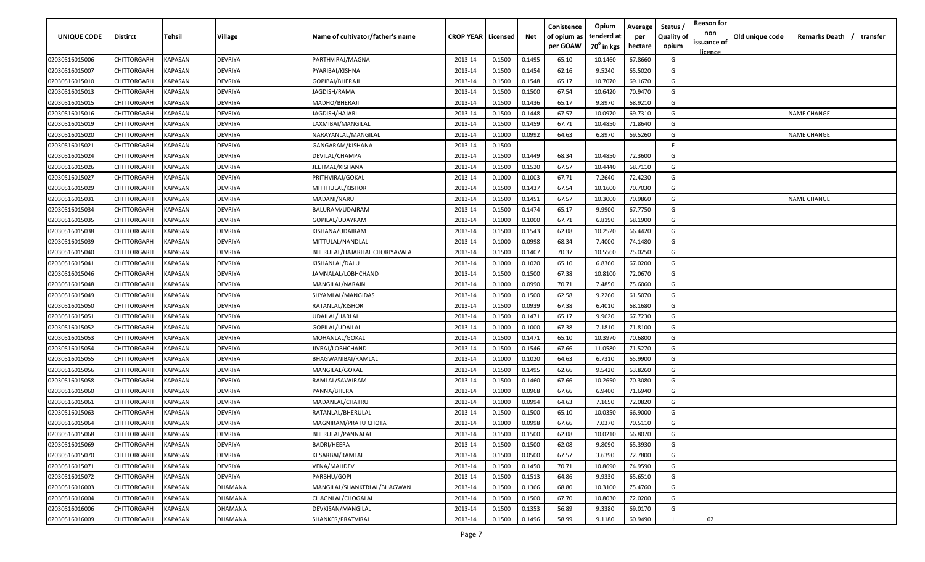| <b>UNIQUE CODE</b> | Distirct           | Tehsil         | Village | Name of cultivator/father's name | <b>CROP YEAR   Licensed</b> |        | Net    | Conistence<br>of opium as | Opium<br>tenderd at    | Average<br>per | Status /<br><b>Quality of</b> | <b>Reason for</b><br>non      | Old unique code | Remarks Death /<br>transfer |
|--------------------|--------------------|----------------|---------|----------------------------------|-----------------------------|--------|--------|---------------------------|------------------------|----------------|-------------------------------|-------------------------------|-----------------|-----------------------------|
|                    |                    |                |         |                                  |                             |        |        | per GOAW                  | 70 <sup>0</sup> in kgs | hectare        | opium                         | issuance of<br><u>licence</u> |                 |                             |
| 02030516015006     | CHITTORGARH        | <b>KAPASAN</b> | DEVRIYA | PARTHVIRAJ/MAGNA                 | 2013-14                     | 0.1500 | 0.1495 | 65.10                     | 10.1460                | 67.8660        | G                             |                               |                 |                             |
| 02030516015007     | CHITTORGARH        | KAPASAN        | DEVRIYA | PYARIBAI/KISHNA                  | 2013-14                     | 0.1500 | 0.1454 | 62.16                     | 9.5240                 | 65.5020        | G                             |                               |                 |                             |
| 02030516015010     | CHITTORGARH        | KAPASAN        | DEVRIYA | GOPIBAI/BHERAJI                  | 2013-14                     | 0.1500 | 0.1548 | 65.17                     | 10.7070                | 69.1670        | G                             |                               |                 |                             |
| 02030516015013     | CHITTORGARH        | KAPASAN        | DEVRIYA | JAGDISH/RAMA                     | 2013-14                     | 0.1500 | 0.1500 | 67.54                     | 10.6420                | 70.9470        | G                             |                               |                 |                             |
| 02030516015015     | CHITTORGARH        | KAPASAN        | DEVRIYA | MADHO/BHERAJI                    | 2013-14                     | 0.1500 | 0.1436 | 65.17                     | 9.8970                 | 68.9210        | G                             |                               |                 |                             |
| 02030516015016     | CHITTORGARH        | KAPASAN        | DEVRIYA | JAGDISH/HAJARI                   | 2013-14                     | 0.1500 | 0.1448 | 67.57                     | 10.0970                | 69.7310        | G                             |                               |                 | <b>NAME CHANGE</b>          |
| 02030516015019     | CHITTORGARH        | KAPASAN        | DEVRIYA | LAXMIBAI/MANGILAL                | 2013-14                     | 0.1500 | 0.1459 | 67.71                     | 10.4850                | 71.8640        | G                             |                               |                 |                             |
| 02030516015020     | CHITTORGARH        | KAPASAN        | DEVRIYA | NARAYANLAL/MANGILAL              | 2013-14                     | 0.1000 | 0.0992 | 64.63                     | 6.8970                 | 69.5260        | G                             |                               |                 | <b>NAME CHANGE</b>          |
| 02030516015021     | CHITTORGARH        | KAPASAN        | DEVRIYA | GANGARAM/KISHANA                 | 2013-14                     | 0.1500 |        |                           |                        |                | -F.                           |                               |                 |                             |
| 02030516015024     | CHITTORGARH        | KAPASAN        | DEVRIYA | DEVILAL/CHAMPA                   | 2013-14                     | 0.1500 | 0.1449 | 68.34                     | 10.4850                | 72.3600        | G                             |                               |                 |                             |
| 02030516015026     | CHITTORGARH        | KAPASAN        | DEVRIYA | JEETMAL/KISHANA                  | 2013-14                     | 0.1500 | 0.1520 | 67.57                     | 10.4440                | 68.7110        | G                             |                               |                 |                             |
| 02030516015027     | CHITTORGARH        | KAPASAN        | DEVRIYA | PRITHVIRAJ/GOKAL                 | 2013-14                     | 0.1000 | 0.1003 | 67.71                     | 7.2640                 | 72.4230        | G                             |                               |                 |                             |
| 02030516015029     | CHITTORGARH        | KAPASAN        | DEVRIYA | MITTHULAL/KISHOR                 | 2013-14                     | 0.1500 | 0.1437 | 67.54                     | 10.1600                | 70.7030        | G                             |                               |                 |                             |
| 02030516015031     | CHITTORGARH        | KAPASAN        | DEVRIYA | MADANI/NARU                      | 2013-14                     | 0.1500 | 0.1451 | 67.57                     | 10.3000                | 70.9860        | G                             |                               |                 | NAME CHANGE                 |
| 02030516015034     | CHITTORGARH        | KAPASAN        | DEVRIYA | BALURAM/UDAIRAM                  | 2013-14                     | 0.1500 | 0.1474 | 65.17                     | 9.9900                 | 67.7750        | G                             |                               |                 |                             |
| 02030516015035     | CHITTORGARH        | KAPASAN        | DEVRIYA | GOPILAL/UDAYRAM                  | 2013-14                     | 0.1000 | 0.1000 | 67.71                     | 6.8190                 | 68.1900        | G                             |                               |                 |                             |
| 02030516015038     | CHITTORGARH        | KAPASAN        | DEVRIYA | KISHANA/UDAIRAM                  | 2013-14                     | 0.1500 | 0.1543 | 62.08                     | 10.2520                | 66.4420        | G                             |                               |                 |                             |
| 02030516015039     | CHITTORGARH        | KAPASAN        | DEVRIYA | MITTULAL/NANDLAL                 | 2013-14                     | 0.1000 | 0.0998 | 68.34                     | 7.4000                 | 74.1480        | G                             |                               |                 |                             |
| 02030516015040     | CHITTORGARH        | KAPASAN        | DEVRIYA | BHERULAL/HAJARILAL CHORIYAVALA   | 2013-14                     | 0.1500 | 0.1407 | 70.37                     | 10.5560                | 75.0250        | G                             |                               |                 |                             |
| 02030516015041     | CHITTORGARH        | KAPASAN        | DEVRIYA | KISHANLAL/DALU                   | 2013-14                     | 0.1000 | 0.1020 | 65.10                     | 6.8360                 | 67.0200        | G                             |                               |                 |                             |
| 02030516015046     | CHITTORGARH        | KAPASAN        | DEVRIYA | JAMNALAL/LOBHCHAND               | 2013-14                     | 0.1500 | 0.1500 | 67.38                     | 10.8100                | 72.0670        | G                             |                               |                 |                             |
| 02030516015048     | CHITTORGARH        | KAPASAN        | DEVRIYA | MANGILAL/NARAIN                  | 2013-14                     | 0.1000 | 0.0990 | 70.71                     | 7.4850                 | 75.6060        | G                             |                               |                 |                             |
| 02030516015049     | CHITTORGARH        | KAPASAN        | DEVRIYA | SHYAMLAL/MANGIDAS                | 2013-14                     | 0.1500 | 0.1500 | 62.58                     | 9.2260                 | 61.5070        | G                             |                               |                 |                             |
| 02030516015050     | CHITTORGARH        | KAPASAN        | DEVRIYA | RATANLAL/KISHOR                  | 2013-14                     | 0.1500 | 0.0939 | 67.38                     | 6.4010                 | 68.1680        | G                             |                               |                 |                             |
| 02030516015051     | CHITTORGARH        | KAPASAN        | DEVRIYA | UDAILAL/HARLAL                   | 2013-14                     | 0.1500 | 0.1471 | 65.17                     | 9.9620                 | 67.7230        | G                             |                               |                 |                             |
| 02030516015052     | CHITTORGARH        | KAPASAN        | DEVRIYA | GOPILAL/UDAILAL                  | 2013-14                     | 0.1000 | 0.1000 | 67.38                     | 7.1810                 | 71.8100        | G                             |                               |                 |                             |
| 02030516015053     | CHITTORGARH        | KAPASAN        | DEVRIYA | MOHANLAL/GOKAL                   | 2013-14                     | 0.1500 | 0.1471 | 65.10                     | 10.3970                | 70.6800        | G                             |                               |                 |                             |
| 02030516015054     | CHITTORGARH        | KAPASAN        | DEVRIYA | JIVRAJ/LOBHCHAND                 | 2013-14                     | 0.1500 | 0.1546 | 67.66                     | 11.0580                | 71.5270        | G                             |                               |                 |                             |
| 02030516015055     | CHITTORGARH        | KAPASAN        | DEVRIYA | BHAGWANIBAI/RAMLAL               | 2013-14                     | 0.1000 | 0.1020 | 64.63                     | 6.7310                 | 65.9900        | G                             |                               |                 |                             |
| 02030516015056     | CHITTORGARH        | KAPASAN        | DEVRIYA | MANGILAL/GOKAL                   | 2013-14                     | 0.1500 | 0.1495 | 62.66                     | 9.5420                 | 63.8260        | G                             |                               |                 |                             |
| 02030516015058     | CHITTORGARH        | KAPASAN        | DEVRIYA | RAMLAL/SAVAIRAM                  | 2013-14                     | 0.1500 | 0.1460 | 67.66                     | 10.2650                | 70.3080        | G                             |                               |                 |                             |
| 02030516015060     | CHITTORGARH        | KAPASAN        | DEVRIYA | PANNA/BHERA                      | 2013-14                     | 0.1000 | 0.0968 | 67.66                     | 6.9400                 | 71.6940        | G                             |                               |                 |                             |
| 02030516015061     | CHITTORGARH        | KAPASAN        | DEVRIYA | MADANLAL/CHATRU                  | 2013-14                     | 0.1000 | 0.0994 | 64.63                     | 7.1650                 | 72.0820        | G                             |                               |                 |                             |
| 02030516015063     | CHITTORGARH        | KAPASAN        | DEVRIYA | RATANLAL/BHERULAL                | 2013-14                     | 0.1500 | 0.1500 | 65.10                     | 10.0350                | 66.9000        | G                             |                               |                 |                             |
| 02030516015064     | CHITTORGARH        | KAPASAN        | DEVRIYA | MAGNIRAM/PRATU CHOTA             | 2013-14                     | 0.1000 | 0.0998 | 67.66                     | 7.0370                 | 70.5110        | G                             |                               |                 |                             |
| 02030516015068     | <b>CHITTORGARH</b> | KAPASAN        | DEVRIYA | BHERULAL/PANNALAL                | 2013-14                     | 0.1500 | 0.1500 | 62.08                     | 10.0210                | 66.8070        | G                             |                               |                 |                             |
| 02030516015069     | CHITTORGARH        | <b>KAPASAN</b> | DEVRIYA | BADRI/HEERA                      | 2013-14                     | 0.1500 | 0.1500 | 62.08                     | 9.8090                 | 65.3930        | G                             |                               |                 |                             |
| 02030516015070     | <b>CHITTORGARH</b> | <b>KAPASAN</b> | DEVRIYA | KESARBAI/RAMLAL                  | 2013-14                     | 0.1500 | 0.0500 | 67.57                     | 3.6390                 | 72.7800        | G                             |                               |                 |                             |
| 02030516015071     | <b>CHITTORGARH</b> | KAPASAN        | DEVRIYA | VENA/MAHDEV                      | 2013-14                     | 0.1500 | 0.1450 | 70.71                     | 10.8690                | 74.9590        | G                             |                               |                 |                             |
| 02030516015072     | CHITTORGARH        | KAPASAN        | DEVRIYA | PARBHU/GOPI                      | 2013-14                     | 0.1500 | 0.1513 | 64.86                     | 9.9330                 | 65.6510        | G                             |                               |                 |                             |
| 02030516016003     | CHITTORGARH        | KAPASAN        | DHAMANA | MANGILAL/SHANKERLAL/BHAGWAN      | 2013-14                     | 0.1500 | 0.1366 | 68.80                     | 10.3100                | 75.4760        | G                             |                               |                 |                             |
| 02030516016004     | CHITTORGARH        | KAPASAN        | DHAMANA | CHAGNLAL/CHOGALAL                | 2013-14                     | 0.1500 | 0.1500 | 67.70                     | 10.8030                | 72.0200        | G                             |                               |                 |                             |
| 02030516016006     | CHITTORGARH        | KAPASAN        | DHAMANA | DEVKISAN/MANGILAL                | 2013-14                     | 0.1500 | 0.1353 | 56.89                     | 9.3380                 | 69.0170        | G                             |                               |                 |                             |
| 02030516016009     | <b>CHITTORGARH</b> | KAPASAN        | DHAMANA | SHANKER/PRATVIRAJ                | 2013-14                     | 0.1500 | 0.1496 | 58.99                     | 9.1180                 | 60.9490        |                               | 02                            |                 |                             |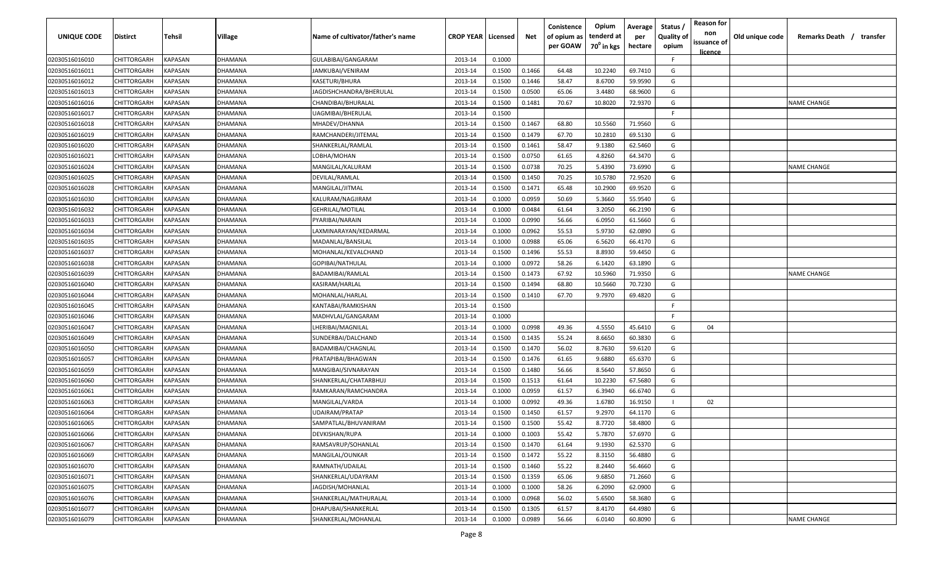| <b>UNIQUE CODE</b> | <b>Distirct</b>    | <b>Tehsil</b>  | <b>Village</b> | Name of cultivator/father's name | <b>CROP YEAR</b> | Licensed | Net    | Conistence<br>of opium as | Opium<br>tenderd at    | Average<br>per | Status /<br><b>Quality of</b> | <b>Reason for</b><br>non | Old unique code | Remarks Death /<br>transfer |
|--------------------|--------------------|----------------|----------------|----------------------------------|------------------|----------|--------|---------------------------|------------------------|----------------|-------------------------------|--------------------------|-----------------|-----------------------------|
|                    |                    |                |                |                                  |                  |          |        | per GOAW                  | 70 <sup>0</sup> in kgs | hectare        | opium                         | issuance of              |                 |                             |
| 02030516016010     | CHITTORGARH        | KAPASAN        | DHAMANA        | GULABIBAI/GANGARAM               | 2013-14          | 0.1000   |        |                           |                        |                | F.                            | <u>licence</u>           |                 |                             |
| 02030516016011     | CHITTORGARH        | KAPASAN        | DHAMANA        | JAMKUBAI/VENIRAM                 | 2013-14          | 0.1500   | 0.1466 | 64.48                     | 10.2240                | 69.7410        | G                             |                          |                 |                             |
| 02030516016012     | CHITTORGARH        | KAPASAN        | DHAMANA        | KASETURI/BHURA                   | 2013-14          | 0.1500   | 0.1446 | 58.47                     | 8.6700                 | 59.9590        | G                             |                          |                 |                             |
| 02030516016013     | CHITTORGARH        | KAPASAN        | DHAMANA        | JAGDISHCHANDRA/BHERULAL          | 2013-14          | 0.1500   | 0.0500 | 65.06                     | 3.4480                 | 68.9600        | G                             |                          |                 |                             |
| 02030516016016     | CHITTORGARH        | KAPASAN        | DHAMANA        | CHANDIBAI/BHURALAL               | 2013-14          | 0.1500   | 0.1481 | 70.67                     | 10.8020                | 72.9370        | G                             |                          |                 | <b>NAME CHANGE</b>          |
| 02030516016017     | CHITTORGARH        | KAPASAN        | DHAMANA        | UAGMIBAI/BHERULAL                | 2013-14          | 0.1500   |        |                           |                        |                | -F.                           |                          |                 |                             |
| 02030516016018     | CHITTORGARH        | KAPASAN        | DHAMANA        | MHADEV/DHANNA                    | 2013-14          | 0.1500   | 0.1467 | 68.80                     | 10.5560                | 71.9560        | G                             |                          |                 |                             |
| 02030516016019     | CHITTORGARH        | KAPASAN        | DHAMANA        | RAMCHANDERI/JITEMAL              | 2013-14          | 0.1500   | 0.1479 | 67.70                     | 10.2810                | 69.5130        | G                             |                          |                 |                             |
| 02030516016020     | CHITTORGARH        | KAPASAN        | DHAMANA        | SHANKERLAL/RAMLAL                | 2013-14          | 0.1500   | 0.1461 | 58.47                     | 9.1380                 | 62.5460        | G                             |                          |                 |                             |
| 02030516016021     | CHITTORGARH        | KAPASAN        | )HAMANA        | LOBHA/MOHAN                      | 2013-14          | 0.1500   | 0.0750 | 61.65                     | 4.8260                 | 64.3470        | G                             |                          |                 |                             |
| 02030516016024     | CHITTORGARH        | KAPASAN        | DHAMANA        | MANGILAL/KALURAM                 | 2013-14          | 0.1500   | 0.0738 | 70.25                     | 5.4390                 | 73.6990        | G                             |                          |                 | NAME CHANGE                 |
| 02030516016025     | CHITTORGARH        | KAPASAN        | DHAMANA        | DEVILAL/RAMLAL                   | 2013-14          | 0.1500   | 0.1450 | 70.25                     | 10.5780                | 72.9520        | G                             |                          |                 |                             |
| 02030516016028     | CHITTORGARH        | KAPASAN        | DHAMANA        | MANGILAL/JITMAL                  | 2013-14          | 0.1500   | 0.1471 | 65.48                     | 10.2900                | 69.9520        | G                             |                          |                 |                             |
| 02030516016030     | CHITTORGARH        | KAPASAN        | DHAMANA        | KALURAM/NAGJIRAM                 | 2013-14          | 0.1000   | 0.0959 | 50.69                     | 5.3660                 | 55.9540        | G                             |                          |                 |                             |
| 02030516016032     | CHITTORGARH        | KAPASAN        | DHAMANA        | GEHRILAL/MOTILAL                 | 2013-14          | 0.1000   | 0.0484 | 61.64                     | 3.2050                 | 66.2190        | G                             |                          |                 |                             |
| 02030516016033     | CHITTORGARH        | KAPASAN        | DHAMANA        | PYARIBAI/NARAIN                  | 2013-14          | 0.1000   | 0.0990 | 56.66                     | 6.0950                 | 61.5660        | G                             |                          |                 |                             |
| 02030516016034     | CHITTORGARH        | KAPASAN        | DHAMANA        | LAXMINARAYAN/KEDARMAL            | 2013-14          | 0.1000   | 0.0962 | 55.53                     | 5.9730                 | 62.0890        | G                             |                          |                 |                             |
| 02030516016035     | CHITTORGARH        | KAPASAN        | DHAMANA        | MADANLAL/BANSILAL                | 2013-14          | 0.1000   | 0.0988 | 65.06                     | 6.5620                 | 66.4170        | G                             |                          |                 |                             |
| 02030516016037     | CHITTORGARH        | KAPASAN        | DHAMANA        | MOHANLAL/KEVALCHAND              | 2013-14          | 0.1500   | 0.1496 | 55.53                     | 8.8930                 | 59.4450        | G                             |                          |                 |                             |
| 02030516016038     | CHITTORGARH        | KAPASAN        | DHAMANA        | GOPIBAI/NATHULAL                 | 2013-14          | 0.1000   | 0.0972 | 58.26                     | 6.1420                 | 63.1890        | G                             |                          |                 |                             |
| 02030516016039     | CHITTORGARH        | KAPASAN        | DHAMANA        | BADAMIBAI/RAMLAL                 | 2013-14          | 0.1500   | 0.1473 | 67.92                     | 10.5960                | 71.9350        | G                             |                          |                 | <b>NAME CHANGE</b>          |
| 02030516016040     | CHITTORGARH        | KAPASAN        | DHAMANA        | KASIRAM/HARLAL                   | 2013-14          | 0.1500   | 0.1494 | 68.80                     | 10.5660                | 70.7230        | G                             |                          |                 |                             |
| 02030516016044     | CHITTORGARH        | KAPASAN        | DHAMANA        | MOHANLAL/HARLAL                  | 2013-14          | 0.1500   | 0.1410 | 67.70                     | 9.7970                 | 69.4820        | G                             |                          |                 |                             |
| 02030516016045     | CHITTORGARH        | KAPASAN        | DHAMANA        | KANTABAI/RAMKISHAN               | 2013-14          | 0.1500   |        |                           |                        |                | -F                            |                          |                 |                             |
| 02030516016046     | CHITTORGARH        | KAPASAN        | DHAMANA        | MADHVLAL/GANGARAM                | 2013-14          | 0.1000   |        |                           |                        |                | -F.                           |                          |                 |                             |
| 02030516016047     | CHITTORGARH        | KAPASAN        | DHAMANA        | LHERIBAI/MAGNILAL                | 2013-14          | 0.1000   | 0.0998 | 49.36                     | 4.5550                 | 45.6410        | G                             | 04                       |                 |                             |
| 02030516016049     | CHITTORGARH        | KAPASAN        | )HAMANA        | SUNDERBAI/DALCHAND               | 2013-14          | 0.1500   | 0.1435 | 55.24                     | 8.6650                 | 60.3830        | G                             |                          |                 |                             |
| 02030516016050     | CHITTORGARH        | KAPASAN        | DHAMANA        | BADAMIBAI/CHAGNLAL               | 2013-14          | 0.1500   | 0.1470 | 56.02                     | 8.7630                 | 59.6120        | G                             |                          |                 |                             |
| 02030516016057     | CHITTORGARH        | KAPASAN        | DHAMANA        | PRATAPIBAI/BHAGWAN               | 2013-14          | 0.1500   | 0.1476 | 61.65                     | 9.6880                 | 65.6370        | G                             |                          |                 |                             |
| 02030516016059     | CHITTORGARH        | KAPASAN        | DHAMANA        | MANGIBAI/SIVNARAYAN              | 2013-14          | 0.1500   | 0.1480 | 56.66                     | 8.5640                 | 57.8650        | G                             |                          |                 |                             |
| 02030516016060     | CHITTORGARH        | KAPASAN        | DHAMANA        | SHANKERLAL/CHATARBHUJ            | 2013-14          | 0.1500   | 0.1513 | 61.64                     | 10.2230                | 67.5680        | G                             |                          |                 |                             |
| 02030516016061     | CHITTORGARH        | KAPASAN        | DHAMANA        | RAMKARAN/RAMCHANDRA              | 2013-14          | 0.1000   | 0.0959 | 61.57                     | 6.3940                 | 66.6740        | G                             |                          |                 |                             |
| 02030516016063     | CHITTORGARH        | KAPASAN        | DHAMANA        | MANGILAL/VARDA                   | 2013-14          | 0.1000   | 0.0992 | 49.36                     | 1.6780                 | 16.9150        |                               | 02                       |                 |                             |
| 02030516016064     | CHITTORGARH        | KAPASAN        | DHAMANA        | UDAIRAM/PRATAP                   | 2013-14          | 0.1500   | 0.1450 | 61.57                     | 9.2970                 | 64.1170        | G                             |                          |                 |                             |
| 02030516016065     | CHITTORGARH        | KAPASAN        | DHAMANA        | SAMPATLAL/BHUVANIRAM             | 2013-14          | 0.1500   | 0.1500 | 55.42                     | 8.7720                 | 58.4800        | G                             |                          |                 |                             |
| 02030516016066     | <b>CHITTORGARH</b> | <b>KAPASAN</b> | DHAMANA        | DEVKISHAN/RUPA                   | 2013-14          | 0.1000   | 0.1003 | 55.42                     | 5.7870                 | 57.6970        | G                             |                          |                 |                             |
| 02030516016067     | <b>CHITTORGARH</b> | KAPASAN        | DHAMANA        | RAMSAVRUP/SOHANLAL               | 2013-14          | 0.1500   | 0.1470 | 61.64                     | 9.1930                 | 62.5370        | G                             |                          |                 |                             |
| 02030516016069     | CHITTORGARH        | <b>KAPASAN</b> | DHAMANA        | MANGILAL/OUNKAR                  | 2013-14          | 0.1500   | 0.1472 | 55.22                     | 8.3150                 | 56.4880        | G                             |                          |                 |                             |
| 02030516016070     | CHITTORGARH        | KAPASAN        | DHAMANA        | RAMNATH/UDAILAL                  | 2013-14          | 0.1500   | 0.1460 | 55.22                     | 8.2440                 | 56.4660        | G                             |                          |                 |                             |
| 02030516016071     | CHITTORGARH        | KAPASAN        | DHAMANA        | SHANKERLAL/UDAYRAM               | 2013-14          | 0.1500   | 0.1359 | 65.06                     | 9.6850                 | 71.2660        | G                             |                          |                 |                             |
| 02030516016075     | CHITTORGARH        | KAPASAN        | DHAMANA        | JAGDISH/MOHANLAL                 | 2013-14          | 0.1000   | 0.1000 | 58.26                     | 6.2090                 | 62.0900        | G                             |                          |                 |                             |
| 02030516016076     | CHITTORGARH        | KAPASAN        | DHAMANA        | SHANKERLAL/MATHURALAL            | 2013-14          | 0.1000   | 0.0968 | 56.02                     | 5.6500                 | 58.3680        | G                             |                          |                 |                             |
| 02030516016077     | CHITTORGARH        | KAPASAN        | DHAMANA        | DHAPUBAI/SHANKERLAL              | 2013-14          | 0.1500   | 0.1305 | 61.57                     | 8.4170                 | 64.4980        | G                             |                          |                 |                             |
| 02030516016079     | CHITTORGARH        | KAPASAN        | DHAMANA        | SHANKERLAL/MOHANLAL              | 2013-14          | 0.1000   | 0.0989 | 56.66                     | 6.0140                 | 60.8090        | G                             |                          |                 | <b>NAME CHANGE</b>          |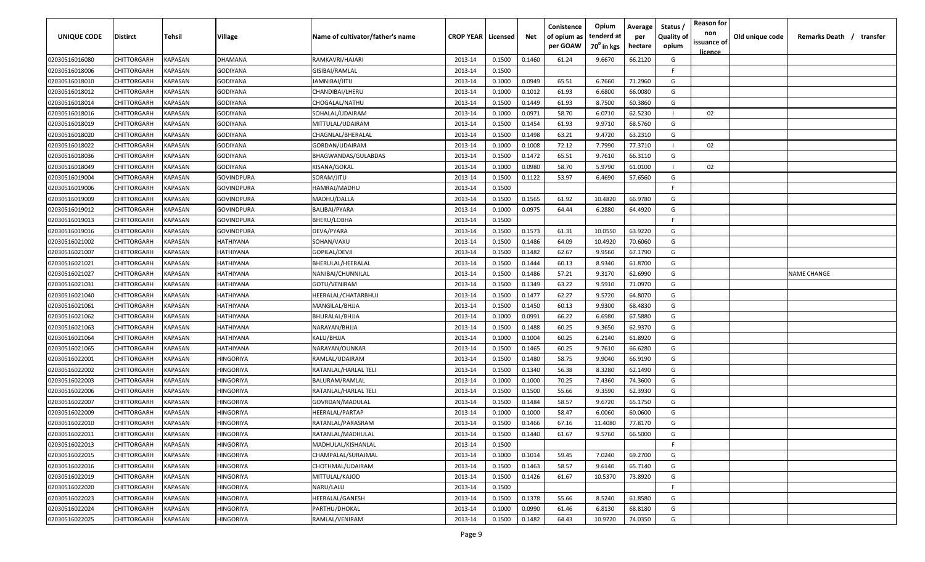| <b>UNIQUE CODE</b> | Distirct           | Tehsil         | Village    | Name of cultivator/father's name | <b>CROP YEAR   Licensed</b> |        | Net    | Conistence<br>of opium as | Opium<br>tenderd at | Average<br>per | Status /<br><b>Quality of</b> | <b>Reason for</b><br>non      | Old unique code | Remarks Death / transfer |
|--------------------|--------------------|----------------|------------|----------------------------------|-----------------------------|--------|--------|---------------------------|---------------------|----------------|-------------------------------|-------------------------------|-----------------|--------------------------|
|                    |                    |                |            |                                  |                             |        |        | per GOAW                  | $70^0$ in kgs       | hectare        | opium                         | issuance of<br><u>licence</u> |                 |                          |
| 02030516016080     | CHITTORGARH        | <b>KAPASAN</b> | DHAMANA    | RAMKAVRI/HAJARI                  | 2013-14                     | 0.1500 | 0.1460 | 61.24                     | 9.6670              | 66.2120        | G                             |                               |                 |                          |
| 02030516018006     | CHITTORGARH        | KAPASAN        | GODIYANA   | GISIBAI/RAMLAL                   | 2013-14                     | 0.1500 |        |                           |                     |                | -F.                           |                               |                 |                          |
| 02030516018010     | CHITTORGARH        | KAPASAN        | GODIYANA   | JAMNIBAI/JITU                    | 2013-14                     | 0.1000 | 0.0949 | 65.51                     | 6.7660              | 71.2960        | G                             |                               |                 |                          |
| 02030516018012     | CHITTORGARH        | KAPASAN        | GODIYANA   | CHANDIBAI/LHERU                  | 2013-14                     | 0.1000 | 0.1012 | 61.93                     | 6.6800              | 66.0080        | G                             |                               |                 |                          |
| 02030516018014     | CHITTORGARH        | KAPASAN        | GODIYANA   | CHOGALAL/NATHU                   | 2013-14                     | 0.1500 | 0.1449 | 61.93                     | 8.7500              | 60.3860        | G                             |                               |                 |                          |
| 02030516018016     | CHITTORGARH        | KAPASAN        | GODIYANA   | SOHALAL/UDAIRAM                  | 2013-14                     | 0.1000 | 0.0971 | 58.70                     | 6.0710              | 62.5230        |                               | 02                            |                 |                          |
| 02030516018019     | CHITTORGARH        | KAPASAN        | GODIYANA   | MITTULAL/UDAIRAM                 | 2013-14                     | 0.1500 | 0.1454 | 61.93                     | 9.9710              | 68.5760        | G                             |                               |                 |                          |
| 02030516018020     | CHITTORGARH        | KAPASAN        | GODIYANA   | CHAGNLAL/BHERALAL                | 2013-14                     | 0.1500 | 0.1498 | 63.21                     | 9.4720              | 63.2310        | G                             |                               |                 |                          |
| 02030516018022     | CHITTORGARH        | KAPASAN        | GODIYANA   | GORDAN/UDAIRAM                   | 2013-14                     | 0.1000 | 0.1008 | 72.12                     | 7.7990              | 77.3710        | -11                           | 02                            |                 |                          |
| 02030516018036     | CHITTORGARH        | KAPASAN        | GODIYANA   | BHAGWANDAS/GULABDAS              | 2013-14                     | 0.1500 | 0.1472 | 65.51                     | 9.7610              | 66.3110        | G                             |                               |                 |                          |
| 02030516018049     | CHITTORGARH        | KAPASAN        | GODIYANA   | KISANA/GOKAL                     | 2013-14                     | 0.1000 | 0.0980 | 58.70                     | 5.9790              | 61.0100        |                               | 02                            |                 |                          |
| 02030516019004     | CHITTORGARH        | KAPASAN        | GOVINDPURA | SORAM/JITU                       | 2013-14                     | 0.1500 | 0.1122 | 53.97                     | 6.4690              | 57.6560        | G                             |                               |                 |                          |
| 02030516019006     | CHITTORGARH        | KAPASAN        | GOVINDPURA | HAMRAJ/MADHU                     | 2013-14                     | 0.1500 |        |                           |                     |                | -F.                           |                               |                 |                          |
| 02030516019009     | CHITTORGARH        | KAPASAN        | GOVINDPURA | MADHU/DALLA                      | 2013-14                     | 0.1500 | 0.1565 | 61.92                     | 10.4820             | 66.9780        | G                             |                               |                 |                          |
| 02030516019012     | CHITTORGARH        | KAPASAN        | GOVINDPURA | BALIBAI/PYARA                    | 2013-14                     | 0.1000 | 0.0975 | 64.44                     | 6.2880              | 64.4920        | G                             |                               |                 |                          |
| 02030516019013     | CHITTORGARH        | KAPASAN        | GOVINDPURA | BHERU/LOBHA                      | 2013-14                     | 0.1500 |        |                           |                     |                | F.                            |                               |                 |                          |
| 02030516019016     | CHITTORGARH        | KAPASAN        | GOVINDPURA | DEVA/PYARA                       | 2013-14                     | 0.1500 | 0.1573 | 61.31                     | 10.0550             | 63.9220        | G                             |                               |                 |                          |
| 02030516021002     | CHITTORGARH        | KAPASAN        | HATHIYANA  | SOHAN/VAXU                       | 2013-14                     | 0.1500 | 0.1486 | 64.09                     | 10.4920             | 70.6060        | G                             |                               |                 |                          |
| 02030516021007     | CHITTORGARH        | KAPASAN        | HATHIYANA  | GOPILAL/DEVJI                    | 2013-14                     | 0.1500 | 0.1482 | 62.67                     | 9.9560              | 67.1790        | G                             |                               |                 |                          |
| 02030516021021     | CHITTORGARH        | KAPASAN        | HATHIYANA  | BHERULAL/HEERALAL                | 2013-14                     | 0.1500 | 0.1444 | 60.13                     | 8.9340              | 61.8700        | G                             |                               |                 |                          |
| 02030516021027     | CHITTORGARH        | KAPASAN        | HATHIYANA  | NANIBAI/CHUNNILAL                | 2013-14                     | 0.1500 | 0.1486 | 57.21                     | 9.3170              | 62.6990        | G                             |                               |                 | <b>NAME CHANGE</b>       |
| 02030516021031     | CHITTORGARH        | KAPASAN        | HATHIYANA  | GOTU/VENIRAM                     | 2013-14                     | 0.1500 | 0.1349 | 63.22                     | 9.5910              | 71.0970        | G                             |                               |                 |                          |
| 02030516021040     | CHITTORGARH        | KAPASAN        | HATHIYANA  | HEERALAL/CHATARBHUJ              | 2013-14                     | 0.1500 | 0.1477 | 62.27                     | 9.5720              | 64.8070        | G                             |                               |                 |                          |
| 02030516021061     | CHITTORGARH        | KAPASAN        | HATHIYANA  | MANGILAL/BHJJA                   | 2013-14                     | 0.1500 | 0.1450 | 60.13                     | 9.9300              | 68.4830        | G                             |                               |                 |                          |
| 02030516021062     | CHITTORGARH        | KAPASAN        | HATHIYANA  | BHURALAL/BHJJA                   | 2013-14                     | 0.1000 | 0.0991 | 66.22                     | 6.6980              | 67.5880        | G                             |                               |                 |                          |
| 02030516021063     | CHITTORGARH        | KAPASAN        | HATHIYANA  | NARAYAN/BHJJA                    | 2013-14                     | 0.1500 | 0.1488 | 60.25                     | 9.3650              | 62.9370        | G                             |                               |                 |                          |
| 02030516021064     | CHITTORGARH        | KAPASAN        | HATHIYANA  | KALU/BHJJA                       | 2013-14                     | 0.1000 | 0.1004 | 60.25                     | 6.2140              | 61.8920        | G                             |                               |                 |                          |
| 02030516021065     | CHITTORGARH        | KAPASAN        | HATHIYANA  | NARAYAN/OUNKAR                   | 2013-14                     | 0.1500 | 0.1465 | 60.25                     | 9.7610              | 66.6280        | G                             |                               |                 |                          |
| 02030516022001     | CHITTORGARH        | KAPASAN        | HINGORIYA  | RAMLAL/UDAIRAM                   | 2013-14                     | 0.1500 | 0.1480 | 58.75                     | 9.9040              | 66.9190        | G                             |                               |                 |                          |
| 02030516022002     | CHITTORGARH        | KAPASAN        | HINGORIYA  | RATANLAL/HARLAL TELI             | 2013-14                     | 0.1500 | 0.1340 | 56.38                     | 8.3280              | 62.1490        | G                             |                               |                 |                          |
| 02030516022003     | CHITTORGARH        | KAPASAN        | HINGORIYA  | BALURAM/RAMLAL                   | 2013-14                     | 0.1000 | 0.1000 | 70.25                     | 7.4360              | 74.3600        | G                             |                               |                 |                          |
| 02030516022006     | CHITTORGARH        | KAPASAN        | HINGORIYA  | RATANLAL/HARLAL TELI             | 2013-14                     | 0.1500 | 0.1500 | 55.66                     | 9.3590              | 62.3930        | G                             |                               |                 |                          |
| 02030516022007     | CHITTORGARH        | KAPASAN        | HINGORIYA  | GOVRDAN/MADULAL                  | 2013-14                     | 0.1500 | 0.1484 | 58.57                     | 9.6720              | 65.1750        | G                             |                               |                 |                          |
| 02030516022009     | CHITTORGARH        | KAPASAN        | HINGORIYA  | HEERALAL/PARTAP                  | 2013-14                     | 0.1000 | 0.1000 | 58.47                     | 6.0060              | 60.0600        | G                             |                               |                 |                          |
| 02030516022010     | CHITTORGARH        | KAPASAN        | HINGORIYA  | RATANLAL/PARASRAM                | 2013-14                     | 0.1500 | 0.1466 | 67.16                     | 11.4080             | 77.8170        | G                             |                               |                 |                          |
| 02030516022011     | <b>CHITTORGARH</b> | KAPASAN        | HINGORIYA  | RATANLAL/MADHULAL                | 2013-14                     | 0.1500 | 0.1440 | 61.67                     | 9.5760              | 66.5000        | G                             |                               |                 |                          |
| 02030516022013     | CHITTORGARH        | <b>KAPASAN</b> | HINGORIYA  | MADHULAL/KISHANLAL               | 2013-14                     | 0.1500 |        |                           |                     |                | F.                            |                               |                 |                          |
| 02030516022015     | <b>CHITTORGARH</b> | <b>KAPASAN</b> | HINGORIYA  | CHAMPALAL/SURAJMAL               | 2013-14                     | 0.1000 | 0.1014 | 59.45                     | 7.0240              | 69.2700        | G                             |                               |                 |                          |
| 02030516022016     | <b>CHITTORGARH</b> | <b>KAPASAN</b> | HINGORIYA  | CHOTHMAL/UDAIRAM                 | 2013-14                     | 0.1500 | 0.1463 | 58.57                     | 9.6140              | 65.7140        | G                             |                               |                 |                          |
| 02030516022019     | CHITTORGARH        | KAPASAN        | HINGORIYA  | MITTULAL/KAJOD                   | 2013-14                     | 0.1500 | 0.1426 | 61.67                     | 10.5370             | 73.8920        | G                             |                               |                 |                          |
| 02030516022020     | <b>CHITTORGARH</b> | KAPASAN        | HINGORIYA  | NARU/LALU                        | 2013-14                     | 0.1500 |        |                           |                     |                | F.                            |                               |                 |                          |
| 02030516022023     | CHITTORGARH        | KAPASAN        | HINGORIYA  | HEERALAL/GANESH                  | 2013-14                     | 0.1500 | 0.1378 | 55.66                     | 8.5240              | 61.8580        | G                             |                               |                 |                          |
| 02030516022024     | CHITTORGARH        | KAPASAN        | HINGORIYA  | PARTHU/DHOKAL                    | 2013-14                     | 0.1000 | 0.0990 | 61.46                     | 6.8130              | 68.8180        | G                             |                               |                 |                          |
| 02030516022025     | CHITTORGARH        | KAPASAN        | HINGORIYA  | RAMLAL/VENIRAM                   | 2013-14                     | 0.1500 | 0.1482 | 64.43                     | 10.9720             | 74.0350        | G                             |                               |                 |                          |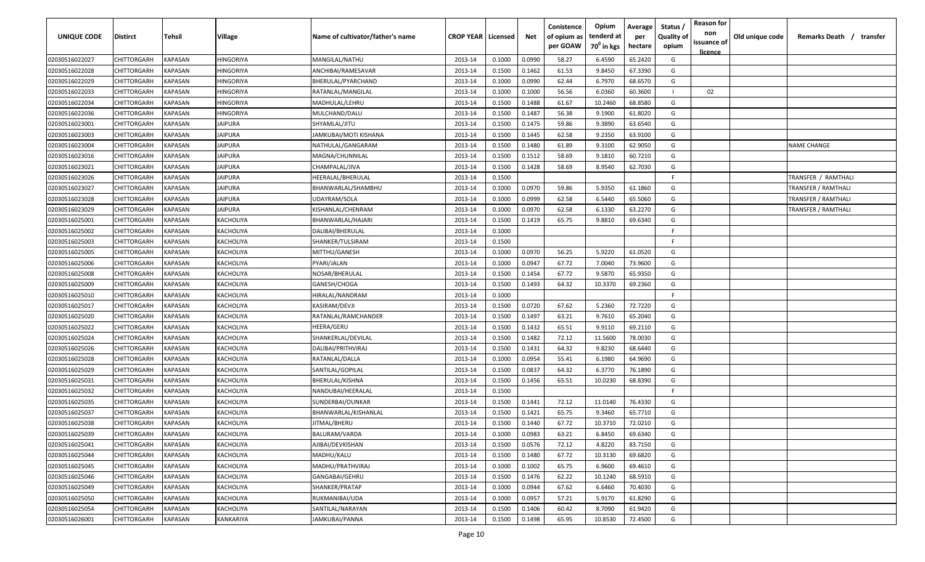| <b>UNIQUE CODE</b> | <b>Distirct</b>    | Tehsil  | Village          | Name of cultivator/father's name | <b>CROP YEAR   Licensed</b> |        | Net    | Conistence<br>of opium as | Opium<br>tenderd at    | Average<br>per | Status /<br><b>Quality of</b> | <b>Reason for</b><br>non | Old unique code | Remarks Death /            | transfer |
|--------------------|--------------------|---------|------------------|----------------------------------|-----------------------------|--------|--------|---------------------------|------------------------|----------------|-------------------------------|--------------------------|-----------------|----------------------------|----------|
|                    |                    |         |                  |                                  |                             |        |        | per GOAW                  | 70 <sup>0</sup> in kgs | hectare        | opium                         | issuance of              |                 |                            |          |
| 02030516022027     | CHITTORGARH        | KAPASAN | <b>HINGORIYA</b> | MANGILAL/NATHU                   | 2013-14                     | 0.1000 | 0.0990 | 58.27                     | 6.4590                 | 65.2420        | G                             | licence                  |                 |                            |          |
| 02030516022028     | CHITTORGARH        | KAPASAN | HINGORIYA        | ANCHIBAI/RAMESAVAR               | 2013-14                     | 0.1500 | 0.1462 | 61.53                     | 9.8450                 | 67.3390        | G                             |                          |                 |                            |          |
| 02030516022029     | CHITTORGARH        | KAPASAN | HINGORIYA        | BHERULAL/PYARCHAND               | 2013-14                     | 0.1000 | 0.0990 | 62.44                     | 6.7970                 | 68.6570        | G                             |                          |                 |                            |          |
| 02030516022033     | CHITTORGARH        | KAPASAN | HINGORIYA        | RATANLAL/MANGILAL                | 2013-14                     | 0.1000 | 0.1000 | 56.56                     | 6.0360                 | 60.3600        |                               | 02                       |                 |                            |          |
| 02030516022034     | CHITTORGARH        | KAPASAN | <b>HINGORIYA</b> | MADHULAL/LEHRU                   | 2013-14                     | 0.1500 | 0.1488 | 61.67                     | 10.2460                | 68.8580        | G                             |                          |                 |                            |          |
| 02030516022036     | CHITTORGARH        | KAPASAN | HINGORIYA        | MULCHAND/DALU                    | 2013-14                     | 0.1500 | 0.1487 | 56.38                     | 9.1900                 | 61.8020        | G                             |                          |                 |                            |          |
| 02030516023001     | CHITTORGARH        | KAPASAN | <b>JAIPURA</b>   | SHYAMLAL/JITU                    | 2013-14                     | 0.1500 | 0.1475 | 59.86                     | 9.3890                 | 63.6540        | G                             |                          |                 |                            |          |
| 02030516023003     | CHITTORGARH        | KAPASAN | <b>JAIPURA</b>   | IAMKUBAI/MOTI KISHANA            | 2013-14                     | 0.1500 | 0.1445 | 62.58                     | 9.2350                 | 63.9100        | G                             |                          |                 |                            |          |
| 02030516023004     | CHITTORGARH        | KAPASAN | <b>JAIPURA</b>   | NATHULAL/GANGARAM                | 2013-14                     | 0.1500 | 0.1480 | 61.89                     | 9.3100                 | 62.9050        | G                             |                          |                 | <b>NAME CHANGE</b>         |          |
| 02030516023016     | CHITTORGARH        | KAPASAN | <b>JAIPURA</b>   | MAGNA/CHUNNILAL                  | 2013-14                     | 0.1500 | 0.1512 | 58.69                     | 9.1810                 | 60.7210        | G                             |                          |                 |                            |          |
| 02030516023021     | CHITTORGARH        | KAPASAN | JAIPURA          | CHAMPALAL/JIVA                   | 2013-14                     | 0.1500 | 0.1428 | 58.69                     | 8.9540                 | 62.7030        | G                             |                          |                 |                            |          |
| 02030516023026     | CHITTORGARH        | KAPASAN | <b>JAIPURA</b>   | HEERALAL/BHERULAL                | 2013-14                     | 0.1500 |        |                           |                        |                | E                             |                          |                 | TRANSFER / RAMTHALI        |          |
| 02030516023027     | CHITTORGARH        | KAPASAN | JAIPURA          | BHANWARLAL/SHAMBHU               | 2013-14                     | 0.1000 | 0.0970 | 59.86                     | 5.9350                 | 61.1860        | G                             |                          |                 | TRANSFER / RAMTHALI        |          |
| 02030516023028     | CHITTORGARH        | KAPASAN | <b>JAIPURA</b>   | JDAYRAM/SOLA                     | 2013-14                     | 0.1000 | 0.0999 | 62.58                     | 6.5440                 | 65.5060        | G                             |                          |                 | TRANSFER / RAMTHALI        |          |
| 02030516023029     | CHITTORGARH        | KAPASAN | <b>JAIPURA</b>   | KISHANLAL/CHENRAM                | 2013-14                     | 0.1000 | 0.0970 | 62.58                     | 6.1330                 | 63.2270        | G                             |                          |                 | <b>TRANSFER / RAMTHALI</b> |          |
| 02030516025001     | CHITTORGARH        | KAPASAN | KACHOLIYA        | BHANWARLAL/HAJARI                | 2013-14                     | 0.1500 | 0.1419 | 65.75                     | 9.8810                 | 69.6340        | G                             |                          |                 |                            |          |
| 02030516025002     | CHITTORGARH        | KAPASAN | KACHOLIYA        | DALIBAI/BHERULAL                 | 2013-14                     | 0.1000 |        |                           |                        |                | F.                            |                          |                 |                            |          |
| 02030516025003     | CHITTORGARH        | KAPASAN | KACHOLIYA        | SHANKER/TULSIRAM                 | 2013-14                     | 0.1500 |        |                           |                        |                | F.                            |                          |                 |                            |          |
| 02030516025005     | CHITTORGARH        | KAPASAN | KACHOLIYA        | MITTHU/GANESH                    | 2013-14                     | 0.1000 | 0.0970 | 56.25                     | 5.9220                 | 61.0520        | G                             |                          |                 |                            |          |
| 02030516025006     | CHITTORGARH        | KAPASAN | KACHOLIYA        | PYARI/JALAN                      | 2013-14                     | 0.1000 | 0.0947 | 67.72                     | 7.0040                 | 73.9600        | G                             |                          |                 |                            |          |
| 02030516025008     | CHITTORGARH        | KAPASAN | KACHOLIYA        | NOSAR/BHERULAL                   | 2013-14                     | 0.1500 | 0.1454 | 67.72                     | 9.5870                 | 65.9350        | G                             |                          |                 |                            |          |
| 02030516025009     | CHITTORGARH        | KAPASAN | KACHOLIYA        | GANESH/CHOGA                     | 2013-14                     | 0.1500 | 0.1493 | 64.32                     | 10.3370                | 69.2360        | G                             |                          |                 |                            |          |
| 02030516025010     | CHITTORGARH        | KAPASAN | KACHOLIYA        | HIRALAL/NANDRAM                  | 2013-14                     | 0.1000 |        |                           |                        |                | F.                            |                          |                 |                            |          |
| 02030516025017     | CHITTORGARH        | KAPASAN | KACHOLIYA        | KASIRAM/DEVJI                    | 2013-14                     | 0.1500 | 0.0720 | 67.62                     | 5.2360                 | 72.7220        | G                             |                          |                 |                            |          |
| 02030516025020     | CHITTORGARH        | KAPASAN | KACHOLIYA        | RATANLAL/RAMCHANDER              | 2013-14                     | 0.1500 | 0.1497 | 63.21                     | 9.7610                 | 65.2040        | G                             |                          |                 |                            |          |
| 02030516025022     | CHITTORGARH        | KAPASAN | KACHOLIYA        | HEERA/GERU                       | 2013-14                     | 0.1500 | 0.1432 | 65.51                     | 9.9110                 | 69.2110        | G                             |                          |                 |                            |          |
| 02030516025024     | CHITTORGARH        | KAPASAN | KACHOLIYA        | SHANKERLAL/DEVILAL               | 2013-14                     | 0.1500 | 0.1482 | 72.12                     | 11.5600                | 78.0030        | G                             |                          |                 |                            |          |
| 02030516025026     | CHITTORGARH        | KAPASAN | KACHOLIYA        | DALIBAI/PRITHVIRAJ               | 2013-14                     | 0.1500 | 0.1431 | 64.32                     | 9.8230                 | 68.6440        | G                             |                          |                 |                            |          |
| 02030516025028     | CHITTORGARH        | KAPASAN | KACHOLIYA        | RATANLAL/DALLA                   | 2013-14                     | 0.1000 | 0.0954 | 55.41                     | 6.1980                 | 64.9690        | G                             |                          |                 |                            |          |
| 02030516025029     | CHITTORGARH        | KAPASAN | KACHOLIYA        | SANTILAL/GOPILAL                 | 2013-14                     | 0.1500 | 0.0837 | 64.32                     | 6.3770                 | 76.1890        | G                             |                          |                 |                            |          |
| 02030516025031     | CHITTORGARH        | KAPASAN | KACHOLIYA        | BHERULAL/KISHNA                  | 2013-14                     | 0.1500 | 0.1456 | 65.51                     | 10.0230                | 68.8390        | G                             |                          |                 |                            |          |
| 02030516025032     | CHITTORGARH        | KAPASAN | KACHOLIYA        | NANDUBAI/HEERALAL                | 2013-14                     | 0.1500 |        |                           |                        |                | F.                            |                          |                 |                            |          |
| 02030516025035     | CHITTORGARH        | KAPASAN | KACHOLIYA        | SUNDERBAI/OUNKAR                 | 2013-14                     | 0.1500 | 0.1441 | 72.12                     | 11.0140                | 76.4330        | G                             |                          |                 |                            |          |
| 02030516025037     | CHITTORGARH        | KAPASAN | KACHOLIYA        | BHANWARLAL/KISHANLAL             | 2013-14                     | 0.1500 | 0.1421 | 65.75                     | 9.3460                 | 65.7710        | G                             |                          |                 |                            |          |
| 02030516025038     | CHITTORGARH        | KAPASAN | KACHOLIYA        | JITMAL/BHERU                     | 2013-14                     | 0.1500 | 0.1440 | 67.72                     | 10.3710                | 72.0210        | G                             |                          |                 |                            |          |
| 02030516025039     | <b>CHITTORGARH</b> | KAPASAN | KACHOLIYA        | BALURAM/VARDA                    | 2013-14                     | 0.1000 | 0.0983 | 63.21                     | 6.8450                 | 69.6340        | G                             |                          |                 |                            |          |
| 02030516025041     | <b>CHITTORGARH</b> | KAPASAN | KACHOLIYA        | AJIBAI/DEVKISHAN                 | 2013-14                     | 0.1500 | 0.0576 | 72.12                     | 4.8220                 | 83.7150        | G                             |                          |                 |                            |          |
| 02030516025044     | <b>CHITTORGARH</b> | KAPASAN | KACHOLIYA        | MADHU/KALU                       | 2013-14                     | 0.1500 | 0.1480 | 67.72                     | 10.3130                | 69.6820        | G                             |                          |                 |                            |          |
| 02030516025045     | <b>CHITTORGARH</b> | KAPASAN | KACHOLIYA        | MADHU/PRATHVIRAJ                 | 2013-14                     | 0.1000 | 0.1002 | 65.75                     | 6.9600                 | 69.4610        | G                             |                          |                 |                            |          |
| 02030516025046     | CHITTORGARH        | KAPASAN | KACHOLIYA        | GANGABAI/GEHRU                   | 2013-14                     | 0.1500 | 0.1476 | 62.22                     | 10.1240                | 68.5910        | G                             |                          |                 |                            |          |
| 02030516025049     | CHITTORGARH        | KAPASAN | KACHOLIYA        | SHANKER/PRATAP                   | 2013-14                     | 0.1000 | 0.0944 | 67.62                     | 6.6460                 | 70.4030        | G                             |                          |                 |                            |          |
| 02030516025050     | CHITTORGARH        | KAPASAN | KACHOLIYA        | RUKMANIBAI/UDA                   | 2013-14                     | 0.1000 | 0.0957 | 57.21                     | 5.9170                 | 61.8290        | G                             |                          |                 |                            |          |
| 02030516025054     | CHITTORGARH        | KAPASAN | KACHOLIYA        | SANTILAL/NARAYAN                 | 2013-14                     | 0.1500 | 0.1406 | 60.42                     | 8.7090                 | 61.9420        | G                             |                          |                 |                            |          |
| 02030516026001     | CHITTORGARH        | KAPASAN | KANKARIYA        | JAMKUBAI/PANNA                   | 2013-14                     | 0.1500 | 0.1498 | 65.95                     | 10.8530                | 72.4500        | G                             |                          |                 |                            |          |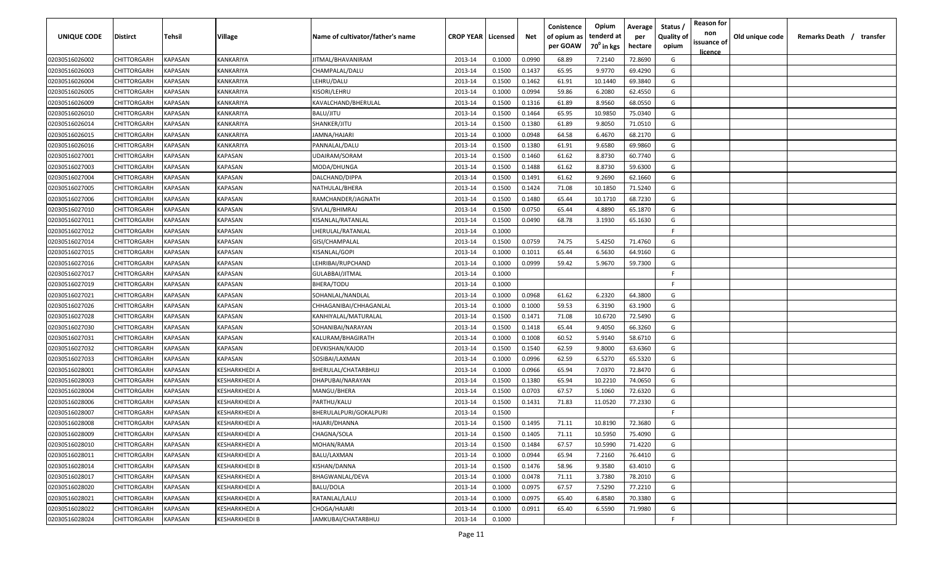| UNIQUE CODE    | Distirct           | Tehsil         | Village       | Name of cultivator/father's name | <b>CROP YEAR   Licensed</b> |        | Net    | Conistence<br>of opium as | Opium<br>tenderd at    | Average<br>per | Status /<br><b>Quality of</b> | <b>Reason for</b><br>non      | Old unique code | Remarks Death / transfer |
|----------------|--------------------|----------------|---------------|----------------------------------|-----------------------------|--------|--------|---------------------------|------------------------|----------------|-------------------------------|-------------------------------|-----------------|--------------------------|
|                |                    |                |               |                                  |                             |        |        | per GOAW                  | 70 <sup>0</sup> in kgs | hectare        | opium                         | issuance of<br><u>licence</u> |                 |                          |
| 02030516026002 | CHITTORGARH        | <b>KAPASAN</b> | KANKARIYA     | JITMAL/BHAVANIRAM                | 2013-14                     | 0.1000 | 0.0990 | 68.89                     | 7.2140                 | 72.8690        | G                             |                               |                 |                          |
| 02030516026003 | CHITTORGARH        | KAPASAN        | KANKARIYA     | CHAMPALAL/DALU                   | 2013-14                     | 0.1500 | 0.1437 | 65.95                     | 9.9770                 | 69.4290        | G                             |                               |                 |                          |
| 02030516026004 | CHITTORGARH        | KAPASAN        | KANKARIYA     | LEHRU/DALU                       | 2013-14                     | 0.1500 | 0.1462 | 61.91                     | 10.1440                | 69.3840        | G                             |                               |                 |                          |
| 02030516026005 | CHITTORGARH        | KAPASAN        | KANKARIYA     | KISORI/LEHRU                     | 2013-14                     | 0.1000 | 0.0994 | 59.86                     | 6.2080                 | 62.4550        | G                             |                               |                 |                          |
| 02030516026009 | CHITTORGARH        | KAPASAN        | KANKARIYA     | KAVALCHAND/BHERULAL              | 2013-14                     | 0.1500 | 0.1316 | 61.89                     | 8.9560                 | 68.0550        | G                             |                               |                 |                          |
| 02030516026010 | CHITTORGARH        | KAPASAN        | KANKARIYA     | BALU/JITU                        | 2013-14                     | 0.1500 | 0.1464 | 65.95                     | 10.9850                | 75.0340        | G                             |                               |                 |                          |
| 02030516026014 | CHITTORGARH        | KAPASAN        | KANKARIYA     | SHANKER/JITU                     | 2013-14                     | 0.1500 | 0.1380 | 61.89                     | 9.8050                 | 71.0510        | G                             |                               |                 |                          |
| 02030516026015 | CHITTORGARH        | KAPASAN        | KANKARIYA     | JAMNA/HAJARI                     | 2013-14                     | 0.1000 | 0.0948 | 64.58                     | 6.4670                 | 68.2170        | G                             |                               |                 |                          |
| 02030516026016 | CHITTORGARH        | KAPASAN        | KANKARIYA     | PANNALAL/DALU                    | 2013-14                     | 0.1500 | 0.1380 | 61.91                     | 9.6580                 | 69.9860        | G                             |                               |                 |                          |
| 02030516027001 | CHITTORGARH        | KAPASAN        | KAPASAN       | UDAIRAM/SORAM                    | 2013-14                     | 0.1500 | 0.1460 | 61.62                     | 8.8730                 | 60.7740        | G                             |                               |                 |                          |
| 02030516027003 | CHITTORGARH        | KAPASAN        | KAPASAN       | MODA/DHUNGA                      | 2013-14                     | 0.1500 | 0.1488 | 61.62                     | 8.8730                 | 59.6300        | G                             |                               |                 |                          |
| 02030516027004 | CHITTORGARH        | KAPASAN        | KAPASAN       | DALCHAND/DIPPA                   | 2013-14                     | 0.1500 | 0.1491 | 61.62                     | 9.2690                 | 62.1660        | G                             |                               |                 |                          |
| 02030516027005 | CHITTORGARH        | KAPASAN        | KAPASAN       | NATHULAL/BHERA                   | 2013-14                     | 0.1500 | 0.1424 | 71.08                     | 10.1850                | 71.5240        | G                             |                               |                 |                          |
| 02030516027006 | CHITTORGARH        | KAPASAN        | KAPASAN       | RAMCHANDER/JAGNATH               | 2013-14                     | 0.1500 | 0.1480 | 65.44                     | 10.1710                | 68.7230        | G                             |                               |                 |                          |
| 02030516027010 | CHITTORGARH        | KAPASAN        | KAPASAN       | SIVLAL/BHIMRAJ                   | 2013-14                     | 0.1500 | 0.0750 | 65.44                     | 4.8890                 | 65.1870        | G                             |                               |                 |                          |
| 02030516027011 | CHITTORGARH        | KAPASAN        | KAPASAN       | KISANLAL/RATANLAL                | 2013-14                     | 0.1500 | 0.0490 | 68.78                     | 3.1930                 | 65.1630        | G                             |                               |                 |                          |
| 02030516027012 | CHITTORGARH        | KAPASAN        | KAPASAN       | LHERULAL/RATANLAL                | 2013-14                     | 0.1000 |        |                           |                        |                | -F.                           |                               |                 |                          |
| 02030516027014 | CHITTORGARH        | KAPASAN        | KAPASAN       | GISI/CHAMPALAL                   | 2013-14                     | 0.1500 | 0.0759 | 74.75                     | 5.4250                 | 71.4760        | G                             |                               |                 |                          |
| 02030516027015 | CHITTORGARH        | KAPASAN        | KAPASAN       | KISANLAL/GOPI                    | 2013-14                     | 0.1000 | 0.1011 | 65.44                     | 6.5630                 | 64.9160        | G                             |                               |                 |                          |
| 02030516027016 | CHITTORGARH        | KAPASAN        | KAPASAN       | LEHRIBAI/RUPCHAND                | 2013-14                     | 0.1000 | 0.0999 | 59.42                     | 5.9670                 | 59.7300        | G                             |                               |                 |                          |
| 02030516027017 | CHITTORGARH        | KAPASAN        | KAPASAN       | GULABBAI/JITMAL                  | 2013-14                     | 0.1000 |        |                           |                        |                | -F.                           |                               |                 |                          |
| 02030516027019 | CHITTORGARH        | KAPASAN        | KAPASAN       | BHERA/TODU                       | 2013-14                     | 0.1000 |        |                           |                        |                | -F.                           |                               |                 |                          |
| 02030516027021 | CHITTORGARH        | KAPASAN        | KAPASAN       | SOHANLAL/NANDLAL                 | 2013-14                     | 0.1000 | 0.0968 | 61.62                     | 6.2320                 | 64.3800        | G                             |                               |                 |                          |
| 02030516027026 | CHITTORGARH        | KAPASAN        | KAPASAN       | CHHAGANIBAI/CHHAGANLAL           | 2013-14                     | 0.1000 | 0.1000 | 59.53                     | 6.3190                 | 63.1900        | G                             |                               |                 |                          |
| 02030516027028 | CHITTORGARH        | KAPASAN        | KAPASAN       | KANHIYALAL/MATURALAL             | 2013-14                     | 0.1500 | 0.1471 | 71.08                     | 10.6720                | 72.5490        | G                             |                               |                 |                          |
| 02030516027030 | CHITTORGARH        | KAPASAN        | KAPASAN       | SOHANIBAI/NARAYAN                | 2013-14                     | 0.1500 | 0.1418 | 65.44                     | 9.4050                 | 66.3260        | G                             |                               |                 |                          |
| 02030516027031 | CHITTORGARH        | KAPASAN        | KAPASAN       | KALURAM/BHAGIRATH                | 2013-14                     | 0.1000 | 0.1008 | 60.52                     | 5.9140                 | 58.6710        | G                             |                               |                 |                          |
| 02030516027032 | CHITTORGARH        | KAPASAN        | KAPASAN       | DEVKISHAN/KAJOD                  | 2013-14                     | 0.1500 | 0.1540 | 62.59                     | 9.8000                 | 63.6360        | G                             |                               |                 |                          |
| 02030516027033 | CHITTORGARH        | KAPASAN        | KAPASAN       | SOSIBAI/LAXMAN                   | 2013-14                     | 0.1000 | 0.0996 | 62.59                     | 6.5270                 | 65.5320        | G                             |                               |                 |                          |
| 02030516028001 | CHITTORGARH        | KAPASAN        | KESHARKHEDI A | BHERULAL/CHATARBHUJ              | 2013-14                     | 0.1000 | 0.0966 | 65.94                     | 7.0370                 | 72.8470        | G                             |                               |                 |                          |
| 02030516028003 | CHITTORGARH        | KAPASAN        | KESHARKHEDI A | DHAPUBAI/NARAYAN                 | 2013-14                     | 0.1500 | 0.1380 | 65.94                     | 10.2210                | 74.0650        | G                             |                               |                 |                          |
| 02030516028004 | CHITTORGARH        | KAPASAN        | KESHARKHEDI A | MANGU/BHERA                      | 2013-14                     | 0.1500 | 0.0703 | 67.57                     | 5.1060                 | 72.6320        | G                             |                               |                 |                          |
| 02030516028006 | CHITTORGARH        | KAPASAN        | KESHARKHEDI A | PARTHU/KALU                      | 2013-14                     | 0.1500 | 0.1431 | 71.83                     | 11.0520                | 77.2330        | G                             |                               |                 |                          |
| 02030516028007 | CHITTORGARH        | KAPASAN        | KESHARKHEDI A | BHERULALPURI/GOKALPURI           | 2013-14                     | 0.1500 |        |                           |                        |                | -F.                           |                               |                 |                          |
| 02030516028008 | CHITTORGARH        | KAPASAN        | KESHARKHEDI A | HAJARI/DHANNA                    | 2013-14                     | 0.1500 | 0.1495 | 71.11                     | 10.8190                | 72.3680        | G                             |                               |                 |                          |
| 02030516028009 | <b>CHITTORGARH</b> | KAPASAN        | KESHARKHEDI A | CHAGNA/SOLA                      | 2013-14                     | 0.1500 | 0.1405 | 71.11                     | 10.5950                | 75.4090        | G                             |                               |                 |                          |
| 02030516028010 | <b>CHITTORGARH</b> | <b>KAPASAN</b> | KESHARKHEDI A | MOHAN/RAMA                       | 2013-14                     | 0.1500 | 0.1484 | 67.57                     | 10.5990                | 71.4220        | G                             |                               |                 |                          |
| 02030516028011 | <b>CHITTORGARH</b> | <b>KAPASAN</b> | KESHARKHEDI A | BALU/LAXMAN                      | 2013-14                     | 0.1000 | 0.0944 | 65.94                     | 7.2160                 | 76.4410        | G                             |                               |                 |                          |
| 02030516028014 | <b>CHITTORGARH</b> | KAPASAN        | KESHARKHEDI B | KISHAN/DANNA                     | 2013-14                     | 0.1500 | 0.1476 | 58.96                     | 9.3580                 | 63.4010        | G                             |                               |                 |                          |
| 02030516028017 | CHITTORGARH        | KAPASAN        | KESHARKHEDI A | BHAGWANLAL/DEVA                  | 2013-14                     | 0.1000 | 0.0478 | 71.11                     | 3.7380                 | 78.2010        | G                             |                               |                 |                          |
| 02030516028020 | <b>CHITTORGARH</b> | KAPASAN        | KESHARKHEDI A | BALU/DOLA                        | 2013-14                     | 0.1000 | 0.0975 | 67.57                     | 7.5290                 | 77.2210        | G                             |                               |                 |                          |
| 02030516028021 | CHITTORGARH        | KAPASAN        | KESHARKHEDI A | RATANLAL/LALU                    | 2013-14                     | 0.1000 | 0.0975 | 65.40                     | 6.8580                 | 70.3380        | G                             |                               |                 |                          |
| 02030516028022 | CHITTORGARH        | KAPASAN        | KESHARKHEDI A | CHOGA/HAJARI                     | 2013-14                     | 0.1000 | 0.0911 | 65.40                     | 6.5590                 | 71.9980        | G                             |                               |                 |                          |
| 02030516028024 | CHITTORGARH        | KAPASAN        | KESHARKHEDI B | JAMKUBAI/CHATARBHUJ              | 2013-14                     | 0.1000 |        |                           |                        |                | F.                            |                               |                 |                          |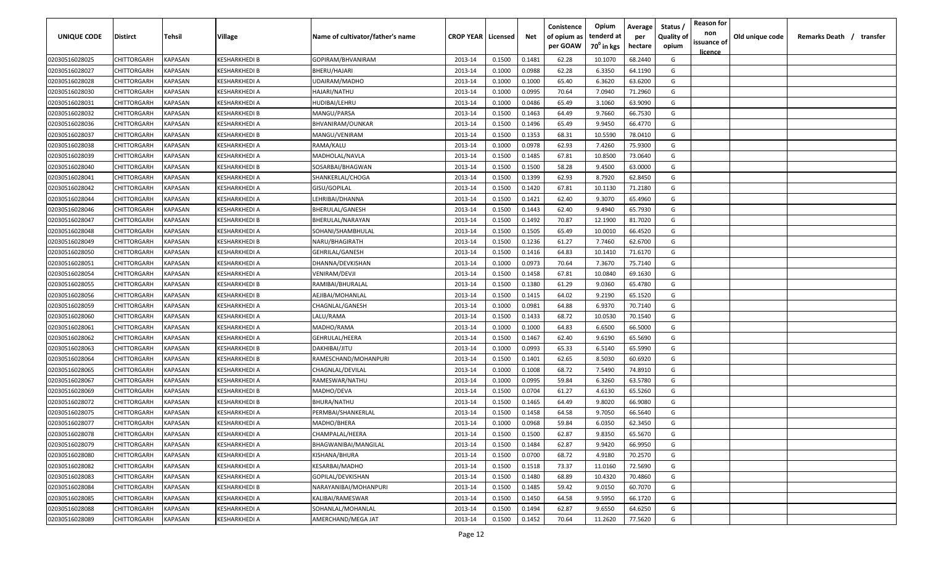| <b>UNIQUE CODE</b> | Distirct           | Tehsil         | Village       | Name of cultivator/father's name | <b>CROP YEAR   Licensed</b> |        | Net    | Conistence<br>of opium as | Opium<br>tenderd at    | Average<br>per | Status /<br><b>Quality of</b> | <b>Reason for</b><br>non<br>issuance of | Old unique code | Remarks Death / transfer |
|--------------------|--------------------|----------------|---------------|----------------------------------|-----------------------------|--------|--------|---------------------------|------------------------|----------------|-------------------------------|-----------------------------------------|-----------------|--------------------------|
|                    |                    |                |               |                                  |                             |        |        | per GOAW                  | 70 <sup>0</sup> in kgs | hectare        | opium                         | <u>licence</u>                          |                 |                          |
| 02030516028025     | CHITTORGARH        | <b>KAPASAN</b> | KESHARKHEDI B | GOPIRAM/BHVANIRAM                | 2013-14                     | 0.1500 | 0.1481 | 62.28                     | 10.1070                | 68.2440        | G                             |                                         |                 |                          |
| 02030516028027     | CHITTORGARH        | KAPASAN        | KESHARKHEDI B | BHERU/HAJARI                     | 2013-14                     | 0.1000 | 0.0988 | 62.28                     | 6.3350                 | 64.1190        | G                             |                                         |                 |                          |
| 02030516028028     | CHITTORGARH        | KAPASAN        | KESHARKHEDI A | UDAIRAM/MADHO                    | 2013-14                     | 0.1000 | 0.1000 | 65.40                     | 6.3620                 | 63.6200        | G                             |                                         |                 |                          |
| 02030516028030     | CHITTORGARH        | KAPASAN        | KESHARKHEDI A | HAJARI/NATHU                     | 2013-14                     | 0.1000 | 0.0995 | 70.64                     | 7.0940                 | 71.2960        | G                             |                                         |                 |                          |
| 02030516028031     | CHITTORGARH        | KAPASAN        | KESHARKHEDI A | HUDIBAI/LEHRU                    | 2013-14                     | 0.1000 | 0.0486 | 65.49                     | 3.1060                 | 63.9090        | G                             |                                         |                 |                          |
| 02030516028032     | CHITTORGARH        | KAPASAN        | KESHARKHEDI B | MANGU/PARSA                      | 2013-14                     | 0.1500 | 0.1463 | 64.49                     | 9.7660                 | 66.7530        | G                             |                                         |                 |                          |
| 02030516028036     | CHITTORGARH        | KAPASAN        | KESHARKHEDI A | BHVANIRAM/OUNKAR                 | 2013-14                     | 0.1500 | 0.1496 | 65.49                     | 9.9450                 | 66.4770        | G                             |                                         |                 |                          |
| 02030516028037     | CHITTORGARH        | KAPASAN        | KESHARKHEDI B | MANGU/VENIRAM                    | 2013-14                     | 0.1500 | 0.1353 | 68.31                     | 10.5590                | 78.0410        | G                             |                                         |                 |                          |
| 02030516028038     | CHITTORGARH        | KAPASAN        | KESHARKHEDI A | RAMA/KALU                        | 2013-14                     | 0.1000 | 0.0978 | 62.93                     | 7.4260                 | 75.9300        | G                             |                                         |                 |                          |
| 02030516028039     | CHITTORGARH        | KAPASAN        | KESHARKHEDI A | MADHOLAL/NAVLA                   | 2013-14                     | 0.1500 | 0.1485 | 67.81                     | 10.8500                | 73.0640        | G                             |                                         |                 |                          |
| 02030516028040     | CHITTORGARH        | KAPASAN        | (ESHARKHEDI B | SOSARBAI/BHAGWAN                 | 2013-14                     | 0.1500 | 0.1500 | 58.28                     | 9.4500                 | 63.0000        | G                             |                                         |                 |                          |
| 02030516028041     | CHITTORGARH        | KAPASAN        | KESHARKHEDI A | SHANKERLAL/CHOGA                 | 2013-14                     | 0.1500 | 0.1399 | 62.93                     | 8.7920                 | 62.8450        | G                             |                                         |                 |                          |
| 02030516028042     | CHITTORGARH        | KAPASAN        | KESHARKHEDI A | GISU/GOPILAL                     | 2013-14                     | 0.1500 | 0.1420 | 67.81                     | 10.1130                | 71.2180        | G                             |                                         |                 |                          |
| 02030516028044     | CHITTORGARH        | KAPASAN        | KESHARKHEDI A | LEHRIBAI/DHANNA                  | 2013-14                     | 0.1500 | 0.1421 | 62.40                     | 9.3070                 | 65.4960        | G                             |                                         |                 |                          |
| 02030516028046     | CHITTORGARH        | KAPASAN        | KESHARKHEDI A | BHERULAL/GANESH                  | 2013-14                     | 0.1500 | 0.1443 | 62.40                     | 9.4940                 | 65.7930        | G                             |                                         |                 |                          |
| 02030516028047     | CHITTORGARH        | KAPASAN        | KESHARKHEDI B | BHERULAL/NARAYAN                 | 2013-14                     | 0.1500 | 0.1492 | 70.87                     | 12.1900                | 81.7020        | G                             |                                         |                 |                          |
| 02030516028048     | CHITTORGARH        | KAPASAN        | KESHARKHEDI A | SOHANI/SHAMBHULAL                | 2013-14                     | 0.1500 | 0.1505 | 65.49                     | 10.0010                | 66.4520        | G                             |                                         |                 |                          |
| 02030516028049     | CHITTORGARH        | KAPASAN        | KESHARKHEDI B | NARU/BHAGIRATH                   | 2013-14                     | 0.1500 | 0.1236 | 61.27                     | 7.7460                 | 62.6700        | G                             |                                         |                 |                          |
| 02030516028050     | CHITTORGARH        | KAPASAN        | KESHARKHEDI A | <b>GEHRILAL/GANESH</b>           | 2013-14                     | 0.1500 | 0.1416 | 64.83                     | 10.1410                | 71.6170        | G                             |                                         |                 |                          |
| 02030516028051     | CHITTORGARH        | KAPASAN        | KESHARKHEDI A | DHANNA/DEVKISHAN                 | 2013-14                     | 0.1000 | 0.0973 | 70.64                     | 7.3670                 | 75.7140        | G                             |                                         |                 |                          |
| 02030516028054     | CHITTORGARH        | KAPASAN        | KESHARKHEDI A | VENIRAM/DEVJI                    | 2013-14                     | 0.1500 | 0.1458 | 67.81                     | 10.0840                | 69.1630        | G                             |                                         |                 |                          |
| 02030516028055     | CHITTORGARH        | KAPASAN        | KESHARKHEDI B | RAMIBAI/BHURALAL                 | 2013-14                     | 0.1500 | 0.1380 | 61.29                     | 9.0360                 | 65.4780        | G                             |                                         |                 |                          |
| 02030516028056     | CHITTORGARH        | KAPASAN        | KESHARKHEDI B | AEJIBAI/MOHANLAL                 | 2013-14                     | 0.1500 | 0.1415 | 64.02                     | 9.2190                 | 65.1520        | G                             |                                         |                 |                          |
| 02030516028059     | CHITTORGARH        | KAPASAN        | KESHARKHEDI A | CHAGNLAL/GANESH                  | 2013-14                     | 0.1000 | 0.0981 | 64.88                     | 6.9370                 | 70.7140        | G                             |                                         |                 |                          |
| 02030516028060     | CHITTORGARH        | KAPASAN        | KESHARKHEDI A | LALU/RAMA                        | 2013-14                     | 0.1500 | 0.1433 | 68.72                     | 10.0530                | 70.1540        | G                             |                                         |                 |                          |
| 02030516028061     | CHITTORGARH        | KAPASAN        | KESHARKHEDI A | MADHO/RAMA                       | 2013-14                     | 0.1000 | 0.1000 | 64.83                     | 6.6500                 | 66.5000        | G                             |                                         |                 |                          |
| 02030516028062     | CHITTORGARH        | KAPASAN        | KESHARKHEDI A | GEHRULAL/HEERA                   | 2013-14                     | 0.1500 | 0.1467 | 62.40                     | 9.6190                 | 65.5690        | G                             |                                         |                 |                          |
| 02030516028063     | CHITTORGARH        | KAPASAN        | (ESHARKHEDI B | DAKHIBAI/JITU                    | 2013-14                     | 0.1000 | 0.0993 | 65.33                     | 6.5140                 | 65.5990        | G                             |                                         |                 |                          |
| 02030516028064     | CHITTORGARH        | KAPASAN        | KESHARKHEDI B | RAMESCHAND/MOHANPURI             | 2013-14                     | 0.1500 | 0.1401 | 62.65                     | 8.5030                 | 60.6920        | G                             |                                         |                 |                          |
| 02030516028065     | CHITTORGARH        | KAPASAN        | KESHARKHEDI A | CHAGNLAL/DEVILAL                 | 2013-14                     | 0.1000 | 0.1008 | 68.72                     | 7.5490                 | 74.8910        | G                             |                                         |                 |                          |
| 02030516028067     | CHITTORGARH        | KAPASAN        | KESHARKHEDI A | RAMESWAR/NATHU                   | 2013-14                     | 0.1000 | 0.0995 | 59.84                     | 6.3260                 | 63.5780        | G                             |                                         |                 |                          |
| 02030516028069     | CHITTORGARH        | KAPASAN        | KESHARKHEDI B | MADHO/DEVA                       | 2013-14                     | 0.1500 | 0.0704 | 61.27                     | 4.6130                 | 65.5260        | G                             |                                         |                 |                          |
| 02030516028072     | CHITTORGARH        | KAPASAN        | KESHARKHEDI B | BHURA/NATHU                      | 2013-14                     | 0.1500 | 0.1465 | 64.49                     | 9.8020                 | 66.9080        | G                             |                                         |                 |                          |
| 02030516028075     | CHITTORGARH        | KAPASAN        | KESHARKHEDI A | PERMBAI/SHANKERLAL               | 2013-14                     | 0.1500 | 0.1458 | 64.58                     | 9.7050                 | 66.5640        | G                             |                                         |                 |                          |
| 02030516028077     | CHITTORGARH        | KAPASAN        | KESHARKHEDI A | MADHO/BHERA                      | 2013-14                     | 0.1000 | 0.0968 | 59.84                     | 6.0350                 | 62.3450        | G                             |                                         |                 |                          |
| 02030516028078     | <b>CHITTORGARH</b> | KAPASAN        | KESHARKHEDI A | CHAMPALAL/HEERA                  | 2013-14                     | 0.1500 | 0.1500 | 62.87                     | 9.8350                 | 65.5670        | G                             |                                         |                 |                          |
| 02030516028079     | CHITTORGARH        | <b>KAPASAN</b> | KESHARKHEDI A | BHAGWANIBAI/MANGILAL             | 2013-14                     | 0.1500 | 0.1484 | 62.87                     | 9.9420                 | 66.9950        | G                             |                                         |                 |                          |
| 02030516028080     | <b>CHITTORGARH</b> | <b>KAPASAN</b> | KESHARKHEDI A | KISHANA/BHURA                    | 2013-14                     | 0.1500 | 0.0700 | 68.72                     | 4.9180                 | 70.2570        | G                             |                                         |                 |                          |
| 02030516028082     | <b>CHITTORGARH</b> | KAPASAN        | KESHARKHEDI A | KESARBAI/MADHO                   | 2013-14                     | 0.1500 | 0.1518 | 73.37                     | 11.0160                | 72.5690        | G                             |                                         |                 |                          |
| 02030516028083     | CHITTORGARH        | KAPASAN        | KESHARKHEDI A | GOPILAL/DEVKISHAN                | 2013-14                     | 0.1500 | 0.1480 | 68.89                     | 10.4320                | 70.4860        | G                             |                                         |                 |                          |
| 02030516028084     | <b>CHITTORGARH</b> | KAPASAN        | KESHARKHEDI B | NARAYANIBAI/MOHANPURI            | 2013-14                     | 0.1500 | 0.1485 | 59.42                     | 9.0150                 | 60.7070        | G                             |                                         |                 |                          |
| 02030516028085     | <b>CHITTORGARH</b> | KAPASAN        | KESHARKHEDI A | KALIBAI/RAMESWAR                 | 2013-14                     | 0.1500 | 0.1450 | 64.58                     | 9.5950                 | 66.1720        | G                             |                                         |                 |                          |
| 02030516028088     | CHITTORGARH        | KAPASAN        | KESHARKHEDI A | SOHANLAL/MOHANLAL                | 2013-14                     | 0.1500 | 0.1494 | 62.87                     | 9.6550                 | 64.6250        | G                             |                                         |                 |                          |
| 02030516028089     | CHITTORGARH        | KAPASAN        | KESHARKHEDI A | AMERCHAND/MEGA JAT               | 2013-14                     | 0.1500 | 0.1452 | 70.64                     | 11.2620                | 77.5620        | G                             |                                         |                 |                          |
|                    |                    |                |               |                                  |                             |        |        |                           |                        |                |                               |                                         |                 |                          |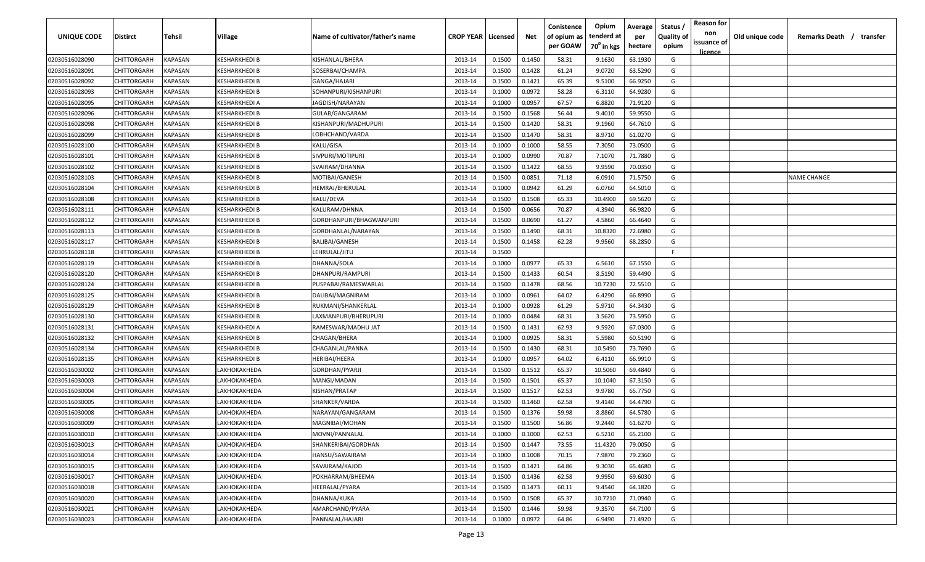| UNIQUE CODE    | Distirct    | Tehsil         | Village              | Name of cultivator/father's name | <b>CROP YEAR   Licensed</b> |        | Net    | Conistence<br>of opium as<br>per GOAW | Opium<br>tenderd at<br>70 <sup>0</sup> in kgs | Average<br>per<br>hectare | Status /<br><b>Quality of</b><br>opium | <b>Reason for</b><br>non<br>issuance of<br><u>licence</u> | Old unique code | Remarks Death /<br>transfer |
|----------------|-------------|----------------|----------------------|----------------------------------|-----------------------------|--------|--------|---------------------------------------|-----------------------------------------------|---------------------------|----------------------------------------|-----------------------------------------------------------|-----------------|-----------------------------|
| 02030516028090 | CHITTORGARH | KAPASAN        | KESHARKHEDI B        | KISHANLAL/BHERA                  | 2013-14                     | 0.1500 | 0.1450 | 58.31                                 | 9.1630                                        | 63.1930                   | G                                      |                                                           |                 |                             |
| 02030516028091 | CHITTORGARH | KAPASAN        | KESHARKHEDI B        | SOSERBAI/CHAMPA                  | 2013-14                     | 0.1500 | 0.1428 | 61.24                                 | 9.0720                                        | 63.5290                   | G                                      |                                                           |                 |                             |
| 02030516028092 | CHITTORGARH | KAPASAN        | KESHARKHEDI B        | GANGA/HAJARI                     | 2013-14                     | 0.1500 | 0.1421 | 65.39                                 | 9.5100                                        | 66.9250                   | G                                      |                                                           |                 |                             |
| 02030516028093 | CHITTORGARH | KAPASAN        | KESHARKHEDI B        | SOHANPURI/KISHANPURI             | 2013-14                     | 0.1000 | 0.0972 | 58.28                                 | 6.3110                                        | 64.9280                   | G                                      |                                                           |                 |                             |
| 02030516028095 | CHITTORGARH | KAPASAN        | KESHARKHEDI A        | JAGDISH/NARAYAN                  | 2013-14                     | 0.1000 | 0.0957 | 67.57                                 | 6.8820                                        | 71.9120                   | G                                      |                                                           |                 |                             |
| 02030516028096 | CHITTORGARH | KAPASAN        | KESHARKHEDI B        | GULAB/GANGARAM                   | 2013-14                     | 0.1500 | 0.1568 | 56.44                                 | 9.4010                                        | 59.9550                   | G                                      |                                                           |                 |                             |
| 02030516028098 | CHITTORGARH | KAPASAN        | <b>(ESHARKHEDI B</b> | KISHANPURI/MADHUPURI             | 2013-14                     | 0.1500 | 0.1420 | 58.31                                 | 9.1960                                        | 64.7610                   | G                                      |                                                           |                 |                             |
| 02030516028099 | CHITTORGARH | KAPASAN        | KESHARKHEDI B        | LOBHCHAND/VARDA                  | 2013-14                     | 0.1500 | 0.1470 | 58.31                                 | 8.9710                                        | 61.0270                   | G                                      |                                                           |                 |                             |
| 02030516028100 | CHITTORGARH | KAPASAN        | KESHARKHEDI B        | KALU/GISA                        | 2013-14                     | 0.1000 | 0.1000 | 58.55                                 | 7.3050                                        | 73.0500                   | G                                      |                                                           |                 |                             |
| 02030516028101 | CHITTORGARH | KAPASAN        | KESHARKHEDI B        | SIVPURI/MOTIPURI                 | 2013-14                     | 0.1000 | 0.0990 | 70.87                                 | 7.1070                                        | 71.7880                   | G                                      |                                                           |                 |                             |
| 02030516028102 | CHITTORGARH | KAPASAN        | (ESHARKHEDI B        | SVAIRAM/DHANNA                   | 2013-14                     | 0.1500 | 0.1422 | 68.55                                 | 9.9590                                        | 70.0350                   | G                                      |                                                           |                 |                             |
| 02030516028103 | CHITTORGARH | KAPASAN        | KESHARKHEDI B        | MOTIBAI/GANESH                   | 2013-14                     | 0.1500 | 0.0851 | 71.18                                 | 6.0910                                        | 71.5750                   | G                                      |                                                           |                 | <b>NAME CHANGE</b>          |
| 02030516028104 | CHITTORGARH | KAPASAN        | KESHARKHEDI B        | HEMRAJ/BHERULAL                  | 2013-14                     | 0.1000 | 0.0942 | 61.29                                 | 6.0760                                        | 64.5010                   | G                                      |                                                           |                 |                             |
| 02030516028108 | CHITTORGARH | KAPASAN        | KESHARKHEDI B        | KALU/DEVA                        | 2013-14                     | 0.1500 | 0.1508 | 65.33                                 | 10.4900                                       | 69.5620                   | G                                      |                                                           |                 |                             |
| 02030516028111 | CHITTORGARH | KAPASAN        | KESHARKHEDI B        | KALURAM/DHNNA                    | 2013-14                     | 0.1500 | 0.0656 | 70.87                                 | 4.3940                                        | 66.9820                   | G                                      |                                                           |                 |                             |
| 02030516028112 | CHITTORGARH | <b>KAPASAN</b> | KESHARKHEDI B        | GORDHANPURI/BHAGWANPURI          | 2013-14                     | 0.1500 | 0.0690 | 61.27                                 | 4.5860                                        | 66.4640                   | G                                      |                                                           |                 |                             |
| 02030516028113 | CHITTORGARH | KAPASAN        | KESHARKHEDI B        | GORDHANLAL/NARAYAN               | 2013-14                     | 0.1500 | 0.1490 | 68.31                                 | 10.8320                                       | 72.6980                   | G                                      |                                                           |                 |                             |
| 02030516028117 | CHITTORGARH | KAPASAN        | KESHARKHEDI B        | <b>BALIBAI/GANESH</b>            | 2013-14                     | 0.1500 | 0.1458 | 62.28                                 | 9.9560                                        | 68.2850                   | G                                      |                                                           |                 |                             |
| 02030516028118 | CHITTORGARH | KAPASAN        | KESHARKHEDI B        | LEHRULAL/JITU                    | 2013-14                     | 0.1500 |        |                                       |                                               |                           | F.                                     |                                                           |                 |                             |
| 02030516028119 | CHITTORGARH | KAPASAN        | KESHARKHEDI B        | DHANNA/SOLA                      | 2013-14                     | 0.1000 | 0.0977 | 65.33                                 | 6.5610                                        | 67.1550                   | G                                      |                                                           |                 |                             |
| 02030516028120 | CHITTORGARH | KAPASAN        | KESHARKHEDI B        | DHANPURI/RAMPURI                 | 2013-14                     | 0.1500 | 0.1433 | 60.54                                 | 8.5190                                        | 59.4490                   | G                                      |                                                           |                 |                             |
| 02030516028124 | CHITTORGARH | KAPASAN        | KESHARKHEDI B        | PUSPABAI/RAMESWARLAL             | 2013-14                     | 0.1500 | 0.1478 | 68.56                                 | 10.7230                                       | 72.5510                   | G                                      |                                                           |                 |                             |
| 02030516028125 | CHITTORGARH | KAPASAN        | KESHARKHEDI B        | DALIBAI/MAGNIRAM                 | 2013-14                     | 0.1000 | 0.0961 | 64.02                                 | 6.4290                                        | 66.8990                   | G                                      |                                                           |                 |                             |
| 02030516028129 | CHITTORGARH | KAPASAN        | KESHARKHEDI B        | RUKMANI/SHANKERLAL               | 2013-14                     | 0.1000 | 0.0928 | 61.29                                 | 5.9710                                        | 64.3430                   | G                                      |                                                           |                 |                             |
| 02030516028130 | CHITTORGARH | KAPASAN        | KESHARKHEDI B        | LAXMANPURI/BHERUPURI             | 2013-14                     | 0.1000 | 0.0484 | 68.31                                 | 3.5620                                        | 73.5950                   | G                                      |                                                           |                 |                             |
| 02030516028131 | CHITTORGARH | KAPASAN        | KESHARKHEDI A        | RAMESWAR/MADHU JAT               | 2013-14                     | 0.1500 | 0.1431 | 62.93                                 | 9.5920                                        | 67.0300                   | G                                      |                                                           |                 |                             |
| 02030516028132 | CHITTORGARH | KAPASAN        | KESHARKHEDI B        | CHAGAN/BHERA                     | 2013-14                     | 0.1000 | 0.0925 | 58.31                                 | 5.5980                                        | 60.5190                   | G                                      |                                                           |                 |                             |
| 02030516028134 | CHITTORGARH | KAPASAN        | (ESHARKHEDI B        | CHAGANLAL/PANNA                  | 2013-14                     | 0.1500 | 0.1430 | 68.31                                 | 10.5490                                       | 73.7690                   | G                                      |                                                           |                 |                             |
| 02030516028135 | CHITTORGARH | KAPASAN        | KESHARKHEDI B        | HERIBAI/HEERA                    | 2013-14                     | 0.1000 | 0.0957 | 64.02                                 | 6.4110                                        | 66.9910                   | G                                      |                                                           |                 |                             |
| 02030516030002 | CHITTORGARH | KAPASAN        | LAKHOKAKHEDA         | GORDHAN/PYARJI                   | 2013-14                     | 0.1500 | 0.1512 | 65.37                                 | 10.5060                                       | 69.4840                   | G                                      |                                                           |                 |                             |
| 02030516030003 | CHITTORGARH | KAPASAN        | LAKHOKAKHEDA         | MANGI/MADAN                      | 2013-14                     | 0.1500 | 0.1501 | 65.37                                 | 10.1040                                       | 67.3150                   | G                                      |                                                           |                 |                             |
| 02030516030004 | CHITTORGARH | KAPASAN        | LAKHOKAKHEDA         | KISHAN/PRATAP                    | 2013-14                     | 0.1500 | 0.1517 | 62.53                                 | 9.9780                                        | 65.7750                   | G                                      |                                                           |                 |                             |
| 02030516030005 | CHITTORGARH | KAPASAN        | LAKHOKAKHEDA         | SHANKER/VARDA                    | 2013-14                     | 0.1500 | 0.1460 | 62.58                                 | 9.4140                                        | 64.4790                   | G                                      |                                                           |                 |                             |
| 02030516030008 | CHITTORGARH | KAPASAN        | LAKHOKAKHEDA         | NARAYAN/GANGARAM                 | 2013-14                     | 0.1500 | 0.1376 | 59.98                                 | 8.8860                                        | 64.5780                   | G                                      |                                                           |                 |                             |
| 02030516030009 | CHITTORGARH | KAPASAN        | LAKHOKAKHEDA         | MAGNIBAI/MOHAN                   | 2013-14                     | 0.1500 | 0.1500 | 56.86                                 | 9.2440                                        | 61.6270                   | G                                      |                                                           |                 |                             |
| 02030516030010 | CHITTORGARH | <b>KAPASAN</b> | LAKHOKAKHEDA         | MOVNI/PANNALAL                   | 2013-14                     | 0.1000 | 0.1000 | 62.53                                 | 6.5210                                        | 65.2100                   | G                                      |                                                           |                 |                             |
| 02030516030013 | CHITTORGARH | <b>KAPASAN</b> | LAKHOKAKHEDA         | SHANKERIBAI/GORDHAN              | 2013-14                     | 0.1500 | 0.1447 | 73.55                                 | 11.4320                                       | 79.0050                   | G                                      |                                                           |                 |                             |
| 02030516030014 | CHITTORGARH | <b>KAPASAN</b> | LAKHOKAKHEDA         | HANSU/SAWAIRAM                   | 2013-14                     | 0.1000 | 0.1008 | 70.15                                 | 7.9870                                        | 79.2360                   | G                                      |                                                           |                 |                             |
| 02030516030015 | CHITTORGARH | KAPASAN        | LAKHOKAKHEDA         | SAVAIRAM/KAJOD                   | 2013-14                     | 0.1500 | 0.1421 | 64.86                                 | 9.3030                                        | 65.4680                   | G                                      |                                                           |                 |                             |
| 02030516030017 | CHITTORGARH | KAPASAN        | LAKHOKAKHEDA         | POKHARRAM/BHEEMA                 | 2013-14                     | 0.1500 | 0.1436 | 62.58                                 | 9.9950                                        | 69.6030                   | G                                      |                                                           |                 |                             |
| 02030516030018 | CHITTORGARH | KAPASAN        | LAKHOKAKHEDA         | HEERALAL/PYARA                   | 2013-14                     | 0.1500 | 0.1473 | 60.11                                 | 9.4540                                        | 64.1820                   | G                                      |                                                           |                 |                             |
| 02030516030020 | CHITTORGARH | KAPASAN        | LAKHOKAKHEDA         | DHANNA/KUKA                      | 2013-14                     | 0.1500 | 0.1508 | 65.37                                 | 10.7210                                       | 71.0940                   | G                                      |                                                           |                 |                             |
| 02030516030021 | CHITTORGARH | KAPASAN        | LAKHOKAKHEDA         | AMARCHAND/PYARA                  | 2013-14                     | 0.1500 | 0.1446 | 59.98                                 | 9.3570                                        | 64.7100                   | G                                      |                                                           |                 |                             |
| 02030516030023 | CHITTORGARH | <b>KAPASAN</b> | LAKHOKAKHEDA         | PANNALAL/HAJARI                  | 2013-14                     | 0.1000 | 0.0972 | 64.86                                 | 6.9490                                        | 71.4920                   | G                                      |                                                           |                 |                             |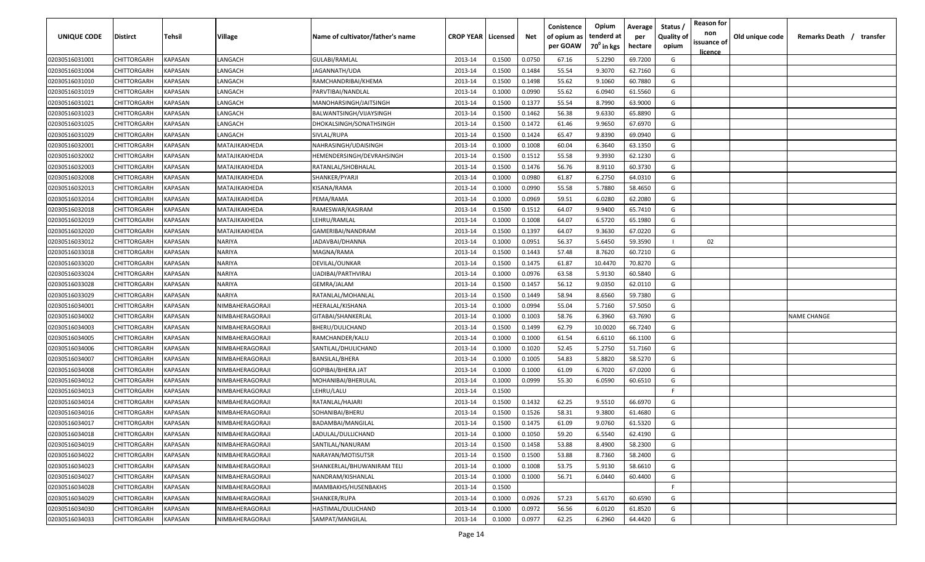| UNIQUE CODE    | Distirct           | Tehsil         | Village         | Name of cultivator/father's name | <b>CROP YEAR   Licensed</b> |        | Net    | Conistence<br>of opium as | Opium<br>tenderd at    | Average<br>per | Status /<br><b>Quality of</b> | <b>Reason for</b><br>non | Old unique code | Remarks Death / transfer |
|----------------|--------------------|----------------|-----------------|----------------------------------|-----------------------------|--------|--------|---------------------------|------------------------|----------------|-------------------------------|--------------------------|-----------------|--------------------------|
|                |                    |                |                 |                                  |                             |        |        | per GOAW                  | 70 <sup>0</sup> in kgs | hectare        | opium                         | issuance of              |                 |                          |
| 02030516031001 | CHITTORGARH        | <b>KAPASAN</b> | LANGACH         | <b>GULABI/RAMLAL</b>             | 2013-14                     | 0.1500 | 0.0750 | 67.16                     | 5.2290                 | 69.7200        | G                             | <u>licence</u>           |                 |                          |
| 02030516031004 | CHITTORGARH        | KAPASAN        | LANGACH         | JAGANNATH/UDA                    | 2013-14                     | 0.1500 | 0.1484 | 55.54                     | 9.3070                 | 62.7160        | G                             |                          |                 |                          |
| 02030516031010 | CHITTORGARH        | KAPASAN        | LANGACH         | RAMCHANDRIBAI/KHEMA              | 2013-14                     | 0.1500 | 0.1498 | 55.62                     | 9.1060                 | 60.7880        | G                             |                          |                 |                          |
| 02030516031019 | CHITTORGARH        | KAPASAN        | LANGACH         | PARVTIBAI/NANDLAL                | 2013-14                     | 0.1000 | 0.0990 | 55.62                     | 6.0940                 | 61.5560        | G                             |                          |                 |                          |
| 02030516031021 | CHITTORGARH        | KAPASAN        | LANGACH         | MANOHARSINGH/JAITSINGH           | 2013-14                     | 0.1500 | 0.1377 | 55.54                     | 8.7990                 | 63.9000        | G                             |                          |                 |                          |
| 02030516031023 | CHITTORGARH        | KAPASAN        | LANGACH         | BALWANTSINGH/VIJAYSINGH          | 2013-14                     | 0.1500 | 0.1462 | 56.38                     | 9.6330                 | 65.8890        | G                             |                          |                 |                          |
| 02030516031025 | CHITTORGARH        | KAPASAN        | LANGACH         | DHOKALSINGH/SONATHSINGH          | 2013-14                     | 0.1500 | 0.1472 | 61.46                     | 9.9650                 | 67.6970        | G                             |                          |                 |                          |
| 02030516031029 | CHITTORGARH        | KAPASAN        | LANGACH         | SIVLAL/RUPA                      | 2013-14                     | 0.1500 | 0.1424 | 65.47                     | 9.8390                 | 69.0940        | G                             |                          |                 |                          |
| 02030516032001 | CHITTORGARH        | KAPASAN        | MATAJIKAKHEDA   | NAHRASINGH/UDAISINGH             | 2013-14                     | 0.1000 | 0.1008 | 60.04                     | 6.3640                 | 63.1350        | G                             |                          |                 |                          |
| 02030516032002 | CHITTORGARH        | KAPASAN        | MATAJIKAKHEDA   | HEMENDERSINGH/DEVRAHSINGH        | 2013-14                     | 0.1500 | 0.1512 | 55.58                     | 9.3930                 | 62.1230        | G                             |                          |                 |                          |
| 02030516032003 | CHITTORGARH        | KAPASAN        | MATAJIKAKHEDA   | RATANLAL/SHOBHALAL               | 2013-14                     | 0.1500 | 0.1476 | 56.76                     | 8.9110                 | 60.3730        | G                             |                          |                 |                          |
| 02030516032008 | CHITTORGARH        | KAPASAN        | MATAJIKAKHEDA   | SHANKER/PYARJI                   | 2013-14                     | 0.1000 | 0.0980 | 61.87                     | 6.2750                 | 64.0310        | G                             |                          |                 |                          |
| 02030516032013 | CHITTORGARH        | KAPASAN        | MATAJIKAKHEDA   | KISANA/RAMA                      | 2013-14                     | 0.1000 | 0.0990 | 55.58                     | 5.7880                 | 58.4650        | G                             |                          |                 |                          |
| 02030516032014 | CHITTORGARH        | KAPASAN        | MATAJIKAKHEDA   | PEMA/RAMA                        | 2013-14                     | 0.1000 | 0.0969 | 59.51                     | 6.0280                 | 62.2080        | G                             |                          |                 |                          |
| 02030516032018 | CHITTORGARH        | KAPASAN        | MATAJIKAKHEDA   | RAMESWAR/KASIRAM                 | 2013-14                     | 0.1500 | 0.1512 | 64.07                     | 9.9400                 | 65.7410        | G                             |                          |                 |                          |
| 02030516032019 | CHITTORGARH        | KAPASAN        | MATAJIKAKHEDA   | LEHRU/RAMLAL                     | 2013-14                     | 0.1000 | 0.1008 | 64.07                     | 6.5720                 | 65.1980        | G                             |                          |                 |                          |
| 02030516032020 | CHITTORGARH        | KAPASAN        | MATAJIKAKHEDA   | GAMERIBAI/NANDRAM                | 2013-14                     | 0.1500 | 0.1397 | 64.07                     | 9.3630                 | 67.0220        | G                             |                          |                 |                          |
| 02030516033012 | CHITTORGARH        | KAPASAN        | NARIYA          | JADAVBAI/DHANNA                  | 2013-14                     | 0.1000 | 0.0951 | 56.37                     | 5.6450                 | 59.3590        |                               | 02                       |                 |                          |
| 02030516033018 | CHITTORGARH        | KAPASAN        | NARIYA          | MAGNA/RAMA                       | 2013-14                     | 0.1500 | 0.1443 | 57.48                     | 8.7620                 | 60.7210        | G                             |                          |                 |                          |
| 02030516033020 | CHITTORGARH        | KAPASAN        | NARIYA          | DEVILAL/OUNKAR                   | 2013-14                     | 0.1500 | 0.1475 | 61.87                     | 10.4470                | 70.8270        | G                             |                          |                 |                          |
| 02030516033024 | CHITTORGARH        | KAPASAN        | NARIYA          | UADIBAI/PARTHVIRAJ               | 2013-14                     | 0.1000 | 0.0976 | 63.58                     | 5.9130                 | 60.5840        | G                             |                          |                 |                          |
| 02030516033028 | CHITTORGARH        | KAPASAN        | NARIYA          | GEMRA/JALAM                      | 2013-14                     | 0.1500 | 0.1457 | 56.12                     | 9.0350                 | 62.0110        | G                             |                          |                 |                          |
| 02030516033029 | CHITTORGARH        | KAPASAN        | NARIYA          | RATANLAL/MOHANLAL                | 2013-14                     | 0.1500 | 0.1449 | 58.94                     | 8.6560                 | 59.7380        | G                             |                          |                 |                          |
| 02030516034001 | CHITTORGARH        | KAPASAN        | NIMBAHERAGORAJI | HEERALAL/KISHANA                 | 2013-14                     | 0.1000 | 0.0994 | 55.04                     | 5.7160                 | 57.5050        | G                             |                          |                 |                          |
| 02030516034002 | CHITTORGARH        | KAPASAN        | NIMBAHERAGORAJI | GITABAI/SHANKERLAL               | 2013-14                     | 0.1000 | 0.1003 | 58.76                     | 6.3960                 | 63.7690        | G                             |                          |                 | <b>NAME CHANGE</b>       |
| 02030516034003 | CHITTORGARH        | KAPASAN        | NIMBAHERAGORAJI | BHERU/DULICHAND                  | 2013-14                     | 0.1500 | 0.1499 | 62.79                     | 10.0020                | 66.7240        | G                             |                          |                 |                          |
| 02030516034005 | CHITTORGARH        | KAPASAN        | NIMBAHERAGORAJI | RAMCHANDER/KALU                  | 2013-14                     | 0.1000 | 0.1000 | 61.54                     | 6.6110                 | 66.1100        | G                             |                          |                 |                          |
| 02030516034006 | CHITTORGARH        | KAPASAN        | NIMBAHERAGORAJI | SANTILAL/DHULICHAND              | 2013-14                     | 0.1000 | 0.1020 | 52.45                     | 5.2750                 | 51.7160        | G                             |                          |                 |                          |
| 02030516034007 | CHITTORGARH        | KAPASAN        | NIMBAHERAGORAJI | <b>BANSILAL/BHERA</b>            | 2013-14                     | 0.1000 | 0.1005 | 54.83                     | 5.8820                 | 58.5270        | G                             |                          |                 |                          |
| 02030516034008 | CHITTORGARH        | KAPASAN        | NIMBAHERAGORAJI | GOPIBAI/BHERA JAT                | 2013-14                     | 0.1000 | 0.1000 | 61.09                     | 6.7020                 | 67.0200        | G                             |                          |                 |                          |
| 02030516034012 | CHITTORGARH        | KAPASAN        | NIMBAHERAGORAJI | MOHANIBAI/BHERULAL               | 2013-14                     | 0.1000 | 0.0999 | 55.30                     | 6.0590                 | 60.6510        | G                             |                          |                 |                          |
| 02030516034013 | CHITTORGARH        | KAPASAN        | NIMBAHERAGORAJI | LEHRU/LALU                       | 2013-14                     | 0.1500 |        |                           |                        |                | -F.                           |                          |                 |                          |
| 02030516034014 | CHITTORGARH        | KAPASAN        | NIMBAHERAGORAJI | RATANLAL/HAJARI                  | 2013-14                     | 0.1500 | 0.1432 | 62.25                     | 9.5510                 | 66.6970        | G                             |                          |                 |                          |
| 02030516034016 | CHITTORGARH        | KAPASAN        | NIMBAHERAGORAJI | SOHANIBAI/BHERU                  | 2013-14                     | 0.1500 | 0.1526 | 58.31                     | 9.3800                 | 61.4680        | G                             |                          |                 |                          |
| 02030516034017 | CHITTORGARH        | KAPASAN        | NIMBAHERAGORAJI | BADAMBAI/MANGILAL                | 2013-14                     | 0.1500 | 0.1475 | 61.09                     | 9.0760                 | 61.5320        | G                             |                          |                 |                          |
| 02030516034018 | <b>CHITTORGARH</b> | KAPASAN        | NIMBAHERAGORAJI | LADULAL/DULLICHAND               | 2013-14                     | 0.1000 | 0.1050 | 59.20                     | 6.5540                 | 62.4190        | G                             |                          |                 |                          |
| 02030516034019 | CHITTORGARH        | <b>KAPASAN</b> | NIMBAHERAGORAJI | SANTILAL/NANURAM                 | 2013-14                     | 0.1500 | 0.1458 | 53.88                     | 8.4900                 | 58.2300        | G                             |                          |                 |                          |
| 02030516034022 | CHITTORGARH        | <b>KAPASAN</b> | NIMBAHERAGORAJI | NARAYAN/MOTISUTSR                | 2013-14                     | 0.1500 | 0.1500 | 53.88                     | 8.7360                 | 58.2400        | G                             |                          |                 |                          |
| 02030516034023 | <b>CHITTORGARH</b> | <b>KAPASAN</b> | NIMBAHERAGORAJI | SHANKERLAL/BHUWANIRAM TELI       | 2013-14                     | 0.1000 | 0.1008 | 53.75                     | 5.9130                 | 58.6610        | G                             |                          |                 |                          |
| 02030516034027 | CHITTORGARH        | KAPASAN        | NIMBAHERAGORAJI | NANDRAM/KISHANLAL                | 2013-14                     | 0.1000 | 0.1000 | 56.71                     | 6.0440                 | 60.4400        | G                             |                          |                 |                          |
| 02030516034028 | <b>CHITTORGARH</b> | KAPASAN        | NIMBAHERAGORAJI | IMAMBAKHS/HUSENBAKHS             | 2013-14                     | 0.1500 |        |                           |                        |                | F.                            |                          |                 |                          |
| 02030516034029 | <b>CHITTORGARH</b> | KAPASAN        | NIMBAHERAGORAJI | SHANKER/RUPA                     | 2013-14                     | 0.1000 | 0.0926 | 57.23                     | 5.6170                 | 60.6590        | G                             |                          |                 |                          |
| 02030516034030 | CHITTORGARH        | KAPASAN        | NIMBAHERAGORAJI | HASTIMAL/DULICHAND               | 2013-14                     | 0.1000 | 0.0972 | 56.56                     | 6.0120                 | 61.8520        | G                             |                          |                 |                          |
| 02030516034033 | CHITTORGARH        | KAPASAN        | NIMBAHERAGORAJI | SAMPAT/MANGILAL                  | 2013-14                     | 0.1000 | 0.0977 | 62.25                     | 6.2960                 | 64.4420        | G                             |                          |                 |                          |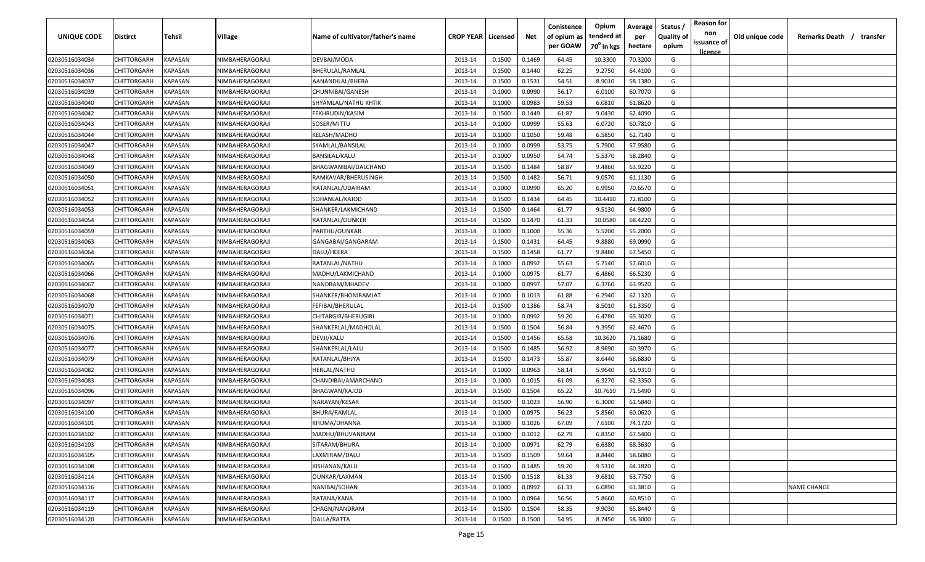| <b>UNIQUE CODE</b> | <b>Distirct</b>    | <b>Tehsil</b>  | Village         | Name of cultivator/father's name | <b>CROP YEAR   Licensed</b> |        | Net    | Conistence<br>of opium as | Opium<br>tenderd at    | Average<br>per | Status /<br>Quality of | <b>Reason for</b><br>non<br>issuance of | Old unique code | Remarks Death /<br>transfer |
|--------------------|--------------------|----------------|-----------------|----------------------------------|-----------------------------|--------|--------|---------------------------|------------------------|----------------|------------------------|-----------------------------------------|-----------------|-----------------------------|
|                    |                    |                |                 |                                  |                             |        |        | per GOAW                  | 70 <sup>0</sup> in kgs | hectare        | opium                  | <u>licence</u>                          |                 |                             |
| 02030516034034     | CHITTORGARH        | KAPASAN        | NIMBAHERAGORAJI | DEVBAI/MODA                      | 2013-14                     | 0.1500 | 0.1469 | 64.45                     | 10.3300                | 70.3200        | G                      |                                         |                 |                             |
| 02030516034036     | CHITTORGARH        | KAPASAN        | NIMBAHERAGORAJI | BHERULAL/RAMLAL                  | 2013-14                     | 0.1500 | 0.1440 | 62.25                     | 9.2750                 | 64.4100        | G                      |                                         |                 |                             |
| 02030516034037     | CHITTORGARH        | KAPASAN        | NIMBAHERAGORAJI | AANANDILAL/BHERA                 | 2013-14                     | 0.1500 | 0.1531 | 54.51                     | 8.9010                 | 58.1380        | G                      |                                         |                 |                             |
| 02030516034039     | CHITTORGARH        | KAPASAN        | NIMBAHERAGORAJI | CHUNNIBAI/GANESH                 | 2013-14                     | 0.1000 | 0.0990 | 56.17                     | 6.0100                 | 60.7070        | G                      |                                         |                 |                             |
| 02030516034040     | CHITTORGARH        | KAPASAN        | NIMBAHERAGORAJI | SHYAMLAL/NATHU KHTIK             | 2013-14                     | 0.1000 | 0.0983 | 59.53                     | 6.0810                 | 61.8620        | G                      |                                         |                 |                             |
| 02030516034042     | CHITTORGARH        | KAPASAN        | NIMBAHERAGORAJI | FEKHRUDIN/KASIM                  | 2013-14                     | 0.1500 | 0.1449 | 61.82                     | 9.0430                 | 62.4090        | G                      |                                         |                 |                             |
| 02030516034043     | CHITTORGARH        | KAPASAN        | NIMBAHERAGORAJI | SOSER/MITTU                      | 2013-14                     | 0.1000 | 0.0999 | 55.63                     | 6.0720                 | 60.7810        | G                      |                                         |                 |                             |
| 02030516034044     | CHITTORGARH        | KAPASAN        | NIMBAHERAGORAJI | KELASH/MADHO                     | 2013-14                     | 0.1000 | 0.1050 | 59.48                     | 6.5850                 | 62.7140        | G                      |                                         |                 |                             |
| 02030516034047     | CHITTORGARH        | KAPASAN        | NIMBAHERAGORAJI | SYAMLAL/BANSILAL                 | 2013-14                     | 0.1000 | 0.0999 | 53.75                     | 5.7900                 | 57.9580        | G                      |                                         |                 |                             |
| 02030516034048     | CHITTORGARH        | KAPASAN        | NIMBAHERAGORAJI | BANSILAL/KALU                    | 2013-14                     | 0.1000 | 0.0950 | 54.74                     | 5.5370                 | 58.2840        | G                      |                                         |                 |                             |
| 02030516034049     | CHITTORGARH        | KAPASAN        | NIMBAHERAGORAJI | BHAGWANIBAI/DALCHAND             | 2013-14                     | 0.1500 | 0.1484 | 58.87                     | 9.4860                 | 63.9220        | G                      |                                         |                 |                             |
| 02030516034050     | CHITTORGARH        | KAPASAN        | NIMBAHERAGORAJI | RAMKAVAR/BHERUSINGH              | 2013-14                     | 0.1500 | 0.1482 | 56.71                     | 9.0570                 | 61.1130        | G                      |                                         |                 |                             |
| 02030516034051     | CHITTORGARH        | KAPASAN        | NIMBAHERAGORAJI | RATANLAL/UDAIRAM                 | 2013-14                     | 0.1000 | 0.0990 | 65.20                     | 6.9950                 | 70.6570        | G                      |                                         |                 |                             |
| 02030516034052     | CHITTORGARH        | KAPASAN        | NIMBAHERAGORAJI | SOHANLAL/KAJOD                   | 2013-14                     | 0.1500 | 0.1434 | 64.45                     | 10.4410                | 72.8100        | G                      |                                         |                 |                             |
| 02030516034053     | CHITTORGARH        | KAPASAN        | NIMBAHERAGORAJI | SHANKER/LAKMICHAND               | 2013-14                     | 0.1500 | 0.1464 | 61.77                     | 9.5130                 | 64.9800        | G                      |                                         |                 |                             |
| 02030516034054     | CHITTORGARH        | KAPASAN        | NIMBAHERAGORAJI | RATANLAL/OUNKER                  | 2013-14                     | 0.1500 | 0.1470 | 61.33                     | 10.0580                | 68.4220        | G                      |                                         |                 |                             |
| 02030516034059     | CHITTORGARH        | KAPASAN        | NIMBAHERAGORAJI | PARTHU/OUNKAR                    | 2013-14                     | 0.1000 | 0.1000 | 55.36                     | 5.5200                 | 55.2000        | G                      |                                         |                 |                             |
| 02030516034063     | CHITTORGARH        | KAPASAN        | NIMBAHERAGORAJI | GANGABAI/GANGARAM                | 2013-14                     | 0.1500 | 0.1431 | 64.45                     | 9.8880                 | 69.0990        | G                      |                                         |                 |                             |
| 02030516034064     | CHITTORGARH        | KAPASAN        | NIMBAHERAGORAJI | DALU/HEERA                       | 2013-14                     | 0.1500 | 0.1458 | 61.77                     | 9.8480                 | 67.5450        | G                      |                                         |                 |                             |
| 02030516034065     | CHITTORGARH        | KAPASAN        | NIMBAHERAGORAJI | RATANLAL/NATHU                   | 2013-14                     | 0.1000 | 0.0992 | 55.63                     | 5.7140                 | 57.6010        | G                      |                                         |                 |                             |
| 02030516034066     | CHITTORGARH        | KAPASAN        | NIMBAHERAGORAJI | MADHU/LAKMICHAND                 | 2013-14                     | 0.1000 | 0.0975 | 61.77                     | 6.4860                 | 66.5230        | G                      |                                         |                 |                             |
| 02030516034067     | CHITTORGARH        | KAPASAN        | NIMBAHERAGORAJI | NANDRAM/MHADEV                   | 2013-14                     | 0.1000 | 0.0997 | 57.07                     | 6.3760                 | 63.9520        | G                      |                                         |                 |                             |
| 02030516034068     | CHITTORGARH        | KAPASAN        | NIMBAHERAGORAJI | SHANKER/BHONIRAMJAT              | 2013-14                     | 0.1000 | 0.1013 | 61.88                     | 6.2940                 | 62.1320        | G                      |                                         |                 |                             |
| 02030516034070     | CHITTORGARH        | KAPASAN        | NIMBAHERAGORAJI | FEFIBAI/BHERULAL                 | 2013-14                     | 0.1500 | 0.1386 | 58.74                     | 8.5010                 | 61.3350        | G                      |                                         |                 |                             |
| 02030516034071     | CHITTORGARH        | KAPASAN        | NIMBAHERAGORAJI | CHITARGIR/BHERUGIRI              | 2013-14                     | 0.1000 | 0.0992 | 59.20                     | 6.4780                 | 65.3020        | G                      |                                         |                 |                             |
| 02030516034075     | CHITTORGARH        | KAPASAN        | NIMBAHERAGORAJI | SHANKERLAL/MADHOLAL              | 2013-14                     | 0.1500 | 0.1504 | 56.84                     | 9.3950                 | 62.4670        | G                      |                                         |                 |                             |
| 02030516034076     | CHITTORGARH        | KAPASAN        | NIMBAHERAGORAJI | DEVJI/KALU                       | 2013-14                     | 0.1500 | 0.1456 | 65.58                     | 10.3620                | 71.1680        | G                      |                                         |                 |                             |
| 02030516034077     | CHITTORGARH        | KAPASAN        | NIMBAHERAGORAJI | SHANKERLAL/LALU                  | 2013-14                     | 0.1500 | 0.1485 | 56.92                     | 8.9690                 | 60.3970        | G                      |                                         |                 |                             |
| 02030516034079     | CHITTORGARH        | KAPASAN        | NIMBAHERAGORAJI | RATANLAL/BHJYA                   | 2013-14                     | 0.1500 | 0.1473 | 55.87                     | 8.6440                 | 58.6830        | G                      |                                         |                 |                             |
| 02030516034082     | CHITTORGARH        | KAPASAN        | NIMBAHERAGORAJI | HERLAL/NATHU                     | 2013-14                     | 0.1000 | 0.0963 | 58.14                     | 5.9640                 | 61.9310        | G                      |                                         |                 |                             |
| 02030516034083     | CHITTORGARH        | KAPASAN        | NIMBAHERAGORAJI | CHANDIBAI/AMARCHAND              | 2013-14                     | 0.1000 | 0.1015 | 61.09                     | 6.3270                 | 62.3350        | G                      |                                         |                 |                             |
| 02030516034096     | CHITTORGARH        | KAPASAN        | NIMBAHERAGORAJI | <b>BHAGWAN/KAJOD</b>             | 2013-14                     | 0.1500 | 0.1504 | 65.22                     | 10.7610                | 71.5490        | G                      |                                         |                 |                             |
| 02030516034097     | CHITTORGARH        | KAPASAN        | NIMBAHERAGORAJI | NARAYAN/KESAR                    | 2013-14                     | 0.1500 | 0.1023 | 56.90                     | 6.3000                 | 61.5840        | G                      |                                         |                 |                             |
| 02030516034100     | CHITTORGARH        | KAPASAN        | NIMBAHERAGORAJI | BHURA/RAMLAL                     | 2013-14                     | 0.1000 | 0.0975 | 56.23                     | 5.8560                 | 60.0620        | G                      |                                         |                 |                             |
| 02030516034101     | <b>CHITTORGARH</b> | KAPASAN        | NIMBAHERAGORAJI | KHUMA/DHANNA                     | 2013-14                     | 0.1000 | 0.1026 | 67.09                     | 7.6100                 | 74.1720        | G                      |                                         |                 |                             |
| 02030516034102     | CHITTORGARH        | <b>KAPASAN</b> | NIMBAHERAGORAJI | MADHU/BHUVANIRAM                 | 2013-14                     | 0.1000 | 0.1012 | 62.79                     | 6.8350                 | 67.5400        | G                      |                                         |                 |                             |
| 02030516034103     | <b>CHITTORGARH</b> | KAPASAN        | NIMBAHERAGORAJI | SITARAM/BHURA                    | 2013-14                     | 0.1000 | 0.0971 | 62.79                     | 6.6380                 | 68.3630        | G                      |                                         |                 |                             |
| 02030516034105     | <b>CHITTORGARH</b> | KAPASAN        | NIMBAHERAGORAJI | LAXMIRAM/DALU                    | 2013-14                     | 0.1500 | 0.1509 | 59.64                     | 8.8440                 | 58.6080        | G                      |                                         |                 |                             |
| 02030516034108     | CHITTORGARH        | KAPASAN        | NIMBAHERAGORAJI | KISHANAN/KALU                    | 2013-14                     | 0.1500 | 0.1485 | 59.20                     | 9.5310                 | 64.1820        | G                      |                                         |                 |                             |
| 02030516034114     | CHITTORGARH        | <b>KAPASAN</b> | NIMBAHERAGORAJI | <b>OUNKAR/LAXMAN</b>             | 2013-14                     | 0.1500 | 0.1518 | 61.33                     | 9.6810                 | 63.7750        | G                      |                                         |                 |                             |
| 02030516034116     | CHITTORGARH        | KAPASAN        | NIMBAHERAGORAJI | NANIBAI/SOHAN                    | 2013-14                     | 0.1000 | 0.0992 | 61.33                     | 6.0890                 | 61.3810        | G                      |                                         |                 | NAME CHANGE                 |
| 02030516034117     | CHITTORGARH        | KAPASAN        | NIMBAHERAGORAJI | RATANA/KANA                      | 2013-14                     | 0.1000 | 0.0964 | 56.56                     | 5.8660                 | 60.8510        | G                      |                                         |                 |                             |
| 02030516034119     | CHITTORGARH        | KAPASAN        | NIMBAHERAGORAJI | CHAGN/NANDRAM                    | 2013-14                     | 0.1500 | 0.1504 | 58.35                     | 9.9030                 | 65.8440        | G                      |                                         |                 |                             |
| 02030516034120     | CHITTORGARH        | KAPASAN        | NIMBAHERAGORAJI | DALLA/RATTA                      | 2013-14                     | 0.1500 | 0.1500 | 54.95                     | 8.7450                 | 58.3000        | G                      |                                         |                 |                             |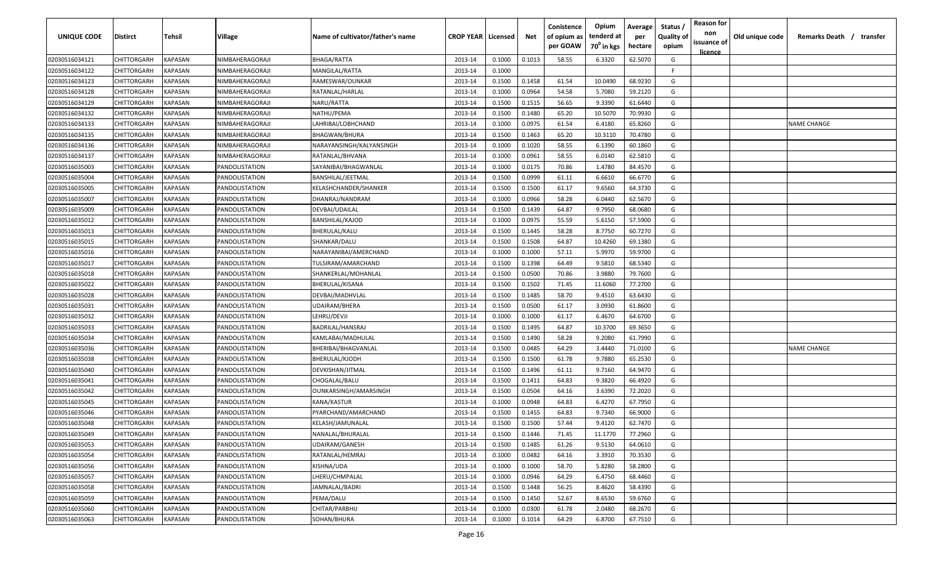| <b>UNIQUE CODE</b> | <b>Distirct</b>    | <b>Tehsil</b>  | Village         | Name of cultivator/father's name | <b>CROP YEAR   Licensed</b> |        | Net    | Conistence<br>of opium as<br>per GOAW | Opium<br>tenderd at<br>70 <sup>0</sup> in kgs | Average<br>per<br>hectare | Status /<br>Quality of<br>opium | <b>Reason for</b><br>non<br>issuance of | Old unique code | Remarks Death /<br>transfer |
|--------------------|--------------------|----------------|-----------------|----------------------------------|-----------------------------|--------|--------|---------------------------------------|-----------------------------------------------|---------------------------|---------------------------------|-----------------------------------------|-----------------|-----------------------------|
| 02030516034121     | CHITTORGARH        | <b>KAPASAN</b> | NIMBAHERAGORAJI | <b>BHAGA/RATTA</b>               | 2013-14                     | 0.1000 | 0.1013 | 58.55                                 | 6.3320                                        | 62.5070                   | G                               | <u>licence</u>                          |                 |                             |
| 02030516034122     | CHITTORGARH        | KAPASAN        | NIMBAHERAGORAJI | MANGILAL/RATTA                   | 2013-14                     | 0.1000 |        |                                       |                                               |                           | F.                              |                                         |                 |                             |
| 02030516034123     | CHITTORGARH        | KAPASAN        | NIMBAHERAGORAJI | RAMESWAR/OUNKAR                  | 2013-14                     | 0.1500 | 0.1458 | 61.54                                 | 10.0490                                       | 68.9230                   | G                               |                                         |                 |                             |
| 02030516034128     | CHITTORGARH        | KAPASAN        | NIMBAHERAGORAJI | RATANLAL/HARLAL                  | 2013-14                     | 0.1000 | 0.0964 | 54.58                                 | 5.7080                                        | 59.2120                   | G                               |                                         |                 |                             |
| 02030516034129     | CHITTORGARH        | KAPASAN        | NIMBAHERAGORAJI | NARU/RATTA                       | 2013-14                     | 0.1500 | 0.1515 | 56.65                                 | 9.3390                                        | 61.6440                   | G                               |                                         |                 |                             |
| 02030516034132     | CHITTORGARH        | KAPASAN        | NIMBAHERAGORAJI | NATHU/PEMA                       | 2013-14                     | 0.1500 | 0.1480 | 65.20                                 | 10.5070                                       | 70.9930                   | G                               |                                         |                 |                             |
| 02030516034133     | CHITTORGARH        | KAPASAN        | NIMBAHERAGORAJI | LAHRIBAI/LOBHCHAND               | 2013-14                     | 0.1000 | 0.0975 | 61.54                                 | 6.4180                                        | 65.8260                   | G                               |                                         |                 | <b>NAME CHANGE</b>          |
| 02030516034135     | CHITTORGARH        | KAPASAN        | NIMBAHERAGORAJI | BHAGWAN/BHURA                    | 2013-14                     | 0.1500 | 0.1463 | 65.20                                 | 10.3110                                       | 70.4780                   | G                               |                                         |                 |                             |
| 02030516034136     | CHITTORGARH        | KAPASAN        | NIMBAHERAGORAJI | NARAYANSINGH/KALYANSINGH         | 2013-14                     | 0.1000 | 0.1020 | 58.55                                 | 6.1390                                        | 60.1860                   | G                               |                                         |                 |                             |
| 02030516034137     | CHITTORGARH        | KAPASAN        | NIMBAHERAGORAJI | RATANLAL/BHVANA                  | 2013-14                     | 0.1000 | 0.0961 | 58.55                                 | 6.0140                                        | 62.5810                   | G                               |                                         |                 |                             |
| 02030516035003     | CHITTORGARH        | KAPASAN        | PANDOLISTATION  | SAYANIBAI/BHAGWANLAL             | 2013-14                     | 0.1000 | 0.0175 | 70.86                                 | 1.4780                                        | 84.4570                   | G                               |                                         |                 |                             |
| 02030516035004     | CHITTORGARH        | KAPASAN        | PANDOLISTATION  | BANSHILAL/JEETMAL                | 2013-14                     | 0.1500 | 0.0999 | 61.11                                 | 6.6610                                        | 66.6770                   | G                               |                                         |                 |                             |
| 02030516035005     | CHITTORGARH        | KAPASAN        | PANDOLISTATION  | KELASHCHANDER/SHANKER            | 2013-14                     | 0.1500 | 0.1500 | 61.17                                 | 9.6560                                        | 64.3730                   | G                               |                                         |                 |                             |
| 02030516035007     | CHITTORGARH        | KAPASAN        | PANDOLISTATION  | DHANRAJ/NANDRAM                  | 2013-14                     | 0.1000 | 0.0966 | 58.28                                 | 6.0440                                        | 62.5670                   | G                               |                                         |                 |                             |
| 02030516035009     | CHITTORGARH        | KAPASAN        | PANDOLISTATION  | DEVBAI/UDAILAL                   | 2013-14                     | 0.1500 | 0.1439 | 64.87                                 | 9.7950                                        | 68.0680                   | G                               |                                         |                 |                             |
| 02030516035012     | CHITTORGARH        | KAPASAN        | PANDOLISTATION  | <b>BANSHILAL/KAJOD</b>           | 2013-14                     | 0.1000 | 0.0975 | 55.59                                 | 5.6150                                        | 57.5900                   | G                               |                                         |                 |                             |
| 02030516035013     | CHITTORGARH        | KAPASAN        | PANDOLISTATION  | BHERULAL/KALU                    | 2013-14                     | 0.1500 | 0.1445 | 58.28                                 | 8.7750                                        | 60.7270                   | G                               |                                         |                 |                             |
| 02030516035015     | CHITTORGARH        | KAPASAN        | PANDOLISTATION  | SHANKAR/DALU                     | 2013-14                     | 0.1500 | 0.1508 | 64.87                                 | 10.4260                                       | 69.1380                   | G                               |                                         |                 |                             |
| 02030516035016     | CHITTORGARH        | KAPASAN        | PANDOLISTATION  | NARAYANIBAI/AMERCHAND            | 2013-14                     | 0.1000 | 0.1000 | 57.11                                 | 5.9970                                        | 59.9700                   | G                               |                                         |                 |                             |
| 02030516035017     | CHITTORGARH        | KAPASAN        | PANDOLISTATION  | TULSIRAM/AMARCHAND               | 2013-14                     | 0.1500 | 0.1398 | 64.49                                 | 9.5810                                        | 68.5340                   | G                               |                                         |                 |                             |
| 02030516035018     | CHITTORGARH        | KAPASAN        | PANDOLISTATION  | SHANKERLAL/MOHANLAL              | 2013-14                     | 0.1500 | 0.0500 | 70.86                                 | 3.9880                                        | 79.7600                   | G                               |                                         |                 |                             |
| 02030516035022     | CHITTORGARH        | KAPASAN        | PANDOLISTATION  | BHERULAL/KISANA                  | 2013-14                     | 0.1500 | 0.1502 | 71.45                                 | 11.6060                                       | 77.2700                   | G                               |                                         |                 |                             |
| 02030516035028     | CHITTORGARH        | KAPASAN        | PANDOLISTATION  | DEVBAI/MADHVLAL                  | 2013-14                     | 0.1500 | 0.1485 | 58.70                                 | 9.4510                                        | 63.6430                   | G                               |                                         |                 |                             |
| 02030516035031     | CHITTORGARH        | KAPASAN        | PANDOLISTATION  | UDAIRAM/BHERA                    | 2013-14                     | 0.1500 | 0.0500 | 61.17                                 | 3.0930                                        | 61.8600                   | G                               |                                         |                 |                             |
| 02030516035032     | CHITTORGARH        | KAPASAN        | PANDOLISTATION  | LEHRU/DEVJI                      | 2013-14                     | 0.1000 | 0.1000 | 61.17                                 | 6.4670                                        | 64.6700                   | G                               |                                         |                 |                             |
| 02030516035033     | CHITTORGARH        | KAPASAN        | PANDOLISTATION  | BADRILAL/HANSRAJ                 | 2013-14                     | 0.1500 | 0.1495 | 64.87                                 | 10.3700                                       | 69.3650                   | G                               |                                         |                 |                             |
| 02030516035034     | CHITTORGARH        | KAPASAN        | PANDOLISTATION  | KAMLABAI/MADHULAL                | 2013-14                     | 0.1500 | 0.1490 | 58.28                                 | 9.2080                                        | 61.7990                   | G                               |                                         |                 |                             |
| 02030516035036     | CHITTORGARH        | KAPASAN        | PANDOLISTATION  | BHERIBAI/BHAGVANLAL              | 2013-14                     | 0.1500 | 0.0485 | 64.29                                 | 3.4440                                        | 71.0100                   | G                               |                                         |                 | NAME CHANGE                 |
| 02030516035038     | CHITTORGARH        | KAPASAN        | PANDOLISTATION  | BHERULAL/KJODH                   | 2013-14                     | 0.1500 | 0.1500 | 61.78                                 | 9.7880                                        | 65.2530                   | G                               |                                         |                 |                             |
| 02030516035040     | CHITTORGARH        | KAPASAN        | PANDOLISTATION  | DEVKISHAN/JITMAL                 | 2013-14                     | 0.1500 | 0.1496 | 61.11                                 | 9.7160                                        | 64.9470                   | G                               |                                         |                 |                             |
| 02030516035041     | CHITTORGARH        | KAPASAN        | PANDOLISTATION  | CHOGALAL/BALU                    | 2013-14                     | 0.1500 | 0.1411 | 64.83                                 | 9.3820                                        | 66.4920                   | G                               |                                         |                 |                             |
| 02030516035042     | CHITTORGARH        | KAPASAN        | PANDOLISTATION  | OUNKARSINGH/AMARSINGH            | 2013-14                     | 0.1500 | 0.0504 | 64.16                                 | 3.6390                                        | 72.2020                   | G                               |                                         |                 |                             |
| 02030516035045     | CHITTORGARH        | KAPASAN        | PANDOLISTATION  | KANA/KASTUR                      | 2013-14                     | 0.1000 | 0.0948 | 64.83                                 | 6.4270                                        | 67.7950                   | G                               |                                         |                 |                             |
| 02030516035046     | CHITTORGARH        | KAPASAN        | PANDOLISTATION  | PYARCHAND/AMARCHAND              | 2013-14                     | 0.1500 | 0.1455 | 64.83                                 | 9.7340                                        | 66.9000                   | G                               |                                         |                 |                             |
| 02030516035048     | CHITTORGARH        | KAPASAN        | PANDOLISTATION  | KELASH/JAMUNALAL                 | 2013-14                     | 0.1500 | 0.1500 | 57.44                                 | 9.4120                                        | 62.7470                   | G                               |                                         |                 |                             |
| 02030516035049     | CHITTORGARH        | <b>KAPASAN</b> | PANDOLISTATION  | NANALAL/BHURALAL                 | 2013-14                     | 0.1500 | 0.1446 | 71.45                                 | 11.1770                                       | 77.2960                   | G                               |                                         |                 |                             |
| 02030516035053     | <b>CHITTORGARH</b> | KAPASAN        | PANDOLISTATION  | <b>UDAIRAM/GANESH</b>            | 2013-14                     | 0.1500 | 0.1485 | 61.26                                 | 9.5130                                        | 64.0610                   | G                               |                                         |                 |                             |
| 02030516035054     | CHITTORGARH        | KAPASAN        | PANDOLISTATION  | RATANLAL/HEMRAJ                  | 2013-14                     | 0.1000 | 0.0482 | 64.16                                 | 3.3910                                        | 70.3530                   | G                               |                                         |                 |                             |
| 02030516035056     | CHITTORGARH        | KAPASAN        | PANDOLISTATION  | KISHNA/UDA                       | 2013-14                     | 0.1000 | 0.1000 | 58.70                                 | 5.8280                                        | 58.2800                   | G                               |                                         |                 |                             |
| 02030516035057     | CHITTORGARH        | <b>KAPASAN</b> | PANDOLISTATION  | LHERU/CHMPALAL                   | 2013-14                     | 0.1000 | 0.0946 | 64.29                                 | 6.4750                                        | 68.4460                   | G                               |                                         |                 |                             |
| 02030516035058     | CHITTORGARH        | KAPASAN        | PANDOLISTATION  | JAMNALAL/BADRI                   | 2013-14                     | 0.1500 | 0.1448 | 56.25                                 | 8.4620                                        | 58.4390                   | G                               |                                         |                 |                             |
| 02030516035059     | CHITTORGARH        | KAPASAN        | PANDOLISTATION  | PEMA/DALU                        | 2013-14                     | 0.1500 | 0.1450 | 52.67                                 | 8.6530                                        | 59.6760                   | G                               |                                         |                 |                             |
| 02030516035060     | CHITTORGARH        | KAPASAN        | PANDOLISTATION  | CHITAR/PARBHU                    | 2013-14                     | 0.1000 | 0.0300 | 61.78                                 | 2.0480                                        | 68.2670                   | G                               |                                         |                 |                             |
| 02030516035063     | CHITTORGARH        | KAPASAN        | PANDOLISTATION  | SOHAN/BHURA                      | 2013-14                     | 0.1000 | 0.1014 | 64.29                                 | 6.8700                                        | 67.7510                   | G                               |                                         |                 |                             |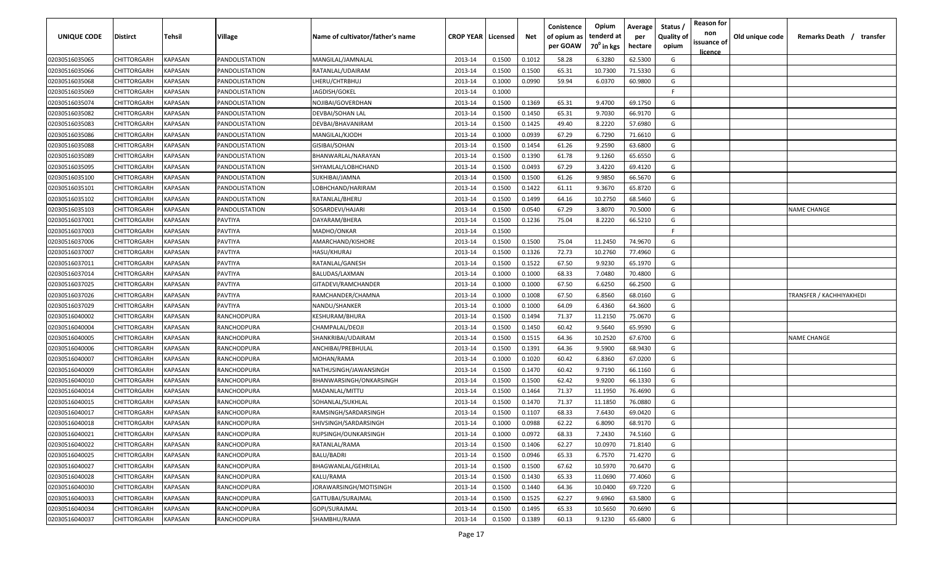| <b>UNIQUE CODE</b> | <b>Distirct</b>    | <b>Tehsil</b>  | Village        | Name of cultivator/father's name | <b>CROP YEAR   Licensed</b> |        | Net    | Conistence<br>of opium as<br>per GOAW | Opium<br>tenderd at<br>70 <sup>0</sup> in kgs | Average<br>per<br>hectare | Status /<br>Quality of<br>opium | <b>Reason for</b><br>non<br>issuance of | Old unique code | Remarks Death /<br>transfer |
|--------------------|--------------------|----------------|----------------|----------------------------------|-----------------------------|--------|--------|---------------------------------------|-----------------------------------------------|---------------------------|---------------------------------|-----------------------------------------|-----------------|-----------------------------|
| 02030516035065     | CHITTORGARH        | KAPASAN        | PANDOLISTATION | MANGILAL/JAMNALAL                | 2013-14                     | 0.1500 | 0.1012 | 58.28                                 | 6.3280                                        | 62.5300                   | G                               | <u>licence</u>                          |                 |                             |
| 02030516035066     | CHITTORGARH        | KAPASAN        | PANDOLISTATION | RATANLAL/UDAIRAM                 | 2013-14                     | 0.1500 | 0.1500 | 65.31                                 | 10.7300                                       | 71.5330                   | G                               |                                         |                 |                             |
| 02030516035068     | CHITTORGARH        | KAPASAN        | PANDOLISTATION | LHERU/CHTRBHUJ                   | 2013-14                     | 0.1000 | 0.0990 | 59.94                                 | 6.0370                                        | 60.9800                   | G                               |                                         |                 |                             |
| 02030516035069     | CHITTORGARH        | KAPASAN        | PANDOLISTATION | JAGDISH/GOKEL                    | 2013-14                     | 0.1000 |        |                                       |                                               |                           | -F.                             |                                         |                 |                             |
| 02030516035074     | CHITTORGARH        | KAPASAN        | PANDOLISTATION | NOJIBAI/GOVERDHAN                | 2013-14                     | 0.1500 | 0.1369 | 65.31                                 | 9.4700                                        | 69.1750                   | G                               |                                         |                 |                             |
| 02030516035082     | CHITTORGARH        | KAPASAN        | PANDOLISTATION | <b>DEVBAI/SOHAN LAL</b>          | 2013-14                     | 0.1500 | 0.1450 | 65.31                                 | 9.7030                                        | 66.9170                   | G                               |                                         |                 |                             |
| 02030516035083     | CHITTORGARH        | KAPASAN        | PANDOLISTATION | DEVBAI/BHAVANIRAM                | 2013-14                     | 0.1500 | 0.1425 | 49.40                                 | 8.2220                                        | 57.6980                   | G                               |                                         |                 |                             |
| 02030516035086     | CHITTORGARH        | KAPASAN        | PANDOLISTATION | MANGILAL/KJODH                   | 2013-14                     | 0.1000 | 0.0939 | 67.29                                 | 6.7290                                        | 71.6610                   | G                               |                                         |                 |                             |
| 02030516035088     | CHITTORGARH        | KAPASAN        | PANDOLISTATION | GISIBAI/SOHAN                    | 2013-14                     | 0.1500 | 0.1454 | 61.26                                 | 9.2590                                        | 63.6800                   | G                               |                                         |                 |                             |
| 02030516035089     | CHITTORGARH        | KAPASAN        | PANDOLISTATION | BHANWARLAL/NARAYAN               | 2013-14                     | 0.1500 | 0.1390 | 61.78                                 | 9.1260                                        | 65.6550                   | G                               |                                         |                 |                             |
| 02030516035095     | CHITTORGARH        | KAPASAN        | PANDOLISTATION | SHYAMLAL/LOBHCHAND               | 2013-14                     | 0.1500 | 0.0493 | 67.29                                 | 3.4220                                        | 69.4120                   | G                               |                                         |                 |                             |
| 02030516035100     | CHITTORGARH        | KAPASAN        | PANDOLISTATION | SUKHIBAI/JAMNA                   | 2013-14                     | 0.1500 | 0.1500 | 61.26                                 | 9.9850                                        | 66.5670                   | G                               |                                         |                 |                             |
| 02030516035101     | CHITTORGARH        | KAPASAN        | PANDOLISTATION | LOBHCHAND/HARIRAM                | 2013-14                     | 0.1500 | 0.1422 | 61.11                                 | 9.3670                                        | 65.8720                   | G                               |                                         |                 |                             |
| 02030516035102     | CHITTORGARH        | KAPASAN        | PANDOLISTATION | RATANLAL/BHERU                   | 2013-14                     | 0.1500 | 0.1499 | 64.16                                 | 10.2750                                       | 68.5460                   | G                               |                                         |                 |                             |
| 02030516035103     | CHITTORGARH        | KAPASAN        | PANDOLISTATION | SOSARDEVI/HAJARI                 | 2013-14                     | 0.1500 | 0.0540 | 67.29                                 | 3.8070                                        | 70.5000                   | G                               |                                         |                 | <b>NAME CHANGE</b>          |
| 02030516037001     | CHITTORGARH        | KAPASAN        | PAVTIYA        | DAYARAM/BHERA                    | 2013-14                     | 0.1500 | 0.1236 | 75.04                                 | 8.2220                                        | 66.5210                   | G                               |                                         |                 |                             |
| 02030516037003     | CHITTORGARH        | KAPASAN        | PAVTIYA        | MADHO/ONKAR                      | 2013-14                     | 0.1500 |        |                                       |                                               |                           | F.                              |                                         |                 |                             |
| 02030516037006     | CHITTORGARH        | KAPASAN        | PAVTIYA        | AMARCHAND/KISHORE                | 2013-14                     | 0.1500 | 0.1500 | 75.04                                 | 11.2450                                       | 74.9670                   | G                               |                                         |                 |                             |
| 02030516037007     | CHITTORGARH        | KAPASAN        | PAVTIYA        | HASU/KHURAJ                      | 2013-14                     | 0.1500 | 0.1326 | 72.73                                 | 10.2760                                       | 77.4960                   | G                               |                                         |                 |                             |
| 02030516037011     | CHITTORGARH        | KAPASAN        | PAVTIYA        | RATANLAL/GANESH                  | 2013-14                     | 0.1500 | 0.1522 | 67.50                                 | 9.9230                                        | 65.1970                   | G                               |                                         |                 |                             |
| 02030516037014     | CHITTORGARH        | KAPASAN        | PAVTIYA        | BALUDAS/LAXMAN                   | 2013-14                     | 0.1000 | 0.1000 | 68.33                                 | 7.0480                                        | 70.4800                   | G                               |                                         |                 |                             |
| 02030516037025     | CHITTORGARH        | KAPASAN        | PAVTIYA        | GITADEVI/RAMCHANDER              | 2013-14                     | 0.1000 | 0.1000 | 67.50                                 | 6.6250                                        | 66.2500                   | G                               |                                         |                 |                             |
| 02030516037026     | CHITTORGARH        | KAPASAN        | PAVTIYA        | RAMCHANDER/CHAMNA                | 2013-14                     | 0.1000 | 0.1008 | 67.50                                 | 6.8560                                        | 68.0160                   | G                               |                                         |                 | TRANSFER / KACHHIYAKHEDI    |
| 02030516037029     | CHITTORGARH        | KAPASAN        | PAVTIYA        | NANDU/SHANKER                    | 2013-14                     | 0.1000 | 0.1000 | 64.09                                 | 6.4360                                        | 64.3600                   | G                               |                                         |                 |                             |
| 02030516040002     | CHITTORGARH        | KAPASAN        | RANCHODPURA    | KESHURAM/BHURA                   | 2013-14                     | 0.1500 | 0.1494 | 71.37                                 | 11.2150                                       | 75.0670                   | G                               |                                         |                 |                             |
| 02030516040004     | CHITTORGARH        | KAPASAN        | RANCHODPURA    | CHAMPALAL/DEOJI                  | 2013-14                     | 0.1500 | 0.1450 | 60.42                                 | 9.5640                                        | 65.9590                   | G                               |                                         |                 |                             |
| 02030516040005     | CHITTORGARH        | KAPASAN        | RANCHODPURA    | SHANKRIBAI/UDAIRAM               | 2013-14                     | 0.1500 | 0.1515 | 64.36                                 | 10.2520                                       | 67.6700                   | G                               |                                         |                 | NAME CHANGE                 |
| 02030516040006     | CHITTORGARH        | KAPASAN        | RANCHODPURA    | ANCHIBAI/PREBHULAL               | 2013-14                     | 0.1500 | 0.1391 | 64.36                                 | 9.5900                                        | 68.9430                   | G                               |                                         |                 |                             |
| 02030516040007     | CHITTORGARH        | KAPASAN        | RANCHODPURA    | MOHAN/RAMA                       | 2013-14                     | 0.1000 | 0.1020 | 60.42                                 | 6.8360                                        | 67.0200                   | G                               |                                         |                 |                             |
| 02030516040009     | CHITTORGARH        | KAPASAN        | RANCHODPURA    | NATHUSINGH/JAWANSINGH            | 2013-14                     | 0.1500 | 0.1470 | 60.42                                 | 9.7190                                        | 66.1160                   | G                               |                                         |                 |                             |
| 02030516040010     | CHITTORGARH        | KAPASAN        | RANCHODPURA    | BHANWARSINGH/ONKARSINGH          | 2013-14                     | 0.1500 | 0.1500 | 62.42                                 | 9.9200                                        | 66.1330                   | G                               |                                         |                 |                             |
| 02030516040014     | CHITTORGARH        | KAPASAN        | RANCHODPURA    | MADANLAL/MITTU                   | 2013-14                     | 0.1500 | 0.1464 | 71.37                                 | 11.1950                                       | 76.4690                   | G                               |                                         |                 |                             |
| 02030516040015     | CHITTORGARH        | KAPASAN        | RANCHODPURA    | SOHANLAL/SUKHLAL                 | 2013-14                     | 0.1500 | 0.1470 | 71.37                                 | 11.1850                                       | 76.0880                   | G                               |                                         |                 |                             |
| 02030516040017     | CHITTORGARH        | KAPASAN        | RANCHODPURA    | RAMSINGH/SARDARSINGH             | 2013-14                     | 0.1500 | 0.1107 | 68.33                                 | 7.6430                                        | 69.0420                   | G                               |                                         |                 |                             |
| 02030516040018     | <b>CHITTORGARH</b> | KAPASAN        | RANCHODPURA    | SHIVSINGH/SARDARSINGH            | 2013-14                     | 0.1000 | 0.0988 | 62.22                                 | 6.8090                                        | 68.9170                   | G                               |                                         |                 |                             |
| 02030516040021     | <b>CHITTORGARH</b> | <b>KAPASAN</b> | RANCHODPURA    | RUPSINGH/OUNKARSINGH             | 2013-14                     | 0.1000 | 0.0972 | 68.33                                 | 7.2430                                        | 74.5160                   | G                               |                                         |                 |                             |
| 02030516040022     | <b>CHITTORGARH</b> | KAPASAN        | RANCHODPURA    | RATANLAL/RAMA                    | 2013-14                     | 0.1500 | 0.1406 | 62.27                                 | 10.0970                                       | 71.8140                   | G                               |                                         |                 |                             |
| 02030516040025     | <b>CHITTORGARH</b> | KAPASAN        | RANCHODPURA    | <b>BALU/BADRI</b>                | 2013-14                     | 0.1500 | 0.0946 | 65.33                                 | 6.7570                                        | 71.4270                   | G                               |                                         |                 |                             |
| 02030516040027     | CHITTORGARH        | <b>KAPASAN</b> | RANCHODPURA    | BHAGWANLAL/GEHRILAL              | 2013-14                     | 0.1500 | 0.1500 | 67.62                                 | 10.5970                                       | 70.6470                   | G                               |                                         |                 |                             |
| 02030516040028     | CHITTORGARH        | <b>KAPASAN</b> | RANCHODPURA    | KALU/RAMA                        | 2013-14                     | 0.1500 | 0.1430 | 65.33                                 | 11.0690                                       | 77.4060                   | G                               |                                         |                 |                             |
| 02030516040030     | CHITTORGARH        | KAPASAN        | RANCHODPURA    | JORAWARSINGH/MOTISINGH           | 2013-14                     | 0.1500 | 0.1440 | 64.36                                 | 10.0400                                       | 69.7220                   | G                               |                                         |                 |                             |
| 02030516040033     | CHITTORGARH        | KAPASAN        | RANCHODPURA    | GATTUBAI/SURAJMAL                | 2013-14                     | 0.1500 | 0.1525 | 62.27                                 | 9.6960                                        | 63.5800                   | G                               |                                         |                 |                             |
| 02030516040034     | CHITTORGARH        | KAPASAN        | RANCHODPURA    | GOPI/SURAJMAL                    | 2013-14                     | 0.1500 | 0.1495 | 65.33                                 | 10.5650                                       | 70.6690                   | G                               |                                         |                 |                             |
| 02030516040037     | CHITTORGARH        | KAPASAN        | RANCHODPURA    | SHAMBHU/RAMA                     | 2013-14                     | 0.1500 | 0.1389 | 60.13                                 | 9.1230                                        | 65.6800                   | G                               |                                         |                 |                             |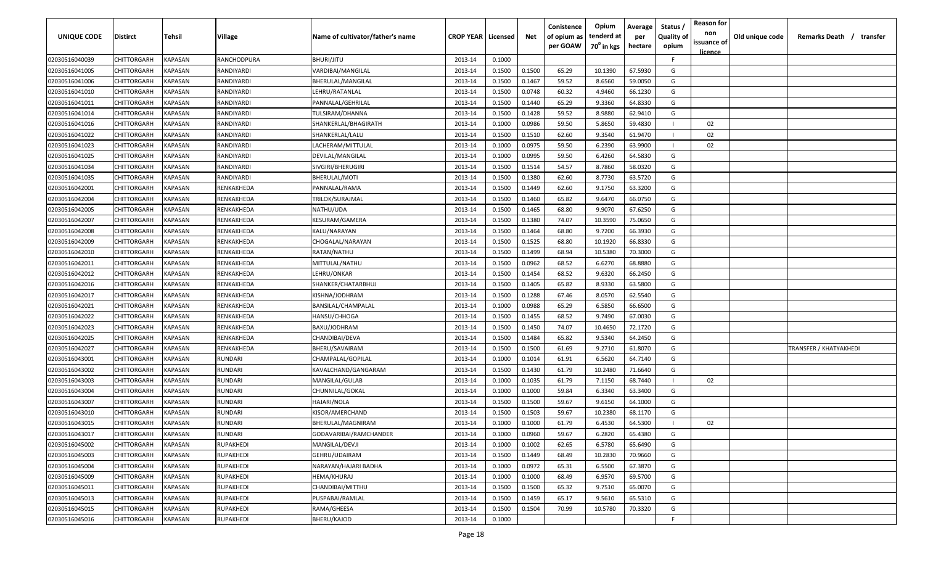| UNIQUE CODE    | Distirct           | Tehsil         | Village          | Name of cultivator/father's name | <b>CROP YEAR   Licensed</b> |        | Net    | Conistence<br>of opium as | Opium<br>tenderd at    | Average<br>per | Status /<br><b>Quality of</b> | <b>Reason for</b><br>non | Old unique code | Remarks Death / transfer |
|----------------|--------------------|----------------|------------------|----------------------------------|-----------------------------|--------|--------|---------------------------|------------------------|----------------|-------------------------------|--------------------------|-----------------|--------------------------|
|                |                    |                |                  |                                  |                             |        |        | per GOAW                  | 70 <sup>0</sup> in kgs | hectare        | opium                         | issuance of              |                 |                          |
| 02030516040039 | CHITTORGARH        | <b>KAPASAN</b> | RANCHODPURA      | BHURI/JITU                       | 2013-14                     | 0.1000 |        |                           |                        |                | F                             | <u>licence</u>           |                 |                          |
| 02030516041005 | CHITTORGARH        | KAPASAN        | RANDIYARDI       | VARDIBAI/MANGILAL                | 2013-14                     | 0.1500 | 0.1500 | 65.29                     | 10.1390                | 67.5930        | G                             |                          |                 |                          |
| 02030516041006 | CHITTORGARH        | KAPASAN        | RANDIYARDI       | BHERULAL/MANGILAL                | 2013-14                     | 0.1500 | 0.1467 | 59.52                     | 8.6560                 | 59.0050        | G                             |                          |                 |                          |
| 02030516041010 | CHITTORGARH        | KAPASAN        | RANDIYARDI       | LEHRU/RATANLAL                   | 2013-14                     | 0.1500 | 0.0748 | 60.32                     | 4.9460                 | 66.1230        | G                             |                          |                 |                          |
| 02030516041011 | CHITTORGARH        | KAPASAN        | RANDIYARDI       | PANNALAL/GEHRILAL                | 2013-14                     | 0.1500 | 0.1440 | 65.29                     | 9.3360                 | 64.8330        | G                             |                          |                 |                          |
| 02030516041014 | CHITTORGARH        | KAPASAN        | RANDIYARDI       | TULSIRAM/DHANNA                  | 2013-14                     | 0.1500 | 0.1428 | 59.52                     | 8.9880                 | 62.9410        | G                             |                          |                 |                          |
| 02030516041016 | CHITTORGARH        | KAPASAN        | RANDIYARDI       | SHANKERLAL/BHAGIRATH             | 2013-14                     | 0.1000 | 0.0986 | 59.50                     | 5.8650                 | 59.4830        |                               | 02                       |                 |                          |
| 02030516041022 | CHITTORGARH        | KAPASAN        | RANDIYARDI       | SHANKERLAL/LALU                  | 2013-14                     | 0.1500 | 0.1510 | 62.60                     | 9.3540                 | 61.9470        |                               | 02                       |                 |                          |
| 02030516041023 | CHITTORGARH        | KAPASAN        | RANDIYARDI       | LACHERAM/MITTULAL                | 2013-14                     | 0.1000 | 0.0975 | 59.50                     | 6.2390                 | 63.9900        |                               | 02                       |                 |                          |
| 02030516041025 | CHITTORGARH        | KAPASAN        | RANDIYARDI       | DEVILAL/MANGILAL                 | 2013-14                     | 0.1000 | 0.0995 | 59.50                     | 6.4260                 | 64.5830        | G                             |                          |                 |                          |
| 02030516041034 | CHITTORGARH        | KAPASAN        | RANDIYARDI       | SIVGIRI/BHERUGIRI                | 2013-14                     | 0.1500 | 0.1514 | 54.57                     | 8.7860                 | 58.0320        | G                             |                          |                 |                          |
| 02030516041035 | CHITTORGARH        | KAPASAN        | RANDIYARDI       | BHERULAL/MOTI                    | 2013-14                     | 0.1500 | 0.1380 | 62.60                     | 8.7730                 | 63.5720        | G                             |                          |                 |                          |
| 02030516042001 | CHITTORGARH        | KAPASAN        | RENKAKHEDA       | PANNALAL/RAMA                    | 2013-14                     | 0.1500 | 0.1449 | 62.60                     | 9.1750                 | 63.3200        | G                             |                          |                 |                          |
| 02030516042004 | CHITTORGARH        | KAPASAN        | RENKAKHEDA       | TRILOK/SURAJMAL                  | 2013-14                     | 0.1500 | 0.1460 | 65.82                     | 9.6470                 | 66.0750        | G                             |                          |                 |                          |
| 02030516042005 | CHITTORGARH        | KAPASAN        | RENKAKHEDA       | NATHU/UDA                        | 2013-14                     | 0.1500 | 0.1465 | 68.80                     | 9.9070                 | 67.6250        | G                             |                          |                 |                          |
| 02030516042007 | CHITTORGARH        | KAPASAN        | RENKAKHEDA       | KESURAM/GAMERA                   | 2013-14                     | 0.1500 | 0.1380 | 74.07                     | 10.3590                | 75.0650        | G                             |                          |                 |                          |
| 02030516042008 | CHITTORGARH        | KAPASAN        | RENKAKHEDA       | KALU/NARAYAN                     | 2013-14                     | 0.1500 | 0.1464 | 68.80                     | 9.7200                 | 66.3930        | G                             |                          |                 |                          |
| 02030516042009 | CHITTORGARH        | KAPASAN        | RENKAKHEDA       | CHOGALAL/NARAYAN                 | 2013-14                     | 0.1500 | 0.1525 | 68.80                     | 10.1920                | 66.8330        | G                             |                          |                 |                          |
| 02030516042010 | CHITTORGARH        | KAPASAN        | RENKAKHEDA       | RATAN/NATHU                      | 2013-14                     | 0.1500 | 0.1499 | 68.94                     | 10.5380                | 70.3000        | G                             |                          |                 |                          |
| 02030516042011 | CHITTORGARH        | KAPASAN        | RENKAKHEDA       | MITTULAL/NATHU                   | 2013-14                     | 0.1500 | 0.0962 | 68.52                     | 6.6270                 | 68.8880        | G                             |                          |                 |                          |
| 02030516042012 | CHITTORGARH        | KAPASAN        | RENKAKHEDA       | LEHRU/ONKAR                      | 2013-14                     | 0.1500 | 0.1454 | 68.52                     | 9.6320                 | 66.2450        | G                             |                          |                 |                          |
| 02030516042016 | CHITTORGARH        | KAPASAN        | RENKAKHEDA       | SHANKER/CHATARBHUJ               | 2013-14                     | 0.1500 | 0.1405 | 65.82                     | 8.9330                 | 63.5800        | G                             |                          |                 |                          |
| 02030516042017 | CHITTORGARH        | KAPASAN        | RENKAKHEDA       | KISHNA/JODHRAM                   | 2013-14                     | 0.1500 | 0.1288 | 67.46                     | 8.0570                 | 62.5540        | G                             |                          |                 |                          |
| 02030516042021 | CHITTORGARH        | KAPASAN        | RENKAKHEDA       | BANSILAL/CHAMPALAL               | 2013-14                     | 0.1000 | 0.0988 | 65.29                     | 6.5850                 | 66.6500        | G                             |                          |                 |                          |
| 02030516042022 | CHITTORGARH        | KAPASAN        | RENKAKHEDA       | HANSU/CHHOGA                     | 2013-14                     | 0.1500 | 0.1455 | 68.52                     | 9.7490                 | 67.0030        | G                             |                          |                 |                          |
| 02030516042023 | CHITTORGARH        | KAPASAN        | RENKAKHEDA       | BAXU/JODHRAM                     | 2013-14                     | 0.1500 | 0.1450 | 74.07                     | 10.4650                | 72.1720        | G                             |                          |                 |                          |
| 02030516042025 | CHITTORGARH        | KAPASAN        | RENKAKHEDA       | CHANDIBAI/DEVA                   | 2013-14                     | 0.1500 | 0.1484 | 65.82                     | 9.5340                 | 64.2450        | G                             |                          |                 |                          |
| 02030516042027 | CHITTORGARH        | KAPASAN        | RENKAKHEDA       | BHERU/SAVAIRAM                   | 2013-14                     | 0.1500 | 0.1500 | 61.69                     | 9.2710                 | 61.8070        | G                             |                          |                 | TRANSFER / KHATYAKHEDI   |
| 02030516043001 | CHITTORGARH        | KAPASAN        | RUNDARI          | CHAMPALAL/GOPILAL                | 2013-14                     | 0.1000 | 0.1014 | 61.91                     | 6.5620                 | 64.7140        | G                             |                          |                 |                          |
| 02030516043002 | CHITTORGARH        | KAPASAN        | RUNDARI          | KAVALCHAND/GANGARAM              | 2013-14                     | 0.1500 | 0.1430 | 61.79                     | 10.2480                | 71.6640        | G                             |                          |                 |                          |
| 02030516043003 | CHITTORGARH        | KAPASAN        | RUNDARI          | MANGILAL/GULAB                   | 2013-14                     | 0.1000 | 0.1035 | 61.79                     | 7.1150                 | 68.7440        |                               | 02                       |                 |                          |
| 02030516043004 | CHITTORGARH        | KAPASAN        | RUNDARI          | CHUNNILAL/GOKAL                  | 2013-14                     | 0.1000 | 0.1000 | 59.84                     | 6.3340                 | 63.3400        | G                             |                          |                 |                          |
| 02030516043007 | CHITTORGARH        | KAPASAN        | <b>RUNDARI</b>   | HAJARI/NOLA                      | 2013-14                     | 0.1500 | 0.1500 | 59.67                     | 9.6150                 | 64.1000        | G                             |                          |                 |                          |
| 02030516043010 | CHITTORGARH        | KAPASAN        | RUNDARI          | KISOR/AMERCHAND                  | 2013-14                     | 0.1500 | 0.1503 | 59.67                     | 10.2380                | 68.1170        | G                             |                          |                 |                          |
| 02030516043015 | CHITTORGARH        | KAPASAN        | <b>RUNDARI</b>   | BHERULAL/MAGNIRAM                | 2013-14                     | 0.1000 | 0.1000 | 61.79                     | 6.4530                 | 64.5300        |                               | 02                       |                 |                          |
| 02030516043017 | <b>CHITTORGARH</b> | KAPASAN        | RUNDARI          | GODAVARIBAI/RAMCHANDER           | 2013-14                     | 0.1000 | 0.0960 | 59.67                     | 6.2820                 | 65.4380        | G                             |                          |                 |                          |
| 02030516045002 | CHITTORGARH        | <b>KAPASAN</b> | RUPAKHEDI        | MANGILAL/DEVJI                   | 2013-14                     | 0.1000 | 0.1002 | 62.65                     | 6.5780                 | 65.6490        | G                             |                          |                 |                          |
| 02030516045003 | <b>CHITTORGARH</b> | <b>KAPASAN</b> | RUPAKHEDI        | GEHRU/UDAIRAM                    | 2013-14                     | 0.1500 | 0.1449 | 68.49                     | 10.2830                | 70.9660        | G                             |                          |                 |                          |
| 02030516045004 | <b>CHITTORGARH</b> | <b>KAPASAN</b> | RUPAKHEDI        | NARAYAN/HAJARI BADHA             | 2013-14                     | 0.1000 | 0.0972 | 65.31                     | 6.5500                 | 67.3870        | G                             |                          |                 |                          |
| 02030516045009 | CHITTORGARH        | KAPASAN        | RUPAKHEDI        | HEMA/KHURAJ                      | 2013-14                     | 0.1000 | 0.1000 | 68.49                     | 6.9570                 | 69.5700        | G                             |                          |                 |                          |
| 02030516045011 | CHITTORGARH        | KAPASAN        | RUPAKHEDI        | CHANDIBAI/MITTHU                 | 2013-14                     | 0.1500 | 0.1500 | 65.32                     | 9.7510                 | 65.0070        | G                             |                          |                 |                          |
| 02030516045013 | CHITTORGARH        | KAPASAN        | <b>RUPAKHEDI</b> | PUSPABAI/RAMLAL                  | 2013-14                     | 0.1500 | 0.1459 | 65.17                     | 9.5610                 | 65.5310        | G                             |                          |                 |                          |
| 02030516045015 | CHITTORGARH        | KAPASAN        | <b>RUPAKHEDI</b> | RAMA/GHEESA                      | 2013-14                     | 0.1500 | 0.1504 | 70.99                     | 10.5780                | 70.3320        | G                             |                          |                 |                          |
| 02030516045016 | CHITTORGARH        | KAPASAN        | RUPAKHEDI        | BHERU/KAJOD                      | 2013-14                     | 0.1000 |        |                           |                        |                | F.                            |                          |                 |                          |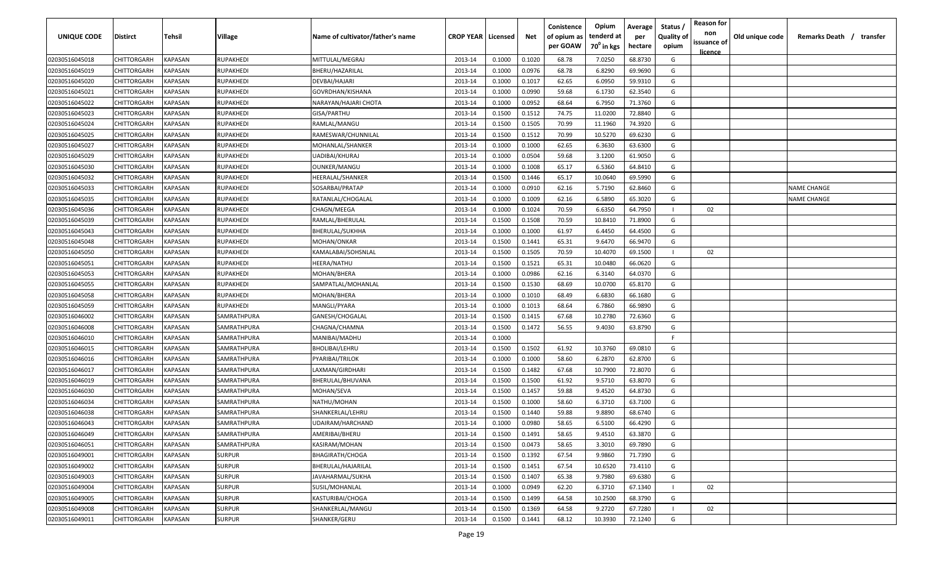| <b>UNIQUE CODE</b> | Distirct           | Tehsil         | Village       | Name of cultivator/father's name | <b>CROP YEAR   Licensed</b> |        | Net    | Conistence<br>of opium as | Opium<br>tenderd at    | Average<br>per | Status /<br><b>Quality of</b> | <b>Reason for</b><br>non      | Old unique code | Remarks Death / transfer |
|--------------------|--------------------|----------------|---------------|----------------------------------|-----------------------------|--------|--------|---------------------------|------------------------|----------------|-------------------------------|-------------------------------|-----------------|--------------------------|
|                    |                    |                |               |                                  |                             |        |        | per GOAW                  | 70 <sup>0</sup> in kgs | hectare        | opium                         | issuance of<br><u>licence</u> |                 |                          |
| 02030516045018     | CHITTORGARH        | <b>KAPASAN</b> | RUPAKHEDI     | MITTULAL/MEGRAJ                  | 2013-14                     | 0.1000 | 0.1020 | 68.78                     | 7.0250                 | 68.8730        | G                             |                               |                 |                          |
| 02030516045019     | CHITTORGARH        | KAPASAN        | RUPAKHEDI     | BHERU/HAZARILAL                  | 2013-14                     | 0.1000 | 0.0976 | 68.78                     | 6.8290                 | 69.9690        | G                             |                               |                 |                          |
| 02030516045020     | CHITTORGARH        | KAPASAN        | RUPAKHEDI     | DEVBAI/HAJARI                    | 2013-14                     | 0.1000 | 0.1017 | 62.65                     | 6.0950                 | 59.9310        | G                             |                               |                 |                          |
| 02030516045021     | CHITTORGARH        | KAPASAN        | RUPAKHEDI     | GOVRDHAN/KISHANA                 | 2013-14                     | 0.1000 | 0.0990 | 59.68                     | 6.1730                 | 62.3540        | G                             |                               |                 |                          |
| 02030516045022     | CHITTORGARH        | KAPASAN        | RUPAKHEDI     | NARAYAN/HAJARI CHOTA             | 2013-14                     | 0.1000 | 0.0952 | 68.64                     | 6.7950                 | 71.3760        | G                             |                               |                 |                          |
| 02030516045023     | CHITTORGARH        | KAPASAN        | RUPAKHEDI     | GISA/PARTHU                      | 2013-14                     | 0.1500 | 0.1512 | 74.75                     | 11.0200                | 72.8840        | G                             |                               |                 |                          |
| 02030516045024     | CHITTORGARH        | KAPASAN        | RUPAKHEDI     | RAMLAL/MANGU                     | 2013-14                     | 0.1500 | 0.1505 | 70.99                     | 11.1960                | 74.3920        | G                             |                               |                 |                          |
| 02030516045025     | CHITTORGARH        | KAPASAN        | RUPAKHEDI     | RAMESWAR/CHUNNILAL               | 2013-14                     | 0.1500 | 0.1512 | 70.99                     | 10.5270                | 69.6230        | G                             |                               |                 |                          |
| 02030516045027     | CHITTORGARH        | KAPASAN        | RUPAKHEDI     | MOHANLAL/SHANKER                 | 2013-14                     | 0.1000 | 0.1000 | 62.65                     | 6.3630                 | 63.6300        | G                             |                               |                 |                          |
| 02030516045029     | CHITTORGARH        | KAPASAN        | RUPAKHEDI     | UADIBAI/KHURAJ                   | 2013-14                     | 0.1000 | 0.0504 | 59.68                     | 3.1200                 | 61.9050        | G                             |                               |                 |                          |
| 02030516045030     | CHITTORGARH        | KAPASAN        | RUPAKHEDI     | OUNKER/MANGU                     | 2013-14                     | 0.1000 | 0.1008 | 65.17                     | 6.5360                 | 64.8410        | G                             |                               |                 |                          |
| 02030516045032     | CHITTORGARH        | KAPASAN        | RUPAKHEDI     | HEERALAL/SHANKER                 | 2013-14                     | 0.1500 | 0.1446 | 65.17                     | 10.0640                | 69.5990        | G                             |                               |                 |                          |
| 02030516045033     | CHITTORGARH        | KAPASAN        | RUPAKHEDI     | SOSARBAI/PRATAP                  | 2013-14                     | 0.1000 | 0.0910 | 62.16                     | 5.7190                 | 62.8460        | G                             |                               |                 | <b>NAME CHANGE</b>       |
| 02030516045035     | CHITTORGARH        | KAPASAN        | RUPAKHEDI     | RATANLAL/CHOGALAL                | 2013-14                     | 0.1000 | 0.1009 | 62.16                     | 6.5890                 | 65.3020        | G                             |                               |                 | NAME CHANGE              |
| 02030516045036     | CHITTORGARH        | KAPASAN        | RUPAKHEDI     | CHAGN/MEEGA                      | 2013-14                     | 0.1000 | 0.1024 | 70.59                     | 6.6350                 | 64.7950        |                               | 02                            |                 |                          |
| 02030516045039     | CHITTORGARH        | KAPASAN        | RUPAKHEDI     | RAMLAL/BHERULAL                  | 2013-14                     | 0.1500 | 0.1508 | 70.59                     | 10.8410                | 71.8900        | G                             |                               |                 |                          |
| 02030516045043     | CHITTORGARH        | KAPASAN        | RUPAKHEDI     | BHERULAL/SUKHHA                  | 2013-14                     | 0.1000 | 0.1000 | 61.97                     | 6.4450                 | 64.4500        | G                             |                               |                 |                          |
| 02030516045048     | CHITTORGARH        | KAPASAN        | RUPAKHEDI     | MOHAN/ONKAR                      | 2013-14                     | 0.1500 | 0.1441 | 65.31                     | 9.6470                 | 66.9470        | G                             |                               |                 |                          |
| 02030516045050     | CHITTORGARH        | KAPASAN        | RUPAKHEDI     | KAMALABAI/SOHSNLAL               | 2013-14                     | 0.1500 | 0.1505 | 70.59                     | 10.4070                | 69.1500        |                               | 02                            |                 |                          |
| 02030516045051     | CHITTORGARH        | KAPASAN        | RUPAKHEDI     | HEERA/NATHU                      | 2013-14                     | 0.1500 | 0.1521 | 65.31                     | 10.0480                | 66.0620        | G                             |                               |                 |                          |
| 02030516045053     | CHITTORGARH        | KAPASAN        | RUPAKHEDI     | MOHAN/BHERA                      | 2013-14                     | 0.1000 | 0.0986 | 62.16                     | 6.3140                 | 64.0370        | G                             |                               |                 |                          |
| 02030516045055     | CHITTORGARH        | KAPASAN        | RUPAKHEDI     | SAMPATLAL/MOHANLAL               | 2013-14                     | 0.1500 | 0.1530 | 68.69                     | 10.0700                | 65.8170        | G                             |                               |                 |                          |
| 02030516045058     | CHITTORGARH        | KAPASAN        | RUPAKHEDI     | MOHAN/BHERA                      | 2013-14                     | 0.1000 | 0.1010 | 68.49                     | 6.6830                 | 66.1680        | G                             |                               |                 |                          |
| 02030516045059     | CHITTORGARH        | KAPASAN        | RUPAKHEDI     | MANGLI/PYARA                     | 2013-14                     | 0.1000 | 0.1013 | 68.64                     | 6.7860                 | 66.9890        | G                             |                               |                 |                          |
| 02030516046002     | CHITTORGARH        | KAPASAN        | SAMRATHPURA   | GANESH/CHOGALAL                  | 2013-14                     | 0.1500 | 0.1415 | 67.68                     | 10.2780                | 72.6360        | G                             |                               |                 |                          |
| 02030516046008     | CHITTORGARH        | KAPASAN        | SAMRATHPURA   | CHAGNA/CHAMNA                    | 2013-14                     | 0.1500 | 0.1472 | 56.55                     | 9.4030                 | 63.8790        | G                             |                               |                 |                          |
| 02030516046010     | CHITTORGARH        | KAPASAN        | SAMRATHPURA   | MANIBAI/MADHU                    | 2013-14                     | 0.1000 |        |                           |                        |                | F.                            |                               |                 |                          |
| 02030516046015     | CHITTORGARH        | KAPASAN        | SAMRATHPURA   | BHOLIBAI/LEHRU                   | 2013-14                     | 0.1500 | 0.1502 | 61.92                     | 10.3760                | 69.0810        | G                             |                               |                 |                          |
| 02030516046016     | CHITTORGARH        | KAPASAN        | SAMRATHPURA   | PYARIBAI/TRILOK                  | 2013-14                     | 0.1000 | 0.1000 | 58.60                     | 6.2870                 | 62.8700        | G                             |                               |                 |                          |
| 02030516046017     | CHITTORGARH        | KAPASAN        | SAMRATHPURA   | LAXMAN/GIRDHARI                  | 2013-14                     | 0.1500 | 0.1482 | 67.68                     | 10.7900                | 72.8070        | G                             |                               |                 |                          |
| 02030516046019     | CHITTORGARH        | KAPASAN        | SAMRATHPURA   | BHERULAL/BHUVANA                 | 2013-14                     | 0.1500 | 0.1500 | 61.92                     | 9.5710                 | 63.8070        | G                             |                               |                 |                          |
| 02030516046030     | CHITTORGARH        | KAPASAN        | SAMRATHPURA   | MOHAN/SEVA                       | 2013-14                     | 0.1500 | 0.1457 | 59.88                     | 9.4520                 | 64.8730        | G                             |                               |                 |                          |
| 02030516046034     | CHITTORGARH        | KAPASAN        | SAMRATHPURA   | NATHU/MOHAN                      | 2013-14                     | 0.1500 | 0.1000 | 58.60                     | 6.3710                 | 63.7100        | G                             |                               |                 |                          |
| 02030516046038     | CHITTORGARH        | KAPASAN        | SAMRATHPURA   | SHANKERLAL/LEHRU                 | 2013-14                     | 0.1500 | 0.1440 | 59.88                     | 9.8890                 | 68.6740        | G                             |                               |                 |                          |
| 02030516046043     | CHITTORGARH        | KAPASAN        | SAMRATHPURA   | UDAIRAM/HARCHAND                 | 2013-14                     | 0.1000 | 0.0980 | 58.65                     | 6.5100                 | 66.4290        | G                             |                               |                 |                          |
| 02030516046049     | <b>CHITTORGARH</b> | KAPASAN        | SAMRATHPURA   | AMERIBAI/BHERU                   | 2013-14                     | 0.1500 | 0.1491 | 58.65                     | 9.4510                 | 63.3870        | G                             |                               |                 |                          |
| 02030516046051     | CHITTORGARH        | KAPASAN        | SAMRATHPURA   | KASIRAM/MOHAN                    | 2013-14                     | 0.1500 | 0.0473 | 58.65                     | 3.3010                 | 69.7890        | G                             |                               |                 |                          |
| 02030516049001     | <b>CHITTORGARH</b> | <b>KAPASAN</b> | <b>SURPUR</b> | <b>BHAGIRATH/CHOGA</b>           | 2013-14                     | 0.1500 | 0.1392 | 67.54                     | 9.9860                 | 71.7390        | G                             |                               |                 |                          |
| 02030516049002     | <b>CHITTORGARH</b> | KAPASAN        | <b>SURPUR</b> | BHERULAL/HAJARILAL               | 2013-14                     | 0.1500 | 0.1451 | 67.54                     | 10.6520                | 73.4110        | G                             |                               |                 |                          |
| 02030516049003     | CHITTORGARH        | KAPASAN        | <b>SURPUR</b> | JAVAHARMAL/SUKHA                 | 2013-14                     | 0.1500 | 0.1407 | 65.38                     | 9.7980                 | 69.6380        | G                             |                               |                 |                          |
| 02030516049004     | CHITTORGARH        | KAPASAN        | <b>SURPUR</b> | SUSIL/MOHANLAL                   | 2013-14                     | 0.1000 | 0.0949 | 62.20                     | 6.3710                 | 67.1340        |                               | 02                            |                 |                          |
| 02030516049005     | CHITTORGARH        | KAPASAN        | <b>SURPUR</b> | KASTURIBAI/CHOGA                 | 2013-14                     | 0.1500 | 0.1499 | 64.58                     | 10.2500                | 68.3790        | G                             |                               |                 |                          |
| 02030516049008     | CHITTORGARH        | KAPASAN        | <b>SURPUR</b> | SHANKERLAL/MANGU                 | 2013-14                     | 0.1500 | 0.1369 | 64.58                     | 9.2720                 | 67.7280        |                               | 02                            |                 |                          |
| 02030516049011     | CHITTORGARH        | KAPASAN        | <b>SURPUR</b> | SHANKER/GERU                     | 2013-14                     | 0.1500 | 0.1441 | 68.12                     | 10.3930                | 72.1240        | G                             |                               |                 |                          |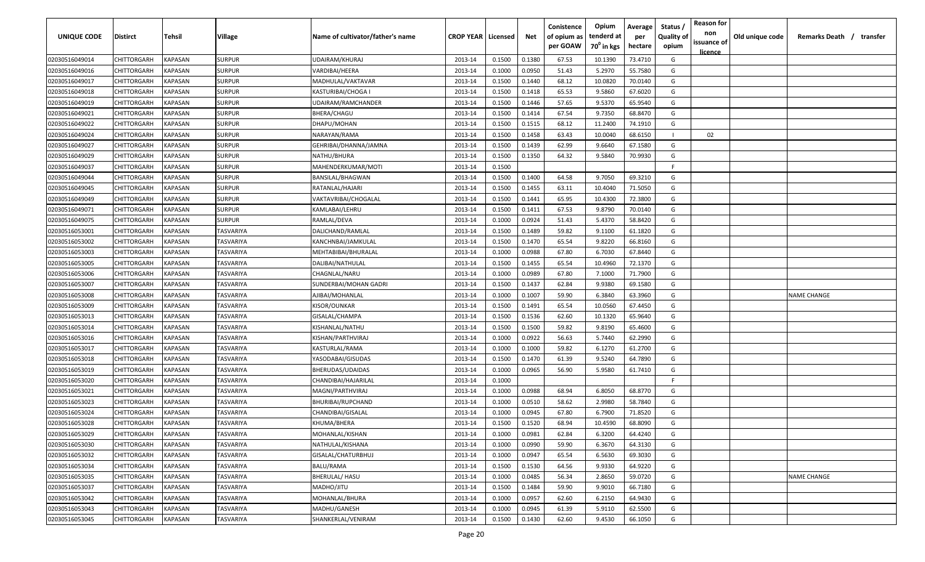| <b>UNIQUE CODE</b> | Distirct           | Tehsil         | Village       | Name of cultivator/father's name | <b>CROP YEAR   Licensed</b> |        | Net    | Conistence<br>of opium as | Opium<br>tenderd at    | Average<br>per | Status /<br><b>Quality of</b> | <b>Reason for</b><br>non | Old unique code | Remarks Death /<br>transfer |
|--------------------|--------------------|----------------|---------------|----------------------------------|-----------------------------|--------|--------|---------------------------|------------------------|----------------|-------------------------------|--------------------------|-----------------|-----------------------------|
|                    |                    |                |               |                                  |                             |        |        | per GOAW                  | 70 <sup>0</sup> in kgs | hectare        | opium                         | issuance of              |                 |                             |
| 02030516049014     | CHITTORGARH        | <b>KAPASAN</b> | <b>SURPUR</b> | UDAIRAM/KHURAJ                   | 2013-14                     | 0.1500 | 0.1380 | 67.53                     | 10.1390                | 73.4710        | G                             | <u>licence</u>           |                 |                             |
| 02030516049016     | CHITTORGARH        | KAPASAN        | <b>SURPUR</b> | VARDIBAI/HEERA                   | 2013-14                     | 0.1000 | 0.0950 | 51.43                     | 5.2970                 | 55.7580        | G                             |                          |                 |                             |
| 02030516049017     | CHITTORGARH        | KAPASAN        | <b>SURPUR</b> | MADHULAL/VAKTAVAR                | 2013-14                     | 0.1500 | 0.1440 | 68.12                     | 10.0820                | 70.0140        | G                             |                          |                 |                             |
| 02030516049018     | CHITTORGARH        | KAPASAN        | <b>SURPUR</b> | KASTURIBAI/CHOGA I               | 2013-14                     | 0.1500 | 0.1418 | 65.53                     | 9.5860                 | 67.6020        | G                             |                          |                 |                             |
| 02030516049019     | CHITTORGARH        | KAPASAN        | <b>SURPUR</b> | UDAIRAM/RAMCHANDER               | 2013-14                     | 0.1500 | 0.1446 | 57.65                     | 9.5370                 | 65.9540        | G                             |                          |                 |                             |
| 02030516049021     | CHITTORGARH        | KAPASAN        | <b>SURPUR</b> | BHERA/CHAGU                      | 2013-14                     | 0.1500 | 0.1414 | 67.54                     | 9.7350                 | 68.8470        | G                             |                          |                 |                             |
| 02030516049022     | <b>CHITTORGARH</b> | KAPASAN        | <b>SURPUR</b> | DHAPU/MOHAN                      | 2013-14                     | 0.1500 | 0.1515 | 68.12                     | 11.2400                | 74.1910        | G                             |                          |                 |                             |
| 02030516049024     | CHITTORGARH        | KAPASAN        | <b>SURPUR</b> | NARAYAN/RAMA                     | 2013-14                     | 0.1500 | 0.1458 | 63.43                     | 10.0040                | 68.6150        |                               | 02                       |                 |                             |
| 02030516049027     | CHITTORGARH        | KAPASAN        | <b>SURPUR</b> | GEHRIBAI/DHANNA/JAMNA            | 2013-14                     | 0.1500 | 0.1439 | 62.99                     | 9.6640                 | 67.1580        | G                             |                          |                 |                             |
| 02030516049029     | CHITTORGARH        | KAPASAN        | <b>SURPUR</b> | NATHU/BHURA                      | 2013-14                     | 0.1500 | 0.1350 | 64.32                     | 9.5840                 | 70.9930        | G                             |                          |                 |                             |
| 02030516049037     | CHITTORGARH        | KAPASAN        | SURPUR        | MAHENDERKUMAR/MOTI               | 2013-14                     | 0.1500 |        |                           |                        |                | -F.                           |                          |                 |                             |
| 02030516049044     | CHITTORGARH        | KAPASAN        | <b>SURPUR</b> | BANSILAL/BHAGWAN                 | 2013-14                     | 0.1500 | 0.1400 | 64.58                     | 9.7050                 | 69.3210        | G                             |                          |                 |                             |
| 02030516049045     | CHITTORGARH        | KAPASAN        | <b>SURPUR</b> | RATANLAL/HAJARI                  | 2013-14                     | 0.1500 | 0.1455 | 63.11                     | 10.4040                | 71.5050        | G                             |                          |                 |                             |
| 02030516049049     | CHITTORGARH        | KAPASAN        | <b>SURPUR</b> | VAKTAVRIBAI/CHOGALAL             | 2013-14                     | 0.1500 | 0.1441 | 65.95                     | 10.4300                | 72.3800        | G                             |                          |                 |                             |
| 02030516049071     | CHITTORGARH        | KAPASAN        | <b>SURPUR</b> | KAMLABAI/LEHRU                   | 2013-14                     | 0.1500 | 0.1411 | 67.53                     | 9.8790                 | 70.0140        | G                             |                          |                 |                             |
| 02030516049075     | CHITTORGARH        | KAPASAN        | <b>SURPUR</b> | RAMLAL/DEVA                      | 2013-14                     | 0.1000 | 0.0924 | 51.43                     | 5.4370                 | 58.8420        | G                             |                          |                 |                             |
| 02030516053001     | CHITTORGARH        | KAPASAN        | TASVARIYA     | DALICHAND/RAMLAL                 | 2013-14                     | 0.1500 | 0.1489 | 59.82                     | 9.1100                 | 61.1820        | G                             |                          |                 |                             |
| 02030516053002     | CHITTORGARH        | KAPASAN        | TASVARIYA     | KANCHNBAI/JAMKULAL               | 2013-14                     | 0.1500 | 0.1470 | 65.54                     | 9.8220                 | 66.8160        | G                             |                          |                 |                             |
| 02030516053003     | CHITTORGARH        | KAPASAN        | TASVARIYA     | MEHTABIBAI/BHURALAL              | 2013-14                     | 0.1000 | 0.0988 | 67.80                     | 6.7030                 | 67.8440        | G                             |                          |                 |                             |
| 02030516053005     | CHITTORGARH        | KAPASAN        | TASVARIYA     | DALIBAI/NATHULAL                 | 2013-14                     | 0.1500 | 0.1455 | 65.54                     | 10.4960                | 72.1370        | G                             |                          |                 |                             |
| 02030516053006     | CHITTORGARH        | KAPASAN        | TASVARIYA     | CHAGNLAL/NARU                    | 2013-14                     | 0.1000 | 0.0989 | 67.80                     | 7.1000                 | 71.7900        | G                             |                          |                 |                             |
| 02030516053007     | CHITTORGARH        | KAPASAN        | TASVARIYA     | SUNDERBAI/MOHAN GADRI            | 2013-14                     | 0.1500 | 0.1437 | 62.84                     | 9.9380                 | 69.1580        | G                             |                          |                 |                             |
| 02030516053008     | CHITTORGARH        | KAPASAN        | TASVARIYA     | AJIBAI/MOHANLAL                  | 2013-14                     | 0.1000 | 0.1007 | 59.90                     | 6.3840                 | 63.3960        | G                             |                          |                 | <b>NAME CHANGE</b>          |
| 02030516053009     | CHITTORGARH        | KAPASAN        | TASVARIYA     | KISOR/OUNKAR                     | 2013-14                     | 0.1500 | 0.1491 | 65.54                     | 10.0560                | 67.4450        | G                             |                          |                 |                             |
| 02030516053013     | CHITTORGARH        | KAPASAN        | TASVARIYA     | GISALAL/CHAMPA                   | 2013-14                     | 0.1500 | 0.1536 | 62.60                     | 10.1320                | 65.9640        | G                             |                          |                 |                             |
| 02030516053014     | CHITTORGARH        | KAPASAN        | TASVARIYA     | KISHANLAL/NATHU                  | 2013-14                     | 0.1500 | 0.1500 | 59.82                     | 9.8190                 | 65.4600        | G                             |                          |                 |                             |
| 02030516053016     | CHITTORGARH        | KAPASAN        | TASVARIYA     | KISHAN/PARTHVIRAJ                | 2013-14                     | 0.1000 | 0.0922 | 56.63                     | 5.7440                 | 62.2990        | G                             |                          |                 |                             |
| 02030516053017     | CHITTORGARH        | KAPASAN        | TASVARIYA     | KASTURLAL/RAMA                   | 2013-14                     | 0.1000 | 0.1000 | 59.82                     | 6.1270                 | 61.2700        | G                             |                          |                 |                             |
| 02030516053018     | CHITTORGARH        | KAPASAN        | TASVARIYA     | YASODABAI/GISUDAS                | 2013-14                     | 0.1500 | 0.1470 | 61.39                     | 9.5240                 | 64.7890        | G                             |                          |                 |                             |
| 02030516053019     | CHITTORGARH        | KAPASAN        | TASVARIYA     | BHERUDAS/UDAIDAS                 | 2013-14                     | 0.1000 | 0.0965 | 56.90                     | 5.9580                 | 61.7410        | G                             |                          |                 |                             |
| 02030516053020     | CHITTORGARH        | KAPASAN        | TASVARIYA     | CHANDIBAI/HAJARILAL              | 2013-14                     | 0.1000 |        |                           |                        |                | -F.                           |                          |                 |                             |
| 02030516053021     | CHITTORGARH        | KAPASAN        | TASVARIYA     | MAGNI/PARTHVIRAJ                 | 2013-14                     | 0.1000 | 0.0988 | 68.94                     | 6.8050                 | 68.8770        | G                             |                          |                 |                             |
| 02030516053023     | CHITTORGARH        | KAPASAN        | TASVARIYA     | BHURIBAI/RUPCHAND                | 2013-14                     | 0.1000 | 0.0510 | 58.62                     | 2.9980                 | 58.7840        | G                             |                          |                 |                             |
| 02030516053024     | CHITTORGARH        | KAPASAN        | TASVARIYA     | CHANDIBAI/GISALAL                | 2013-14                     | 0.1000 | 0.0945 | 67.80                     | 6.7900                 | 71.8520        | G                             |                          |                 |                             |
| 02030516053028     | CHITTORGARH        | KAPASAN        | TASVARIYA     | KHUMA/BHERA                      | 2013-14                     | 0.1500 | 0.1520 | 68.94                     | 10.4590                | 68.8090        | G                             |                          |                 |                             |
| 02030516053029     | <b>CHITTORGARH</b> | KAPASAN        | TASVARIYA     | MOHANLAL/KISHAN                  | 2013-14                     | 0.1000 | 0.0981 | 62.84                     | 6.3200                 | 64.4240        | G                             |                          |                 |                             |
| 02030516053030     | CHITTORGARH        | <b>KAPASAN</b> | TASVARIYA     | NATHULAL/KISHANA                 | 2013-14                     | 0.1000 | 0.0990 | 59.90                     | 6.3670                 | 64.3130        | G                             |                          |                 |                             |
| 02030516053032     | CHITTORGARH        | <b>KAPASAN</b> | TASVARIYA     | GISALAL/CHATURBHUJ               | 2013-14                     | 0.1000 | 0.0947 | 65.54                     | 6.5630                 | 69.3030        | G                             |                          |                 |                             |
| 02030516053034     | <b>CHITTORGARH</b> | KAPASAN        | TASVARIYA     | BALU/RAMA                        | 2013-14                     | 0.1500 | 0.1530 | 64.56                     | 9.9330                 | 64.9220        | G                             |                          |                 |                             |
| 02030516053035     | CHITTORGARH        | KAPASAN        | TASVARIYA     | <b>BHERULAL/ HASU</b>            | 2013-14                     | 0.1000 | 0.0485 | 56.34                     | 2.8650                 | 59.0720        | G                             |                          |                 | NAME CHANGE                 |
| 02030516053037     | CHITTORGARH        | KAPASAN        | TASVARIYA     | MADHO/JITU                       | 2013-14                     | 0.1500 | 0.1484 | 59.90                     | 9.9010                 | 66.7180        | G                             |                          |                 |                             |
| 02030516053042     | CHITTORGARH        | KAPASAN        | TASVARIYA     | MOHANLAL/BHURA                   | 2013-14                     | 0.1000 | 0.0957 | 62.60                     | 6.2150                 | 64.9430        | G                             |                          |                 |                             |
| 02030516053043     | CHITTORGARH        | KAPASAN        | TASVARIYA     | MADHU/GANESH                     | 2013-14                     | 0.1000 | 0.0945 | 61.39                     | 5.9110                 | 62.5500        | G                             |                          |                 |                             |
| 02030516053045     | CHITTORGARH        | KAPASAN        | TASVARIYA     | SHANKERLAL/VENIRAM               | 2013-14                     | 0.1500 | 0.1430 | 62.60                     | 9.4530                 | 66.1050        | G                             |                          |                 |                             |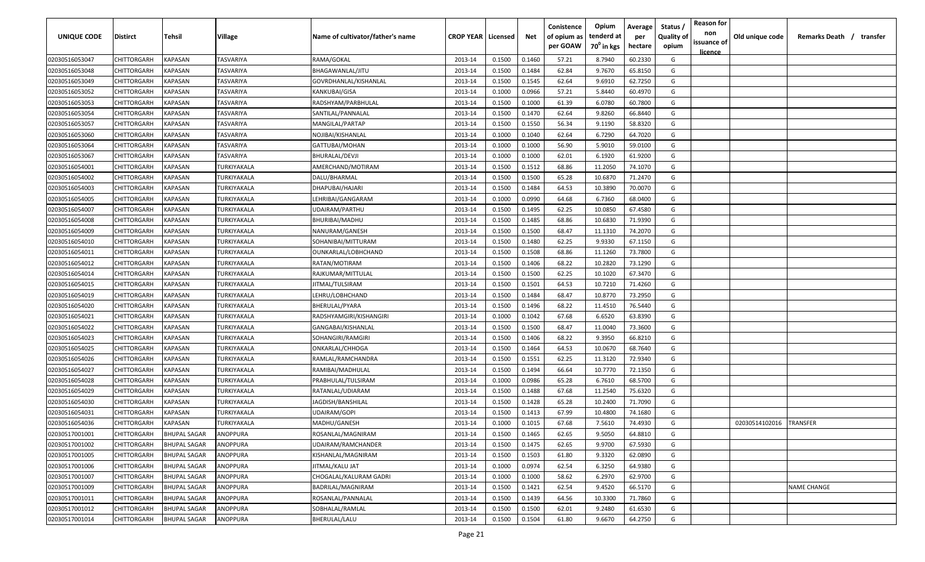| UNIQUE CODE    | Distirct           | Tehsil              | Village     | Name of cultivator/father's name | <b>CROP YEAR   Licensed</b> |        | Net    | Conistence<br>of opium as | Opium<br>tenderd at    | Average<br>per | Status /<br><b>Quality of</b> | <b>Reason for</b><br>non | Old unique code | Remarks Death /<br>transfer |
|----------------|--------------------|---------------------|-------------|----------------------------------|-----------------------------|--------|--------|---------------------------|------------------------|----------------|-------------------------------|--------------------------|-----------------|-----------------------------|
|                |                    |                     |             |                                  |                             |        |        | per GOAW                  | 70 <sup>0</sup> in kgs | hectare        | opium                         | issuance of              |                 |                             |
| 02030516053047 | CHITTORGARH        | <b>KAPASAN</b>      | TASVARIYA   | RAMA/GOKAL                       | 2013-14                     | 0.1500 | 0.1460 | 57.21                     | 8.7940                 | 60.2330        | G                             | <u>licence</u>           |                 |                             |
| 02030516053048 | CHITTORGARH        | KAPASAN             | TASVARIYA   | BHAGAWANLAL/JITU                 | 2013-14                     | 0.1500 | 0.1484 | 62.84                     | 9.7670                 | 65.8150        | G                             |                          |                 |                             |
| 02030516053049 | CHITTORGARH        | KAPASAN             | TASVARIYA   | GOVRDHANLAL/KISHANLAL            | 2013-14                     | 0.1500 | 0.1545 | 62.64                     | 9.6910                 | 62.7250        | G                             |                          |                 |                             |
| 02030516053052 | CHITTORGARH        | KAPASAN             | TASVARIYA   | KANKUBAI/GISA                    | 2013-14                     | 0.1000 | 0.0966 | 57.21                     | 5.8440                 | 60.4970        | G                             |                          |                 |                             |
| 02030516053053 | CHITTORGARH        | KAPASAN             | TASVARIYA   | RADSHYAM/PARBHULAL               | 2013-14                     | 0.1500 | 0.1000 | 61.39                     | 6.0780                 | 60.7800        | G                             |                          |                 |                             |
| 02030516053054 | CHITTORGARH        | KAPASAN             | TASVARIYA   | SANTILAL/PANNALAL                | 2013-14                     | 0.1500 | 0.1470 | 62.64                     | 9.8260                 | 66.8440        | G                             |                          |                 |                             |
| 02030516053057 | <b>CHITTORGARH</b> | KAPASAN             | TASVARIYA   | MANGILAL/PARTAP                  | 2013-14                     | 0.1500 | 0.1550 | 56.34                     | 9.1190                 | 58.8320        | G                             |                          |                 |                             |
| 02030516053060 | <b>CHITTORGARH</b> | KAPASAN             | TASVARIYA   | NOJIBAI/KISHANLAL                | 2013-14                     | 0.1000 | 0.1040 | 62.64                     | 6.7290                 | 64.7020        | G                             |                          |                 |                             |
| 02030516053064 | CHITTORGARH        | KAPASAN             | TASVARIYA   | GATTUBAI/MOHAN                   | 2013-14                     | 0.1000 | 0.1000 | 56.90                     | 5.9010                 | 59.0100        | G                             |                          |                 |                             |
| 02030516053067 | CHITTORGARH        | KAPASAN             | TASVARIYA   | BHURALAL/DEVJI                   | 2013-14                     | 0.1000 | 0.1000 | 62.01                     | 6.1920                 | 61.9200        | G                             |                          |                 |                             |
| 02030516054001 | CHITTORGARH        | KAPASAN             | TURKIYAKALA | AMERCHAND/MOTIRAM                | 2013-14                     | 0.1500 | 0.1512 | 68.86                     | 11.2050                | 74.1070        | G                             |                          |                 |                             |
| 02030516054002 | CHITTORGARH        | KAPASAN             | TURKIYAKALA | DALU/BHARMAL                     | 2013-14                     | 0.1500 | 0.1500 | 65.28                     | 10.6870                | 71.2470        | G                             |                          |                 |                             |
| 02030516054003 | CHITTORGARH        | KAPASAN             | TURKIYAKALA | DHAPUBAI/HAJARI                  | 2013-14                     | 0.1500 | 0.1484 | 64.53                     | 10.3890                | 70.0070        | G                             |                          |                 |                             |
| 02030516054005 | CHITTORGARH        | KAPASAN             | TURKIYAKALA | LEHRIBAI/GANGARAM                | 2013-14                     | 0.1000 | 0.0990 | 64.68                     | 6.7360                 | 68.0400        | G                             |                          |                 |                             |
| 02030516054007 | CHITTORGARH        | KAPASAN             | TURKIYAKALA | UDAIRAM/PARTHU                   | 2013-14                     | 0.1500 | 0.1495 | 62.25                     | 10.0850                | 67.4580        | G                             |                          |                 |                             |
| 02030516054008 | CHITTORGARH        | KAPASAN             | TURKIYAKALA | BHURIBAI/MADHU                   | 2013-14                     | 0.1500 | 0.1485 | 68.86                     | 10.6830                | 71.9390        | G                             |                          |                 |                             |
| 02030516054009 | CHITTORGARH        | KAPASAN             | TURKIYAKALA | NANURAM/GANESH                   | 2013-14                     | 0.1500 | 0.1500 | 68.47                     | 11.1310                | 74.2070        | G                             |                          |                 |                             |
| 02030516054010 | CHITTORGARH        | KAPASAN             | TURKIYAKALA | SOHANIBAI/MITTURAM               | 2013-14                     | 0.1500 | 0.1480 | 62.25                     | 9.9330                 | 67.1150        | G                             |                          |                 |                             |
| 02030516054011 | CHITTORGARH        | KAPASAN             | TURKIYAKALA | OUNKARLAL/LOBHCHAND              | 2013-14                     | 0.1500 | 0.1508 | 68.86                     | 11.1260                | 73.7800        | G                             |                          |                 |                             |
| 02030516054012 | CHITTORGARH        | KAPASAN             | TURKIYAKALA | RATAN/MOTIRAM                    | 2013-14                     | 0.1500 | 0.1406 | 68.22                     | 10.2820                | 73.1290        | G                             |                          |                 |                             |
| 02030516054014 | CHITTORGARH        | KAPASAN             | TURKIYAKALA | RAJKUMAR/MITTULAL                | 2013-14                     | 0.1500 | 0.1500 | 62.25                     | 10.1020                | 67.3470        | G                             |                          |                 |                             |
| 02030516054015 | CHITTORGARH        | KAPASAN             | TURKIYAKALA | JITMAL/TULSIRAM                  | 2013-14                     | 0.1500 | 0.1501 | 64.53                     | 10.7210                | 71.4260        | G                             |                          |                 |                             |
| 02030516054019 | CHITTORGARH        | KAPASAN             | TURKIYAKALA | LEHRU/LOBHCHAND                  | 2013-14                     | 0.1500 | 0.1484 | 68.47                     | 10.8770                | 73.2950        | G                             |                          |                 |                             |
| 02030516054020 | CHITTORGARH        | KAPASAN             | TURKIYAKALA | BHERULAL/PYARA                   | 2013-14                     | 0.1500 | 0.1496 | 68.22                     | 11.4510                | 76.5440        | G                             |                          |                 |                             |
| 02030516054021 | CHITTORGARH        | KAPASAN             | TURKIYAKALA | RADSHYAMGIRI/KISHANGIRI          | 2013-14                     | 0.1000 | 0.1042 | 67.68                     | 6.6520                 | 63.8390        | G                             |                          |                 |                             |
| 02030516054022 | CHITTORGARH        | KAPASAN             | TURKIYAKALA | GANGABAI/KISHANLAL               | 2013-14                     | 0.1500 | 0.1500 | 68.47                     | 11.0040                | 73.3600        | G                             |                          |                 |                             |
| 02030516054023 | CHITTORGARH        | KAPASAN             | TURKIYAKALA | SOHANGIRI/RAMGIRI                | 2013-14                     | 0.1500 | 0.1406 | 68.22                     | 9.3950                 | 66.8210        | G                             |                          |                 |                             |
| 02030516054025 | CHITTORGARH        | KAPASAN             | TURKIYAKALA | ONKARLAL/CHHOGA                  | 2013-14                     | 0.1500 | 0.1464 | 64.53                     | 10.0670                | 68.7640        | G                             |                          |                 |                             |
| 02030516054026 | CHITTORGARH        | KAPASAN             | TURKIYAKALA | RAMLAL/RAMCHANDRA                | 2013-14                     | 0.1500 | 0.1551 | 62.25                     | 11.3120                | 72.9340        | G                             |                          |                 |                             |
| 02030516054027 | CHITTORGARH        | KAPASAN             | TURKIYAKALA | RAMIBAI/MADHULAL                 | 2013-14                     | 0.1500 | 0.1494 | 66.64                     | 10.7770                | 72.1350        | G                             |                          |                 |                             |
| 02030516054028 | CHITTORGARH        | KAPASAN             | TURKIYAKALA | PRABHULAL/TULSIRAM               | 2013-14                     | 0.1000 | 0.0986 | 65.28                     | 6.7610                 | 68.5700        | G                             |                          |                 |                             |
| 02030516054029 | CHITTORGARH        | KAPASAN             | TURKIYAKALA | RATANLAL/UDIARAM                 | 2013-14                     | 0.1500 | 0.1488 | 67.68                     | 11.2540                | 75.6320        | G                             |                          |                 |                             |
| 02030516054030 | CHITTORGARH        | KAPASAN             | TURKIYAKALA | JAGDISH/BANSHILAL                | 2013-14                     | 0.1500 | 0.1428 | 65.28                     | 10.2400                | 71.7090        | G                             |                          |                 |                             |
| 02030516054031 | CHITTORGARH        | KAPASAN             | TURKIYAKALA | UDAIRAM/GOPI                     | 2013-14                     | 0.1500 | 0.1413 | 67.99                     | 10.4800                | 74.1680        | G                             |                          |                 |                             |
| 02030516054036 | CHITTORGARH        | KAPASAN             | TURKIYAKALA | MADHU/GANESH                     | 2013-14                     | 0.1000 | 0.1015 | 67.68                     | 7.5610                 | 74.4930        | G                             |                          | 02030514102016  | <b>TRANSFER</b>             |
| 02030517001001 | <b>CHITTORGARH</b> | <b>BHUPAL SAGAR</b> | ANOPPURA    | ROSANLAL/MAGNIRAM                | 2013-14                     | 0.1500 | 0.1465 | 62.65                     | 9.5050                 | 64.8810        | G                             |                          |                 |                             |
| 02030517001002 | CHITTORGARH        | <b>BHUPAL SAGAR</b> | ANOPPURA    | UDAIRAM/RAMCHANDER               | 2013-14                     | 0.1500 | 0.1475 | 62.65                     | 9.9700                 | 67.5930        | G                             |                          |                 |                             |
| 02030517001005 | CHITTORGARH        | <b>BHUPAL SAGAR</b> | ANOPPURA    | KISHANLAL/MAGNIRAM               | 2013-14                     | 0.1500 | 0.1503 | 61.80                     | 9.3320                 | 62.0890        | G                             |                          |                 |                             |
| 02030517001006 | <b>CHITTORGARH</b> | <b>BHUPAL SAGAR</b> | ANOPPURA    | JITMAL/KALU JAT                  | 2013-14                     | 0.1000 | 0.0974 | 62.54                     | 6.3250                 | 64.9380        | G                             |                          |                 |                             |
| 02030517001007 | CHITTORGARH        | <b>BHUPAL SAGAR</b> | ANOPPURA    | CHOGALAL/KALURAM GADRI           | 2013-14                     | 0.1000 | 0.1000 | 58.62                     | 6.2970                 | 62.9700        | G                             |                          |                 |                             |
| 02030517001009 | CHITTORGARH        | <b>BHUPAL SAGAR</b> | ANOPPURA    | BADRILAL/MAGNIRAM                | 2013-14                     | 0.1500 | 0.1421 | 62.54                     | 9.4520                 | 66.5170        | G                             |                          |                 | <b>NAME CHANGE</b>          |
| 02030517001011 | CHITTORGARH        | <b>BHUPAL SAGAR</b> | ANOPPURA    | ROSANLAL/PANNALAL                | 2013-14                     | 0.1500 | 0.1439 | 64.56                     | 10.3300                | 71.7860        | G                             |                          |                 |                             |
| 02030517001012 | CHITTORGARH        | <b>BHUPAL SAGAR</b> | ANOPPURA    | SOBHALAL/RAMLAL                  | 2013-14                     | 0.1500 | 0.1500 | 62.01                     | 9.2480                 | 61.6530        | G                             |                          |                 |                             |
| 02030517001014 | CHITTORGARH        | <b>BHUPAL SAGAR</b> | ANOPPURA    | BHERULAL/LALU                    | 2013-14                     | 0.1500 | 0.1504 | 61.80                     | 9.6670                 | 64.2750        | G                             |                          |                 |                             |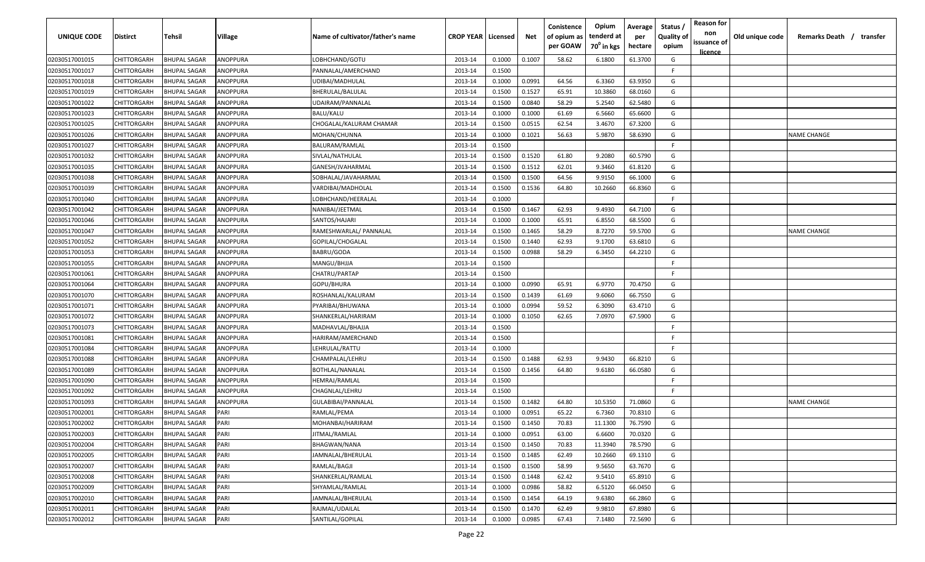| <b>UNIQUE CODE</b> | Distirct           | Tehsil              | Village  | Name of cultivator/father's name | <b>CROP YEAR   Licensed</b> |        | Net    | Conistence<br>of opium as | Opium<br>tenderd at    | Average<br>per | Status /<br><b>Quality of</b> | <b>Reason for</b><br>non      | Old unique code | Remarks Death / transfer |
|--------------------|--------------------|---------------------|----------|----------------------------------|-----------------------------|--------|--------|---------------------------|------------------------|----------------|-------------------------------|-------------------------------|-----------------|--------------------------|
|                    |                    |                     |          |                                  |                             |        |        | per GOAW                  | 70 <sup>0</sup> in kgs | hectare        | opium                         | issuance of<br><u>licence</u> |                 |                          |
| 02030517001015     | CHITTORGARH        | <b>BHUPAL SAGAR</b> | ANOPPURA | LOBHCHAND/GOTU                   | 2013-14                     | 0.1000 | 0.1007 | 58.62                     | 6.1800                 | 61.3700        | G                             |                               |                 |                          |
| 02030517001017     | CHITTORGARH        | <b>BHUPAL SAGAR</b> | ANOPPURA | PANNALAL/AMERCHAND               | 2013-14                     | 0.1500 |        |                           |                        |                | -F.                           |                               |                 |                          |
| 02030517001018     | CHITTORGARH        | <b>BHUPAL SAGAR</b> | ANOPPURA | UDIBAI/MADHULAL                  | 2013-14                     | 0.1000 | 0.0991 | 64.56                     | 6.3360                 | 63.9350        | G                             |                               |                 |                          |
| 02030517001019     | CHITTORGARH        | <b>BHUPAL SAGAR</b> | ANOPPURA | BHERULAL/BALULAL                 | 2013-14                     | 0.1500 | 0.1527 | 65.91                     | 10.3860                | 68.0160        | G                             |                               |                 |                          |
| 02030517001022     | CHITTORGARH        | <b>BHUPAL SAGAR</b> | ANOPPURA | UDAIRAM/PANNALAL                 | 2013-14                     | 0.1500 | 0.0840 | 58.29                     | 5.2540                 | 62.5480        | G                             |                               |                 |                          |
| 02030517001023     | CHITTORGARH        | <b>BHUPAL SAGAR</b> | ANOPPURA | BALU/KALU                        | 2013-14                     | 0.1000 | 0.1000 | 61.69                     | 6.5660                 | 65.6600        | G                             |                               |                 |                          |
| 02030517001025     | CHITTORGARH        | <b>BHUPAL SAGAR</b> | ANOPPURA | CHOGALAL/KALURAM CHAMAR          | 2013-14                     | 0.1500 | 0.0515 | 62.54                     | 3.4670                 | 67.3200        | G                             |                               |                 |                          |
| 02030517001026     | <b>CHITTORGARH</b> | <b>BHUPAL SAGAR</b> | ANOPPURA | MOHAN/CHUNNA                     | 2013-14                     | 0.1000 | 0.1021 | 56.63                     | 5.9870                 | 58.6390        | G                             |                               |                 | <b>NAME CHANGE</b>       |
| 02030517001027     | CHITTORGARH        | <b>BHUPAL SAGAR</b> | ANOPPURA | BALURAM/RAMLAL                   | 2013-14                     | 0.1500 |        |                           |                        |                | -F.                           |                               |                 |                          |
| 02030517001032     | CHITTORGARH        | <b>BHUPAL SAGAR</b> | ANOPPURA | SIVLAL/NATHULAL                  | 2013-14                     | 0.1500 | 0.1520 | 61.80                     | 9.2080                 | 60.5790        | G                             |                               |                 |                          |
| 02030517001035     | CHITTORGARH        | <b>BHUPAL SAGAR</b> | ANOPPURA | GANESH/JVAHARMAL                 | 2013-14                     | 0.1500 | 0.1512 | 62.01                     | 9.3460                 | 61.8120        | G                             |                               |                 |                          |
| 02030517001038     | CHITTORGARH        | <b>BHUPAL SAGAR</b> | ANOPPURA | SOBHALAL/JAVAHARMAL              | 2013-14                     | 0.1500 | 0.1500 | 64.56                     | 9.9150                 | 66.1000        | G                             |                               |                 |                          |
| 02030517001039     | CHITTORGARH        | <b>BHUPAL SAGAR</b> | ANOPPURA | VARDIBAI/MADHOLAL                | 2013-14                     | 0.1500 | 0.1536 | 64.80                     | 10.2660                | 66.8360        | G                             |                               |                 |                          |
| 02030517001040     | CHITTORGARH        | <b>BHUPAL SAGAR</b> | ANOPPURA | LOBHCHAND/HEERALAL               | 2013-14                     | 0.1000 |        |                           |                        |                | F.                            |                               |                 |                          |
| 02030517001042     | CHITTORGARH        | <b>BHUPAL SAGAR</b> | ANOPPURA | NANIBAI/JEETMAL                  | 2013-14                     | 0.1500 | 0.1467 | 62.93                     | 9.4930                 | 64.7100        | G                             |                               |                 |                          |
| 02030517001046     | CHITTORGARH        | <b>BHUPAL SAGAR</b> | ANOPPURA | SANTOS/HAJARI                    | 2013-14                     | 0.1000 | 0.1000 | 65.91                     | 6.8550                 | 68.5500        | G                             |                               |                 |                          |
| 02030517001047     | CHITTORGARH        | <b>BHUPAL SAGAR</b> | ANOPPURA | RAMESHWARLAL/ PANNALAL           | 2013-14                     | 0.1500 | 0.1465 | 58.29                     | 8.7270                 | 59.5700        | G                             |                               |                 | <b>NAME CHANGE</b>       |
| 02030517001052     | CHITTORGARH        | <b>BHUPAL SAGAR</b> | ANOPPURA | GOPILAL/CHOGALAL                 | 2013-14                     | 0.1500 | 0.1440 | 62.93                     | 9.1700                 | 63.6810        | G                             |                               |                 |                          |
| 02030517001053     | CHITTORGARH        | <b>BHUPAL SAGAR</b> | ANOPPURA | BABRU/GODA                       | 2013-14                     | 0.1500 | 0.0988 | 58.29                     | 6.3450                 | 64.2210        | G                             |                               |                 |                          |
| 02030517001055     | CHITTORGARH        | <b>BHUPAL SAGAR</b> | ANOPPURA | MANGU/BHJJA                      | 2013-14                     | 0.1500 |        |                           |                        |                | E                             |                               |                 |                          |
| 02030517001061     | CHITTORGARH        | <b>BHUPAL SAGAR</b> | ANOPPURA | CHATRU/PARTAP                    | 2013-14                     | 0.1500 |        |                           |                        |                | -F.                           |                               |                 |                          |
| 02030517001064     | CHITTORGARH        | <b>BHUPAL SAGAR</b> | ANOPPURA | GOPU/BHURA                       | 2013-14                     | 0.1000 | 0.0990 | 65.91                     | 6.9770                 | 70.4750        | G                             |                               |                 |                          |
| 02030517001070     | CHITTORGARH        | <b>BHUPAL SAGAR</b> | ANOPPURA | ROSHANLAL/KALURAM                | 2013-14                     | 0.1500 | 0.1439 | 61.69                     | 9.6060                 | 66.7550        | G                             |                               |                 |                          |
| 02030517001071     | CHITTORGARH        | <b>BHUPAL SAGAR</b> | ANOPPURA | PYARIBAI/BHUWANA                 | 2013-14                     | 0.1000 | 0.0994 | 59.52                     | 6.3090                 | 63.4710        | G                             |                               |                 |                          |
| 02030517001072     | CHITTORGARH        | <b>BHUPAL SAGAR</b> | ANOPPURA | SHANKERLAL/HARIRAM               | 2013-14                     | 0.1000 | 0.1050 | 62.65                     | 7.0970                 | 67.5900        | G                             |                               |                 |                          |
| 02030517001073     | CHITTORGARH        | <b>BHUPAL SAGAR</b> | ANOPPURA | MADHAVLAL/BHAJJA                 | 2013-14                     | 0.1500 |        |                           |                        |                | -F.                           |                               |                 |                          |
| 02030517001081     | CHITTORGARH        | BHUPAL SAGAR        | ANOPPURA | HARIRAM/AMERCHAND                | 2013-14                     | 0.1500 |        |                           |                        |                | -F.                           |                               |                 |                          |
| 02030517001084     | CHITTORGARH        | BHUPAL SAGAR        | ANOPPURA | LEHRULAL/RATTU                   | 2013-14                     | 0.1000 |        |                           |                        |                | -F.                           |                               |                 |                          |
| 02030517001088     | CHITTORGARH        | <b>BHUPAL SAGAR</b> | ANOPPURA | CHAMPALAL/LEHRU                  | 2013-14                     | 0.1500 | 0.1488 | 62.93                     | 9.9430                 | 66.8210        | G                             |                               |                 |                          |
| 02030517001089     | CHITTORGARH        | <b>BHUPAL SAGAR</b> | ANOPPURA | BOTHLAL/NANALAL                  | 2013-14                     | 0.1500 | 0.1456 | 64.80                     | 9.6180                 | 66.0580        | G                             |                               |                 |                          |
| 02030517001090     | CHITTORGARH        | <b>BHUPAL SAGAR</b> | ANOPPURA | <b>HEMRAJ/RAMLAL</b>             | 2013-14                     | 0.1500 |        |                           |                        |                | -F.                           |                               |                 |                          |
| 02030517001092     | CHITTORGARH        | <b>BHUPAL SAGAR</b> | ANOPPURA | CHAGNLAL/LEHRU                   | 2013-14                     | 0.1500 |        |                           |                        |                | -F.                           |                               |                 |                          |
| 02030517001093     | CHITTORGARH        | <b>BHUPAL SAGAR</b> | ANOPPURA | GULABIBAI/PANNALAL               | 2013-14                     | 0.1500 | 0.1482 | 64.80                     | 10.5350                | 71.0860        | G                             |                               |                 | <b>NAME CHANGE</b>       |
| 02030517002001     | CHITTORGARH        | <b>BHUPAL SAGAR</b> | PARI     | RAMLAL/PEMA                      | 2013-14                     | 0.1000 | 0.0951 | 65.22                     | 6.7360                 | 70.8310        | G                             |                               |                 |                          |
| 02030517002002     | CHITTORGARH        | BHUPAL SAGAR        | PARI     | MOHANBAI/HARIRAM                 | 2013-14                     | 0.1500 | 0.1450 | 70.83                     | 11.1300                | 76.7590        | G                             |                               |                 |                          |
| 02030517002003     | <b>CHITTORGARH</b> | <b>BHUPAL SAGAR</b> | PARI     | JITMAL/RAMLAL                    | 2013-14                     | 0.1000 | 0.0951 | 63.00                     | 6.6600                 | 70.0320        | G                             |                               |                 |                          |
| 02030517002004     | <b>CHITTORGARH</b> | <b>BHUPAL SAGAR</b> | PARI     | BHAGWAN/NANA                     | 2013-14                     | 0.1500 | 0.1450 | 70.83                     | 11.3940                | 78.5790        | G                             |                               |                 |                          |
| 02030517002005     | CHITTORGARH        | <b>BHUPAL SAGAR</b> | PARI     | JAMNALAL/BHERULAL                | 2013-14                     | 0.1500 | 0.1485 | 62.49                     | 10.2660                | 69.1310        | G                             |                               |                 |                          |
| 02030517002007     | <b>CHITTORGARH</b> | <b>BHUPAL SAGAR</b> | PARI     | RAMLAL/BAGJI                     | 2013-14                     | 0.1500 | 0.1500 | 58.99                     | 9.5650                 | 63.7670        | G                             |                               |                 |                          |
| 02030517002008     | CHITTORGARH        | <b>BHUPAL SAGAR</b> | PARI     | SHANKERLAL/RAMLAL                | 2013-14                     | 0.1500 | 0.1448 | 62.42                     | 9.5410                 | 65.8910        | G                             |                               |                 |                          |
| 02030517002009     | CHITTORGARH        | <b>BHUPAL SAGAR</b> | PARI     | SHYAMLAL/RAMLAL                  | 2013-14                     | 0.1000 | 0.0986 | 58.82                     | 6.5120                 | 66.0450        | G                             |                               |                 |                          |
| 02030517002010     | CHITTORGARH        | <b>BHUPAL SAGAR</b> | PARI     | JAMNALAL/BHERULAL                | 2013-14                     | 0.1500 | 0.1454 | 64.19                     | 9.6380                 | 66.2860        | G                             |                               |                 |                          |
| 02030517002011     | CHITTORGARH        | BHUPAL SAGAR        | PARI     | RAJMAL/UDAILAL                   | 2013-14                     | 0.1500 | 0.1470 | 62.49                     | 9.9810                 | 67.8980        | G                             |                               |                 |                          |
| 02030517002012     | CHITTORGARH        | BHUPAL SAGAR        | PARI     | SANTILAL/GOPILAL                 | 2013-14                     | 0.1000 | 0.0985 | 67.43                     | 7.1480                 | 72.5690        | G                             |                               |                 |                          |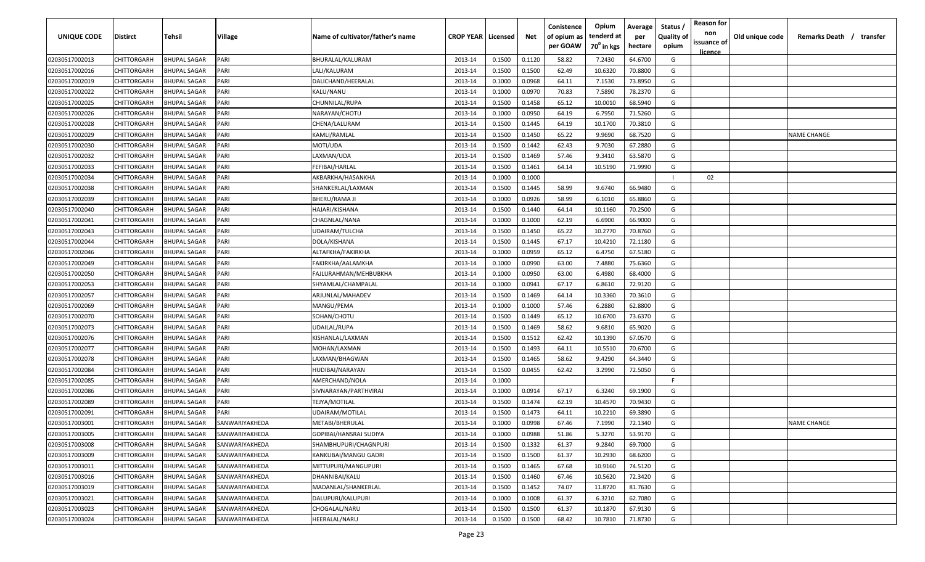| UNIQUE CODE    | Distirct    | Tehsil              | Village        | Name of cultivator/father's name | <b>CROP YEAR   Licensed</b> |        | Net    | Conistence<br>of opium as<br>per GOAW | Opium<br>tenderd at<br>$70^0$ in kgs | Average<br>per<br>hectare | Status /<br><b>Quality of</b><br>opium | <b>Reason for</b><br>non<br>issuance of<br><u>licence</u> | Old unique code | Remarks Death /<br>transfer |
|----------------|-------------|---------------------|----------------|----------------------------------|-----------------------------|--------|--------|---------------------------------------|--------------------------------------|---------------------------|----------------------------------------|-----------------------------------------------------------|-----------------|-----------------------------|
| 02030517002013 | CHITTORGARH | <b>BHUPAL SAGAR</b> | PARI           | BHURALAL/KALURAM                 | 2013-14                     | 0.1500 | 0.1120 | 58.82                                 | 7.2430                               | 64.6700                   | G                                      |                                                           |                 |                             |
| 02030517002016 | CHITTORGARH | <b>BHUPAL SAGAR</b> | PARI           | LALI/KALURAM                     | 2013-14                     | 0.1500 | 0.1500 | 62.49                                 | 10.6320                              | 70.8800                   | G                                      |                                                           |                 |                             |
| 02030517002019 | CHITTORGARH | <b>BHUPAL SAGAR</b> | PARI           | DALICHAND/HEERALAL               | 2013-14                     | 0.1000 | 0.0968 | 64.11                                 | 7.1530                               | 73.8950                   | G                                      |                                                           |                 |                             |
| 02030517002022 | CHITTORGARH | <b>BHUPAL SAGAR</b> | PARI           | KALU/NANU                        | 2013-14                     | 0.1000 | 0.0970 | 70.83                                 | 7.5890                               | 78.2370                   | G                                      |                                                           |                 |                             |
| 02030517002025 | CHITTORGARH | <b>BHUPAL SAGAR</b> | PARI           | CHUNNILAL/RUPA                   | 2013-14                     | 0.1500 | 0.1458 | 65.12                                 | 10.0010                              | 68.5940                   | G                                      |                                                           |                 |                             |
| 02030517002026 | CHITTORGARH | <b>BHUPAL SAGAR</b> | PARI           | NARAYAN/CHOTU                    | 2013-14                     | 0.1000 | 0.0950 | 64.19                                 | 6.7950                               | 71.5260                   | G                                      |                                                           |                 |                             |
| 02030517002028 | CHITTORGARH | <b>BHUPAL SAGAR</b> | PARI           | CHENA/LALURAM                    | 2013-14                     | 0.1500 | 0.1445 | 64.19                                 | 10.1700                              | 70.3810                   | G                                      |                                                           |                 |                             |
| 02030517002029 | CHITTORGARH | <b>BHUPAL SAGAR</b> | PARI           | KAMLI/RAMLAL                     | 2013-14                     | 0.1500 | 0.1450 | 65.22                                 | 9.9690                               | 68.7520                   | G                                      |                                                           |                 | <b>NAME CHANGE</b>          |
| 02030517002030 | CHITTORGARH | <b>BHUPAL SAGAR</b> | PARI           | MOTI/UDA                         | 2013-14                     | 0.1500 | 0.1442 | 62.43                                 | 9.7030                               | 67.2880                   | G                                      |                                                           |                 |                             |
| 02030517002032 | CHITTORGARH | BHUPAL SAGAR        | PARI           | LAXMAN/UDA                       | 2013-14                     | 0.1500 | 0.1469 | 57.46                                 | 9.3410                               | 63.5870                   | G                                      |                                                           |                 |                             |
| 02030517002033 | CHITTORGARH | BHUPAL SAGAR        | PARI           | FEFIBAI/HARLAL                   | 2013-14                     | 0.1500 | 0.1461 | 64.14                                 | 10.5190                              | 71.9990                   | G                                      |                                                           |                 |                             |
| 02030517002034 | CHITTORGARH | <b>BHUPAL SAGAR</b> | PARI           | AKBARKHA/HASANKHA                | 2013-14                     | 0.1000 | 0.1000 |                                       |                                      |                           |                                        | 02                                                        |                 |                             |
| 02030517002038 | CHITTORGARH | <b>BHUPAL SAGAR</b> | PARI           | SHANKERLAL/LAXMAN                | 2013-14                     | 0.1500 | 0.1445 | 58.99                                 | 9.6740                               | 66.9480                   | G                                      |                                                           |                 |                             |
| 02030517002039 | CHITTORGARH | <b>BHUPAL SAGAR</b> | PARI           | BHERU/RAMA JI                    | 2013-14                     | 0.1000 | 0.0926 | 58.99                                 | 6.1010                               | 65.8860                   | G                                      |                                                           |                 |                             |
| 02030517002040 | CHITTORGARH | <b>BHUPAL SAGAR</b> | PARI           | HAJARI/KISHANA                   | 2013-14                     | 0.1500 | 0.1440 | 64.14                                 | 10.1160                              | 70.2500                   | G                                      |                                                           |                 |                             |
| 02030517002041 | CHITTORGARH | <b>BHUPAL SAGAR</b> | PARI           | CHAGNLAL/NANA                    | 2013-14                     | 0.1000 | 0.1000 | 62.19                                 | 6.6900                               | 66.9000                   | G                                      |                                                           |                 |                             |
| 02030517002043 | CHITTORGARH | <b>BHUPAL SAGAR</b> | PARI           | UDAIRAM/TULCHA                   | 2013-14                     | 0.1500 | 0.1450 | 65.22                                 | 10.2770                              | 70.8760                   | G                                      |                                                           |                 |                             |
| 02030517002044 | CHITTORGARH | <b>BHUPAL SAGAR</b> | PARI           | DOLA/KISHANA                     | 2013-14                     | 0.1500 | 0.1445 | 67.17                                 | 10.4210                              | 72.1180                   | G                                      |                                                           |                 |                             |
| 02030517002046 | CHITTORGARH | <b>BHUPAL SAGAR</b> | PARI           | ALTAFKHA/FAKIRKHA                | 2013-14                     | 0.1000 | 0.0959 | 65.12                                 | 6.4750                               | 67.5180                   | G                                      |                                                           |                 |                             |
| 02030517002049 | CHITTORGARH | <b>BHUPAL SAGAR</b> | PARI           | FAKIRKHA/AALAMKHA                | 2013-14                     | 0.1000 | 0.0990 | 63.00                                 | 7.4880                               | 75.6360                   | G                                      |                                                           |                 |                             |
| 02030517002050 | CHITTORGARH | <b>BHUPAL SAGAR</b> | PARI           | FAJLURAHMAN/MEHBUBKHA            | 2013-14                     | 0.1000 | 0.0950 | 63.00                                 | 6.4980                               | 68.4000                   | G                                      |                                                           |                 |                             |
| 02030517002053 | CHITTORGARH | <b>BHUPAL SAGAR</b> | PARI           | SHYAMLAL/CHAMPALAL               | 2013-14                     | 0.1000 | 0.0941 | 67.17                                 | 6.8610                               | 72.9120                   | G                                      |                                                           |                 |                             |
| 02030517002057 | CHITTORGARH | <b>BHUPAL SAGAR</b> | PARI           | ARJUNLAL/MAHADEV                 | 2013-14                     | 0.1500 | 0.1469 | 64.14                                 | 10.3360                              | 70.3610                   | G                                      |                                                           |                 |                             |
| 02030517002069 | CHITTORGARH | <b>BHUPAL SAGAR</b> | PARI           | MANGU/PEMA                       | 2013-14                     | 0.1000 | 0.1000 | 57.46                                 | 6.2880                               | 62.8800                   | G                                      |                                                           |                 |                             |
| 02030517002070 | CHITTORGARH | BHUPAL SAGAR        | PARI           | SOHAN/CHOTU                      | 2013-14                     | 0.1500 | 0.1449 | 65.12                                 | 10.6700                              | 73.6370                   | G                                      |                                                           |                 |                             |
| 02030517002073 | CHITTORGARH | BHUPAL SAGAR        | PARI           | UDAILAL/RUPA                     | 2013-14                     | 0.1500 | 0.1469 | 58.62                                 | 9.6810                               | 65.9020                   | G                                      |                                                           |                 |                             |
| 02030517002076 | CHITTORGARH | BHUPAL SAGAR        | PARI           | KISHANLAL/LAXMAN                 | 2013-14                     | 0.1500 | 0.1512 | 62.42                                 | 10.1390                              | 67.0570                   | G                                      |                                                           |                 |                             |
| 02030517002077 | CHITTORGARH | BHUPAL SAGAR        | PARI           | MOHAN/LAXMAN                     | 2013-14                     | 0.1500 | 0.1493 | 64.11                                 | 10.5510                              | 70.6700                   | G                                      |                                                           |                 |                             |
| 02030517002078 | CHITTORGARH | <b>BHUPAL SAGAR</b> | PARI           | LAXMAN/BHAGWAN                   | 2013-14                     | 0.1500 | 0.1465 | 58.62                                 | 9.4290                               | 64.3440                   | G                                      |                                                           |                 |                             |
| 02030517002084 | CHITTORGARH | <b>BHUPAL SAGAR</b> | PARI           | HUDIBAI/NARAYAN                  | 2013-14                     | 0.1500 | 0.0455 | 62.42                                 | 3.2990                               | 72.5050                   | G                                      |                                                           |                 |                             |
| 02030517002085 | CHITTORGARH | <b>BHUPAL SAGAR</b> | PARI           | AMERCHAND/NOLA                   | 2013-14                     | 0.1000 |        |                                       |                                      |                           | F.                                     |                                                           |                 |                             |
| 02030517002086 | CHITTORGARH | BHUPAL SAGAR        | PARI           | SIVNARAYAN/PARTHVIRAJ            | 2013-14                     | 0.1000 | 0.0914 | 67.17                                 | 6.3240                               | 69.1900                   | G                                      |                                                           |                 |                             |
| 02030517002089 | CHITTORGARH | <b>BHUPAL SAGAR</b> | PARI           | TEJYA/MOTILAL                    | 2013-14                     | 0.1500 | 0.1474 | 62.19                                 | 10.4570                              | 70.9430                   | G                                      |                                                           |                 |                             |
| 02030517002091 | CHITTORGARH | <b>BHUPAL SAGAR</b> | PARI           | UDAIRAM/MOTILAL                  | 2013-14                     | 0.1500 | 0.1473 | 64.11                                 | 10.2210                              | 69.3890                   | G                                      |                                                           |                 |                             |
| 02030517003001 | CHITTORGARH | <b>BHUPAL SAGAR</b> | SANWARIYAKHEDA | METABI/BHERULAL                  | 2013-14                     | 0.1000 | 0.0998 | 67.46                                 | 7.1990                               | 72.1340                   | G                                      |                                                           |                 | <b>NAME CHANGE</b>          |
| 02030517003005 | CHITTORGARH | <b>BHUPAL SAGAR</b> | SANWARIYAKHEDA | GOPIBAI/HANSRAJ SUDIYA           | 2013-14                     | 0.1000 | 0.0988 | 51.86                                 | 5.3270                               | 53.9170                   | G                                      |                                                           |                 |                             |
| 02030517003008 | CHITTORGARH | <b>BHUPAL SAGAR</b> | SANWARIYAKHEDA | SHAMBHUPURI/CHAGNPURI            | 2013-14                     | 0.1500 | 0.1332 | 61.37                                 | 9.2840                               | 69.7000                   | G                                      |                                                           |                 |                             |
| 02030517003009 | CHITTORGARH | <b>BHUPAL SAGAR</b> | SANWARIYAKHEDA | KANKUBAI/MANGU GADRI             | 2013-14                     | 0.1500 | 0.1500 | 61.37                                 | 10.2930                              | 68.6200                   | G                                      |                                                           |                 |                             |
| 02030517003011 | CHITTORGARH | <b>BHUPAL SAGAR</b> | SANWARIYAKHEDA | MITTUPURI/MANGUPURI              | 2013-14                     | 0.1500 | 0.1465 | 67.68                                 | 10.9160                              | 74.5120                   | G                                      |                                                           |                 |                             |
| 02030517003016 | CHITTORGARH | <b>BHUPAL SAGAR</b> | SANWARIYAKHEDA | DHANNIBAI/KALU                   | 2013-14                     | 0.1500 | 0.1460 | 67.46                                 | 10.5620                              | 72.3420                   | G                                      |                                                           |                 |                             |
| 02030517003019 | CHITTORGARH | <b>BHUPAL SAGAR</b> | SANWARIYAKHEDA | MADANLAL/SHANKERLAL              | 2013-14                     | 0.1500 | 0.1452 | 74.07                                 | 11.8720                              | 81.7630                   | G                                      |                                                           |                 |                             |
| 02030517003021 | CHITTORGARH | <b>BHUPAL SAGAR</b> | SANWARIYAKHEDA | DALUPURI/KALUPURI                | 2013-14                     | 0.1000 | 0.1008 | 61.37                                 | 6.3210                               | 62.7080                   | G                                      |                                                           |                 |                             |
| 02030517003023 | CHITTORGARH | BHUPAL SAGAR        | SANWARIYAKHEDA | CHOGALAL/NARU                    | 2013-14                     | 0.1500 | 0.1500 | 61.37                                 | 10.1870                              | 67.9130                   | G                                      |                                                           |                 |                             |
| 02030517003024 | CHITTORGARH | <b>BHUPAL SAGAR</b> | SANWARIYAKHEDA | HEERALAL/NARU                    | 2013-14                     | 0.1500 | 0.1500 | 68.42                                 | 10.7810                              | 71.8730                   | G                                      |                                                           |                 |                             |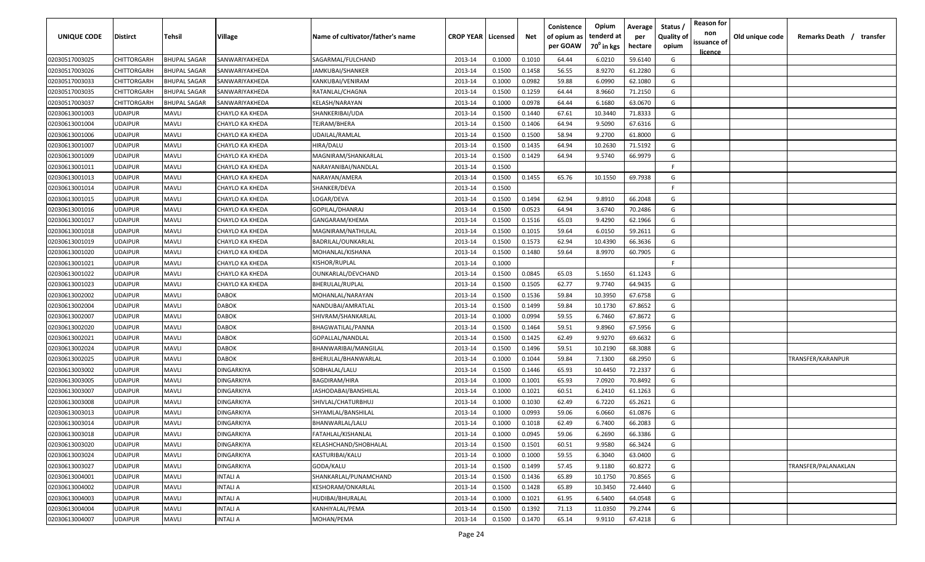| <b>UNIQUE CODE</b> | <b>Distirct</b>    | <b>Tehsil</b>       | Village         | Name of cultivator/father's name | <b>CROP YEAR   Licensed</b> |        | Net    | Conistence<br>of opium as<br>per GOAW | Opium<br>tenderd at<br>70 <sup>0</sup> in kgs | Average<br>per<br>hectare | Status /<br><b>Quality of</b><br>opium | <b>Reason for</b><br>non<br>issuance of<br><u>licence</u> | Old unique code | Remarks Death /<br>transfer |
|--------------------|--------------------|---------------------|-----------------|----------------------------------|-----------------------------|--------|--------|---------------------------------------|-----------------------------------------------|---------------------------|----------------------------------------|-----------------------------------------------------------|-----------------|-----------------------------|
| 02030517003025     | <b>CHITTORGARH</b> | <b>BHUPAL SAGAR</b> | SANWARIYAKHEDA  | SAGARMAL/FULCHAND                | 2013-14                     | 0.1000 | 0.1010 | 64.44                                 | 6.0210                                        | 59.6140                   | G                                      |                                                           |                 |                             |
| 02030517003026     | CHITTORGARH        | <b>BHUPAL SAGAR</b> | SANWARIYAKHEDA  | JAMKUBAI/SHANKER                 | 2013-14                     | 0.1500 | 0.1458 | 56.55                                 | 8.9270                                        | 61.2280                   | G                                      |                                                           |                 |                             |
| 02030517003033     | CHITTORGARH        | <b>BHUPAL SAGAR</b> | SANWARIYAKHEDA  | KANKUBAI/VENIRAM                 | 2013-14                     | 0.1000 | 0.0982 | 59.88                                 | 6.0990                                        | 62.1080                   | G                                      |                                                           |                 |                             |
| 02030517003035     | CHITTORGARH        | <b>BHUPAL SAGAR</b> | SANWARIYAKHEDA  | RATANLAL/CHAGNA                  | 2013-14                     | 0.1500 | 0.1259 | 64.44                                 | 8.9660                                        | 71.2150                   | G                                      |                                                           |                 |                             |
| 02030517003037     | CHITTORGARH        | <b>BHUPAL SAGAR</b> | SANWARIYAKHEDA  | KELASH/NARAYAN                   | 2013-14                     | 0.1000 | 0.0978 | 64.44                                 | 6.1680                                        | 63.0670                   | G                                      |                                                           |                 |                             |
| 02030613001003     | <b>UDAIPUR</b>     | MAVLI               | CHAYLO KA KHEDA | SHANKERIBAI/UDA                  | 2013-14                     | 0.1500 | 0.1440 | 67.61                                 | 10.3440                                       | 71.8333                   | G                                      |                                                           |                 |                             |
| 02030613001004     | <b>UDAIPUR</b>     | MAVLI               | CHAYLO KA KHEDA | TEJRAM/BHERA                     | 2013-14                     | 0.1500 | 0.1406 | 64.94                                 | 9.5090                                        | 67.6316                   | G                                      |                                                           |                 |                             |
| 02030613001006     | <b>UDAIPUR</b>     | MAVLI               | CHAYLO KA KHEDA | UDAILAL/RAMLAL                   | 2013-14                     | 0.1500 | 0.1500 | 58.94                                 | 9.2700                                        | 61.8000                   | G                                      |                                                           |                 |                             |
| 02030613001007     | <b>UDAIPUR</b>     | MAVLI               | CHAYLO KA KHEDA | HIRA/DALU                        | 2013-14                     | 0.1500 | 0.1435 | 64.94                                 | 10.2630                                       | 71.5192                   | G                                      |                                                           |                 |                             |
| 02030613001009     | <b>UDAIPUR</b>     | MAVLI               | CHAYLO KA KHEDA | MAGNIRAM/SHANKARLAL              | 2013-14                     | 0.1500 | 0.1429 | 64.94                                 | 9.5740                                        | 66.9979                   | G                                      |                                                           |                 |                             |
| 02030613001011     | UDAIPUR            | MAVLI               | CHAYLO KA KHEDA | NARAYANIBAI/NANDLAL              | 2013-14                     | 0.1500 |        |                                       |                                               |                           | F                                      |                                                           |                 |                             |
| 02030613001013     | UDAIPUR            | MAVLI               | CHAYLO KA KHEDA | NARAYAN/AMERA                    | 2013-14                     | 0.1500 | 0.1455 | 65.76                                 | 10.1550                                       | 69.7938                   | G                                      |                                                           |                 |                             |
| 02030613001014     | UDAIPUR            | MAVLI               | CHAYLO KA KHEDA | SHANKER/DEVA                     | 2013-14                     | 0.1500 |        |                                       |                                               |                           | -F.                                    |                                                           |                 |                             |
| 02030613001015     | UDAIPUR            | MAVLI               | CHAYLO KA KHEDA | LOGAR/DEVA                       | 2013-14                     | 0.1500 | 0.1494 | 62.94                                 | 9.8910                                        | 66.2048                   | G                                      |                                                           |                 |                             |
| 02030613001016     | <b>UDAIPUR</b>     | MAVLI               | CHAYLO KA KHEDA | GOPILAL/DHANRAJ                  | 2013-14                     | 0.1500 | 0.0523 | 64.94                                 | 3.6740                                        | 70.2486                   | G                                      |                                                           |                 |                             |
| 02030613001017     | <b>UDAIPUR</b>     | Mavli               | CHAYLO KA KHEDA | GANGARAM/KHEMA                   | 2013-14                     | 0.1500 | 0.1516 | 65.03                                 | 9.4290                                        | 62.1966                   | G                                      |                                                           |                 |                             |
| 02030613001018     | <b>UDAIPUR</b>     | <b>MAVLI</b>        | CHAYLO KA KHEDA | MAGNIRAM/NATHULAL                | 2013-14                     | 0.1500 | 0.1015 | 59.64                                 | 6.0150                                        | 59.2611                   | G                                      |                                                           |                 |                             |
| 02030613001019     | <b>UDAIPUR</b>     | <b>MAVLI</b>        | CHAYLO KA KHEDA | BADRILAL/OUNKARLAL               | 2013-14                     | 0.1500 | 0.1573 | 62.94                                 | 10.4390                                       | 66.3636                   | G                                      |                                                           |                 |                             |
| 02030613001020     | <b>UDAIPUR</b>     | <b>MAVLI</b>        | CHAYLO KA KHEDA | MOHANLAL/KISHANA                 | 2013-14                     | 0.1500 | 0.1480 | 59.64                                 | 8.9970                                        | 60.7905                   | G                                      |                                                           |                 |                             |
| 02030613001021     | UDAIPUR            | <b>MAVLI</b>        | CHAYLO KA KHEDA | KISHOR/RUPLAL                    | 2013-14                     | 0.1000 |        |                                       |                                               |                           | -F.                                    |                                                           |                 |                             |
| 02030613001022     | UDAIPUR            | <b>MAVLI</b>        | CHAYLO KA KHEDA | OUNKARLAL/DEVCHAND               | 2013-14                     | 0.1500 | 0.0845 | 65.03                                 | 5.1650                                        | 61.1243                   | G                                      |                                                           |                 |                             |
| 02030613001023     | <b>UDAIPUR</b>     | <b>MAVLI</b>        | CHAYLO KA KHEDA | BHERULAL/RUPLAL                  | 2013-14                     | 0.1500 | 0.1505 | 62.77                                 | 9.7740                                        | 64.9435                   | G                                      |                                                           |                 |                             |
| 02030613002002     | UDAIPUR            | <b>MAVLI</b>        | <b>DABOK</b>    | MOHANLAL/NARAYAN                 | 2013-14                     | 0.1500 | 0.1536 | 59.84                                 | 10.3950                                       | 67.6758                   | G                                      |                                                           |                 |                             |
| 02030613002004     | <b>UDAIPUR</b>     | Mavli               | DABOK           | NANDUBAI/AMRATLAL                | 2013-14                     | 0.1500 | 0.1499 | 59.84                                 | 10.1730                                       | 67.8652                   | G                                      |                                                           |                 |                             |
| 02030613002007     | <b>UDAIPUR</b>     | MAVLI               | DABOK           | SHIVRAM/SHANKARLAL               | 2013-14                     | 0.1000 | 0.0994 | 59.55                                 | 6.7460                                        | 67.8672                   | G                                      |                                                           |                 |                             |
| 02030613002020     | <b>UDAIPUR</b>     | MAVLI               | <b>DABOK</b>    | BHAGWATILAL/PANNA                | 2013-14                     | 0.1500 | 0.1464 | 59.51                                 | 9.8960                                        | 67.5956                   | G                                      |                                                           |                 |                             |
| 02030613002021     | <b>UDAIPUR</b>     | MAVLI               | DABOK           | GOPALLAL/NANDLAL                 | 2013-14                     | 0.1500 | 0.1425 | 62.49                                 | 9.9270                                        | 69.6632                   | G                                      |                                                           |                 |                             |
| 02030613002024     | UDAIPUR            | MAVLI               | DABOK           | BHANWARIBAI/MANGILAL             | 2013-14                     | 0.1500 | 0.1496 | 59.51                                 | 10.2190                                       | 68.3088                   | G                                      |                                                           |                 |                             |
| 02030613002025     | UDAIPUR            | MAVLI               | DABOK           | BHERULAL/BHANWARLAL              | 2013-14                     | 0.1000 | 0.1044 | 59.84                                 | 7.1300                                        | 68.2950                   | G                                      |                                                           |                 | TRANSFER/KARANPUR           |
| 02030613003002     | UDAIPUR            | MAVLI               | DINGARKIYA      | SOBHALAL/LALU                    | 2013-14                     | 0.1500 | 0.1446 | 65.93                                 | 10.4450                                       | 72.2337                   | G                                      |                                                           |                 |                             |
| 02030613003005     | UDAIPUR            | MAVLI               | DINGARKIYA      | <b>BAGDIRAM/HIRA</b>             | 2013-14                     | 0.1000 | 0.1001 | 65.93                                 | 7.0920                                        | 70.8492                   | G                                      |                                                           |                 |                             |
| 02030613003007     | UDAIPUR            | MAVLI               | DINGARKIYA      | JASHODABAI/BANSHILAL             | 2013-14                     | 0.1000 | 0.1021 | 60.51                                 | 6.2410                                        | 61.1263                   | G                                      |                                                           |                 |                             |
| 02030613003008     | <b>UDAIPUR</b>     | MAVLI               | DINGARKIYA      | SHIVLAL/CHATURBHUJ               | 2013-14                     | 0.1000 | 0.1030 | 62.49                                 | 6.7220                                        | 65.2621                   | G                                      |                                                           |                 |                             |
| 02030613003013     | UDAIPUR            | <b>MAVLI</b>        | DINGARKIYA      | SHYAMLAL/BANSHILAL               | 2013-14                     | 0.1000 | 0.0993 | 59.06                                 | 6.0660                                        | 61.0876                   | G                                      |                                                           |                 |                             |
| 02030613003014     | <b>UDAIPUR</b>     | MAVLI               | DINGARKIYA      | BHANWARLAL/LALU                  | 2013-14                     | 0.1000 | 0.1018 | 62.49                                 | 6.7400                                        | 66.2083                   | G                                      |                                                           |                 |                             |
| 02030613003018     | <b>UDAIPUR</b>     | <b>MAVLI</b>        | DINGARKIYA      | FATAHLAL/KISHANLAL               | 2013-14                     | 0.1000 | 0.0945 | 59.06                                 | 6.2690                                        | 66.3386                   | G                                      |                                                           |                 |                             |
| 02030613003020     | <b>UDAIPUR</b>     | <b>MAVLI</b>        | DINGARKIYA      | KELASHCHAND/SHOBHALAL            | 2013-14                     | 0.1500 | 0.1501 | 60.51                                 | 9.9580                                        | 66.3424                   | G                                      |                                                           |                 |                             |
| 02030613003024     | <b>UDAIPUR</b>     | <b>MAVLI</b>        | DINGARKIYA      | KASTURIBAI/KALU                  | 2013-14                     | 0.1000 | 0.1000 | 59.55                                 | 6.3040                                        | 63.0400                   | G                                      |                                                           |                 |                             |
| 02030613003027     | <b>UDAIPUR</b>     | <b>MAVLI</b>        | DINGARKIYA      | GODA/KALU                        | 2013-14                     | 0.1500 | 0.1499 | 57.45                                 | 9.1180                                        | 60.8272                   | G                                      |                                                           |                 | TRANSFER/PALANAKLAN         |
| 02030613004001     | <b>UDAIPUR</b>     | <b>MAVLI</b>        | <b>INTALI A</b> | SHANKARLAL/PUNAMCHAND            | 2013-14                     | 0.1500 | 0.1436 | 65.89                                 | 10.1750                                       | 70.8565                   | G                                      |                                                           |                 |                             |
| 02030613004002     | <b>UDAIPUR</b>     | MAVLI               | <b>INTALI A</b> | KESHORAM/ONKARLAL                | 2013-14                     | 0.1500 | 0.1428 | 65.89                                 | 10.3450                                       | 72.4440                   | G                                      |                                                           |                 |                             |
| 02030613004003     | <b>UDAIPUR</b>     | MAVLI               | <b>INTALI A</b> | HUDIBAI/BHURALAL                 | 2013-14                     | 0.1000 | 0.1021 | 61.95                                 | 6.5400                                        | 64.0548                   | G                                      |                                                           |                 |                             |
| 02030613004004     | <b>UDAIPUR</b>     | MAVLI               | <b>INTALI A</b> | KANHIYALAL/PEMA                  | 2013-14                     | 0.1500 | 0.1392 | 71.13                                 | 11.0350                                       | 79.2744                   | G                                      |                                                           |                 |                             |
| 02030613004007     | <b>UDAIPUR</b>     | <b>MAVLI</b>        | <b>INTALI A</b> | MOHAN/PEMA                       | 2013-14                     | 0.1500 | 0.1470 | 65.14                                 | 9.9110                                        | 67.4218                   | G                                      |                                                           |                 |                             |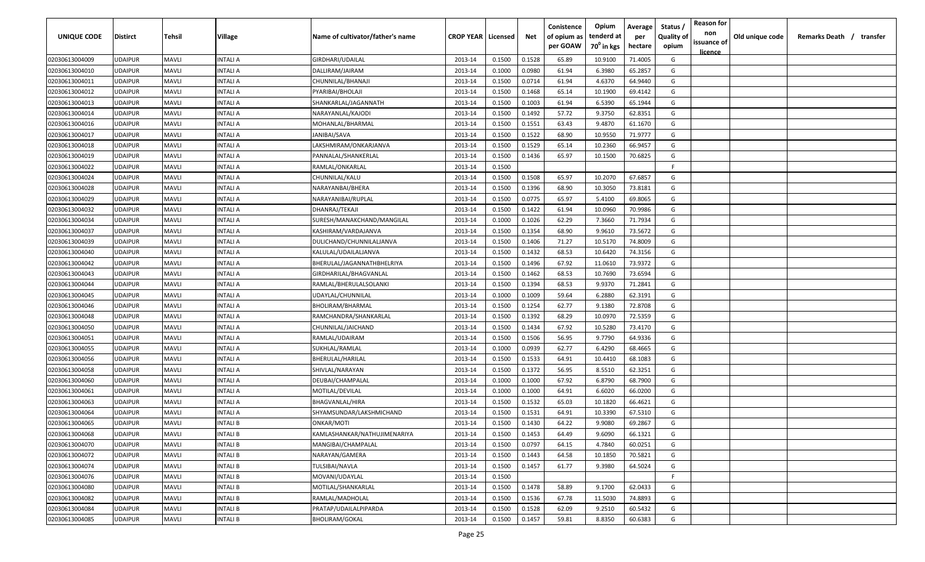| UNIQUE CODE    | Distirct       | Tehsil       | Village        | Name of cultivator/father's name | <b>CROP YEAR   Licensed</b> |        | Net    | Conistence<br>of opium as | Opium<br>tenderd at    | Average<br>per | Status<br><b>Quality of</b> | <b>Reason for</b><br>non<br>issuance of | Old unique code | Remarks Death / transfer |  |
|----------------|----------------|--------------|----------------|----------------------------------|-----------------------------|--------|--------|---------------------------|------------------------|----------------|-----------------------------|-----------------------------------------|-----------------|--------------------------|--|
|                |                |              |                |                                  |                             |        |        | per GOAW                  | 70 <sup>°</sup> in kgs | hectare        | opium                       | <u>licence</u>                          |                 |                          |  |
| 02030613004009 | UDAIPUR        | <b>MAVLI</b> | INTALI A       | GIRDHARI/UDAILAL                 | 2013-14                     | 0.1500 | 0.1528 | 65.89                     | 10.9100                | 71.4005        | G                           |                                         |                 |                          |  |
| 02030613004010 | UDAIPUR        | <b>MAVLI</b> | INTALI A       | DALLIRAM/JAIRAM                  | 2013-14                     | 0.1000 | 0.0980 | 61.94                     | 6.3980                 | 65.2857        | G                           |                                         |                 |                          |  |
| 02030613004011 | UDAIPUR        | <b>MAVLI</b> | INTALI A       | CHUNNILAL/BHANAJI                | 2013-14                     | 0.1500 | 0.0714 | 61.94                     | 4.6370                 | 64.9440        | G                           |                                         |                 |                          |  |
| 02030613004012 | UDAIPUR        | <b>MAVLI</b> | INTALI A       | PYARIBAI/BHOLAJI                 | 2013-14                     | 0.1500 | 0.1468 | 65.14                     | 10.1900                | 69.4142        | G                           |                                         |                 |                          |  |
| 02030613004013 | UDAIPUR        | <b>MAVLI</b> | INTALI A       | SHANKARLAL/JAGANNATH             | 2013-14                     | 0.1500 | 0.1003 | 61.94                     | 6.5390                 | 65.1944        | G                           |                                         |                 |                          |  |
| 02030613004014 | UDAIPUR        | <b>MAVLI</b> | INTALI A       | NARAYANLAL/KAJODI                | 2013-14                     | 0.1500 | 0.1492 | 57.72                     | 9.3750                 | 62.8351        | G                           |                                         |                 |                          |  |
| 02030613004016 | UDAIPUR        | <b>MAVLI</b> | INTALI A       | MOHANLAL/BHARMAL                 | 2013-14                     | 0.1500 | 0.1551 | 63.43                     | 9.4870                 | 61.1670        | G                           |                                         |                 |                          |  |
| 02030613004017 | UDAIPUR        | <b>MAVLI</b> | INTALI A       | JANIBAI/SAVA                     | 2013-14                     | 0.1500 | 0.1522 | 68.90                     | 10.9550                | 71.9777        | G                           |                                         |                 |                          |  |
| 02030613004018 | UDAIPUR        | <b>MAVLI</b> | INTALI A       | LAKSHMIRAM/ONKARJANVA            | 2013-14                     | 0.1500 | 0.1529 | 65.14                     | 10.2360                | 66.9457        | G                           |                                         |                 |                          |  |
| 02030613004019 | <b>JDAIPUR</b> | <b>MAVLI</b> | INTALI A       | PANNALAL/SHANKERLAL              | 2013-14                     | 0.1500 | 0.1436 | 65.97                     | 10.1500                | 70.6825        | G                           |                                         |                 |                          |  |
| 02030613004022 | UDAIPUR        | <b>MAVLI</b> | NTALI A        | RAMLAL/ONKARLAL                  | 2013-14                     | 0.1500 |        |                           |                        |                | F.                          |                                         |                 |                          |  |
| 02030613004024 | UDAIPUR        | <b>MAVLI</b> | INTALI A       | CHUNNILAL/KALU                   | 2013-14                     | 0.1500 | 0.1508 | 65.97                     | 10.2070                | 67.6857        | G                           |                                         |                 |                          |  |
| 02030613004028 | UDAIPUR        | <b>MAVLI</b> | INTALI A       | NARAYANBAI/BHERA                 | 2013-14                     | 0.1500 | 0.1396 | 68.90                     | 10.3050                | 73.8181        | G                           |                                         |                 |                          |  |
| 02030613004029 | UDAIPUR        | <b>MAVLI</b> | <b>NTALIA</b>  | NARAYANIBAI/RUPLAL               | 2013-14                     | 0.1500 | 0.0775 | 65.97                     | 5.4100                 | 69.8065        | G                           |                                         |                 |                          |  |
| 02030613004032 | UDAIPUR        | <b>MAVLI</b> | INTALI A       | DHANRAJ/TEKAJI                   | 2013-14                     | 0.1500 | 0.1422 | 61.94                     | 10.0960                | 70.9986        | G                           |                                         |                 |                          |  |
| 02030613004034 | UDAIPUR        | <b>MAVLI</b> | INTALI A       | SURESH/MANAKCHAND/MANGILAL       | 2013-14                     | 0.1000 | 0.1026 | 62.29                     | 7.3660                 | 71.7934        | G                           |                                         |                 |                          |  |
| 02030613004037 | UDAIPUR        | <b>MAVLI</b> | INTALI A       | KASHIRAM/VARDAJANVA              | 2013-14                     | 0.1500 | 0.1354 | 68.90                     | 9.9610                 | 73.5672        | G                           |                                         |                 |                          |  |
| 02030613004039 | UDAIPUR        | <b>MAVLI</b> | INTALI A       | DULICHAND/CHUNNILALJANVA         | 2013-14                     | 0.1500 | 0.1406 | 71.27                     | 10.5170                | 74.8009        | G                           |                                         |                 |                          |  |
| 02030613004040 | UDAIPUR        | <b>MAVLI</b> | INTALI A       | KALULAL/UDAILALJANVA             | 2013-14                     | 0.1500 | 0.1432 | 68.53                     | 10.6420                | 74.3156        | G                           |                                         |                 |                          |  |
| 02030613004042 | UDAIPUR        | <b>MAVLI</b> | INTALI A       | BHERULAL/JAGANNATHBHELRIYA       | 2013-14                     | 0.1500 | 0.1496 | 67.92                     | 11.0610                | 73.9372        | G                           |                                         |                 |                          |  |
| 02030613004043 | UDAIPUR        | <b>MAVLI</b> | INTALI A       | GIRDHARILAL/BHAGVANLAL           | 2013-14                     | 0.1500 | 0.1462 | 68.53                     | 10.7690                | 73.6594        | G                           |                                         |                 |                          |  |
| 02030613004044 | <b>UDAIPUR</b> | <b>MAVLI</b> | INTALI A       | RAMLAL/BHERULALSOLANKI           | 2013-14                     | 0.1500 | 0.1394 | 68.53                     | 9.9370                 | 71.2841        | G                           |                                         |                 |                          |  |
| 02030613004045 | UDAIPUR        | <b>MAVLI</b> | INTALI A       | UDAYLAL/CHUNNILAL                | 2013-14                     | 0.1000 | 0.1009 | 59.64                     | 6.2880                 | 62.3191        | G                           |                                         |                 |                          |  |
| 02030613004046 | UDAIPUR        | <b>MAVLI</b> | INTALI A       | BHOLIRAM/BHARMAL                 | 2013-14                     | 0.1500 | 0.1254 | 62.77                     | 9.1380                 | 72.8708        | G                           |                                         |                 |                          |  |
| 02030613004048 | UDAIPUR        | <b>MAVLI</b> | INTALI A       | RAMCHANDRA/SHANKARLAL            | 2013-14                     | 0.1500 | 0.1392 | 68.29                     | 10.0970                | 72.5359        | G                           |                                         |                 |                          |  |
| 02030613004050 | UDAIPUR        | <b>MAVLI</b> | INTALI A       | CHUNNILAL/JAICHAND               | 2013-14                     | 0.1500 | 0.1434 | 67.92                     | 10.5280                | 73.4170        | G                           |                                         |                 |                          |  |
| 02030613004051 | UDAIPUR        | <b>MAVLI</b> | INTALI A       | RAMLAL/UDAIRAM                   | 2013-14                     | 0.1500 | 0.1506 | 56.95                     | 9.7790                 | 64.9336        | G                           |                                         |                 |                          |  |
| 02030613004055 | UDAIPUR        | <b>MAVLI</b> | NTALI A        | SUKHLAL/RAMLAL                   | 2013-14                     | 0.1000 | 0.0939 | 62.77                     | 6.4290                 | 68.4665        | G                           |                                         |                 |                          |  |
| 02030613004056 | UDAIPUR        | <b>MAVLI</b> | <b>NTALI A</b> | BHERULAL/HARILAL                 | 2013-14                     | 0.1500 | 0.1533 | 64.91                     | 10.4410                | 68.1083        | G                           |                                         |                 |                          |  |
| 02030613004058 | UDAIPUR        | <b>MAVLI</b> | INTALI A       | SHIVLAL/NARAYAN                  | 2013-14                     | 0.1500 | 0.1372 | 56.95                     | 8.5510                 | 62.3251        | G                           |                                         |                 |                          |  |
| 02030613004060 | UDAIPUR        | <b>MAVLI</b> | <b>NTALI A</b> | DEUBAI/CHAMPALAL                 | 2013-14                     | 0.1000 | 0.1000 | 67.92                     | 6.8790                 | 68.7900        | G                           |                                         |                 |                          |  |
| 02030613004061 | UDAIPUR        | <b>MAVLI</b> | INTALI A       | MOTILAL/DEVILAL                  | 2013-14                     | 0.1000 | 0.1000 | 64.91                     | 6.6020                 | 66.0200        | G                           |                                         |                 |                          |  |
| 02030613004063 | UDAIPUR        | <b>MAVLI</b> | INTALI A       | <b>BHAGVANLAL/HIRA</b>           | 2013-14                     | 0.1500 | 0.1532 | 65.03                     | 10.1820                | 66.4621        | G                           |                                         |                 |                          |  |
| 02030613004064 | UDAIPUR        | <b>MAVLI</b> | INTALI A       | SHYAMSUNDAR/LAKSHMICHAND         | 2013-14                     | 0.1500 | 0.1531 | 64.91                     | 10.3390                | 67.5310        | G                           |                                         |                 |                          |  |
| 02030613004065 | UDAIPUR        | <b>MAVLI</b> | INTALI B       | ONKAR/MOTI                       | 2013-14                     | 0.1500 | 0.1430 | 64.22                     | 9.9080                 | 69.2867        | G                           |                                         |                 |                          |  |
| 02030613004068 | UDAIPUR        | <b>MAVLI</b> | INTALI B       | KAMLASHANKAR/NATHUJIMENARIYA     | 2013-14                     | 0.1500 | 0.1453 | 64.49                     | 9.6090                 | 66.1321        | G                           |                                         |                 |                          |  |
| 02030613004070 | <b>UDAIPUR</b> | <b>MAVLI</b> | INTALI B       | MANGIBAI/CHAMPALAL               | 2013-14                     | 0.1500 | 0.0797 | 64.15                     | 4.7840                 | 60.0251        | G                           |                                         |                 |                          |  |
| 02030613004072 | UDAIPUR        | <b>MAVLI</b> | INTALI B       | NARAYAN/GAMERA                   | 2013-14                     | 0.1500 | 0.1443 | 64.58                     | 10.1850                | 70.5821        | G                           |                                         |                 |                          |  |
| 02030613004074 | UDAIPUR        | <b>MAVLI</b> | INTALI B       | TULSIBAI/NAVLA                   | 2013-14                     | 0.1500 | 0.1457 | 61.77                     | 9.3980                 | 64.5024        | G                           |                                         |                 |                          |  |
| 02030613004076 | UDAIPUR        | <b>MAVLI</b> | INTALI B       | MOVANI/UDAYLAL                   | 2013-14                     | 0.1500 |        |                           |                        |                | F.                          |                                         |                 |                          |  |
| 02030613004080 | UDAIPUR        | <b>MAVLI</b> | INTALI B       | MOTILAL/SHANKARLAL               | 2013-14                     | 0.1500 | 0.1478 | 58.89                     | 9.1700                 | 62.0433        | G                           |                                         |                 |                          |  |
| 02030613004082 | UDAIPUR        | <b>MAVLI</b> | INTALI B       | RAMLAL/MADHOLAL                  | 2013-14                     | 0.1500 | 0.1536 | 67.78                     | 11.5030                | 74.8893        | G                           |                                         |                 |                          |  |
| 02030613004084 | UDAIPUR        | <b>MAVLI</b> | INTALI B       | PRATAP/UDAILALPIPARDA            | 2013-14                     | 0.1500 | 0.1528 | 62.09                     | 9.2510                 | 60.5432        | G                           |                                         |                 |                          |  |
| 02030613004085 | UDAIPUR        | <b>MAVLI</b> | INTALI B       | <b>BHOLIRAM/GOKAL</b>            | 2013-14                     | 0.1500 | 0.1457 | 59.81                     | 8.8350                 | 60.6383        | G                           |                                         |                 |                          |  |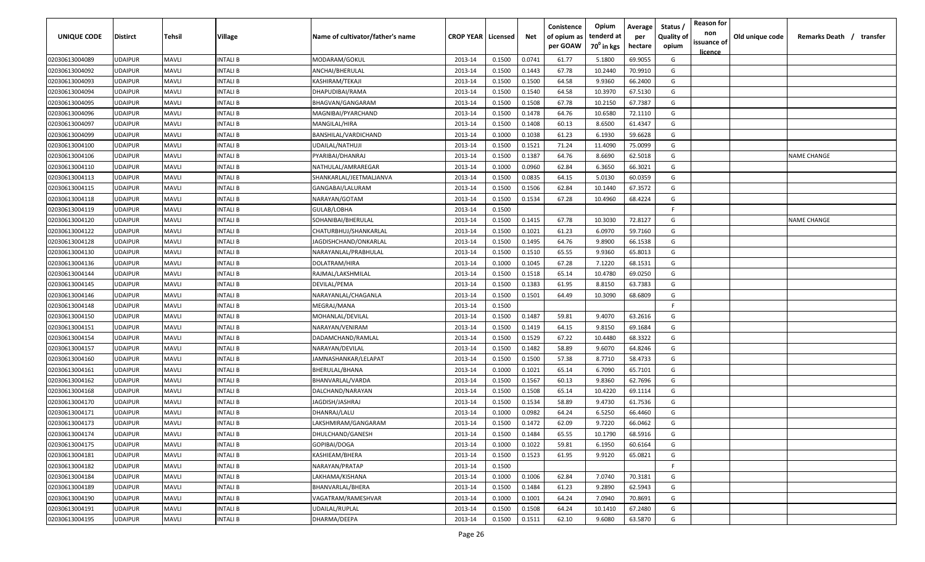| UNIQUE CODE    | Distirct       | Tehsil       | Village        | Name of cultivator/father's name | <b>CROP YEAR   Licensed</b> |        | Net    | Conistence<br>of opium as | Opium<br>tenderd at    | Average<br>per | Status<br><b>Quality of</b> | <b>Reason for</b><br>non      | Old unique code | Remarks Death / transfer |
|----------------|----------------|--------------|----------------|----------------------------------|-----------------------------|--------|--------|---------------------------|------------------------|----------------|-----------------------------|-------------------------------|-----------------|--------------------------|
|                |                |              |                |                                  |                             |        |        | per GOAW                  | 70 <sup>0</sup> in kgs | hectare        | opium                       | issuance of<br><u>licence</u> |                 |                          |
| 02030613004089 | UDAIPUR        | <b>MAVLI</b> | INTALI B       | MODARAM/GOKUL                    | 2013-14                     | 0.1500 | 0.0741 | 61.77                     | 5.1800                 | 69.9055        | G                           |                               |                 |                          |
| 02030613004092 | UDAIPUR        | <b>MAVLI</b> | INTALI B       | ANCHAI/BHERULAL                  | 2013-14                     | 0.1500 | 0.1443 | 67.78                     | 10.2440                | 70.9910        | G                           |                               |                 |                          |
| 02030613004093 | UDAIPUR        | <b>MAVLI</b> | INTALI B       | KASHIRAM/TEKAJI                  | 2013-14                     | 0.1500 | 0.1500 | 64.58                     | 9.9360                 | 66.2400        | G                           |                               |                 |                          |
| 02030613004094 | UDAIPUR        | <b>MAVLI</b> | INTALI B       | DHAPUDIBAI/RAMA                  | 2013-14                     | 0.1500 | 0.1540 | 64.58                     | 10.3970                | 67.5130        | G                           |                               |                 |                          |
| 02030613004095 | UDAIPUR        | <b>MAVLI</b> | INTALI B       | BHAGVAN/GANGARAM                 | 2013-14                     | 0.1500 | 0.1508 | 67.78                     | 10.2150                | 67.7387        | G                           |                               |                 |                          |
| 02030613004096 | UDAIPUR        | <b>MAVLI</b> | INTALI B       | MAGNIBAI/PYARCHAND               | 2013-14                     | 0.1500 | 0.1478 | 64.76                     | 10.6580                | 72.1110        | G                           |                               |                 |                          |
| 02030613004097 | UDAIPUR        | <b>MAVLI</b> | INTALI B       | MANGILAL/HIRA                    | 2013-14                     | 0.1500 | 0.1408 | 60.13                     | 8.6500                 | 61.4347        | G                           |                               |                 |                          |
| 02030613004099 | UDAIPUR        | <b>MAVLI</b> | INTALI B       | BANSHILAL/VARDICHAND             | 2013-14                     | 0.1000 | 0.1038 | 61.23                     | 6.1930                 | 59.6628        | G                           |                               |                 |                          |
| 02030613004100 | UDAIPUR        | <b>MAVLI</b> | INTALI B       | UDAILAL/NATHUJI                  | 2013-14                     | 0.1500 | 0.1521 | 71.24                     | 11.4090                | 75.0099        | G                           |                               |                 |                          |
| 02030613004106 | <b>JDAIPUR</b> | <b>MAVLI</b> | INTALI B       | PYARIBAI/DHANRAJ                 | 2013-14                     | 0.1500 | 0.1387 | 64.76                     | 8.6690                 | 62.5018        | G                           |                               |                 | <b>NAME CHANGE</b>       |
| 02030613004110 | <b>JDAIPUR</b> | <b>MAVLI</b> | NTALI B        | NATHULAL/AMRAREGAR               | 2013-14                     | 0.1000 | 0.0960 | 62.84                     | 6.3650                 | 66.3021        | G                           |                               |                 |                          |
| 02030613004113 | UDAIPUR        | <b>MAVLI</b> | INTALI B       | SHANKARLAL/JEETMALJANVA          | 2013-14                     | 0.1500 | 0.0835 | 64.15                     | 5.0130                 | 60.0359        | G                           |                               |                 |                          |
| 02030613004115 | UDAIPUR        | <b>MAVLI</b> | INTALI B       | GANGABAI/LALURAM                 | 2013-14                     | 0.1500 | 0.1506 | 62.84                     | 10.1440                | 67.3572        | G                           |                               |                 |                          |
| 02030613004118 | UDAIPUR        | <b>MAVLI</b> | <b>NTALIB</b>  | NARAYAN/GOTAM                    | 2013-14                     | 0.1500 | 0.1534 | 67.28                     | 10.4960                | 68.4224        | G                           |                               |                 |                          |
| 02030613004119 | UDAIPUR        | <b>MAVLI</b> | INTALI B       | GULAB/LOBHA                      | 2013-14                     | 0.1500 |        |                           |                        |                | -F.                         |                               |                 |                          |
| 02030613004120 | <b>UDAIPUR</b> | <b>MAVLI</b> | INTALI B       | SOHANIBAI/BHERULAL               | 2013-14                     | 0.1500 | 0.1415 | 67.78                     | 10.3030                | 72.8127        | G                           |                               |                 | <b>NAME CHANGE</b>       |
| 02030613004122 | UDAIPUR        | <b>MAVLI</b> | INTALI B       | CHATURBHUJ/SHANKARLAL            | 2013-14                     | 0.1500 | 0.1021 | 61.23                     | 6.0970                 | 59.7160        | G                           |                               |                 |                          |
| 02030613004128 | UDAIPUR        | <b>MAVLI</b> | INTALI B       | JAGDISHCHAND/ONKARLAL            | 2013-14                     | 0.1500 | 0.1495 | 64.76                     | 9.8900                 | 66.1538        | G                           |                               |                 |                          |
| 02030613004130 | UDAIPUR        | <b>MAVLI</b> | INTALI B       | NARAYANLAL/PRABHULAL             | 2013-14                     | 0.1500 | 0.1510 | 65.55                     | 9.9360                 | 65.8013        | G                           |                               |                 |                          |
| 02030613004136 | UDAIPUR        | <b>MAVLI</b> | INTALI B       | DOLATRAM/HIRA                    | 2013-14                     | 0.1000 | 0.1045 | 67.28                     | 7.1220                 | 68.1531        | G                           |                               |                 |                          |
| 02030613004144 | UDAIPUR        | <b>MAVLI</b> | INTALI B       | RAJMAL/LAKSHMILAL                | 2013-14                     | 0.1500 | 0.1518 | 65.14                     | 10.4780                | 69.0250        | G                           |                               |                 |                          |
| 02030613004145 | <b>UDAIPUR</b> | <b>MAVLI</b> | INTALI B       | DEVILAL/PEMA                     | 2013-14                     | 0.1500 | 0.1383 | 61.95                     | 8.8150                 | 63.7383        | G                           |                               |                 |                          |
| 02030613004146 | UDAIPUR        | <b>MAVLI</b> | INTALI B       | NARAYANLAL/CHAGANLA              | 2013-14                     | 0.1500 | 0.1501 | 64.49                     | 10.3090                | 68.6809        | G                           |                               |                 |                          |
| 02030613004148 | UDAIPUR        | <b>MAVLI</b> | INTALI B       | MEGRAJ/MANA                      | 2013-14                     | 0.1500 |        |                           |                        |                | E                           |                               |                 |                          |
| 02030613004150 | UDAIPUR        | <b>MAVLI</b> | INTALI B       | MOHANLAL/DEVILAL                 | 2013-14                     | 0.1500 | 0.1487 | 59.81                     | 9.4070                 | 63.2616        | G                           |                               |                 |                          |
| 02030613004151 | UDAIPUR        | <b>MAVLI</b> | INTALI B       | NARAYAN/VENIRAM                  | 2013-14                     | 0.1500 | 0.1419 | 64.15                     | 9.8150                 | 69.1684        | G                           |                               |                 |                          |
| 02030613004154 | UDAIPUR        | <b>MAVLI</b> | INTALI B       | DADAMCHAND/RAMLAL                | 2013-14                     | 0.1500 | 0.1529 | 67.22                     | 10.4480                | 68.3322        | G                           |                               |                 |                          |
| 02030613004157 | UDAIPUR        | <b>MAVLI</b> | NTALI B        | NARAYAN/DEVILAL                  | 2013-14                     | 0.1500 | 0.1482 | 58.89                     | 9.6070                 | 64.8246        | G                           |                               |                 |                          |
| 02030613004160 | UDAIPUR        | <b>MAVLI</b> | <b>NTALI B</b> | JAMNASHANKAR/LELAPAT             | 2013-14                     | 0.1500 | 0.1500 | 57.38                     | 8.7710                 | 58.4733        | G                           |                               |                 |                          |
| 02030613004161 | UDAIPUR        | <b>MAVLI</b> | INTALI B       | BHERULAL/BHANA                   | 2013-14                     | 0.1000 | 0.1021 | 65.14                     | 6.7090                 | 65.7101        | G                           |                               |                 |                          |
| 02030613004162 | UDAIPUR        | <b>MAVLI</b> | INTALI B       | BHANVARLAL/VARDA                 | 2013-14                     | 0.1500 | 0.1567 | 60.13                     | 9.8360                 | 62.7696        | G                           |                               |                 |                          |
| 02030613004168 | UDAIPUR        | <b>MAVLI</b> | INTALI B       | DALCHAND/NARAYAN                 | 2013-14                     | 0.1500 | 0.1508 | 65.14                     | 10.4220                | 69.1114        | G                           |                               |                 |                          |
| 02030613004170 | UDAIPUR        | <b>MAVLI</b> | INTALI B       | JAGDISH/JASHRAJ                  | 2013-14                     | 0.1500 | 0.1534 | 58.89                     | 9.4730                 | 61.7536        | G                           |                               |                 |                          |
| 02030613004171 | UDAIPUR        | <b>MAVLI</b> | INTALI B       | DHANRAJ/LALU                     | 2013-14                     | 0.1000 | 0.0982 | 64.24                     | 6.5250                 | 66.4460        | G                           |                               |                 |                          |
| 02030613004173 | UDAIPUR        | <b>MAVLI</b> | INTALI B       | LAKSHMIRAM/GANGARAM              | 2013-14                     | 0.1500 | 0.1472 | 62.09                     | 9.7220                 | 66.0462        | G                           |                               |                 |                          |
| 02030613004174 | <b>UDAIPUR</b> | <b>MAVLI</b> | INTALI B       | DHULCHAND/GANESH                 | 2013-14                     | 0.1500 | 0.1484 | 65.55                     | 10.1790                | 68.5916        | G                           |                               |                 |                          |
| 02030613004175 | <b>UDAIPUR</b> | <b>MAVLI</b> | INTALI B       | GOPIBAI/DOGA                     | 2013-14                     | 0.1000 | 0.1022 | 59.81                     | 6.1950                 | 60.6164        | G                           |                               |                 |                          |
| 02030613004181 | UDAIPUR        | <b>MAVLI</b> | INTALI B       | KASHIEAM/BHERA                   | 2013-14                     | 0.1500 | 0.1523 | 61.95                     | 9.9120                 | 65.0821        | G                           |                               |                 |                          |
| 02030613004182 | UDAIPUR        | <b>MAVLI</b> | INTALI B       | NARAYAN/PRATAP                   | 2013-14                     | 0.1500 |        |                           |                        |                | F.                          |                               |                 |                          |
| 02030613004184 | UDAIPUR        | <b>MAVLI</b> | INTALI B       | LAKHAMA/KISHANA                  | 2013-14                     | 0.1000 | 0.1006 | 62.84                     | 7.0740                 | 70.3181        | G                           |                               |                 |                          |
| 02030613004189 | UDAIPUR        | <b>MAVLI</b> | INTALI B       | BHANVARLAL/BHERA                 | 2013-14                     | 0.1500 | 0.1484 | 61.23                     | 9.2890                 | 62.5943        | G                           |                               |                 |                          |
| 02030613004190 | UDAIPUR        | <b>MAVLI</b> | INTALI B       | VAGATRAM/RAMESHVAR               | 2013-14                     | 0.1000 | 0.1001 | 64.24                     | 7.0940                 | 70.8691        | G                           |                               |                 |                          |
| 02030613004191 | UDAIPUR        | <b>MAVLI</b> | INTALI B       | UDAILAL/RUPLAL                   | 2013-14                     | 0.1500 | 0.1508 | 64.24                     | 10.1410                | 67.2480        | G                           |                               |                 |                          |
| 02030613004195 | UDAIPUR        | <b>MAVLI</b> | INTALI B       | DHARMA/DEEPA                     | 2013-14                     | 0.1500 | 0.1511 | 62.10                     | 9.6080                 | 63.5870        | G                           |                               |                 |                          |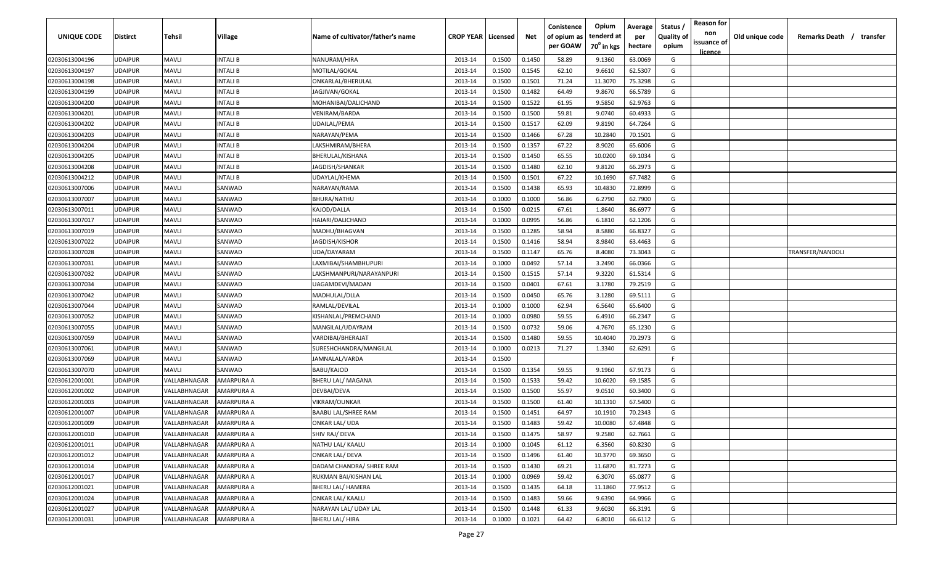| UNIQUE CODE    | Distirct       | Tehsil       | Village    | Name of cultivator/father's name | <b>CROP YEAR   Licensed</b> |        | Net    | Conistence<br>of opium as | Opium<br>tenderd at    | Average<br>per | Status<br><b>Quality of</b> | <b>Reason for</b><br>non      | Old unique code | Remarks Death / transfer |
|----------------|----------------|--------------|------------|----------------------------------|-----------------------------|--------|--------|---------------------------|------------------------|----------------|-----------------------------|-------------------------------|-----------------|--------------------------|
|                |                |              |            |                                  |                             |        |        | per GOAW                  | 70 <sup>0</sup> in kgs | hectare        | opium                       | issuance of<br><u>licence</u> |                 |                          |
| 02030613004196 | UDAIPUR        | <b>MAVLI</b> | INTALI B   | NANURAM/HIRA                     | 2013-14                     | 0.1500 | 0.1450 | 58.89                     | 9.1360                 | 63.0069        | G                           |                               |                 |                          |
| 02030613004197 | UDAIPUR        | <b>MAVLI</b> | INTALI B   | MOTILAL/GOKAL                    | 2013-14                     | 0.1500 | 0.1545 | 62.10                     | 9.6610                 | 62.5307        | G                           |                               |                 |                          |
| 02030613004198 | UDAIPUR        | <b>MAVLI</b> | INTALI B   | ONKARLAL/BHERULAL                | 2013-14                     | 0.1500 | 0.1501 | 71.24                     | 11.3070                | 75.3298        | G                           |                               |                 |                          |
| 02030613004199 | UDAIPUR        | <b>MAVLI</b> | INTALI B   | JAGJIVAN/GOKAL                   | 2013-14                     | 0.1500 | 0.1482 | 64.49                     | 9.8670                 | 66.5789        | G                           |                               |                 |                          |
| 02030613004200 | UDAIPUR        | <b>MAVLI</b> | INTALI B   | MOHANIBAI/DALICHAND              | 2013-14                     | 0.1500 | 0.1522 | 61.95                     | 9.5850                 | 62.9763        | G                           |                               |                 |                          |
| 02030613004201 | UDAIPUR        | <b>MAVLI</b> | INTALI B   | VENIRAM/BARDA                    | 2013-14                     | 0.1500 | 0.1500 | 59.81                     | 9.0740                 | 60.4933        | G                           |                               |                 |                          |
| 02030613004202 | UDAIPUR        | <b>MAVLI</b> | INTALI B   | UDAILAL/PEMA                     | 2013-14                     | 0.1500 | 0.1517 | 62.09                     | 9.8190                 | 64.7264        | G                           |                               |                 |                          |
| 02030613004203 | UDAIPUR        | <b>MAVLI</b> | INTALI B   | NARAYAN/PEMA                     | 2013-14                     | 0.1500 | 0.1466 | 67.28                     | 10.2840                | 70.1501        | G                           |                               |                 |                          |
| 02030613004204 | UDAIPUR        | <b>MAVLI</b> | INTALI B   | LAKSHMIRAM/BHERA                 | 2013-14                     | 0.1500 | 0.1357 | 67.22                     | 8.9020                 | 65.6006        | G                           |                               |                 |                          |
| 02030613004205 | <b>JDAIPUR</b> | <b>MAVLI</b> | INTALI B   | BHERULAL/KISHANA                 | 2013-14                     | 0.1500 | 0.1450 | 65.55                     | 10.0200                | 69.1034        | G                           |                               |                 |                          |
| 02030613004208 | UDAIPUR        | <b>MAVLI</b> | NTALI B    | JAGDISH/SHANKAR                  | 2013-14                     | 0.1500 | 0.1480 | 62.10                     | 9.8120                 | 66.2973        | G                           |                               |                 |                          |
| 02030613004212 | UDAIPUR        | <b>MAVLI</b> | INTALI B   | UDAYLAL/KHEMA                    | 2013-14                     | 0.1500 | 0.1501 | 67.22                     | 10.1690                | 67.7482        | G                           |                               |                 |                          |
| 02030613007006 | UDAIPUR        | <b>MAVLI</b> | SANWAD     | NARAYAN/RAMA                     | 2013-14                     | 0.1500 | 0.1438 | 65.93                     | 10.4830                | 72.8999        | G                           |                               |                 |                          |
| 02030613007007 | UDAIPUR        | <b>MAVLI</b> | SANWAD     | BHURA/NATHU                      | 2013-14                     | 0.1000 | 0.1000 | 56.86                     | 6.2790                 | 62.7900        | G                           |                               |                 |                          |
| 02030613007011 | UDAIPUR        | <b>MAVLI</b> | SANWAD     | KAJOD/DALLA                      | 2013-14                     | 0.1500 | 0.0215 | 67.61                     | 1.8640                 | 86.6977        | G                           |                               |                 |                          |
| 02030613007017 | UDAIPUR        | <b>MAVLI</b> | SANWAD     | HAJARI/DALICHAND                 | 2013-14                     | 0.1000 | 0.0995 | 56.86                     | 6.1810                 | 62.1206        | G                           |                               |                 |                          |
| 02030613007019 | UDAIPUR        | <b>MAVLI</b> | SANWAD     | MADHU/BHAGVAN                    | 2013-14                     | 0.1500 | 0.1285 | 58.94                     | 8.5880                 | 66.8327        | G                           |                               |                 |                          |
| 02030613007022 | UDAIPUR        | <b>MAVLI</b> | SANWAD     | <b>JAGDISH/KISHOR</b>            | 2013-14                     | 0.1500 | 0.1416 | 58.94                     | 8.9840                 | 63.4463        | G                           |                               |                 |                          |
| 02030613007028 | UDAIPUR        | <b>MAVLI</b> | SANWAD     | UDA/DAYARAM                      | 2013-14                     | 0.1500 | 0.1147 | 65.76                     | 8.4080                 | 73.3043        | G                           |                               |                 | TRANSFER/NANDOLI         |
| 02030613007031 | UDAIPUR        | <b>MAVLI</b> | SANWAD     | LAXMIBAI/SHAMBHUPURI             | 2013-14                     | 0.1000 | 0.0492 | 57.14                     | 3.2490                 | 66.0366        | G                           |                               |                 |                          |
| 02030613007032 | UDAIPUR        | <b>MAVLI</b> | SANWAD     | LAKSHMANPURI/NARAYANPURI         | 2013-14                     | 0.1500 | 0.1515 | 57.14                     | 9.3220                 | 61.5314        | G                           |                               |                 |                          |
| 02030613007034 | UDAIPUR        | <b>MAVLI</b> | SANWAD     | UAGAMDEVI/MADAN                  | 2013-14                     | 0.1500 | 0.0401 | 67.61                     | 3.1780                 | 79.2519        | G                           |                               |                 |                          |
| 02030613007042 | UDAIPUR        | <b>MAVLI</b> | SANWAD     | MADHULAL/DLLA                    | 2013-14                     | 0.1500 | 0.0450 | 65.76                     | 3.1280                 | 69.5111        | G                           |                               |                 |                          |
| 02030613007044 | UDAIPUR        | <b>MAVLI</b> | SANWAD     | RAMLAL/DEVILAL                   | 2013-14                     | 0.1000 | 0.1000 | 62.94                     | 6.5640                 | 65.6400        | G                           |                               |                 |                          |
| 02030613007052 | UDAIPUR        | <b>MAVLI</b> | SANWAD     | KISHANLAL/PREMCHAND              | 2013-14                     | 0.1000 | 0.0980 | 59.55                     | 6.4910                 | 66.2347        | G                           |                               |                 |                          |
| 02030613007055 | UDAIPUR        | <b>MAVLI</b> | SANWAD     | MANGILAL/UDAYRAM                 | 2013-14                     | 0.1500 | 0.0732 | 59.06                     | 4.7670                 | 65.1230        | G                           |                               |                 |                          |
| 02030613007059 | UDAIPUR        | <b>MAVLI</b> | SANWAD     | VARDIBAI/BHERAJAT                | 2013-14                     | 0.1500 | 0.1480 | 59.55                     | 10.4040                | 70.2973        | G                           |                               |                 |                          |
| 02030613007061 | UDAIPUR        | <b>MAVLI</b> | SANWAD     | SURESHCHANDRA/MANGILAL           | 2013-14                     | 0.1000 | 0.0213 | 71.27                     | 1.3340                 | 62.6291        | G                           |                               |                 |                          |
| 02030613007069 | UDAIPUR        | <b>MAVLI</b> | SANWAD     | JAMNALAL/VARDA                   | 2013-14                     | 0.1500 |        |                           |                        |                | F.                          |                               |                 |                          |
| 02030613007070 | UDAIPUR        | <b>MAVLI</b> | SANWAD     | BABU/KAJOD                       | 2013-14                     | 0.1500 | 0.1354 | 59.55                     | 9.1960                 | 67.9173        | G                           |                               |                 |                          |
| 02030612001001 | UDAIPUR        | VALLABHNAGAR | AMARPURA A | BHERU LAL/ MAGANA                | 2013-14                     | 0.1500 | 0.1533 | 59.42                     | 10.6020                | 69.1585        | G                           |                               |                 |                          |
| 02030612001002 | UDAIPUR        | VALLABHNAGAR | AMARPURA A | DEVBAI/DEVA                      | 2013-14                     | 0.1500 | 0.1500 | 55.97                     | 9.0510                 | 60.3400        | G                           |                               |                 |                          |
| 02030612001003 | UDAIPUR        | VALLABHNAGAR | AMARPURA A | VIKRAM/OUNKAR                    | 2013-14                     | 0.1500 | 0.1500 | 61.40                     | 10.1310                | 67.5400        | G                           |                               |                 |                          |
| 02030612001007 | UDAIPUR        | VALLABHNAGAR | AMARPURA A | <b>BAABU LAL/SHREE RAM</b>       | 2013-14                     | 0.1500 | 0.1451 | 64.97                     | 10.1910                | 70.2343        | G                           |                               |                 |                          |
| 02030612001009 | UDAIPUR        | VALLABHNAGAR | AMARPURA A | ONKAR LAL/ UDA                   | 2013-14                     | 0.1500 | 0.1483 | 59.42                     | 10.0080                | 67.4848        | G                           |                               |                 |                          |
| 02030612001010 | <b>UDAIPUR</b> | VALLABHNAGAR | AMARPURA A | SHIV RAJ/ DEVA                   | 2013-14                     | 0.1500 | 0.1475 | 58.97                     | 9.2580                 | 62.7661        | G                           |                               |                 |                          |
| 02030612001011 | <b>UDAIPUR</b> | VALLABHNAGAR | AMARPURA A | NATHU LAL/ KAALU                 | 2013-14                     | 0.1000 | 0.1045 | 61.12                     | 6.3560                 | 60.8230        | G                           |                               |                 |                          |
| 02030612001012 | UDAIPUR        | VALLABHNAGAR | AMARPURA A | <b>ONKAR LAL/ DEVA</b>           | 2013-14                     | 0.1500 | 0.1496 | 61.40                     | 10.3770                | 69.3650        | G                           |                               |                 |                          |
| 02030612001014 | UDAIPUR        | VALLABHNAGAR | AMARPURA A | DADAM CHANDRA/ SHREE RAM         | 2013-14                     | 0.1500 | 0.1430 | 69.21                     | 11.6870                | 81.7273        | G                           |                               |                 |                          |
| 02030612001017 | UDAIPUR        | VALLABHNAGAR | AMARPURA A | RUKMAN BAI/KISHAN LAL            | 2013-14                     | 0.1000 | 0.0969 | 59.42                     | 6.3070                 | 65.0877        | G                           |                               |                 |                          |
| 02030612001021 | UDAIPUR        | VALLABHNAGAR | AMARPURA A | BHERU LAL/ HAMERA                | 2013-14                     | 0.1500 | 0.1435 | 64.18                     | 11.1860                | 77.9512        | G                           |                               |                 |                          |
| 02030612001024 | UDAIPUR        | VALLABHNAGAR | AMARPURA A | <b>ONKAR LAL/ KAALU</b>          | 2013-14                     | 0.1500 | 0.1483 | 59.66                     | 9.6390                 | 64.9966        | G                           |                               |                 |                          |
| 02030612001027 | UDAIPUR        | VALLABHNAGAR | AMARPURA A | NARAYAN LAL/ UDAY LAL            | 2013-14                     | 0.1500 | 0.1448 | 61.33                     | 9.6030                 | 66.3191        | G                           |                               |                 |                          |
| 02030612001031 | UDAIPUR        | VALLABHNAGAR | AMARPURA A | <b>BHERU LAL/ HIRA</b>           | 2013-14                     | 0.1000 | 0.1021 | 64.42                     | 6.8010                 | 66.6112        | G                           |                               |                 |                          |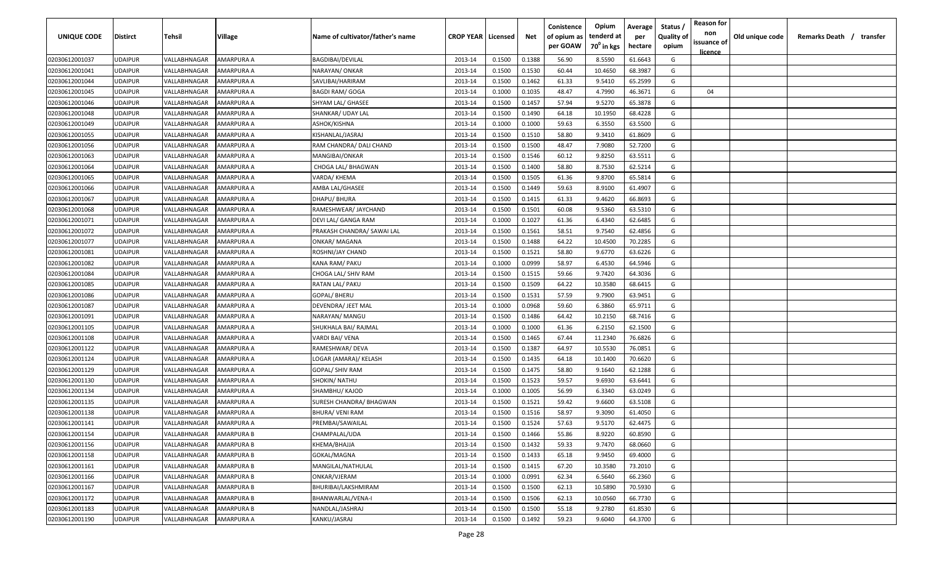| UNIQUE CODE    | <b>Distirct</b> | Tehsil       | Village           | Name of cultivator/father's name | <b>CROP YEAR Licensed</b> |        | Net    | Conistence<br>of opium as<br>per GOAW | Opium<br>tenderd at<br>70 <sup>0</sup> in kgs | Average<br>per<br>hectare | Status /<br><b>Quality of</b><br>opium | <b>Reason for</b><br>non<br>issuance of<br><u>licence</u> | Old unique code | Remarks Death /<br>transfer |
|----------------|-----------------|--------------|-------------------|----------------------------------|---------------------------|--------|--------|---------------------------------------|-----------------------------------------------|---------------------------|----------------------------------------|-----------------------------------------------------------|-----------------|-----------------------------|
| 02030612001037 | <b>JDAIPUR</b>  | VALLABHNAGAR | AMARPURA A        | <b>BAGDIBAI/DEVILAL</b>          | 2013-14                   | 0.1500 | 0.1388 | 56.90                                 | 8.5590                                        | 61.6643                   | G                                      |                                                           |                 |                             |
| 02030612001041 | <b>JDAIPUR</b>  | VALLABHNAGAR | AMARPURA A        | NARAYAN/ ONKAR                   | 2013-14                   | 0.1500 | 0.1530 | 60.44                                 | 10.4650                                       | 68.3987                   | G                                      |                                                           |                 |                             |
| 02030612001044 | <b>JDAIPUR</b>  | VALLABHNAGAR | AMARPURA A        | SAVLIBAI/HARIRAM                 | 2013-14                   | 0.1500 | 0.1462 | 61.33                                 | 9.5410                                        | 65.2599                   | G                                      |                                                           |                 |                             |
| 02030612001045 | <b>JDAIPUR</b>  | VALLABHNAGAR | AMARPURA A        | <b>BAGDI RAM/ GOGA</b>           | 2013-14                   | 0.1000 | 0.1035 | 48.47                                 | 4.7990                                        | 46.3671                   | G                                      | 04                                                        |                 |                             |
| 02030612001046 | <b>JDAIPUR</b>  | VALLABHNAGAR | AMARPURA A        | SHYAM LAL/ GHASEE                | 2013-14                   | 0.1500 | 0.1457 | 57.94                                 | 9.5270                                        | 65.3878                   | G                                      |                                                           |                 |                             |
| 02030612001048 | <b>JDAIPUR</b>  | VALLABHNAGAR | AMARPURA A        | SHANKAR/ UDAY LAL                | 2013-14                   | 0.1500 | 0.1490 | 64.18                                 | 10.1950                                       | 68.4228                   | G                                      |                                                           |                 |                             |
| 02030612001049 | <b>JDAIPUR</b>  | VALLABHNAGAR | AMARPURA A        | ASHOK/KISHNA                     | 2013-14                   | 0.1000 | 0.1000 | 59.63                                 | 6.3550                                        | 63.5500                   | G                                      |                                                           |                 |                             |
| 02030612001055 | <b>JDAIPUR</b>  | VALLABHNAGAR | AMARPURA A        | KISHANLAL/JASRAJ                 | 2013-14                   | 0.1500 | 0.1510 | 58.80                                 | 9.3410                                        | 61.8609                   | G                                      |                                                           |                 |                             |
| 02030612001056 | <b>JDAIPUR</b>  | VALLABHNAGAR | AMARPURA A        | RAM CHANDRA/ DALI CHAND          | 2013-14                   | 0.1500 | 0.1500 | 48.47                                 | 7.9080                                        | 52.7200                   | G                                      |                                                           |                 |                             |
| 02030612001063 | <b>JDAIPUR</b>  | VALLABHNAGAR | AMARPURA A        | MANGIBAI/ONKAR                   | 2013-14                   | 0.1500 | 0.1546 | 60.12                                 | 9.8250                                        | 63.5511                   | G                                      |                                                           |                 |                             |
| 02030612001064 | UDAIPUR         | VALLABHNAGAR | AMARPURA A        | CHOGA LAL/ BHAGWAN               | 2013-14                   | 0.1500 | 0.1400 | 58.80                                 | 8.7530                                        | 62.5214                   | G                                      |                                                           |                 |                             |
| 02030612001065 | JDAIPUR         | VALLABHNAGAR | AMARPURA A        | VARDA/ KHEMA                     | 2013-14                   | 0.1500 | 0.1505 | 61.36                                 | 9.8700                                        | 65.5814                   | G                                      |                                                           |                 |                             |
| 02030612001066 | <b>JDAIPUR</b>  | VALLABHNAGAR | AMARPURA A        | AMBA LAL/GHASEE                  | 2013-14                   | 0.1500 | 0.1449 | 59.63                                 | 8.9100                                        | 61.4907                   | G                                      |                                                           |                 |                             |
| 02030612001067 | <b>JDAIPUR</b>  | VALLABHNAGAR | AMARPURA A        | DHAPU/ BHURA                     | 2013-14                   | 0.1500 | 0.1415 | 61.33                                 | 9.4620                                        | 66.8693                   | G                                      |                                                           |                 |                             |
| 02030612001068 | <b>JDAIPUR</b>  | VALLABHNAGAR | AMARPURA A        | RAMESHWEAR/ JAYCHAND             | 2013-14                   | 0.1500 | 0.1501 | 60.08                                 | 9.5360                                        | 63.5310                   | G                                      |                                                           |                 |                             |
| 02030612001071 | UDAIPUR         | VALLABHNAGAR | AMARPURA A        | DEVI LAL/ GANGA RAM              | 2013-14                   | 0.1000 | 0.1027 | 61.36                                 | 6.4340                                        | 62.6485                   | G                                      |                                                           |                 |                             |
| 02030612001072 | <b>JDAIPUR</b>  | VALLABHNAGAR | AMARPURA A        | PRAKASH CHANDRA/ SAWAI LAL       | 2013-14                   | 0.1500 | 0.1561 | 58.51                                 | 9.7540                                        | 62.4856                   | G                                      |                                                           |                 |                             |
| 02030612001077 | <b>JDAIPUR</b>  | VALLABHNAGAR | AMARPURA A        | ONKAR/ MAGANA                    | 2013-14                   | 0.1500 | 0.1488 | 64.22                                 | 10.4500                                       | 70.2285                   | G                                      |                                                           |                 |                             |
| 02030612001081 | <b>JDAIPUR</b>  | VALLABHNAGAR | AMARPURA A        | ROSHNI/JAY CHAND                 | 2013-14                   | 0.1500 | 0.1521 | 58.80                                 | 9.6770                                        | 63.6226                   | G                                      |                                                           |                 |                             |
| 02030612001082 | UDAIPUR         | VALLABHNAGAR | AMARPURA A        | <b>KANA RAM/ PAKU</b>            | 2013-14                   | 0.1000 | 0.0999 | 58.97                                 | 6.4530                                        | 64.5946                   | G                                      |                                                           |                 |                             |
| 02030612001084 | <b>JDAIPUR</b>  | VALLABHNAGAR | AMARPURA A        | CHOGA LAL/ SHIV RAM              | 2013-14                   | 0.1500 | 0.1515 | 59.66                                 | 9.7420                                        | 64.3036                   | G                                      |                                                           |                 |                             |
| 02030612001085 | <b>JDAIPUR</b>  | VALLABHNAGAR | AMARPURA A        | RATAN LAL/ PAKU                  | 2013-14                   | 0.1500 | 0.1509 | 64.22                                 | 10.3580                                       | 68.6415                   | G                                      |                                                           |                 |                             |
| 02030612001086 | <b>JDAIPUR</b>  | VALLABHNAGAR | AMARPURA A        | GOPAL/BHERU                      | 2013-14                   | 0.1500 | 0.1531 | 57.59                                 | 9.7900                                        | 63.9451                   | G                                      |                                                           |                 |                             |
| 02030612001087 | <b>JDAIPUR</b>  | VALLABHNAGAR | AMARPURA A        | DEVENDRA/ JEET MAL               | 2013-14                   | 0.1000 | 0.0968 | 59.60                                 | 6.3860                                        | 65.9711                   | G                                      |                                                           |                 |                             |
| 02030612001091 | <b>JDAIPUR</b>  | VALLABHNAGAR | AMARPURA A        | NARAYAN/ MANGU                   | 2013-14                   | 0.1500 | 0.1486 | 64.42                                 | 10.2150                                       | 68.7416                   | G                                      |                                                           |                 |                             |
| 02030612001105 | <b>JDAIPUR</b>  | VALLABHNAGAR | AMARPURA A        | SHUKHALA BAI/ RAJMAL             | 2013-14                   | 0.1000 | 0.1000 | 61.36                                 | 6.2150                                        | 62.1500                   | G                                      |                                                           |                 |                             |
| 02030612001108 | <b>JDAIPUR</b>  | VALLABHNAGAR | AMARPURA A        | VARDI BAI/ VENA                  | 2013-14                   | 0.1500 | 0.1465 | 67.44                                 | 11.2340                                       | 76.6826                   | G                                      |                                                           |                 |                             |
| 02030612001122 | UDAIPUR         | VALLABHNAGAR | AMARPURA A        | RAMESHWAR/ DEVA                  | 2013-14                   | 0.1500 | 0.1387 | 64.97                                 | 10.5530                                       | 76.0851                   | G                                      |                                                           |                 |                             |
| 02030612001124 | JDAIPUR         | VALLABHNAGAR | AMARPURA A        | LOGAR (AMARA)/ KELASH            | 2013-14                   | 0.1500 | 0.1435 | 64.18                                 | 10.1400                                       | 70.6620                   | G                                      |                                                           |                 |                             |
| 02030612001129 | <b>JDAIPUR</b>  | VALLABHNAGAR | AMARPURA A        | GOPAL/ SHIV RAM                  | 2013-14                   | 0.1500 | 0.1475 | 58.80                                 | 9.1640                                        | 62.1288                   | G                                      |                                                           |                 |                             |
| 02030612001130 | <b>JDAIPUR</b>  | VALLABHNAGAR | AMARPURA A        | SHOKIN/ NATHU                    | 2013-14                   | 0.1500 | 0.1523 | 59.57                                 | 9.6930                                        | 63.6441                   | G                                      |                                                           |                 |                             |
| 02030612001134 | <b>JDAIPUR</b>  | VALLABHNAGAR | AMARPURA A        | SHAMBHU/ KAJOD                   | 2013-14                   | 0.1000 | 0.1005 | 56.99                                 | 6.3340                                        | 63.0249                   | G                                      |                                                           |                 |                             |
| 02030612001135 | <b>JDAIPUR</b>  | VALLABHNAGAR | AMARPURA A        | SURESH CHANDRA/ BHAGWAN          | 2013-14                   | 0.1500 | 0.1521 | 59.42                                 | 9.6600                                        | 63.5108                   | G                                      |                                                           |                 |                             |
| 02030612001138 | <b>JDAIPUR</b>  | VALLABHNAGAR | AMARPURA A        | <b>BHURA/ VENI RAM</b>           | 2013-14                   | 0.1500 | 0.1516 | 58.97                                 | 9.3090                                        | 61.4050                   | G                                      |                                                           |                 |                             |
| 02030612001141 | <b>JDAIPUR</b>  | VALLABHNAGAR | AMARPURA A        | PREMBAI/SAWAILAL                 | 2013-14                   | 0.1500 | 0.1524 | 57.63                                 | 9.5170                                        | 62.4475                   | G                                      |                                                           |                 |                             |
| 02030612001154 | UDAIPUR         | VALLABHNAGAR | <b>AMARPURA B</b> | CHAMPALAL/UDA                    | 2013-14                   | 0.1500 | 0.1466 | 55.86                                 | 8.9220                                        | 60.8590                   | G                                      |                                                           |                 |                             |
| 02030612001156 | UDAIPUR         | VALLABHNAGAR | AMARPURA B        | KHEMA/BHAJJA                     | 2013-14                   | 0.1500 | 0.1432 | 59.33                                 | 9.7470                                        | 68.0660                   | G                                      |                                                           |                 |                             |
| 02030612001158 | <b>JDAIPUR</b>  | VALLABHNAGAR | AMARPURA B        | GOKAL/MAGNA                      | 2013-14                   | 0.1500 | 0.1433 | 65.18                                 | 9.9450                                        | 69.4000                   | G                                      |                                                           |                 |                             |
| 02030612001161 | <b>UDAIPUR</b>  | VALLABHNAGAR | AMARPURA B        | MANGILAL/NATHULAL                | 2013-14                   | 0.1500 | 0.1415 | 67.20                                 | 10.3580                                       | 73.2010                   | G                                      |                                                           |                 |                             |
| 02030612001166 | <b>UDAIPUR</b>  | VALLABHNAGAR | AMARPURA B        | ONKAR/VJERAM                     | 2013-14                   | 0.1000 | 0.0991 | 62.34                                 | 6.5640                                        | 66.2360                   | G                                      |                                                           |                 |                             |
| 02030612001167 | <b>JDAIPUR</b>  | VALLABHNAGAR | AMARPURA B        | BHURIBAI/LAKSHMIRAM              | 2013-14                   | 0.1500 | 0.1500 | 62.13                                 | 10.5890                                       | 70.5930                   | G                                      |                                                           |                 |                             |
| 02030612001172 | <b>JDAIPUR</b>  | VALLABHNAGAR | AMARPURA B        | BHANWARLAL/VENA-I                | 2013-14                   | 0.1500 | 0.1506 | 62.13                                 | 10.0560                                       | 66.7730                   | G                                      |                                                           |                 |                             |
| 02030612001183 | <b>JDAIPUR</b>  | VALLABHNAGAR | AMARPURA B        | NANDLAL/JASHRAJ                  | 2013-14                   | 0.1500 | 0.1500 | 55.18                                 | 9.2780                                        | 61.8530                   | G                                      |                                                           |                 |                             |
| 02030612001190 | UDAIPUR         | VALLABHNAGAR | AMARPURA A        | KANKU/JASRAJ                     | 2013-14                   | 0.1500 | 0.1492 | 59.23                                 | 9.6040                                        | 64.3700                   | G                                      |                                                           |                 |                             |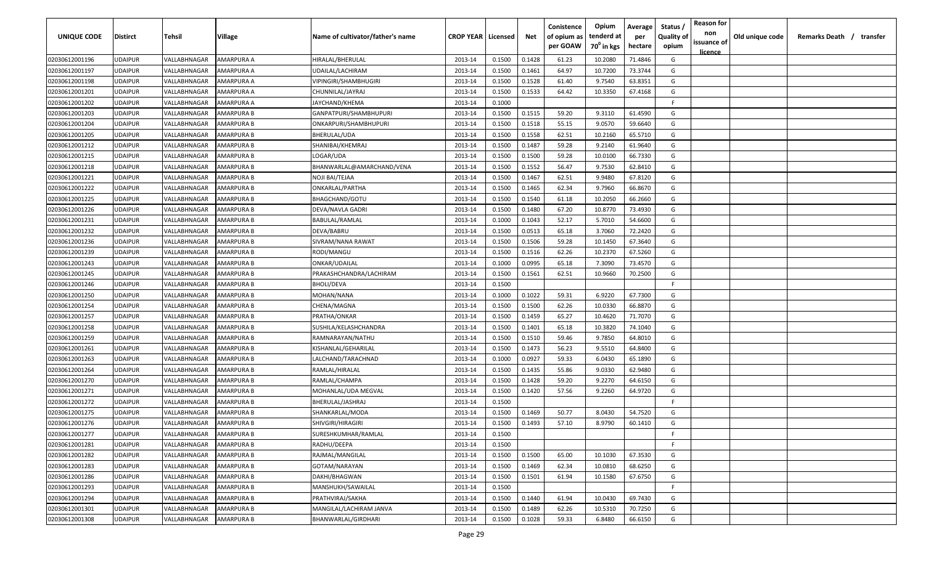| UNIQUE CODE    | <b>Distirct</b> | Tehsil       | Village           | Name of cultivator/father's name | <b>CROP YEAR   Licensed</b> |        | Net    | Conistence<br>of opium as<br>per GOAW | Opium<br>tenderd at<br>70 <sup>0</sup> in kgs | Average<br>per<br>hectare | Status<br><b>Quality of</b><br>opium | <b>Reason for</b><br>non<br>issuance of<br><u>licence</u> | Old unique code | Remarks Death / transfer |
|----------------|-----------------|--------------|-------------------|----------------------------------|-----------------------------|--------|--------|---------------------------------------|-----------------------------------------------|---------------------------|--------------------------------------|-----------------------------------------------------------|-----------------|--------------------------|
| 02030612001196 | <b>UDAIPUR</b>  | VALLABHNAGAR | AMARPURA A        | HIRALAL/BHERULAL                 | 2013-14                     | 0.1500 | 0.1428 | 61.23                                 | 10.2080                                       | 71.4846                   | G                                    |                                                           |                 |                          |
| 02030612001197 | <b>UDAIPUR</b>  | VALLABHNAGAR | AMARPURA A        | UDAILAL/LACHIRAM                 | 2013-14                     | 0.1500 | 0.1461 | 64.97                                 | 10.7200                                       | 73.3744                   | G                                    |                                                           |                 |                          |
| 02030612001198 | <b>UDAIPUR</b>  | VALLABHNAGAR | AMARPURA A        | VIPINGIRI/SHAMBHUGIRI            | 2013-14                     | 0.1500 | 0.1528 | 61.40                                 | 9.7540                                        | 63.8351                   | G                                    |                                                           |                 |                          |
| 02030612001201 | <b>UDAIPUR</b>  | VALLABHNAGAR | AMARPURA A        | CHUNNILAL/JAYRAJ                 | 2013-14                     | 0.1500 | 0.1533 | 64.42                                 | 10.3350                                       | 67.4168                   | G                                    |                                                           |                 |                          |
| 02030612001202 | <b>UDAIPUR</b>  | VALLABHNAGAR | AMARPURA A        | JAYCHAND/KHEMA                   | 2013-14                     | 0.1000 |        |                                       |                                               |                           | -F                                   |                                                           |                 |                          |
| 02030612001203 | <b>UDAIPUR</b>  | VALLABHNAGAR | AMARPURA B        | GANPATPURI/SHAMBHUPURI           | 2013-14                     | 0.1500 | 0.1515 | 59.20                                 | 9.3110                                        | 61.4590                   | G                                    |                                                           |                 |                          |
| 02030612001204 | <b>UDAIPUR</b>  | VALLABHNAGAR | AMARPURA B        | ONKARPURI/SHAMBHUPURI            | 2013-14                     | 0.1500 | 0.1518 | 55.15                                 | 9.0570                                        | 59.6640                   | G                                    |                                                           |                 |                          |
| 02030612001205 | <b>UDAIPUR</b>  | VALLABHNAGAR | AMARPURA B        | BHERULAL/UDA                     | 2013-14                     | 0.1500 | 0.1558 | 62.51                                 | 10.2160                                       | 65.5710                   | G                                    |                                                           |                 |                          |
| 02030612001212 | <b>UDAIPUR</b>  | VALLABHNAGAR | AMARPURA B        | SHANIBAI/KHEMRAJ                 | 2013-14                     | 0.1500 | 0.1487 | 59.28                                 | 9.2140                                        | 61.9640                   | G                                    |                                                           |                 |                          |
| 02030612001215 | <b>UDAIPUR</b>  | VALLABHNAGAR | AMARPURA B        | LOGAR/UDA                        | 2013-14                     | 0.1500 | 0.1500 | 59.28                                 | 10.0100                                       | 66.7330                   | G                                    |                                                           |                 |                          |
| 02030612001218 | <b>UDAIPUR</b>  | VALLABHNAGAR | AMARPURA B        | BHANWARLAL@AMARCHAND/VENA        | 2013-14                     | 0.1500 | 0.1552 | 56.47                                 | 9.7530                                        | 62.8410                   | G                                    |                                                           |                 |                          |
| 02030612001221 | <b>UDAIPUR</b>  | VALLABHNAGAR | AMARPURA B        | NOJI BAI/TEJAA                   | 2013-14                     | 0.1500 | 0.1467 | 62.51                                 | 9.9480                                        | 67.8120                   | G                                    |                                                           |                 |                          |
| 02030612001222 | <b>UDAIPUR</b>  | VALLABHNAGAR | AMARPURA B        | ONKARLAL/PARTHA                  | 2013-14                     | 0.1500 | 0.1465 | 62.34                                 | 9.7960                                        | 66.8670                   | G                                    |                                                           |                 |                          |
| 02030612001225 | <b>UDAIPUR</b>  | VALLABHNAGAR | AMARPURA B        | BHAGCHAND/GOTU                   | 2013-14                     | 0.1500 | 0.1540 | 61.18                                 | 10.2050                                       | 66.2660                   | G                                    |                                                           |                 |                          |
| 02030612001226 | <b>UDAIPUR</b>  | VALLABHNAGAR | AMARPURA B        | DEVA/NAVLA GADRI                 | 2013-14                     | 0.1500 | 0.1480 | 67.20                                 | 10.8770                                       | 73.4930                   | G                                    |                                                           |                 |                          |
| 02030612001231 | <b>UDAIPUR</b>  | VALLABHNAGAR | AMARPURA B        | BABULAL/RAMLAL                   | 2013-14                     | 0.1000 | 0.1043 | 52.17                                 | 5.7010                                        | 54.6600                   | G                                    |                                                           |                 |                          |
| 02030612001232 | <b>UDAIPUR</b>  | VALLABHNAGAR | AMARPURA B        | DEVA/BABRU                       | 2013-14                     | 0.1500 | 0.0513 | 65.18                                 | 3.7060                                        | 72.2420                   | G                                    |                                                           |                 |                          |
| 02030612001236 | <b>UDAIPUR</b>  | VALLABHNAGAR | AMARPURA B        | SIVRAM/NANA RAWAT                | 2013-14                     | 0.1500 | 0.1506 | 59.28                                 | 10.1450                                       | 67.3640                   | G                                    |                                                           |                 |                          |
| 02030612001239 | <b>UDAIPUR</b>  | VALLABHNAGAR | AMARPURA B        | RODI/MANGU                       | 2013-14                     | 0.1500 | 0.1516 | 62.26                                 | 10.2370                                       | 67.5260                   | G                                    |                                                           |                 |                          |
| 02030612001243 | <b>UDAIPUR</b>  | VALLABHNAGAR | AMARPURA B        | ONKAR/UDAILAL                    | 2013-14                     | 0.1000 | 0.0995 | 65.18                                 | 7.3090                                        | 73.4570                   | G                                    |                                                           |                 |                          |
| 02030612001245 | <b>UDAIPUR</b>  | VALLABHNAGAR | AMARPURA B        | PRAKASHCHANDRA/LACHIRAM          | 2013-14                     | 0.1500 | 0.1561 | 62.51                                 | 10.9660                                       | 70.2500                   | G                                    |                                                           |                 |                          |
| 02030612001246 | <b>UDAIPUR</b>  | VALLABHNAGAR | AMARPURA B        | BHOLI/DEVA                       | 2013-14                     | 0.1500 |        |                                       |                                               |                           | -F.                                  |                                                           |                 |                          |
| 02030612001250 | <b>UDAIPUR</b>  | VALLABHNAGAR | AMARPURA B        | MOHAN/NANA                       | 2013-14                     | 0.1000 | 0.1022 | 59.31                                 | 6.9220                                        | 67.7300                   | G                                    |                                                           |                 |                          |
| 02030612001254 | <b>UDAIPUR</b>  | VALLABHNAGAR | AMARPURA B        | CHENA/MAGNA                      | 2013-14                     | 0.1500 | 0.1500 | 62.26                                 | 10.0330                                       | 66.8870                   | G                                    |                                                           |                 |                          |
| 02030612001257 | <b>UDAIPUR</b>  | VALLABHNAGAR | AMARPURA B        | PRATHA/ONKAR                     | 2013-14                     | 0.1500 | 0.1459 | 65.27                                 | 10.4620                                       | 71.7070                   | G                                    |                                                           |                 |                          |
| 02030612001258 | <b>UDAIPUR</b>  | VALLABHNAGAR | AMARPURA B        | SUSHILA/KELASHCHANDRA            | 2013-14                     | 0.1500 | 0.1401 | 65.18                                 | 10.3820                                       | 74.1040                   | G                                    |                                                           |                 |                          |
| 02030612001259 | <b>UDAIPUR</b>  | VALLABHNAGAR | AMARPURA B        | RAMNARAYAN/NATHU                 | 2013-14                     | 0.1500 | 0.1510 | 59.46                                 | 9.7850                                        | 64.8010                   | G                                    |                                                           |                 |                          |
| 02030612001261 | <b>UDAIPUR</b>  | VALLABHNAGAR | AMARPURA B        | KISHANLAL/GEHARILAL              | 2013-14                     | 0.1500 | 0.1473 | 56.23                                 | 9.5510                                        | 64.8400                   | G                                    |                                                           |                 |                          |
| 02030612001263 | <b>UDAIPUR</b>  | VALLABHNAGAR | AMARPURA B        | LALCHAND/TARACHNAD               | 2013-14                     | 0.1000 | 0.0927 | 59.33                                 | 6.0430                                        | 65.1890                   | G                                    |                                                           |                 |                          |
| 02030612001264 | <b>UDAIPUR</b>  | VALLABHNAGAR | AMARPURA B        | RAMLAL/HIRALAL                   | 2013-14                     | 0.1500 | 0.1435 | 55.86                                 | 9.0330                                        | 62.9480                   | G                                    |                                                           |                 |                          |
| 02030612001270 | <b>UDAIPUR</b>  | VALLABHNAGAR | AMARPURA B        | RAMLAL/CHAMPA                    | 2013-14                     | 0.1500 | 0.1428 | 59.20                                 | 9.2270                                        | 64.6150                   | G                                    |                                                           |                 |                          |
| 02030612001271 | <b>UDAIPUR</b>  | VALLABHNAGAR | AMARPURA B        | MOHANLAL/UDA MEGVAL              | 2013-14                     | 0.1500 | 0.1420 | 57.56                                 | 9.2260                                        | 64.9720                   | G                                    |                                                           |                 |                          |
| 02030612001272 | <b>UDAIPUR</b>  | VALLABHNAGAR | AMARPURA B        | BHERULAL/JASHRAJ                 | 2013-14                     | 0.1500 |        |                                       |                                               |                           | F.                                   |                                                           |                 |                          |
| 02030612001275 | <b>UDAIPUR</b>  | VALLABHNAGAR | AMARPURA B        | SHANKARLAL/MODA                  | 2013-14                     | 0.1500 | 0.1469 | 50.77                                 | 8.0430                                        | 54.7520                   | G                                    |                                                           |                 |                          |
| 02030612001276 | <b>UDAIPUR</b>  | VALLABHNAGAR | AMARPURA B        | SHIVGIRI/HIRAGIRI                | 2013-14                     | 0.1500 | 0.1493 | 57.10                                 | 8.9790                                        | 60.1410                   | G                                    |                                                           |                 |                          |
| 02030612001277 | <b>UDAIPUR</b>  | VALLABHNAGAR | <b>AMARPURA B</b> | SURESHKUMHAR/RAMLAL              | 2013-14                     | 0.1500 |        |                                       |                                               |                           | F.                                   |                                                           |                 |                          |
| 02030612001281 | <b>UDAIPUR</b>  | VALLABHNAGAR | <b>AMARPURA B</b> | RADHU/DEEPA                      | 2013-14                     | 0.1500 |        |                                       |                                               |                           | F                                    |                                                           |                 |                          |
| 02030612001282 | <b>UDAIPUR</b>  | VALLABHNAGAR | <b>AMARPURA B</b> | RAJMAL/MANGILAL                  | 2013-14                     | 0.1500 | 0.1500 | 65.00                                 | 10.1030                                       | 67.3530                   | G                                    |                                                           |                 |                          |
| 02030612001283 | <b>UDAIPUR</b>  | VALLABHNAGAR | <b>AMARPURA B</b> | GOTAM/NARAYAN                    | 2013-14                     | 0.1500 | 0.1469 | 62.34                                 | 10.0810                                       | 68.6250                   | G                                    |                                                           |                 |                          |
| 02030612001286 | <b>UDAIPUR</b>  | VALLABHNAGAR | AMARPURA B        | DAKHI/BHAGWAN                    | 2013-14                     | 0.1500 | 0.1501 | 61.94                                 | 10.1580                                       | 67.6750                   | G                                    |                                                           |                 |                          |
| 02030612001293 | <b>UDAIPUR</b>  | VALLABHNAGAR | AMARPURA B        | MANSHUKH/SAWAILAL                | 2013-14                     | 0.1500 |        |                                       |                                               |                           | F.                                   |                                                           |                 |                          |
| 02030612001294 | <b>UDAIPUR</b>  | VALLABHNAGAR | AMARPURA B        | PRATHVIRAJ/SAKHA                 | 2013-14                     | 0.1500 | 0.1440 | 61.94                                 | 10.0430                                       | 69.7430                   | G                                    |                                                           |                 |                          |
| 02030612001301 | <b>UDAIPUR</b>  | VALLABHNAGAR | AMARPURA B        | MANGILAL/LACHIRAM JANVA          | 2013-14                     | 0.1500 | 0.1489 | 62.26                                 | 10.5310                                       | 70.7250                   | G                                    |                                                           |                 |                          |
| 02030612001308 | <b>UDAIPUR</b>  | VALLABHNAGAR | <b>AMARPURA B</b> | BHANWARLAL/GIRDHARI              | 2013-14                     | 0.1500 | 0.1028 | 59.33                                 | 6.8480                                        | 66.6150                   | G                                    |                                                           |                 |                          |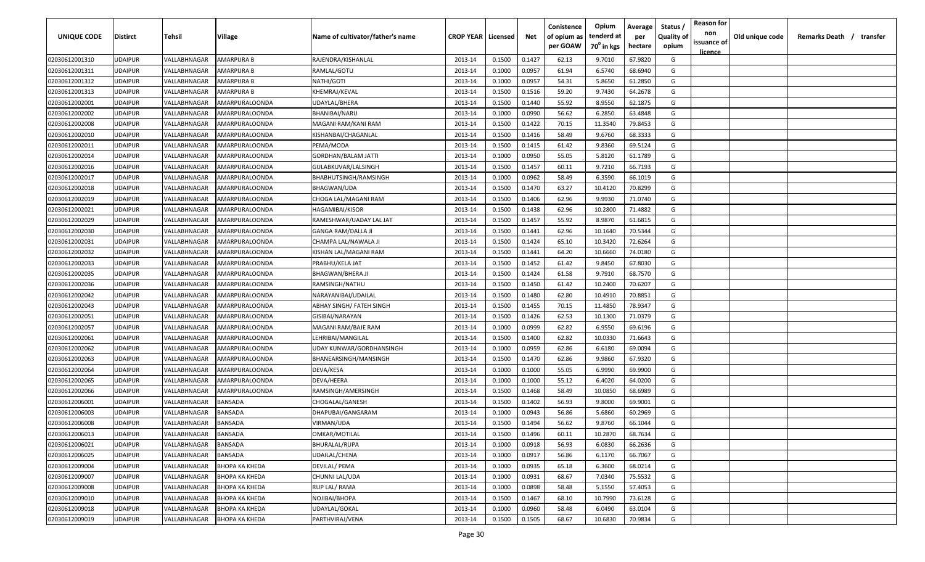| UNIQUE CODE                      | <b>Distirct</b>           | Tehsil                       | Village                          | Name of cultivator/father's name | <b>CROP YEAR   Licensed</b> |                  | Net              | Conistence<br>of opium as<br>per GOAW | Opium<br>tenderd at<br>70 <sup>0</sup> in kgs | Average<br>per<br>hectare | Status /<br><b>Quality of</b><br>opium | <b>Reason for</b><br>non<br>issuance of<br><u>licence</u> | Old unique code | Remarks Death /<br>transfer |
|----------------------------------|---------------------------|------------------------------|----------------------------------|----------------------------------|-----------------------------|------------------|------------------|---------------------------------------|-----------------------------------------------|---------------------------|----------------------------------------|-----------------------------------------------------------|-----------------|-----------------------------|
| 02030612001310                   | <b>JDAIPUR</b>            | VALLABHNAGAR                 | AMARPURA B                       | RAJENDRA/KISHANLAL               | 2013-14                     | 0.1500           | 0.1427           | 62.13                                 | 9.7010                                        | 67.9820                   | G                                      |                                                           |                 |                             |
| 02030612001311                   | <b>JDAIPUR</b>            | VALLABHNAGAR                 | AMARPURA B                       | RAMLAL/GOTU                      | 2013-14                     | 0.1000           | 0.0957           | 61.94                                 | 6.5740                                        | 68.6940                   | G                                      |                                                           |                 |                             |
| 02030612001312                   | <b>JDAIPUR</b>            | VALLABHNAGAR                 | AMARPURA B                       | NATHI/GOTI                       | 2013-14                     | 0.1000           | 0.0957           | 54.31                                 | 5.8650                                        | 61.2850                   | G                                      |                                                           |                 |                             |
| 02030612001313                   | <b>JDAIPUR</b>            | VALLABHNAGAR                 | AMARPURA B                       | KHEMRAJ/KEVAL                    | 2013-14                     | 0.1500           | 0.1516           | 59.20                                 | 9.7430                                        | 64.2678                   | G                                      |                                                           |                 |                             |
| 02030612002001                   | <b>JDAIPUR</b>            | VALLABHNAGAR                 | AMARPURALOONDA                   | UDAYLAL/BHERA                    | 2013-14                     | 0.1500           | 0.1440           | 55.92                                 | 8.9550                                        | 62.1875                   | G                                      |                                                           |                 |                             |
| 02030612002002                   | <b>JDAIPUR</b>            | VALLABHNAGAR                 | AMARPURALOONDA                   | BHANIBAI/NARU                    | 2013-14                     | 0.1000           | 0.0990           | 56.62                                 | 6.2850                                        | 63.4848                   | G                                      |                                                           |                 |                             |
| 02030612002008                   | <b>JDAIPUR</b>            | VALLABHNAGAR                 | AMARPURALOONDA                   | MAGANI RAM/KANI RAM              | 2013-14                     | 0.1500           | 0.1422           | 70.15                                 | 11.3540                                       | 79.8453                   | G                                      |                                                           |                 |                             |
| 02030612002010                   | <b>JDAIPUR</b>            | VALLABHNAGAR                 | AMARPURALOONDA                   | KISHANBAI/CHAGANLAL              | 2013-14                     | 0.1500           | 0.1416           | 58.49                                 | 9.6760                                        | 68.3333                   | G                                      |                                                           |                 |                             |
| 02030612002011                   | <b>JDAIPUR</b>            | VALLABHNAGAR                 | AMARPURALOONDA                   | PEMA/MODA                        | 2013-14                     | 0.1500           | 0.1415           | 61.42                                 | 9.8360                                        | 69.5124                   | G                                      |                                                           |                 |                             |
| 02030612002014                   | <b>JDAIPUR</b>            | VALLABHNAGAR                 | AMARPURALOONDA                   | GORDHAN/BALAM JATTI              | 2013-14                     | 0.1000           | 0.0950           | 55.05                                 | 5.8120                                        | 61.1789                   | G                                      |                                                           |                 |                             |
| 02030612002016                   | UDAIPUR                   | VALLABHNAGAR                 | AMARPURALOONDA                   | GULABKUVAR/LALSINGH              | 2013-14                     | 0.1500           | 0.1457           | 60.11                                 | 9.7210                                        | 66.7193                   | G                                      |                                                           |                 |                             |
| 02030612002017                   | JDAIPUR                   | VALLABHNAGAR                 | AMARPURALOONDA                   | BHABHUTSINGH/RAMSINGH            | 2013-14                     | 0.1000           | 0.0962           | 58.49                                 | 6.3590                                        | 66.1019                   | G                                      |                                                           |                 |                             |
| 02030612002018                   | <b>JDAIPUR</b>            | VALLABHNAGAR                 | AMARPURALOONDA                   | BHAGWAN/UDA                      | 2013-14                     | 0.1500           | 0.1470           | 63.27                                 | 10.4120                                       | 70.8299                   | G                                      |                                                           |                 |                             |
| 02030612002019                   | <b>JDAIPUR</b>            | VALLABHNAGAR                 | AMARPURALOONDA                   | CHOGA LAL/MAGANI RAM             | 2013-14                     | 0.1500           | 0.1406           | 62.96                                 | 9.9930                                        | 71.0740                   | G                                      |                                                           |                 |                             |
| 02030612002021                   | <b>JDAIPUR</b>            | VALLABHNAGAR                 | AMARPURALOONDA                   | <b>HAGAMIBAI/KISOR</b>           | 2013-14                     | 0.1500           | 0.1438           | 62.96                                 | 10.2800                                       | 71.4882                   | G                                      |                                                           |                 |                             |
| 02030612002029                   | UDAIPUR                   | VALLABHNAGAR                 | AMARPURALOONDA                   | RAMESHWAR/UADAY LAL JAT          | 2013-14                     | 0.1500           | 0.1457           | 55.92                                 | 8.9870                                        | 61.6815                   | G                                      |                                                           |                 |                             |
| 02030612002030                   | <b>JDAIPUR</b>            | VALLABHNAGAR                 | AMARPURALOONDA                   | <b>GANGA RAM/DALLA JI</b>        | 2013-14                     | 0.1500           | 0.1441           | 62.96                                 | 10.1640                                       | 70.5344                   | G                                      |                                                           |                 |                             |
| 02030612002031                   | <b>JDAIPUR</b>            | VALLABHNAGAR                 | AMARPURALOONDA                   | CHAMPA LAL/NAWALA JI             | 2013-14                     | 0.1500           | 0.1424           | 65.10                                 | 10.3420                                       | 72.6264                   | G                                      |                                                           |                 |                             |
| 02030612002032                   | <b>JDAIPUR</b>            | VALLABHNAGAR                 | AMARPURALOONDA                   | KISHAN LAL/MAGANI RAM            | 2013-14                     | 0.1500           | 0.1441           | 64.20                                 | 10.6660                                       | 74.0180                   | G                                      |                                                           |                 |                             |
| 02030612002033                   | UDAIPUR                   | VALLABHNAGAR                 | AMARPURALOONDA                   | PRABHU/KELA JAT                  | 2013-14                     | 0.1500           | 0.1452           | 61.42                                 | 9.8450                                        | 67.8030                   | G                                      |                                                           |                 |                             |
| 02030612002035                   | <b>JDAIPUR</b>            | VALLABHNAGAR                 | AMARPURALOONDA                   | <b>BHAGWAN/BHERA JI</b>          | 2013-14                     | 0.1500           | 0.1424           | 61.58                                 | 9.7910                                        | 68.7570                   | G                                      |                                                           |                 |                             |
| 02030612002036                   | <b>JDAIPUR</b>            | VALLABHNAGAR                 | AMARPURALOONDA                   | RAMSINGH/NATHU                   | 2013-14                     | 0.1500           | 0.1450           | 61.42                                 | 10.2400                                       | 70.6207                   | G                                      |                                                           |                 |                             |
| 02030612002042                   | <b>JDAIPUR</b>            | VALLABHNAGAR                 | AMARPURALOONDA                   | NARAYANIBAI/UDAILAL              | 2013-14                     | 0.1500           | 0.1480           | 62.80                                 | 10.4910                                       | 70.8851                   | G                                      |                                                           |                 |                             |
| 02030612002043                   | <b>JDAIPUR</b>            | VALLABHNAGAR                 | AMARPURALOONDA                   | ABHAY SINGH/ FATEH SINGH         | 2013-14                     | 0.1500           | 0.1455           | 70.15                                 | 11.4850                                       | 78.9347                   | G                                      |                                                           |                 |                             |
| 02030612002051                   | <b>JDAIPUR</b>            | VALLABHNAGAR                 | AMARPURALOONDA                   | GISIBAI/NARAYAN                  | 2013-14                     | 0.1500           | 0.1426           | 62.53                                 | 10.1300                                       | 71.0379                   | G                                      |                                                           |                 |                             |
| 02030612002057                   | <b>JDAIPUR</b>            | VALLABHNAGAR                 | AMARPURALOONDA                   | MAGANI RAM/BAJE RAM              | 2013-14                     | 0.1000           | 0.0999           | 62.82                                 | 6.9550                                        | 69.6196                   | G                                      |                                                           |                 |                             |
| 02030612002061                   | <b>JDAIPUR</b>            | VALLABHNAGAR                 | AMARPURALOONDA                   | LEHRIBAI/MANGILAL                | 2013-14                     | 0.1500           | 0.1400           | 62.82                                 | 10.0330                                       | 71.6643                   | G                                      |                                                           |                 |                             |
| 02030612002062                   | UDAIPUR                   | VALLABHNAGAR                 | AMARPURALOONDA                   | UDAY KUNWAR/GORDHANSINGH         | 2013-14                     | 0.1000           | 0.0959           | 62.86                                 | 6.6180                                        | 69.0094                   | G                                      |                                                           |                 |                             |
| 02030612002063                   | JDAIPUR                   | VALLABHNAGAR                 | AMARPURALOONDA                   | BHANEARSINGH/MANSINGH            | 2013-14                     | 0.1500           | 0.1470           | 62.86                                 | 9.9860                                        | 67.9320                   | G                                      |                                                           |                 |                             |
| 02030612002064                   | <b>JDAIPUR</b>            | VALLABHNAGAR                 | AMARPURALOONDA                   | DEVA/KESA                        | 2013-14                     | 0.1000           | 0.1000           | 55.05                                 | 6.9990                                        | 69.9900                   | G                                      |                                                           |                 |                             |
| 02030612002065                   | <b>JDAIPUR</b>            | VALLABHNAGAR                 | AMARPURALOONDA                   | DEVA/HEERA                       | 2013-14                     | 0.1000           | 0.1000           | 55.12                                 | 6.4020                                        | 64.0200                   | G                                      |                                                           |                 |                             |
| 02030612002066                   | <b>JDAIPUR</b>            | VALLABHNAGAR                 | AMARPURALOONDA                   | RAMSINGH/AMERSINGH               | 2013-14                     | 0.1500           | 0.1468           | 58.49                                 | 10.0850                                       | 68.6989                   | G                                      |                                                           |                 |                             |
| 02030612006001                   | <b>JDAIPUR</b>            | VALLABHNAGAR                 | BANSADA                          | CHOGALAL/GANESH                  | 2013-14                     | 0.1500           | 0.1402           | 56.93                                 | 9.8000                                        | 69.9001                   | G                                      |                                                           |                 |                             |
| 02030612006003                   | <b>JDAIPUR</b>            | VALLABHNAGAR                 | BANSADA                          | DHAPUBAI/GANGARAM                | 2013-14                     | 0.1000           | 0.0943           | 56.86                                 | 5.6860                                        | 60.2969                   | G                                      |                                                           |                 |                             |
| 02030612006008                   | <b>JDAIPUR</b>            | VALLABHNAGAR                 | BANSADA                          | VIRMAN/UDA                       | 2013-14                     | 0.1500           | 0.1494           | 56.62                                 | 9.8760                                        | 66.1044                   | G                                      |                                                           |                 |                             |
| 02030612006013                   | UDAIPUR                   | VALLABHNAGAR                 | BANSADA                          | OMKAR/MOTILAL                    | 2013-14                     | 0.1500           | 0.1496           | 60.11                                 | 10.2870                                       | 68.7634                   | G                                      |                                                           |                 |                             |
| 02030612006021                   | UDAIPUR                   | VALLABHNAGAR                 | BANSADA                          | <b>BHURALAL/RUPA</b>             | 2013-14                     | 0.1000           | 0.0918           | 56.93                                 | 6.0830                                        | 66.2636                   | G                                      |                                                           |                 |                             |
| 02030612006025                   | <b>JDAIPUR</b>            | VALLABHNAGAR                 | BANSADA                          | UDAILAL/CHENA                    | 2013-14                     | 0.1000           | 0.0917           | 56.86                                 | 6.1170                                        | 66.7067                   | G                                      |                                                           |                 |                             |
| 02030612009004                   | UDAIPUR                   | VALLABHNAGAR                 | ВНОРА КА КНЕДА                   | DEVILAL/ PEMA                    | 2013-14                     | 0.1000           | 0.0935           | 65.18                                 | 6.3600                                        | 68.0214                   | G                                      |                                                           |                 |                             |
| 02030612009007                   | <b>UDAIPUR</b>            | VALLABHNAGAR                 | ВНОРА КА КНЕДА                   | CHUNNI LAL/UDA                   | 2013-14                     | 0.1000           | 0.0931           | 68.67                                 | 7.0340                                        | 75.5532                   | G                                      |                                                           |                 |                             |
| 02030612009008                   | <b>JDAIPUR</b>            | VALLABHNAGAR                 | ВНОРА КА КНЕДА                   | RUP LAL/RAMA                     | 2013-14                     | 0.1000           | 0.0898           | 58.48                                 | 5.1550                                        | 57.4053                   | G                                      |                                                           |                 |                             |
| 02030612009010                   | <b>JDAIPUR</b>            | VALLABHNAGAR                 | ВНОРА КА КНЕДА                   | NOJIBAI/BHOPA                    | 2013-14                     | 0.1500           | 0.1467           | 68.10                                 | 10.7990                                       | 73.6128                   | G                                      |                                                           |                 |                             |
|                                  |                           |                              |                                  |                                  |                             |                  |                  |                                       |                                               |                           |                                        |                                                           |                 |                             |
| 02030612009018<br>02030612009019 | <b>JDAIPUR</b><br>UDAIPUR | VALLABHNAGAR<br>VALLABHNAGAR | ВНОРА КА КНЕДА<br>ВНОРА КА КНЕДА | UDAYLAL/GOKAL<br>PARTHVIRAJ/VENA | 2013-14<br>2013-14          | 0.1000<br>0.1500 | 0.0960<br>0.1505 | 58.48<br>68.67                        | 6.0490<br>10.6830                             | 63.0104<br>70.9834        | G<br>G                                 |                                                           |                 |                             |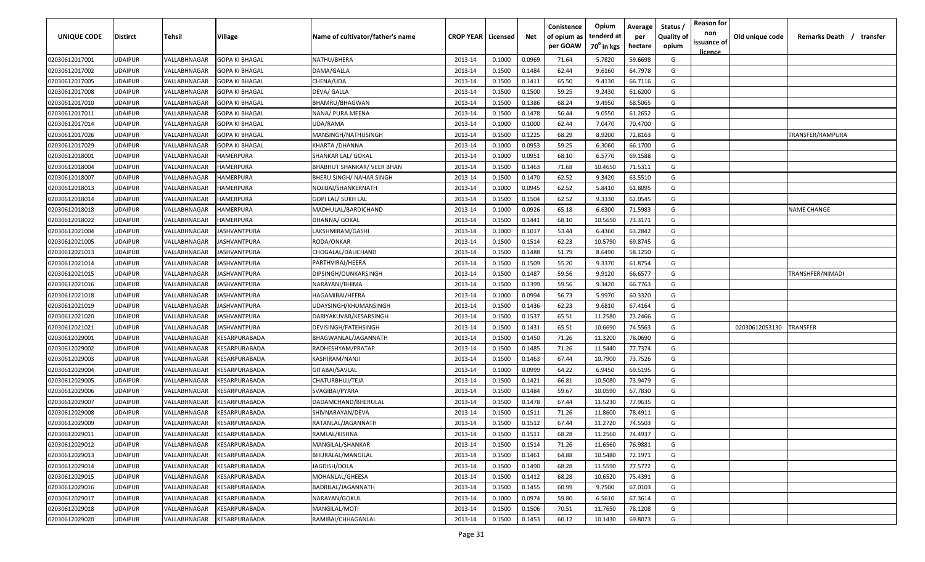| UNIQUE CODE    | <b>Distirct</b> | <b>Tehsil</b> | Village                                     | Name of cultivator/father's name | <b>CROP YEAR   Licensed</b> |        | Net    | Conistence<br>of opium as<br>per GOAW | Opium<br>tenderd at<br>70 <sup>0</sup> in kgs | Average<br>per<br>hectare | Status /<br><b>Quality of</b><br>opium | <b>Reason for</b><br>non<br>issuance of<br>licence | Old unique code | Remarks Death /<br>transfer |
|----------------|-----------------|---------------|---------------------------------------------|----------------------------------|-----------------------------|--------|--------|---------------------------------------|-----------------------------------------------|---------------------------|----------------------------------------|----------------------------------------------------|-----------------|-----------------------------|
| 02030612017001 | <b>UDAIPUR</b>  | VALLABHNAGAR  | <b>GOPA KI BHAGAL</b>                       | NATHU/BHERA                      | 2013-14                     | 0.1000 | 0.0969 | 71.64                                 | 5.7820                                        | 59.6698                   | G                                      |                                                    |                 |                             |
| 02030612017002 | <b>UDAIPUR</b>  | VALLABHNAGAR  | <b>GOPA KI BHAGAL</b>                       | DAMA/GALLA                       | 2013-14                     | 0.1500 | 0.1484 | 62.44                                 | 9.6160                                        | 64.7978                   | G                                      |                                                    |                 |                             |
| 02030612017005 | <b>UDAIPUR</b>  | VALLABHNAGAR  | <b>GOPA KI BHAGAL</b>                       | CHENA/UDA                        | 2013-14                     | 0.1500 | 0.1411 | 65.50                                 | 9.4130                                        | 66.7116                   | G                                      |                                                    |                 |                             |
| 02030612017008 | <b>UDAIPUR</b>  | VALLABHNAGAR  | GOPA KI BHAGAL                              | DEVA/ GALLA                      | 2013-14                     | 0.1500 | 0.1500 | 59.25                                 | 9.2430                                        | 61.6200                   | G                                      |                                                    |                 |                             |
| 02030612017010 | <b>UDAIPUR</b>  | VALLABHNAGAR  | <b>GOPA KI BHAGAL</b>                       | BHAMRU/BHAGWAN                   | 2013-14                     | 0.1500 | 0.1386 | 68.24                                 | 9.4950                                        | 68.5065                   | G                                      |                                                    |                 |                             |
| 02030612017011 | <b>UDAIPUR</b>  | VALLABHNAGAR  | <b>GOPA KI BHAGAL</b>                       | NANA/ PURA MEENA                 | 2013-14                     | 0.1500 | 0.1478 | 56.44                                 | 9.0550                                        | 61.2652                   | G                                      |                                                    |                 |                             |
| 02030612017014 | <b>UDAIPUR</b>  | VALLABHNAGAR  | GOPA KI BHAGAL                              | UDA/RAMA                         | 2013-14                     | 0.1000 | 0.1000 | 62.44                                 | 7.0470                                        | 70.4700                   | G                                      |                                                    |                 |                             |
| 02030612017026 | <b>UDAIPUR</b>  | VALLABHNAGAR  | GOPA KI BHAGAL                              | MANSINGH/NATHUSINGH              | 2013-14                     | 0.1500 | 0.1225 | 68.29                                 | 8.9200                                        | 72.8163                   | G                                      |                                                    |                 | TRANSFER/RAMPURA            |
| 02030612017029 | <b>UDAIPUR</b>  | VALLABHNAGAR  | GOPA KI BHAGAL                              | KHARTA /DHANNA                   | 2013-14                     | 0.1000 | 0.0953 | 59.25                                 | 6.3060                                        | 66.1700                   | G                                      |                                                    |                 |                             |
| 02030612018001 | <b>UDAIPUR</b>  | VALLABHNAGAR  | HAMERPURA                                   | SHANKAR LAL/ GOKAL               | 2013-14                     | 0.1000 | 0.0951 | 68.10                                 | 6.5770                                        | 69.1588                   | G                                      |                                                    |                 |                             |
| 02030612018004 | <b>UDAIPUR</b>  | VALLABHNAGAR  | HAMERPURA                                   | BHABHUT SHANKAR/ VEER BHAN       | 2013-14                     | 0.1500 | 0.1463 | 71.68                                 | 10.4650                                       | 71.5311                   | G                                      |                                                    |                 |                             |
| 02030612018007 | <b>UDAIPUR</b>  | VALLABHNAGAR  | HAMERPURA                                   | BHERU SINGH/ NAHAR SINGH         | 2013-14                     | 0.1500 | 0.1470 | 62.52                                 | 9.3420                                        | 63.5510                   | G                                      |                                                    |                 |                             |
| 02030612018013 | <b>UDAIPUR</b>  | VALLABHNAGAR  | HAMERPURA                                   | NOJIBAI/SHANKERNATH              | 2013-14                     | 0.1000 | 0.0945 | 62.52                                 | 5.8410                                        | 61.8095                   | G                                      |                                                    |                 |                             |
| 02030612018014 | UDAIPUR         | VALLABHNAGAR  | HAMERPURA                                   | GOPI LAL/ SUKH LAL               | 2013-14                     | 0.1500 | 0.1504 | 62.52                                 | 9.3330                                        | 62.0545                   | G                                      |                                                    |                 |                             |
| 02030612018018 | <b>UDAIPUR</b>  | VALLABHNAGAR  | HAMERPURA                                   | MADHULAL/BARDICHAND              | 2013-14                     | 0.1000 | 0.0926 | 65.18                                 | 6.6300                                        | 71.5983                   | G                                      |                                                    |                 | <b>NAME CHANGE</b>          |
| 02030612018022 | <b>UDAIPUR</b>  | VALLABHNAGAR  | HAMERPURA                                   | DHANNA/ GOKAL                    | 2013-14                     | 0.1500 | 0.1441 | 68.10                                 | 10.5650                                       | 73.3171                   | G                                      |                                                    |                 |                             |
| 02030612021004 | <b>UDAIPUR</b>  | VALLABHNAGAR  | IASHVANTPURA                                | LAKSHMIRAM/GASHI                 | 2013-14                     | 0.1000 | 0.1017 | 53.44                                 | 6.4360                                        | 63.2842                   | G                                      |                                                    |                 |                             |
| 02030612021005 | <b>UDAIPUR</b>  | VALLABHNAGAR  | JASHVANTPURA                                | RODA/ONKAR                       | 2013-14                     | 0.1500 | 0.1514 | 62.23                                 | 10.5790                                       | 69.8745                   | G                                      |                                                    |                 |                             |
| 02030612021013 | <b>UDAIPUR</b>  | VALLABHNAGAR  | IASHVANTPURA                                | CHOGALAL/DALICHAND               | 2013-14                     | 0.1500 | 0.1488 | 51.79                                 | 8.6490                                        | 58.1250                   | G                                      |                                                    |                 |                             |
| 02030612021014 | <b>UDAIPUR</b>  | VALLABHNAGAR  | IASHVANTPURA                                | PARTHVIRAJ/HEERA                 | 2013-14                     | 0.1500 | 0.1509 | 55.20                                 | 9.3370                                        | 61.8754                   | G                                      |                                                    |                 |                             |
| 02030612021015 | <b>UDAIPUR</b>  | VALLABHNAGAR  | IASHVANTPURA                                | DIPSINGH/OUNKARSINGH             | 2013-14                     | 0.1500 | 0.1487 | 59.56                                 | 9.9120                                        | 66.6577                   | G                                      |                                                    |                 | TRANSHFER/NIMADI            |
| 02030612021016 | <b>UDAIPUR</b>  | VALLABHNAGAR  | <b>JASHVANTPURA</b>                         | NARAYANI/BHIMA                   | 2013-14                     | 0.1500 | 0.1399 | 59.56                                 | 9.3420                                        | 66.7763                   | G                                      |                                                    |                 |                             |
| 02030612021018 | <b>UDAIPUR</b>  | VALLABHNAGAR  | IASHVANTPURA                                | HAGAMIBAI/HEERA                  | 2013-14                     | 0.1000 | 0.0994 | 56.73                                 | 5.9970                                        | 60.3320                   | G                                      |                                                    |                 |                             |
| 02030612021019 | <b>UDAIPUR</b>  | VALLABHNAGAR  | IASHVANTPURA                                | UDAYSINGH/KHUMANSINGH            | 2013-14                     | 0.1500 | 0.1436 | 62.23                                 | 9.6810                                        | 67.4164                   | G                                      |                                                    |                 |                             |
| 02030612021020 | <b>UDAIPUR</b>  | VALLABHNAGAR  | <b>JASHVANTPURA</b>                         | DARIYAKUVAR/KESARSINGH           | 2013-14                     | 0.1500 | 0.1537 | 65.51                                 | 11.2580                                       | 73.2466                   | G                                      |                                                    |                 |                             |
| 02030612021021 | <b>UDAIPUR</b>  | VALLABHNAGAR  | <b>JASHVANTPURA</b>                         | DEVISINGH/FATEHSINGH             | 2013-14                     | 0.1500 | 0.1431 | 65.51                                 | 10.6690                                       | 74.5563                   | G                                      |                                                    | 02030612053130  | <b><i>FRANSFER</i></b>      |
| 02030612029001 | <b>UDAIPUR</b>  | VALLABHNAGAR  | <b><i>CESARPURABADA</i></b>                 | BHAGWANLAL/JAGANNATH             | 2013-14                     | 0.1500 | 0.1450 | 71.26                                 | 11.3200                                       | 78.0690                   | G                                      |                                                    |                 |                             |
| 02030612029002 | <b>UDAIPUR</b>  | VALLABHNAGAR  | <b><esarpurabada< b=""></esarpurabada<></b> | RADHESHYAM/PRATAP                | 2013-14                     | 0.1500 | 0.1485 | 71.26                                 | 11.5440                                       | 77.7374                   | G                                      |                                                    |                 |                             |
| 02030612029003 | UDAIPUR         | VALLABHNAGAR  | <b><esarpurabada< b=""></esarpurabada<></b> | KASHIRAM/NANJI                   | 2013-14                     | 0.1500 | 0.1463 | 67.44                                 | 10.7900                                       | 73.7526                   | G                                      |                                                    |                 |                             |
| 02030612029004 | <b>UDAIPUR</b>  | VALLABHNAGAR  | <b>KESARPURABADA</b>                        | GITABAI/SAVLAL                   | 2013-14                     | 0.1000 | 0.0999 | 64.22                                 | 6.9450                                        | 69.5195                   | G                                      |                                                    |                 |                             |
| 02030612029005 | <b>UDAIPUR</b>  | VALLABHNAGAR  | KESARPURABADA                               | CHATURBHUJ/TEJA                  | 2013-14                     | 0.1500 | 0.1421 | 66.81                                 | 10.5080                                       | 73.9479                   | G                                      |                                                    |                 |                             |
| 02030612029006 | <b>UDAIPUR</b>  | VALLABHNAGAR  | KESARPURABADA                               | SVAGIBAI/PYARA                   | 2013-14                     | 0.1500 | 0.1484 | 59.67                                 | 10.0590                                       | 67.7830                   | G                                      |                                                    |                 |                             |
| 02030612029007 | <b>UDAIPUR</b>  | VALLABHNAGAR  | <b><i>CESARPURABADA</i></b>                 | DADAMCHAND/BHERULAL              | 2013-14                     | 0.1500 | 0.1478 | 67.44                                 | 11.5230                                       | 77.9635                   | G                                      |                                                    |                 |                             |
| 02030612029008 | <b>UDAIPUR</b>  | VALLABHNAGAR  | <b>ESARPURABADA</b>                         | SHIVNARAYAN/DEVA                 | 2013-14                     | 0.1500 | 0.1511 | 71.26                                 | 11.8600                                       | 78.4911                   | G                                      |                                                    |                 |                             |
| 02030612029009 | <b>UDAIPUR</b>  | VALLABHNAGAR  | <b><i>CESARPURABADA</i></b>                 | RATANLAL/JAGANNATH               | 2013-14                     | 0.1500 | 0.1512 | 67.44                                 | 11.2720                                       | 74.5503                   | G                                      |                                                    |                 |                             |
| 02030612029011 | <b>UDAIPUR</b>  | VALLABHNAGAR  | <b>KESARPURABADA</b>                        | RAMLAL/KISHNA                    | 2013-14                     | 0.1500 | 0.1511 | 68.28                                 | 11.2560                                       | 74.4937                   | G                                      |                                                    |                 |                             |
| 02030612029012 | <b>UDAIPUR</b>  | VALLABHNAGAR  | KESARPURABADA                               | MANGILAL/SHANKAR                 | 2013-14                     | 0.1500 | 0.1514 | 71.26                                 | 11.6560                                       | 76.9881                   | G                                      |                                                    |                 |                             |
| 02030612029013 | <b>UDAIPUR</b>  | VALLABHNAGAR  | KESARPURABADA                               | BHURALAL/MANGILAL                | 2013-14                     | 0.1500 | 0.1461 | 64.88                                 | 10.5480                                       | 72.1971                   | G                                      |                                                    |                 |                             |
| 02030612029014 | <b>UDAIPUR</b>  | VALLABHNAGAR  | KESARPURABADA                               | JAGDISH/DOLA                     | 2013-14                     | 0.1500 | 0.1490 | 68.28                                 | 11.5590                                       | 77.5772                   | G                                      |                                                    |                 |                             |
| 02030612029015 | <b>UDAIPUR</b>  | VALLABHNAGAR  | KESARPURABADA                               | MOHANLAL/GHEESA                  | 2013-14                     | 0.1500 | 0.1412 | 68.28                                 | 10.6520                                       | 75.4391                   | G                                      |                                                    |                 |                             |
| 02030612029016 | <b>UDAIPUR</b>  | VALLABHNAGAR  | KESARPURABADA                               | BADRILAL/JAGANNATH               | 2013-14                     | 0.1500 | 0.1455 | 60.99                                 | 9.7500                                        | 67.0103                   | G                                      |                                                    |                 |                             |
| 02030612029017 | <b>UDAIPUR</b>  | VALLABHNAGAR  | KESARPURABADA                               | NARAYAN/GOKUL                    | 2013-14                     | 0.1000 | 0.0974 | 59.80                                 | 6.5610                                        | 67.3614                   | G                                      |                                                    |                 |                             |
| 02030612029018 | <b>UDAIPUR</b>  | VALLABHNAGAR  | KESARPURABADA                               | MANGILAL/MOTI                    | 2013-14                     | 0.1500 | 0.1506 | 70.51                                 | 11.7650                                       | 78.1208                   | G                                      |                                                    |                 |                             |
| 02030612029020 | <b>UDAIPUR</b>  | VALLABHNAGAR  | KESARPURABADA                               | RAMIBAI/CHHAGANLAL               | 2013-14                     | 0.1500 | 0.1453 | 60.12                                 | 10.1430                                       | 69.8073                   | G                                      |                                                    |                 |                             |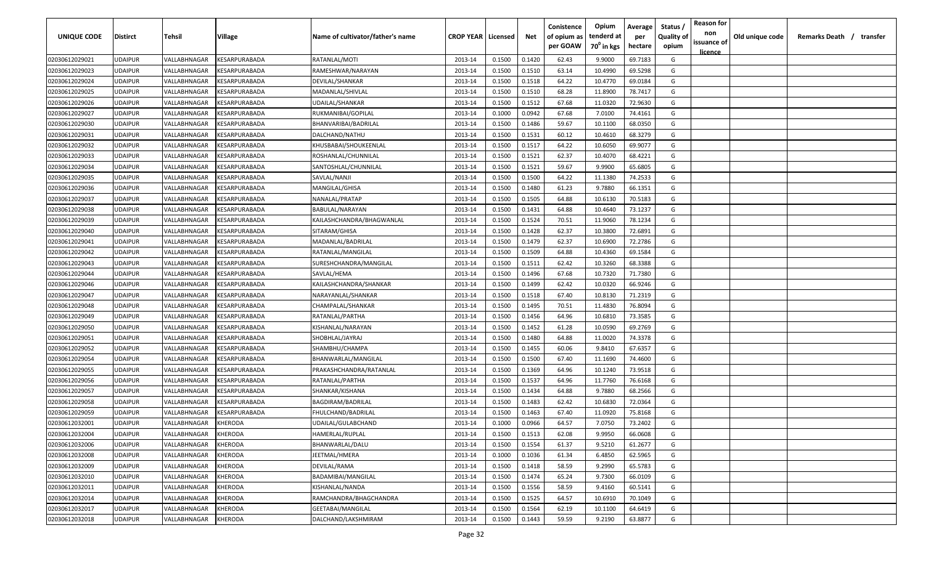| UNIQUE CODE                      | Distirct           | Tehsil                       | Village                        | Name of cultivator/father's name    | <b>CROP YEAR   Licensed</b> |                  | Net              | Conistence<br>of opium as<br>per GOAW | Opium<br>tenderd at<br>70 <sup>0</sup> in kgs | Average<br>per<br>hectare | Status<br><b>Quality of</b><br>opium | <b>Reason for</b><br>non<br>issuance of | Old unique code | Remarks Death / transfer |  |
|----------------------------------|--------------------|------------------------------|--------------------------------|-------------------------------------|-----------------------------|------------------|------------------|---------------------------------------|-----------------------------------------------|---------------------------|--------------------------------------|-----------------------------------------|-----------------|--------------------------|--|
|                                  |                    |                              |                                |                                     |                             |                  |                  |                                       |                                               |                           |                                      | <u>licence</u>                          |                 |                          |  |
| 02030612029021                   | UDAIPUR            | VALLABHNAGAR                 | KESARPURABADA                  | RATANLAL/MOTI                       | 2013-14                     | 0.1500           | 0.1420           | 62.43                                 | 9.9000                                        | 69.7183                   | G                                    |                                         |                 |                          |  |
| 02030612029023<br>02030612029024 | UDAIPUR            | VALLABHNAGAR                 | KESARPURABADA                  | RAMESHWAR/NARAYAN                   | 2013-14                     | 0.1500           | 0.1510           | 63.14                                 | 10.4990                                       | 69.5298                   | G                                    |                                         |                 |                          |  |
|                                  | UDAIPUR            | VALLABHNAGAR                 | KESARPURABADA                  | DEVILAL/SHANKAR                     | 2013-14                     | 0.1500           | 0.1518           | 64.22                                 | 10.4770                                       | 69.0184                   | G                                    |                                         |                 |                          |  |
| 02030612029025<br>02030612029026 | UDAIPUR<br>UDAIPUR | VALLABHNAGAR<br>VALLABHNAGAR | KESARPURABADA<br>KESARPURABADA | MADANLAL/SHIVLAL<br>UDAILAL/SHANKAR | 2013-14<br>2013-14          | 0.1500<br>0.1500 | 0.1510<br>0.1512 | 68.28<br>67.68                        | 11.8900<br>11.0320                            | 78.7417<br>72.9630        | G<br>G                               |                                         |                 |                          |  |
| 02030612029027                   | UDAIPUR            | VALLABHNAGAR                 | KESARPURABADA                  | RUKMANIBAI/GOPILAL                  | 2013-14                     | 0.1000           | 0.0942           | 67.68                                 | 7.0100                                        | 74.4161                   | G                                    |                                         |                 |                          |  |
| 02030612029030                   | UDAIPUR            | VALLABHNAGAR                 | KESARPURABADA                  | BHANVARIBAI/BADRILAL                | 2013-14                     | 0.1500           | 0.1486           | 59.67                                 | 10.1100                                       | 68.0350                   | G                                    |                                         |                 |                          |  |
| 02030612029031                   | UDAIPUR            | VALLABHNAGAR                 | KESARPURABADA                  | DALCHAND/NATHU                      | 2013-14                     | 0.1500           | 0.1531           | 60.12                                 | 10.4610                                       | 68.3279                   | G                                    |                                         |                 |                          |  |
| 02030612029032                   | UDAIPUR            | VALLABHNAGAR                 | KESARPURABADA                  | KHUSBABAI/SHOUKEENLAL               | 2013-14                     | 0.1500           | 0.1517           | 64.22                                 | 10.6050                                       | 69.9077                   | G                                    |                                         |                 |                          |  |
| 02030612029033                   | UDAIPUR            | VALLABHNAGAR                 | KESARPURABADA                  | ROSHANLAL/CHUNNILAL                 | 2013-14                     | 0.1500           | 0.1521           | 62.37                                 | 10.4070                                       | 68.4221                   | G                                    |                                         |                 |                          |  |
| 02030612029034                   | UDAIPUR            | VALLABHNAGAR                 | KESARPURABADA                  | SANTOSHLAL/CHUNNILAL                | 2013-14                     | 0.1500           | 0.1521           | 59.67                                 | 9.9900                                        | 65.6805                   | G                                    |                                         |                 |                          |  |
| 02030612029035                   | UDAIPUR            | VALLABHNAGAR                 | KESARPURABADA                  | SAVLAL/NANJI                        | 2013-14                     | 0.1500           | 0.1500           | 64.22                                 | 11.1380                                       | 74.2533                   | G                                    |                                         |                 |                          |  |
| 02030612029036                   | UDAIPUR            | VALLABHNAGAR                 | KESARPURABADA                  | MANGILAL/GHISA                      | 2013-14                     | 0.1500           | 0.1480           | 61.23                                 | 9.7880                                        | 66.1351                   | G                                    |                                         |                 |                          |  |
| 02030612029037                   | UDAIPUR            | VALLABHNAGAR                 | KESARPURABADA                  | NANALAL/PRATAP                      | 2013-14                     | 0.1500           | 0.1505           | 64.88                                 | 10.6130                                       | 70.5183                   | G                                    |                                         |                 |                          |  |
| 02030612029038                   | UDAIPUR            | VALLABHNAGAR                 | KESARPURABADA                  | BABULAL/NARAYAN                     | 2013-14                     | 0.1500           | 0.1431           | 64.88                                 | 10.4640                                       | 73.1237                   | G                                    |                                         |                 |                          |  |
| 02030612029039                   | UDAIPUR            | VALLABHNAGAR                 | KESARPURABADA                  | KAILASHCHANDRA/BHAGWANLAL           | 2013-14                     | 0.1500           | 0.1524           | 70.51                                 | 11.9060                                       | 78.1234                   | G                                    |                                         |                 |                          |  |
| 02030612029040                   | UDAIPUR            | VALLABHNAGAR                 | KESARPURABADA                  | SITARAM/GHISA                       | 2013-14                     | 0.1500           | 0.1428           | 62.37                                 | 10.3800                                       | 72.6891                   | G                                    |                                         |                 |                          |  |
| 02030612029041                   | UDAIPUR            | VALLABHNAGAR                 | KESARPURABADA                  | MADANLAL/BADRILAL                   | 2013-14                     | 0.1500           | 0.1479           | 62.37                                 | 10.6900                                       | 72.2786                   | G                                    |                                         |                 |                          |  |
| 02030612029042                   | UDAIPUR            | VALLABHNAGAR                 | KESARPURABADA                  | RATANLAL/MANGILAL                   | 2013-14                     | 0.1500           | 0.1509           | 64.88                                 | 10.4360                                       | 69.1584                   | G                                    |                                         |                 |                          |  |
| 02030612029043                   | UDAIPUR            | VALLABHNAGAR                 | KESARPURABADA                  | SURESHCHANDRA/MANGILAL              | 2013-14                     | 0.1500           | 0.1511           | 62.42                                 | 10.3260                                       | 68.3388                   | G                                    |                                         |                 |                          |  |
| 02030612029044                   | UDAIPUR            | VALLABHNAGAR                 | KESARPURABADA                  | SAVLAL/HEMA                         | 2013-14                     | 0.1500           | 0.1496           | 67.68                                 | 10.7320                                       | 71.7380                   | G                                    |                                         |                 |                          |  |
| 02030612029046                   | UDAIPUR            | VALLABHNAGAR                 | KESARPURABADA                  | KAILASHCHANDRA/SHANKAR              | 2013-14                     | 0.1500           | 0.1499           | 62.42                                 | 10.0320                                       | 66.9246                   | G                                    |                                         |                 |                          |  |
| 02030612029047                   | UDAIPUR            | VALLABHNAGAR                 | KESARPURABADA                  | NARAYANLAL/SHANKAR                  | 2013-14                     | 0.1500           | 0.1518           | 67.40                                 | 10.8130                                       | 71.2319                   | G                                    |                                         |                 |                          |  |
| 02030612029048                   | UDAIPUR            | VALLABHNAGAR                 | KESARPURABADA                  | CHAMPALAL/SHANKAR                   | 2013-14                     | 0.1500           | 0.1495           | 70.51                                 | 11.4830                                       | 76.8094                   | G                                    |                                         |                 |                          |  |
| 02030612029049                   | UDAIPUR            | VALLABHNAGAR                 | KESARPURABADA                  | RATANLAL/PARTHA                     | 2013-14                     | 0.1500           | 0.1456           | 64.96                                 | 10.6810                                       | 73.3585                   | G                                    |                                         |                 |                          |  |
| 02030612029050                   | UDAIPUR            | VALLABHNAGAR                 | KESARPURABADA                  | KISHANLAL/NARAYAN                   | 2013-14                     | 0.1500           | 0.1452           | 61.28                                 | 10.0590                                       | 69.2769                   | G                                    |                                         |                 |                          |  |
| 02030612029051                   | UDAIPUR            | VALLABHNAGAR                 | KESARPURABADA                  | SHOBHLAL/JAYRAJ                     | 2013-14                     | 0.1500           | 0.1480           | 64.88                                 | 11.0020                                       | 74.3378                   | G                                    |                                         |                 |                          |  |
| 02030612029052                   | UDAIPUR            | VALLABHNAGAR                 | KESARPURABADA                  | SHAMBHU/CHAMPA                      | 2013-14                     | 0.1500           | 0.1455           | 60.06                                 | 9.8410                                        | 67.6357                   | G                                    |                                         |                 |                          |  |
| 02030612029054                   | <b>JDAIPUR</b>     | VALLABHNAGAR                 | KESARPURABADA                  | BHANWARLAL/MANGILAL                 | 2013-14                     | 0.1500           | 0.1500           | 67.40                                 | 11.1690                                       | 74.4600                   | G                                    |                                         |                 |                          |  |
| 02030612029055                   | UDAIPUR            | VALLABHNAGAR                 | KESARPURABADA                  | PRAKASHCHANDRA/RATANLAL             | 2013-14                     | 0.1500           | 0.1369           | 64.96                                 | 10.1240                                       | 73.9518                   | G                                    |                                         |                 |                          |  |
| 02030612029056                   | <b>UDAIPUR</b>     | VALLABHNAGAR                 | KESARPURABADA                  | RATANLAL/PARTHA                     | 2013-14                     | 0.1500           | 0.1537           | 64.96                                 | 11.7760                                       | 76.6168                   | G                                    |                                         |                 |                          |  |
| 02030612029057                   | UDAIPUR            | VALLABHNAGAR                 | KESARPURABADA                  | SHANKAR/KISHANA                     | 2013-14                     | 0.1500           | 0.1434           | 64.88                                 | 9.7880                                        | 68.2566                   | G                                    |                                         |                 |                          |  |
| 02030612029058                   | UDAIPUR            | VALLABHNAGAR                 | <b>CESARPURABADA</b>           | BAGDIRAM/BADRILAL                   | 2013-14                     | 0.1500           | 0.1483           | 62.42                                 | 10.6830                                       | 72.0364                   | G                                    |                                         |                 |                          |  |
| 02030612029059                   | UDAIPUR            | VALLABHNAGAR                 | <b>CESARPURABADA</b>           | FHULCHAND/BADRILAL                  | 2013-14                     | 0.1500           | 0.1463           | 67.40                                 | 11.0920                                       | 75.8168                   | G                                    |                                         |                 |                          |  |
| 02030612032001                   | UDAIPUR            | VALLABHNAGAR                 | KHERODA                        | UDAILAL/GULABCHAND                  | 2013-14                     | 0.1000           | 0.0966           | 64.57                                 | 7.0750                                        | 73.2402                   | G                                    |                                         |                 |                          |  |
| 02030612032004                   | UDAIPUR            | VALLABHNAGAR                 | KHERODA                        | HAMERLAL/RUPLAL                     | 2013-14                     | 0.1500           | 0.1513           | 62.08                                 | 9.9950                                        | 66.0608                   | G                                    |                                         |                 |                          |  |
| 02030612032006                   | <b>UDAIPUR</b>     | VALLABHNAGAR                 | KHERODA                        | BHANWARLAL/DALU                     | 2013-14                     | 0.1500           | 0.1554           | 61.37                                 | 9.5210                                        | 61.2677                   | G                                    |                                         |                 |                          |  |
| 02030612032008                   | UDAIPUR            | VALLABHNAGAR                 | KHERODA                        | JEETMAL/HMERA                       | 2013-14                     | 0.1000           | 0.1036           | 61.34                                 | 6.4850                                        | 62.5965                   | G                                    |                                         |                 |                          |  |
| 02030612032009                   | UDAIPUR            | VALLABHNAGAR                 | KHERODA                        | DEVILAL/RAMA                        | 2013-14                     | 0.1500           | 0.1418           | 58.59                                 | 9.2990                                        | 65.5783                   | G                                    |                                         |                 |                          |  |
| 02030612032010                   | UDAIPUR            | VALLABHNAGAR                 | KHERODA                        | BADAMIBAI/MANGILAL                  | 2013-14                     | 0.1500           | 0.1474           | 65.24                                 | 9.7300                                        | 66.0109                   | G                                    |                                         |                 |                          |  |
| 02030612032011                   | UDAIPUR            | VALLABHNAGAR                 | KHERODA                        | KISHANLAL/NANDA                     | 2013-14                     | 0.1500           | 0.1556           | 58.59                                 | 9.4160                                        | 60.5141                   | G                                    |                                         |                 |                          |  |
| 02030612032014                   | UDAIPUR            | VALLABHNAGAR                 | KHERODA                        | RAMCHANDRA/BHAGCHANDRA              | 2013-14                     | 0.1500           | 0.1525           | 64.57                                 | 10.6910                                       | 70.1049                   | G                                    |                                         |                 |                          |  |
| 02030612032017                   | UDAIPUR            | VALLABHNAGAR                 | KHERODA                        | GEETABAI/MANGILAL                   | 2013-14                     | 0.1500           | 0.1564           | 62.19                                 | 10.1100                                       | 64.6419                   | G                                    |                                         |                 |                          |  |
| 02030612032018                   | UDAIPUR            | VALLABHNAGAR                 | KHERODA                        | DALCHAND/LAKSHMIRAM                 | 2013-14                     | 0.1500           | 0.1443           | 59.59                                 | 9.2190                                        | 63.8877                   | G                                    |                                         |                 |                          |  |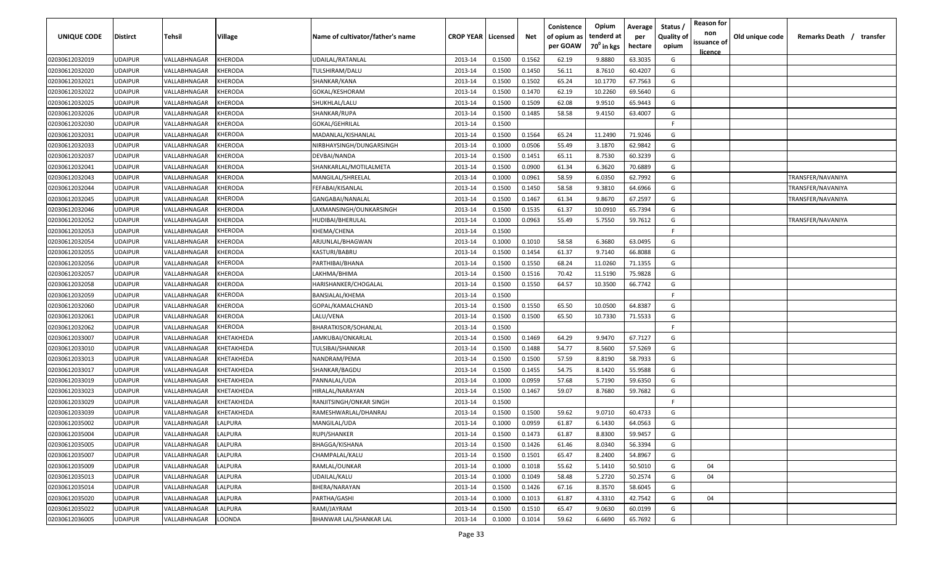| UNIQUE CODE    | <b>Distirct</b> | <b>Tehsil</b>              | <b>Village</b> | Name of cultivator/father's name | <b>CROP YEAR   Licensed</b> |        | Net    | Conistence<br>of opium as | Opium<br>tenderd at    | Average<br>per | Status /<br><b>Quality of</b> | <b>Reason for</b><br>non      | Old unique code | Remarks Death /<br>transfer |
|----------------|-----------------|----------------------------|----------------|----------------------------------|-----------------------------|--------|--------|---------------------------|------------------------|----------------|-------------------------------|-------------------------------|-----------------|-----------------------------|
|                |                 |                            |                |                                  |                             |        |        | per GOAW                  | 70 <sup>0</sup> in kgs | hectare        | opium                         | issuance of<br><u>licence</u> |                 |                             |
| 02030612032019 | <b>UDAIPUR</b>  | VALLABHNAGAR               | <b>KHERODA</b> | UDAILAL/RATANLAL                 | 2013-14                     | 0.1500 | 0.1562 | 62.19                     | 9.8880                 | 63.3035        | G                             |                               |                 |                             |
| 02030612032020 | <b>UDAIPUR</b>  | VALLABHNAGAR               | KHERODA        | TULSHIRAM/DALU                   | 2013-14                     | 0.1500 | 0.1450 | 56.11                     | 8.7610                 | 60.4207        | G                             |                               |                 |                             |
| 02030612032021 | <b>UDAIPUR</b>  | VALLABHNAGAR               | KHERODA        | SHANKAR/KANA                     | 2013-14                     | 0.1500 | 0.1502 | 65.24                     | 10.1770                | 67.7563        | G                             |                               |                 |                             |
| 02030612032022 | <b>UDAIPUR</b>  | VALLABHNAGAR               | KHERODA        | GOKAL/KESHORAM                   | 2013-14                     | 0.1500 | 0.1470 | 62.19                     | 10.2260                | 69.5640        | G                             |                               |                 |                             |
| 02030612032025 | <b>UDAIPUR</b>  | VALLABHNAGAR               | KHERODA        | SHUKHLAL/LALU                    | 2013-14                     | 0.1500 | 0.1509 | 62.08                     | 9.9510                 | 65.9443        | G                             |                               |                 |                             |
| 02030612032026 | <b>UDAIPUR</b>  | VALLABHNAGAR               | KHERODA        | SHANKAR/RUPA                     | 2013-14                     | 0.1500 | 0.1485 | 58.58                     | 9.4150                 | 63.4007        | G                             |                               |                 |                             |
| 02030612032030 | <b>UDAIPUR</b>  | VALLABHNAGAR               | KHERODA        | GOKAL/GEHRILAL                   | 2013-14                     | 0.1500 |        |                           |                        |                | F.                            |                               |                 |                             |
| 02030612032031 | <b>UDAIPUR</b>  | <b><i>VALLABHNAGAR</i></b> | KHERODA        | MADANLAL/KISHANLAL               | 2013-14                     | 0.1500 | 0.1564 | 65.24                     | 11.2490                | 71.9246        | G                             |                               |                 |                             |
| 02030612032033 | <b>UDAIPUR</b>  | VALLABHNAGAR               | KHERODA        | NIRBHAYSINGH/DUNGARSINGH         | 2013-14                     | 0.1000 | 0.0506 | 55.49                     | 3.1870                 | 62.9842        | G                             |                               |                 |                             |
| 02030612032037 | UDAIPUR         | VALLABHNAGAR               | KHERODA        | DEVBAI/NANDA                     | 2013-14                     | 0.1500 | 0.1451 | 65.11                     | 8.7530                 | 60.3239        | G                             |                               |                 |                             |
| 02030612032041 | UDAIPUR         | VALLABHNAGAR               | KHERODA        | SHANKARLAL/MOTILALMETA           | 2013-14                     | 0.1500 | 0.0900 | 61.34                     | 6.3620                 | 70.6889        | G                             |                               |                 |                             |
| 02030612032043 | UDAIPUR         | VALLABHNAGAR               | KHERODA        | MANGILAL/SHREELAL                | 2013-14                     | 0.1000 | 0.0961 | 58.59                     | 6.0350                 | 62.7992        | G                             |                               |                 | TRANSFER/NAVANIYA           |
| 02030612032044 | UDAIPUR         | VALLABHNAGAR               | KHERODA        | FEFABAI/KISANLAL                 | 2013-14                     | 0.1500 | 0.1450 | 58.58                     | 9.3810                 | 64.6966        | G                             |                               |                 | TRANSFER/NAVANIYA           |
| 02030612032045 | <b>UDAIPUR</b>  | /ALLABHNAGAR               | KHERODA        | GANGABAI/NANALAL                 | 2013-14                     | 0.1500 | 0.1467 | 61.34                     | 9.8670                 | 67.2597        | G                             |                               |                 | TRANSFER/NAVANIYA           |
| 02030612032046 | <b>UDAIPUR</b>  | <b><i>VALLABHNAGAR</i></b> | <b>CHERODA</b> | LAXMANSINGH/OUNKARSINGH          | 2013-14                     | 0.1500 | 0.1535 | 61.37                     | 10.0910                | 65.7394        | G                             |                               |                 |                             |
| 02030612032052 | <b>UDAIPUR</b>  | <b><i>VALLABHNAGAR</i></b> | KHERODA        | HUDIBAI/BHERULAL                 | 2013-14                     | 0.1000 | 0.0963 | 55.49                     | 5.7550                 | 59.7612        | G                             |                               |                 | TRANSFER/NAVANIYA           |
| 02030612032053 | <b>UDAIPUR</b>  | VALLABHNAGAR               | KHERODA        | KHEMA/CHENA                      | 2013-14                     | 0.1500 |        |                           |                        |                | F.                            |                               |                 |                             |
| 02030612032054 | <b>UDAIPUR</b>  | VALLABHNAGAR               | KHERODA        | ARJUNLAL/BHAGWAN                 | 2013-14                     | 0.1000 | 0.1010 | 58.58                     | 6.3680                 | 63.0495        | G                             |                               |                 |                             |
| 02030612032055 | <b>UDAIPUR</b>  | VALLABHNAGAR               | KHERODA        | KASTURI/BABRU                    | 2013-14                     | 0.1500 | 0.1454 | 61.37                     | 9.7140                 | 66.8088        | G                             |                               |                 |                             |
| 02030612032056 | <b>UDAIPUR</b>  | VALLABHNAGAR               | KHERODA        | PARTHIBAI/BHANA                  | 2013-14                     | 0.1500 | 0.1550 | 68.24                     | 11.0260                | 71.1355        | G                             |                               |                 |                             |
| 02030612032057 | <b>UDAIPUR</b>  | VALLABHNAGAR               | KHERODA        | LAKHMA/BHIMA                     | 2013-14                     | 0.1500 | 0.1516 | 70.42                     | 11.5190                | 75.9828        | G                             |                               |                 |                             |
| 02030612032058 | <b>UDAIPUR</b>  | VALLABHNAGAR               | KHERODA        | HARISHANKER/CHOGALAL             | 2013-14                     | 0.1500 | 0.1550 | 64.57                     | 10.3500                | 66.7742        | G                             |                               |                 |                             |
| 02030612032059 | <b>UDAIPUR</b>  | VALLABHNAGAR               | <b>CHERODA</b> | BANSIALAL/KHEMA                  | 2013-14                     | 0.1500 |        |                           |                        |                | -F.                           |                               |                 |                             |
| 02030612032060 | <b>UDAIPUR</b>  | VALLABHNAGAR               | <b>CHERODA</b> | GOPAL/KAMALCHAND                 | 2013-14                     | 0.1500 | 0.1550 | 65.50                     | 10.0500                | 64.8387        | G                             |                               |                 |                             |
| 02030612032061 | <b>UDAIPUR</b>  | <b><i>VALLABHNAGAR</i></b> | KHERODA        | LALU/VENA                        | 2013-14                     | 0.1500 | 0.1500 | 65.50                     | 10.7330                | 71.5533        | G                             |                               |                 |                             |
| 02030612032062 | <b>UDAIPUR</b>  | VALLABHNAGAR               | KHERODA        | BHARATKISOR/SOHANLAL             | 2013-14                     | 0.1500 |        |                           |                        |                | F.                            |                               |                 |                             |
| 02030612033007 | UDAIPUR         | VALLABHNAGAR               | KHETAKHEDA     | JAMKUBAI/ONKARLAL                | 2013-14                     | 0.1500 | 0.1469 | 64.29                     | 9.9470                 | 67.7127        | G                             |                               |                 |                             |
| 02030612033010 | UDAIPUR         | VALLABHNAGAR               | KHETAKHEDA     | TULSIBAI/SHANKAR                 | 2013-14                     | 0.1500 | 0.1488 | 54.77                     | 8.5600                 | 57.5269        | G                             |                               |                 |                             |
| 02030612033013 | <b>UDAIPUR</b>  | VALLABHNAGAR               | KHETAKHEDA     | NANDRAM/PEMA                     | 2013-14                     | 0.1500 | 0.1500 | 57.59                     | 8.8190                 | 58.7933        | G                             |                               |                 |                             |
| 02030612033017 | <b>UDAIPUR</b>  | VALLABHNAGAR               | KHETAKHEDA     | SHANKAR/BAGDU                    | 2013-14                     | 0.1500 | 0.1455 | 54.75                     | 8.1420                 | 55.9588        | G                             |                               |                 |                             |
| 02030612033019 | <b>UDAIPUR</b>  | VALLABHNAGAR               | KHETAKHEDA     | PANNALAL/UDA                     | 2013-14                     | 0.1000 | 0.0959 | 57.68                     | 5.7190                 | 59.6350        | G                             |                               |                 |                             |
| 02030612033023 | <b>UDAIPUR</b>  | VALLABHNAGAR               | KHETAKHEDA     | HIRALAL/NARAYAN                  | 2013-14                     | 0.1500 | 0.1467 | 59.07                     | 8.7680                 | 59.7682        | G                             |                               |                 |                             |
| 02030612033029 | <b>UDAIPUR</b>  | VALLABHNAGAR               | KHETAKHEDA     | RANJITSINGH/ONKAR SINGH          | 2013-14                     | 0.1500 |        |                           |                        |                | F.                            |                               |                 |                             |
| 02030612033039 | <b>UDAIPUR</b>  | VALLABHNAGAR               | KHETAKHEDA     | RAMESHWARLAL/DHANRAJ             | 2013-14                     | 0.1500 | 0.1500 | 59.62                     | 9.0710                 | 60.4733        | G                             |                               |                 |                             |
| 02030612035002 | <b>UDAIPUR</b>  | VALLABHNAGAR               | LALPURA        | MANGILAL/UDA                     | 2013-14                     | 0.1000 | 0.0959 | 61.87                     | 6.1430                 | 64.0563        | G                             |                               |                 |                             |
| 02030612035004 | <b>UDAIPUR</b>  | VALLABHNAGAR               | LALPURA        | RUPI/SHANKER                     | 2013-14                     | 0.1500 | 0.1473 | 61.87                     | 8.8300                 | 59.9457        | G                             |                               |                 |                             |
| 02030612035005 | <b>UDAIPUR</b>  | VALLABHNAGAR               | LALPURA        | BHAGGA/KISHANA                   | 2013-14                     | 0.1500 | 0.1426 | 61.46                     | 8.0340                 | 56.3394        | G                             |                               |                 |                             |
| 02030612035007 | <b>UDAIPUR</b>  | VALLABHNAGAR               | LALPURA        | CHAMPALAL/KALU                   | 2013-14                     | 0.1500 | 0.1501 | 65.47                     | 8.2400                 | 54.8967        | G                             |                               |                 |                             |
| 02030612035009 | <b>UDAIPUR</b>  | VALLABHNAGAR               | LALPURA        | RAMLAL/OUNKAR                    | 2013-14                     | 0.1000 | 0.1018 | 55.62                     | 5.1410                 | 50.5010        | G                             | 04                            |                 |                             |
| 02030612035013 | <b>UDAIPUR</b>  | VALLABHNAGAR               | LALPURA        | UDAILAL/KALU                     | 2013-14                     | 0.1000 | 0.1049 | 58.48                     | 5.2720                 | 50.2574        | G                             | 04                            |                 |                             |
| 02030612035014 | <b>UDAIPUR</b>  | VALLABHNAGAR               | LALPURA        | BHERA/NARAYAN                    | 2013-14                     | 0.1500 | 0.1426 | 67.16                     | 8.3570                 | 58.6045        | G                             |                               |                 |                             |
| 02030612035020 | <b>UDAIPUR</b>  | VALLABHNAGAR               | LALPURA        | PARTHA/GASHI                     | 2013-14                     | 0.1000 | 0.1013 | 61.87                     | 4.3310                 | 42.7542        | G                             | 04                            |                 |                             |
| 02030612035022 | <b>UDAIPUR</b>  | VALLABHNAGAR               | LALPURA        | RAMI/JAYRAM                      | 2013-14                     | 0.1500 | 0.1510 | 65.47                     | 9.0630                 | 60.0199        | G                             |                               |                 |                             |
| 02030612036005 | <b>UDAIPUR</b>  | VALLABHNAGAR               | LOONDA         | BHANWAR LAL/SHANKAR LAL          | 2013-14                     | 0.1000 | 0.1014 | 59.62                     | 6.6690                 | 65.7692        | G                             |                               |                 |                             |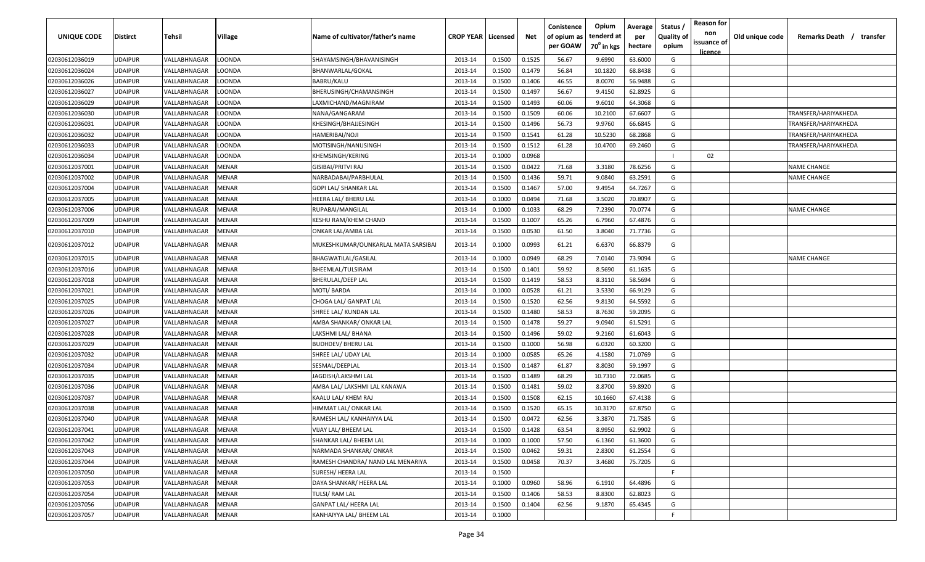| UNIQUE CODE    | <b>Distirct</b> | Tehsil       | Village      | Name of cultivator/father's name    | <b>CROP YEAR   Licensed</b> |        | Net    | Conistence<br>of opium as<br>per GOAW | Opium<br>tenderd at<br>70 <sup>°</sup> in kgs | Average<br>per<br>hectare | Status<br><b>Quality of</b><br>opium | <b>Reason for</b><br>non<br>issuance of<br><u>licence</u> | Old unique code | Remarks Death / transfer |
|----------------|-----------------|--------------|--------------|-------------------------------------|-----------------------------|--------|--------|---------------------------------------|-----------------------------------------------|---------------------------|--------------------------------------|-----------------------------------------------------------|-----------------|--------------------------|
| 02030612036019 | <b>UDAIPUR</b>  | VALLABHNAGAR | LOONDA       | SHAYAMSINGH/BHAVANISINGH            | 2013-14                     | 0.1500 | 0.1525 | 56.67                                 | 9.6990                                        | 63.6000                   | G                                    |                                                           |                 |                          |
| 02030612036024 | <b>UDAIPUR</b>  | VALLABHNAGAR | LOONDA       | BHANWARLAL/GOKAL                    | 2013-14                     | 0.1500 | 0.1479 | 56.84                                 | 10.1820                                       | 68.8438                   | G                                    |                                                           |                 |                          |
| 02030612036026 | <b>UDAIPUR</b>  | VALLABHNAGAR | LOONDA       | BABRU/KALU                          | 2013-14                     | 0.1500 | 0.1406 | 46.55                                 | 8.0070                                        | 56.9488                   | G                                    |                                                           |                 |                          |
| 02030612036027 | <b>UDAIPUR</b>  | VALLABHNAGAR | LOONDA       | BHERUSINGH/CHAMANSINGH              | 2013-14                     | 0.1500 | 0.1497 | 56.67                                 | 9.4150                                        | 62.8925                   | G                                    |                                                           |                 |                          |
| 02030612036029 | <b>UDAIPUR</b>  | VALLABHNAGAR | LOONDA       | LAXMICHAND/MAGNIRAM                 | 2013-14                     | 0.1500 | 0.1493 | 60.06                                 | 9.6010                                        | 64.3068                   | G                                    |                                                           |                 |                          |
| 02030612036030 | <b>UDAIPUR</b>  | VALLABHNAGAR | LOONDA       | NANA/GANGARAM                       | 2013-14                     | 0.1500 | 0.1509 | 60.06                                 | 10.2100                                       | 67.6607                   | G                                    |                                                           |                 | TRANSFER/HARIYAKHEDA     |
| 02030612036031 | <b>UDAIPUR</b>  | VALLABHNAGAR | LOONDA       | KHESINGH/BHAJJESINGH                | 2013-14                     | 0.1500 | 0.1496 | 56.73                                 | 9.9760                                        | 66.6845                   | G                                    |                                                           |                 | TRANSFER/HARIYAKHEDA     |
| 02030612036032 | <b>UDAIPUR</b>  | VALLABHNAGAR | LOONDA       | HAMERIBAI/NOJI                      | 2013-14                     | 0.1500 | 0.1541 | 61.28                                 | 10.5230                                       | 68.2868                   | G                                    |                                                           |                 | TRANSFER/HARIYAKHEDA     |
| 02030612036033 | <b>UDAIPUR</b>  | VALLABHNAGAR | LOONDA       | MOTISINGH/NANUSINGH                 | 2013-14                     | 0.1500 | 0.1512 | 61.28                                 | 10.4700                                       | 69.2460                   | G                                    |                                                           |                 | TRANSFER/HARIYAKHEDA     |
| 02030612036034 | <b>UDAIPUR</b>  | VALLABHNAGAR | LOONDA       | KHEMSINGH/KERING                    | 2013-14                     | 0.1000 | 0.0968 |                                       |                                               |                           | $\mathbf{I}$                         | 02                                                        |                 |                          |
| 02030612037001 | <b>UDAIPUR</b>  | VALLABHNAGAR | MENAR        | GISIBAI/PRITVI RAJ                  | 2013-14                     | 0.1500 | 0.0422 | 71.68                                 | 3.3180                                        | 78.6256                   | G                                    |                                                           |                 | <b>NAME CHANGE</b>       |
| 02030612037002 | <b>UDAIPUR</b>  | VALLABHNAGAR | MENAR        | NARBADABAI/PARBHULAL                | 2013-14                     | 0.1500 | 0.1436 | 59.71                                 | 9.0840                                        | 63.2591                   | G                                    |                                                           |                 | <b>NAME CHANGE</b>       |
| 02030612037004 | <b>UDAIPUR</b>  | VALLABHNAGAR | MENAR        | GOPI LAL/ SHANKAR LAL               | 2013-14                     | 0.1500 | 0.1467 | 57.00                                 | 9.4954                                        | 64.7267                   | G                                    |                                                           |                 |                          |
| 02030612037005 | <b>UDAIPUR</b>  | VALLABHNAGAR | MENAR        | HEERA LAL/ BHERU LAL                | 2013-14                     | 0.1000 | 0.0494 | 71.68                                 | 3.5020                                        | 70.8907                   | G                                    |                                                           |                 |                          |
| 02030612037006 | <b>UDAIPUR</b>  | VALLABHNAGAR | MENAR        | RUPABAI/MANGILAL                    | 2013-14                     | 0.1000 | 0.1033 | 68.29                                 | 7.2390                                        | 70.0774                   | G                                    |                                                           |                 | <b>NAME CHANGE</b>       |
| 02030612037009 | <b>UDAIPUR</b>  | VALLABHNAGAR | MENAR        | KESHU RAM/KHEM CHAND                | 2013-14                     | 0.1500 | 0.1007 | 65.26                                 | 6.7960                                        | 67.4876                   | G                                    |                                                           |                 |                          |
| 02030612037010 | <b>UDAIPUR</b>  | VALLABHNAGAR | MENAR        | ONKAR LAL/AMBA LAL                  | 2013-14                     | 0.1500 | 0.0530 | 61.50                                 | 3.8040                                        | 71.7736                   | G                                    |                                                           |                 |                          |
| 02030612037012 | <b>UDAIPUR</b>  | VALLABHNAGAR | MENAR        | MUKESHKUMAR/OUNKARLAL MATA SARSIBAI | 2013-14                     | 0.1000 | 0.0993 | 61.21                                 | 6.6370                                        | 66.8379                   | G                                    |                                                           |                 |                          |
| 02030612037015 | <b>UDAIPUR</b>  | VALLABHNAGAR | MENAR        | BHAGWATILAL/GASILAL                 | 2013-14                     | 0.1000 | 0.0949 | 68.29                                 | 7.0140                                        | 73.9094                   | G                                    |                                                           |                 | <b>NAME CHANGE</b>       |
| 02030612037016 | <b>UDAIPUR</b>  | VALLABHNAGAR | MENAR        | BHEEMLAL/TULSIRAM                   | 2013-14                     | 0.1500 | 0.1401 | 59.92                                 | 8.5690                                        | 61.1635                   | G                                    |                                                           |                 |                          |
| 02030612037018 | <b>UDAIPUR</b>  | VALLABHNAGAR | MENAR        | <b>BHERULAL/DEEP LAL</b>            | 2013-14                     | 0.1500 | 0.1419 | 58.53                                 | 8.3110                                        | 58.5694                   | G                                    |                                                           |                 |                          |
| 02030612037021 | <b>UDAIPUR</b>  | VALLABHNAGAR | MENAR        | MOTI/BARDA                          | 2013-14                     | 0.1000 | 0.0528 | 61.21                                 | 3.5330                                        | 66.9129                   | G                                    |                                                           |                 |                          |
| 02030612037025 | <b>UDAIPUR</b>  | VALLABHNAGAR | MENAR        | CHOGA LAL/ GANPAT LAL               | 2013-14                     | 0.1500 | 0.1520 | 62.56                                 | 9.8130                                        | 64.5592                   | G                                    |                                                           |                 |                          |
| 02030612037026 | <b>UDAIPUR</b>  | VALLABHNAGAR | MENAR        | SHREE LAL/ KUNDAN LAL               | 2013-14                     | 0.1500 | 0.1480 | 58.53                                 | 8.7630                                        | 59.2095                   | G                                    |                                                           |                 |                          |
| 02030612037027 | <b>UDAIPUR</b>  | VALLABHNAGAR | MENAR        | AMBA SHANKAR/ ONKAR LAL             | 2013-14                     | 0.1500 | 0.1478 | 59.27                                 | 9.0940                                        | 61.5291                   | G                                    |                                                           |                 |                          |
| 02030612037028 | <b>UDAIPUR</b>  | VALLABHNAGAR | MENAR        | LAKSHMI LAL/ BHANA                  | 2013-14                     | 0.1500 | 0.1496 | 59.02                                 | 9.2160                                        | 61.6043                   | G                                    |                                                           |                 |                          |
| 02030612037029 | <b>UDAIPUR</b>  | VALLABHNAGAR | MENAR        | <b>BUDHDEV/ BHERU LAL</b>           | 2013-14                     | 0.1500 | 0.1000 | 56.98                                 | 6.0320                                        | 60.3200                   | G                                    |                                                           |                 |                          |
| 02030612037032 | <b>UDAIPUR</b>  | VALLABHNAGAR | MENAR        | SHREE LAL/ UDAY LAL                 | 2013-14                     | 0.1000 | 0.0585 | 65.26                                 | 4.1580                                        | 71.0769                   | G                                    |                                                           |                 |                          |
| 02030612037034 | <b>UDAIPUR</b>  | VALLABHNAGAR | MENAR        | SESMAL/DEEPLAL                      | 2013-14                     | 0.1500 | 0.1487 | 61.87                                 | 8.8030                                        | 59.1997                   | G                                    |                                                           |                 |                          |
| 02030612037035 | <b>UDAIPUR</b>  | /ALLABHNAGAR | MENAR        | AGDISH/LAKSHMI LAL                  | 2013-14                     | 0.1500 | 0.1489 | 68.29                                 | 10.7310                                       | 72.0685                   | G                                    |                                                           |                 |                          |
| 02030612037036 | <b>UDAIPUR</b>  | VALLABHNAGAR | MENAR        | AMBA LAL/ LAKSHMI LAL KANAWA        | 2013-14                     | 0.1500 | 0.1481 | 59.02                                 | 8.8700                                        | 59.8920                   | G                                    |                                                           |                 |                          |
| 02030612037037 | <b>UDAIPUR</b>  | VALLABHNAGAR | MENAR        | KAALU LAL/ KHEM RAJ                 | 2013-14                     | 0.1500 | 0.1508 | 62.15                                 | 10.1660                                       | 67.4138                   | G                                    |                                                           |                 |                          |
| 02030612037038 | <b>UDAIPUR</b>  | VALLABHNAGAR | MENAR        | HIMMAT LAL/ ONKAR LAL               | 2013-14                     | 0.1500 | 0.1520 | 65.15                                 | 10.3170                                       | 67.8750                   | G                                    |                                                           |                 |                          |
| 02030612037040 | <b>UDAIPUR</b>  | VALLABHNAGAR | <b>MENAR</b> | RAMESH LAL/ KANHAIYYA LAL           | 2013-14                     | 0.1500 | 0.0472 | 62.56                                 | 3.3870                                        | 71.7585                   | G                                    |                                                           |                 |                          |
| 02030612037041 | <b>UDAIPUR</b>  | VALLABHNAGAR | <b>MENAR</b> | VIJAY LAL/ BHEEM LAL                | 2013-14                     | 0.1500 | 0.1428 | 63.54                                 | 8.9950                                        | 62.9902                   | G                                    |                                                           |                 |                          |
| 02030612037042 | <b>UDAIPUR</b>  | VALLABHNAGAR | <b>MENAR</b> | SHANKAR LAL/ BHEEM LAL              | 2013-14                     | 0.1000 | 0.1000 | 57.50                                 | 6.1360                                        | 61.3600                   | G                                    |                                                           |                 |                          |
| 02030612037043 | <b>UDAIPUR</b>  | VALLABHNAGAR | <b>MENAR</b> | NARMADA SHANKAR/ONKAR               | 2013-14                     | 0.1500 | 0.0462 | 59.31                                 | 2.8300                                        | 61.2554                   | G                                    |                                                           |                 |                          |
| 02030612037044 | <b>UDAIPUR</b>  | VALLABHNAGAR | MENAR        | RAMESH CHANDRA/ NAND LAL MENARIYA   | 2013-14                     | 0.1500 | 0.0458 | 70.37                                 | 3.4680                                        | 75.7205                   | G                                    |                                                           |                 |                          |
| 02030612037050 | <b>UDAIPUR</b>  | VALLABHNAGAR | MENAR        | SURESH/ HEERA LAL                   | 2013-14                     | 0.1500 |        |                                       |                                               |                           | F.                                   |                                                           |                 |                          |
| 02030612037053 | <b>UDAIPUR</b>  | VALLABHNAGAR | MENAR        | DAYA SHANKAR/ HEERA LAL             | 2013-14                     | 0.1000 | 0.0960 | 58.96                                 | 6.1910                                        | 64.4896                   | G                                    |                                                           |                 |                          |
| 02030612037054 | <b>UDAIPUR</b>  | VALLABHNAGAR | MENAR        | TULSI/ RAM LAL                      | 2013-14                     | 0.1500 | 0.1406 | 58.53                                 | 8.8300                                        | 62.8023                   | G                                    |                                                           |                 |                          |
| 02030612037056 | <b>UDAIPUR</b>  | VALLABHNAGAR | MENAR        | <b>GANPAT LAL/ HEERA LAL</b>        | 2013-14                     | 0.1500 | 0.1404 | 62.56                                 | 9.1870                                        | 65.4345                   | G                                    |                                                           |                 |                          |
| 02030612037057 | <b>UDAIPUR</b>  | VALLABHNAGAR | <b>MENAR</b> | KANHAIYYA LAL/ BHEEM LAL            | 2013-14                     | 0.1000 |        |                                       |                                               |                           | F.                                   |                                                           |                 |                          |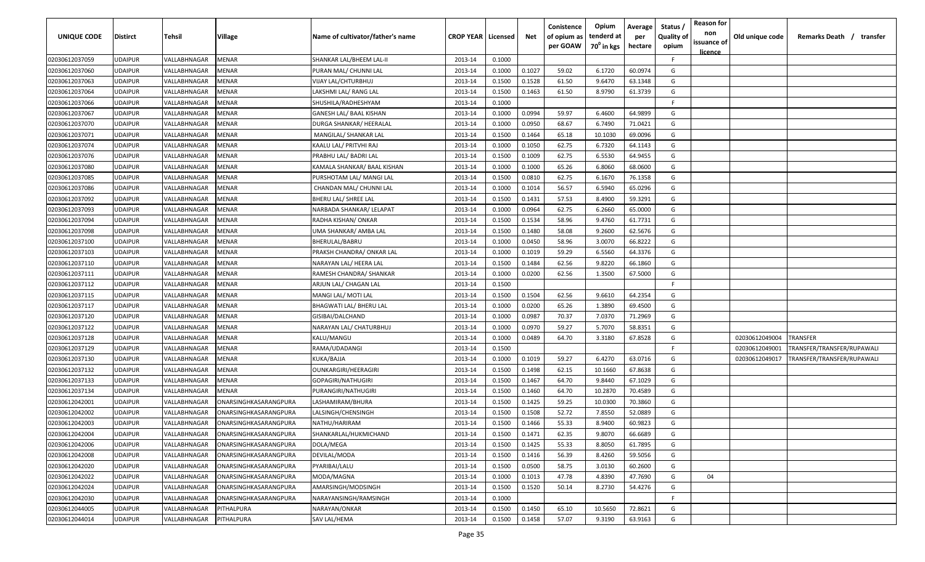| UNIQUE CODE    | Distirct       | Tehsil       | Village               | Name of cultivator/father's name | <b>CROP YEAR   Licensed</b> |        | Net    | Conistence<br>of opium as | Opium<br>tenderd at    | Average<br>per | Status<br><b>Quality of</b> | <b>Reason for</b><br>non<br>issuance of | Old unique code | Remarks Death / transfer   |
|----------------|----------------|--------------|-----------------------|----------------------------------|-----------------------------|--------|--------|---------------------------|------------------------|----------------|-----------------------------|-----------------------------------------|-----------------|----------------------------|
|                |                |              |                       |                                  |                             |        |        | per GOAW                  | 70 <sup>°</sup> in kgs | hectare        | opium                       | <u>licence</u>                          |                 |                            |
| 02030612037059 | UDAIPUR        | VALLABHNAGAR | MENAR                 | SHANKAR LAL/BHEEM LAL-II         | 2013-14                     | 0.1000 |        |                           |                        |                | F.                          |                                         |                 |                            |
| 02030612037060 | UDAIPUR        | VALLABHNAGAR | MENAR                 | PURAN MAL/ CHUNNI LAL            | 2013-14                     | 0.1000 | 0.1027 | 59.02                     | 6.1720                 | 60.0974        | G                           |                                         |                 |                            |
| 02030612037063 | UDAIPUR        | VALLABHNAGAR | <b>AENAR</b>          | <b>VIJAY LAL/CHTURBHUJ</b>       | 2013-14                     | 0.1500 | 0.1528 | 61.50                     | 9.6470                 | 63.1348        | G                           |                                         |                 |                            |
| 02030612037064 | UDAIPUR        | VALLABHNAGAR | MENAR                 | LAKSHMI LAL/ RANG LAL            | 2013-14                     | 0.1500 | 0.1463 | 61.50                     | 8.9790                 | 61.3739        | G                           |                                         |                 |                            |
| 02030612037066 | UDAIPUR        | VALLABHNAGAR | MENAR                 | SHUSHILA/RADHESHYAM              | 2013-14                     | 0.1000 |        |                           |                        |                | E                           |                                         |                 |                            |
| 02030612037067 | UDAIPUR        | VALLABHNAGAR | MENAR                 | GANESH LAL/ BAAL KISHAN          | 2013-14                     | 0.1000 | 0.0994 | 59.97                     | 6.4600                 | 64.9899        | G                           |                                         |                 |                            |
| 02030612037070 | UDAIPUR        | VALLABHNAGAR | MENAR                 | DURGA SHANKAR/ HEERALAL          | 2013-14                     | 0.1000 | 0.0950 | 68.67                     | 6.7490                 | 71.0421        | G                           |                                         |                 |                            |
| 02030612037071 | UDAIPUR        | VALLABHNAGAR | MENAR                 | MANGILAL/ SHANKAR LAL            | 2013-14                     | 0.1500 | 0.1464 | 65.18                     | 10.1030                | 69.0096        | G                           |                                         |                 |                            |
| 02030612037074 | UDAIPUR        | VALLABHNAGAR | MENAR                 | KAALU LAL/ PRITVHI RAJ           | 2013-14                     | 0.1000 | 0.1050 | 62.75                     | 6.7320                 | 64.1143        | G                           |                                         |                 |                            |
| 02030612037076 | UDAIPUR        | VALLABHNAGAR | MENAR                 | PRABHU LAL/ BADRI LAL            | 2013-14                     | 0.1500 | 0.1009 | 62.75                     | 6.5530                 | 64.9455        | G                           |                                         |                 |                            |
| 02030612037080 | UDAIPUR        | VALLABHNAGAR | MENAR                 | KAMALA SHANKAR/ BAAL KISHAN      | 2013-14                     | 0.1000 | 0.1000 | 65.26                     | 6.8060                 | 68.0600        | G                           |                                         |                 |                            |
| 02030612037085 | UDAIPUR        | VALLABHNAGAR | MENAR                 | PURSHOTAM LAL/ MANGI LAL         | 2013-14                     | 0.1500 | 0.0810 | 62.75                     | 6.1670                 | 76.1358        | G                           |                                         |                 |                            |
| 02030612037086 | UDAIPUR        | VALLABHNAGAR | MENAR                 | CHANDAN MAL/ CHUNNI LAL          | 2013-14                     | 0.1000 | 0.1014 | 56.57                     | 6.5940                 | 65.0296        | G                           |                                         |                 |                            |
| 02030612037092 | UDAIPUR        | VALLABHNAGAR | MENAR                 | BHERU LAL/ SHREE LAL             | 2013-14                     | 0.1500 | 0.1431 | 57.53                     | 8.4900                 | 59.3291        | G                           |                                         |                 |                            |
| 02030612037093 | UDAIPUR        | VALLABHNAGAR | MENAR                 | NARBADA SHANKAR/ LELAPAT         | 2013-14                     | 0.1000 | 0.0964 | 62.75                     | 6.2660                 | 65.0000        | G                           |                                         |                 |                            |
| 02030612037094 | UDAIPUR        | VALLABHNAGAR | MENAR                 | RADHA KISHAN/ ONKAR              | 2013-14                     | 0.1500 | 0.1534 | 58.96                     | 9.4760                 | 61.7731        | G                           |                                         |                 |                            |
| 02030612037098 | UDAIPUR        | VALLABHNAGAR | MENAR                 | UMA SHANKAR/ AMBA LAL            | 2013-14                     | 0.1500 | 0.1480 | 58.08                     | 9.2600                 | 62.5676        | G                           |                                         |                 |                            |
| 02030612037100 | UDAIPUR        | VALLABHNAGAR | MENAR                 | BHERULAL/BABRU                   | 2013-14                     | 0.1000 | 0.0450 | 58.96                     | 3.0070                 | 66.8222        | G                           |                                         |                 |                            |
| 02030612037103 | UDAIPUR        | VALLABHNAGAR | ∕IENAR                | PRAKSH CHANDRA/ ONKAR LAL        | 2013-14                     | 0.1000 | 0.1019 | 59.29                     | 6.5560                 | 64.3376        | G                           |                                         |                 |                            |
| 02030612037110 | UDAIPUR        | VALLABHNAGAR | <b>AENAR</b>          | NARAYAN LAL/ HEERA LAL           | 2013-14                     | 0.1500 | 0.1484 | 62.56                     | 9.8220                 | 66.1860        | G                           |                                         |                 |                            |
| 02030612037111 | UDAIPUR        | VALLABHNAGAR | MENAR                 | RAMESH CHANDRA/ SHANKAR          | 2013-14                     | 0.1000 | 0.0200 | 62.56                     | 1.3500                 | 67.5000        | G                           |                                         |                 |                            |
| 02030612037112 | UDAIPUR        | VALLABHNAGAR | MENAR                 | ARJUN LAL/ CHAGAN LAL            | 2013-14                     | 0.1500 |        |                           |                        |                | E                           |                                         |                 |                            |
| 02030612037115 | UDAIPUR        | VALLABHNAGAR | MENAR                 | MANGI LAL/ MOTI LAL              | 2013-14                     | 0.1500 | 0.1504 | 62.56                     | 9.6610                 | 64.2354        | G                           |                                         |                 |                            |
| 02030612037117 | UDAIPUR        | VALLABHNAGAR | MENAR                 | BHAGWATI LAL/ BHERU LAL          | 2013-14                     | 0.1000 | 0.0200 | 65.26                     | 1.3890                 | 69.4500        | G                           |                                         |                 |                            |
| 02030612037120 | UDAIPUR        | VALLABHNAGAR | MENAR                 | GISIBAI/DALCHAND                 | 2013-14                     | 0.1000 | 0.0987 | 70.37                     | 7.0370                 | 71.2969        | G                           |                                         |                 |                            |
| 02030612037122 | UDAIPUR        | VALLABHNAGAR | MENAR                 | NARAYAN LAL/ CHATURBHUJ          | 2013-14                     | 0.1000 | 0.0970 | 59.27                     | 5.7070                 | 58.8351        | G                           |                                         |                 |                            |
| 02030612037128 | UDAIPUR        | VALLABHNAGAR | MENAR                 | KALU/MANGU                       | 2013-14                     | 0.1000 | 0.0489 | 64.70                     | 3.3180                 | 67.8528        | G                           |                                         | 02030612049004  | TRANSFER                   |
| 02030612037129 | UDAIPUR        | VALLABHNAGAR | MENAR                 | RAMA/UDADANGI                    | 2013-14                     | 0.1500 |        |                           |                        |                | F.                          |                                         | 02030612049001  | FRANSFER/TRANSFER/RUPAWALI |
| 02030612037130 | UDAIPUR        | VALLABHNAGAR | MENAR                 | KUKA/BAJJA                       | 2013-14                     | 0.1000 | 0.1019 | 59.27                     | 6.4270                 | 63.0716        | G                           |                                         | 02030612049017  | TRANSFER/TRANSFER/RUPAWALI |
| 02030612037132 | UDAIPUR        | VALLABHNAGAR | MENAR                 | OUNKARGIRI/HEERAGIRI             | 2013-14                     | 0.1500 | 0.1498 | 62.15                     | 10.1660                | 67.8638        | G                           |                                         |                 |                            |
| 02030612037133 | UDAIPUR        | VALLABHNAGAR | MENAR                 | GOPAGIRI/NATHUGIRI               | 2013-14                     | 0.1500 | 0.1467 | 64.70                     | 9.8440                 | 67.1029        | G                           |                                         |                 |                            |
| 02030612037134 | UDAIPUR        | VALLABHNAGAR | MENAR                 | PURANGIRI/NATHUGIRI              | 2013-14                     | 0.1500 | 0.1460 | 64.70                     | 10.2870                | 70.4589        | G                           |                                         |                 |                            |
| 02030612042001 | UDAIPUR        | VALLABHNAGAR | ONARSINGHKASARANGPURA | LASHAMIRAM/BHURA                 | 2013-14                     | 0.1500 | 0.1425 | 59.25                     | 10.0300                | 70.3860        | G                           |                                         |                 |                            |
| 02030612042002 | UDAIPUR        | VALLABHNAGAR | ONARSINGHKASARANGPURA | LALSINGH/CHENSINGH               | 2013-14                     | 0.1500 | 0.1508 | 52.72                     | 7.8550                 | 52.0889        | G                           |                                         |                 |                            |
| 02030612042003 | UDAIPUR        | VALLABHNAGAR | ONARSINGHKASARANGPURA | NATHU/HARIRAM                    | 2013-14                     | 0.1500 | 0.1466 | 55.33                     | 8.9400                 | 60.9823        | G                           |                                         |                 |                            |
| 02030612042004 | UDAIPUR        | VALLABHNAGAR | ONARSINGHKASARANGPURA | SHANKARLAL/HUKMICHAND            | 2013-14                     | 0.1500 | 0.1471 | 62.35                     | 9.8070                 | 66.6689        | G                           |                                         |                 |                            |
| 02030612042006 | UDAIPUR        | VALLABHNAGAR | ONARSINGHKASARANGPURA | DOLA/MEGA                        | 2013-14                     | 0.1500 | 0.1425 | 55.33                     | 8.8050                 | 61.7895        | G                           |                                         |                 |                            |
| 02030612042008 | <b>UDAIPUR</b> | VALLABHNAGAR | ONARSINGHKASARANGPURA | DEVILAL/MODA                     | 2013-14                     | 0.1500 | 0.1416 | 56.39                     | 8.4260                 | 59.5056        | G                           |                                         |                 |                            |
| 02030612042020 | UDAIPUR        | VALLABHNAGAR | ONARSINGHKASARANGPURA | PYARIBAI/LALU                    | 2013-14                     | 0.1500 | 0.0500 | 58.75                     | 3.0130                 | 60.2600        | G                           |                                         |                 |                            |
| 02030612042022 | UDAIPUR        | VALLABHNAGAR | ONARSINGHKASARANGPURA | MODA/MAGNA                       | 2013-14                     | 0.1000 | 0.1013 | 47.78                     | 4.8390                 | 47.7690        | G                           | 04                                      |                 |                            |
| 02030612042024 | UDAIPUR        | VALLABHNAGAR | ONARSINGHKASARANGPURA | AMARSINGH/MODSINGH               | 2013-14                     | 0.1500 | 0.1520 | 50.14                     | 8.2730                 | 54.4276        | G                           |                                         |                 |                            |
| 02030612042030 | UDAIPUR        | VALLABHNAGAR | ONARSINGHKASARANGPURA | NARAYANSINGH/RAMSINGH            | 2013-14                     | 0.1000 |        |                           |                        |                | F.                          |                                         |                 |                            |
| 02030612044005 | UDAIPUR        | VALLABHNAGAR | PITHALPURA            | NARAYAN/ONKAR                    | 2013-14                     | 0.1500 | 0.1450 | 65.10                     | 10.5650                | 72.8621        | G                           |                                         |                 |                            |
| 02030612044014 | UDAIPUR        | VALLABHNAGAR | PITHALPURA            | SAV LAL/HEMA                     | 2013-14                     | 0.1500 | 0.1458 | 57.07                     | 9.3190                 | 63.9163        | G                           |                                         |                 |                            |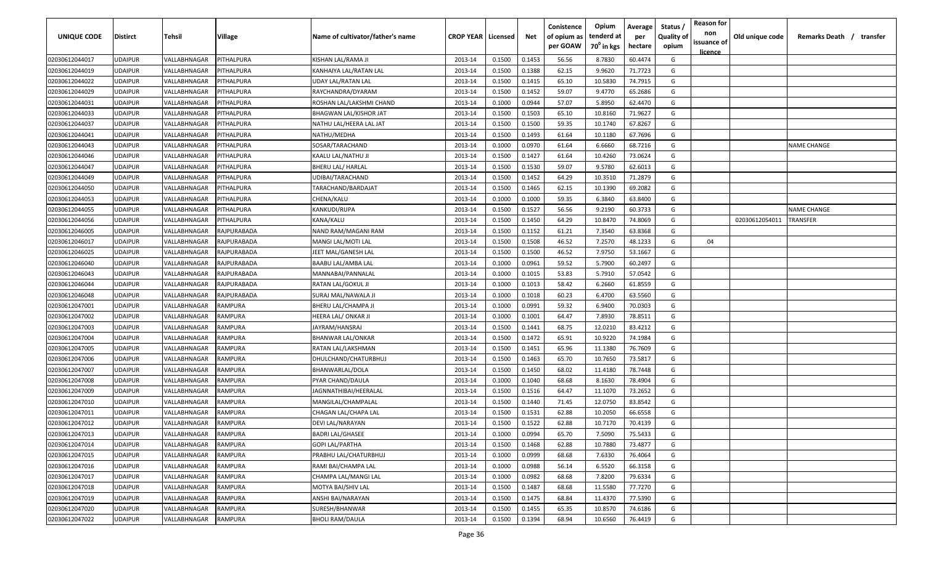| UNIQUE CODE    | <b>Distirct</b> | Tehsil       | Village           | Name of cultivator/father's name | <b>CROP YEAR   Licensed</b> |        | Net    | Conistence<br>of opium as<br>per GOAW | Opium<br>tenderd at<br>$70^0$ in kgs | Average<br>per<br>hectare | Status /<br><b>Quality of</b><br>opium | <b>Reason for</b><br>non<br>issuance of<br><u>licence</u> | Old unique code | Remarks Death /<br>transfer |
|----------------|-----------------|--------------|-------------------|----------------------------------|-----------------------------|--------|--------|---------------------------------------|--------------------------------------|---------------------------|----------------------------------------|-----------------------------------------------------------|-----------------|-----------------------------|
| 02030612044017 | <b>JDAIPUR</b>  | VALLABHNAGAR | PITHALPURA        | KISHAN LAL/RAMA JI               | 2013-14                     | 0.1500 | 0.1453 | 56.56                                 | 8.7830                               | 60.4474                   | G                                      |                                                           |                 |                             |
| 02030612044019 | UDAIPUR         | VALLABHNAGAR | PITHALPURA        | KANHAIYA LAL/RATAN LAL           | 2013-14                     | 0.1500 | 0.1388 | 62.15                                 | 9.9620                               | 71.7723                   | G                                      |                                                           |                 |                             |
| 02030612044022 | <b>JDAIPUR</b>  | VALLABHNAGAR | <b>ITHALPURA</b>  | <b>UDAY LAL/RATAN LAL</b>        | 2013-14                     | 0.1500 | 0.1415 | 65.10                                 | 10.5830                              | 74.7915                   | G                                      |                                                           |                 |                             |
| 02030612044029 | <b>JDAIPUR</b>  | VALLABHNAGAR | <b>ITHALPURA</b>  | RAYCHANDRA/DYARAM                | 2013-14                     | 0.1500 | 0.1452 | 59.07                                 | 9.4770                               | 65.2686                   | G                                      |                                                           |                 |                             |
| 02030612044031 | <b>JDAIPUR</b>  | VALLABHNAGAR | <b>ITHALPURA</b>  | ROSHAN LAL/LAKSHMI CHAND         | 2013-14                     | 0.1000 | 0.0944 | 57.07                                 | 5.8950                               | 62.4470                   | G                                      |                                                           |                 |                             |
| 02030612044033 | <b>JDAIPUR</b>  | VALLABHNAGAR | <b>ITHALPURA</b>  | <b>BHAGWAN LAL/KISHOR JAT</b>    | 2013-14                     | 0.1500 | 0.1503 | 65.10                                 | 10.8160                              | 71.9627                   | G                                      |                                                           |                 |                             |
| 02030612044037 | <b>JDAIPUR</b>  | VALLABHNAGAR | <b>ITHALPURA</b>  | NATHU LAL/HEERA LAL JAT          | 2013-14                     | 0.1500 | 0.1500 | 59.35                                 | 10.1740                              | 67.8267                   | G                                      |                                                           |                 |                             |
| 02030612044041 | <b>JDAIPUR</b>  | VALLABHNAGAR | <b>PITHALPURA</b> | NATHU/MEDHA                      | 2013-14                     | 0.1500 | 0.1493 | 61.64                                 | 10.1180                              | 67.7696                   | G                                      |                                                           |                 |                             |
| 02030612044043 | <b>JDAIPUR</b>  | VALLABHNAGAR | <b>PITHALPURA</b> | SOSAR/TARACHAND                  | 2013-14                     | 0.1000 | 0.0970 | 61.64                                 | 6.6660                               | 68.7216                   | G                                      |                                                           |                 | <b>NAME CHANGE</b>          |
| 02030612044046 | JDAIPUR         | VALLABHNAGAR | PITHALPURA        | KAALU LAL/NATHU JI               | 2013-14                     | 0.1500 | 0.1427 | 61.64                                 | 10.4260                              | 73.0624                   | G                                      |                                                           |                 |                             |
| 02030612044047 | JDAIPUR         | VALLABHNAGAR | <b>ITHALPURA</b>  | BHERU LAL/ HARLAL                | 2013-14                     | 0.1500 | 0.1530 | 59.07                                 | 9.5780                               | 62.6013                   | G                                      |                                                           |                 |                             |
| 02030612044049 | <b>JDAIPUR</b>  | VALLABHNAGAR | <b>ITHALPURA</b>  | UDIBAI/TARACHAND                 | 2013-14                     | 0.1500 | 0.1452 | 64.29                                 | 10.3510                              | 71.2879                   | G                                      |                                                           |                 |                             |
| 02030612044050 | <b>JDAIPUR</b>  | VALLABHNAGAR | <b>PITHALPURA</b> | TARACHAND/BARDAJAT               | 2013-14                     | 0.1500 | 0.1465 | 62.15                                 | 10.1390                              | 69.2082                   | G                                      |                                                           |                 |                             |
| 02030612044053 | <b>JDAIPUR</b>  | VALLABHNAGAR | <b>ITHALPURA</b>  | CHENA/KALU                       | 2013-14                     | 0.1000 | 0.1000 | 59.35                                 | 6.3840                               | 63.8400                   | G                                      |                                                           |                 |                             |
| 02030612044055 | <b>JDAIPUR</b>  | VALLABHNAGAR | <b>PITHALPURA</b> | KANKUDI/RUPA                     | 2013-14                     | 0.1500 | 0.1527 | 56.56                                 | 9.2190                               | 60.3733                   | G                                      |                                                           |                 | NAME CHANGE                 |
| 02030612044056 | <b>JDAIPUR</b>  | VALLABHNAGAR | <b>ITHALPURA</b>  | KANA/KALU                        | 2013-14                     | 0.1500 | 0.1450 | 64.29                                 | 10.8470                              | 74.8069                   | G                                      |                                                           | 02030612054011  | <b><i>FRANSFER</i></b>      |
| 02030612046005 | <b>JDAIPUR</b>  | VALLABHNAGAR | RAJPURABADA       | NAND RAM/MAGANI RAM              | 2013-14                     | 0.1500 | 0.1152 | 61.21                                 | 7.3540                               | 63.8368                   | G                                      |                                                           |                 |                             |
| 02030612046017 | <b>JDAIPUR</b>  | VALLABHNAGAR | RAJPURABADA       | MANGI LAL/MOTI LAL               | 2013-14                     | 0.1500 | 0.1508 | 46.52                                 | 7.2570                               | 48.1233                   | G                                      | 04                                                        |                 |                             |
| 02030612046025 | UDAIPUR         | VALLABHNAGAR | RAJPURABADA       | JEET MAL/GANESH LAL              | 2013-14                     | 0.1500 | 0.1500 | 46.52                                 | 7.9750                               | 53.1667                   | G                                      |                                                           |                 |                             |
| 02030612046040 | <b>JDAIPUR</b>  | VALLABHNAGAR | RAJPURABADA       | BAABU LAL/AMBA LAL               | 2013-14                     | 0.1000 | 0.0961 | 59.52                                 | 5.7900                               | 60.2497                   | G                                      |                                                           |                 |                             |
| 02030612046043 | <b>JDAIPUR</b>  | VALLABHNAGAR | RAJPURABADA       | MANNABAI/PANNALAL                | 2013-14                     | 0.1000 | 0.1015 | 53.83                                 | 5.7910                               | 57.0542                   | G                                      |                                                           |                 |                             |
| 02030612046044 | <b>JDAIPUR</b>  | VALLABHNAGAR | RAJPURABADA       | RATAN LAL/GOKUL JI               | 2013-14                     | 0.1000 | 0.1013 | 58.42                                 | 6.2660                               | 61.8559                   | G                                      |                                                           |                 |                             |
| 02030612046048 | <b>JDAIPUR</b>  | VALLABHNAGAR | RAJPURABADA       | SURAJ MAL/NAWALA JI              | 2013-14                     | 0.1000 | 0.1018 | 60.23                                 | 6.4700                               | 63.5560                   | G                                      |                                                           |                 |                             |
| 02030612047001 | <b>JDAIPUR</b>  | VALLABHNAGAR | RAMPURA           | BHERU LAL/CHAMPA JI              | 2013-14                     | 0.1000 | 0.0991 | 59.32                                 | 6.9400                               | 70.0303                   | G                                      |                                                           |                 |                             |
| 02030612047002 | <b>JDAIPUR</b>  | VALLABHNAGAR | RAMPURA           | HEERA LAL/ ONKAR JI              | 2013-14                     | 0.1000 | 0.1001 | 64.47                                 | 7.8930                               | 78.8511                   | G                                      |                                                           |                 |                             |
| 02030612047003 | <b>JDAIPUR</b>  | VALLABHNAGAR | RAMPURA           | JAYRAM/HANSRAJ                   | 2013-14                     | 0.1500 | 0.1441 | 68.75                                 | 12.0210                              | 83.4212                   | G                                      |                                                           |                 |                             |
| 02030612047004 | UDAIPUR         | VALLABHNAGAR | RAMPURA           | <b>BHANWAR LAL/ONKAR</b>         | 2013-14                     | 0.1500 | 0.1472 | 65.91                                 | 10.9220                              | 74.1984                   | G                                      |                                                           |                 |                             |
| 02030612047005 | JDAIPUR         | VALLABHNAGAR | <b>≀AMPURA</b>    | RATAN LAL/LAKSHMAN               | 2013-14                     | 0.1500 | 0.1451 | 65.96                                 | 11.1380                              | 76.7609                   | G                                      |                                                           |                 |                             |
| 02030612047006 | <b>JDAIPUR</b>  | VALLABHNAGAR | RAMPURA           | DHULCHAND/CHATURBHUJ             | 2013-14                     | 0.1500 | 0.1463 | 65.70                                 | 10.7650                              | 73.5817                   | G                                      |                                                           |                 |                             |
| 02030612047007 | <b>JDAIPUR</b>  | VALLABHNAGAR | RAMPURA           | BHANWARLAL/DOLA                  | 2013-14                     | 0.1500 | 0.1450 | 68.02                                 | 11.4180                              | 78.7448                   | G                                      |                                                           |                 |                             |
| 02030612047008 | <b>JDAIPUR</b>  | VALLABHNAGAR | RAMPURA           | PYAR CHAND/DAULA                 | 2013-14                     | 0.1000 | 0.1040 | 68.68                                 | 8.1630                               | 78.4904                   | G                                      |                                                           |                 |                             |
| 02030612047009 | <b>JDAIPUR</b>  | VALLABHNAGAR | RAMPURA           | JAGNNATHIBAI/HEERALAL            | 2013-14                     | 0.1500 | 0.1516 | 64.47                                 | 11.1070                              | 73.2652                   | G                                      |                                                           |                 |                             |
| 02030612047010 | <b>JDAIPUR</b>  | VALLABHNAGAR | <b>AMPURA</b>     | MANGILAL/CHAMPALAL               | 2013-14                     | 0.1500 | 0.1440 | 71.45                                 | 12.0750                              | 83.8542                   | G                                      |                                                           |                 |                             |
| 02030612047011 | <b>JDAIPUR</b>  | VALLABHNAGAR | RAMPURA           | CHAGAN LAL/CHAPA LAL             | 2013-14                     | 0.1500 | 0.1531 | 62.88                                 | 10.2050                              | 66.6558                   | G                                      |                                                           |                 |                             |
| 02030612047012 | UDAIPUR         | VALLABHNAGAR | ?AMPURA           | <b>DEVI LAL/NARAYAN</b>          | 2013-14                     | 0.1500 | 0.1522 | 62.88                                 | 10.7170                              | 70.4139                   | G                                      |                                                           |                 |                             |
| 02030612047013 | UDAIPUR         | VALLABHNAGAR | RAMPURA           | <b>BADRI LAL/GHASEE</b>          | 2013-14                     | 0.1000 | 0.0994 | 65.70                                 | 7.5090                               | 75.5433                   | G                                      |                                                           |                 |                             |
| 02030612047014 | <b>JDAIPUR</b>  | VALLABHNAGAR | RAMPURA           | <b>GOPI LAL/PARTHA</b>           | 2013-14                     | 0.1500 | 0.1468 | 62.88                                 | 10.7880                              | 73.4877                   | G                                      |                                                           |                 |                             |
| 02030612047015 | <b>UDAIPUR</b>  | VALLABHNAGAR | RAMPURA           | PRABHU LAL/CHATURBHUJ            | 2013-14                     | 0.1000 | 0.0999 | 68.68                                 | 7.6330                               | 76.4064                   | G                                      |                                                           |                 |                             |
| 02030612047016 | UDAIPUR         | VALLABHNAGAR | RAMPURA           | RAMI BAI/CHAMPA LAL              | 2013-14                     | 0.1000 | 0.0988 | 56.14                                 | 6.5520                               | 66.3158                   | G                                      |                                                           |                 |                             |
| 02030612047017 | <b>JDAIPUR</b>  | VALLABHNAGAR | RAMPURA           | CHAMPA LAL/MANGI LAL             | 2013-14                     | 0.1000 | 0.0982 | 68.68                                 | 7.8200                               | 79.6334                   | G                                      |                                                           |                 |                             |
| 02030612047018 | <b>JDAIPUR</b>  | VALLABHNAGAR | RAMPURA           | MOTYA BAI/SHIV LAL               | 2013-14                     | 0.1500 | 0.1487 | 68.68                                 | 11.5580                              | 77.7270                   | G                                      |                                                           |                 |                             |
| 02030612047019 | <b>JDAIPUR</b>  | VALLABHNAGAR | RAMPURA           | ANSHI BAI/NARAYAN                | 2013-14                     | 0.1500 | 0.1475 | 68.84                                 | 11.4370                              | 77.5390                   | G                                      |                                                           |                 |                             |
| 02030612047020 | <b>JDAIPUR</b>  | VALLABHNAGAR | RAMPURA           | SURESH/BHANWAR                   | 2013-14                     | 0.1500 | 0.1455 | 65.35                                 | 10.8570                              | 74.6186                   | G                                      |                                                           |                 |                             |
| 02030612047022 | UDAIPUR         | VALLABHNAGAR | RAMPURA           | <b>BHOLI RAM/DAULA</b>           | 2013-14                     | 0.1500 | 0.1394 | 68.94                                 | 10.6560                              | 76.4419                   | G                                      |                                                           |                 |                             |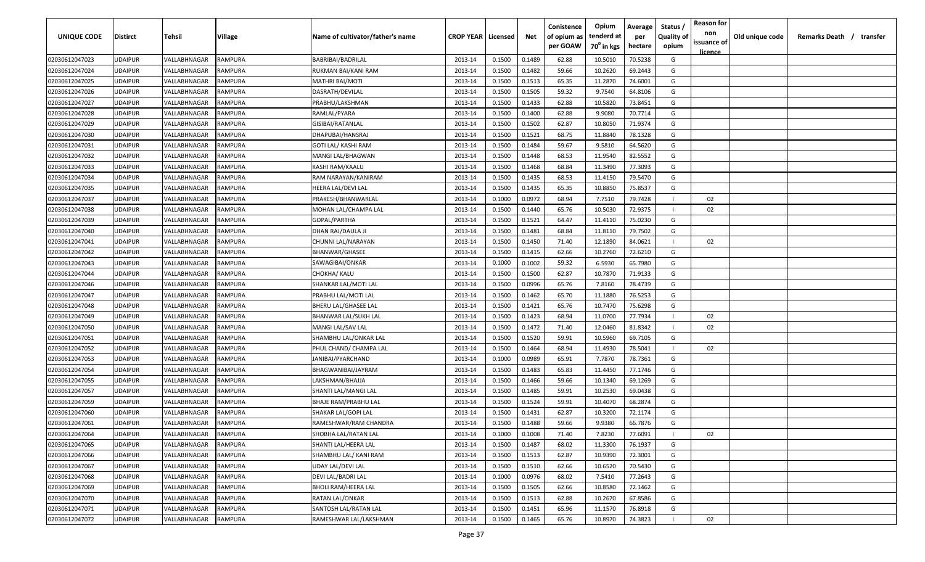| UNIQUE CODE    | <b>Distirct</b> | Tehsil       | Village        | Name of cultivator/father's name | <b>CROP YEAR   Licensed</b> |        | Net    | Conistence<br>of opium as | Opium<br>tenderd at    | Average<br>per | Status<br><b>Quality of</b> | <b>Reason for</b><br>non<br>issuance of | Old unique code | Remarks Death / transfer |
|----------------|-----------------|--------------|----------------|----------------------------------|-----------------------------|--------|--------|---------------------------|------------------------|----------------|-----------------------------|-----------------------------------------|-----------------|--------------------------|
|                |                 |              |                |                                  |                             |        |        | per GOAW                  | 70 <sup>0</sup> in kgs | hectare        | opium                       | <u>licence</u>                          |                 |                          |
| 02030612047023 | <b>UDAIPUR</b>  | VALLABHNAGAR | RAMPURA        | BABRIBAI/BADRILAL                | 2013-14                     | 0.1500 | 0.1489 | 62.88                     | 10.5010                | 70.5238        | G                           |                                         |                 |                          |
| 02030612047024 | <b>UDAIPUR</b>  | VALLABHNAGAR | RAMPURA        | RUKMAN BAI/KANI RAM              | 2013-14                     | 0.1500 | 0.1482 | 59.66                     | 10.2620                | 69.2443        | G                           |                                         |                 |                          |
| 02030612047025 | <b>UDAIPUR</b>  | VALLABHNAGAR | RAMPURA        | MATHRI BAI/MOTI                  | 2013-14                     | 0.1500 | 0.1513 | 65.35                     | 11.2870                | 74.6001        | G                           |                                         |                 |                          |
| 02030612047026 | <b>UDAIPUR</b>  | VALLABHNAGAR | RAMPURA        | DASRATH/DEVILAL                  | 2013-14                     | 0.1500 | 0.1505 | 59.32                     | 9.7540                 | 64.8106        | G                           |                                         |                 |                          |
| 02030612047027 | <b>UDAIPUR</b>  | VALLABHNAGAR | RAMPURA        | PRABHU/LAKSHMAN                  | 2013-14                     | 0.1500 | 0.1433 | 62.88                     | 10.5820                | 73.8451        | G                           |                                         |                 |                          |
| 02030612047028 | <b>UDAIPUR</b>  | VALLABHNAGAR | RAMPURA        | RAMLAL/PYARA                     | 2013-14                     | 0.1500 | 0.1400 | 62.88                     | 9.9080                 | 70.7714        | G                           |                                         |                 |                          |
| 02030612047029 | <b>UDAIPUR</b>  | VALLABHNAGAR | RAMPURA        | GISIBAI/RATANLAL                 | 2013-14                     | 0.1500 | 0.1502 | 62.87                     | 10.8050                | 71.9374        | G                           |                                         |                 |                          |
| 02030612047030 | <b>UDAIPUR</b>  | VALLABHNAGAR | RAMPURA        | DHAPUBAI/HANSRAJ                 | 2013-14                     | 0.1500 | 0.1521 | 68.75                     | 11.8840                | 78.1328        | G                           |                                         |                 |                          |
| 02030612047031 | <b>UDAIPUR</b>  | VALLABHNAGAR | RAMPURA        | GOTI LAL/ KASHI RAM              | 2013-14                     | 0.1500 | 0.1484 | 59.67                     | 9.5810                 | 64.5620        | G                           |                                         |                 |                          |
| 02030612047032 | <b>UDAIPUR</b>  | VALLABHNAGAR | RAMPURA        | MANGI LAL/BHAGWAN                | 2013-14                     | 0.1500 | 0.1448 | 68.53                     | 11.9540                | 82.5552        | G                           |                                         |                 |                          |
| 02030612047033 | <b>UDAIPUR</b>  | VALLABHNAGAR | RAMPURA        | KASHI RAM/KAALU                  | 2013-14                     | 0.1500 | 0.1468 | 68.84                     | 11.3490                | 77.3093        | G                           |                                         |                 |                          |
| 02030612047034 | <b>UDAIPUR</b>  | VALLABHNAGAR | RAMPURA        | RAM NARAYAN/KANIRAM              | 2013-14                     | 0.1500 | 0.1435 | 68.53                     | 11.4150                | 79.5470        | G                           |                                         |                 |                          |
| 02030612047035 | <b>UDAIPUR</b>  | VALLABHNAGAR | <b>RAMPURA</b> | HEERA LAL/DEVI LAL               | 2013-14                     | 0.1500 | 0.1435 | 65.35                     | 10.8850                | 75.8537        | G                           |                                         |                 |                          |
| 02030612047037 | <b>UDAIPUR</b>  | VALLABHNAGAR | RAMPURA        | PRAKESH/BHANWARLAL               | 2013-14                     | 0.1000 | 0.0972 | 68.94                     | 7.7510                 | 79.7428        | $\mathbf{I}$                | 02                                      |                 |                          |
| 02030612047038 | <b>UDAIPUR</b>  | VALLABHNAGAR | <b>RAMPURA</b> | MOHAN LAL/CHAMPA LAL             | 2013-14                     | 0.1500 | 0.1440 | 65.76                     | 10.5030                | 72.9375        | $\blacksquare$              | 02                                      |                 |                          |
| 02030612047039 | <b>UDAIPUR</b>  | VALLABHNAGAR | RAMPURA        | GOPAL/PARTHA                     | 2013-14                     | 0.1500 | 0.1521 | 64.47                     | 11.4110                | 75.0230        | G                           |                                         |                 |                          |
| 02030612047040 | <b>UDAIPUR</b>  | VALLABHNAGAR | <b>RAMPURA</b> | DHAN RAJ/DAULA JI                | 2013-14                     | 0.1500 | 0.1481 | 68.84                     | 11.8110                | 79.7502        | G                           |                                         |                 |                          |
| 02030612047041 | <b>UDAIPUR</b>  | VALLABHNAGAR | RAMPURA        | CHUNNI LAL/NARAYAN               | 2013-14                     | 0.1500 | 0.1450 | 71.40                     | 12.1890                | 84.0621        | $\mathbf{I}$                | 02                                      |                 |                          |
| 02030612047042 | <b>UDAIPUR</b>  | VALLABHNAGAR | RAMPURA        | BHANWAR/GHASEE                   | 2013-14                     | 0.1500 | 0.1415 | 62.66                     | 10.2760                | 72.6210        | G                           |                                         |                 |                          |
| 02030612047043 | <b>UDAIPUR</b>  | VALLABHNAGAR | RAMPURA        | SAWAGIBAI/ONKAR                  | 2013-14                     | 0.1000 | 0.1002 | 59.32                     | 6.5930                 | 65.7980        | G                           |                                         |                 |                          |
| 02030612047044 | <b>UDAIPUR</b>  | VALLABHNAGAR | RAMPURA        | CHOKHA/ KALU                     | 2013-14                     | 0.1500 | 0.1500 | 62.87                     | 10.7870                | 71.9133        | G                           |                                         |                 |                          |
| 02030612047046 | <b>UDAIPUR</b>  | VALLABHNAGAR | RAMPURA        | SHANKAR LAL/MOTI LAL             | 2013-14                     | 0.1500 | 0.0996 | 65.76                     | 7.8160                 | 78.4739        | G                           |                                         |                 |                          |
| 02030612047047 | <b>UDAIPUR</b>  | VALLABHNAGAR | RAMPURA        | PRABHU LAL/MOTI LAL              | 2013-14                     | 0.1500 | 0.1462 | 65.70                     | 11.1880                | 76.5253        | G                           |                                         |                 |                          |
| 02030612047048 | <b>UDAIPUR</b>  | VALLABHNAGAR | RAMPURA        | BHERU LAL/GHASEE LAL             | 2013-14                     | 0.1500 | 0.1421 | 65.76                     | 10.7470                | 75.6298        | G                           |                                         |                 |                          |
| 02030612047049 | <b>UDAIPUR</b>  | VALLABHNAGAR | RAMPURA        | BHANWAR LAL/SUKH LAL             | 2013-14                     | 0.1500 | 0.1423 | 68.94                     | 11.0700                | 77.7934        | $\mathbf{I}$                | 02                                      |                 |                          |
| 02030612047050 | <b>UDAIPUR</b>  | VALLABHNAGAR | RAMPURA        | MANGI LAL/SAV LAL                | 2013-14                     | 0.1500 | 0.1472 | 71.40                     | 12.0460                | 81.8342        | $\mathbf{I}$                | 02                                      |                 |                          |
| 02030612047051 | <b>UDAIPUR</b>  | VALLABHNAGAR | RAMPURA        | SHAMBHU LAL/ONKAR LAL            | 2013-14                     | 0.1500 | 0.1520 | 59.91                     | 10.5960                | 69.7105        | G                           |                                         |                 |                          |
| 02030612047052 | <b>UDAIPUR</b>  | VALLABHNAGAR | RAMPURA        | PHUL CHAND/ CHAMPA LAL           | 2013-14                     | 0.1500 | 0.1464 | 68.94                     | 11.4930                | 78.5041        | $\mathbf{I}$                | 02                                      |                 |                          |
| 02030612047053 | <b>UDAIPUR</b>  | VALLABHNAGAR | RAMPURA        | JANIBAI/PYARCHAND                | 2013-14                     | 0.1000 | 0.0989 | 65.91                     | 7.7870                 | 78.7361        | G                           |                                         |                 |                          |
| 02030612047054 | <b>UDAIPUR</b>  | VALLABHNAGAR | RAMPURA        | BHAGWANIBAI/JAYRAM               | 2013-14                     | 0.1500 | 0.1483 | 65.83                     | 11.4450                | 77.1746        | G                           |                                         |                 |                          |
| 02030612047055 | <b>UDAIPUR</b>  | VALLABHNAGAR | RAMPURA        | LAKSHMAN/BHAJJA                  | 2013-14                     | 0.1500 | 0.1466 | 59.66                     | 10.1340                | 69.1269        | G                           |                                         |                 |                          |
| 02030612047057 | <b>UDAIPUR</b>  | VALLABHNAGAR | RAMPURA        | SHANTI LAL/MANGI LAL             | 2013-14                     | 0.1500 | 0.1485 | 59.91                     | 10.2530                | 69.0438        | G                           |                                         |                 |                          |
| 02030612047059 | <b>UDAIPUR</b>  | VALLABHNAGAR | RAMPURA        | BHAJE RAM/PRABHU LAL             | 2013-14                     | 0.1500 | 0.1524 | 59.91                     | 10.4070                | 68.2874        | G                           |                                         |                 |                          |
| 02030612047060 | <b>UDAIPUR</b>  | VALLABHNAGAR | RAMPURA        | SHAKAR LAL/GOPI LAL              | 2013-14                     | 0.1500 | 0.1431 | 62.87                     | 10.3200                | 72.1174        | G                           |                                         |                 |                          |
| 02030612047061 | <b>UDAIPUR</b>  | VALLABHNAGAR | RAMPURA        | RAMESHWAR/RAM CHANDRA            | 2013-14                     | 0.1500 | 0.1488 | 59.66                     | 9.9380                 | 66.7876        | G                           |                                         |                 |                          |
| 02030612047064 | <b>UDAIPUR</b>  | VALLABHNAGAR | RAMPURA        | SHOBHA LAL/RATAN LAL             | 2013-14                     | 0.1000 | 0.1008 | 71.40                     | 7.8230                 | 77.6091        | $\mathbf{L}$                | 02                                      |                 |                          |
| 02030612047065 | <b>UDAIPUR</b>  | VALLABHNAGAR | RAMPURA        | SHANTI LAL/HEERA LAL             | 2013-14                     | 0.1500 | 0.1487 | 68.02                     | 11.3300                | 76.1937        | G                           |                                         |                 |                          |
| 02030612047066 | <b>UDAIPUR</b>  | VALLABHNAGAR | RAMPURA        | SHAMBHU LAL/ KANI RAM            | 2013-14                     | 0.1500 | 0.1513 | 62.87                     | 10.9390                | 72.3001        | G                           |                                         |                 |                          |
| 02030612047067 | <b>UDAIPUR</b>  | VALLABHNAGAR | RAMPURA        | <b>UDAY LAL/DEVI LAL</b>         | 2013-14                     | 0.1500 | 0.1510 | 62.66                     | 10.6520                | 70.5430        | G                           |                                         |                 |                          |
| 02030612047068 | <b>UDAIPUR</b>  | VALLABHNAGAR | RAMPURA        | DEVI LAL/BADRI LAL               | 2013-14                     | 0.1000 | 0.0976 | 68.02                     | 7.5410                 | 77.2643        | G                           |                                         |                 |                          |
| 02030612047069 | <b>UDAIPUR</b>  | VALLABHNAGAR | RAMPURA        | <b>BHOLI RAM/HEERA LAL</b>       | 2013-14                     | 0.1500 | 0.1505 | 62.66                     | 10.8580                | 72.1462        | G                           |                                         |                 |                          |
| 02030612047070 | <b>UDAIPUR</b>  | VALLABHNAGAR | RAMPURA        | RATAN LAL/ONKAR                  | 2013-14                     | 0.1500 | 0.1513 | 62.88                     | 10.2670                | 67.8586        | G                           |                                         |                 |                          |
| 02030612047071 | <b>UDAIPUR</b>  | VALLABHNAGAR | RAMPURA        | SANTOSH LAL/RATAN LAL            | 2013-14                     | 0.1500 | 0.1451 | 65.96                     | 11.1570                | 76.8918        | G                           |                                         |                 |                          |
| 02030612047072 | <b>UDAIPUR</b>  | VALLABHNAGAR | RAMPURA        | RAMESHWAR LAL/LAKSHMAN           | 2013-14                     | 0.1500 | 0.1465 | 65.76                     | 10.8970                | 74.3823        | $\mathbf{I}$                | 02                                      |                 |                          |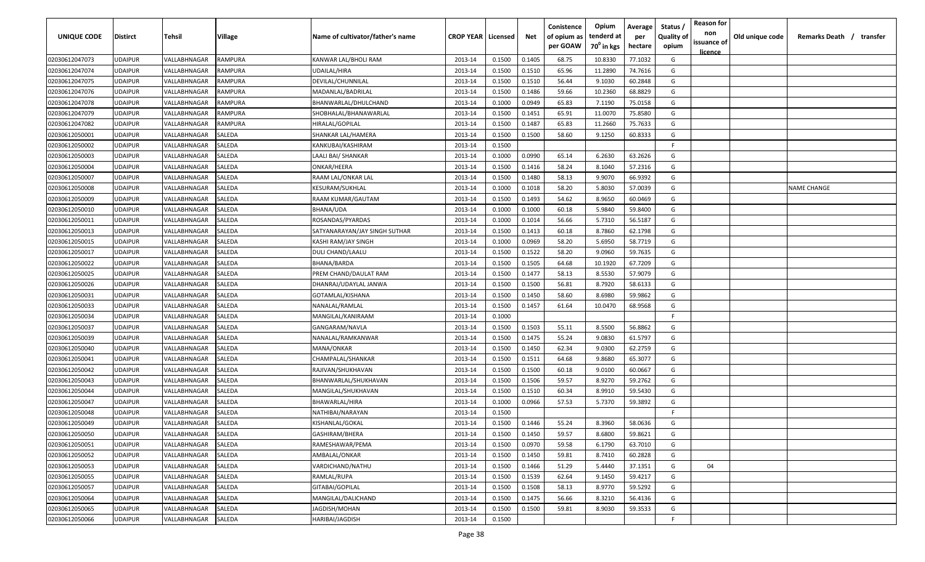| UNIQUE CODE    | <b>Distirct</b> | <b>Tehsil</b>              | <b>Village</b> | Name of cultivator/father's name | <b>CROP YEAR   Licensed</b> |        | Net    | Conistence<br>of opium as | Opium<br>tenderd at | Average<br>per | Status /<br><b>Quality of</b> | <b>Reason for</b><br>non<br>issuance of | Old unique code | Remarks Death /<br>transfer |
|----------------|-----------------|----------------------------|----------------|----------------------------------|-----------------------------|--------|--------|---------------------------|---------------------|----------------|-------------------------------|-----------------------------------------|-----------------|-----------------------------|
|                |                 |                            |                |                                  |                             |        |        | per GOAW                  | $70^0$ in kgs       | hectare        | opium                         | <u>licence</u>                          |                 |                             |
| 02030612047073 | <b>UDAIPUR</b>  | VALLABHNAGAR               | <b>RAMPURA</b> | KANWAR LAL/BHOLI RAM             | 2013-14                     | 0.1500 | 0.1405 | 68.75                     | 10.8330             | 77.1032        | G                             |                                         |                 |                             |
| 02030612047074 | <b>UDAIPUR</b>  | VALLABHNAGAR               | RAMPURA        | UDAILAL/HIRA                     | 2013-14                     | 0.1500 | 0.1510 | 65.96                     | 11.2890             | 74.7616        | G                             |                                         |                 |                             |
| 02030612047075 | <b>UDAIPUR</b>  | VALLABHNAGAR               | <b>RAMPURA</b> | DEVILAL/CHUNNILAL                | 2013-14                     | 0.1500 | 0.1510 | 56.44                     | 9.1030              | 60.2848        | G                             |                                         |                 |                             |
| 02030612047076 | <b>UDAIPUR</b>  | VALLABHNAGAR               | <b>RAMPURA</b> | MADANLAL/BADRILAL                | 2013-14                     | 0.1500 | 0.1486 | 59.66                     | 10.2360             | 68.8829        | G                             |                                         |                 |                             |
| 02030612047078 | <b>UDAIPUR</b>  | VALLABHNAGAR               | <b>RAMPURA</b> | BHANWARLAL/DHULCHAND             | 2013-14                     | 0.1000 | 0.0949 | 65.83                     | 7.1190              | 75.0158        | G                             |                                         |                 |                             |
| 02030612047079 | <b>UDAIPUR</b>  | VALLABHNAGAR               | <b>RAMPURA</b> | SHOBHALAL/BHANAWARLAL            | 2013-14                     | 0.1500 | 0.1451 | 65.91                     | 11.0070             | 75.8580        | G                             |                                         |                 |                             |
| 02030612047082 | <b>UDAIPUR</b>  | VALLABHNAGAR               | <b>RAMPURA</b> | HIRALAL/GOPILAL                  | 2013-14                     | 0.1500 | 0.1487 | 65.83                     | 11.2660             | 75.7633        | G                             |                                         |                 |                             |
| 02030612050001 | <b>UDAIPUR</b>  | VALLABHNAGAR               | SALEDA         | SHANKAR LAL/HAMERA               | 2013-14                     | 0.1500 | 0.1500 | 58.60                     | 9.1250              | 60.8333        | G                             |                                         |                 |                             |
| 02030612050002 | <b>UDAIPUR</b>  | VALLABHNAGAR               | SALEDA         | KANKUBAI/KASHIRAM                | 2013-14                     | 0.1500 |        |                           |                     |                | F.                            |                                         |                 |                             |
| 02030612050003 | UDAIPUR         | VALLABHNAGAR               | SALEDA         | LAALI BAI/ SHANKAR               | 2013-14                     | 0.1000 | 0.0990 | 65.14                     | 6.2630              | 63.2626        | G                             |                                         |                 |                             |
| 02030612050004 | UDAIPUR         | VALLABHNAGAR               | SALEDA         | ONKAR/HEERA                      | 2013-14                     | 0.1500 | 0.1416 | 58.24                     | 8.1040              | 57.2316        | G                             |                                         |                 |                             |
| 02030612050007 | UDAIPUR         | VALLABHNAGAR               | SALEDA         | RAAM LAL/ONKAR LAL               | 2013-14                     | 0.1500 | 0.1480 | 58.13                     | 9.9070              | 66.9392        | G                             |                                         |                 |                             |
| 02030612050008 | UDAIPUR         | VALLABHNAGAR               | SALEDA         | KESURAM/SUKHLAL                  | 2013-14                     | 0.1000 | 0.1018 | 58.20                     | 5.8030              | 57.0039        | G                             |                                         |                 | <b>NAME CHANGE</b>          |
| 02030612050009 | <b>UDAIPUR</b>  | <b>/ALLABHNAGAR</b>        | SALEDA         | RAAM KUMAR/GAUTAM                | 2013-14                     | 0.1500 | 0.1493 | 54.62                     | 8.9650              | 60.0469        | G                             |                                         |                 |                             |
| 02030612050010 | <b>UDAIPUR</b>  | <b><i>VALLABHNAGAR</i></b> | SALEDA         | BHANA/UDA                        | 2013-14                     | 0.1000 | 0.1000 | 60.18                     | 5.9840              | 59.8400        | G                             |                                         |                 |                             |
| 02030612050011 | <b>UDAIPUR</b>  | <b><i>VALLABHNAGAR</i></b> | SALEDA         | ROSANDAS/PYARDAS                 | 2013-14                     | 0.1000 | 0.1014 | 56.66                     | 5.7310              | 56.5187        | G                             |                                         |                 |                             |
| 02030612050013 | <b>UDAIPUR</b>  | VALLABHNAGAR               | SALEDA         | SATYANARAYAN/JAY SINGH SUTHAR    | 2013-14                     | 0.1500 | 0.1413 | 60.18                     | 8.7860              | 62.1798        | G                             |                                         |                 |                             |
| 02030612050015 | <b>UDAIPUR</b>  | VALLABHNAGAR               | SALEDA         | KASHI RAM/JAY SINGH              | 2013-14                     | 0.1000 | 0.0969 | 58.20                     | 5.6950              | 58.7719        | G                             |                                         |                 |                             |
| 02030612050017 | <b>UDAIPUR</b>  | VALLABHNAGAR               | SALEDA         | DULI CHAND/LAALU                 | 2013-14                     | 0.1500 | 0.1522 | 58.20                     | 9.0960              | 59.7635        | G                             |                                         |                 |                             |
| 02030612050022 | <b>UDAIPUR</b>  | VALLABHNAGAR               | SALEDA         | BHANA/BARDA                      | 2013-14                     | 0.1500 | 0.1505 | 64.68                     | 10.1920             | 67.7209        | G                             |                                         |                 |                             |
| 02030612050025 | <b>UDAIPUR</b>  | VALLABHNAGAR               | SALEDA         | PREM CHAND/DAULAT RAM            | 2013-14                     | 0.1500 | 0.1477 | 58.13                     | 8.5530              | 57.9079        | G                             |                                         |                 |                             |
| 02030612050026 | <b>UDAIPUR</b>  | VALLABHNAGAR               | SALEDA         | DHANRAJ/UDAYLAL JANWA            | 2013-14                     | 0.1500 | 0.1500 | 56.81                     | 8.7920              | 58.6133        | G                             |                                         |                 |                             |
| 02030612050031 | <b>UDAIPUR</b>  | VALLABHNAGAR               | SALEDA         | GOTAMLAL/KISHANA                 | 2013-14                     | 0.1500 | 0.1450 | 58.60                     | 8.6980              | 59.9862        | G                             |                                         |                 |                             |
| 02030612050033 | <b>UDAIPUR</b>  | VALLABHNAGAR               | SALEDA         | NANALAL/RAMLAL                   | 2013-14                     | 0.1500 | 0.1457 | 61.64                     | 10.0470             | 68.9568        | G                             |                                         |                 |                             |
| 02030612050034 | <b>UDAIPUR</b>  | <b><i>VALLABHNAGAR</i></b> | SALEDA         | MANGILAL/KANIRAAM                | 2013-14                     | 0.1000 |        |                           |                     |                | F.                            |                                         |                 |                             |
| 02030612050037 | <b>UDAIPUR</b>  | VALLABHNAGAR               | SALEDA         | GANGARAM/NAVLA                   | 2013-14                     | 0.1500 | 0.1503 | 55.11                     | 8.5500              | 56.8862        | G                             |                                         |                 |                             |
| 02030612050039 | UDAIPUR         | VALLABHNAGAR               | SALEDA         | NANALAL/RAMKANWAR                | 2013-14                     | 0.1500 | 0.1475 | 55.24                     | 9.0830              | 61.5797        | G                             |                                         |                 |                             |
| 02030612050040 | UDAIPUR         | VALLABHNAGAR               | SALEDA         | MANA/ONKAR                       | 2013-14                     | 0.1500 | 0.1450 | 62.34                     | 9.0300              | 62.2759        | G                             |                                         |                 |                             |
| 02030612050041 | UDAIPUR         | VALLABHNAGAR               | SALEDA         | CHAMPALAL/SHANKAR                | 2013-14                     | 0.1500 | 0.1511 | 64.68                     | 9.8680              | 65.3077        | G                             |                                         |                 |                             |
| 02030612050042 | <b>UDAIPUR</b>  | VALLABHNAGAR               | SALEDA         | RAJIVAN/SHUKHAVAN                | 2013-14                     | 0.1500 | 0.1500 | 60.18                     | 9.0100              | 60.0667        | G                             |                                         |                 |                             |
| 02030612050043 | <b>UDAIPUR</b>  | <b><i>VALLABHNAGAR</i></b> | SALEDA         | BHANWARLAL/SHUKHAVAN             | 2013-14                     | 0.1500 | 0.1506 | 59.57                     | 8.9270              | 59.2762        | G                             |                                         |                 |                             |
| 02030612050044 | <b>UDAIPUR</b>  | <b><i>VALLABHNAGAR</i></b> | SALEDA         | MANGILAL/SHUKHAVAN               | 2013-14                     | 0.1500 | 0.1510 | 60.34                     | 8.9910              | 59.5430        | G                             |                                         |                 |                             |
| 02030612050047 | <b>UDAIPUR</b>  | <b><i>VALLABHNAGAR</i></b> | SALEDA         | BHAWARLAL/HIRA                   | 2013-14                     | 0.1000 | 0.0966 | 57.53                     | 5.7370              | 59.3892        | G                             |                                         |                 |                             |
| 02030612050048 | <b>UDAIPUR</b>  | VALLABHNAGAR               | SALEDA         | NATHIBAI/NARAYAN                 | 2013-14                     | 0.1500 |        |                           |                     |                | F.                            |                                         |                 |                             |
| 02030612050049 | <b>UDAIPUR</b>  | VALLABHNAGAR               | SALEDA         | KISHANLAL/GOKAL                  | 2013-14                     | 0.1500 | 0.1446 | 55.24                     | 8.3960              | 58.0636        | G                             |                                         |                 |                             |
| 02030612050050 | <b>UDAIPUR</b>  | VALLABHNAGAR               | <b>SALEDA</b>  | GASHIRAM/BHERA                   | 2013-14                     | 0.1500 | 0.1450 | 59.57                     | 8.6800              | 59.8621        | G                             |                                         |                 |                             |
| 02030612050051 | <b>UDAIPUR</b>  | VALLABHNAGAR               | SALEDA         | RAMESHAWAR/PEMA                  | 2013-14                     | 0.1500 | 0.0970 | 59.58                     | 6.1790              | 63.7010        | G                             |                                         |                 |                             |
| 02030612050052 | <b>UDAIPUR</b>  | VALLABHNAGAR               | SALEDA         | AMBALAL/ONKAR                    | 2013-14                     | 0.1500 | 0.1450 | 59.81                     | 8.7410              | 60.2828        | G                             |                                         |                 |                             |
| 02030612050053 | <b>UDAIPUR</b>  | VALLABHNAGAR               | SALEDA         | VARDICHAND/NATHU                 | 2013-14                     | 0.1500 | 0.1466 | 51.29                     | 5.4440              | 37.1351        | G                             | 04                                      |                 |                             |
| 02030612050055 | <b>UDAIPUR</b>  | VALLABHNAGAR               | SALEDA         | RAMLAL/RUPA                      | 2013-14                     | 0.1500 | 0.1539 | 62.64                     | 9.1450              | 59.4217        | G                             |                                         |                 |                             |
| 02030612050057 | <b>UDAIPUR</b>  | VALLABHNAGAR               | SALEDA         | GITABAI/GOPILAL                  | 2013-14                     | 0.1500 | 0.1508 | 58.13                     | 8.9770              | 59.5292        | G                             |                                         |                 |                             |
| 02030612050064 | <b>UDAIPUR</b>  | VALLABHNAGAR               | SALEDA         | MANGILAL/DALICHAND               | 2013-14                     | 0.1500 | 0.1475 | 56.66                     | 8.3210              | 56.4136        | G                             |                                         |                 |                             |
| 02030612050065 | <b>UDAIPUR</b>  | VALLABHNAGAR               | SALEDA         | JAGDISH/MOHAN                    | 2013-14                     | 0.1500 | 0.1500 | 59.81                     | 8.9030              | 59.3533        | G                             |                                         |                 |                             |
| 02030612050066 | <b>UDAIPUR</b>  | VALLABHNAGAR               | SALEDA         | HARIBAI/JAGDISH                  | 2013-14                     | 0.1500 |        |                           |                     |                | F.                            |                                         |                 |                             |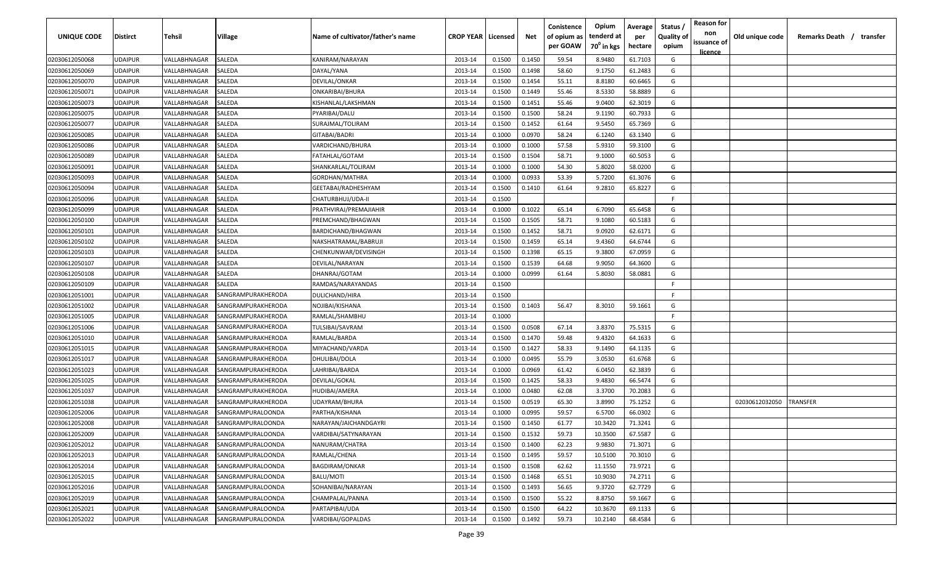| UNIQUE CODE    | <b>Distirct</b> | Tehsil       | Village                  | Name of cultivator/father's name | <b>CROP YEAR   Licensed</b> |        | Net    | Conistence<br>of opium as | Opium<br>tenderd at    | Average<br>per | Status<br><b>Quality of</b> | <b>Reason for</b><br>non      | Old unique code | Remarks Death / transfer |
|----------------|-----------------|--------------|--------------------------|----------------------------------|-----------------------------|--------|--------|---------------------------|------------------------|----------------|-----------------------------|-------------------------------|-----------------|--------------------------|
|                |                 |              |                          |                                  |                             |        |        | per GOAW                  | 70 <sup>°</sup> in kgs | hectare        | opium                       | issuance of<br><u>licence</u> |                 |                          |
| 02030612050068 | <b>UDAIPUR</b>  | VALLABHNAGAR | SALEDA                   | KANIRAM/NARAYAN                  | 2013-14                     | 0.1500 | 0.1450 | 59.54                     | 8.9480                 | 61.7103        | G                           |                               |                 |                          |
| 02030612050069 | <b>UDAIPUR</b>  | VALLABHNAGAR | SALEDA                   | DAYAL/YANA                       | 2013-14                     | 0.1500 | 0.1498 | 58.60                     | 9.1750                 | 61.2483        | G                           |                               |                 |                          |
| 02030612050070 | <b>UDAIPUR</b>  | VALLABHNAGAR | SALEDA                   | DEVILAL/ONKAR                    | 2013-14                     | 0.1500 | 0.1454 | 55.11                     | 8.8180                 | 60.6465        | G                           |                               |                 |                          |
| 02030612050071 | <b>UDAIPUR</b>  | VALLABHNAGAR | SALEDA                   | ONKARIBAI/BHURA                  | 2013-14                     | 0.1500 | 0.1449 | 55.46                     | 8.5330                 | 58.8889        | G                           |                               |                 |                          |
| 02030612050073 | <b>UDAIPUR</b>  | VALLABHNAGAR | SALEDA                   | KISHANLAL/LAKSHMAN               | 2013-14                     | 0.1500 | 0.1451 | 55.46                     | 9.0400                 | 62.3019        | G                           |                               |                 |                          |
| 02030612050075 | <b>UDAIPUR</b>  | VALLABHNAGAR | SALEDA                   | PYARIBAI/DALU                    | 2013-14                     | 0.1500 | 0.1500 | 58.24                     | 9.1190                 | 60.7933        | G                           |                               |                 |                          |
| 02030612050077 | <b>UDAIPUR</b>  | VALLABHNAGAR | SALEDA                   | SURAJMAL/TOLIRAM                 | 2013-14                     | 0.1500 | 0.1452 | 61.64                     | 9.5450                 | 65.7369        | G                           |                               |                 |                          |
| 02030612050085 | <b>UDAIPUR</b>  | VALLABHNAGAR | SALEDA                   | GITABAI/BADRI                    | 2013-14                     | 0.1000 | 0.0970 | 58.24                     | 6.1240                 | 63.1340        | G                           |                               |                 |                          |
| 02030612050086 | <b>UDAIPUR</b>  | VALLABHNAGAR | SALEDA                   | VARDICHAND/BHURA                 | 2013-14                     | 0.1000 | 0.1000 | 57.58                     | 5.9310                 | 59.3100        | G                           |                               |                 |                          |
| 02030612050089 | <b>UDAIPUR</b>  | VALLABHNAGAR | SALEDA                   | FATAHLAL/GOTAM                   | 2013-14                     | 0.1500 | 0.1504 | 58.71                     | 9.1000                 | 60.5053        | G                           |                               |                 |                          |
| 02030612050091 | <b>UDAIPUR</b>  | VALLABHNAGAR | SALEDA                   | SHANKARLAL/TOLIRAM               | 2013-14                     | 0.1000 | 0.1000 | 54.30                     | 5.8020                 | 58.0200        | G                           |                               |                 |                          |
| 02030612050093 | <b>UDAIPUR</b>  | VALLABHNAGAR | SALEDA                   | GORDHAN/MATHRA                   | 2013-14                     | 0.1000 | 0.0933 | 53.39                     | 5.7200                 | 61.3076        | G                           |                               |                 |                          |
| 02030612050094 | <b>UDAIPUR</b>  | VALLABHNAGAR | SALEDA                   | GEETABAI/RADHESHYAM              | 2013-14                     | 0.1500 | 0.1410 | 61.64                     | 9.2810                 | 65.8227        | G                           |                               |                 |                          |
| 02030612050096 | <b>UDAIPUR</b>  | VALLABHNAGAR | SALEDA                   | CHATURBHUJ/UDA-II                | 2013-14                     | 0.1500 |        |                           |                        |                | F.                          |                               |                 |                          |
| 02030612050099 | <b>UDAIPUR</b>  | VALLABHNAGAR | SALEDA                   | PRATHVIRAJ/PREMAJIAHIR           | 2013-14                     | 0.1000 | 0.1022 | 65.14                     | 6.7090                 | 65.6458        | G                           |                               |                 |                          |
| 02030612050100 | <b>UDAIPUR</b>  | VALLABHNAGAR | SALEDA                   | PREMCHAND/BHAGWAN                | 2013-14                     | 0.1500 | 0.1505 | 58.71                     | 9.1080                 | 60.5183        | G                           |                               |                 |                          |
| 02030612050101 | <b>UDAIPUR</b>  | VALLABHNAGAR | SALEDA                   | BARDICHAND/BHAGWAN               | 2013-14                     | 0.1500 | 0.1452 | 58.71                     | 9.0920                 | 62.6171        | G                           |                               |                 |                          |
| 02030612050102 | <b>UDAIPUR</b>  | VALLABHNAGAR | SALEDA                   | NAKSHATRAMAL/BABRUJI             | 2013-14                     | 0.1500 | 0.1459 | 65.14                     | 9.4360                 | 64.6744        | G                           |                               |                 |                          |
| 02030612050103 | <b>UDAIPUR</b>  | VALLABHNAGAR | SALEDA                   | CHENKUNWAR/DEVISINGH             | 2013-14                     | 0.1500 | 0.1398 | 65.15                     | 9.3800                 | 67.0959        | G                           |                               |                 |                          |
| 02030612050107 | <b>UDAIPUR</b>  | VALLABHNAGAR | SALEDA                   | DEVILAL/NARAYAN                  | 2013-14                     | 0.1500 | 0.1539 | 64.68                     | 9.9050                 | 64.3600        | G                           |                               |                 |                          |
| 02030612050108 | <b>UDAIPUR</b>  | VALLABHNAGAR | SALEDA                   | DHANRAJ/GOTAM                    | 2013-14                     | 0.1000 | 0.0999 | 61.64                     | 5.8030                 | 58.0881        | G                           |                               |                 |                          |
| 02030612050109 | <b>UDAIPUR</b>  | VALLABHNAGAR | SALEDA                   | RAMDAS/NARAYANDAS                | 2013-14                     | 0.1500 |        |                           |                        |                | -F.                         |                               |                 |                          |
| 02030612051001 | <b>UDAIPUR</b>  | VALLABHNAGAR | SANGRAMPURAKHERODA       | DULICHAND/HIRA                   | 2013-14                     | 0.1500 |        |                           |                        |                | -F.                         |                               |                 |                          |
| 02030612051002 | <b>UDAIPUR</b>  | VALLABHNAGAR | SANGRAMPURAKHERODA       | NOJIBAI/KISHANA                  | 2013-14                     | 0.1500 | 0.1403 | 56.47                     | 8.3010                 | 59.1661        | G                           |                               |                 |                          |
| 02030612051005 | <b>UDAIPUR</b>  | VALLABHNAGAR | SANGRAMPURAKHERODA       | RAMLAL/SHAMBHU                   | 2013-14                     | 0.1000 |        |                           |                        |                | F.                          |                               |                 |                          |
| 02030612051006 | <b>UDAIPUR</b>  | VALLABHNAGAR | SANGRAMPURAKHERODA       | TULSIBAI/SAVRAM                  | 2013-14                     | 0.1500 | 0.0508 | 67.14                     | 3.8370                 | 75.5315        | G                           |                               |                 |                          |
| 02030612051010 | <b>UDAIPUR</b>  | VALLABHNAGAR | SANGRAMPURAKHERODA       | RAMLAL/BARDA                     | 2013-14                     | 0.1500 | 0.1470 | 59.48                     | 9.4320                 | 64.1633        | G                           |                               |                 |                          |
| 02030612051015 | <b>UDAIPUR</b>  | VALLABHNAGAR | SANGRAMPURAKHERODA       | MIYACHAND/VARDA                  | 2013-14                     | 0.1500 | 0.1427 | 58.33                     | 9.1490                 | 64.1135        | G                           |                               |                 |                          |
| 02030612051017 | <b>UDAIPUR</b>  | VALLABHNAGAR | SANGRAMPURAKHERODA       | DHULIBAI/DOLA                    | 2013-14                     | 0.1000 | 0.0495 | 55.79                     | 3.0530                 | 61.6768        | G                           |                               |                 |                          |
| 02030612051023 | <b>UDAIPUR</b>  | VALLABHNAGAR | SANGRAMPURAKHERODA       | LAHRIBAI/BARDA                   | 2013-14                     | 0.1000 | 0.0969 | 61.42                     | 6.0450                 | 62.3839        | G                           |                               |                 |                          |
| 02030612051025 | <b>UDAIPUR</b>  | VALLABHNAGAR | SANGRAMPURAKHERODA       | DEVILAL/GOKAL                    | 2013-14                     | 0.1500 | 0.1425 | 58.33                     | 9.4830                 | 66.5474        | G                           |                               |                 |                          |
| 02030612051037 | <b>UDAIPUR</b>  | VALLABHNAGAR | SANGRAMPURAKHERODA       | HUDIBAI/AMERA                    | 2013-14                     | 0.1000 | 0.0480 | 62.08                     | 3.3700                 | 70.2083        | G                           |                               |                 |                          |
| 02030612051038 | <b>UDAIPUR</b>  | VALLABHNAGAR | SANGRAMPURAKHERODA       | UDAYRAM/BHURA                    | 2013-14                     | 0.1500 | 0.0519 | 65.30                     | 3.8990                 | 75.1252        | G                           |                               | 02030612032050  | TRANSFER                 |
| 02030612052006 | <b>UDAIPUR</b>  | VALLABHNAGAR | SANGRAMPURALOONDA        | PARTHA/KISHANA                   | 2013-14                     | 0.1000 | 0.0995 | 59.57                     | 6.5700                 | 66.0302        | G                           |                               |                 |                          |
| 02030612052008 | <b>UDAIPUR</b>  | VALLABHNAGAR | SANGRAMPURALOONDA        | NARAYAN/JAICHANDGAYRI            | 2013-14                     | 0.1500 | 0.1450 | 61.77                     | 10.3420                | 71.3241        | G                           |                               |                 |                          |
| 02030612052009 | <b>UDAIPUR</b>  | VALLABHNAGAR | SANGRAMPURALOONDA        | VARDIBAI/SATYNARAYAN             | 2013-14                     | 0.1500 | 0.1532 | 59.73                     | 10.3500                | 67.5587        | G                           |                               |                 |                          |
| 02030612052012 | <b>UDAIPUR</b>  | VALLABHNAGAR | SANGRAMPURALOONDA        | NANURAM/CHATRA                   | 2013-14                     | 0.1500 | 0.1400 | 62.23                     | 9.9830                 | 71.3071        | G                           |                               |                 |                          |
| 02030612052013 | <b>UDAIPUR</b>  | VALLABHNAGAR | SANGRAMPURALOONDA        | RAMLAL/CHENA                     | 2013-14                     | 0.1500 | 0.1495 | 59.57                     | 10.5100                | 70.3010        | G                           |                               |                 |                          |
| 02030612052014 | <b>UDAIPUR</b>  | VALLABHNAGAR | SANGRAMPURALOONDA        | <b>BAGDIRAM/ONKAR</b>            | 2013-14                     | 0.1500 | 0.1508 | 62.62                     | 11.1550                | 73.9721        | G                           |                               |                 |                          |
| 02030612052015 | <b>UDAIPUR</b>  | VALLABHNAGAR | SANGRAMPURALOONDA        | BALU/MOTI                        | 2013-14                     | 0.1500 | 0.1468 | 65.51                     | 10.9030                | 74.2711        | G                           |                               |                 |                          |
| 02030612052016 | <b>UDAIPUR</b>  | VALLABHNAGAR | SANGRAMPURALOONDA        | SOHANIBAI/NARAYAN                | 2013-14                     | 0.1500 | 0.1493 | 56.65                     | 9.3720                 | 62.7729        | G                           |                               |                 |                          |
| 02030612052019 | <b>UDAIPUR</b>  | VALLABHNAGAR | <b>SANGRAMPURALOONDA</b> | CHAMPALAL/PANNA                  | 2013-14                     | 0.1500 | 0.1500 | 55.22                     | 8.8750                 | 59.1667        | G                           |                               |                 |                          |
| 02030612052021 | <b>UDAIPUR</b>  | VALLABHNAGAR | SANGRAMPURALOONDA        | PARTAPIBAI/UDA                   | 2013-14                     | 0.1500 | 0.1500 | 64.22                     | 10.3670                | 69.1133        | G                           |                               |                 |                          |
| 02030612052022 | <b>UDAIPUR</b>  | VALLABHNAGAR | <b>SANGRAMPURALOONDA</b> | VARDIBAI/GOPALDAS                | 2013-14                     | 0.1500 | 0.1492 | 59.73                     | 10.2140                | 68.4584        | G                           |                               |                 |                          |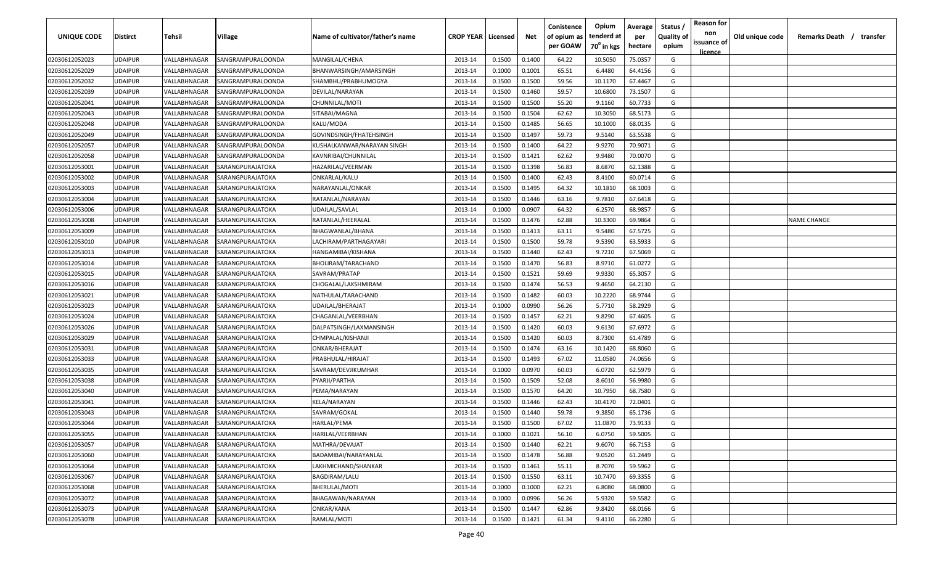| UNIQUE CODE    | Distirct       | Tehsil       | Village           | Name of cultivator/father's name | <b>CROP YEAR   Licensed</b> |        | Net    | Conistence<br>of opium as<br>per GOAW | Opium<br>tenderd at<br>70 <sup>°</sup> in kgs | Average<br>per<br>hectare | Status<br><b>Quality of</b><br>opium | <b>Reason for</b><br>non<br>issuance of<br><u>licence</u> | Old unique code | Remarks Death /    | transfer |
|----------------|----------------|--------------|-------------------|----------------------------------|-----------------------------|--------|--------|---------------------------------------|-----------------------------------------------|---------------------------|--------------------------------------|-----------------------------------------------------------|-----------------|--------------------|----------|
| 02030612052023 | UDAIPUR        | VALLABHNAGAR | SANGRAMPURALOONDA | MANGILAL/CHENA                   | 2013-14                     | 0.1500 | 0.1400 | 64.22                                 | 10.5050                                       | 75.0357                   | G                                    |                                                           |                 |                    |          |
| 02030612052029 | UDAIPUR        | VALLABHNAGAR | SANGRAMPURALOONDA | BHANWARSINGH/AMARSINGH           | 2013-14                     | 0.1000 | 0.1001 | 65.51                                 | 6.4480                                        | 64.4156                   | G                                    |                                                           |                 |                    |          |
| 02030612052032 | UDAIPUR        | VALLABHNAGAR | SANGRAMPURALOONDA | SHAMBHU/PRABHUMOGYA              | 2013-14                     | 0.1500 | 0.1500 | 59.56                                 | 10.1170                                       | 67.4467                   | G                                    |                                                           |                 |                    |          |
| 02030612052039 | UDAIPUR        | VALLABHNAGAR | SANGRAMPURALOONDA | DEVILAL/NARAYAN                  | 2013-14                     | 0.1500 | 0.1460 | 59.57                                 | 10.6800                                       | 73.1507                   | G                                    |                                                           |                 |                    |          |
| 02030612052041 | UDAIPUR        | VALLABHNAGAR | SANGRAMPURALOONDA | CHUNNILAL/MOTI                   | 2013-14                     | 0.1500 | 0.1500 | 55.20                                 | 9.1160                                        | 60.7733                   | G                                    |                                                           |                 |                    |          |
| 02030612052043 | UDAIPUR        | VALLABHNAGAR | SANGRAMPURALOONDA | SITABAI/MAGNA                    | 2013-14                     | 0.1500 | 0.1504 | 62.62                                 | 10.3050                                       | 68.5173                   | G                                    |                                                           |                 |                    |          |
| 02030612052048 | UDAIPUR        | VALLABHNAGAR | SANGRAMPURALOONDA | KALU/MODA                        | 2013-14                     | 0.1500 | 0.1485 | 56.65                                 | 10.1000                                       | 68.0135                   | G                                    |                                                           |                 |                    |          |
| 02030612052049 | UDAIPUR        | VALLABHNAGAR | SANGRAMPURALOONDA | GOVINDSINGH/FHATEHSINGH          | 2013-14                     | 0.1500 | 0.1497 | 59.73                                 | 9.5140                                        | 63.5538                   | G                                    |                                                           |                 |                    |          |
| 02030612052057 | UDAIPUR        | VALLABHNAGAR | SANGRAMPURALOONDA | KUSHALKANWAR/NARAYAN SINGH       | 2013-14                     | 0.1500 | 0.1400 | 64.22                                 | 9.9270                                        | 70.9071                   | G                                    |                                                           |                 |                    |          |
| 02030612052058 | UDAIPUR        | VALLABHNAGAR | SANGRAMPURALOONDA | KAVNRIBAI/CHUNNILAL              | 2013-14                     | 0.1500 | 0.1421 | 62.62                                 | 9.9480                                        | 70.0070                   | G                                    |                                                           |                 |                    |          |
| 02030612053001 | UDAIPUR        | VALLABHNAGAR | SARANGPURAJATOKA  | HAZARILAL/VEERMAN                | 2013-14                     | 0.1500 | 0.1398 | 56.83                                 | 8.6870                                        | 62.1388                   | G                                    |                                                           |                 |                    |          |
| 02030612053002 | UDAIPUR        | VALLABHNAGAR | SARANGPURAJATOKA  | ONKARLAL/KALU                    | 2013-14                     | 0.1500 | 0.1400 | 62.43                                 | 8.4100                                        | 60.0714                   | G                                    |                                                           |                 |                    |          |
| 02030612053003 | UDAIPUR        | VALLABHNAGAR | SARANGPURAJATOKA  | NARAYANLAL/ONKAR                 | 2013-14                     | 0.1500 | 0.1495 | 64.32                                 | 10.1810                                       | 68.1003                   | G                                    |                                                           |                 |                    |          |
| 02030612053004 | <b>JDAIPUR</b> | VALLABHNAGAR | SARANGPURAJATOKA  | RATANLAL/NARAYAN                 | 2013-14                     | 0.1500 | 0.1446 | 63.16                                 | 9.7810                                        | 67.6418                   | G                                    |                                                           |                 |                    |          |
| 02030612053006 | UDAIPUR        | VALLABHNAGAR | SARANGPURAJATOKA  | UDAILAL/SAVLAL                   | 2013-14                     | 0.1000 | 0.0907 | 64.32                                 | 6.2570                                        | 68.9857                   | G                                    |                                                           |                 |                    |          |
| 02030612053008 | UDAIPUR        | VALLABHNAGAR | SARANGPURAJATOKA  | RATANLAL/HEERALAL                | 2013-14                     | 0.1500 | 0.1476 | 62.88                                 | 10.3300                                       | 69.9864                   | G                                    |                                                           |                 | <b>NAME CHANGE</b> |          |
| 02030612053009 | UDAIPUR        | VALLABHNAGAR | SARANGPURAJATOKA  | BHAGWANLAL/BHANA                 | 2013-14                     | 0.1500 | 0.1413 | 63.11                                 | 9.5480                                        | 67.5725                   | G                                    |                                                           |                 |                    |          |
| 02030612053010 | UDAIPUR        | VALLABHNAGAR | SARANGPURAJATOKA  | LACHIRAM/PARTHAGAYARI            | 2013-14                     | 0.1500 | 0.1500 | 59.78                                 | 9.5390                                        | 63.5933                   | G                                    |                                                           |                 |                    |          |
| 02030612053013 | UDAIPUR        | VALLABHNAGAR | SARANGPURAJATOKA  | HANGAMIBAI/KISHANA               | 2013-14                     | 0.1500 | 0.1440 | 62.43                                 | 9.7210                                        | 67.5069                   | G                                    |                                                           |                 |                    |          |
| 02030612053014 | UDAIPUR        | VALLABHNAGAR | SARANGPURAJATOKA  | <b>BHOLIRAM/TARACHAND</b>        | 2013-14                     | 0.1500 | 0.1470 | 56.83                                 | 8.9710                                        | 61.0272                   | G                                    |                                                           |                 |                    |          |
| 02030612053015 | UDAIPUR        | VALLABHNAGAR | SARANGPURAJATOKA  | SAVRAM/PRATAP                    | 2013-14                     | 0.1500 | 0.1521 | 59.69                                 | 9.9330                                        | 65.3057                   | G                                    |                                                           |                 |                    |          |
| 02030612053016 | UDAIPUR        | VALLABHNAGAR | SARANGPURAJATOKA  | CHOGALAL/LAKSHMIRAM              | 2013-14                     | 0.1500 | 0.1474 | 56.53                                 | 9.4650                                        | 64.2130                   | G                                    |                                                           |                 |                    |          |
| 02030612053021 | UDAIPUR        | VALLABHNAGAR | SARANGPURAJATOKA  | NATHULAL/TARACHAND               | 2013-14                     | 0.1500 | 0.1482 | 60.03                                 | 10.2220                                       | 68.9744                   | G                                    |                                                           |                 |                    |          |
| 02030612053023 | UDAIPUR        | VALLABHNAGAR | SARANGPURAJATOKA  | UDAILAL/BHERAJAT                 | 2013-14                     | 0.1000 | 0.0990 | 56.26                                 | 5.7710                                        | 58.2929                   | G                                    |                                                           |                 |                    |          |
| 02030612053024 | UDAIPUR        | VALLABHNAGAR | SARANGPURAJATOKA  | CHAGANLAL/VEERBHAN               | 2013-14                     | 0.1500 | 0.1457 | 62.21                                 | 9.8290                                        | 67.4605                   | G                                    |                                                           |                 |                    |          |
| 02030612053026 | UDAIPUR        | VALLABHNAGAR | SARANGPURAJATOKA  | DALPATSINGH/LAXMANSINGH          | 2013-14                     | 0.1500 | 0.1420 | 60.03                                 | 9.6130                                        | 67.6972                   | G                                    |                                                           |                 |                    |          |
| 02030612053029 | UDAIPUR        | VALLABHNAGAR | SARANGPURAJATOKA  | CHMPALAL/KISHANJI                | 2013-14                     | 0.1500 | 0.1420 | 60.03                                 | 8.7300                                        | 61.4789                   | G                                    |                                                           |                 |                    |          |
| 02030612053031 | UDAIPUR        | VALLABHNAGAR | SARANGPURAJATOKA  | ONKAR/BHERAJAT                   | 2013-14                     | 0.1500 | 0.1474 | 63.16                                 | 10.1420                                       | 68.8060                   | G                                    |                                                           |                 |                    |          |
| 02030612053033 | UDAIPUR        | VALLABHNAGAR | SARANGPURAJATOKA  | PRABHULAL/HIRAJAT                | 2013-14                     | 0.1500 | 0.1493 | 67.02                                 | 11.0580                                       | 74.0656                   | G                                    |                                                           |                 |                    |          |
| 02030612053035 | UDAIPUR        | VALLABHNAGAR | SARANGPURAJATOKA  | SAVRAM/DEVJIKUMHAR               | 2013-14                     | 0.1000 | 0.0970 | 60.03                                 | 6.0720                                        | 62.5979                   | G                                    |                                                           |                 |                    |          |
| 02030612053038 | <b>JDAIPUR</b> | VALLABHNAGAR | SARANGPURAJATOKA  | PYARJI/PARTHA                    | 2013-14                     | 0.1500 | 0.1509 | 52.08                                 | 8.6010                                        | 56.9980                   | G                                    |                                                           |                 |                    |          |
| 02030612053040 | UDAIPUR        | VALLABHNAGAR | SARANGPURAJATOKA  | PEMA/NARAYAN                     | 2013-14                     | 0.1500 | 0.1570 | 64.20                                 | 10.7950                                       | 68.7580                   | G                                    |                                                           |                 |                    |          |
| 02030612053041 | UDAIPUR        | VALLABHNAGAR | SARANGPURAJATOKA  | KELA/NARAYAN                     | 2013-14                     | 0.1500 | 0.1446 | 62.43                                 | 10.4170                                       | 72.0401                   | G                                    |                                                           |                 |                    |          |
| 02030612053043 | UDAIPUR        | VALLABHNAGAR | SARANGPURAJATOKA  | SAVRAM/GOKAL                     | 2013-14                     | 0.1500 | 0.1440 | 59.78                                 | 9.3850                                        | 65.1736                   | G                                    |                                                           |                 |                    |          |
| 02030612053044 | UDAIPUR        | VALLABHNAGAR | SARANGPURAJATOKA  | HARLAL/PEMA                      | 2013-14                     | 0.1500 | 0.1500 | 67.02                                 | 11.0870                                       | 73.9133                   | G                                    |                                                           |                 |                    |          |
| 02030612053055 | <b>UDAIPUR</b> | VALLABHNAGAR | SARANGPURAJATOKA  | <b>HARILAL/VEERBHAN</b>          | 2013-14                     | 0.1000 | 0.1021 | 56.10                                 | 6.0750                                        | 59.5005                   | G                                    |                                                           |                 |                    |          |
| 02030612053057 | <b>UDAIPUR</b> | VALLABHNAGAR | SARANGPURAJATOKA  | MATHRA/DEVAJAT                   | 2013-14                     | 0.1500 | 0.1440 | 62.21                                 | 9.6070                                        | 66.7153                   | G                                    |                                                           |                 |                    |          |
| 02030612053060 | <b>UDAIPUR</b> | VALLABHNAGAR | SARANGPURAJATOKA  | BADAMIBAI/NARAYANLAL             | 2013-14                     | 0.1500 | 0.1478 | 56.88                                 | 9.0520                                        | 61.2449                   | G                                    |                                                           |                 |                    |          |
| 02030612053064 | UDAIPUR        | VALLABHNAGAR | SARANGPURAJATOKA  | LAKHMICHAND/SHANKAR              | 2013-14                     | 0.1500 | 0.1461 | 55.11                                 | 8.7070                                        | 59.5962                   | G                                    |                                                           |                 |                    |          |
| 02030612053067 | UDAIPUR        | VALLABHNAGAR | SARANGPURAJATOKA  | BAGDIRAM/LALU                    | 2013-14                     | 0.1500 | 0.1550 | 63.11                                 | 10.7470                                       | 69.3355                   | G                                    |                                                           |                 |                    |          |
| 02030612053068 | UDAIPUR        | VALLABHNAGAR | SARANGPURAJATOKA  | BHERULAL/MOTI                    | 2013-14                     | 0.1000 | 0.1000 | 62.21                                 | 6.8080                                        | 68.0800                   | G                                    |                                                           |                 |                    |          |
| 02030612053072 | UDAIPUR        | VALLABHNAGAR | SARANGPURAJATOKA  | BHAGAWAN/NARAYAN                 | 2013-14                     | 0.1000 | 0.0996 | 56.26                                 | 5.9320                                        | 59.5582                   | G                                    |                                                           |                 |                    |          |
| 02030612053073 | UDAIPUR        | VALLABHNAGAR | SARANGPURAJATOKA  | ONKAR/KANA                       | 2013-14                     | 0.1500 | 0.1447 | 62.86                                 | 9.8420                                        | 68.0166                   | G                                    |                                                           |                 |                    |          |
| 02030612053078 | <b>UDAIPUR</b> | VALLABHNAGAR | SARANGPURAJATOKA  | RAMLAL/MOTI                      | 2013-14                     | 0.1500 | 0.1421 | 61.34                                 | 9.4110                                        | 66.2280                   | G                                    |                                                           |                 |                    |          |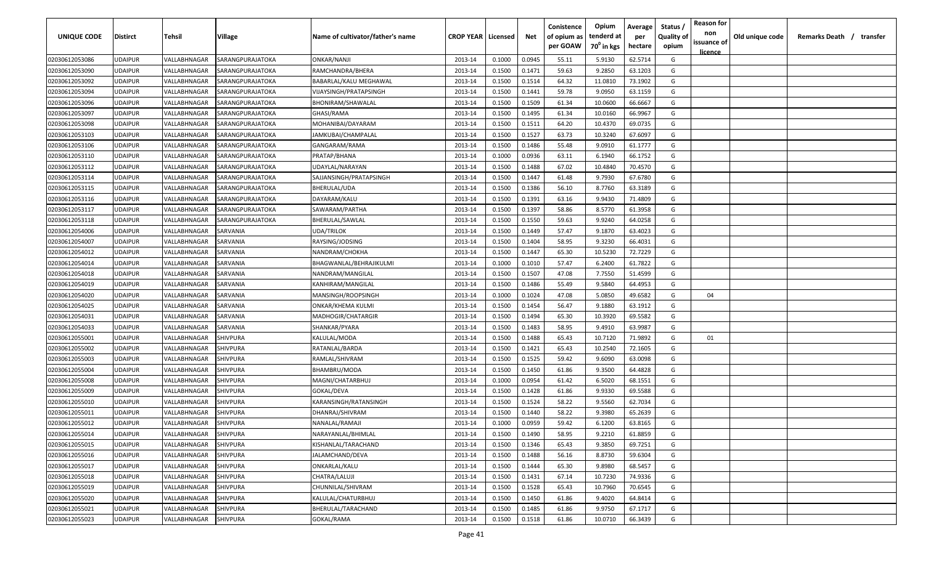| UNIQUE CODE    | <b>Distirct</b> | <b>Tehsil</b> | Village          | Name of cultivator/father's name | <b>CROP YEAR   Licensed</b> |        | Net    | Conistence<br>of opium as | Opium<br>tenderd at    | Average<br>per | Status /<br><b>Quality of</b> | <b>Reason for</b><br>non<br>issuance of | Old unique code | Remarks Death / | transfer |
|----------------|-----------------|---------------|------------------|----------------------------------|-----------------------------|--------|--------|---------------------------|------------------------|----------------|-------------------------------|-----------------------------------------|-----------------|-----------------|----------|
|                |                 |               |                  |                                  |                             |        |        | per GOAW                  | 70 <sup>0</sup> in kgs | hectare        | opium                         | licence                                 |                 |                 |          |
| 02030612053086 | <b>UDAIPUR</b>  | VALLABHNAGAR  | SARANGPURAJATOKA | ONKAR/NANJI                      | 2013-14                     | 0.1000 | 0.0945 | 55.11                     | 5.9130                 | 62.5714        | G                             |                                         |                 |                 |          |
| 02030612053090 | <b>UDAIPUR</b>  | VALLABHNAGAR  | SARANGPURAJATOKA | RAMCHANDRA/BHERA                 | 2013-14                     | 0.1500 | 0.1471 | 59.63                     | 9.2850                 | 63.1203        | G                             |                                         |                 |                 |          |
| 02030612053092 | <b>UDAIPUR</b>  | VALLABHNAGAR  | SARANGPURAJATOKA | BABARLAL/KALU MEGHAWAL           | 2013-14                     | 0.1500 | 0.1514 | 64.32                     | 11.0810                | 73.1902        | G                             |                                         |                 |                 |          |
| 02030612053094 | <b>UDAIPUR</b>  | VALLABHNAGAR  | SARANGPURAJATOKA | VIJAYSINGH/PRATAPSINGH           | 2013-14                     | 0.1500 | 0.1441 | 59.78                     | 9.0950                 | 63.1159        | G                             |                                         |                 |                 |          |
| 02030612053096 | <b>UDAIPUR</b>  | VALLABHNAGAR  | SARANGPURAJATOKA | BHONIRAM/SHAWALAL                | 2013-14                     | 0.1500 | 0.1509 | 61.34                     | 10.0600                | 66.6667        | G                             |                                         |                 |                 |          |
| 02030612053097 | <b>UDAIPUR</b>  | VALLABHNAGAR  | SARANGPURAJATOKA | GHASI/RAMA                       | 2013-14                     | 0.1500 | 0.1495 | 61.34                     | 10.0160                | 66.9967        | G                             |                                         |                 |                 |          |
| 02030612053098 | <b>UDAIPUR</b>  | VALLABHNAGAR  | SARANGPURAJATOKA | MOHANIBAI/DAYARAM                | 2013-14                     | 0.1500 | 0.1511 | 64.20                     | 10.4370                | 69.0735        | G                             |                                         |                 |                 |          |
| 02030612053103 | <b>UDAIPUR</b>  | VALLABHNAGAR  | SARANGPURAJATOKA | IAMKUBAI/CHAMPALAL               | 2013-14                     | 0.1500 | 0.1527 | 63.73                     | 10.3240                | 67.6097        | G                             |                                         |                 |                 |          |
| 02030612053106 | <b>UDAIPUR</b>  | VALLABHNAGAR  | SARANGPURAJATOKA | GANGARAM/RAMA                    | 2013-14                     | 0.1500 | 0.1486 | 55.48                     | 9.0910                 | 61.1777        | G                             |                                         |                 |                 |          |
| 02030612053110 | <b>UDAIPUR</b>  | VALLABHNAGAR  | SARANGPURAJATOKA | PRATAP/BHANA                     | 2013-14                     | 0.1000 | 0.0936 | 63.11                     | 6.1940                 | 66.1752        | G                             |                                         |                 |                 |          |
| 02030612053112 | <b>UDAIPUR</b>  | VALLABHNAGAR  | SARANGPURAJATOKA | UDAYLAL/NARAYAN                  | 2013-14                     | 0.1500 | 0.1488 | 67.02                     | 10.4840                | 70.4570        | G                             |                                         |                 |                 |          |
| 02030612053114 | <b>UDAIPUR</b>  | VALLABHNAGAR  | SARANGPURAJATOKA | SAJJANSINGH/PRATAPSINGH          | 2013-14                     | 0.1500 | 0.1447 | 61.48                     | 9.7930                 | 67.6780        | G                             |                                         |                 |                 |          |
| 02030612053115 | <b>UDAIPUR</b>  | VALLABHNAGAR  | SARANGPURAJATOKA | BHERULAL/UDA                     | 2013-14                     | 0.1500 | 0.1386 | 56.10                     | 8.7760                 | 63.3189        | G                             |                                         |                 |                 |          |
| 02030612053116 | UDAIPUR         | VALLABHNAGAR  | SARANGPURAJATOKA | DAYARAM/KALU                     | 2013-14                     | 0.1500 | 0.1391 | 63.16                     | 9.9430                 | 71.4809        | G                             |                                         |                 |                 |          |
| 02030612053117 | <b>UDAIPUR</b>  | VALLABHNAGAR  | SARANGPURAJATOKA | SAWARAM/PARTHA                   | 2013-14                     | 0.1500 | 0.1397 | 58.86                     | 8.5770                 | 61.3958        | G                             |                                         |                 |                 |          |
| 02030612053118 | <b>UDAIPUR</b>  | VALLABHNAGAR  | SARANGPURAJATOKA | BHERULAL/SAWLAL                  | 2013-14                     | 0.1500 | 0.1550 | 59.63                     | 9.9240                 | 64.0258        | G                             |                                         |                 |                 |          |
| 02030612054006 | <b>UDAIPUR</b>  | VALLABHNAGAR  | SARVANIA         | UDA/TRILOK                       | 2013-14                     | 0.1500 | 0.1449 | 57.47                     | 9.1870                 | 63.4023        | G                             |                                         |                 |                 |          |
| 02030612054007 | <b>UDAIPUR</b>  | VALLABHNAGAR  | SARVANIA         | RAYSING/JODSING                  | 2013-14                     | 0.1500 | 0.1404 | 58.95                     | 9.3230                 | 66.4031        | G                             |                                         |                 |                 |          |
| 02030612054012 | <b>UDAIPUR</b>  | VALLABHNAGAR  | SARVANIA         | NANDRAM/CHOKHA                   | 2013-14                     | 0.1500 | 0.1447 | 65.30                     | 10.5230                | 72.7229        | G                             |                                         |                 |                 |          |
| 02030612054014 | <b>UDAIPUR</b>  | VALLABHNAGAR  | SARVANIA         | BHAGWANLAL/BEHRAJIKULMI          | 2013-14                     | 0.1000 | 0.1010 | 57.47                     | 6.2400                 | 61.7822        | G                             |                                         |                 |                 |          |
| 02030612054018 | <b>UDAIPUR</b>  | VALLABHNAGAR  | SARVANIA         | NANDRAM/MANGILAL                 | 2013-14                     | 0.1500 | 0.1507 | 47.08                     | 7.7550                 | 51.4599        | G                             |                                         |                 |                 |          |
| 02030612054019 | <b>UDAIPUR</b>  | VALLABHNAGAR  | SARVANIA         | KANHIRAM/MANGILAL                | 2013-14                     | 0.1500 | 0.1486 | 55.49                     | 9.5840                 | 64.4953        | G                             |                                         |                 |                 |          |
| 02030612054020 | <b>UDAIPUR</b>  | VALLABHNAGAR  | SARVANIA         | MANSINGH/ROOPSINGH               | 2013-14                     | 0.1000 | 0.1024 | 47.08                     | 5.0850                 | 49.6582        | G                             | 04                                      |                 |                 |          |
| 02030612054025 | <b>UDAIPUR</b>  | VALLABHNAGAR  | SARVANIA         | ONKAR/KHEMA KULMI                | 2013-14                     | 0.1500 | 0.1454 | 56.47                     | 9.1880                 | 63.1912        | G                             |                                         |                 |                 |          |
| 02030612054031 | <b>UDAIPUR</b>  | VALLABHNAGAR  | SARVANIA         | MADHOGIR/CHATARGIR               | 2013-14                     | 0.1500 | 0.1494 | 65.30                     | 10.3920                | 69.5582        | G                             |                                         |                 |                 |          |
| 02030612054033 | <b>UDAIPUR</b>  | VALLABHNAGAR  | SARVANIA         | SHANKAR/PYARA                    | 2013-14                     | 0.1500 | 0.1483 | 58.95                     | 9.4910                 | 63.9987        | G                             |                                         |                 |                 |          |
| 02030612055001 | <b>UDAIPUR</b>  | VALLABHNAGAR  | SHIVPURA         | KALULAL/MODA                     | 2013-14                     | 0.1500 | 0.1488 | 65.43                     | 10.7120                | 71.9892        | G                             | 01                                      |                 |                 |          |
| 02030612055002 | <b>UDAIPUR</b>  | VALLABHNAGAR  | SHIVPURA         | RATANLAL/BARDA                   | 2013-14                     | 0.1500 | 0.1421 | 65.43                     | 10.2540                | 72.1605        | G                             |                                         |                 |                 |          |
| 02030612055003 | <b>UDAIPUR</b>  | VALLABHNAGAR  | SHIVPURA         | RAMLAL/SHIVRAM                   | 2013-14                     | 0.1500 | 0.1525 | 59.42                     | 9.6090                 | 63.0098        | G                             |                                         |                 |                 |          |
| 02030612055004 | <b>UDAIPUR</b>  | VALLABHNAGAR  | SHIVPURA         | BHAMBRU/MODA                     | 2013-14                     | 0.1500 | 0.1450 | 61.86                     | 9.3500                 | 64.4828        | G                             |                                         |                 |                 |          |
| 02030612055008 | <b>UDAIPUR</b>  | VALLABHNAGAR  | SHIVPURA         | MAGNI/CHATARBHUJ                 | 2013-14                     | 0.1000 | 0.0954 | 61.42                     | 6.5020                 | 68.1551        | G                             |                                         |                 |                 |          |
| 02030612055009 | <b>UDAIPUR</b>  | VALLABHNAGAR  | SHIVPURA         | GOKAL/DEVA                       | 2013-14                     | 0.1500 | 0.1428 | 61.86                     | 9.9330                 | 69.5588        | G                             |                                         |                 |                 |          |
| 02030612055010 | <b>UDAIPUR</b>  | VALLABHNAGAR  | SHIVPURA         | KARANSINGH/RATANSINGH            | 2013-14                     | 0.1500 | 0.1524 | 58.22                     | 9.5560                 | 62.7034        | G                             |                                         |                 |                 |          |
| 02030612055011 | <b>UDAIPUR</b>  | VALLABHNAGAR  | SHIVPURA         | DHANRAJ/SHIVRAM                  | 2013-14                     | 0.1500 | 0.1440 | 58.22                     | 9.3980                 | 65.2639        | G                             |                                         |                 |                 |          |
| 02030612055012 | <b>UDAIPUR</b>  | VALLABHNAGAR  | SHIVPURA         | NANALAL/RAMAJI                   | 2013-14                     | 0.1000 | 0.0959 | 59.42                     | 6.1200                 | 63.8165        | G                             |                                         |                 |                 |          |
| 02030612055014 | <b>UDAIPUR</b>  | VALLABHNAGAR  | <b>SHIVPURA</b>  | NARAYANLAL/BHIMLAL               | 2013-14                     | 0.1500 | 0.1490 | 58.95                     | 9.2210                 | 61.8859        | G                             |                                         |                 |                 |          |
| 02030612055015 | <b>UDAIPUR</b>  | VALLABHNAGAR  | <b>SHIVPURA</b>  | KISHANLAL/TARACHAND              | 2013-14                     | 0.1500 | 0.1346 | 65.43                     | 9.3850                 | 69.7251        | G                             |                                         |                 |                 |          |
| 02030612055016 | <b>UDAIPUR</b>  | VALLABHNAGAR  | <b>SHIVPURA</b>  | JALAMCHAND/DEVA                  | 2013-14                     | 0.1500 | 0.1488 | 56.16                     | 8.8730                 | 59.6304        | G                             |                                         |                 |                 |          |
| 02030612055017 | <b>UDAIPUR</b>  | VALLABHNAGAR  | <b>SHIVPURA</b>  | ONKARLAL/KALU                    | 2013-14                     | 0.1500 | 0.1444 | 65.30                     | 9.8980                 | 68.5457        | G                             |                                         |                 |                 |          |
| 02030612055018 | <b>UDAIPUR</b>  | VALLABHNAGAR  | <b>SHIVPURA</b>  | CHATRA/LALUJI                    | 2013-14                     | 0.1500 | 0.1431 | 67.14                     | 10.7230                | 74.9336        | G                             |                                         |                 |                 |          |
| 02030612055019 | <b>UDAIPUR</b>  | VALLABHNAGAR  | SHIVPURA         | CHUNNILAL/SHIVRAM                | 2013-14                     | 0.1500 | 0.1528 | 65.43                     | 10.7960                | 70.6545        | G                             |                                         |                 |                 |          |
| 02030612055020 | <b>UDAIPUR</b>  | VALLABHNAGAR  | <b>SHIVPURA</b>  | KALULAL/CHATURBHUJ               | 2013-14                     | 0.1500 | 0.1450 | 61.86                     | 9.4020                 | 64.8414        | G                             |                                         |                 |                 |          |
| 02030612055021 | <b>UDAIPUR</b>  | VALLABHNAGAR  | <b>SHIVPURA</b>  | BHERULAL/TARACHAND               | 2013-14                     | 0.1500 | 0.1485 | 61.86                     | 9.9750                 | 67.1717        | G                             |                                         |                 |                 |          |
| 02030612055023 | <b>UDAIPUR</b>  | VALLABHNAGAR  | <b>SHIVPURA</b>  | GOKAL/RAMA                       | 2013-14                     | 0.1500 | 0.1518 | 61.86                     | 10.0710                | 66.3439        | G                             |                                         |                 |                 |          |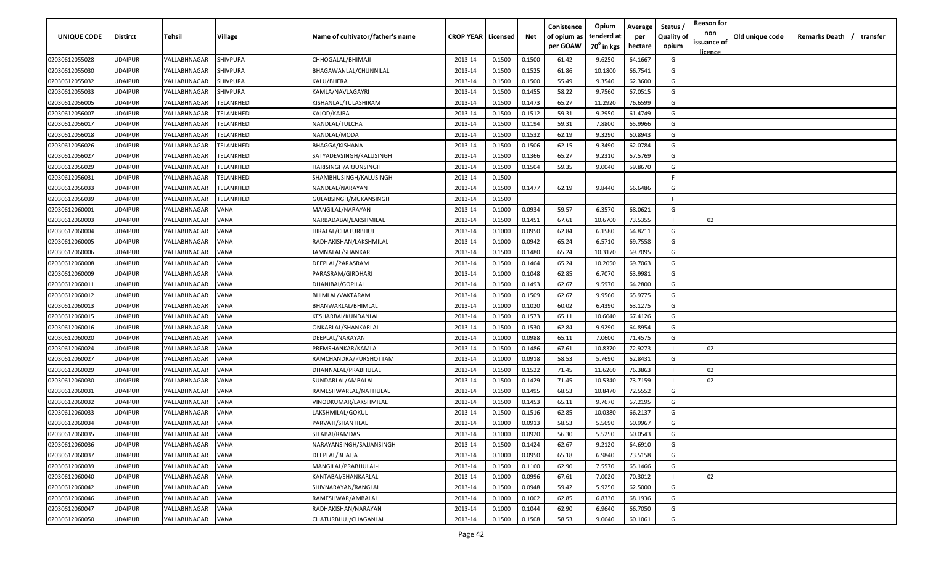| UNIQUE CODE    | Distirct       | Tehsil              | Village                  | Name of cultivator/father's name | <b>CROP YEAR   Licensed</b> |        | Net    | Conistence<br>of opium as | Opium<br>tenderd at    | Average<br>per | Status<br><b>Quality of</b> | <b>Reason for</b><br>non      | Old unique code | Remarks Death / transfer |
|----------------|----------------|---------------------|--------------------------|----------------------------------|-----------------------------|--------|--------|---------------------------|------------------------|----------------|-----------------------------|-------------------------------|-----------------|--------------------------|
|                |                |                     |                          |                                  |                             |        |        | per GOAW                  | 70 <sup>°</sup> in kgs | hectare        | opium                       | issuance of<br><u>licence</u> |                 |                          |
| 02030612055028 | UDAIPUR        | VALLABHNAGAR        | SHIVPURA                 | CHHOGALAL/BHIMAJI                | 2013-14                     | 0.1500 | 0.1500 | 61.42                     | 9.6250                 | 64.1667        | G                           |                               |                 |                          |
| 02030612055030 | UDAIPUR        | VALLABHNAGAR        | SHIVPURA                 | BHAGAWANLAL/CHUNNILAL            | 2013-14                     | 0.1500 | 0.1525 | 61.86                     | 10.1800                | 66.7541        | G                           |                               |                 |                          |
| 02030612055032 | UDAIPUR        | VALLABHNAGAR        | SHIVPURA                 | KALU/BHERA                       | 2013-14                     | 0.1500 | 0.1500 | 55.49                     | 9.3540                 | 62.3600        | G                           |                               |                 |                          |
| 02030612055033 | UDAIPUR        | VALLABHNAGAR        | SHIVPURA                 | KAMLA/NAVLAGAYRI                 | 2013-14                     | 0.1500 | 0.1455 | 58.22                     | 9.7560                 | 67.0515        | G                           |                               |                 |                          |
| 02030612056005 | UDAIPUR        | VALLABHNAGAR        | TELANKHEDI               | KISHANLAL/TULASHIRAM             | 2013-14                     | 0.1500 | 0.1473 | 65.27                     | 11.2920                | 76.6599        | G                           |                               |                 |                          |
| 02030612056007 | UDAIPUR        | VALLABHNAGAR        | <b><i>FELANKHEDI</i></b> | KAJOD/KAJRA                      | 2013-14                     | 0.1500 | 0.1512 | 59.31                     | 9.2950                 | 61.4749        | G                           |                               |                 |                          |
| 02030612056017 | UDAIPUR        | VALLABHNAGAR        | <b>FELANKHEDI</b>        | NANDLAL/TULCHA                   | 2013-14                     | 0.1500 | 0.1194 | 59.31                     | 7.8800                 | 65.9966        | G                           |                               |                 |                          |
| 02030612056018 | UDAIPUR        | VALLABHNAGAR        | TELANKHEDI               | NANDLAL/MODA                     | 2013-14                     | 0.1500 | 0.1532 | 62.19                     | 9.3290                 | 60.8943        | G                           |                               |                 |                          |
| 02030612056026 | UDAIPUR        | VALLABHNAGAR        | TELANKHEDI               | BHAGGA/KISHANA                   | 2013-14                     | 0.1500 | 0.1506 | 62.15                     | 9.3490                 | 62.0784        | G                           |                               |                 |                          |
| 02030612056027 | UDAIPUR        | VALLABHNAGAR        | TELANKHEDI               | SATYADEVSINGH/KALUSINGH          | 2013-14                     | 0.1500 | 0.1366 | 65.27                     | 9.2310                 | 67.5769        | G                           |                               |                 |                          |
| 02030612056029 | UDAIPUR        | VALLABHNAGAR        | TELANKHEDI               | HARISINGH/ARJUNSINGH             | 2013-14                     | 0.1500 | 0.1504 | 59.35                     | 9.0040                 | 59.8670        | G                           |                               |                 |                          |
| 02030612056031 | UDAIPUR        | VALLABHNAGAR        | TELANKHEDI               | SHAMBHUSINGH/KALUSINGH           | 2013-14                     | 0.1500 |        |                           |                        |                | F.                          |                               |                 |                          |
| 02030612056033 | UDAIPUR        | VALLABHNAGAR        | TELANKHEDI               | NANDLAL/NARAYAN                  | 2013-14                     | 0.1500 | 0.1477 | 62.19                     | 9.8440                 | 66.6486        | G                           |                               |                 |                          |
| 02030612056039 | UDAIPUR        | VALLABHNAGAR        | TELANKHEDI               | GULABSINGH/MUKANSINGH            | 2013-14                     | 0.1500 |        |                           |                        |                | F                           |                               |                 |                          |
| 02030612060001 | UDAIPUR        | VALLABHNAGAR        | VANA                     | MANGILAL/NARAYAN                 | 2013-14                     | 0.1000 | 0.0934 | 59.57                     | 6.3570                 | 68.0621        | G                           |                               |                 |                          |
| 02030612060003 | UDAIPUR        | VALLABHNAGAR        | VANA                     | NARBADABAI/LAKSHMILAL            | 2013-14                     | 0.1500 | 0.1451 | 67.61                     | 10.6700                | 73.5355        | - 1                         | 02                            |                 |                          |
| 02030612060004 | UDAIPUR        | VALLABHNAGAR        | VANA                     | HIRALAL/CHATURBHUJ               | 2013-14                     | 0.1000 | 0.0950 | 62.84                     | 6.1580                 | 64.8211        | G                           |                               |                 |                          |
| 02030612060005 | UDAIPUR        | VALLABHNAGAR        | VANA                     | RADHAKISHAN/LAKSHMILAL           | 2013-14                     | 0.1000 | 0.0942 | 65.24                     | 6.5710                 | 69.7558        | G                           |                               |                 |                          |
| 02030612060006 | UDAIPUR        | VALLABHNAGAR        | VANA                     | JAMNALAL/SHANKAR                 | 2013-14                     | 0.1500 | 0.1480 | 65.24                     | 10.3170                | 69.7095        | G                           |                               |                 |                          |
| 02030612060008 | UDAIPUR        | VALLABHNAGAR        | VANA                     | DEEPLAL/PARASRAM                 | 2013-14                     | 0.1500 | 0.1464 | 65.24                     | 10.2050                | 69.7063        | G                           |                               |                 |                          |
| 02030612060009 | UDAIPUR        | VALLABHNAGAR        | VANA                     | PARASRAM/GIRDHARI                | 2013-14                     | 0.1000 | 0.1048 | 62.85                     | 6.7070                 | 63.9981        | G                           |                               |                 |                          |
| 02030612060011 | <b>UDAIPUR</b> | VALLABHNAGAR        | VANA                     | DHANIBAI/GOPILAL                 | 2013-14                     | 0.1500 | 0.1493 | 62.67                     | 9.5970                 | 64.2800        | G                           |                               |                 |                          |
| 02030612060012 | UDAIPUR        | VALLABHNAGAR        | VANA                     | BHIMLAL/VAKTARAM                 | 2013-14                     | 0.1500 | 0.1509 | 62.67                     | 9.9560                 | 65.9775        | G                           |                               |                 |                          |
| 02030612060013 | <b>UDAIPUR</b> | VALLABHNAGAR        | VANA                     | BHANWARLAL/BHIMLAL               | 2013-14                     | 0.1000 | 0.1020 | 60.02                     | 6.4390                 | 63.1275        | G                           |                               |                 |                          |
| 02030612060015 | UDAIPUR        | VALLABHNAGAR        | VANA                     | KESHARBAI/KUNDANLAL              | 2013-14                     | 0.1500 | 0.1573 | 65.11                     | 10.6040                | 67.4126        | G                           |                               |                 |                          |
| 02030612060016 | UDAIPUR        | VALLABHNAGAR        | VANA                     | ONKARLAL/SHANKARLAL              | 2013-14                     | 0.1500 | 0.1530 | 62.84                     | 9.9290                 | 64.8954        | G                           |                               |                 |                          |
| 02030612060020 | UDAIPUR        | VALLABHNAGAR        | VANA                     | DEEPLAL/NARAYAN                  | 2013-14                     | 0.1000 | 0.0988 | 65.11                     | 7.0600                 | 71.4575        | G                           |                               |                 |                          |
| 02030612060024 | UDAIPUR        | <b>/ALLABHNAGAR</b> | /ANA                     | PREMSHANKAR/KAMLA                | 2013-14                     | 0.1500 | 0.1486 | 67.61                     | 10.8370                | 72.9273        | - 1                         | 02                            |                 |                          |
| 02030612060027 | UDAIPUR        | VALLABHNAGAR        | VANA                     | RAMCHANDRA/PURSHOTTAM            | 2013-14                     | 0.1000 | 0.0918 | 58.53                     | 5.7690                 | 62.8431        | G                           |                               |                 |                          |
| 02030612060029 | UDAIPUR        | VALLABHNAGAR        | VANA                     | DHANNALAL/PRABHULAL              | 2013-14                     | 0.1500 | 0.1522 | 71.45                     | 11.6260                | 76.3863        | - 1                         | 02                            |                 |                          |
| 02030612060030 | UDAIPUR        | VALLABHNAGAR        | VANA                     | SUNDARLAL/AMBALAL                | 2013-14                     | 0.1500 | 0.1429 | 71.45                     | 10.5340                | 73.7159        | - 1                         | 02                            |                 |                          |
| 02030612060031 | UDAIPUR        | VALLABHNAGAR        | VANA                     | RAMESHWARLAL/NATHULAL            | 2013-14                     | 0.1500 | 0.1495 | 68.53                     | 10.8470                | 72.5552        | G                           |                               |                 |                          |
| 02030612060032 | UDAIPUR        | VALLABHNAGAR        | VANA                     | VINODKUMAR/LAKSHMILAL            | 2013-14                     | 0.1500 | 0.1453 | 65.11                     | 9.7670                 | 67.2195        | G                           |                               |                 |                          |
| 02030612060033 | UDAIPUR        | VALLABHNAGAR        | VANA                     | LAKSHMILAL/GOKUL                 | 2013-14                     | 0.1500 | 0.1516 | 62.85                     | 10.0380                | 66.2137        | G                           |                               |                 |                          |
| 02030612060034 | UDAIPUR        | VALLABHNAGAR        | VANA                     | PARVATI/SHANTILAL                | 2013-14                     | 0.1000 | 0.0913 | 58.53                     | 5.5690                 | 60.9967        | G                           |                               |                 |                          |
| 02030612060035 | UDAIPUR        | VALLABHNAGAR        | VANA                     | SITABAI/RAMDAS                   | 2013-14                     | 0.1000 | 0.0920 | 56.30                     | 5.5250                 | 60.0543        | G                           |                               |                 |                          |
| 02030612060036 | UDAIPUR        | VALLABHNAGAR        | VANA                     | NARAYANSINGH/SAJJANSINGH         | 2013-14                     | 0.1500 | 0.1424 | 62.67                     | 9.2120                 | 64.6910        | G                           |                               |                 |                          |
| 02030612060037 | UDAIPUR        | VALLABHNAGAR        | VANA                     | DEEPLAL/BHAJJA                   | 2013-14                     | 0.1000 | 0.0950 | 65.18                     | 6.9840                 | 73.5158        | G                           |                               |                 |                          |
| 02030612060039 | UDAIPUR        | VALLABHNAGAR        | VANA                     | MANGILAL/PRABHULAL-I             | 2013-14                     | 0.1500 | 0.1160 | 62.90                     | 7.5570                 | 65.1466        | G                           |                               |                 |                          |
| 02030612060040 | UDAIPUR        | VALLABHNAGAR        | VANA                     | KANTABAI/SHANKARLAL              | 2013-14                     | 0.1000 | 0.0996 | 67.61                     | 7.0020                 | 70.3012        | - 1                         | 02                            |                 |                          |
| 02030612060042 | UDAIPUR        | VALLABHNAGAR        | VANA                     | SHIVNARAYAN/RANGLAL              | 2013-14                     | 0.1500 | 0.0948 | 59.42                     | 5.9250                 | 62.5000        | G                           |                               |                 |                          |
| 02030612060046 | UDAIPUR        | VALLABHNAGAR        | VANA                     | RAMESHWAR/AMBALAL                | 2013-14                     | 0.1000 | 0.1002 | 62.85                     | 6.8330                 | 68.1936        | G                           |                               |                 |                          |
| 02030612060047 | UDAIPUR        | VALLABHNAGAR        | VANA                     | RADHAKISHAN/NARAYAN              | 2013-14                     | 0.1000 | 0.1044 | 62.90                     | 6.9640                 | 66.7050        | G                           |                               |                 |                          |
| 02030612060050 | UDAIPUR        | VALLABHNAGAR        | VANA                     | CHATURBHUJ/CHAGANLAL             | 2013-14                     | 0.1500 | 0.1508 | 58.53                     | 9.0640                 | 60.1061        | G                           |                               |                 |                          |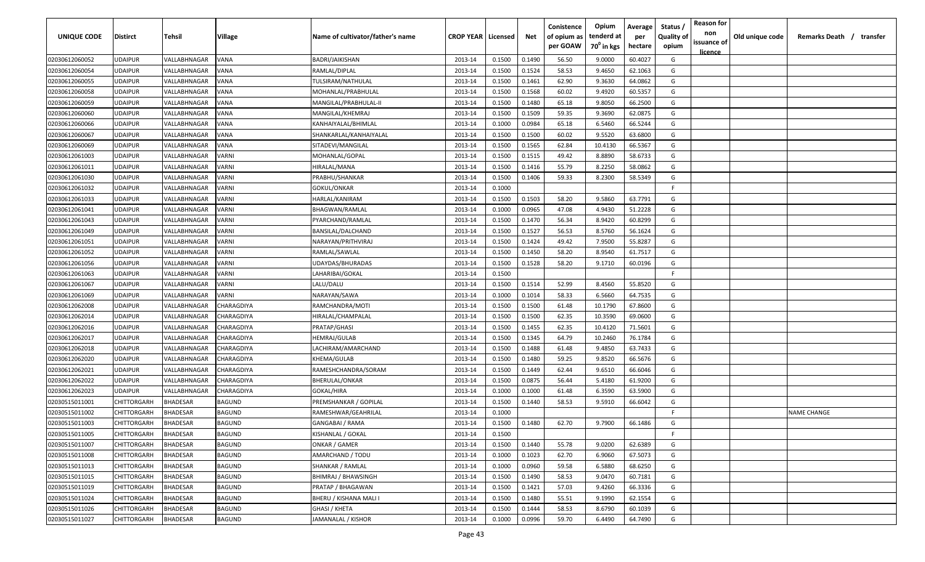| UNIQUE CODE    | <b>Distirct</b>    | Tehsil          | Village           | Name of cultivator/father's name | <b>CROP YEAR   Licensed</b> |        | Net    | Conistence<br>of opium as | Opium<br>tenderd at    | Average<br>per | Status<br><b>Quality of</b> | <b>Reason for</b><br>non      | Old unique code | Remarks Death / transfer |
|----------------|--------------------|-----------------|-------------------|----------------------------------|-----------------------------|--------|--------|---------------------------|------------------------|----------------|-----------------------------|-------------------------------|-----------------|--------------------------|
|                |                    |                 |                   |                                  |                             |        |        | per GOAW                  | 70 <sup>°</sup> in kgs | hectare        | opium                       | issuance of<br><u>licence</u> |                 |                          |
| 02030612060052 | <b>UDAIPUR</b>     | VALLABHNAGAR    | VANA              | BADRI/JAIKISHAN                  | 2013-14                     | 0.1500 | 0.1490 | 56.50                     | 9.0000                 | 60.4027        | G                           |                               |                 |                          |
| 02030612060054 | <b>UDAIPUR</b>     | VALLABHNAGAR    | VANA              | RAMLAL/DIPLAL                    | 2013-14                     | 0.1500 | 0.1524 | 58.53                     | 9.4650                 | 62.1063        | G                           |                               |                 |                          |
| 02030612060055 | <b>UDAIPUR</b>     | VALLABHNAGAR    | VANA              | TULSIRAM/NATHULAL                | 2013-14                     | 0.1500 | 0.1461 | 62.90                     | 9.3630                 | 64.0862        | G                           |                               |                 |                          |
| 02030612060058 | <b>UDAIPUR</b>     | VALLABHNAGAR    | VANA              | MOHANLAL/PRABHULAL               | 2013-14                     | 0.1500 | 0.1568 | 60.02                     | 9.4920                 | 60.5357        | G                           |                               |                 |                          |
| 02030612060059 | <b>UDAIPUR</b>     | VALLABHNAGAR    | VANA              | MANGILAL/PRABHULAL-II            | 2013-14                     | 0.1500 | 0.1480 | 65.18                     | 9.8050                 | 66.2500        | G                           |                               |                 |                          |
| 02030612060060 | <b>UDAIPUR</b>     | VALLABHNAGAR    | VANA              | MANGILAL/KHEMRAJ                 | 2013-14                     | 0.1500 | 0.1509 | 59.35                     | 9.3690                 | 62.0875        | G                           |                               |                 |                          |
| 02030612060066 | <b>UDAIPUR</b>     | VALLABHNAGAR    | VANA              | KANHAIYALAL/BHIMLAL              | 2013-14                     | 0.1000 | 0.0984 | 65.18                     | 6.5460                 | 66.5244        | G                           |                               |                 |                          |
| 02030612060067 | <b>UDAIPUR</b>     | VALLABHNAGAR    | VANA              | SHANKARLAL/KANHAIYALAL           | 2013-14                     | 0.1500 | 0.1500 | 60.02                     | 9.5520                 | 63.6800        | G                           |                               |                 |                          |
| 02030612060069 | <b>UDAIPUR</b>     | VALLABHNAGAR    | VANA              | SITADEVI/MANGILAL                | 2013-14                     | 0.1500 | 0.1565 | 62.84                     | 10.4130                | 66.5367        | G                           |                               |                 |                          |
| 02030612061003 | <b>UDAIPUR</b>     | VALLABHNAGAR    | VARNI             | MOHANLAL/GOPAL                   | 2013-14                     | 0.1500 | 0.1515 | 49.42                     | 8.8890                 | 58.6733        | G                           |                               |                 |                          |
| 02030612061011 | <b>UDAIPUR</b>     | VALLABHNAGAR    | /ARNI             | HIRALAL/MANA                     | 2013-14                     | 0.1500 | 0.1416 | 55.79                     | 8.2250                 | 58.0862        | G                           |                               |                 |                          |
| 02030612061030 | <b>UDAIPUR</b>     | VALLABHNAGAR    | VARNI             | PRABHU/SHANKAR                   | 2013-14                     | 0.1500 | 0.1406 | 59.33                     | 8.2300                 | 58.5349        | G                           |                               |                 |                          |
| 02030612061032 | <b>UDAIPUR</b>     | VALLABHNAGAR    | VARNI             | GOKUL/ONKAR                      | 2013-14                     | 0.1000 |        |                           |                        |                | -F.                         |                               |                 |                          |
| 02030612061033 | <b>UDAIPUR</b>     | VALLABHNAGAR    | <b>/ARNI</b>      | HARLAL/KANIRAM                   | 2013-14                     | 0.1500 | 0.1503 | 58.20                     | 9.5860                 | 63.7791        | G                           |                               |                 |                          |
| 02030612061041 | <b>UDAIPUR</b>     | VALLABHNAGAR    | VARNI             | BHAGWAN/RAMLAL                   | 2013-14                     | 0.1000 | 0.0965 | 47.08                     | 4.9430                 | 51.2228        | G                           |                               |                 |                          |
| 02030612061043 | <b>UDAIPUR</b>     | VALLABHNAGAR    | VARNI             | PYARCHAND/RAMLAL                 | 2013-14                     | 0.1500 | 0.1470 | 56.34                     | 8.9420                 | 60.8299        | G                           |                               |                 |                          |
| 02030612061049 | <b>UDAIPUR</b>     | VALLABHNAGAR    | VARNI             | BANSILAL/DALCHAND                | 2013-14                     | 0.1500 | 0.1527 | 56.53                     | 8.5760                 | 56.1624        | G                           |                               |                 |                          |
| 02030612061051 | <b>UDAIPUR</b>     | VALLABHNAGAR    | VARNI             | NARAYAN/PRITHVIRAJ               | 2013-14                     | 0.1500 | 0.1424 | 49.42                     | 7.9500                 | 55.8287        | G                           |                               |                 |                          |
| 02030612061052 | <b>UDAIPUR</b>     | VALLABHNAGAR    | /ARNI             | RAMLAL/SAWLAL                    | 2013-14                     | 0.1500 | 0.1450 | 58.20                     | 8.9540                 | 61.7517        | G                           |                               |                 |                          |
| 02030612061056 | <b>UDAIPUR</b>     | VALLABHNAGAR    | VARNI             | UDAYDAS/BHURADAS                 | 2013-14                     | 0.1500 | 0.1528 | 58.20                     | 9.1710                 | 60.0196        | G                           |                               |                 |                          |
| 02030612061063 | <b>UDAIPUR</b>     | VALLABHNAGAR    | VARNI             | LAHARIBAI/GOKAL                  | 2013-14                     | 0.1500 |        |                           |                        |                | -F.                         |                               |                 |                          |
| 02030612061067 | <b>UDAIPUR</b>     | VALLABHNAGAR    | VARNI             | LALU/DALU                        | 2013-14                     | 0.1500 | 0.1514 | 52.99                     | 8.4560                 | 55.8520        | G                           |                               |                 |                          |
| 02030612061069 | <b>UDAIPUR</b>     | VALLABHNAGAR    | <b>/ARNI</b>      | NARAYAN/SAWA                     | 2013-14                     | 0.1000 | 0.1014 | 58.33                     | 6.5660                 | 64.7535        | G                           |                               |                 |                          |
| 02030612062008 | <b>UDAIPUR</b>     | VALLABHNAGAR    | CHARAGDIYA        | RAMCHANDRA/MOTI                  | 2013-14                     | 0.1500 | 0.1500 | 61.48                     | 10.1790                | 67.8600        | G                           |                               |                 |                          |
| 02030612062014 | <b>UDAIPUR</b>     | VALLABHNAGAR    | CHARAGDIYA        | HIRALAL/CHAMPALAL                | 2013-14                     | 0.1500 | 0.1500 | 62.35                     | 10.3590                | 69.0600        | G                           |                               |                 |                          |
| 02030612062016 | <b>UDAIPUR</b>     | VALLABHNAGAR    | CHARAGDIYA        | PRATAP/GHASI                     | 2013-14                     | 0.1500 | 0.1455 | 62.35                     | 10.4120                | 71.5601        | G                           |                               |                 |                          |
| 02030612062017 | <b>UDAIPUR</b>     | VALLABHNAGAR    | CHARAGDIYA        | HEMRAJ/GULAB                     | 2013-14                     | 0.1500 | 0.1345 | 64.79                     | 10.2460                | 76.1784        | G                           |                               |                 |                          |
| 02030612062018 | <b>UDAIPUR</b>     | VALLABHNAGAR    | CHARAGDIYA        | LACHIRAM/AMARCHAND               | 2013-14                     | 0.1500 | 0.1488 | 61.48                     | 9.4850                 | 63.7433        | G                           |                               |                 |                          |
| 02030612062020 | <b>UDAIPUR</b>     | VALLABHNAGAR    | CHARAGDIYA        | KHEMA/GULAB                      | 2013-14                     | 0.1500 | 0.1480 | 59.25                     | 9.8520                 | 66.5676        | G                           |                               |                 |                          |
| 02030612062021 | <b>UDAIPUR</b>     | VALLABHNAGAR    | CHARAGDIYA        | RAMESHCHANDRA/SORAM              | 2013-14                     | 0.1500 | 0.1449 | 62.44                     | 9.6510                 | 66.6046        | G                           |                               |                 |                          |
| 02030612062022 | <b>UDAIPUR</b>     | VALLABHNAGAR    | <b>CHARAGDIYA</b> | BHERULAL/ONKAR                   | 2013-14                     | 0.1500 | 0.0875 | 56.44                     | 5.4180                 | 61.9200        | G                           |                               |                 |                          |
| 02030612062023 | <b>UDAIPUR</b>     | VALLABHNAGAR    | CHARAGDIYA        | GOKAL/HIRA                       | 2013-14                     | 0.1000 | 0.1000 | 61.48                     | 6.3590                 | 63.5900        | G                           |                               |                 |                          |
| 02030515011001 | <b>CHITTORGARH</b> | <b>BHADESAR</b> | <b>BAGUND</b>     | PREMSHANKAR / GOPILAL            | 2013-14                     | 0.1500 | 0.1440 | 58.53                     | 9.5910                 | 66.6042        | G                           |                               |                 |                          |
| 02030515011002 | <b>CHITTORGARH</b> | <b>BHADESAR</b> | <b>BAGUND</b>     | RAMESHWAR/GEAHRILAL              | 2013-14                     | 0.1000 |        |                           |                        |                | -F.                         |                               |                 | <b>NAME CHANGE</b>       |
| 02030515011003 | <b>CHITTORGARH</b> | <b>BHADESAR</b> | <b>BAGUND</b>     | GANGABAI / RAMA                  | 2013-14                     | 0.1500 | 0.1480 | 62.70                     | 9.7900                 | 66.1486        | G                           |                               |                 |                          |
| 02030515011005 | <b>CHITTORGARH</b> | <b>BHADESAR</b> | <b>BAGUND</b>     | KISHANLAL / GOKAL                | 2013-14                     | 0.1500 |        |                           |                        |                | F.                          |                               |                 |                          |
| 02030515011007 | CHITTORGARH        | <b>BHADESAR</b> | <b>BAGUND</b>     | ONKAR / GAMER                    | 2013-14                     | 0.1500 | 0.1440 | 55.78                     | 9.0200                 | 62.6389        | G                           |                               |                 |                          |
| 02030515011008 | <b>CHITTORGARH</b> | <b>BHADESAR</b> | <b>BAGUND</b>     | AMARCHAND / TODU                 | 2013-14                     | 0.1000 | 0.1023 | 62.70                     | 6.9060                 | 67.5073        | G                           |                               |                 |                          |
| 02030515011013 | <b>CHITTORGARH</b> | <b>BHADESAR</b> | <b>BAGUND</b>     | SHANKAR / RAMLAL                 | 2013-14                     | 0.1000 | 0.0960 | 59.58                     | 6.5880                 | 68.6250        | G                           |                               |                 |                          |
| 02030515011015 | CHITTORGARH        | <b>BHADESAR</b> | <b>BAGUND</b>     | BHIMRAJ / BHAWSINGH              | 2013-14                     | 0.1500 | 0.1490 | 58.53                     | 9.0470                 | 60.7181        | G                           |                               |                 |                          |
| 02030515011019 | CHITTORGARH        | <b>BHADESAR</b> | <b>BAGUND</b>     | PRATAP / BHAGAWAN                | 2013-14                     | 0.1500 | 0.1421 | 57.03                     | 9.4260                 | 66.3336        | G                           |                               |                 |                          |
| 02030515011024 | CHITTORGARH        | <b>BHADESAR</b> | <b>BAGUND</b>     | BHERU / KISHANA MALI I           | 2013-14                     | 0.1500 | 0.1480 | 55.51                     | 9.1990                 | 62.1554        | G                           |                               |                 |                          |
| 02030515011026 | CHITTORGARH        | <b>BHADESAR</b> | <b>BAGUND</b>     | GHASI / KHETA                    | 2013-14                     | 0.1500 | 0.1444 | 58.53                     | 8.6790                 | 60.1039        | G                           |                               |                 |                          |
| 02030515011027 | CHITTORGARH        | <b>BHADESAR</b> | <b>BAGUND</b>     | JAMANALAL / KISHOR               | 2013-14                     | 0.1000 | 0.0996 | 59.70                     | 6.4490                 | 64.7490        | G                           |                               |                 |                          |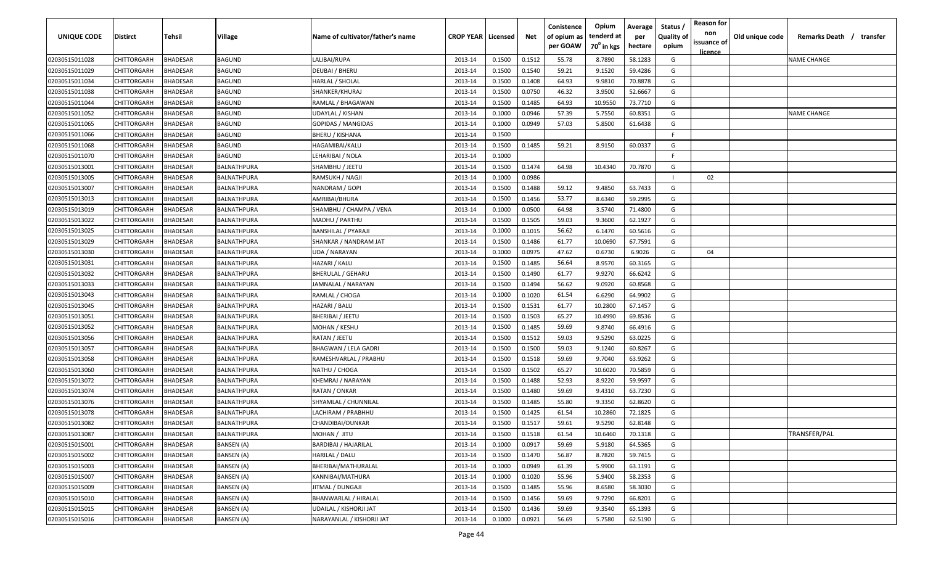| UNIQUE CODE    | <b>Distirct</b> | Tehsil          | Village           | Name of cultivator/father's name | <b>CROP YEAR   Licensed</b> |        | Net    | Conistence<br>of opium as<br>per GOAW | Opium<br>tenderd at<br>70 <sup>0</sup> in kgs | Average<br>per<br>hectare | Status /<br><b>Quality of</b><br>opium | <b>Reason for</b><br>non<br>issuance of | Old unique code | Remarks Death / transfer |
|----------------|-----------------|-----------------|-------------------|----------------------------------|-----------------------------|--------|--------|---------------------------------------|-----------------------------------------------|---------------------------|----------------------------------------|-----------------------------------------|-----------------|--------------------------|
| 02030515011028 | CHITTORGARH     | <b>BHADESAR</b> | BAGUND            | LALIBAI/RUPA                     | 2013-14                     | 0.1500 | 0.1512 | 55.78                                 | 8.7890                                        | 58.1283                   | G                                      | licence                                 |                 | <b>NAME CHANGE</b>       |
| 02030515011029 | CHITTORGARH     | 3HADESAR        | BAGUND            | DEUBAI / BHERU                   | 2013-14                     | 0.1500 | 0.1540 | 59.21                                 | 9.1520                                        | 59.4286                   | G                                      |                                         |                 |                          |
| 02030515011034 | CHITTORGARH     | <b>HADESAR</b>  | BAGUND            | HARLAL / SHOLAL                  | 2013-14                     | 0.1500 | 0.1408 | 64.93                                 | 9.9810                                        | 70.8878                   | G                                      |                                         |                 |                          |
| 02030515011038 | CHITTORGARH     | <b>BHADESAR</b> | BAGUND            | SHANKER/KHURAJ                   | 2013-14                     | 0.1500 | 0.0750 | 46.32                                 | 3.9500                                        | 52.6667                   | G                                      |                                         |                 |                          |
| 02030515011044 | CHITTORGARH     | <b>BHADESAR</b> | BAGUND            | RAMLAL / BHAGAWAN                | 2013-14                     | 0.1500 | 0.1485 | 64.93                                 | 10.9550                                       | 73.7710                   | G                                      |                                         |                 |                          |
| 02030515011052 | CHITTORGARH     | <b>BHADESAR</b> | BAGUND            | UDAYLAL / KISHAN                 | 2013-14                     | 0.1000 | 0.0946 | 57.39                                 | 5.7550                                        | 60.8351                   | G                                      |                                         |                 | <b>NAME CHANGE</b>       |
| 02030515011065 | CHITTORGARH     | <b>HADESAR</b>  | BAGUND            | GOPIDAS / MANGIDAS               | 2013-14                     | 0.1000 | 0.0949 | 57.03                                 | 5.8500                                        | 61.6438                   | G                                      |                                         |                 |                          |
| 02030515011066 | CHITTORGARH     | <b>BHADESAR</b> | BAGUND            | BHERU / KISHANA                  | 2013-14                     | 0.1500 |        |                                       |                                               |                           | E                                      |                                         |                 |                          |
| 02030515011068 | CHITTORGARH     | 3HADESAR        | BAGUND            | HAGAMIBAI/KALU                   | 2013-14                     | 0.1500 | 0.1485 | 59.21                                 | 8.9150                                        | 60.0337                   | G                                      |                                         |                 |                          |
| 02030515011070 | CHITTORGARH     | 3HADESAR        | BAGUND            | LEHARIBAI / NOLA                 | 2013-14                     | 0.1000 |        |                                       |                                               |                           | F                                      |                                         |                 |                          |
| 02030515013001 | CHITTORGARH     | <b>HADESAR</b>  | BALNATHPURA       | SHAMBHU / JEETU                  | 2013-14                     | 0.1500 | 0.1474 | 64.98                                 | 10.4340                                       | 70.7870                   | G                                      |                                         |                 |                          |
| 02030515013005 | CHITTORGARH     | <b>BHADESAR</b> | BALNATHPURA       | RAMSUKH / NAGJI                  | 2013-14                     | 0.1000 | 0.0986 |                                       |                                               |                           |                                        | 02                                      |                 |                          |
| 02030515013007 | CHITTORGARH     | 3HADESAR        | BALNATHPURA       | NANDRAM / GOPI                   | 2013-14                     | 0.1500 | 0.1488 | 59.12                                 | 9.4850                                        | 63.7433                   | G                                      |                                         |                 |                          |
| 02030515013013 | CHITTORGARH     | <b>BHADESAR</b> | BALNATHPURA       | AMRIBAI/BHURA                    | 2013-14                     | 0.1500 | 0.1456 | 53.77                                 | 8.6340                                        | 59.2995                   | G                                      |                                         |                 |                          |
| 02030515013019 | CHITTORGARH     | <b>BHADESAR</b> | BALNATHPURA       | SHAMBHU / CHAMPA / VENA          | 2013-14                     | 0.1000 | 0.0500 | 64.98                                 | 3.5740                                        | 71.4800                   | G                                      |                                         |                 |                          |
| 02030515013022 | CHITTORGARH     | <b>BHADESAR</b> | BALNATHPURA       | MADHU / PARTHU                   | 2013-14                     | 0.1500 | 0.1505 | 59.03                                 | 9.3600                                        | 62.1927                   | G                                      |                                         |                 |                          |
| 02030515013025 | CHITTORGARH     | <b>BHADESAR</b> | BALNATHPURA       | BANSHILAL / PYARAJI              | 2013-14                     | 0.1000 | 0.1015 | 56.62                                 | 6.1470                                        | 60.5616                   | G                                      |                                         |                 |                          |
| 02030515013029 | CHITTORGARH     | <b>BHADESAR</b> | BALNATHPURA       | SHANKAR / NANDRAM JAT            | 2013-14                     | 0.1500 | 0.1486 | 61.77                                 | 10.0690                                       | 67.7591                   | G                                      |                                         |                 |                          |
| 02030515013030 | CHITTORGARH     | <b>BHADESAR</b> | BALNATHPURA       | UDA / NARAYAN                    | 2013-14                     | 0.1000 | 0.0975 | 47.62                                 | 0.6730                                        | 6.9026                    | G                                      | 04                                      |                 |                          |
| 02030515013031 | CHITTORGARH     | <b>BHADESAR</b> | BALNATHPURA       | HAZARI / KALU                    | 2013-14                     | 0.1500 | 0.1485 | 56.64                                 | 8.9570                                        | 60.3165                   | G                                      |                                         |                 |                          |
| 02030515013032 | CHITTORGARH     | <b>BHADESAR</b> | BALNATHPURA       | BHERULAL / GEHARU                | 2013-14                     | 0.1500 | 0.1490 | 61.77                                 | 9.9270                                        | 66.6242                   | G                                      |                                         |                 |                          |
| 02030515013033 | CHITTORGARH     | <b>BHADESAR</b> | BALNATHPURA       | JAMNALAL / NARAYAN               | 2013-14                     | 0.1500 | 0.1494 | 56.62                                 | 9.0920                                        | 60.8568                   | G                                      |                                         |                 |                          |
| 02030515013043 | CHITTORGARH     | <b>HADESAR</b>  | BALNATHPURA       | RAMLAL / CHOGA                   | 2013-14                     | 0.1000 | 0.1020 | 61.54                                 | 6.6290                                        | 64.9902                   | G                                      |                                         |                 |                          |
| 02030515013045 | CHITTORGARH     | <b>BHADESAR</b> | BALNATHPURA       | HAZARI / BALU                    | 2013-14                     | 0.1500 | 0.1531 | 61.77                                 | 10.2800                                       | 67.1457                   | G                                      |                                         |                 |                          |
| 02030515013051 | CHITTORGARH     | <b>BHADESAR</b> | BALNATHPURA       | BHERIBAI / JEETU                 | 2013-14                     | 0.1500 | 0.1503 | 65.27                                 | 10.4990                                       | 69.8536                   | G                                      |                                         |                 |                          |
| 02030515013052 | CHITTORGARH     | <b>BHADESAR</b> | BALNATHPURA       | MOHAN / KESHU                    | 2013-14                     | 0.1500 | 0.1485 | 59.69                                 | 9.8740                                        | 66.4916                   | G                                      |                                         |                 |                          |
| 02030515013056 | CHITTORGARH     | 3HADESAR        | BALNATHPURA       | RATAN / JEETU                    | 2013-14                     | 0.1500 | 0.1512 | 59.03                                 | 9.5290                                        | 63.0225                   | G                                      |                                         |                 |                          |
| 02030515013057 | CHITTORGARH     | <b>HADESAR</b>  | BALNATHPURA       | BHAGWAN / LELA GADRI             | 2013-14                     | 0.1500 | 0.1500 | 59.03                                 | 9.1240                                        | 60.8267                   | G                                      |                                         |                 |                          |
| 02030515013058 | CHITTORGARH     | <b>BHADESAR</b> | BALNATHPURA       | RAMESHVARLAL / PRABHU            | 2013-14                     | 0.1500 | 0.1518 | 59.69                                 | 9.7040                                        | 63.9262                   | G                                      |                                         |                 |                          |
| 02030515013060 | CHITTORGARH     | <b>BHADESAR</b> | BALNATHPURA       | NATHU / CHOGA                    | 2013-14                     | 0.1500 | 0.1502 | 65.27                                 | 10.6020                                       | 70.5859                   | G                                      |                                         |                 |                          |
| 02030515013072 | CHITTORGARH     | <b>BHADESAR</b> | BALNATHPURA       | KHEMRAJ / NARAYAN                | 2013-14                     | 0.1500 | 0.1488 | 52.93                                 | 8.9220                                        | 59.9597                   | G                                      |                                         |                 |                          |
| 02030515013074 | CHITTORGARH     | <b>HADESAR</b>  | BALNATHPURA       | RATAN / ONKAR                    | 2013-14                     | 0.1500 | 0.1480 | 59.69                                 | 9.4310                                        | 63.7230                   | G                                      |                                         |                 |                          |
| 02030515013076 | CHITTORGARH     | <b>BHADESAR</b> | BALNATHPURA       | SHYAMLAL / CHUNNILAL             | 2013-14                     | 0.1500 | 0.1485 | 55.80                                 | 9.3350                                        | 62.8620                   | G                                      |                                         |                 |                          |
| 02030515013078 | CHITTORGARH     | <b>BHADESAR</b> | BALNATHPURA       | LACHIRAM / PRABHHU               | 2013-14                     | 0.1500 | 0.1425 | 61.54                                 | 10.2860                                       | 72.1825                   | G                                      |                                         |                 |                          |
| 02030515013082 | CHITTORGARH     | 3HADESAR        | BALNATHPURA       | CHANDIBAI/OUNKAR                 | 2013-14                     | 0.1500 | 0.1517 | 59.61                                 | 9.5290                                        | 62.8148                   | G                                      |                                         |                 |                          |
| 02030515013087 | CHITTORGARH     | BHADESAR        | BALNATHPURA       | MOHAN / JITU                     | 2013-14                     | 0.1500 | 0.1518 | 61.54                                 | 10.6460                                       | 70.1318                   | G                                      |                                         |                 | TRANSFER/PAL             |
| 02030515015001 | CHITTORGARH     | BHADESAR        | <b>BANSEN</b> (A) | BARDIBAI / HAJARILAL             | 2013-14                     | 0.1000 | 0.0917 | 59.69                                 | 5.9180                                        | 64.5365                   | G                                      |                                         |                 |                          |
| 02030515015002 | CHITTORGARH     | BHADESAR        | <b>BANSEN (A)</b> | HARILAL / DALU                   | 2013-14                     | 0.1500 | 0.1470 | 56.87                                 | 8.7820                                        | 59.7415                   | G                                      |                                         |                 |                          |
| 02030515015003 | CHITTORGARH     | BHADESAR        | <b>BANSEN</b> (A) | BHERIBAI/MATHURALAL              | 2013-14                     | 0.1000 | 0.0949 | 61.39                                 | 5.9900                                        | 63.1191                   | G                                      |                                         |                 |                          |
| 02030515015007 | CHITTORGARH     | <b>BHADESAR</b> | <b>BANSEN (A)</b> | KANNIBAI/MATHURA                 | 2013-14                     | 0.1000 | 0.1020 | 55.96                                 | 5.9400                                        | 58.2353                   | G                                      |                                         |                 |                          |
| 02030515015009 | CHITTORGARH     | <b>BHADESAR</b> | <b>BANSEN</b> (A) | JITMAL / DUNGAJI                 | 2013-14                     | 0.1500 | 0.1485 | 55.96                                 | 8.6580                                        | 58.3030                   | G                                      |                                         |                 |                          |
| 02030515015010 | CHITTORGARH     | <b>BHADESAR</b> | <b>BANSEN (A)</b> | <b>BHANWARLAL / HIRALAL</b>      | 2013-14                     | 0.1500 | 0.1456 | 59.69                                 | 9.7290                                        | 66.8201                   | G                                      |                                         |                 |                          |
| 02030515015015 | CHITTORGARH     | 3HADESAR        | BANSEN (A)        | UDAILAL / KISHORJI JAT           | 2013-14                     | 0.1500 | 0.1436 | 59.69                                 | 9.3540                                        | 65.1393                   | G                                      |                                         |                 |                          |
| 02030515015016 | CHITTORGARH     | BHADESAR        | BANSEN (A)        | NARAYANLAL / KISHORJI JAT        | 2013-14                     | 0.1000 | 0.0921 | 56.69                                 | 5.7580                                        | 62.5190                   | G                                      |                                         |                 |                          |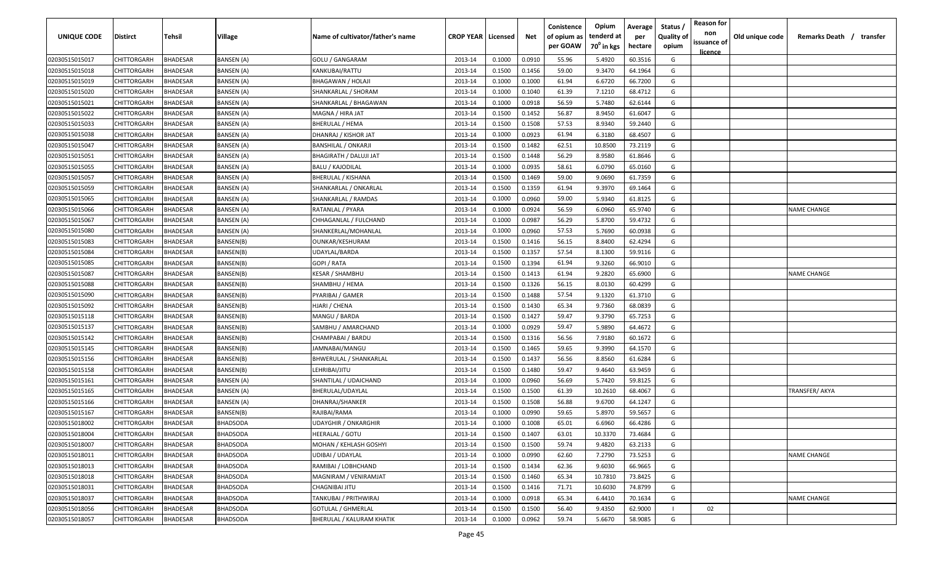| <b>UNIQUE CODE</b> | Distirct           | Tehsil          | Village           | Name of cultivator/father's name | <b>CROP YEAR   Licensed</b> |        | Net    | Conistence<br>of opium as | Opium<br>tenderd at    | Average<br>per | Status /<br><b>Quality of</b> | <b>Reason for</b><br>non      | Old unique code | Remarks Death / transfer |
|--------------------|--------------------|-----------------|-------------------|----------------------------------|-----------------------------|--------|--------|---------------------------|------------------------|----------------|-------------------------------|-------------------------------|-----------------|--------------------------|
|                    |                    |                 |                   |                                  |                             |        |        | per GOAW                  | 70 <sup>0</sup> in kgs | hectare        | opium                         | issuance of<br><u>licence</u> |                 |                          |
| 02030515015017     | CHITTORGARH        | <b>BHADESAR</b> | <b>BANSEN (A)</b> | <b>GOLU / GANGARAM</b>           | 2013-14                     | 0.1000 | 0.0910 | 55.96                     | 5.4920                 | 60.3516        | G                             |                               |                 |                          |
| 02030515015018     | CHITTORGARH        | BHADESAR        | BANSEN (A)        | KANKUBAI/RATTU                   | 2013-14                     | 0.1500 | 0.1456 | 59.00                     | 9.3470                 | 64.1964        | G                             |                               |                 |                          |
| 02030515015019     | CHITTORGARH        | BHADESAR        | BANSEN (A)        | BHAGAWAN / HOLAJI                | 2013-14                     | 0.1000 | 0.1000 | 61.94                     | 6.6720                 | 66.7200        | G                             |                               |                 |                          |
| 02030515015020     | CHITTORGARH        | BHADESAR        | BANSEN (A)        | SHANKARLAL / SHORAM              | 2013-14                     | 0.1000 | 0.1040 | 61.39                     | 7.1210                 | 68.4712        | G                             |                               |                 |                          |
| 02030515015021     | CHITTORGARH        | BHADESAR        | BANSEN (A)        | SHANKARLAL / BHAGAWAN            | 2013-14                     | 0.1000 | 0.0918 | 56.59                     | 5.7480                 | 62.6144        | G                             |                               |                 |                          |
| 02030515015022     | CHITTORGARH        | <b>BHADESAR</b> | BANSEN (A)        | MAGNA / HIRA JAT                 | 2013-14                     | 0.1500 | 0.1452 | 56.87                     | 8.9450                 | 61.6047        | G                             |                               |                 |                          |
| 02030515015033     | CHITTORGARH        | <b>BHADESAR</b> | BANSEN (A)        | <b>BHERULAL / HEMA</b>           | 2013-14                     | 0.1500 | 0.1508 | 57.53                     | 8.9340                 | 59.2440        | G                             |                               |                 |                          |
| 02030515015038     | CHITTORGARH        | BHADESAR        | BANSEN (A)        | DHANRAJ / KISHOR JAT             | 2013-14                     | 0.1000 | 0.0923 | 61.94                     | 6.3180                 | 68.4507        | G                             |                               |                 |                          |
| 02030515015047     | CHITTORGARH        | BHADESAR        | BANSEN (A)        | <b>BANSHILAL / ONKARJI</b>       | 2013-14                     | 0.1500 | 0.1482 | 62.51                     | 10.8500                | 73.2119        | G                             |                               |                 |                          |
| 02030515015051     | CHITTORGARH        | BHADESAR        | BANSEN (A)        | <b>BHAGIRATH / DALUJI JAT</b>    | 2013-14                     | 0.1500 | 0.1448 | 56.29                     | 8.9580                 | 61.8646        | G                             |                               |                 |                          |
| 02030515015055     | CHITTORGARH        | BHADESAR        | BANSEN (A)        | BALU / KAJODILAL                 | 2013-14                     | 0.1000 | 0.0935 | 58.61                     | 6.0790                 | 65.0160        | G                             |                               |                 |                          |
| 02030515015057     | CHITTORGARH        | BHADESAR        | BANSEN (A)        | BHERULAL / KISHANA               | 2013-14                     | 0.1500 | 0.1469 | 59.00                     | 9.0690                 | 61.7359        | G                             |                               |                 |                          |
| 02030515015059     | CHITTORGARH        | BHADESAR        | BANSEN (A)        | SHANKARLAL / ONKARLAL            | 2013-14                     | 0.1500 | 0.1359 | 61.94                     | 9.3970                 | 69.1464        | G                             |                               |                 |                          |
| 02030515015065     | CHITTORGARH        | <b>BHADESAR</b> | BANSEN (A)        | SHANKARLAL / RAMDAS              | 2013-14                     | 0.1000 | 0.0960 | 59.00                     | 5.9340                 | 61.8125        | G                             |                               |                 |                          |
| 02030515015066     | CHITTORGARH        | BHADESAR        | BANSEN (A)        | RATANLAL / PYARA                 | 2013-14                     | 0.1000 | 0.0924 | 56.59                     | 6.0960                 | 65.9740        | G                             |                               |                 | NAME CHANGE              |
| 02030515015067     | CHITTORGARH        | <b>BHADESAR</b> | BANSEN (A)        | CHHAGANLAL / FULCHAND            | 2013-14                     | 0.1000 | 0.0987 | 56.29                     | 5.8700                 | 59.4732        | G                             |                               |                 |                          |
| 02030515015080     | CHITTORGARH        | BHADESAR        | BANSEN (A)        | SHANKERLAL/MOHANLAL              | 2013-14                     | 0.1000 | 0.0960 | 57.53                     | 5.7690                 | 60.0938        | G                             |                               |                 |                          |
| 02030515015083     | CHITTORGARH        | BHADESAR        | BANSEN(B)         | OUNKAR/KESHURAM                  | 2013-14                     | 0.1500 | 0.1416 | 56.15                     | 8.8400                 | 62.4294        | G                             |                               |                 |                          |
| 02030515015084     | CHITTORGARH        | BHADESAR        | BANSEN(B)         | UDAYLAL/BARDA                    | 2013-14                     | 0.1500 | 0.1357 | 57.54                     | 8.1300                 | 59.9116        | G                             |                               |                 |                          |
| 02030515015085     | CHITTORGARH        | <b>BHADESAR</b> | BANSEN(B)         | GOPI / RATA                      | 2013-14                     | 0.1500 | 0.1394 | 61.94                     | 9.3260                 | 66.9010        | G                             |                               |                 |                          |
| 02030515015087     | CHITTORGARH        | <b>BHADESAR</b> | BANSEN(B)         | <b>KESAR / SHAMBHU</b>           | 2013-14                     | 0.1500 | 0.1413 | 61.94                     | 9.2820                 | 65.6900        | G                             |                               |                 | <b>NAME CHANGE</b>       |
| 02030515015088     | CHITTORGARH        | <b>BHADESAR</b> | BANSEN(B)         | SHAMBHU / HEMA                   | 2013-14                     | 0.1500 | 0.1326 | 56.15                     | 8.0130                 | 60.4299        | G                             |                               |                 |                          |
| 02030515015090     | CHITTORGARH        | <b>BHADESAR</b> | BANSEN(B)         | PYARIBAI / GAMER                 | 2013-14                     | 0.1500 | 0.1488 | 57.54                     | 9.1320                 | 61.3710        | G                             |                               |                 |                          |
| 02030515015092     | CHITTORGARH        | BHADESAR        | BANSEN(B)         | HJARI / CHENA                    | 2013-14                     | 0.1500 | 0.1430 | 65.34                     | 9.7360                 | 68.0839        | G                             |                               |                 |                          |
| 02030515015118     | CHITTORGARH        | BHADESAR        | BANSEN(B)         | MANGU / BARDA                    | 2013-14                     | 0.1500 | 0.1427 | 59.47                     | 9.3790                 | 65.7253        | G                             |                               |                 |                          |
| 02030515015137     | CHITTORGARH        | BHADESAR        | BANSEN(B)         | SAMBHU / AMARCHAND               | 2013-14                     | 0.1000 | 0.0929 | 59.47                     | 5.9890                 | 64.4672        | G                             |                               |                 |                          |
| 02030515015142     | CHITTORGARH        | BHADESAR        | BANSEN(B)         | CHAMPABAI / BARDU                | 2013-14                     | 0.1500 | 0.1316 | 56.56                     | 7.9180                 | 60.1672        | G                             |                               |                 |                          |
| 02030515015145     | CHITTORGARH        | BHADESAR        | BANSEN(B)         | IAMNABAI/MANGU                   | 2013-14                     | 0.1500 | 0.1465 | 59.65                     | 9.3990                 | 64.1570        | G                             |                               |                 |                          |
| 02030515015156     | CHITTORGARH        | BHADESAR        | BANSEN(B)         | BHWERULAL / SHANKARLAL           | 2013-14                     | 0.1500 | 0.1437 | 56.56                     | 8.8560                 | 61.6284        | G                             |                               |                 |                          |
| 02030515015158     | CHITTORGARH        | BHADESAR        | BANSEN(B)         | LEHRIBAI/JITU                    | 2013-14                     | 0.1500 | 0.1480 | 59.47                     | 9.4640                 | 63.9459        | G                             |                               |                 |                          |
| 02030515015161     | CHITTORGARH        | BHADESAR        | BANSEN (A)        | SHANTILAL / UDAICHAND            | 2013-14                     | 0.1000 | 0.0960 | 56.69                     | 5.7420                 | 59.8125        | G                             |                               |                 |                          |
| 02030515015165     | CHITTORGARH        | BHADESAR        | BANSEN (A)        | BHERULAL/UDAYLAL                 | 2013-14                     | 0.1500 | 0.1500 | 61.39                     | 10.2610                | 68.4067        | G                             |                               |                 | TRANSFER/ AKYA           |
| 02030515015166     | CHITTORGARH        | BHADESAR        | <b>BANSEN</b> (A) | DHANRAJ/SHANKER                  | 2013-14                     | 0.1500 | 0.1508 | 56.88                     | 9.6700                 | 64.1247        | G                             |                               |                 |                          |
| 02030515015167     | CHITTORGARH        | BHADESAR        | BANSEN(B)         | RAJIBAI/RAMA                     | 2013-14                     | 0.1000 | 0.0990 | 59.65                     | 5.8970                 | 59.5657        | G                             |                               |                 |                          |
| 02030515018002     | CHITTORGARH        | BHADESAR        | <b>BHADSODA</b>   | <b>UDAYGHIR / ONKARGHIR</b>      | 2013-14                     | 0.1000 | 0.1008 | 65.01                     | 6.6960                 | 66.4286        | G                             |                               |                 |                          |
| 02030515018004     | CHITTORGARH        | <b>BHADESAR</b> | <b>BHADSODA</b>   | <b>HEERALAL / GOTU</b>           | 2013-14                     | 0.1500 | 0.1407 | 63.01                     | 10.3370                | 73.4684        | G                             |                               |                 |                          |
| 02030515018007     | CHITTORGARH        | <b>BHADESAR</b> | <b>BHADSODA</b>   | MOHAN / KEHLASH GOSHYI           | 2013-14                     | 0.1500 | 0.1500 | 59.74                     | 9.4820                 | 63.2133        | G                             |                               |                 |                          |
| 02030515018011     | <b>CHITTORGARH</b> | <b>BHADESAR</b> | <b>BHADSODA</b>   | <b>UDIBAI / UDAYLAL</b>          | 2013-14                     | 0.1000 | 0.0990 | 62.60                     | 7.2790                 | 73.5253        | G                             |                               |                 | <b>NAME CHANGE</b>       |
| 02030515018013     | <b>CHITTORGARH</b> | <b>BHADESAR</b> | <b>BHADSODA</b>   | RAMIBAI / LOBHCHAND              | 2013-14                     | 0.1500 | 0.1434 | 62.36                     | 9.6030                 | 66.9665        | G                             |                               |                 |                          |
| 02030515018018     | CHITTORGARH        | <b>BHADESAR</b> | <b>BHADSODA</b>   | MAGNIRAM / VENIRAMJAT            | 2013-14                     | 0.1500 | 0.1460 | 65.34                     | 10.7810                | 73.8425        | G                             |                               |                 |                          |
| 02030515018031     | CHITTORGARH        | BHADESAR        | <b>BHADSODA</b>   | <b>CHAGNIBAI JITU</b>            | 2013-14                     | 0.1500 | 0.1416 | 71.71                     | 10.6030                | 74.8799        | G                             |                               |                 |                          |
| 02030515018037     | CHITTORGARH        | BHADESAR        | <b>BHADSODA</b>   | TANKUBAI / PRITHWIRAJ            | 2013-14                     | 0.1000 | 0.0918 | 65.34                     | 6.4410                 | 70.1634        | G                             |                               |                 | <b>NAME CHANGE</b>       |
| 02030515018056     | CHITTORGARH        | BHADESAR        | <b>BHADSODA</b>   | GOTULAL / GHMERLAL               | 2013-14                     | 0.1500 | 0.1500 | 56.40                     | 9.4350                 | 62.9000        |                               | 02                            |                 |                          |
| 02030515018057     | <b>CHITTORGARH</b> | <b>BHADESAR</b> | <b>BHADSODA</b>   | BHERULAL / KALURAM KHATIK        | 2013-14                     | 0.1000 | 0.0962 | 59.74                     | 5.6670                 | 58.9085        | G                             |                               |                 |                          |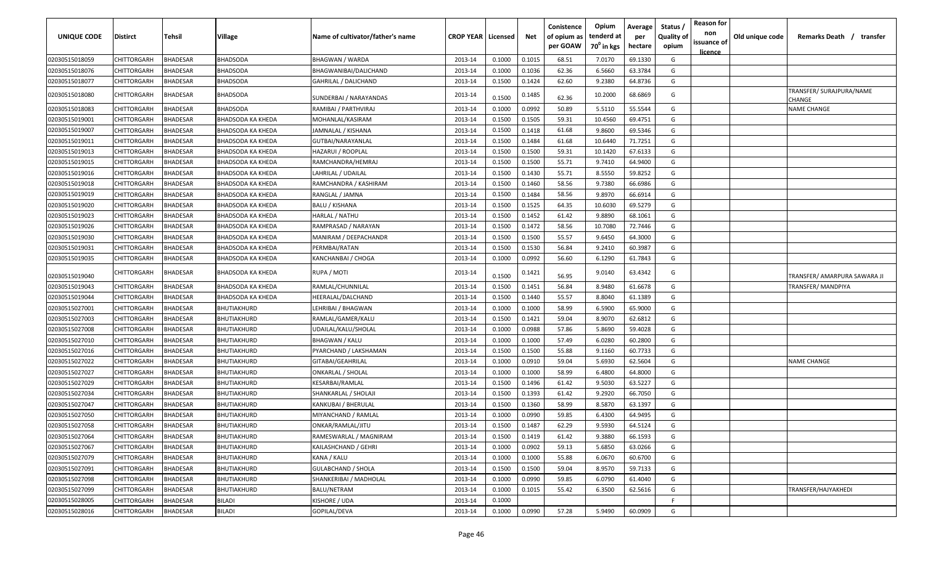| UNIQUE CODE    | Distirct           | Tehsil          | Village            | Name of cultivator/father's name | <b>CROP YEAR   Licensed</b> |        | Net    | Conistence<br>of opium as<br>per GOAW | Opium<br>tenderd at<br>70 <sup>°</sup> in kgs | Average<br>per<br>hectare | Status,<br><b>Quality of</b><br>opium | <b>Reason for</b><br>non<br>issuance of<br>licence | Old unique code | Remarks Death / transfer           |
|----------------|--------------------|-----------------|--------------------|----------------------------------|-----------------------------|--------|--------|---------------------------------------|-----------------------------------------------|---------------------------|---------------------------------------|----------------------------------------------------|-----------------|------------------------------------|
| 02030515018059 | CHITTORGARH        | <b>BHADESAR</b> | <b>BHADSODA</b>    | <b>BHAGWAN / WARDA</b>           | 2013-14                     | 0.1000 | 0.1015 | 68.51                                 | 7.0170                                        | 69.1330                   | G                                     |                                                    |                 |                                    |
| 02030515018076 | CHITTORGARH        | <b>BHADESAR</b> | BHADSODA           | BHAGWANIBAI/DALICHAND            | 2013-14                     | 0.1000 | 0.1036 | 62.36                                 | 6.5660                                        | 63.3784                   | G                                     |                                                    |                 |                                    |
| 02030515018077 | CHITTORGARH        | <b>BHADESAR</b> | BHADSODA           | GAHRILAL / DALICHAND             | 2013-14                     | 0.1500 | 0.1424 | 62.60                                 | 9.2380                                        | 64.8736                   | G                                     |                                                    |                 |                                    |
| 02030515018080 | CHITTORGARH        | <b>BHADESAR</b> | <b>BHADSODA</b>    | SUNDERBAI / NARAYANDAS           | 2013-14                     | 0.1500 | 0.1485 | 62.36                                 | 10.2000                                       | 68.6869                   | G                                     |                                                    |                 | TRANSFER/ SURAJPURA/NAME<br>CHANGE |
| 02030515018083 | CHITTORGARH        | <b>BHADESAR</b> | <b>BHADSODA</b>    | RAMIBAI / PARTHVIRAJ             | 2013-14                     | 0.1000 | 0.0992 | 50.89                                 | 5.5110                                        | 55.5544                   | G                                     |                                                    |                 | <b>NAME CHANGE</b>                 |
| 02030515019001 | CHITTORGARH        | <b>BHADESAR</b> | BHADSODA KA KHEDA  | MOHANLAL/KASIRAM                 | 2013-14                     | 0.1500 | 0.1505 | 59.31                                 | 10.4560                                       | 69.4751                   | G                                     |                                                    |                 |                                    |
| 02030515019007 | CHITTORGARH        | <b>BHADESAR</b> | BHADSODA KA KHEDA  | JAMNALAL / KISHANA               | 2013-14                     | 0.1500 | 0.1418 | 61.68                                 | 9.8600                                        | 69.5346                   | G                                     |                                                    |                 |                                    |
| 02030515019011 | CHITTORGARH        | <b>BHADESAR</b> | BHADSODA KA KHEDA  | GUTBAI/NARAYANLAL                | 2013-14                     | 0.1500 | 0.1484 | 61.68                                 | 10.6440                                       | 71.7251                   | G                                     |                                                    |                 |                                    |
| 02030515019013 | CHITTORGARH        | <b>BHADESAR</b> | BHADSODA KA KHEDA  | HAZARUI / ROOPLAL                | 2013-14                     | 0.1500 | 0.1500 | 59.31                                 | 10.1420                                       | 67.6133                   | G                                     |                                                    |                 |                                    |
| 02030515019015 | CHITTORGARH        | <b>BHADESAR</b> | BHADSODA KA KHEDA  | RAMCHANDRA/HEMRAJ                | 2013-14                     | 0.1500 | 0.1500 | 55.71                                 | 9.7410                                        | 64.9400                   | G                                     |                                                    |                 |                                    |
| 02030515019016 | CHITTORGARH        | <b>BHADESAR</b> | BHADSODA KA KHEDA  | LAHRILAL / UDAILAL               | 2013-14                     | 0.1500 | 0.1430 | 55.71                                 | 8.5550                                        | 59.8252                   | G                                     |                                                    |                 |                                    |
| 02030515019018 | CHITTORGARH        | <b>BHADESAR</b> | BHADSODA KA KHEDA  | RAMCHANDRA / KASHIRAM            | 2013-14                     | 0.1500 | 0.1460 | 58.56                                 | 9.7380                                        | 66.6986                   | G                                     |                                                    |                 |                                    |
| 02030515019019 | CHITTORGARH        | BHADESAR        | BHADSODA KA KHEDA  | RANGLAL / JAMNA                  | 2013-14                     | 0.1500 | 0.1484 | 58.56                                 | 9.8970                                        | 66.6914                   | G                                     |                                                    |                 |                                    |
| 02030515019020 | CHITTORGARH        | BHADESAR        | BHADSODA KA KHEDA  | BALU / KISHANA                   | 2013-14                     | 0.1500 | 0.1525 | 64.35                                 | 10.6030                                       | 69.5279                   | G                                     |                                                    |                 |                                    |
| 02030515019023 | CHITTORGARH        | <b>BHADESAR</b> | BHADSODA KA KHEDA  | HARLAL / NATHU                   | 2013-14                     | 0.1500 | 0.1452 | 61.42                                 | 9.8890                                        | 68.1061                   | G                                     |                                                    |                 |                                    |
| 02030515019026 | CHITTORGARH        | <b>BHADESAR</b> | BHADSODA KA KHEDA  | RAMPRASAD / NARAYAN              | 2013-14                     | 0.1500 | 0.1472 | 58.56                                 | 10.7080                                       | 72.7446                   | G                                     |                                                    |                 |                                    |
| 02030515019030 | CHITTORGARH        | <b>BHADESAR</b> | BHADSODA KA KHEDA  | MANIRAM / DEEPACHANDR            | 2013-14                     | 0.1500 | 0.1500 | 55.57                                 | 9.6450                                        | 64.3000                   | G                                     |                                                    |                 |                                    |
| 02030515019031 | CHITTORGARH        | <b>BHADESAR</b> | BHADSODA KA KHEDA  | PERMBAI/RATAN                    | 2013-14                     | 0.1500 | 0.1530 | 56.84                                 | 9.2410                                        | 60.3987                   | G                                     |                                                    |                 |                                    |
| 02030515019035 | CHITTORGARH        | <b>BHADESAR</b> | BHADSODA KA KHEDA  | KANCHANBAI / CHOGA               | 2013-14                     | 0.1000 | 0.0992 | 56.60                                 | 6.1290                                        | 61.7843                   | G                                     |                                                    |                 |                                    |
| 02030515019040 | CHITTORGARH        | <b>BHADESAR</b> | BHADSODA KA KHEDA  | RUPA / MOTI                      | 2013-14                     | 0.1500 | 0.1421 | 56.95                                 | 9.0140                                        | 63.4342                   | G                                     |                                                    |                 | TRANSFER/ AMARPURA SAWARA JI       |
| 02030515019043 | CHITTORGARH        | <b>BHADESAR</b> | BHADSODA KA KHEDA  | RAMLAL/CHUNNILAL                 | 2013-14                     | 0.1500 | 0.1451 | 56.84                                 | 8.9480                                        | 61.6678                   | G                                     |                                                    |                 | TRANSFER/ MANDPIYA                 |
| 02030515019044 | CHITTORGARH        | <b>BHADESAR</b> | BHADSODA KA KHEDA  | HEERALAL/DALCHAND                | 2013-14                     | 0.1500 | 0.1440 | 55.57                                 | 8.8040                                        | 61.1389                   | G                                     |                                                    |                 |                                    |
| 02030515027001 | CHITTORGARH        | <b>BHADESAR</b> | BHUTIAKHURD        | LEHRIBAI / BHAGWAN               | 2013-14                     | 0.1000 | 0.1000 | 58.99                                 | 6.5900                                        | 65.9000                   | G                                     |                                                    |                 |                                    |
| 02030515027003 | CHITTORGARH        | <b>BHADESAR</b> | BHUTIAKHURD        | RAMLAL/GAMER/KALU                | 2013-14                     | 0.1500 | 0.1421 | 59.04                                 | 8.9070                                        | 62.6812                   | G                                     |                                                    |                 |                                    |
| 02030515027008 | CHITTORGARH        | <b>BHADESAR</b> | BHUTIAKHURD        | UDAILAL/KALU/SHOLAL              | 2013-14                     | 0.1000 | 0.0988 | 57.86                                 | 5.8690                                        | 59.4028                   | G                                     |                                                    |                 |                                    |
| 02030515027010 | CHITTORGARH        | <b>BHADESAR</b> | BHUTIAKHURD        | <b>BHAGWAN / KALU</b>            | 2013-14                     | 0.1000 | 0.1000 | 57.49                                 | 6.0280                                        | 60.2800                   | G                                     |                                                    |                 |                                    |
| 02030515027016 | CHITTORGARH        | <b>BHADESAR</b> | BHUTIAKHURD        | PYARCHAND / LAKSHAMAN            | 2013-14                     | 0.1500 | 0.1500 | 55.88                                 | 9.1160                                        | 60.7733                   | G                                     |                                                    |                 |                                    |
| 02030515027022 | CHITTORGARH        | <b>BHADESAR</b> | BHUTIAKHURD        | GITABAI/GEAHRILAL                | 2013-14                     | 0.1000 | 0.0910 | 59.04                                 | 5.6930                                        | 62.5604                   | G                                     |                                                    |                 | <b>NAME CHANGE</b>                 |
| 02030515027027 | CHITTORGARH        | <b>BHADESAR</b> | BHUTIAKHURD        | ONKARLAL / SHOLAL                | 2013-14                     | 0.1000 | 0.1000 | 58.99                                 | 6.4800                                        | 64.8000                   | G                                     |                                                    |                 |                                    |
| 02030515027029 | CHITTORGARH        | <b>BHADESAR</b> | BHUTIAKHURD        | KESARBAI/RAMLAL                  | 2013-14                     | 0.1500 | 0.1496 | 61.42                                 | 9.5030                                        | 63.5227                   | G                                     |                                                    |                 |                                    |
| 02030515027034 | CHITTORGARH        | <b>BHADESAR</b> | BHUTIAKHURD        | SHANKARLAL / SHOLAJI             | 2013-14                     | 0.1500 | 0.1393 | 61.42                                 | 9.2920                                        | 66.7050                   | G                                     |                                                    |                 |                                    |
| 02030515027047 | CHITTORGARH        | <b>BHADESAR</b> | BHUTIAKHURD        | KANKUBAI / BHERULAL              | 2013-14                     | 0.1500 | 0.1360 | 58.99                                 | 8.5870                                        | 63.1397                   | G                                     |                                                    |                 |                                    |
| 02030515027050 | CHITTORGARH        | <b>BHADESAR</b> | BHUTIAKHURD        | MIYANCHAND / RAMLAL              | 2013-14                     | 0.1000 | 0.0990 | 59.85                                 | 6.4300                                        | 64.9495                   | G                                     |                                                    |                 |                                    |
| 02030515027058 | CHITTORGARH        | <b>BHADESAR</b> | <b>BHUTIAKHURD</b> | ONKAR/RAMLAL/JITU                | 2013-14                     | 0.1500 | 0.1487 | 62.29                                 | 9.5930                                        | 64.5124                   | G                                     |                                                    |                 |                                    |
| 02030515027064 | CHITTORGARH        | <b>BHADESAR</b> | BHUTIAKHURD        | RAMESWARLAL / MAGNIRAM           | 2013-14                     | 0.1500 | 0.1419 | 61.42                                 | 9.3880                                        | 66.1593                   | G                                     |                                                    |                 |                                    |
| 02030515027067 | CHITTORGARH        | <b>BHADESAR</b> | BHUTIAKHURD        | KAILASHCHAND / GEHRI             | 2013-14                     | 0.1000 | 0.0902 | 59.13                                 | 5.6850                                        | 63.0266                   | G                                     |                                                    |                 |                                    |
| 02030515027079 | CHITTORGARH        | <b>BHADESAR</b> | BHUTIAKHURD        | KANA / KALU                      | 2013-14                     | 0.1000 | 0.1000 | 55.88                                 | 6.0670                                        | 60.6700                   | G                                     |                                                    |                 |                                    |
| 02030515027091 | CHITTORGARH        | <b>BHADESAR</b> | BHUTIAKHURD        | GULABCHAND / SHOLA               | 2013-14                     | 0.1500 | 0.1500 | 59.04                                 | 8.9570                                        | 59.7133                   | G                                     |                                                    |                 |                                    |
| 02030515027098 | <b>CHITTORGARH</b> | <b>BHADESAR</b> | BHUTIAKHURD        | SHANKERIBAI / MADHOLAL           | 2013-14                     | 0.1000 | 0.0990 | 59.85                                 | 6.0790                                        | 61.4040                   | G                                     |                                                    |                 |                                    |
| 02030515027099 | <b>CHITTORGARH</b> | <b>BHADESAR</b> | BHUTIAKHURD        | BALU/NETRAM                      | 2013-14                     | 0.1000 | 0.1015 | 55.42                                 | 6.3500                                        | 62.5616                   | G                                     |                                                    |                 | TRANSFER/HAJYAKHEDI                |
| 02030515028005 | <b>CHITTORGARH</b> | <b>BHADESAR</b> | BILADI             | KISHORE / UDA                    | 2013-14                     | 0.1000 |        |                                       |                                               |                           | F                                     |                                                    |                 |                                    |
| 02030515028016 | CHITTORGARH        | <b>BHADESAR</b> | BILADI             | GOPILAL/DEVA                     | 2013-14                     | 0.1000 | 0.0990 | 57.28                                 | 5.9490                                        | 60.0909                   | G                                     |                                                    |                 |                                    |
|                |                    |                 |                    |                                  |                             |        |        |                                       |                                               |                           |                                       |                                                    |                 |                                    |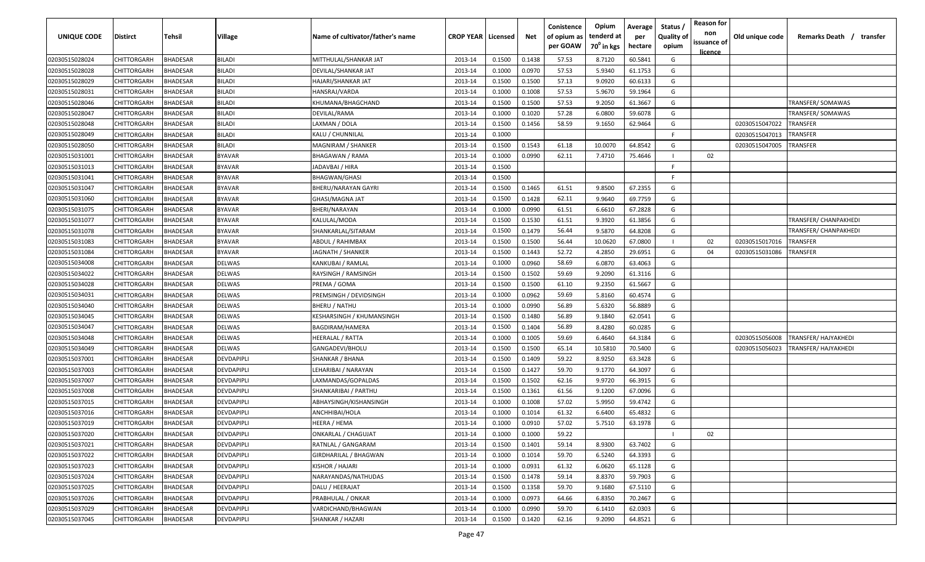| UNIQUE CODE    | <b>Distirct</b>    | Tehsil          | <b>Village</b>    | Name of cultivator/father's name | <b>CROP YEAR   Licensed</b> |        | Net    | Conistence<br>of opium as<br>per GOAW | Opium<br>tenderd at<br>70 <sup>0</sup> in kgs | Average<br>per<br>hectare | Status<br><b>Quality of</b><br>opium | <b>Reason for</b><br>non<br>issuance of<br><u>licence</u> | Old unique code | Remarks Death / transfer     |
|----------------|--------------------|-----------------|-------------------|----------------------------------|-----------------------------|--------|--------|---------------------------------------|-----------------------------------------------|---------------------------|--------------------------------------|-----------------------------------------------------------|-----------------|------------------------------|
| 02030515028024 | CHITTORGARH        | <b>BHADESAR</b> | <b>BILADI</b>     | MITTHULAL/SHANKAR JAT            | 2013-14                     | 0.1500 | 0.1438 | 57.53                                 | 8.7120                                        | 60.5841                   | G                                    |                                                           |                 |                              |
| 02030515028028 | CHITTORGARH        | <b>BHADESAR</b> | <b>BILADI</b>     | DEVILAL/SHANKAR JAT              | 2013-14                     | 0.1000 | 0.0970 | 57.53                                 | 5.9340                                        | 61.1753                   | G                                    |                                                           |                 |                              |
| 02030515028029 | CHITTORGARH        | BHADESAR        | <b>BILADI</b>     | HAJARI/SHANKAR JAT               | 2013-14                     | 0.1500 | 0.1500 | 57.13                                 | 9.0920                                        | 60.6133                   | G                                    |                                                           |                 |                              |
| 02030515028031 | CHITTORGARH        | BHADESAR        | <b>BILADI</b>     | HANSRAJ/VARDA                    | 2013-14                     | 0.1000 | 0.1008 | 57.53                                 | 5.9670                                        | 59.1964                   | G                                    |                                                           |                 |                              |
| 02030515028046 | CHITTORGARH        | BHADESAR        | <b>BILADI</b>     | KHUMANA/BHAGCHAND                | 2013-14                     | 0.1500 | 0.1500 | 57.53                                 | 9.2050                                        | 61.3667                   | G                                    |                                                           |                 | TRANSFER/SOMAWAS             |
| 02030515028047 | CHITTORGARH        | <b>BHADESAR</b> | <b>BILADI</b>     | DEVILAL/RAMA                     | 2013-14                     | 0.1000 | 0.1020 | 57.28                                 | 6.0800                                        | 59.6078                   | G                                    |                                                           |                 | TRANSFER/SOMAWAS             |
| 02030515028048 | CHITTORGARH        | <b>BHADESAR</b> | <b>BILADI</b>     | LAXMAN / DOLA                    | 2013-14                     | 0.1500 | 0.1456 | 58.59                                 | 9.1650                                        | 62.9464                   | G                                    |                                                           | 02030515047022  | TRANSFER                     |
| 02030515028049 | CHITTORGARH        | <b>BHADESAR</b> | <b>BILADI</b>     | KALU / CHUNNILAL                 | 2013-14                     | 0.1000 |        |                                       |                                               |                           | -F                                   |                                                           | 02030515047013  | <b>RANSFER</b>               |
| 02030515028050 | CHITTORGARH        | BHADESAR        | <b>BILADI</b>     | MAGNIRAM / SHANKER               | 2013-14                     | 0.1500 | 0.1543 | 61.18                                 | 10.0070                                       | 64.8542                   | G                                    |                                                           | 02030515047005  | <b>RANSFER</b>               |
| 02030515031001 | CHITTORGARH        | BHADESAR        | <b>BYAVAR</b>     | BHAGAWAN / RAMA                  | 2013-14                     | 0.1000 | 0.0990 | 62.11                                 | 7.4710                                        | 75.4646                   | $\blacksquare$                       | 02                                                        |                 |                              |
| 02030515031013 | CHITTORGARH        | 3HADESAR        | <b>BYAVAR</b>     | IADAVBAI / HIRA                  | 2013-14                     | 0.1500 |        |                                       |                                               |                           | -F.                                  |                                                           |                 |                              |
| 02030515031041 | <b>CHITTORGARH</b> | <b>HADESAR</b>  | <b>BYAVAR</b>     | BHAGWAN/GHASI                    | 2013-14                     | 0.1500 |        |                                       |                                               |                           | -F                                   |                                                           |                 |                              |
| 02030515031047 | <b>CHITTORGARH</b> | <b>BHADESAR</b> | <b>BYAVAR</b>     | BHERU/NARAYAN GAYRI              | 2013-14                     | 0.1500 | 0.1465 | 61.51                                 | 9.8500                                        | 67.2355                   | G                                    |                                                           |                 |                              |
| 02030515031060 | CHITTORGARH        | <b>BHADESAR</b> | <b>BYAVAR</b>     | GHASI/MAGNA JAT                  | 2013-14                     | 0.1500 | 0.1428 | 62.11                                 | 9.9640                                        | 69.7759                   | G                                    |                                                           |                 |                              |
| 02030515031075 | CHITTORGARH        | <b>BHADESAR</b> | <b>BYAVAR</b>     | BHERI/NARAYAN                    | 2013-14                     | 0.1000 | 0.0990 | 61.51                                 | 6.6610                                        | 67.2828                   | G                                    |                                                           |                 |                              |
| 02030515031077 | CHITTORGARH        | <b>BHADESAR</b> | <b>BYAVAR</b>     | KALULAL/MODA                     | 2013-14                     | 0.1500 | 0.1530 | 61.51                                 | 9.3920                                        | 61.3856                   | G                                    |                                                           |                 | <b>TRANSFER/ CHANPAKHEDI</b> |
| 02030515031078 | CHITTORGARH        | <b>BHADESAR</b> | <b>BYAVAR</b>     | SHANKARLAL/SITARAM               | 2013-14                     | 0.1500 | 0.1479 | 56.44                                 | 9.5870                                        | 64.8208                   | G                                    |                                                           |                 | TRANSFER/ CHANPAKHEDI        |
| 02030515031083 | CHITTORGARH        | BHADESAR        | <b>BYAVAR</b>     | ABDUL / RAHIMBAX                 | 2013-14                     | 0.1500 | 0.1500 | 56.44                                 | 10.0620                                       | 67.0800                   | $\blacksquare$                       | 02                                                        | 02030515017016  | <b>RANSFER</b>               |
| 02030515031084 | CHITTORGARH        | BHADESAR        | <b>BYAVAR</b>     | JAGNATH / SHANKER                | 2013-14                     | 0.1500 | 0.1443 | 52.72                                 | 4.2850                                        | 29.6951                   | G                                    | 04                                                        | 02030515031086  | <b>RANSFER</b>               |
| 02030515034008 | CHITTORGARH        | <b>BHADESAR</b> | <b>DELWAS</b>     | KANKUBAI / RAMLAL                | 2013-14                     | 0.1000 | 0.0960 | 58.69                                 | 6.0870                                        | 63.4063                   | G                                    |                                                           |                 |                              |
| 02030515034022 | CHITTORGARH        | <b>BHADESAR</b> | <b>DELWAS</b>     | RAYSINGH / RAMSINGH              | 2013-14                     | 0.1500 | 0.1502 | 59.69                                 | 9.2090                                        | 61.3116                   | G                                    |                                                           |                 |                              |
| 02030515034028 | CHITTORGARH        | BHADESAR        | <b>DELWAS</b>     | PREMA / GOMA                     | 2013-14                     | 0.1500 | 0.1500 | 61.10                                 | 9.2350                                        | 61.5667                   | G                                    |                                                           |                 |                              |
| 02030515034031 | CHITTORGARH        | BHADESAR        | <b>DELWAS</b>     | PREMSINGH / DEVIDSINGH           | 2013-14                     | 0.1000 | 0.0962 | 59.69                                 | 5.8160                                        | 60.4574                   | G                                    |                                                           |                 |                              |
| 02030515034040 | CHITTORGARH        | BHADESAR        | <b>DELWAS</b>     | BHERU / NATHU                    | 2013-14                     | 0.1000 | 0.0990 | 56.89                                 | 5.6320                                        | 56.8889                   | G                                    |                                                           |                 |                              |
| 02030515034045 | CHITTORGARH        | <b>BHADESAR</b> | <b>DELWAS</b>     | KESHARSINGH / KHUMANSINGH        | 2013-14                     | 0.1500 | 0.1480 | 56.89                                 | 9.1840                                        | 62.0541                   | G                                    |                                                           |                 |                              |
| 02030515034047 | CHITTORGARH        | BHADESAR        | <b>DELWAS</b>     | BAGDIRAM/HAMERA                  | 2013-14                     | 0.1500 | 0.1404 | 56.89                                 | 8.4280                                        | 60.0285                   | G                                    |                                                           |                 |                              |
| 02030515034048 | CHITTORGARH        | <b>BHADESAR</b> | DELWAS            | HEERALAL / RATTA                 | 2013-14                     | 0.1000 | 0.1005 | 59.69                                 | 6.4640                                        | 64.3184                   | G                                    |                                                           | 02030515056008  | <b>FRANSFER/ HAJYAKHEDI</b>  |
| 02030515034049 | CHITTORGARH        | <b>BHADESAR</b> | DELWAS            | GANGADEVI/BHOLU                  | 2013-14                     | 0.1500 | 0.1500 | 65.14                                 | 10.5810                                       | 70.5400                   | G                                    |                                                           | 02030515056023  | 'RANSFER/ HAJYAKHEDI         |
| 02030515037001 | <b>CHITTORGARH</b> | <b>HADESAR</b>  | DEVDAPIPLI        | SHANKAR / BHANA                  | 2013-14                     | 0.1500 | 0.1409 | 59.22                                 | 8.9250                                        | 63.3428                   | G                                    |                                                           |                 |                              |
| 02030515037003 | <b>CHITTORGARH</b> | <b>BHADESAR</b> | <b>DEVDAPIPLI</b> | LEHARIBAI / NARAYAN              | 2013-14                     | 0.1500 | 0.1427 | 59.70                                 | 9.1770                                        | 64.3097                   | G                                    |                                                           |                 |                              |
| 02030515037007 | CHITTORGARH        | <b>BHADESAR</b> | <b>DEVDAPIPLI</b> | LAXMANDAS/GOPALDAS               | 2013-14                     | 0.1500 | 0.1502 | 62.16                                 | 9.9720                                        | 66.3915                   | G                                    |                                                           |                 |                              |
| 02030515037008 | CHITTORGARH        | <b>BHADESAR</b> | <b>DEVDAPIPLI</b> | SHANKARIBAI / PARTHU             | 2013-14                     | 0.1500 | 0.1361 | 61.56                                 | 9.1200                                        | 67.0096                   | G                                    |                                                           |                 |                              |
| 02030515037015 | CHITTORGARH        | <b>BHADESAR</b> | <b>DEVDAPIPLI</b> | ABHAYSINGH/KISHANSINGH           | 2013-14                     | 0.1000 | 0.1008 | 57.02                                 | 5.9950                                        | 59.4742                   | G                                    |                                                           |                 |                              |
| 02030515037016 | CHITTORGARH        | <b>BHADESAR</b> | <b>DEVDAPIPLI</b> | ANCHHIBAI/HOLA                   | 2013-14                     | 0.1000 | 0.1014 | 61.32                                 | 6.6400                                        | 65.4832                   | G                                    |                                                           |                 |                              |
| 02030515037019 | CHITTORGARH        | <b>BHADESAR</b> | DEVDAPIPLI        | HEERA / HEMA                     | 2013-14                     | 0.1000 | 0.0910 | 57.02                                 | 5.7510                                        | 63.1978                   | G                                    |                                                           |                 |                              |
| 02030515037020 | CHITTORGARH        | <b>BHADESAR</b> | <b>DEVDAPIPLI</b> | <b>ONKARLAL / CHAGUJAT</b>       | 2013-14                     | 0.1000 | 0.1000 | 59.22                                 |                                               |                           |                                      | 02                                                        |                 |                              |
| 02030515037021 | CHITTORGARH        | BHADESAR        | DEVDAPIPLI        | RATNLAL / GANGARAM               | 2013-14                     | 0.1500 | 0.1401 | 59.14                                 | 8.9300                                        | 63.7402                   | G                                    |                                                           |                 |                              |
| 02030515037022 | CHITTORGARH        | BHADESAR        | DEVDAPIPLI        | GIRDHARILAL / BHAGWAN            | 2013-14                     | 0.1000 | 0.1014 | 59.70                                 | 6.5240                                        | 64.3393                   | G                                    |                                                           |                 |                              |
| 02030515037023 | CHITTORGARH        | BHADESAR        | DEVDAPIPLI        | KISHOR / HAJARI                  | 2013-14                     | 0.1000 | 0.0931 | 61.32                                 | 6.0620                                        | 65.1128                   | G                                    |                                                           |                 |                              |
| 02030515037024 | CHITTORGARH        | BHADESAR        | DEVDAPIPLI        | NARAYANDAS/NATHUDAS              | 2013-14                     | 0.1500 | 0.1478 | 59.14                                 | 8.8370                                        | 59.7903                   | G                                    |                                                           |                 |                              |
| 02030515037025 | CHITTORGARH        | BHADESAR        | DEVDAPIPLI        | DALU / HEERAJAT                  | 2013-14                     | 0.1500 | 0.1358 | 59.70                                 | 9.1680                                        | 67.5110                   | G                                    |                                                           |                 |                              |
| 02030515037026 | CHITTORGARH        | BHADESAR        | DEVDAPIPLI        | PRABHULAL / ONKAR                | 2013-14                     | 0.1000 | 0.0973 | 64.66                                 | 6.8350                                        | 70.2467                   | G                                    |                                                           |                 |                              |
| 02030515037029 | CHITTORGARH        | BHADESAR        | DEVDAPIPLI        | VARDICHAND/BHAGWAN               | 2013-14                     | 0.1000 | 0.0990 | 59.70                                 | 6.1410                                        | 62.0303                   | G                                    |                                                           |                 |                              |
| 02030515037045 | CHITTORGARH        | BHADESAR        | DEVDAPIPLI        | SHANKAR / HAZARI                 | 2013-14                     | 0.1500 | 0.1420 | 62.16                                 | 9.2090                                        | 64.8521                   | G                                    |                                                           |                 |                              |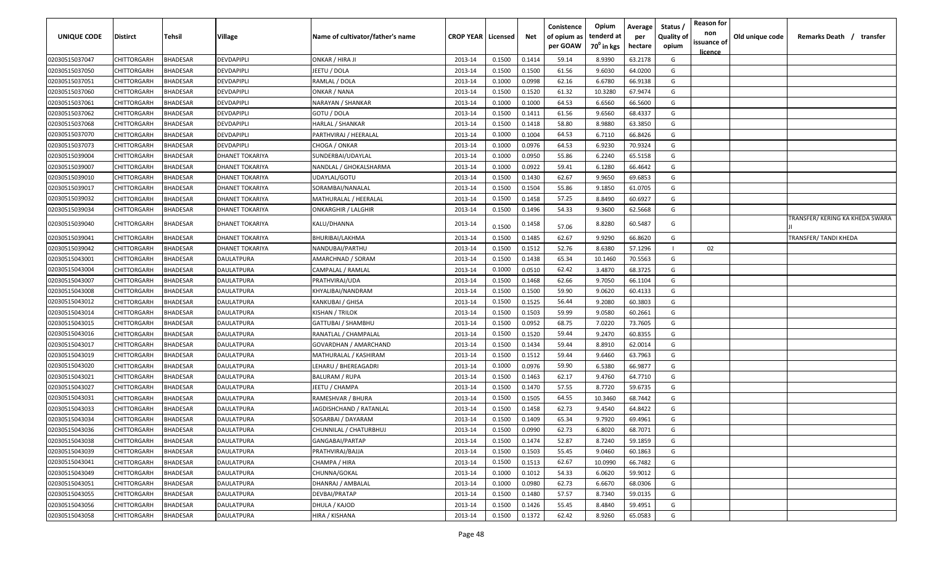| <b>UNIQUE CODE</b> | Distirct           | Tehsil          | Village                | Name of cultivator/father's name | <b>CROP YEAR Licensed</b> |        | Net    | Conistence<br>of opium as<br>per GOAW | Opium<br>tenderd at<br>70 <sup>°</sup> in kgs | Average<br>per<br>hectare | Status /<br><b>Quality of</b><br>opium | <b>Reason for</b><br>non<br>issuance of<br><u>licence</u> | Old unique code | Remarks Death / transfer        |
|--------------------|--------------------|-----------------|------------------------|----------------------------------|---------------------------|--------|--------|---------------------------------------|-----------------------------------------------|---------------------------|----------------------------------------|-----------------------------------------------------------|-----------------|---------------------------------|
| 02030515037047     | CHITTORGARH        | <b>BHADESAR</b> | DEVDAPIPLI             | ONKAR / HIRA JI                  | 2013-14                   | 0.1500 | 0.1414 | 59.14                                 | 8.9390                                        | 63.2178                   | G                                      |                                                           |                 |                                 |
| 02030515037050     | CHITTORGARH        | BHADESAR        | DEVDAPIPLI             | JEETU / DOLA                     | 2013-14                   | 0.1500 | 0.1500 | 61.56                                 | 9.6030                                        | 64.0200                   | G                                      |                                                           |                 |                                 |
| 02030515037051     | <b>CHITTORGARH</b> | BHADESAR        | DEVDAPIPLI             | RAMLAL / DOLA                    | 2013-14                   | 0.1000 | 0.0998 | 62.16                                 | 6.6780                                        | 66.9138                   | G                                      |                                                           |                 |                                 |
| 02030515037060     | CHITTORGARH        | <b>BHADESAR</b> | DEVDAPIPLI             | ONKAR / NANA                     | 2013-14                   | 0.1500 | 0.1520 | 61.32                                 | 10.3280                                       | 67.9474                   | G                                      |                                                           |                 |                                 |
| 02030515037061     | CHITTORGARH        | BHADESAR        | DEVDAPIPLI             | NARAYAN / SHANKAR                | 2013-14                   | 0.1000 | 0.1000 | 64.53                                 | 6.6560                                        | 66.5600                   | G                                      |                                                           |                 |                                 |
| 02030515037062     | CHITTORGARH        | <b>BHADESAR</b> | DEVDAPIPLI             | GOTU / DOLA                      | 2013-14                   | 0.1500 | 0.1411 | 61.56                                 | 9.6560                                        | 68.4337                   | G                                      |                                                           |                 |                                 |
| 02030515037068     | CHITTORGARH        | <b>BHADESAR</b> | DEVDAPIPLI             | HARLAL / SHANKAR                 | 2013-14                   | 0.1500 | 0.1418 | 58.80                                 | 8.9880                                        | 63.3850                   | G                                      |                                                           |                 |                                 |
| 02030515037070     | CHITTORGARH        | BHADESAR        | DEVDAPIPLI             | PARTHVIRAJ / HEERALAL            | 2013-14                   | 0.1000 | 0.1004 | 64.53                                 | 6.7110                                        | 66.8426                   | G                                      |                                                           |                 |                                 |
| 02030515037073     | CHITTORGARH        | BHADESAR        | DEVDAPIPLI             | CHOGA / ONKAR                    | 2013-14                   | 0.1000 | 0.0976 | 64.53                                 | 6.9230                                        | 70.9324                   | G                                      |                                                           |                 |                                 |
| 02030515039004     | CHITTORGARH        | BHADESAR        | DHANET TOKARIYA        | SUNDERBAI/UDAYLAL                | 2013-14                   | 0.1000 | 0.0950 | 55.86                                 | 6.2240                                        | 65.5158                   | G                                      |                                                           |                 |                                 |
| 02030515039007     | CHITTORGARH        | BHADESAR        | DHANET TOKARIYA        | NANDLAL / GHOKALSHARMA           | 2013-14                   | 0.1000 | 0.0922 | 59.41                                 | 6.1280                                        | 66.4642                   | G                                      |                                                           |                 |                                 |
| 02030515039010     | CHITTORGARH        | BHADESAR        | DHANET TOKARIYA        | UDAYLAL/GOTU                     | 2013-14                   | 0.1500 | 0.1430 | 62.67                                 | 9.9650                                        | 69.6853                   | G                                      |                                                           |                 |                                 |
| 02030515039017     | CHITTORGARH        | BHADESAR        | <b>DHANET TOKARIYA</b> | SORAMBAI/NANALAL                 | 2013-14                   | 0.1500 | 0.1504 | 55.86                                 | 9.1850                                        | 61.0705                   | G                                      |                                                           |                 |                                 |
| 02030515039032     | CHITTORGARH        | <b>BHADESAR</b> | DHANET TOKARIYA        | MATHURALAL / HEERALAL            | 2013-14                   | 0.1500 | 0.1458 | 57.25                                 | 8.8490                                        | 60.6927                   | G                                      |                                                           |                 |                                 |
| 02030515039034     | CHITTORGARH        | BHADESAR        | DHANET TOKARIYA        | <b>ONKARGHIR / LALGHIR</b>       | 2013-14                   | 0.1500 | 0.1496 | 54.33                                 | 9.3600                                        | 62.5668                   | G                                      |                                                           |                 |                                 |
| 02030515039040     | CHITTORGARH        | BHADESAR        | DHANET TOKARIYA        | KALU/DHANNA                      | 2013-14                   | 0.1500 | 0.1458 | 57.06                                 | 8.8280                                        | 60.5487                   | G                                      |                                                           |                 | TRANSFER/ KERING KA KHEDA SWARA |
| 02030515039041     | CHITTORGARH        | BHADESAR        | DHANET TOKARIYA        | BHURIBAI/LAKHMA                  | 2013-14                   | 0.1500 | 0.1485 | 62.67                                 | 9.9290                                        | 66.8620                   | G                                      |                                                           |                 | TRANSFER/ TANDI KHEDA           |
| 02030515039042     | CHITTORGARH        | BHADESAR        | DHANET TOKARIYA        | NANDUBAI/PARTHU                  | 2013-14                   | 0.1500 | 0.1512 | 52.76                                 | 8.6380                                        | 57.1296                   |                                        | 02                                                        |                 |                                 |
| 02030515043001     | CHITTORGARH        | BHADESAR        | DAULATPURA             | AMARCHNAD / SORAM                | 2013-14                   | 0.1500 | 0.1438 | 65.34                                 | 10.1460                                       | 70.5563                   | G                                      |                                                           |                 |                                 |
| 02030515043004     | CHITTORGARH        | <b>BHADESAR</b> | DAULATPURA             | CAMPALAL / RAMLAL                | 2013-14                   | 0.1000 | 0.0510 | 62.42                                 | 3.4870                                        | 68.3725                   | G                                      |                                                           |                 |                                 |
| 02030515043007     | CHITTORGARH        | BHADESAR        | DAULATPURA             | PRATHVIRAJ/UDA                   | 2013-14                   | 0.1500 | 0.1468 | 62.66                                 | 9.7050                                        | 66.1104                   | G                                      |                                                           |                 |                                 |
| 02030515043008     | CHITTORGARH        | BHADESAR        | DAULATPURA             | KHYALIBAI/NANDRAM                | 2013-14                   | 0.1500 | 0.1500 | 59.90                                 | 9.0620                                        | 60.4133                   | G                                      |                                                           |                 |                                 |
| 02030515043012     | CHITTORGARH        | BHADESAR        | DAULATPURA             | KANKUBAI / GHISA                 | 2013-14                   | 0.1500 | 0.1525 | 56.44                                 | 9.2080                                        | 60.3803                   | G                                      |                                                           |                 |                                 |
| 02030515043014     | CHITTORGARH        | BHADESAR        | DAULATPURA             | KISHAN / TRILOK                  | 2013-14                   | 0.1500 | 0.1503 | 59.99                                 | 9.0580                                        | 60.2661                   | G                                      |                                                           |                 |                                 |
| 02030515043015     | CHITTORGARH        | BHADESAR        | DAULATPURA             | <b>GATTUBAI / SHAMBHU</b>        | 2013-14                   | 0.1500 | 0.0952 | 68.75                                 | 7.0220                                        | 73.7605                   | G                                      |                                                           |                 |                                 |
| 02030515043016     | CHITTORGARH        | BHADESAR        | DAULATPURA             | RANATLAL / CHAMPALAL             | 2013-14                   | 0.1500 | 0.1520 | 59.44                                 | 9.2470                                        | 60.8355                   | G                                      |                                                           |                 |                                 |
| 02030515043017     | CHITTORGARH        | BHADESAR        | DAULATPURA             | GOVARDHAN / AMARCHAND            | 2013-14                   | 0.1500 | 0.1434 | 59.44                                 | 8.8910                                        | 62.0014                   | G                                      |                                                           |                 |                                 |
| 02030515043019     | CHITTORGARH        | BHADESAR        | DAULATPURA             | MATHURALAL / KASHIRAM            | 2013-14                   | 0.1500 | 0.1512 | 59.44                                 | 9.6460                                        | 63.7963                   | G                                      |                                                           |                 |                                 |
| 02030515043020     | CHITTORGARH        | BHADESAR        | DAULATPURA             | LEHARU / BHEREAGADRI             | 2013-14                   | 0.1000 | 0.0976 | 59.90                                 | 6.5380                                        | 66.9877                   | G                                      |                                                           |                 |                                 |
| 02030515043021     | CHITTORGARH        | BHADESAR        | DAULATPURA             | <b>BALURAM / RUPA</b>            | 2013-14                   | 0.1500 | 0.1463 | 62.17                                 | 9.4760                                        | 64.7710                   | G                                      |                                                           |                 |                                 |
| 02030515043027     | CHITTORGARH        | BHADESAR        | DAULATPURA             | JEETU / CHAMPA                   | 2013-14                   | 0.1500 | 0.1470 | 57.55                                 | 8.7720                                        | 59.6735                   | G                                      |                                                           |                 |                                 |
| 02030515043031     | CHITTORGARH        | BHADESAR        | DAULATPURA             | RAMESHVAR / BHURA                | 2013-14                   | 0.1500 | 0.1505 | 64.55                                 | 10.3460                                       | 68.7442                   | G                                      |                                                           |                 |                                 |
| 02030515043033     | CHITTORGARH        | BHADESAR        | DAULATPURA             | JAGDISHCHAND / RATANLAL          | 2013-14                   | 0.1500 | 0.1458 | 62.73                                 | 9.4540                                        | 64.8422                   | G                                      |                                                           |                 |                                 |
| 02030515043034     | CHITTORGARH        | <b>BHADESAR</b> | DAULATPURA             | SOSARBAI / DAYARAM               | 2013-14                   | 0.1500 | 0.1409 | 65.34                                 | 9.7920                                        | 69.4961                   | G                                      |                                                           |                 |                                 |
| 02030515043036     | <b>CHITTORGARH</b> | <b>BHADESAR</b> | <b>DAULATPURA</b>      | CHUNNILAL / CHATURBHUJ           | 2013-14                   | 0.1500 | 0.0990 | 62.73                                 | 6.8020                                        | 68.7071                   | G                                      |                                                           |                 |                                 |
| 02030515043038     | CHITTORGARH        | <b>BHADESAR</b> | DAULATPURA             | GANGABAI/PARTAP                  | 2013-14                   | 0.1500 | 0.1474 | 52.87                                 | 8.7240                                        | 59.1859                   | G                                      |                                                           |                 |                                 |
| 02030515043039     | <b>CHITTORGARH</b> | <b>BHADESAR</b> | DAULATPURA             | PRATHVIRAJ/BAJJA                 | 2013-14                   | 0.1500 | 0.1503 | 55.45                                 | 9.0460                                        | 60.1863                   | G                                      |                                                           |                 |                                 |
| 02030515043041     | CHITTORGARH        | <b>BHADESAR</b> | DAULATPURA             | CHAMPA / HIRA                    | 2013-14                   | 0.1500 | 0.1513 | 62.67                                 | 10.0990                                       | 66.7482                   | G                                      |                                                           |                 |                                 |
| 02030515043049     | <b>CHITTORGARH</b> | <b>BHADESAR</b> | DAULATPURA             | CHUNNA/GOKAL                     | 2013-14                   | 0.1000 | 0.1012 | 54.33                                 | 6.0620                                        | 59.9012                   | G                                      |                                                           |                 |                                 |
| 02030515043051     | CHITTORGARH        | <b>BHADESAR</b> | <b>DAULATPURA</b>      | DHANRAJ / AMBALAL                | 2013-14                   | 0.1000 | 0.0980 | 62.73                                 | 6.6670                                        | 68.0306                   | G                                      |                                                           |                 |                                 |
| 02030515043055     | <b>CHITTORGARH</b> | <b>BHADESAR</b> | <b>DAULATPURA</b>      | DEVBAI/PRATAP                    | 2013-14                   | 0.1500 | 0.1480 | 57.57                                 | 8.7340                                        | 59.0135                   | G                                      |                                                           |                 |                                 |
| 02030515043056     | CHITTORGARH        | <b>BHADESAR</b> | DAULATPURA             | DHULA / KAJOD                    | 2013-14                   | 0.1500 | 0.1426 | 55.45                                 | 8.4840                                        | 59.4951                   | G                                      |                                                           |                 |                                 |
| 02030515043058     | CHITTORGARH        | <b>BHADESAR</b> | DAULATPURA             | HIRA / KISHANA                   | 2013-14                   | 0.1500 | 0.1372 | 62.42                                 | 8.9260                                        | 65.0583                   | G                                      |                                                           |                 |                                 |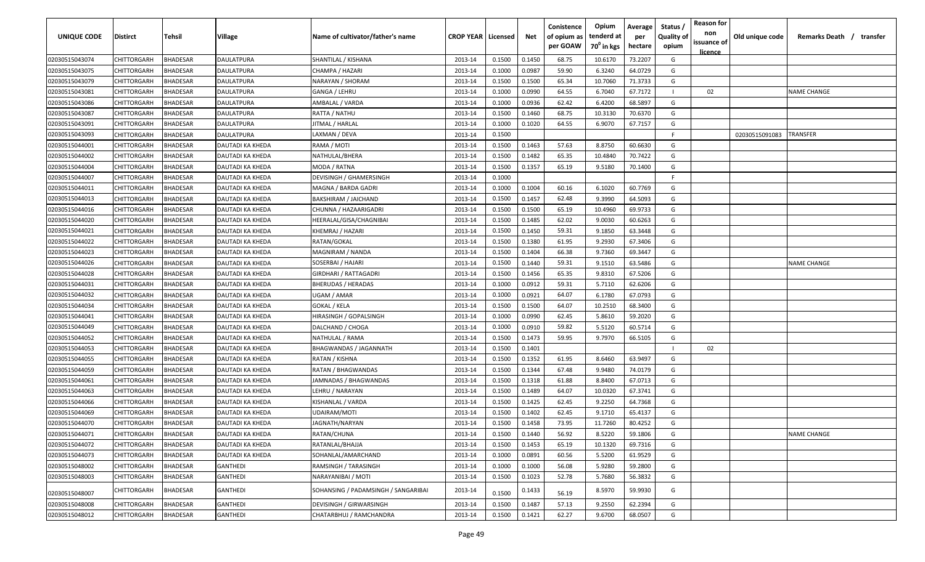| <b>UNIQUE CODE</b> | <b>Distirct</b>    | <b>Tehsil</b>   | Village           | Name of cultivator/father's name    | <b>CROP YEAR   Licensed</b> |        | Net    | Conistence<br>of opium as<br>per GOAW | Opium<br>tenderd at<br>70 <sup>0</sup> in kgs | Average<br>per<br>hectare | Status /<br><b>Quality of</b><br>opium | <b>Reason for</b><br>non<br>issuance of<br><u>licence</u> | Old unique code | Remarks Death / transfer |
|--------------------|--------------------|-----------------|-------------------|-------------------------------------|-----------------------------|--------|--------|---------------------------------------|-----------------------------------------------|---------------------------|----------------------------------------|-----------------------------------------------------------|-----------------|--------------------------|
| 02030515043074     | CHITTORGARH        | <b>BHADESAR</b> | DAULATPURA        | SHANTILAL / KISHANA                 | 2013-14                     | 0.1500 | 0.1450 | 68.75                                 | 10.6170                                       | 73.2207                   | G                                      |                                                           |                 |                          |
| 02030515043075     | CHITTORGARH        | BHADESAR        | DAULATPURA        | CHAMPA / HAZARI                     | 2013-14                     | 0.1000 | 0.0987 | 59.90                                 | 6.3240                                        | 64.0729                   | G                                      |                                                           |                 |                          |
| 02030515043079     | CHITTORGARH        | BHADESAR        | DAULATPURA        | NARAYAN / SHORAM                    | 2013-14                     | 0.1500 | 0.1500 | 65.34                                 | 10.7060                                       | 71.3733                   | G                                      |                                                           |                 |                          |
| 02030515043081     | CHITTORGARH        | BHADESAR        | DAULATPURA        | GANGA / LEHRU                       | 2013-14                     | 0.1000 | 0.0990 | 64.55                                 | 6.7040                                        | 67.7172                   |                                        | 02                                                        |                 | <b>NAME CHANGE</b>       |
| 02030515043086     | CHITTORGARH        | BHADESAR        | DAULATPURA        | AMBALAL / VARDA                     | 2013-14                     | 0.1000 | 0.0936 | 62.42                                 | 6.4200                                        | 68.5897                   | G                                      |                                                           |                 |                          |
| 02030515043087     | CHITTORGARH        | BHADESAR        | DAULATPURA        | RATTA / NATHU                       | 2013-14                     | 0.1500 | 0.1460 | 68.75                                 | 10.3130                                       | 70.6370                   | G                                      |                                                           |                 |                          |
| 02030515043091     | CHITTORGARH        | BHADESAR        | <b>DAULATPURA</b> | JITMAL / HARLAL                     | 2013-14                     | 0.1000 | 0.1020 | 64.55                                 | 6.9070                                        | 67.7157                   | G                                      |                                                           |                 |                          |
| 02030515043093     | CHITTORGARH        | BHADESAR        | DAULATPURA        | LAXMAN / DEVA                       | 2013-14                     | 0.1500 |        |                                       |                                               |                           | -F.                                    |                                                           | 02030515091083  | TRANSFER                 |
| 02030515044001     | CHITTORGARH        | BHADESAR        | DAUTADI KA KHEDA  | RAMA / MOTI                         | 2013-14                     | 0.1500 | 0.1463 | 57.63                                 | 8.8750                                        | 60.6630                   | G                                      |                                                           |                 |                          |
| 02030515044002     | CHITTORGARH        | BHADESAR        | DAUTADI KA KHEDA  | NATHULAL/BHERA                      | 2013-14                     | 0.1500 | 0.1482 | 65.35                                 | 10.4840                                       | 70.7422                   | G                                      |                                                           |                 |                          |
| 02030515044004     | CHITTORGARH        | BHADESAR        | DAUTADI KA KHEDA  | MODA / RATNA                        | 2013-14                     | 0.1500 | 0.1357 | 65.19                                 | 9.5180                                        | 70.1400                   | G                                      |                                                           |                 |                          |
| 02030515044007     | CHITTORGARH        | BHADESAR        | DAUTADI KA KHEDA  | DEVISINGH / GHAMERSINGH             | 2013-14                     | 0.1000 |        |                                       |                                               |                           | -F.                                    |                                                           |                 |                          |
| 02030515044011     | CHITTORGARH        | BHADESAR        | DAUTADI KA KHEDA  | MAGNA / BARDA GADRI                 | 2013-14                     | 0.1000 | 0.1004 | 60.16                                 | 6.1020                                        | 60.7769                   | G                                      |                                                           |                 |                          |
| 02030515044013     | CHITTORGARH        | BHADESAR        | DAUTADI KA KHEDA  | BAKSHIRAM / JAICHAND                | 2013-14                     | 0.1500 | 0.1457 | 62.48                                 | 9.3990                                        | 64.5093                   | G                                      |                                                           |                 |                          |
| 02030515044016     | CHITTORGARH        | BHADESAR        | DAUTADI KA KHEDA  | CHUNNA / HAZAARIGADRI               | 2013-14                     | 0.1500 | 0.1500 | 65.19                                 | 10.4960                                       | 69.9733                   | G                                      |                                                           |                 |                          |
| 02030515044020     | CHITTORGARH        | BHADESAR        | DAUTADI KA KHEDA  | HEERALAL/GISA/CHAGNIBAI             | 2013-14                     | 0.1500 | 0.1485 | 62.02                                 | 9.0030                                        | 60.6263                   | G                                      |                                                           |                 |                          |
| 02030515044021     | CHITTORGARH        | <b>BHADESAR</b> | DAUTADI KA KHEDA  | KHEMRAJ / HAZARI                    | 2013-14                     | 0.1500 | 0.1450 | 59.31                                 | 9.1850                                        | 63.3448                   | G                                      |                                                           |                 |                          |
| 02030515044022     | CHITTORGARH        | BHADESAR        | DAUTADI KA KHEDA  | RATAN/GOKAL                         | 2013-14                     | 0.1500 | 0.1380 | 61.95                                 | 9.2930                                        | 67.3406                   | G                                      |                                                           |                 |                          |
| 02030515044023     | CHITTORGARH        | BHADESAR        | DAUTADI KA KHEDA  | MAGNIRAM / NANDA                    | 2013-14                     | 0.1500 | 0.1404 | 66.38                                 | 9.7360                                        | 69.3447                   | G                                      |                                                           |                 |                          |
| 02030515044026     | CHITTORGARH        | BHADESAR        | DAUTADI KA KHEDA  | SOSERBAI / HAJARI                   | 2013-14                     | 0.1500 | 0.1440 | 59.31                                 | 9.1510                                        | 63.5486                   | G                                      |                                                           |                 | NAME CHANGE              |
| 02030515044028     | CHITTORGARH        | BHADESAR        | DAUTADI KA KHEDA  | <b>GIRDHARI / RATTAGADRI</b>        | 2013-14                     | 0.1500 | 0.1456 | 65.35                                 | 9.8310                                        | 67.5206                   | G                                      |                                                           |                 |                          |
| 02030515044031     | CHITTORGARH        | BHADESAR        | DAUTADI KA KHEDA  | <b>BHERUDAS / HERADAS</b>           | 2013-14                     | 0.1000 | 0.0912 | 59.31                                 | 5.7110                                        | 62.6206                   | G                                      |                                                           |                 |                          |
| 02030515044032     | CHITTORGARH        | BHADESAR        | DAUTADI KA KHEDA  | UGAM / AMAR                         | 2013-14                     | 0.1000 | 0.0921 | 64.07                                 | 6.1780                                        | 67.0793                   | G                                      |                                                           |                 |                          |
| 02030515044034     | CHITTORGARH        | BHADESAR        | DAUTADI KA KHEDA  | GOKAL / KELA                        | 2013-14                     | 0.1500 | 0.1500 | 64.07                                 | 10.2510                                       | 68.3400                   | G                                      |                                                           |                 |                          |
| 02030515044041     | CHITTORGARH        | BHADESAR        | DAUTADI KA KHEDA  | HIRASINGH / GOPALSINGH              | 2013-14                     | 0.1000 | 0.0990 | 62.45                                 | 5.8610                                        | 59.2020                   | G                                      |                                                           |                 |                          |
| 02030515044049     | CHITTORGARH        | BHADESAR        | DAUTADI KA KHEDA  | DALCHAND / CHOGA                    | 2013-14                     | 0.1000 | 0.0910 | 59.82                                 | 5.5120                                        | 60.5714                   | G                                      |                                                           |                 |                          |
| 02030515044052     | CHITTORGARH        | BHADESAR        | DAUTADI KA KHEDA  | NATHULAL / RAMA                     | 2013-14                     | 0.1500 | 0.1473 | 59.95                                 | 9.7970                                        | 66.5105                   | G                                      |                                                           |                 |                          |
| 02030515044053     | CHITTORGARH        | BHADESAR        | DAUTADI KA KHEDA  | BHAGWANDAS / JAGANNATH              | 2013-14                     | 0.1500 | 0.1401 |                                       |                                               |                           |                                        | 02                                                        |                 |                          |
| 02030515044055     | CHITTORGARH        | BHADESAR        | DAUTADI KA KHEDA  | RATAN / KISHNA                      | 2013-14                     | 0.1500 | 0.1352 | 61.95                                 | 8.6460                                        | 63.9497                   | G                                      |                                                           |                 |                          |
| 02030515044059     | CHITTORGARH        | BHADESAR        | DAUTADI KA KHEDA  | RATAN / BHAGWANDAS                  | 2013-14                     | 0.1500 | 0.1344 | 67.48                                 | 9.9480                                        | 74.0179                   | G                                      |                                                           |                 |                          |
| 02030515044061     | CHITTORGARH        | BHADESAR        | DAUTADI KA KHEDA  | JAMNADAS / BHAGWANDAS               | 2013-14                     | 0.1500 | 0.1318 | 61.88                                 | 8.8400                                        | 67.0713                   | G                                      |                                                           |                 |                          |
| 02030515044063     | CHITTORGARH        | <b>BHADESAR</b> | DAUTADI KA KHEDA  | LEHRU / NARAYAN                     | 2013-14                     | 0.1500 | 0.1489 | 64.07                                 | 10.0320                                       | 67.3741                   | G                                      |                                                           |                 |                          |
| 02030515044066     | CHITTORGARH        | BHADESAR        | DAUTADI KA KHEDA  | KISHANLAL / VARDA                   | 2013-14                     | 0.1500 | 0.1425 | 62.45                                 | 9.2250                                        | 64.7368                   | G                                      |                                                           |                 |                          |
| 02030515044069     | CHITTORGARH        | BHADESAR        | DAUTADI KA KHEDA  | UDAIRAM/MOTI                        | 2013-14                     | 0.1500 | 0.1402 | 62.45                                 | 9.1710                                        | 65.4137                   | G                                      |                                                           |                 |                          |
| 02030515044070     | <b>CHITTORGARH</b> | BHADESAR        | DAUTADI KA KHEDA  | JAGNATH/NARYAN                      | 2013-14                     | 0.1500 | 0.1458 | 73.95                                 | 11.7260                                       | 80.4252                   | G                                      |                                                           |                 |                          |
| 02030515044071     | CHITTORGARH        | <b>BHADESAR</b> | DAUTADI KA KHEDA  | RATAN/CHUNA                         | 2013-14                     | 0.1500 | 0.1440 | 56.92                                 | 8.5220                                        | 59.1806                   | G                                      |                                                           |                 | <b>NAME CHANGE</b>       |
| 02030515044072     | <b>CHITTORGARH</b> | <b>BHADESAR</b> | DAUTADI KA KHEDA  | RATANLAL/BHAJJA                     | 2013-14                     | 0.1500 | 0.1453 | 65.19                                 | 10.1320                                       | 69.7316                   | G                                      |                                                           |                 |                          |
| 02030515044073     | CHITTORGARH        | <b>BHADESAR</b> | DAUTADI KA KHEDA  | SOHANLAL/AMARCHAND                  | 2013-14                     | 0.1000 | 0.0891 | 60.56                                 | 5.5200                                        | 61.9529                   | G                                      |                                                           |                 |                          |
| 02030515048002     | CHITTORGARH        | <b>BHADESAR</b> | <b>GANTHEDI</b>   | RAMSINGH / TARASINGH                | 2013-14                     | 0.1000 | 0.1000 | 56.08                                 | 5.9280                                        | 59.2800                   | G                                      |                                                           |                 |                          |
| 02030515048003     | CHITTORGARH        | <b>BHADESAR</b> | GANTHEDI          | NARAYANIBAI / MOTI                  | 2013-14                     | 0.1500 | 0.1023 | 52.78                                 | 5.7680                                        | 56.3832                   | G                                      |                                                           |                 |                          |
|                    |                    |                 |                   |                                     |                             |        |        |                                       |                                               |                           |                                        |                                                           |                 |                          |
| 02030515048007     | CHITTORGARH        | BHADESAR        | GANTHEDI          | SOHANSING / PADAMSINGH / SANGARIBAI | 2013-14                     | 0.1500 | 0.1433 | 56.19                                 | 8.5970                                        | 59.9930                   | G                                      |                                                           |                 |                          |
| 02030515048008     | CHITTORGARH        | <b>BHADESAR</b> | <b>GANTHEDI</b>   | <b>DEVISINGH / GIRWARSINGH</b>      | 2013-14                     | 0.1500 | 0.1487 | 57.13                                 | 9.2550                                        | 62.2394                   | G                                      |                                                           |                 |                          |
| 02030515048012     | CHITTORGARH        | <b>BHADESAR</b> | GANTHEDI          | CHATARBHUJ / RAMCHANDRA             | 2013-14                     | 0.1500 | 0.1421 | 62.27                                 | 9.6700                                        | 68.0507                   | G                                      |                                                           |                 |                          |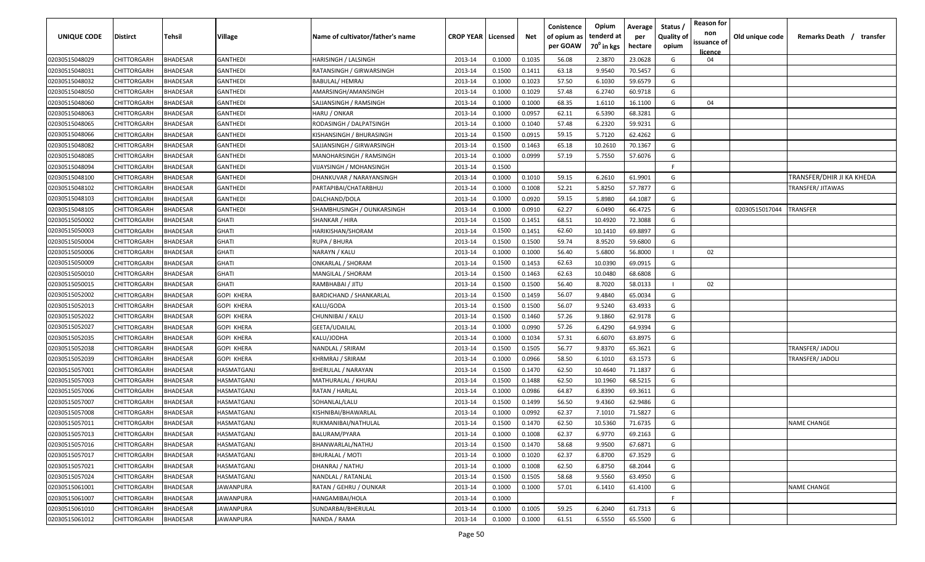| <b>UNIQUE CODE</b> | Distirct           | Tehsil          | Village         | Name of cultivator/father's name | <b>CROP YEAR   Licensed</b> |        | Net    | Conistence<br>of opium as | Opium<br>tenderd at    | Average<br>per | Status /<br><b>Quality of</b> | <b>Reason for</b><br>non | Old unique code | Remarks Death / transfer  |
|--------------------|--------------------|-----------------|-----------------|----------------------------------|-----------------------------|--------|--------|---------------------------|------------------------|----------------|-------------------------------|--------------------------|-----------------|---------------------------|
|                    |                    |                 |                 |                                  |                             |        |        | per GOAW                  | 70 <sup>0</sup> in kgs | hectare        | opium                         | issuance of<br>licence   |                 |                           |
| 02030515048029     | CHITTORGARH        | <b>BHADESAR</b> | <b>GANTHEDI</b> | HARISINGH / LALSINGH             | 2013-14                     | 0.1000 | 0.1035 | 56.08                     | 2.3870                 | 23.0628        | G                             | 04                       |                 |                           |
| 02030515048031     | CHITTORGARH        | BHADESAR        | <b>GANTHEDI</b> | RATANSINGH / GIRWARSINGH         | 2013-14                     | 0.1500 | 0.1411 | 63.18                     | 9.9540                 | 70.5457        | G                             |                          |                 |                           |
| 02030515048032     | CHITTORGARH        | BHADESAR        | <b>GANTHEDI</b> | BABULAL/ HEMRAJ                  | 2013-14                     | 0.1000 | 0.1023 | 57.50                     | 6.1030                 | 59.6579        | G                             |                          |                 |                           |
| 02030515048050     | CHITTORGARH        | BHADESAR        | GANTHEDI        | AMARSINGH/AMANSINGH              | 2013-14                     | 0.1000 | 0.1029 | 57.48                     | 6.2740                 | 60.9718        | G                             |                          |                 |                           |
| 02030515048060     | CHITTORGARH        | BHADESAR        | <b>GANTHEDI</b> | SAJJANSINGH / RAMSINGH           | 2013-14                     | 0.1000 | 0.1000 | 68.35                     | 1.6110                 | 16.1100        | G                             | 04                       |                 |                           |
| 02030515048063     | CHITTORGARH        | <b>BHADESAR</b> | GANTHEDI        | HARU / ONKAR                     | 2013-14                     | 0.1000 | 0.0957 | 62.11                     | 6.5390                 | 68.3281        | G                             |                          |                 |                           |
| 02030515048065     | CHITTORGARH        | <b>BHADESAR</b> | GANTHEDI        | RODASINGH / DALPATSINGH          | 2013-14                     | 0.1000 | 0.1040 | 57.48                     | 6.2320                 | 59.9231        | G                             |                          |                 |                           |
| 02030515048066     | CHITTORGARH        | BHADESAR        | GANTHEDI        | KISHANSINGH / BHURASINGH         | 2013-14                     | 0.1500 | 0.0915 | 59.15                     | 5.7120                 | 62.4262        | G                             |                          |                 |                           |
| 02030515048082     | CHITTORGARH        | BHADESAR        | <b>GANTHEDI</b> | SAJJANSINGH / GIRWARSINGH        | 2013-14                     | 0.1500 | 0.1463 | 65.18                     | 10.2610                | 70.1367        | G                             |                          |                 |                           |
| 02030515048085     | CHITTORGARH        | BHADESAR        | <b>GANTHEDI</b> | MANOHARSINGH / RAMSINGH          | 2013-14                     | 0.1000 | 0.0999 | 57.19                     | 5.7550                 | 57.6076        | G                             |                          |                 |                           |
| 02030515048094     | CHITTORGARH        | BHADESAR        | GANTHEDI        | VIJAYSINGH / MOHANSINGH          | 2013-14                     | 0.1500 |        |                           |                        |                | F.                            |                          |                 |                           |
| 02030515048100     | CHITTORGARH        | BHADESAR        | GANTHEDI        | DHANKUVAR / NARAYANSINGH         | 2013-14                     | 0.1000 | 0.1010 | 59.15                     | 6.2610                 | 61.9901        | G                             |                          |                 | TRANSFER/DHIR JI KA KHEDA |
| 02030515048102     | CHITTORGARH        | BHADESAR        | GANTHEDI        | PARTAPIBAI/CHATARBHUJ            | 2013-14                     | 0.1000 | 0.1008 | 52.21                     | 5.8250                 | 57.7877        | G                             |                          |                 | TRANSFER/ JITAWAS         |
| 02030515048103     | CHITTORGARH        | <b>BHADESAR</b> | GANTHEDI        | DALCHAND/DOLA                    | 2013-14                     | 0.1000 | 0.0920 | 59.15                     | 5.8980                 | 64.1087        | G                             |                          |                 |                           |
| 02030515048105     | CHITTORGARH        | <b>BHADESAR</b> | <b>GANTHEDI</b> | SHAMBHUSINGH / OUNKARSINGH       | 2013-14                     | 0.1000 | 0.0910 | 62.27                     | 6.0490                 | 66.4725        | G                             |                          | 02030515017044  | TRANSFER                  |
| 02030515050002     | CHITTORGARH        | <b>BHADESAR</b> | <b>GHATI</b>    | SHANKAR / HIRA                   | 2013-14                     | 0.1500 | 0.1451 | 68.51                     | 10.4920                | 72.3088        | G                             |                          |                 |                           |
| 02030515050003     | CHITTORGARH        | BHADESAR        | <b>GHATI</b>    | HARIKISHAN/SHORAM                | 2013-14                     | 0.1500 | 0.1451 | 62.60                     | 10.1410                | 69.8897        | G                             |                          |                 |                           |
| 02030515050004     | CHITTORGARH        | BHADESAR        | <b>GHATI</b>    | RUPA / BHURA                     | 2013-14                     | 0.1500 | 0.1500 | 59.74                     | 8.9520                 | 59.6800        | G                             |                          |                 |                           |
| 02030515050006     | CHITTORGARH        | <b>BHADESAR</b> | <b>GHATI</b>    | NARAYN / KALU                    | 2013-14                     | 0.1000 | 0.1000 | 56.40                     | 5.6800                 | 56.8000        |                               | 02                       |                 |                           |
| 02030515050009     | CHITTORGARH        | <b>BHADESAR</b> | <b>GHATI</b>    | ONKARLAL / SHORAM                | 2013-14                     | 0.1500 | 0.1453 | 62.63                     | 10.0390                | 69.0915        | G                             |                          |                 |                           |
| 02030515050010     | CHITTORGARH        | <b>BHADESAR</b> | <b>GHATI</b>    | MANGILAL / SHORAM                | 2013-14                     | 0.1500 | 0.1463 | 62.63                     | 10.0480                | 68.6808        | G                             |                          |                 |                           |
| 02030515050015     | CHITTORGARH        | <b>BHADESAR</b> | <b>GHATI</b>    | RAMBHABAI / JITU                 | 2013-14                     | 0.1500 | 0.1500 | 56.40                     | 8.7020                 | 58.0133        |                               | 02                       |                 |                           |
| 02030515052002     | CHITTORGARH        | <b>BHADESAR</b> | GOPI KHERA      | BARDICHAND / SHANKARLAL          | 2013-14                     | 0.1500 | 0.1459 | 56.07                     | 9.4840                 | 65.0034        | G                             |                          |                 |                           |
| 02030515052013     | CHITTORGARH        | <b>BHADESAR</b> | GOPI KHERA      | KALU/GODA                        | 2013-14                     | 0.1500 | 0.1500 | 56.07                     | 9.5240                 | 63.4933        | G                             |                          |                 |                           |
| 02030515052022     | CHITTORGARH        | BHADESAR        | GOPI KHERA      | CHUNNIBAI / KALU                 | 2013-14                     | 0.1500 | 0.1460 | 57.26                     | 9.1860                 | 62.9178        | G                             |                          |                 |                           |
| 02030515052027     | CHITTORGARH        | BHADESAR        | GOPI KHERA      | GEETA/UDAILAL                    | 2013-14                     | 0.1000 | 0.0990 | 57.26                     | 6.4290                 | 64.9394        | G                             |                          |                 |                           |
| 02030515052035     | CHITTORGARH        | BHADESAR        | GOPI KHERA      | KALU/JODHA                       | 2013-14                     | 0.1000 | 0.1034 | 57.31                     | 6.6070                 | 63.8975        | G                             |                          |                 |                           |
| 02030515052038     | CHITTORGARH        | <b>BHADESAR</b> | GOPI KHERA      | NANDLAL / SRIRAM                 | 2013-14                     | 0.1500 | 0.1505 | 56.77                     | 9.8370                 | 65.3621        | G                             |                          |                 | TRANSFER/ JADOLI          |
| 02030515052039     | CHITTORGARH        | BHADESAR        | GOPI KHERA      | KHRMRAJ / SRIRAM                 | 2013-14                     | 0.1000 | 0.0966 | 58.50                     | 6.1010                 | 63.1573        | G                             |                          |                 | TRANSFER/ JADOLI          |
| 02030515057001     | CHITTORGARH        | BHADESAR        | HASMATGANJ      | BHERULAL / NARAYAN               | 2013-14                     | 0.1500 | 0.1470 | 62.50                     | 10.4640                | 71.1837        | G                             |                          |                 |                           |
| 02030515057003     | CHITTORGARH        | BHADESAR        | HASMATGANJ      | MATHURALAL / KHURAJ              | 2013-14                     | 0.1500 | 0.1488 | 62.50                     | 10.1960                | 68.5215        | G                             |                          |                 |                           |
| 02030515057006     | CHITTORGARH        | BHADESAR        | IASMATGANJ      | RATAN / HARLAL                   | 2013-14                     | 0.1000 | 0.0986 | 64.87                     | 6.8390                 | 69.3611        | G                             |                          |                 |                           |
| 02030515057007     | CHITTORGARH        | BHADESAR        | HASMATGANJ      | SOHANLAL/LALU                    | 2013-14                     | 0.1500 | 0.1499 | 56.50                     | 9.4360                 | 62.9486        | G                             |                          |                 |                           |
| 02030515057008     | CHITTORGARH        | BHADESAR        | HASMATGANJ      | KISHNIBAI/BHAWARLAL              | 2013-14                     | 0.1000 | 0.0992 | 62.37                     | 7.1010                 | 71.5827        | G                             |                          |                 |                           |
| 02030515057011     | <b>CHITTORGARH</b> | BHADESAR        | HASMATGANJ      | RUKMANIBAI/NATHULAL              | 2013-14                     | 0.1500 | 0.1470 | 62.50                     | 10.5360                | 71.6735        | G                             |                          |                 | <b>NAME CHANGE</b>        |
| 02030515057013     | <b>CHITTORGARH</b> | <b>BHADESAR</b> | HASMATGANJ      | BALURAM/PYARA                    | 2013-14                     | 0.1000 | 0.1008 | 62.37                     | 6.9770                 | 69.2163        | G                             |                          |                 |                           |
| 02030515057016     | <b>CHITTORGARH</b> | <b>BHADESAR</b> | HASMATGANJ      | BHANWARLAL/NATHU                 | 2013-14                     | 0.1500 | 0.1470 | 58.68                     | 9.9500                 | 67.6871        | G                             |                          |                 |                           |
| 02030515057017     | CHITTORGARH        | <b>BHADESAR</b> | HASMATGANJ      | <b>BHURALAL / MOTI</b>           | 2013-14                     | 0.1000 | 0.1020 | 62.37                     | 6.8700                 | 67.3529        | G                             |                          |                 |                           |
| 02030515057021     | <b>CHITTORGARH</b> | <b>BHADESAR</b> | HASMATGANJ      | DHANRAJ / NATHU                  | 2013-14                     | 0.1000 | 0.1008 | 62.50                     | 6.8750                 | 68.2044        | G                             |                          |                 |                           |
| 02030515057024     | CHITTORGARH        | BHADESAR        | HASMATGANJ      | NANDLAL / RATANLAL               | 2013-14                     | 0.1500 | 0.1505 | 58.68                     | 9.5560                 | 63.4950        | G                             |                          |                 |                           |
| 02030515061001     | CHITTORGARH        | BHADESAR        | JAWANPURA       | RATAN / GEHRU / OUNKAR           | 2013-14                     | 0.1000 | 0.1000 | 57.01                     | 6.1410                 | 61.4100        | G                             |                          |                 | <b>NAME CHANGE</b>        |
| 02030515061007     | CHITTORGARH        | <b>BHADESAR</b> | JAWANPURA       | HANGAMIBAI/HOLA                  | 2013-14                     | 0.1000 |        |                           |                        |                | F.                            |                          |                 |                           |
| 02030515061010     | CHITTORGARH        | BHADESAR        | JAWANPURA       | SUNDARBAI/BHERULAL               | 2013-14                     | 0.1000 | 0.1005 | 59.25                     | 6.2040                 | 61.7313        | G                             |                          |                 |                           |
| 02030515061012     | <b>CHITTORGARH</b> | <b>BHADESAR</b> | JAWANPURA       | NANDA / RAMA                     | 2013-14                     | 0.1000 | 0.1000 | 61.51                     | 6.5550                 | 65.5500        | G                             |                          |                 |                           |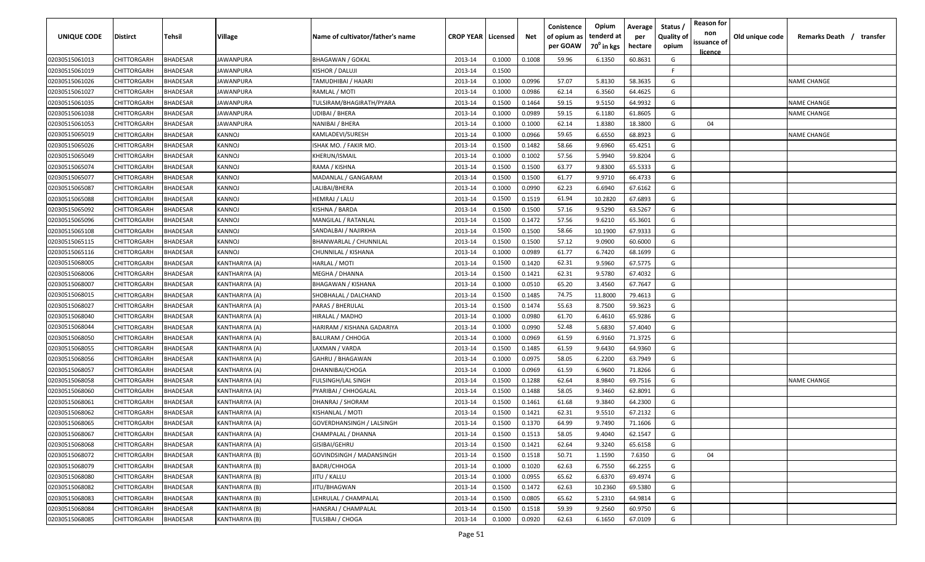| UNIQUE CODE    | Distirct           | Tehsil          | Village          | Name of cultivator/father's name | <b>CROP YEAR   Licensed</b> |        | Net    | Conistence<br>of opium as<br>per GOAW | Opium<br>tenderd at<br>70 <sup>0</sup> in kgs | Average<br>per<br>hectare | Status,<br><b>Quality of</b><br>opium | <b>Reason for</b><br>non<br>issuance of<br><u>licence</u> | Old unique code | Remarks Death / transfer |
|----------------|--------------------|-----------------|------------------|----------------------------------|-----------------------------|--------|--------|---------------------------------------|-----------------------------------------------|---------------------------|---------------------------------------|-----------------------------------------------------------|-----------------|--------------------------|
| 02030515061013 | CHITTORGARH        | <b>BHADESAR</b> | JAWANPURA        | <b>BHAGAWAN / GOKAL</b>          | 2013-14                     | 0.1000 | 0.1008 | 59.96                                 | 6.1350                                        | 60.8631                   | G                                     |                                                           |                 |                          |
| 02030515061019 | CHITTORGARH        | <b>BHADESAR</b> | JAWANPURA        | KISHOR / DALUJI                  | 2013-14                     | 0.1500 |        |                                       |                                               |                           | E                                     |                                                           |                 |                          |
| 02030515061026 | CHITTORGARH        | <b>BHADESAR</b> | IAWANPURA        | TAMUDHIBAI / HAJARI              | 2013-14                     | 0.1000 | 0.0996 | 57.07                                 | 5.8130                                        | 58.3635                   | G                                     |                                                           |                 | <b>NAME CHANGE</b>       |
| 02030515061027 | CHITTORGARH        | <b>BHADESAR</b> | <b>IAWANPURA</b> | RAMLAL / MOTI                    | 2013-14                     | 0.1000 | 0.0986 | 62.14                                 | 6.3560                                        | 64.4625                   | G                                     |                                                           |                 |                          |
| 02030515061035 | CHITTORGARH        | <b>BHADESAR</b> | JAWANPURA        | TULSIRAM/BHAGIRATH/PYARA         | 2013-14                     | 0.1500 | 0.1464 | 59.15                                 | 9.5150                                        | 64.9932                   | G                                     |                                                           |                 | <b>NAME CHANGE</b>       |
| 02030515061038 | CHITTORGARH        | <b>BHADESAR</b> | <b>IAWANPURA</b> | UDIBAI / BHERA                   | 2013-14                     | 0.1000 | 0.0989 | 59.15                                 | 6.1180                                        | 61.8605                   | G                                     |                                                           |                 | <b>NAME CHANGE</b>       |
| 02030515061053 | CHITTORGARH        | BHADESAR        | <b>IAWANPURA</b> | NANIBAI / BHERA                  | 2013-14                     | 0.1000 | 0.1000 | 62.14                                 | 1.8380                                        | 18.3800                   | G                                     | 04                                                        |                 |                          |
| 02030515065019 | CHITTORGARH        | <b>BHADESAR</b> | KANNOJ           | KAMLADEVI/SURESH                 | 2013-14                     | 0.1000 | 0.0966 | 59.65                                 | 6.6550                                        | 68.8923                   | G                                     |                                                           |                 | <b>NAME CHANGE</b>       |
| 02030515065026 | CHITTORGARH        | <b>BHADESAR</b> | KANNOJ           | ISHAK MO. / FAKIR MO.            | 2013-14                     | 0.1500 | 0.1482 | 58.66                                 | 9.6960                                        | 65.4251                   | G                                     |                                                           |                 |                          |
| 02030515065049 | CHITTORGARH        | BHADESAR        | KANNOJ           | KHERUN/ISMAIL                    | 2013-14                     | 0.1000 | 0.1002 | 57.56                                 | 5.9940                                        | 59.8204                   | G                                     |                                                           |                 |                          |
| 02030515065074 | CHITTORGARH        | <b>BHADESAR</b> | KANNOJ           | RAMA / KISHNA                    | 2013-14                     | 0.1500 | 0.1500 | 63.77                                 | 9.8300                                        | 65.5333                   | G                                     |                                                           |                 |                          |
| 02030515065077 | CHITTORGARH        | <b>BHADESAR</b> | KANNOJ           | MADANLAL / GANGARAM              | 2013-14                     | 0.1500 | 0.1500 | 61.77                                 | 9.9710                                        | 66.4733                   | G                                     |                                                           |                 |                          |
| 02030515065087 | CHITTORGARH        | <b>BHADESAR</b> | KANNOJ           | LALIBAI/BHERA                    | 2013-14                     | 0.1000 | 0.0990 | 62.23                                 | 6.6940                                        | 67.6162                   | G                                     |                                                           |                 |                          |
| 02030515065088 | CHITTORGARH        | <b>BHADESAR</b> | KANNOJ           | HEMRAJ / LALU                    | 2013-14                     | 0.1500 | 0.1519 | 61.94                                 | 10.2820                                       | 67.6893                   | G                                     |                                                           |                 |                          |
| 02030515065092 | CHITTORGARH        | <b>BHADESAR</b> | KANNOJ           | KISHNA / BARDA                   | 2013-14                     | 0.1500 | 0.1500 | 57.16                                 | 9.5290                                        | 63.5267                   | G                                     |                                                           |                 |                          |
| 02030515065096 | CHITTORGARH        | <b>BHADESAR</b> | KANNOJ           | MANGILAL / RATANLAI              | 2013-14                     | 0.1500 | 0.1472 | 57.56                                 | 9.6210                                        | 65.3601                   | G                                     |                                                           |                 |                          |
| 02030515065108 | CHITTORGARH        | <b>BHADESAR</b> | KANNOJ           | SANDALBAI / NAJIRKHA             | 2013-14                     | 0.1500 | 0.1500 | 58.66                                 | 10.1900                                       | 67.9333                   | G                                     |                                                           |                 |                          |
| 02030515065115 | CHITTORGARH        | <b>BHADESAR</b> | KANNOJ           | <b>BHANWARLAL / CHUNNILAL</b>    | 2013-14                     | 0.1500 | 0.1500 | 57.12                                 | 9.0900                                        | 60.6000                   | G                                     |                                                           |                 |                          |
| 02030515065116 | CHITTORGARH        | <b>BHADESAR</b> | KANNOJ           | CHUNNILAL / KISHANA              | 2013-14                     | 0.1000 | 0.0989 | 61.77                                 | 6.7420                                        | 68.1699                   | G                                     |                                                           |                 |                          |
| 02030515068005 | CHITTORGARH        | <b>BHADESAR</b> | KANTHARIYA (A)   | HARLAL / MOTI                    | 2013-14                     | 0.1500 | 0.1420 | 62.31                                 | 9.5960                                        | 67.5775                   | G                                     |                                                           |                 |                          |
| 02030515068006 | CHITTORGARH        | <b>BHADESAR</b> | KANTHARIYA (A)   | MEGHA / DHANNA                   | 2013-14                     | 0.1500 | 0.1421 | 62.31                                 | 9.5780                                        | 67.4032                   | G                                     |                                                           |                 |                          |
| 02030515068007 | CHITTORGARH        | <b>BHADESAR</b> | KANTHARIYA (A)   | <b>BHAGAWAN / KISHANA</b>        | 2013-14                     | 0.1000 | 0.0510 | 65.20                                 | 3.4560                                        | 67.7647                   | G                                     |                                                           |                 |                          |
| 02030515068015 | CHITTORGARH        | BHADESAR        | KANTHARIYA (A)   | SHOBHALAL / DALCHAND             | 2013-14                     | 0.1500 | 0.1485 | 74.75                                 | 11.8000                                       | 79.4613                   | G                                     |                                                           |                 |                          |
| 02030515068027 | CHITTORGARH        | BHADESAR        | KANTHARIYA (A)   | PARAS / BHERULAL                 | 2013-14                     | 0.1500 | 0.1474 | 55.63                                 | 8.7500                                        | 59.3623                   | G                                     |                                                           |                 |                          |
| 02030515068040 | CHITTORGARH        | <b>BHADESAR</b> | KANTHARIYA (A)   | HIRALAL / MADHO                  | 2013-14                     | 0.1000 | 0.0980 | 61.70                                 | 6.4610                                        | 65.9286                   | G                                     |                                                           |                 |                          |
| 02030515068044 | CHITTORGARH        | <b>BHADESAR</b> | KANTHARIYA (A)   | HARIRAM / KISHANA GADARIYA       | 2013-14                     | 0.1000 | 0.0990 | 52.48                                 | 5.6830                                        | 57.4040                   | G                                     |                                                           |                 |                          |
| 02030515068050 | CHITTORGARH        | BHADESAR        | KANTHARIYA (A)   | <b>BALURAM / CHHOGA</b>          | 2013-14                     | 0.1000 | 0.0969 | 61.59                                 | 6.9160                                        | 71.3725                   | G                                     |                                                           |                 |                          |
| 02030515068055 | CHITTORGARH        | BHADESAR        | KANTHARIYA (A)   | LAXMAN / VARDA                   | 2013-14                     | 0.1500 | 0.1485 | 61.59                                 | 9.6430                                        | 64.9360                   | G                                     |                                                           |                 |                          |
| 02030515068056 | CHITTORGARH        | <b>BHADESAR</b> | KANTHARIYA (A)   | GAHRU / BHAGAWAN                 | 2013-14                     | 0.1000 | 0.0975 | 58.05                                 | 6.2200                                        | 63.7949                   | G                                     |                                                           |                 |                          |
| 02030515068057 | CHITTORGARH        | <b>BHADESAR</b> | KANTHARIYA (A)   | DHANNIBAI/CHOGA                  | 2013-14                     | 0.1000 | 0.0969 | 61.59                                 | 6.9600                                        | 71.8266                   | G                                     |                                                           |                 |                          |
| 02030515068058 | CHITTORGARH        | <b>BHADESAR</b> | KANTHARIYA (A)   | FULSINGH/LAL SINGH               | 2013-14                     | 0.1500 | 0.1288 | 62.64                                 | 8.9840                                        | 69.7516                   | G                                     |                                                           |                 | <b>NAME CHANGE</b>       |
| 02030515068060 | CHITTORGARH        | <b>BHADESAR</b> | KANTHARIYA (A)   | PYARIBAI / CHHOGALAL             | 2013-14                     | 0.1500 | 0.1488 | 58.05                                 | 9.3460                                        | 62.8091                   | G                                     |                                                           |                 |                          |
| 02030515068061 | CHITTORGARH        | <b>BHADESAR</b> | KANTHARIYA (A)   | DHANRAJ / SHORAM                 | 2013-14                     | 0.1500 | 0.1461 | 61.68                                 | 9.3840                                        | 64.2300                   | G                                     |                                                           |                 |                          |
| 02030515068062 | CHITTORGARH        | <b>BHADESAR</b> | KANTHARIYA (A)   | KISHANLAL / MOTI                 | 2013-14                     | 0.1500 | 0.1421 | 62.31                                 | 9.5510                                        | 67.2132                   | G                                     |                                                           |                 |                          |
| 02030515068065 | <b>CHITTORGARH</b> | <b>BHADESAR</b> | KANTHARIYA (A)   | GOVERDHANSINGH / LALSINGH        | 2013-14                     | 0.1500 | 0.1370 | 64.99                                 | 9.7490                                        | 71.1606                   | G                                     |                                                           |                 |                          |
| 02030515068067 | CHITTORGARH        | <b>BHADESAR</b> | KANTHARIYA (A)   | CHAMPALAL / DHANNA               | 2013-14                     | 0.1500 | 0.1513 | 58.05                                 | 9.4040                                        | 62.1547                   | G                                     |                                                           |                 |                          |
| 02030515068068 | <b>CHITTORGARH</b> | <b>BHADESAR</b> | KANTHARIYA (A)   | GISIBAI/GEHRU                    | 2013-14                     | 0.1500 | 0.1421 | 62.64                                 | 9.3240                                        | 65.6158                   | G                                     |                                                           |                 |                          |
| 02030515068072 | CHITTORGARH        | <b>BHADESAR</b> | KANTHARIYA (B)   | GOVINDSINGH / MADANSINGH         | 2013-14                     | 0.1500 | 0.1518 | 50.71                                 | 1.1590                                        | 7.6350                    | G                                     | 04                                                        |                 |                          |
| 02030515068079 | <b>CHITTORGARH</b> | <b>BHADESAR</b> | KANTHARIYA (B)   | <b>BADRI/CHHOGA</b>              | 2013-14                     | 0.1000 | 0.1020 | 62.63                                 | 6.7550                                        | 66.2255                   | G                                     |                                                           |                 |                          |
| 02030515068080 | CHITTORGARH        | <b>BHADESAR</b> | KANTHARIYA (B)   | IITU / KALLU                     | 2013-14                     | 0.1000 | 0.0955 | 65.62                                 | 6.6370                                        | 69.4974                   | G                                     |                                                           |                 |                          |
| 02030515068082 | CHITTORGARH        | <b>BHADESAR</b> | KANTHARIYA (B)   | JITU/BHAGWAN                     | 2013-14                     | 0.1500 | 0.1472 | 62.63                                 | 10.2360                                       | 69.5380                   | G                                     |                                                           |                 |                          |
| 02030515068083 | CHITTORGARH        | <b>BHADESAR</b> | KANTHARIYA (B)   | LEHRULAL / CHAMPALAL             | 2013-14                     | 0.1500 | 0.0805 | 65.62                                 | 5.2310                                        | 64.9814                   | G                                     |                                                           |                 |                          |
| 02030515068084 | CHITTORGARH        | <b>BHADESAR</b> | KANTHARIYA (B)   | HANSRAJ / CHAMPALAL              | 2013-14                     | 0.1500 | 0.1518 | 59.39                                 | 9.2560                                        | 60.9750                   | G                                     |                                                           |                 |                          |
| 02030515068085 | <b>CHITTORGARH</b> | <b>BHADESAR</b> | KANTHARIYA (B)   | TULSIBAI / CHOGA                 | 2013-14                     | 0.1000 | 0.0920 | 62.63                                 | 6.1650                                        | 67.0109                   | G                                     |                                                           |                 |                          |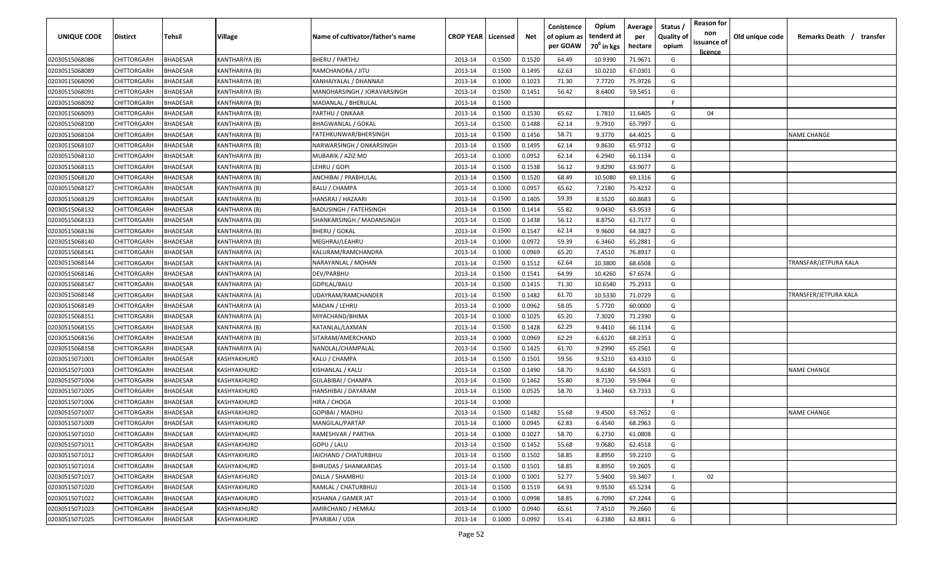| <b>UNIQUE CODE</b> | <b>Distirct</b>    | <b>Tehsil</b>   | Village        | Name of cultivator/father's name | <b>CROP YEAR   Licensed</b> |        | Net    | Conistence<br>of opium as<br>per GOAW | Opium<br>tenderd at<br>70 <sup>0</sup> in kgs | Average<br>per<br>hectare | Status /<br><b>Quality of</b><br>opium | <b>Reason for</b><br>non<br>issuance of<br><u>licence</u> | Old unique code | Remarks Death /<br>transfer |
|--------------------|--------------------|-----------------|----------------|----------------------------------|-----------------------------|--------|--------|---------------------------------------|-----------------------------------------------|---------------------------|----------------------------------------|-----------------------------------------------------------|-----------------|-----------------------------|
| 02030515068086     | CHITTORGARH        | <b>BHADESAR</b> | KANTHARIYA (B) | <b>BHERU / PARTHU</b>            | 2013-14                     | 0.1500 | 0.1520 | 64.49                                 | 10.9390                                       | 71.9671                   | G                                      |                                                           |                 |                             |
| 02030515068089     | CHITTORGARH        | BHADESAR        | KANTHARIYA (B) | RAMCHANDRA / JITU                | 2013-14                     | 0.1500 | 0.1495 | 62.63                                 | 10.0210                                       | 67.0301                   | G                                      |                                                           |                 |                             |
| 02030515068090     | CHITTORGARH        | BHADESAR        | KANTHARIYA (B) | KANHAIYALAL / DHANNAJI           | 2013-14                     | 0.1000 | 0.1023 | 71.30                                 | 7.7720                                        | 75.9726                   | G                                      |                                                           |                 |                             |
| 02030515068091     | CHITTORGARH        | BHADESAR        | KANTHARIYA (B) | MANOHARSINGH / JORAVARSINGH      | 2013-14                     | 0.1500 | 0.1451 | 56.42                                 | 8.6400                                        | 59.5451                   | G                                      |                                                           |                 |                             |
| 02030515068092     | CHITTORGARH        | BHADESAR        | KANTHARIYA (B) | MADANLAL / BHERULAL              | 2013-14                     | 0.1500 |        |                                       |                                               |                           | -F.                                    |                                                           |                 |                             |
| 02030515068093     | CHITTORGARH        | BHADESAR        | KANTHARIYA (B) | PARTHU / ONKAAR                  | 2013-14                     | 0.1500 | 0.1530 | 65.62                                 | 1.7810                                        | 11.6405                   | G                                      | 04                                                        |                 |                             |
| 02030515068100     | CHITTORGARH        | BHADESAR        | KANTHARIYA (B) | <b>BHAGWANLAL / GOKAL</b>        | 2013-14                     | 0.1500 | 0.1488 | 62.14                                 | 9.7910                                        | 65.7997                   | G                                      |                                                           |                 |                             |
| 02030515068104     | CHITTORGARH        | BHADESAR        | KANTHARIYA (B) | FATEHKUNWAR/BHERSINGH            | 2013-14                     | 0.1500 | 0.1456 | 58.71                                 | 9.3770                                        | 64.4025                   | G                                      |                                                           |                 | <b>NAME CHANGE</b>          |
| 02030515068107     | CHITTORGARH        | BHADESAR        | KANTHARIYA (B) | NARWARSINGH / ONKARSINGH         | 2013-14                     | 0.1500 | 0.1495 | 62.14                                 | 9.8630                                        | 65.9732                   | G                                      |                                                           |                 |                             |
| 02030515068110     | CHITTORGARH        | BHADESAR        | KANTHARIYA (B) | MUBARIK / AZIZ MD                | 2013-14                     | 0.1000 | 0.0952 | 62.14                                 | 6.2940                                        | 66.1134                   | G                                      |                                                           |                 |                             |
| 02030515068115     | CHITTORGARH        | BHADESAR        | KANTHARIYA (B) | LEHRU / GOPI                     | 2013-14                     | 0.1500 | 0.1538 | 56.12                                 | 9.8290                                        | 63.9077                   | G                                      |                                                           |                 |                             |
| 02030515068120     | CHITTORGARH        | BHADESAR        | KANTHARIYA (B) | ANCHIBAI / PRABHULAL             | 2013-14                     | 0.1500 | 0.1520 | 68.49                                 | 10.5080                                       | 69.1316                   | G                                      |                                                           |                 |                             |
| 02030515068127     | CHITTORGARH        | BHADESAR        | KANTHARIYA (B) | <b>BALU / CHAMPA</b>             | 2013-14                     | 0.1000 | 0.0957 | 65.62                                 | 7.2180                                        | 75.4232                   | G                                      |                                                           |                 |                             |
| 02030515068129     | CHITTORGARH        | BHADESAR        | KANTHARIYA (B) | HANSRAJ / HAZAARI                | 2013-14                     | 0.1500 | 0.1405 | 59.39                                 | 8.5520                                        | 60.8683                   | G                                      |                                                           |                 |                             |
| 02030515068132     | CHITTORGARH        | BHADESAR        | KANTHARIYA (B) | <b>BADUSINGH / FATEHSINGH</b>    | 2013-14                     | 0.1500 | 0.1414 | 55.82                                 | 9.0430                                        | 63.9533                   | G                                      |                                                           |                 |                             |
| 02030515068133     | CHITTORGARH        | BHADESAR        | KANTHARIYA (B) | SHANKARSINGH / MADANSINGH        | 2013-14                     | 0.1500 | 0.1438 | 56.12                                 | 8.8750                                        | 61.7177                   | G                                      |                                                           |                 |                             |
| 02030515068136     | CHITTORGARH        | <b>BHADESAR</b> | KANTHARIYA (B) | <b>BHERU / GOKAL</b>             | 2013-14                     | 0.1500 | 0.1547 | 62.14                                 | 9.9600                                        | 64.3827                   | G                                      |                                                           |                 |                             |
| 02030515068140     | CHITTORGARH        | BHADESAR        | KANTHARIYA (B) | MEGHRAJ/LEAHRU                   | 2013-14                     | 0.1000 | 0.0972 | 59.39                                 | 6.3460                                        | 65.2881                   | G                                      |                                                           |                 |                             |
| 02030515068141     | CHITTORGARH        | BHADESAR        | KANTHARIYA (A) | KALURAM/RAMCHANDRA               | 2013-14                     | 0.1000 | 0.0969 | 65.20                                 | 7.4510                                        | 76.8937                   | G                                      |                                                           |                 |                             |
| 02030515068144     | CHITTORGARH        | BHADESAR        | KANTHARIYA (A) | NARAYANLAL / MOHAN               | 2013-14                     | 0.1500 | 0.1512 | 62.64                                 | 10.3800                                       | 68.6508                   | G                                      |                                                           |                 | TRANSFAR/JETPURA KALA       |
| 02030515068146     | CHITTORGARH        | BHADESAR        | KANTHARIYA (A) | DEV/PARBHU                       | 2013-14                     | 0.1500 | 0.1541 | 64.99                                 | 10.4260                                       | 67.6574                   | G                                      |                                                           |                 |                             |
| 02030515068147     | CHITTORGARH        | BHADESAR        | KANTHARIYA (A) | GOPILAL/BALU                     | 2013-14                     | 0.1500 | 0.1415 | 71.30                                 | 10.6540                                       | 75.2933                   | G                                      |                                                           |                 |                             |
| 02030515068148     | CHITTORGARH        | BHADESAR        | KANTHARIYA (A) | UDAYRAM/RAMCHANDER               | 2013-14                     | 0.1500 | 0.1482 | 61.70                                 | 10.5330                                       | 71.0729                   | G                                      |                                                           |                 | TRANSFER/JETPURA KALA       |
| 02030515068149     | CHITTORGARH        | BHADESAR        | KANTHARIYA (A) | MADAN / LEHRU                    | 2013-14                     | 0.1000 | 0.0962 | 58.05                                 | 5.7720                                        | 60.0000                   | G                                      |                                                           |                 |                             |
| 02030515068151     | CHITTORGARH        | BHADESAR        | KANTHARIYA (A) | MIYACHAND/BHIMA                  | 2013-14                     | 0.1000 | 0.1025 | 65.20                                 | 7.3020                                        | 71.2390                   | G                                      |                                                           |                 |                             |
| 02030515068155     | CHITTORGARH        | BHADESAR        | KANTHARIYA (B) | RATANLAL/LAXMAN                  | 2013-14                     | 0.1500 | 0.1428 | 62.29                                 | 9.4410                                        | 66.1134                   | G                                      |                                                           |                 |                             |
| 02030515068156     | CHITTORGARH        | BHADESAR        | KANTHARIYA (B) | SITARAM/AMERCHAND                | 2013-14                     | 0.1000 | 0.0969 | 62.29                                 | 6.6120                                        | 68.2353                   | G                                      |                                                           |                 |                             |
| 02030515068158     | CHITTORGARH        | BHADESAR        | KANTHARIYA (A) | NANDLAL/CHAMPALAL                | 2013-14                     | 0.1500 | 0.1425 | 61.70                                 | 9.2990                                        | 65.2561                   | G                                      |                                                           |                 |                             |
| 02030515071001     | CHITTORGARH        | BHADESAR        | KASHYAKHURD    | KALU / CHAMPA                    | 2013-14                     | 0.1500 | 0.1501 | 59.56                                 | 9.5210                                        | 63.4310                   | G                                      |                                                           |                 |                             |
| 02030515071003     | CHITTORGARH        | BHADESAR        | KASHYAKHURD    | KISHANLAL / KALU                 | 2013-14                     | 0.1500 | 0.1490 | 58.70                                 | 9.6180                                        | 64.5503                   | G                                      |                                                           |                 | <b>NAME CHANGE</b>          |
| 02030515071004     | CHITTORGARH        | BHADESAR        | KASHYAKHURD    | GULABIBAI / CHAMPA               | 2013-14                     | 0.1500 | 0.1462 | 55.80                                 | 8.7130                                        | 59.5964                   | G                                      |                                                           |                 |                             |
| 02030515071005     | CHITTORGARH        | <b>BHADESAR</b> | KASHYAKHURD    | HANSHIBAI / DAYARAM              | 2013-14                     | 0.1500 | 0.0525 | 58.70                                 | 3.3460                                        | 63.7333                   | G                                      |                                                           |                 |                             |
| 02030515071006     | CHITTORGARH        | BHADESAR        | KASHYAKHURD    | HIRA / CHOGA                     | 2013-14                     | 0.1000 |        |                                       |                                               |                           | -F.                                    |                                                           |                 |                             |
| 02030515071007     | CHITTORGARH        | BHADESAR        | KASHYAKHURD    | GOPIBAI / MADHU                  | 2013-14                     | 0.1500 | 0.1482 | 55.68                                 | 9.4500                                        | 63.7652                   | G                                      |                                                           |                 | <b>NAME CHANGE</b>          |
| 02030515071009     | CHITTORGARH        | BHADESAR        | KASHYAKHURD    | MANGILAL/PARTAP                  | 2013-14                     | 0.1000 | 0.0945 | 62.83                                 | 6.4540                                        | 68.2963                   | G                                      |                                                           |                 |                             |
| 02030515071010     | CHITTORGARH        | <b>BHADESAR</b> | KASHYAKHURD    | RAMESHVAR / PARTHA               | 2013-14                     | 0.1000 | 0.1027 | 58.70                                 | 6.2730                                        | 61.0808                   | G                                      |                                                           |                 |                             |
| 02030515071011     | <b>CHITTORGARH</b> | <b>BHADESAR</b> | KASHYAKHURD    | GOPU / LALU                      | 2013-14                     | 0.1500 | 0.1452 | 55.68                                 | 9.0680                                        | 62.4518                   | G                                      |                                                           |                 |                             |
| 02030515071012     | <b>CHITTORGARH</b> | <b>BHADESAR</b> | KASHYAKHURD    | JAICHAND / CHATURBHUJ            | 2013-14                     | 0.1500 | 0.1502 | 58.85                                 | 8.8950                                        | 59.2210                   | G                                      |                                                           |                 |                             |
| 02030515071014     | <b>CHITTORGARH</b> | <b>BHADESAR</b> | KASHYAKHURD    | <b>BHRUDAS / SHANKARDAS</b>      | 2013-14                     | 0.1500 | 0.1501 | 58.85                                 | 8.8950                                        | 59.2605                   | G                                      |                                                           |                 |                             |
| 02030515071017     | CHITTORGARH        | <b>BHADESAR</b> | KASHYAKHURD    | DALLA / SHAMBHU                  | 2013-14                     | 0.1000 | 0.1001 | 52.77                                 | 5.9400                                        | 59.3407                   |                                        | 02                                                        |                 |                             |
| 02030515071020     | CHITTORGARH        | <b>BHADESAR</b> | KASHYAKHURD    | RAMLAL / CHATURBHUJ              | 2013-14                     | 0.1500 | 0.1519 | 64.93                                 | 9.9530                                        | 65.5234                   | G                                      |                                                           |                 |                             |
| 02030515071022     | CHITTORGARH        | <b>BHADESAR</b> | KASHYAKHURD    | KISHANA / GAMER JAT              | 2013-14                     | 0.1000 | 0.0998 | 58.85                                 | 6.7090                                        | 67.2244                   | G                                      |                                                           |                 |                             |
| 02030515071023     | CHITTORGARH        | <b>BHADESAR</b> | KASHYAKHURD    | AMIRCHAND / HEMRAJ               | 2013-14                     | 0.1000 | 0.0940 | 65.61                                 | 7.4510                                        | 79.2660                   | G                                      |                                                           |                 |                             |
| 02030515071025     | CHITTORGARH        | <b>BHADESAR</b> | KASHYAKHURD    | PYARIBAI / UDA                   | 2013-14                     | 0.1000 | 0.0992 | 55.41                                 | 6.2380                                        | 62.8831                   | G                                      |                                                           |                 |                             |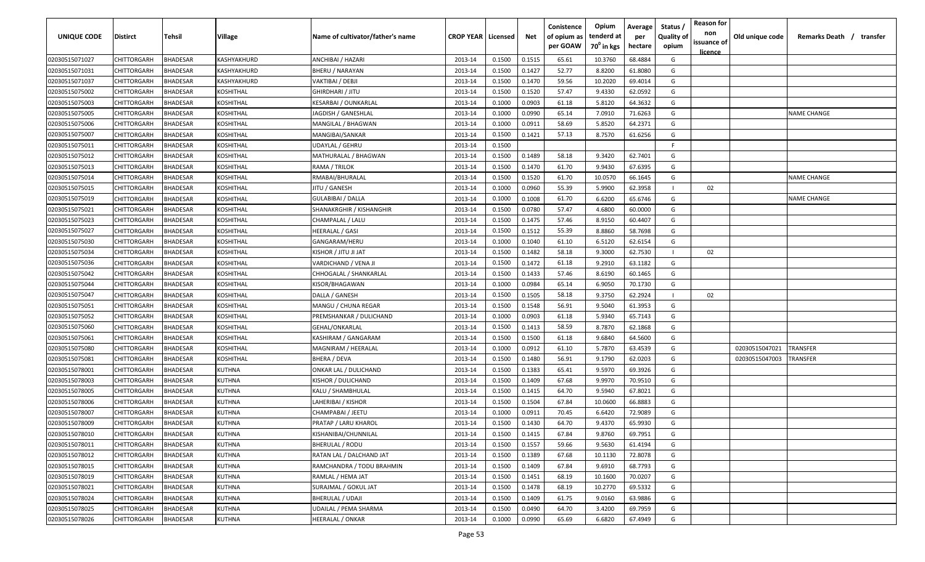| UNIQUE CODE    | <b>Distirct</b>    | <b>Tehsil</b>   | Village          | Name of cultivator/father's name | <b>CROP YEAR   Licensed</b> |        | Net    | Conistence<br>of opium as<br>per GOAW | Opium<br>tenderd at<br>70 <sup>0</sup> in kgs | Average<br>per<br>hectare | Status /<br><b>Quality of</b><br>opium | <b>Reason for</b><br>non<br>issuance of<br><u>licence</u> | Old unique code | Remarks Death / transfer |
|----------------|--------------------|-----------------|------------------|----------------------------------|-----------------------------|--------|--------|---------------------------------------|-----------------------------------------------|---------------------------|----------------------------------------|-----------------------------------------------------------|-----------------|--------------------------|
| 02030515071027 | CHITTORGARH        | BHADESAR        | KASHYAKHURD      | ANCHIBAI / HAZARI                | 2013-14                     | 0.1500 | 0.1515 | 65.61                                 | 10.3760                                       | 68.4884                   | G                                      |                                                           |                 |                          |
| 02030515071031 | CHITTORGARH        | <b>BHADESAR</b> | KASHYAKHURD      | <b>BHERU / NARAYAN</b>           | 2013-14                     | 0.1500 | 0.1427 | 52.77                                 | 8.8200                                        | 61.8080                   | G                                      |                                                           |                 |                          |
| 02030515071037 | CHITTORGARH        | <b>BHADESAR</b> | KASHYAKHURD      | VAKTIBAI / DEBJI                 | 2013-14                     | 0.1500 | 0.1470 | 59.56                                 | 10.2020                                       | 69.4014                   | G                                      |                                                           |                 |                          |
| 02030515075002 | CHITTORGARH        | <b>BHADESAR</b> | KOSHITHAL        | GHIRDHARI / JITU                 | 2013-14                     | 0.1500 | 0.1520 | 57.47                                 | 9.4330                                        | 62.0592                   | G                                      |                                                           |                 |                          |
| 02030515075003 | CHITTORGARH        | <b>BHADESAR</b> | KOSHITHAL        | KESARBAI / OUNKARLAL             | 2013-14                     | 0.1000 | 0.0903 | 61.18                                 | 5.8120                                        | 64.3632                   | G                                      |                                                           |                 |                          |
| 02030515075005 | CHITTORGARH        | <b>BHADESAR</b> | <b>KOSHITHAL</b> | JAGDISH / GANESHLAL              | 2013-14                     | 0.1000 | 0.0990 | 65.14                                 | 7.0910                                        | 71.6263                   | G                                      |                                                           |                 | <b>NAME CHANGE</b>       |
| 02030515075006 | CHITTORGARH        | <b>BHADESAR</b> | KOSHITHAL        | MANGILAL / BHAGWAN               | 2013-14                     | 0.1000 | 0.0911 | 58.69                                 | 5.8520                                        | 64.2371                   | G                                      |                                                           |                 |                          |
| 02030515075007 | CHITTORGARH        | <b>HADESAR</b>  | KOSHITHAL        | MANGIBAI/SANKAR                  | 2013-14                     | 0.1500 | 0.1421 | 57.13                                 | 8.7570                                        | 61.6256                   | G                                      |                                                           |                 |                          |
| 02030515075011 | CHITTORGARH        | <b>HADESAR</b>  | KOSHITHAL        | UDAYLAL / GEHRU                  | 2013-14                     | 0.1500 |        |                                       |                                               |                           | F.                                     |                                                           |                 |                          |
| 02030515075012 | CHITTORGARH        | <b>BHADESAR</b> | KOSHITHAL        | MATHURALAL / BHAGWAN             | 2013-14                     | 0.1500 | 0.1489 | 58.18                                 | 9.3420                                        | 62.7401                   | G                                      |                                                           |                 |                          |
| 02030515075013 | CHITTORGARH        | 3HADESAR        | KOSHITHAL        | RAMA / TRILOK                    | 2013-14                     | 0.1500 | 0.1470 | 61.70                                 | 9.9430                                        | 67.6395                   | G                                      |                                                           |                 |                          |
| 02030515075014 | CHITTORGARH        | 3HADESAR        | KOSHITHAL        | RMABAI/BHURALAL                  | 2013-14                     | 0.1500 | 0.1520 | 61.70                                 | 10.0570                                       | 66.1645                   | G                                      |                                                           |                 | NAME CHANGE              |
| 02030515075015 | CHITTORGARH        | <b>BHADESAR</b> | KOSHITHAL        | JITU / GANESH                    | 2013-14                     | 0.1000 | 0.0960 | 55.39                                 | 5.9900                                        | 62.3958                   |                                        | 02                                                        |                 |                          |
| 02030515075019 | CHITTORGARH        | <b>BHADESAR</b> | KOSHITHAL        | GULABIBAI / DALLA                | 2013-14                     | 0.1000 | 0.1008 | 61.70                                 | 6.6200                                        | 65.6746                   | G                                      |                                                           |                 | NAME CHANGE              |
| 02030515075021 | CHITTORGARH        | <b>BHADESAR</b> | KOSHITHAL        | SHANAKRGHIR / KISHANGHIR         | 2013-14                     | 0.1500 | 0.0780 | 57.47                                 | 4.6800                                        | 60.0000                   | G                                      |                                                           |                 |                          |
| 02030515075023 | CHITTORGARH        | <b>HADESAR</b>  | KOSHITHAL        | CHAMPALAL / LALU                 | 2013-14                     | 0.1500 | 0.1475 | 57.46                                 | 8.9150                                        | 60.4407                   | G                                      |                                                           |                 |                          |
| 02030515075027 | CHITTORGARH        | <b>BHADESAR</b> | KOSHITHAL        | HEERALAL / GASI                  | 2013-14                     | 0.1500 | 0.1512 | 55.39                                 | 8.8860                                        | 58.7698                   | G                                      |                                                           |                 |                          |
| 02030515075030 | CHITTORGARH        | <b>BHADESAR</b> | <b>KOSHITHAL</b> | GANGARAM/HERU                    | 2013-14                     | 0.1000 | 0.1040 | 61.10                                 | 6.5120                                        | 62.6154                   | G                                      |                                                           |                 |                          |
| 02030515075034 | CHITTORGARH        | <b>BHADESAR</b> | <b>KOSHITHAL</b> | TALIL UTIL \ ROHZIN              | 2013-14                     | 0.1500 | 0.1482 | 58.18                                 | 9.3000                                        | 62.7530                   |                                        | 02                                                        |                 |                          |
| 02030515075036 | CHITTORGARH        | 3HADESAR        | KOSHITHAL        | VARDICHAND / VENA JI             | 2013-14                     | 0.1500 | 0.1472 | 61.18                                 | 9.2910                                        | 63.1182                   | G                                      |                                                           |                 |                          |
| 02030515075042 | CHITTORGARH        | <b>BHADESAR</b> | KOSHITHAL        | CHHOGALAL / SHANKARLAL           | 2013-14                     | 0.1500 | 0.1433 | 57.46                                 | 8.6190                                        | 60.1465                   | G                                      |                                                           |                 |                          |
| 02030515075044 | CHITTORGARH        | <b>BHADESAR</b> | <b>KOSHITHAL</b> | KISOR/BHAGAWAN                   | 2013-14                     | 0.1000 | 0.0984 | 65.14                                 | 6.9050                                        | 70.1730                   | G                                      |                                                           |                 |                          |
| 02030515075047 | CHITTORGARH        | <b>BHADESAR</b> | KOSHITHAL        | DALLA / GANESH                   | 2013-14                     | 0.1500 | 0.1505 | 58.18                                 | 9.3750                                        | 62.2924                   |                                        | 02                                                        |                 |                          |
| 02030515075051 | CHITTORGARH        | <b>BHADESAR</b> | KOSHITHAL        | MANGU / CHUNA REGAR              | 2013-14                     | 0.1500 | 0.1548 | 56.91                                 | 9.5040                                        | 61.3953                   | G                                      |                                                           |                 |                          |
| 02030515075052 | CHITTORGARH        | <b>HADESAR</b>  | <b>KOSHITHAL</b> | PREMSHANKAR / DULICHAND          | 2013-14                     | 0.1000 | 0.0903 | 61.18                                 | 5.9340                                        | 65.7143                   | G                                      |                                                           |                 |                          |
| 02030515075060 | CHITTORGARH        | <b>BHADESAR</b> | <b>KOSHITHAL</b> | GEHAL/ONKARLAL                   | 2013-14                     | 0.1500 | 0.1413 | 58.59                                 | 8.7870                                        | 62.1868                   | G                                      |                                                           |                 |                          |
| 02030515075061 | CHITTORGARH        | <b>HADESAR</b>  | KOSHITHAL        | KASHIRAM / GANGARAM              | 2013-14                     | 0.1500 | 0.1500 | 61.18                                 | 9.6840                                        | 64.5600                   | G                                      |                                                           |                 |                          |
| 02030515075080 | CHITTORGARH        | 3HADESAR        | KOSHITHAL        | MAGNIRAM / HEERALAL              | 2013-14                     | 0.1000 | 0.0912 | 61.10                                 | 5.7870                                        | 63.4539                   | G                                      |                                                           | 02030515047021  | TRANSFER                 |
| 02030515075081 | CHITTORGARH        | <b>HADESAR</b>  | KOSHITHAL        | BHERA / DEVA                     | 2013-14                     | 0.1500 | 0.1480 | 56.91                                 | 9.1790                                        | 62.0203                   | G                                      |                                                           | 02030515047003  | TRANSFER                 |
| 02030515078001 | CHITTORGARH        | <b>BHADESAR</b> | <b>KUTHNA</b>    | ONKAR LAL / DULICHAND            | 2013-14                     | 0.1500 | 0.1383 | 65.41                                 | 9.5970                                        | 69.3926                   | G                                      |                                                           |                 |                          |
| 02030515078003 | CHITTORGARH        | <b>BHADESAR</b> | <b>KUTHNA</b>    | KISHOR / DULICHAND               | 2013-14                     | 0.1500 | 0.1409 | 67.68                                 | 9.9970                                        | 70.9510                   | G                                      |                                                           |                 |                          |
| 02030515078005 | CHITTORGARH        | <b>BHADESAR</b> | <b>KUTHNA</b>    | KALU / SHAMBHULAL                | 2013-14                     | 0.1500 | 0.1415 | 64.70                                 | 9.5940                                        | 67.8021                   | G                                      |                                                           |                 |                          |
| 02030515078006 | CHITTORGARH        | <b>BHADESAR</b> | <b>KUTHNA</b>    | LAHERIBAI / KISHOR               | 2013-14                     | 0.1500 | 0.1504 | 67.84                                 | 10.0600                                       | 66.8883                   | G                                      |                                                           |                 |                          |
| 02030515078007 | <b>CHITTORGARH</b> | <b>BHADESAR</b> | <b>KUTHNA</b>    | CHAMPABAI / JEETU                | 2013-14                     | 0.1000 | 0.0911 | 70.45                                 | 6.6420                                        | 72.9089                   | G                                      |                                                           |                 |                          |
| 02030515078009 | CHITTORGARH        | <b>BHADESAR</b> | <b>KUTHNA</b>    | PRATAP / LARU KHAROL             | 2013-14                     | 0.1500 | 0.1430 | 64.70                                 | 9.4370                                        | 65.9930                   | G                                      |                                                           |                 |                          |
| 02030515078010 | CHITTORGARH        | BHADESAR        | <b>KUTHNA</b>    | KISHANIBAI/CHUNNILAL             | 2013-14                     | 0.1500 | 0.1415 | 67.84                                 | 9.8760                                        | 69.7951                   | G                                      |                                                           |                 |                          |
| 02030515078011 | CHITTORGARH        | BHADESAR        | <b>KUTHNA</b>    | BHERULAL / RODU                  | 2013-14                     | 0.1500 | 0.1557 | 59.66                                 | 9.5630                                        | 61.4194                   | G                                      |                                                           |                 |                          |
| 02030515078012 | CHITTORGARH        | BHADESAR        | <b>KUTHNA</b>    | RATAN LAL / DALCHAND JAT         | 2013-14                     | 0.1500 | 0.1389 | 67.68                                 | 10.1130                                       | 72.8078                   | G                                      |                                                           |                 |                          |
| 02030515078015 | CHITTORGARH        | BHADESAR        | <b>KUTHNA</b>    | RAMCHANDRA / TODU BRAHMIN        | 2013-14                     | 0.1500 | 0.1409 | 67.84                                 | 9.6910                                        | 68.7793                   | G                                      |                                                           |                 |                          |
| 02030515078019 | CHITTORGARH        | BHADESAR        | <b>KUTHNA</b>    | RAMLAL / HEMA JAT                | 2013-14                     | 0.1500 | 0.1451 | 68.19                                 | 10.1600                                       | 70.0207                   | G                                      |                                                           |                 |                          |
| 02030515078021 | CHITTORGARH        | <b>BHADESAR</b> | <b>KUTHNA</b>    | SURAJMAL / GOKUL JAT             | 2013-14                     | 0.1500 | 0.1478 | 68.19                                 | 10.2770                                       | 69.5332                   | G                                      |                                                           |                 |                          |
| 02030515078024 | CHITTORGARH        | <b>BHADESAR</b> | <b>KUTHNA</b>    | BHERULAL / UDAJI                 | 2013-14                     | 0.1500 | 0.1409 | 61.75                                 | 9.0160                                        | 63.9886                   | G                                      |                                                           |                 |                          |
| 02030515078025 | CHITTORGARH        | <b>BHADESAR</b> | <b>KUTHNA</b>    | UDAILAL / PEMA SHARMA            | 2013-14                     | 0.1500 | 0.0490 | 64.70                                 | 3.4200                                        | 69.7959                   | G                                      |                                                           |                 |                          |
| 02030515078026 | CHITTORGARH        | BHADESAR        | <b>KUTHNA</b>    | HEERALAL / ONKAR                 | 2013-14                     | 0.1000 | 0.0990 | 65.69                                 | 6.6820                                        | 67.4949                   | G                                      |                                                           |                 |                          |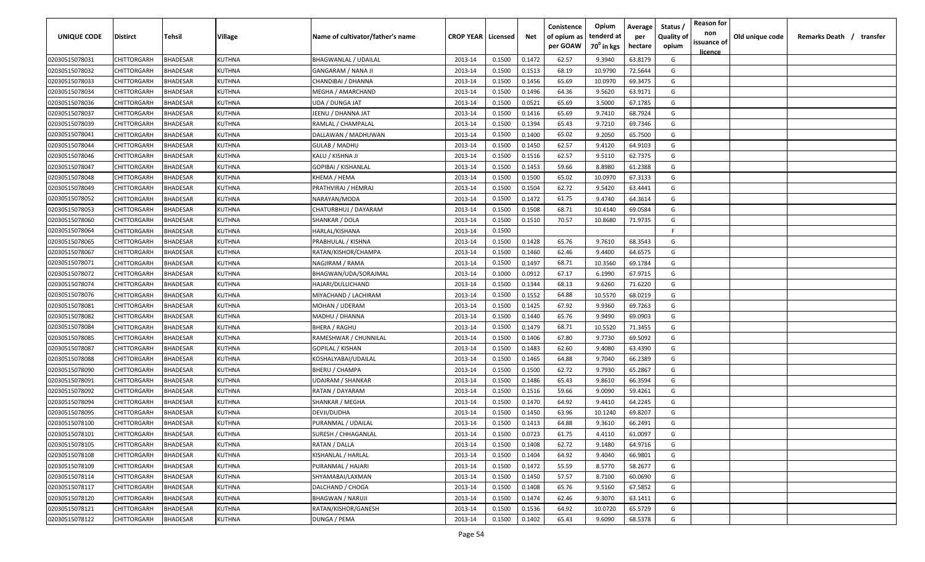| <b>UNIQUE CODE</b> | Distirct           | Tehsil          | Village       | Name of cultivator/father's name | <b>CROP YEAR Licensed</b> |        | Net    | Conistence<br>of opium as | Opium<br>tenderd at    | Average<br>per | Status /<br><b>Quality of</b> | <b>Reason for</b><br>non | Old unique code | Remarks Death / transfer |
|--------------------|--------------------|-----------------|---------------|----------------------------------|---------------------------|--------|--------|---------------------------|------------------------|----------------|-------------------------------|--------------------------|-----------------|--------------------------|
|                    |                    |                 |               |                                  |                           |        |        | per GOAW                  | 70 <sup>0</sup> in kgs | hectare        | opium                         | issuance of              |                 |                          |
| 02030515078031     | CHITTORGARH        | <b>BHADESAR</b> | KUTHNA        | <b>BHAGWANLAL / UDAILAL</b>      | 2013-14                   | 0.1500 | 0.1472 | 62.57                     | 9.3940                 | 63.8179        | G                             | <u>licence</u>           |                 |                          |
| 02030515078032     | CHITTORGARH        | BHADESAR        | KUTHNA        | <b>GANGARAM / NANA JI</b>        | 2013-14                   | 0.1500 | 0.1513 | 68.19                     | 10.9790                | 72.5644        | G                             |                          |                 |                          |
| 02030515078033     | CHITTORGARH        | BHADESAR        | KUTHNA        | CHANDIBAI / DHANNA               | 2013-14                   | 0.1500 | 0.1456 | 65.69                     | 10.0970                | 69.3475        | G                             |                          |                 |                          |
| 02030515078034     | CHITTORGARH        | <b>BHADESAR</b> | KUTHNA        | MEGHA / AMARCHAND                | 2013-14                   | 0.1500 | 0.1496 | 64.36                     | 9.5620                 | 63.9171        | G                             |                          |                 |                          |
| 02030515078036     | CHITTORGARH        | BHADESAR        | KUTHNA        | UDA / DUNGA JAT                  | 2013-14                   | 0.1500 | 0.0521 | 65.69                     | 3.5000                 | 67.1785        | G                             |                          |                 |                          |
| 02030515078037     | CHITTORGARH        | <b>BHADESAR</b> | KUTHNA        | JEENU / DHANNA JAT               | 2013-14                   | 0.1500 | 0.1416 | 65.69                     | 9.7410                 | 68.7924        | G                             |                          |                 |                          |
| 02030515078039     | CHITTORGARH        | <b>BHADESAR</b> | KUTHNA        | RAMLAL / CHAMPALAL               | 2013-14                   | 0.1500 | 0.1394 | 65.43                     | 9.7210                 | 69.7346        | G                             |                          |                 |                          |
| 02030515078041     | CHITTORGARH        | BHADESAR        | KUTHNA        | DALLAWAN / MADHUWAN              | 2013-14                   | 0.1500 | 0.1400 | 65.02                     | 9.2050                 | 65.7500        | G                             |                          |                 |                          |
| 02030515078044     | CHITTORGARH        | BHADESAR        | KUTHNA        | <b>GULAB / MADHU</b>             | 2013-14                   | 0.1500 | 0.1450 | 62.57                     | 9.4120                 | 64.9103        | G                             |                          |                 |                          |
| 02030515078046     | CHITTORGARH        | BHADESAR        | KUTHNA        | KALU / KISHNA JI                 | 2013-14                   | 0.1500 | 0.1516 | 62.57                     | 9.5110                 | 62.7375        | G                             |                          |                 |                          |
| 02030515078047     | CHITTORGARH        | BHADESAR        | KUTHNA        | GOPIBAI / KISHANLAL              | 2013-14                   | 0.1500 | 0.1453 | 59.66                     | 8.8980                 | 61.2388        | G                             |                          |                 |                          |
| 02030515078048     | CHITTORGARH        | BHADESAR        | KUTHNA        | КНЕМА / НЕМА                     | 2013-14                   | 0.1500 | 0.1500 | 65.02                     | 10.0970                | 67.3133        | G                             |                          |                 |                          |
| 02030515078049     | CHITTORGARH        | BHADESAR        | KUTHNA        | PRATHVIRAJ / HEMRAJ              | 2013-14                   | 0.1500 | 0.1504 | 62.72                     | 9.5420                 | 63.4441        | G                             |                          |                 |                          |
| 02030515078052     | CHITTORGARH        | <b>BHADESAR</b> | KUTHNA        | NARAYAN/MODA                     | 2013-14                   | 0.1500 | 0.1472 | 61.75                     | 9.4740                 | 64.3614        | G                             |                          |                 |                          |
| 02030515078053     | CHITTORGARH        | BHADESAR        | KUTHNA        | CHATURBHUJ / DAYARAM             | 2013-14                   | 0.1500 | 0.1508 | 68.71                     | 10.4140                | 69.0584        | G                             |                          |                 |                          |
| 02030515078060     | CHITTORGARH        | <b>BHADESAR</b> | KUTHNA        | SHANKAR / DOLA                   | 2013-14                   | 0.1500 | 0.1510 | 70.57                     | 10.8680                | 71.9735        | G                             |                          |                 |                          |
| 02030515078064     | CHITTORGARH        | <b>BHADESAR</b> | KUTHNA        | HARLAL/KISHANA                   | 2013-14                   | 0.1500 |        |                           |                        |                | F.                            |                          |                 |                          |
| 02030515078065     | CHITTORGARH        | <b>BHADESAR</b> | <b>KUTHNA</b> | PRABHULAL / KISHNA               | 2013-14                   | 0.1500 | 0.1428 | 65.76                     | 9.7610                 | 68.3543        | G                             |                          |                 |                          |
| 02030515078067     | CHITTORGARH        | BHADESAR        | KUTHNA        | RATAN/KISHOR/CHAMPA              | 2013-14                   | 0.1500 | 0.1460 | 62.46                     | 9.4400                 | 64.6575        | G                             |                          |                 |                          |
| 02030515078071     | CHITTORGARH        | <b>BHADESAR</b> | KUTHNA        | NAGJIRAM / RAMA                  | 2013-14                   | 0.1500 | 0.1497 | 68.71                     | 10.3560                | 69.1784        | G                             |                          |                 |                          |
| 02030515078072     | CHITTORGARH        | <b>BHADESAR</b> | KUTHNA        | BHAGWAN/UDA/SORAJMAL             | 2013-14                   | 0.1000 | 0.0912 | 67.17                     | 6.1990                 | 67.9715        | G                             |                          |                 |                          |
| 02030515078074     | CHITTORGARH        | <b>BHADESAR</b> | KUTHNA        | HAJARI/DULLICHAND                | 2013-14                   | 0.1500 | 0.1344 | 68.13                     | 9.6260                 | 71.6220        | G                             |                          |                 |                          |
| 02030515078076     | CHITTORGARH        | <b>BHADESAR</b> | KUTHNA        | MIYACHAND / LACHIRAM             | 2013-14                   | 0.1500 | 0.1552 | 64.88                     | 10.5570                | 68.0219        | G                             |                          |                 |                          |
| 02030515078081     | CHITTORGARH        | <b>BHADESAR</b> | KUTHNA        | MOHAN / UDERAM                   | 2013-14                   | 0.1500 | 0.1425 | 67.92                     | 9.9360                 | 69.7263        | G                             |                          |                 |                          |
| 02030515078082     | CHITTORGARH        | BHADESAR        | KUTHNA        | MADHU / DHANNA                   | 2013-14                   | 0.1500 | 0.1440 | 65.76                     | 9.9490                 | 69.0903        | G                             |                          |                 |                          |
| 02030515078084     | CHITTORGARH        | BHADESAR        | KUTHNA        | <b>BHERA / RAGHU</b>             | 2013-14                   | 0.1500 | 0.1479 | 68.71                     | 10.5520                | 71.3455        | G                             |                          |                 |                          |
| 02030515078085     | CHITTORGARH        | BHADESAR        | KUTHNA        | RAMESHWAR / CHUNNILAL            | 2013-14                   | 0.1500 | 0.1406 | 67.80                     | 9.7730                 | 69.5092        | G                             |                          |                 |                          |
| 02030515078087     | CHITTORGARH        | BHADESAR        | KUTHNA        | GOPILAL / KISHAN                 | 2013-14                   | 0.1500 | 0.1483 | 62.60                     | 9.4080                 | 63.4390        | G                             |                          |                 |                          |
| 02030515078088     | CHITTORGARH        | BHADESAR        | KUTHNA        | KOSHALYABAI/UDAILAL              | 2013-14                   | 0.1500 | 0.1465 | 64.88                     | 9.7040                 | 66.2389        | G                             |                          |                 |                          |
| 02030515078090     | CHITTORGARH        | BHADESAR        | KUTHNA        | BHERU / CHAMPA                   | 2013-14                   | 0.1500 | 0.1500 | 62.72                     | 9.7930                 | 65.2867        | G                             |                          |                 |                          |
| 02030515078091     | CHITTORGARH        | BHADESAR        | KUTHNA        | UDAIRAM / SHANKAR                | 2013-14                   | 0.1500 | 0.1486 | 65.43                     | 9.8610                 | 66.3594        | G                             |                          |                 |                          |
| 02030515078092     | CHITTORGARH        | BHADESAR        | KUTHNA        | RATAN / DAYARAM                  | 2013-14                   | 0.1500 | 0.1516 | 59.66                     | 9.0090                 | 59.4261        | G                             |                          |                 |                          |
| 02030515078094     | CHITTORGARH        | BHADESAR        | KUTHNA        | SHANKAR / MEGHA                  | 2013-14                   | 0.1500 | 0.1470 | 64.92                     | 9.4410                 | 64.2245        | G                             |                          |                 |                          |
| 02030515078095     | CHITTORGARH        | BHADESAR        | KUTHNA        | DEVJI/DUDHA                      | 2013-14                   | 0.1500 | 0.1450 | 63.96                     | 10.1240                | 69.8207        | G                             |                          |                 |                          |
| 02030515078100     | CHITTORGARH        | BHADESAR        | KUTHNA        | PURANMAL / UDAILAL               | 2013-14                   | 0.1500 | 0.1413 | 64.88                     | 9.3610                 | 66.2491        | G                             |                          |                 |                          |
| 02030515078101     | <b>CHITTORGARH</b> | <b>BHADESAR</b> | KUTHNA        | SURESH / CHHAGANLAL              | 2013-14                   | 0.1500 | 0.0723 | 61.75                     | 4.4110                 | 61.0097        | G                             |                          |                 |                          |
| 02030515078105     | <b>CHITTORGARH</b> | <b>BHADESAR</b> | KUTHNA        | RATAN / DALLA                    | 2013-14                   | 0.1500 | 0.1408 | 62.72                     | 9.1480                 | 64.9716        | G                             |                          |                 |                          |
| 02030515078108     | CHITTORGARH        | <b>BHADESAR</b> | KUTHNA        | KISHANLAL / HARLAL               | 2013-14                   | 0.1500 | 0.1404 | 64.92                     | 9.4040                 | 66.9801        | G                             |                          |                 |                          |
| 02030515078109     | <b>CHITTORGARH</b> | <b>BHADESAR</b> | KUTHNA        | PURANMAL / HAJARI                | 2013-14                   | 0.1500 | 0.1472 | 55.59                     | 8.5770                 | 58.2677        | G                             |                          |                 |                          |
| 02030515078114     | <b>CHITTORGARH</b> | BHADESAR        | KUTHNA        | SHYAMABAI/LAXMAN                 | 2013-14                   | 0.1500 | 0.1450 | 57.57                     | 8.7100                 | 60.0690        | G                             |                          |                 |                          |
| 02030515078117     | <b>CHITTORGARH</b> | BHADESAR        | KUTHNA        | DALCHAND / CHOGA                 | 2013-14                   | 0.1500 | 0.1408 | 65.76                     | 9.5160                 | 67.5852        | G                             |                          |                 |                          |
| 02030515078120     | CHITTORGARH        | <b>BHADESAR</b> | KUTHNA        | <b>BHAGWAN / NARUJI</b>          | 2013-14                   | 0.1500 | 0.1474 | 62.46                     | 9.3070                 | 63.1411        | G                             |                          |                 |                          |
| 02030515078121     | CHITTORGARH        | BHADESAR        | KUTHNA        | RATAN/KISHOR/GANESH              | 2013-14                   | 0.1500 | 0.1536 | 64.92                     | 10.0720                | 65.5729        | G                             |                          |                 |                          |
| 02030515078122     | CHITTORGARH        | <b>BHADESAR</b> | KUTHNA        | DUNGA / PEMA                     | 2013-14                   | 0.1500 | 0.1402 | 65.43                     | 9.6090                 | 68.5378        | G                             |                          |                 |                          |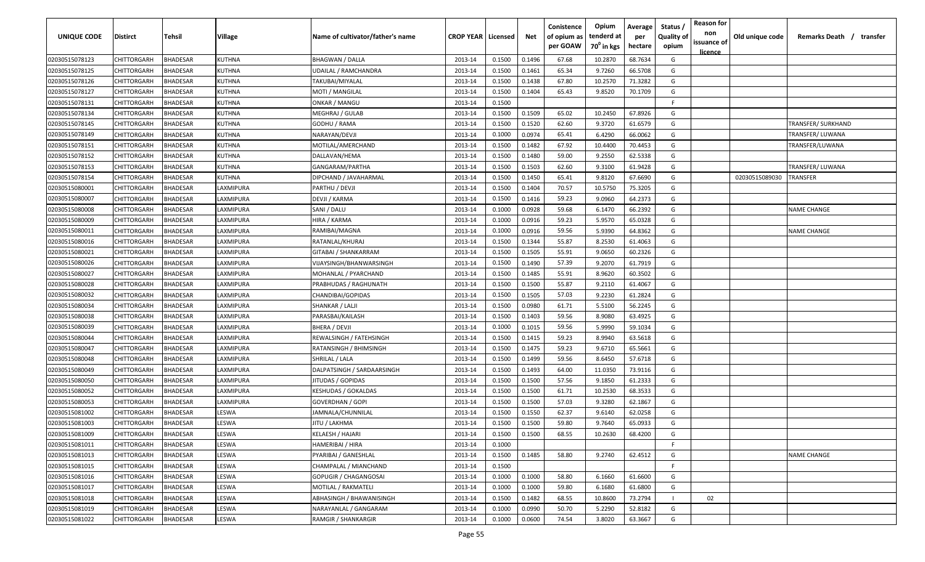| <b>UNIQUE CODE</b> | <b>Distirct</b>    | <b>Tehsil</b>   | Village         | Name of cultivator/father's name | <b>CROP YEAR   Licensed</b> |        | Net    | Conistence<br>of opium as<br>per GOAW | Opium<br>tenderd at<br>70 <sup>0</sup> in kgs | Average<br>per<br>hectare | Status /<br><b>Quality of</b><br>opium | <b>Reason for</b><br>non<br>issuance of<br><u>licence</u> | Old unique code | Remarks Death /<br>transfer |
|--------------------|--------------------|-----------------|-----------------|----------------------------------|-----------------------------|--------|--------|---------------------------------------|-----------------------------------------------|---------------------------|----------------------------------------|-----------------------------------------------------------|-----------------|-----------------------------|
| 02030515078123     | CHITTORGARH        | <b>BHADESAR</b> | <b>KUTHNA</b>   | <b>BHAGWAN / DALLA</b>           | 2013-14                     | 0.1500 | 0.1496 | 67.68                                 | 10.2870                                       | 68.7634                   | G                                      |                                                           |                 |                             |
| 02030515078125     | CHITTORGARH        | BHADESAR        | KUTHNA          | <b>UDAILAL / RAMCHANDRA</b>      | 2013-14                     | 0.1500 | 0.1461 | 65.34                                 | 9.7260                                        | 66.5708                   | G                                      |                                                           |                 |                             |
| 02030515078126     | CHITTORGARH        | BHADESAR        | KUTHNA          | TAKUBAI/MIYALAL                  | 2013-14                     | 0.1500 | 0.1438 | 67.80                                 | 10.2570                                       | 71.3282                   | G                                      |                                                           |                 |                             |
| 02030515078127     | CHITTORGARH        | BHADESAR        | KUTHNA          | MOTI / MANGILAL                  | 2013-14                     | 0.1500 | 0.1404 | 65.43                                 | 9.8520                                        | 70.1709                   | G                                      |                                                           |                 |                             |
| 02030515078131     | CHITTORGARH        | BHADESAR        | KUTHNA          | <b>ONKAR / MANGU</b>             | 2013-14                     | 0.1500 |        |                                       |                                               |                           | -F.                                    |                                                           |                 |                             |
| 02030515078134     | CHITTORGARH        | BHADESAR        | KUTHNA          | <b>MEGHRAJ / GULAB</b>           | 2013-14                     | 0.1500 | 0.1509 | 65.02                                 | 10.2450                                       | 67.8926                   | G                                      |                                                           |                 |                             |
| 02030515078145     | CHITTORGARH        | BHADESAR        | KUTHNA          | GODHU / RAMA                     | 2013-14                     | 0.1500 | 0.1520 | 62.60                                 | 9.3720                                        | 61.6579                   | G                                      |                                                           |                 | TRANSFER/ SURKHAND          |
| 02030515078149     | CHITTORGARH        | BHADESAR        | KUTHNA          | NARAYAN/DEVJI                    | 2013-14                     | 0.1000 | 0.0974 | 65.41                                 | 6.4290                                        | 66.0062                   | G                                      |                                                           |                 | TRANSFER/ LUWANA            |
| 02030515078151     | CHITTORGARH        | BHADESAR        | KUTHNA          | MOTILAL/AMERCHAND                | 2013-14                     | 0.1500 | 0.1482 | 67.92                                 | 10.4400                                       | 70.4453                   | G                                      |                                                           |                 | TRANSFER/LUWANA             |
| 02030515078152     | CHITTORGARH        | BHADESAR        | KUTHNA          | DALLAVAN/HEMA                    | 2013-14                     | 0.1500 | 0.1480 | 59.00                                 | 9.2550                                        | 62.5338                   | G                                      |                                                           |                 |                             |
| 02030515078153     | CHITTORGARH        | BHADESAR        | KUTHNA          | GANGARAM/PARTHA                  | 2013-14                     | 0.1500 | 0.1503 | 62.60                                 | 9.3100                                        | 61.9428                   | G                                      |                                                           |                 | TRANSFER/ LUWANA            |
| 02030515078154     | CHITTORGARH        | BHADESAR        | KUTHNA          | DIPCHAND / JAVAHARMAL            | 2013-14                     | 0.1500 | 0.1450 | 65.41                                 | 9.8120                                        | 67.6690                   | G                                      |                                                           | 02030515089030  | TRANSFER                    |
| 02030515080001     | CHITTORGARH        | BHADESAR        | <b>AXMIPURA</b> | PARTHU / DEVJI                   | 2013-14                     | 0.1500 | 0.1404 | 70.57                                 | 10.5750                                       | 75.3205                   | G                                      |                                                           |                 |                             |
| 02030515080007     | CHITTORGARH        | BHADESAR        | LAXMIPURA       | DEVJI / KARMA                    | 2013-14                     | 0.1500 | 0.1416 | 59.23                                 | 9.0960                                        | 64.2373                   | G                                      |                                                           |                 |                             |
| 02030515080008     | CHITTORGARH        | BHADESAR        | LAXMIPURA       | SANI / DALU                      | 2013-14                     | 0.1000 | 0.0928 | 59.68                                 | 6.1470                                        | 66.2392                   | G                                      |                                                           |                 | NAME CHANGE                 |
| 02030515080009     | CHITTORGARH        | BHADESAR        | LAXMIPURA       | HIRA / KARMA                     | 2013-14                     | 0.1000 | 0.0916 | 59.23                                 | 5.9570                                        | 65.0328                   | G                                      |                                                           |                 |                             |
| 02030515080011     | CHITTORGARH        | <b>BHADESAR</b> | LAXMIPURA       | RAMIBAI/MAGNA                    | 2013-14                     | 0.1000 | 0.0916 | 59.56                                 | 5.9390                                        | 64.8362                   | G                                      |                                                           |                 | NAME CHANGE                 |
| 02030515080016     | CHITTORGARH        | BHADESAR        | LAXMIPURA       | RATANLAL/KHURAJ                  | 2013-14                     | 0.1500 | 0.1344 | 55.87                                 | 8.2530                                        | 61.4063                   | G                                      |                                                           |                 |                             |
| 02030515080021     | CHITTORGARH        | BHADESAR        | LAXMIPURA       | GITABAI / SHANKARRAM             | 2013-14                     | 0.1500 | 0.1505 | 55.91                                 | 9.0650                                        | 60.2326                   | G                                      |                                                           |                 |                             |
| 02030515080026     | CHITTORGARH        | BHADESAR        | LAXMIPURA       | VIJAYSINGH/BHANWARSINGH          | 2013-14                     | 0.1500 | 0.1490 | 57.39                                 | 9.2070                                        | 61.7919                   | G                                      |                                                           |                 |                             |
| 02030515080027     | CHITTORGARH        | BHADESAR        | LAXMIPURA       | MOHANLAL / PYARCHAND             | 2013-14                     | 0.1500 | 0.1485 | 55.91                                 | 8.9620                                        | 60.3502                   | G                                      |                                                           |                 |                             |
| 02030515080028     | CHITTORGARH        | BHADESAR        | LAXMIPURA       | PRABHUDAS / RAGHUNATH            | 2013-14                     | 0.1500 | 0.1500 | 55.87                                 | 9.2110                                        | 61.4067                   | G                                      |                                                           |                 |                             |
| 02030515080032     | CHITTORGARH        | BHADESAR        | LAXMIPURA       | CHANDIBAI/GOPIDAS                | 2013-14                     | 0.1500 | 0.1505 | 57.03                                 | 9.2230                                        | 61.2824                   | G                                      |                                                           |                 |                             |
| 02030515080034     | CHITTORGARH        | BHADESAR        | LAXMIPURA       | SHANKAR / LALJI                  | 2013-14                     | 0.1500 | 0.0980 | 61.71                                 | 5.5100                                        | 56.2245                   | G                                      |                                                           |                 |                             |
| 02030515080038     | CHITTORGARH        | BHADESAR        | LAXMIPURA       | PARASBAI/KAILASH                 | 2013-14                     | 0.1500 | 0.1403 | 59.56                                 | 8.9080                                        | 63.4925                   | G                                      |                                                           |                 |                             |
| 02030515080039     | CHITTORGARH        | BHADESAR        | <b>AXMIPURA</b> | BHERA / DEVJI                    | 2013-14                     | 0.1000 | 0.1015 | 59.56                                 | 5.9990                                        | 59.1034                   | G                                      |                                                           |                 |                             |
| 02030515080044     | CHITTORGARH        | BHADESAR        | LAXMIPURA       | REWALSINGH / FATEHSINGH          | 2013-14                     | 0.1500 | 0.1415 | 59.23                                 | 8.9940                                        | 63.5618                   | G                                      |                                                           |                 |                             |
| 02030515080047     | CHITTORGARH        | BHADESAR        | LAXMIPURA       | RATANSINGH / BHIMSINGH           | 2013-14                     | 0.1500 | 0.1475 | 59.23                                 | 9.6710                                        | 65.5661                   | G                                      |                                                           |                 |                             |
| 02030515080048     | CHITTORGARH        | BHADESAR        | AXMIPURA        | SHRILAL / LALA                   | 2013-14                     | 0.1500 | 0.1499 | 59.56                                 | 8.6450                                        | 57.6718                   | G                                      |                                                           |                 |                             |
| 02030515080049     | CHITTORGARH        | BHADESAR        | <b>AXMIPURA</b> | DALPATSINGH / SARDAARSINGH       | 2013-14                     | 0.1500 | 0.1493 | 64.00                                 | 11.0350                                       | 73.9116                   | G                                      |                                                           |                 |                             |
| 02030515080050     | CHITTORGARH        | BHADESAR        | LAXMIPURA       | JITUDAS / GOPIDAS                | 2013-14                     | 0.1500 | 0.1500 | 57.56                                 | 9.1850                                        | 61.2333                   | G                                      |                                                           |                 |                             |
| 02030515080052     | CHITTORGARH        | <b>BHADESAR</b> | LAXMIPURA       | KESHUDAS / GOKALDAS              | 2013-14                     | 0.1500 | 0.1500 | 61.71                                 | 10.2530                                       | 68.3533                   | G                                      |                                                           |                 |                             |
| 02030515080053     | CHITTORGARH        | BHADESAR        | LAXMIPURA       | GOVERDHAN / GOPI                 | 2013-14                     | 0.1500 | 0.1500 | 57.03                                 | 9.3280                                        | 62.1867                   | G                                      |                                                           |                 |                             |
| 02030515081002     | CHITTORGARH        | BHADESAR        | LESWA           | JAMNALA/CHUNNILAL                | 2013-14                     | 0.1500 | 0.1550 | 62.37                                 | 9.6140                                        | 62.0258                   | G                                      |                                                           |                 |                             |
| 02030515081003     | CHITTORGARH        | BHADESAR        | LESWA           | JITU / LAKHMA                    | 2013-14                     | 0.1500 | 0.1500 | 59.80                                 | 9.7640                                        | 65.0933                   | G                                      |                                                           |                 |                             |
| 02030515081009     | CHITTORGARH        | <b>BHADESAR</b> | LESWA           | KELAESH / HAJARI                 | 2013-14                     | 0.1500 | 0.1500 | 68.55                                 | 10.2630                                       | 68.4200                   | G                                      |                                                           |                 |                             |
| 02030515081011     | <b>CHITTORGARH</b> | <b>BHADESAR</b> | LESWA           | HAMERIBAI / HIRA                 | 2013-14                     | 0.1000 |        |                                       |                                               |                           | F.                                     |                                                           |                 |                             |
| 02030515081013     | CHITTORGARH        | <b>BHADESAR</b> | LESWA           | PYARIBAI / GANESHLAL             | 2013-14                     | 0.1500 | 0.1485 | 58.80                                 | 9.2740                                        | 62.4512                   | G                                      |                                                           |                 | <b>NAME CHANGE</b>          |
| 02030515081015     | <b>CHITTORGARH</b> | <b>BHADESAR</b> | LESWA           | CHAMPALAL / MIANCHAND            | 2013-14                     | 0.1500 |        |                                       |                                               |                           | F.                                     |                                                           |                 |                             |
| 02030515081016     | CHITTORGARH        | <b>BHADESAR</b> | LESWA           | GOPUGIR / CHAGANGOSAI            | 2013-14                     | 0.1000 | 0.1000 | 58.80                                 | 6.1660                                        | 61.6600                   | G                                      |                                                           |                 |                             |
| 02030515081017     | CHITTORGARH        | <b>BHADESAR</b> | LESWA           | MOTILAL / RAKMATELI              | 2013-14                     | 0.1000 | 0.1000 | 59.80                                 | 6.1680                                        | 61.6800                   | G                                      |                                                           |                 |                             |
| 02030515081018     | CHITTORGARH        | <b>BHADESAR</b> | LESWA           | ABHASINGH / BHAWANISINGH         | 2013-14                     | 0.1500 | 0.1482 | 68.55                                 | 10.8600                                       | 73.2794                   |                                        | 02                                                        |                 |                             |
| 02030515081019     | CHITTORGARH        | <b>BHADESAR</b> | LESWA           | NARAYANLAL / GANGARAM            | 2013-14                     | 0.1000 | 0.0990 | 50.70                                 | 5.2290                                        | 52.8182                   | G                                      |                                                           |                 |                             |
| 02030515081022     | CHITTORGARH        | <b>BHADESAR</b> | LESWA           | <b>RAMGIR / SHANKARGIR</b>       | 2013-14                     | 0.1000 | 0.0600 | 74.54                                 | 3.8020                                        | 63.3667                   | G                                      |                                                           |                 |                             |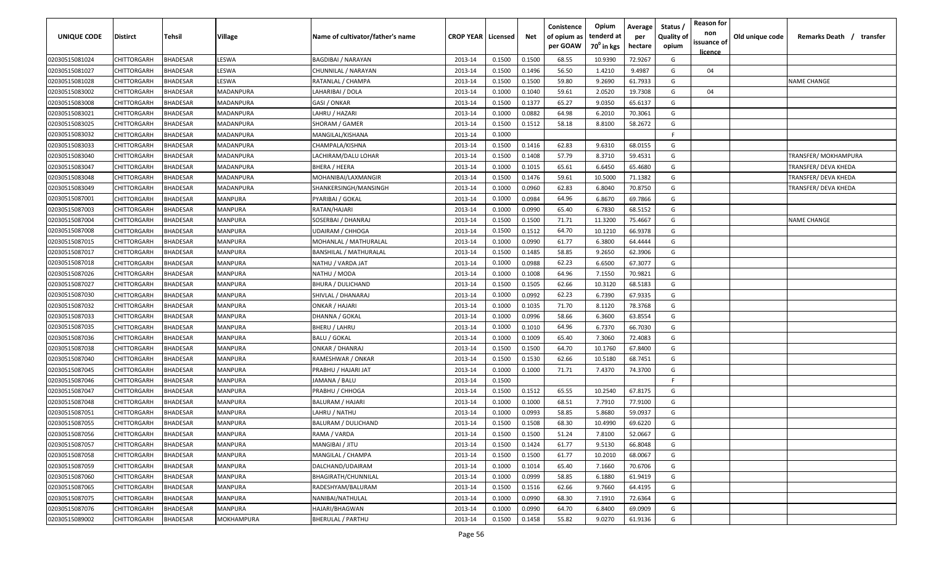| <b>UNIQUE CODE</b> | Distirct           | Tehsil          | Village    | Name of cultivator/father's name | <b>CROP YEAR   Licensed</b> |        | Net    | Conistence<br>of opium as<br>per GOAW | Opium<br>tenderd at<br>70 <sup>0</sup> in kgs | Average<br>per<br>hectare | Status /<br><b>Quality of</b><br>opium | <b>Reason for</b><br>non<br>issuance of | Old unique code | Remarks Death / transfer |
|--------------------|--------------------|-----------------|------------|----------------------------------|-----------------------------|--------|--------|---------------------------------------|-----------------------------------------------|---------------------------|----------------------------------------|-----------------------------------------|-----------------|--------------------------|
| 02030515081024     | CHITTORGARH        | <b>BHADESAR</b> | LESWA      | <b>BAGDIBAI / NARAYAN</b>        | 2013-14                     | 0.1500 | 0.1500 | 68.55                                 | 10.9390                                       | 72.9267                   | G                                      | <u>licence</u>                          |                 |                          |
| 02030515081027     | CHITTORGARH        | BHADESAR        | LESWA      | CHUNNILAL / NARAYAN              | 2013-14                     | 0.1500 | 0.1496 | 56.50                                 | 1.4210                                        | 9.4987                    | G                                      | 04                                      |                 |                          |
| 02030515081028     | CHITTORGARH        | BHADESAR        | LESWA      | RATANLAL / CHAMPA                | 2013-14                     | 0.1500 | 0.1500 | 59.80                                 | 9.2690                                        | 61.7933                   | G                                      |                                         |                 | <b>NAME CHANGE</b>       |
| 02030515083002     | CHITTORGARH        | <b>BHADESAR</b> | MADANPURA  | LAHARIBAI / DOLA                 | 2013-14                     | 0.1000 | 0.1040 | 59.61                                 | 2.0520                                        | 19.7308                   | G                                      | 04                                      |                 |                          |
| 02030515083008     | CHITTORGARH        | BHADESAR        | MADANPURA  | GASI / ONKAR                     | 2013-14                     | 0.1500 | 0.1377 | 65.27                                 | 9.0350                                        | 65.6137                   | G                                      |                                         |                 |                          |
| 02030515083021     | CHITTORGARH        | <b>BHADESAR</b> | MADANPURA  | LAHRU / HAZARI                   | 2013-14                     | 0.1000 | 0.0882 | 64.98                                 | 6.2010                                        | 70.3061                   | G                                      |                                         |                 |                          |
| 02030515083025     | CHITTORGARH        | <b>BHADESAR</b> | MADANPURA  | SHORAM / GAMER                   | 2013-14                     | 0.1500 | 0.1512 | 58.18                                 | 8.8100                                        | 58.2672                   | G                                      |                                         |                 |                          |
| 02030515083032     | CHITTORGARH        | BHADESAR        | MADANPURA  | MANGILAL/KISHANA                 | 2013-14                     | 0.1000 |        |                                       |                                               |                           | -F.                                    |                                         |                 |                          |
| 02030515083033     | CHITTORGARH        | BHADESAR        | MADANPURA  | CHAMPALA/KISHNA                  | 2013-14                     | 0.1500 | 0.1416 | 62.83                                 | 9.6310                                        | 68.0155                   | G                                      |                                         |                 |                          |
| 02030515083040     | CHITTORGARH        | BHADESAR        | MADANPURA  | LACHIRAM/DALU LOHAR              | 2013-14                     | 0.1500 | 0.1408 | 57.79                                 | 8.3710                                        | 59.4531                   | G                                      |                                         |                 | TRANSFER/MOKHAMPURA      |
| 02030515083047     | CHITTORGARH        | BHADESAR        | MADANPURA  | BHERA / HEERA                    | 2013-14                     | 0.1000 | 0.1015 | 65.61                                 | 6.6450                                        | 65.4680                   | G                                      |                                         |                 | TRANSFER/ DEVA KHEDA     |
| 02030515083048     | CHITTORGARH        | BHADESAR        | MADANPURA  | MOHANIBAI/LAXMANGIR              | 2013-14                     | 0.1500 | 0.1476 | 59.61                                 | 10.5000                                       | 71.1382                   | G                                      |                                         |                 | TRANSFER/ DEVA KHEDA     |
| 02030515083049     | CHITTORGARH        | BHADESAR        | MADANPURA  | SHANKERSINGH/MANSINGH            | 2013-14                     | 0.1000 | 0.0960 | 62.83                                 | 6.8040                                        | 70.8750                   | G                                      |                                         |                 | TRANSFER/ DEVA KHEDA     |
| 02030515087001     | CHITTORGARH        | <b>BHADESAR</b> | MANPURA    | PYARIBAI / GOKAL                 | 2013-14                     | 0.1000 | 0.0984 | 64.96                                 | 6.8670                                        | 69.7866                   | G                                      |                                         |                 |                          |
| 02030515087003     | CHITTORGARH        | BHADESAR        | MANPURA    | RATAN/HAJARI                     | 2013-14                     | 0.1000 | 0.0990 | 65.40                                 | 6.7830                                        | 68.5152                   | G                                      |                                         |                 |                          |
| 02030515087004     | CHITTORGARH        | <b>BHADESAR</b> | MANPURA    | SOSERBAI / DHANRAJ               | 2013-14                     | 0.1500 | 0.1500 | 71.71                                 | 11.3200                                       | 75.4667                   | G                                      |                                         |                 | <b>NAME CHANGE</b>       |
| 02030515087008     | CHITTORGARH        | BHADESAR        | MANPURA    | <b>UDAIRAM / CHHOGA</b>          | 2013-14                     | 0.1500 | 0.1512 | 64.70                                 | 10.1210                                       | 66.9378                   | G                                      |                                         |                 |                          |
| 02030515087015     | CHITTORGARH        | BHADESAR        | MANPURA    | MOHANLAL / MATHURALAL            | 2013-14                     | 0.1000 | 0.0990 | 61.77                                 | 6.3800                                        | 64.4444                   | G                                      |                                         |                 |                          |
| 02030515087017     | CHITTORGARH        | BHADESAR        | MANPURA    | BANSHILAL / MATHURALAL           | 2013-14                     | 0.1500 | 0.1485 | 58.85                                 | 9.2650                                        | 62.3906                   | G                                      |                                         |                 |                          |
| 02030515087018     | CHITTORGARH        | <b>BHADESAR</b> | MANPURA    | NATHU / VARDA JAT                | 2013-14                     | 0.1000 | 0.0988 | 62.23                                 | 6.6500                                        | 67.3077                   | G                                      |                                         |                 |                          |
| 02030515087026     | CHITTORGARH        | <b>BHADESAR</b> | MANPURA    | NATHU / MODA                     | 2013-14                     | 0.1000 | 0.1008 | 64.96                                 | 7.1550                                        | 70.9821                   | G                                      |                                         |                 |                          |
| 02030515087027     | CHITTORGARH        | <b>BHADESAR</b> | MANPURA    | BHURA / DULICHAND                | 2013-14                     | 0.1500 | 0.1505 | 62.66                                 | 10.3120                                       | 68.5183                   | G                                      |                                         |                 |                          |
| 02030515087030     | CHITTORGARH        | BHADESAR        | MANPURA    | SHIVLAL / DHANARAJ               | 2013-14                     | 0.1000 | 0.0992 | 62.23                                 | 6.7390                                        | 67.9335                   | G                                      |                                         |                 |                          |
| 02030515087032     | CHITTORGARH        | <b>BHADESAR</b> | MANPURA    | <b>ONKAR / HAJARI</b>            | 2013-14                     | 0.1000 | 0.1035 | 71.70                                 | 8.1120                                        | 78.3768                   | G                                      |                                         |                 |                          |
| 02030515087033     | CHITTORGARH        | BHADESAR        | MANPURA    | DHANNA / GOKAL                   | 2013-14                     | 0.1000 | 0.0996 | 58.66                                 | 6.3600                                        | 63.8554                   | G                                      |                                         |                 |                          |
| 02030515087035     | CHITTORGARH        | BHADESAR        | MANPURA    | BHERU / LAHRU                    | 2013-14                     | 0.1000 | 0.1010 | 64.96                                 | 6.7370                                        | 66.7030                   | G                                      |                                         |                 |                          |
| 02030515087036     | CHITTORGARH        | BHADESAR        | MANPURA    | <b>BALU / GOKAL</b>              | 2013-14                     | 0.1000 | 0.1009 | 65.40                                 | 7.3060                                        | 72.4083                   | G                                      |                                         |                 |                          |
| 02030515087038     | CHITTORGARH        | BHADESAR        | MANPURA    | ONKAR / DHANRAJ                  | 2013-14                     | 0.1500 | 0.1500 | 64.70                                 | 10.1760                                       | 67.8400                   | G                                      |                                         |                 |                          |
| 02030515087040     | CHITTORGARH        | BHADESAR        | MANPURA    | RAMESHWAR / ONKAR                | 2013-14                     | 0.1500 | 0.1530 | 62.66                                 | 10.5180                                       | 68.7451                   | G                                      |                                         |                 |                          |
| 02030515087045     | CHITTORGARH        | BHADESAR        | MANPURA    | PRABHU / HAJARI JAT              | 2013-14                     | 0.1000 | 0.1000 | 71.71                                 | 7.4370                                        | 74.3700                   | G                                      |                                         |                 |                          |
| 02030515087046     | CHITTORGARH        | BHADESAR        | MANPURA    | JAMANA / BALU                    | 2013-14                     | 0.1500 |        |                                       |                                               |                           | F.                                     |                                         |                 |                          |
| 02030515087047     | CHITTORGARH        | <b>BHADESAR</b> | MANPURA    | PRABHU / CHHOGA                  | 2013-14                     | 0.1500 | 0.1512 | 65.55                                 | 10.2540                                       | 67.8175                   | G                                      |                                         |                 |                          |
| 02030515087048     | CHITTORGARH        | BHADESAR        | MANPURA    | <b>BALURAM / HAJARI</b>          | 2013-14                     | 0.1000 | 0.1000 | 68.51                                 | 7.7910                                        | 77.9100                   | G                                      |                                         |                 |                          |
| 02030515087051     | CHITTORGARH        | BHADESAR        | MANPURA    | LAHRU / NATHU                    | 2013-14                     | 0.1000 | 0.0993 | 58.85                                 | 5.8680                                        | 59.0937                   | G                                      |                                         |                 |                          |
| 02030515087055     | CHITTORGARH        | BHADESAR        | MANPURA    | BALURAM / DULICHAND              | 2013-14                     | 0.1500 | 0.1508 | 68.30                                 | 10.4990                                       | 69.6220                   | G                                      |                                         |                 |                          |
| 02030515087056     | <b>CHITTORGARH</b> | <b>BHADESAR</b> | MANPURA    | RAMA / VARDA                     | 2013-14                     | 0.1500 | 0.1500 | 51.24                                 | 7.8100                                        | 52.0667                   | G                                      |                                         |                 |                          |
| 02030515087057     | CHITTORGARH        | <b>BHADESAR</b> | MANPURA    | MANGIBAI / JITU                  | 2013-14                     | 0.1500 | 0.1424 | 61.77                                 | 9.5130                                        | 66.8048                   | G                                      |                                         |                 |                          |
| 02030515087058     | <b>CHITTORGARH</b> | <b>BHADESAR</b> | MANPURA    | MANGILAL / CHAMPA                | 2013-14                     | 0.1500 | 0.1500 | 61.77                                 | 10.2010                                       | 68.0067                   | G                                      |                                         |                 |                          |
| 02030515087059     | <b>CHITTORGARH</b> | <b>BHADESAR</b> | MANPURA    | DALCHAND/UDAIRAM                 | 2013-14                     | 0.1000 | 0.1014 | 65.40                                 | 7.1660                                        | 70.6706                   | G                                      |                                         |                 |                          |
| 02030515087060     | <b>CHITTORGARH</b> | BHADESAR        | MANPURA    | BHAGIRATH/CHUNNILAL              | 2013-14                     | 0.1000 | 0.0999 | 58.85                                 | 6.1880                                        | 61.9419                   | G                                      |                                         |                 |                          |
| 02030515087065     | <b>CHITTORGARH</b> | BHADESAR        | MANPURA    | RADESHYAM/BALURAM                | 2013-14                     | 0.1500 | 0.1516 | 62.66                                 | 9.7660                                        | 64.4195                   | G                                      |                                         |                 |                          |
| 02030515087075     | CHITTORGARH        | <b>BHADESAR</b> | MANPURA    | NANIBAI/NATHULAL                 | 2013-14                     | 0.1000 | 0.0990 | 68.30                                 | 7.1910                                        | 72.6364                   | G                                      |                                         |                 |                          |
| 02030515087076     | CHITTORGARH        | BHADESAR        | MANPURA    | HAJARI/BHAGWAN                   | 2013-14                     | 0.1000 | 0.0990 | 64.70                                 | 6.8400                                        | 69.0909                   | G                                      |                                         |                 |                          |
| 02030515089002     | <b>CHITTORGARH</b> | <b>BHADESAR</b> | MOKHAMPURA | <b>BHERULAL / PARTHU</b>         | 2013-14                     | 0.1500 | 0.1458 | 55.82                                 | 9.0270                                        | 61.9136                   | G                                      |                                         |                 |                          |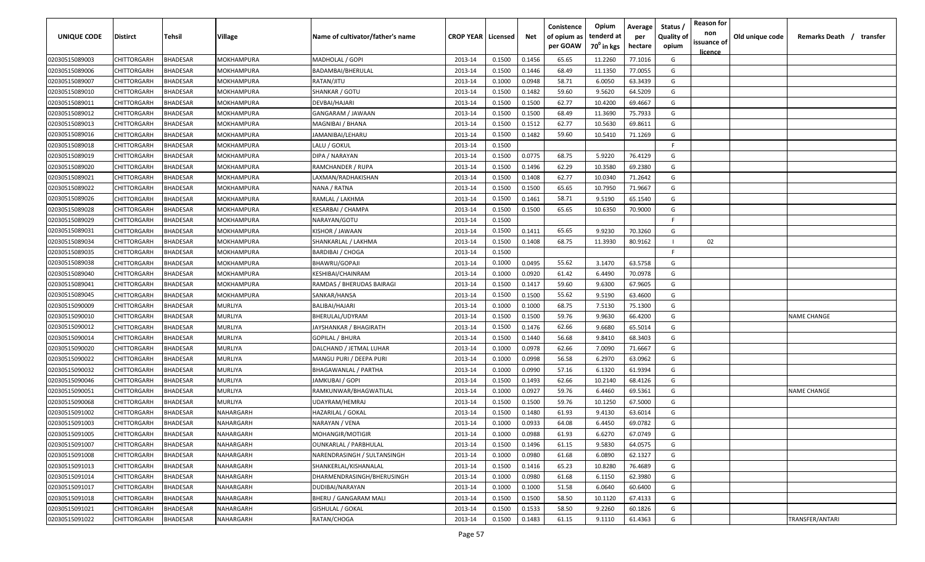| <b>UNIQUE CODE</b> | Distirct           | Tehsil          | Village           | Name of cultivator/father's name | <b>CROP YEAR   Licensed</b> |        | Net    | Conistence<br>of opium as | Opium<br>tenderd at    | Average<br>per | Status /<br><b>Quality of</b> | <b>Reason for</b><br>non<br>issuance of | Old unique code | Remarks Death / transfer |
|--------------------|--------------------|-----------------|-------------------|----------------------------------|-----------------------------|--------|--------|---------------------------|------------------------|----------------|-------------------------------|-----------------------------------------|-----------------|--------------------------|
|                    |                    |                 |                   |                                  |                             |        |        | per GOAW                  | 70 <sup>0</sup> in kgs | hectare        | opium                         | <u>licence</u>                          |                 |                          |
| 02030515089003     | CHITTORGARH        | <b>BHADESAR</b> | MOKHAMPURA        | MADHOLAL / GOPI                  | 2013-14                     | 0.1500 | 0.1456 | 65.65                     | 11.2260                | 77.1016        | G                             |                                         |                 |                          |
| 02030515089006     | CHITTORGARH        | BHADESAR        | MOKHAMPURA        | BADAMBAI/BHERULAL                | 2013-14                     | 0.1500 | 0.1446 | 68.49                     | 11.1350                | 77.0055        | G                             |                                         |                 |                          |
| 02030515089007     | CHITTORGARH        | BHADESAR        | MOKHAMPURA        | RATAN/JITU                       | 2013-14                     | 0.1000 | 0.0948 | 58.71                     | 6.0050                 | 63.3439        | G                             |                                         |                 |                          |
| 02030515089010     | CHITTORGARH        | BHADESAR        | MOKHAMPURA        | SHANKAR / GOTU                   | 2013-14                     | 0.1500 | 0.1482 | 59.60                     | 9.5620                 | 64.5209        | G                             |                                         |                 |                          |
| 02030515089011     | CHITTORGARH        | BHADESAR        | MOKHAMPURA        | DEVBAI/HAJARI                    | 2013-14                     | 0.1500 | 0.1500 | 62.77                     | 10.4200                | 69.4667        | G                             |                                         |                 |                          |
| 02030515089012     | CHITTORGARH        | <b>BHADESAR</b> | MOKHAMPURA        | GANGARAM / JAWAAN                | 2013-14                     | 0.1500 | 0.1500 | 68.49                     | 11.3690                | 75.7933        | G                             |                                         |                 |                          |
| 02030515089013     | CHITTORGARH        | <b>BHADESAR</b> | MOKHAMPURA        | MAGNIBAI / BHANA                 | 2013-14                     | 0.1500 | 0.1512 | 62.77                     | 10.5630                | 69.8611        | G                             |                                         |                 |                          |
| 02030515089016     | CHITTORGARH        | BHADESAR        | MOKHAMPURA        | JAMANIBAI/LEHARU                 | 2013-14                     | 0.1500 | 0.1482 | 59.60                     | 10.5410                | 71.1269        | G                             |                                         |                 |                          |
| 02030515089018     | CHITTORGARH        | BHADESAR        | MOKHAMPURA        | LALU / GOKUL                     | 2013-14                     | 0.1500 |        |                           |                        |                | -F.                           |                                         |                 |                          |
| 02030515089019     | CHITTORGARH        | BHADESAR        | MOKHAMPURA        | DIPA / NARAYAN                   | 2013-14                     | 0.1500 | 0.0775 | 68.75                     | 5.9220                 | 76.4129        | G                             |                                         |                 |                          |
| 02030515089020     | CHITTORGARH        | BHADESAR        | MOKHAMPURA        | RAMCHANDER / RUPA                | 2013-14                     | 0.1500 | 0.1496 | 62.29                     | 10.3580                | 69.2380        | G                             |                                         |                 |                          |
| 02030515089021     | CHITTORGARH        | BHADESAR        | MOKHAMPURA        | LAXMAN/RADHAKISHAN               | 2013-14                     | 0.1500 | 0.1408 | 62.77                     | 10.0340                | 71.2642        | G                             |                                         |                 |                          |
| 02030515089022     | CHITTORGARH        | BHADESAR        | MOKHAMPURA        | NANA / RATNA                     | 2013-14                     | 0.1500 | 0.1500 | 65.65                     | 10.7950                | 71.9667        | G                             |                                         |                 |                          |
| 02030515089026     | CHITTORGARH        | <b>BHADESAR</b> | MOKHAMPURA        | RAMLAL / LAKHMA                  | 2013-14                     | 0.1500 | 0.1461 | 58.71                     | 9.5190                 | 65.1540        | G                             |                                         |                 |                          |
| 02030515089028     | CHITTORGARH        | BHADESAR        | MOKHAMPURA        | KESARBAI / CHAMPA                | 2013-14                     | 0.1500 | 0.1500 | 65.65                     | 10.6350                | 70.9000        | G                             |                                         |                 |                          |
| 02030515089029     | CHITTORGARH        | <b>BHADESAR</b> | MOKHAMPURA        | NARAYAN/GOTU                     | 2013-14                     | 0.1500 |        |                           |                        |                | F.                            |                                         |                 |                          |
| 02030515089031     | CHITTORGARH        | <b>BHADESAR</b> | MOKHAMPURA        | KISHOR / JAWAAN                  | 2013-14                     | 0.1500 | 0.1411 | 65.65                     | 9.9230                 | 70.3260        | G                             |                                         |                 |                          |
| 02030515089034     | CHITTORGARH        | BHADESAR        | MOKHAMPURA        | SHANKARLAL / LAKHMA              | 2013-14                     | 0.1500 | 0.1408 | 68.75                     | 11.3930                | 80.9162        |                               | 02                                      |                 |                          |
| 02030515089035     | CHITTORGARH        | BHADESAR        | MOKHAMPURA        | <b>BARDIBAI / CHOGA</b>          | 2013-14                     | 0.1500 |        |                           |                        |                | -F.                           |                                         |                 |                          |
| 02030515089038     | CHITTORGARH        | BHADESAR        | <b>MOKHAMPURA</b> | BHAWRU/GOPAJI                    | 2013-14                     | 0.1000 | 0.0495 | 55.62                     | 3.1470                 | 63.5758        | G                             |                                         |                 |                          |
| 02030515089040     | CHITTORGARH        | <b>BHADESAR</b> | MOKHAMPURA        | <b>KESHIBAI/CHAINRAM</b>         | 2013-14                     | 0.1000 | 0.0920 | 61.42                     | 6.4490                 | 70.0978        | G                             |                                         |                 |                          |
| 02030515089041     | CHITTORGARH        | <b>BHADESAR</b> | MOKHAMPURA        | RAMDAS / BHERUDAS BAIRAGI        | 2013-14                     | 0.1500 | 0.1417 | 59.60                     | 9.6300                 | 67.9605        | G                             |                                         |                 |                          |
| 02030515089045     | CHITTORGARH        | <b>BHADESAR</b> | MOKHAMPURA        | SANKAR/HANSA                     | 2013-14                     | 0.1500 | 0.1500 | 55.62                     | 9.5190                 | 63.4600        | G                             |                                         |                 |                          |
| 02030515090009     | CHITTORGARH        | BHADESAR        | MURLIYA           | BALIBAI/HAJARI                   | 2013-14                     | 0.1000 | 0.1000 | 68.75                     | 7.5130                 | 75.1300        | G                             |                                         |                 |                          |
| 02030515090010     | CHITTORGARH        | BHADESAR        | MURLIYA           | BHERULAL/UDYRAM                  | 2013-14                     | 0.1500 | 0.1500 | 59.76                     | 9.9630                 | 66.4200        | G                             |                                         |                 | <b>NAME CHANGE</b>       |
| 02030515090012     | CHITTORGARH        | BHADESAR        | MURLIYA           | JAYSHANKAR / BHAGIRATH           | 2013-14                     | 0.1500 | 0.1476 | 62.66                     | 9.6680                 | 65.5014        | G                             |                                         |                 |                          |
| 02030515090014     | CHITTORGARH        | BHADESAR        | MURLIYA           | GOPILAL / BHURA                  | 2013-14                     | 0.1500 | 0.1440 | 56.68                     | 9.8410                 | 68.3403        | G                             |                                         |                 |                          |
| 02030515090020     | CHITTORGARH        | <b>BHADESAR</b> | MURLIYA           | DALCHAND / JETMAL LUHAR          | 2013-14                     | 0.1000 | 0.0978 | 62.66                     | 7.0090                 | 71.6667        | G                             |                                         |                 |                          |
| 02030515090022     | CHITTORGARH        | BHADESAR        | MURLIYA           | MANGU PURI / DEEPA PURI          | 2013-14                     | 0.1000 | 0.0998 | 56.58                     | 6.2970                 | 63.0962        | G                             |                                         |                 |                          |
| 02030515090032     | CHITTORGARH        | BHADESAR        | MURLIYA           | BHAGAWANLAL / PARTHA             | 2013-14                     | 0.1000 | 0.0990 | 57.16                     | 6.1320                 | 61.9394        | G                             |                                         |                 |                          |
| 02030515090046     | CHITTORGARH        | BHADESAR        | MURLIYA           | JAMKUBAI / GOPI                  | 2013-14                     | 0.1500 | 0.1493 | 62.66                     | 10.2140                | 68.4126        | G                             |                                         |                 |                          |
| 02030515090051     | CHITTORGARH        | BHADESAR        | MURLIYA           | RAMKUNWAR/BHAGWATILAL            | 2013-14                     | 0.1000 | 0.0927 | 59.76                     | 6.4460                 | 69.5361        | G                             |                                         |                 | <b>NAME CHANGE</b>       |
| 02030515090068     | CHITTORGARH        | BHADESAR        | MURLIYA           | UDAYRAM/HEMRAJ                   | 2013-14                     | 0.1500 | 0.1500 | 59.76                     | 10.1250                | 67.5000        | G                             |                                         |                 |                          |
| 02030515091002     | CHITTORGARH        | BHADESAR        | NAHARGARH         | HAZARILAL / GOKAL                | 2013-14                     | 0.1500 | 0.1480 | 61.93                     | 9.4130                 | 63.6014        | G                             |                                         |                 |                          |
| 02030515091003     | CHITTORGARH        | BHADESAR        | NAHARGARH         | NARAYAN / VENA                   | 2013-14                     | 0.1000 | 0.0933 | 64.08                     | 6.4450                 | 69.0782        | G                             |                                         |                 |                          |
| 02030515091005     | <b>CHITTORGARH</b> | <b>BHADESAR</b> | NAHARGARH         | MOHANGIR/MOTIGIR                 | 2013-14                     | 0.1000 | 0.0988 | 61.93                     | 6.6270                 | 67.0749        | G                             |                                         |                 |                          |
| 02030515091007     | CHITTORGARH        | <b>BHADESAR</b> | NAHARGARH         | <b>OUNKARLAL / PARBHULAL</b>     | 2013-14                     | 0.1500 | 0.1496 | 61.15                     | 9.5830                 | 64.0575        | G                             |                                         |                 |                          |
| 02030515091008     | CHITTORGARH        | <b>BHADESAR</b> | NAHARGARH         | NARENDRASINGH / SULTANSINGH      | 2013-14                     | 0.1000 | 0.0980 | 61.68                     | 6.0890                 | 62.1327        | G                             |                                         |                 |                          |
| 02030515091013     | <b>CHITTORGARH</b> | <b>BHADESAR</b> | NAHARGARH         | SHANKERLAL/KISHANALAL            | 2013-14                     | 0.1500 | 0.1416 | 65.23                     | 10.8280                | 76.4689        | G                             |                                         |                 |                          |
| 02030515091014     | CHITTORGARH        | BHADESAR        | NAHARGARH         | DHARMENDRASINGH/BHERUSINGH       | 2013-14                     | 0.1000 | 0.0980 | 61.68                     | 6.1150                 | 62.3980        | G                             |                                         |                 |                          |
| 02030515091017     | <b>CHITTORGARH</b> | BHADESAR        | NAHARGARH         | DUDIBAI/NARAYAN                  | 2013-14                     | 0.1000 | 0.1000 | 51.58                     | 6.0640                 | 60.6400        | G                             |                                         |                 |                          |
| 02030515091018     | CHITTORGARH        | BHADESAR        | NAHARGARH         | BHERU / GANGARAM MALI            | 2013-14                     | 0.1500 | 0.1500 | 58.50                     | 10.1120                | 67.4133        | G                             |                                         |                 |                          |
| 02030515091021     | CHITTORGARH        | BHADESAR        | NAHARGARH         | <b>GISHULAL / GOKAL</b>          | 2013-14                     | 0.1500 | 0.1533 | 58.50                     | 9.2260                 | 60.1826        | G                             |                                         |                 |                          |
| 02030515091022     | CHITTORGARH        | BHADESAR        | NAHARGARH         | RATAN/CHOGA                      | 2013-14                     | 0.1500 | 0.1483 | 61.15                     | 9.1110                 | 61.4363        | G                             |                                         |                 | TRANSFER/ANTARI          |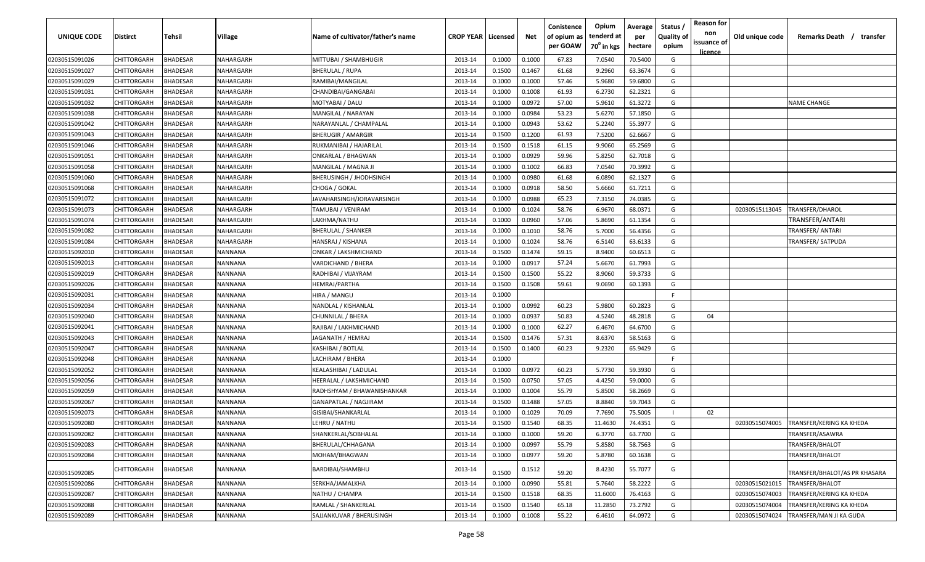| UNIQUE CODE    | <b>Distirct</b>    | <b>Tehsil</b>   | Village          | Name of cultivator/father's name | <b>CROP YEAR   Licensed</b> |        | Net    | Conistence<br>of opium as<br>per GOAW | Opium<br>tenderd at<br>70 <sup>0</sup> in kgs | Average<br>per<br>hectare | Status /<br><b>Quality of</b><br>opium | <b>Reason for</b><br>non<br>issuance of<br><u>licence</u> | Old unique code | Remarks Death /<br>transfer   |
|----------------|--------------------|-----------------|------------------|----------------------------------|-----------------------------|--------|--------|---------------------------------------|-----------------------------------------------|---------------------------|----------------------------------------|-----------------------------------------------------------|-----------------|-------------------------------|
| 02030515091026 | CHITTORGARH        | BHADESAR        | NAHARGARH        | MITTUBAI / SHAMBHUGIR            | 2013-14                     | 0.1000 | 0.1000 | 67.83                                 | 7.0540                                        | 70.5400                   | G                                      |                                                           |                 |                               |
| 02030515091027 | CHITTORGARH        | <b>BHADESAR</b> | NAHARGARH        | BHERULAL / RUPA                  | 2013-14                     | 0.1500 | 0.1467 | 61.68                                 | 9.2960                                        | 63.3674                   | G                                      |                                                           |                 |                               |
| 02030515091029 | CHITTORGARH        | <b>BHADESAR</b> | NAHARGARH        | RAMIBAI/MANGILAL                 | 2013-14                     | 0.1000 | 0.1000 | 57.46                                 | 5.9680                                        | 59.6800                   | G                                      |                                                           |                 |                               |
| 02030515091031 | CHITTORGARH        | <b>HADESAR</b>  | NAHARGARH        | CHANDIBAI/GANGABAI               | 2013-14                     | 0.1000 | 0.1008 | 61.93                                 | 6.2730                                        | 62.2321                   | G                                      |                                                           |                 |                               |
| 02030515091032 | CHITTORGARH        | <b>BHADESAR</b> | NAHARGARH        | MOTYABAI / DALU                  | 2013-14                     | 0.1000 | 0.0972 | 57.00                                 | 5.9610                                        | 61.3272                   | G                                      |                                                           |                 | <b>NAME CHANGE</b>            |
| 02030515091038 | CHITTORGARH        | <b>BHADESAR</b> | NAHARGARH        | MANGILAL / NARAYAN               | 2013-14                     | 0.1000 | 0.0984 | 53.23                                 | 5.6270                                        | 57.1850                   | G                                      |                                                           |                 |                               |
| 02030515091042 | CHITTORGARH        | <b>BHADESAR</b> | NAHARGARH        | NARAYANLAL / CHAMPALAL           | 2013-14                     | 0.1000 | 0.0943 | 53.62                                 | 5.2240                                        | 55.3977                   | G                                      |                                                           |                 |                               |
| 02030515091043 | CHITTORGARH        | <b>HADESAR</b>  | NAHARGARH        | BHERUGIR / AMARGIR               | 2013-14                     | 0.1500 | 0.1200 | 61.93                                 | 7.5200                                        | 62.6667                   | G                                      |                                                           |                 |                               |
| 02030515091046 | CHITTORGARH        | <b>HADESAR</b>  | NAHARGARH        | RUKMANIBAI / HAJARILAL           | 2013-14                     | 0.1500 | 0.1518 | 61.15                                 | 9.9060                                        | 65.2569                   | G                                      |                                                           |                 |                               |
| 02030515091051 | CHITTORGARH        | <b>HADESAR</b>  | NAHARGARH        | ONKARLAL / BHAGWAN               | 2013-14                     | 0.1000 | 0.0929 | 59.96                                 | 5.8250                                        | 62.7018                   | G                                      |                                                           |                 |                               |
| 02030515091058 | CHITTORGARH        | 3HADESAR        | NAHARGARH        | MANGILAL / MAGNA JI              | 2013-14                     | 0.1000 | 0.1002 | 66.83                                 | 7.0540                                        | 70.3992                   | G                                      |                                                           |                 |                               |
| 02030515091060 | CHITTORGARH        | 3HADESAR        | NAHARGARH        | BHERUSINGH / JHODHSINGH          | 2013-14                     | 0.1000 | 0.0980 | 61.68                                 | 6.0890                                        | 62.1327                   | G                                      |                                                           |                 |                               |
| 02030515091068 | CHITTORGARH        | <b>HADESAR</b>  | NAHARGARH        | CHOGA / GOKAL                    | 2013-14                     | 0.1000 | 0.0918 | 58.50                                 | 5.6660                                        | 61.7211                   | G                                      |                                                           |                 |                               |
| 02030515091072 | CHITTORGARH        | <b>BHADESAR</b> | NAHARGARH        | JAVAHARSINGH/JORAVARSINGH        | 2013-14                     | 0.1000 | 0.0988 | 65.23                                 | 7.3150                                        | 74.0385                   | G                                      |                                                           |                 |                               |
| 02030515091073 | CHITTORGARH        | <b>BHADESAR</b> | NAHARGARH        | TAMUBAI / VENIRAM                | 2013-14                     | 0.1000 | 0.1024 | 58.76                                 | 6.9670                                        | 68.0371                   | G                                      |                                                           | 02030515113045  | TRANSFER/DHAROL               |
| 02030515091074 | CHITTORGARH        | <b>HADESAR</b>  | NAHARGARH        | LAKHMA/NATHU                     | 2013-14                     | 0.1000 | 0.0960 | 57.06                                 | 5.8690                                        | 61.1354                   | G                                      |                                                           |                 | TRANSFER/ANTARI               |
| 02030515091082 | CHITTORGARH        | <b>HADESAR</b>  | NAHARGARH        | BHERULAL / SHANKER               | 2013-14                     | 0.1000 | 0.1010 | 58.76                                 | 5.7000                                        | 56.4356                   | G                                      |                                                           |                 | TRANSFER/ ANTARI              |
| 02030515091084 | CHITTORGARH        | <b>BHADESAR</b> | <b>NAHARGARH</b> | HANSRAJ / KISHANA                | 2013-14                     | 0.1000 | 0.1024 | 58.76                                 | 6.5140                                        | 63.6133                   | G                                      |                                                           |                 | <b>TRANSFER/ SATPUDA</b>      |
| 02030515092010 | CHITTORGARH        | <b>BHADESAR</b> | NANNANA          | ONKAR / LAKSHMICHAND             | 2013-14                     | 0.1500 | 0.1474 | 59.15                                 | 8.9400                                        | 60.6513                   | G                                      |                                                           |                 |                               |
| 02030515092013 | CHITTORGARH        | 3HADESAR        | NANNANA          | VARDICHAND / BHERA               | 2013-14                     | 0.1000 | 0.0917 | 57.24                                 | 5.6670                                        | 61.7993                   | G                                      |                                                           |                 |                               |
| 02030515092019 | CHITTORGARH        | <b>HADESAR</b>  | NANNANA          | RADHIBAI / VIJAYRAM              | 2013-14                     | 0.1500 | 0.1500 | 55.22                                 | 8.9060                                        | 59.3733                   | G                                      |                                                           |                 |                               |
| 02030515092026 | CHITTORGARH        | <b>BHADESAR</b> | NANNANA          | HEMRAJ/PARTHA                    | 2013-14                     | 0.1500 | 0.1508 | 59.61                                 | 9.0690                                        | 60.1393                   | G                                      |                                                           |                 |                               |
| 02030515092031 | CHITTORGARH        | <b>BHADESAR</b> | NANNANA          | HIRA / MANGU                     | 2013-14                     | 0.1000 |        |                                       |                                               |                           | F.                                     |                                                           |                 |                               |
| 02030515092034 | CHITTORGARH        | <b>BHADESAR</b> | NANNANA          | NANDLAL / KISHANLAL              | 2013-14                     | 0.1000 | 0.0992 | 60.23                                 | 5.9800                                        | 60.2823                   | G                                      |                                                           |                 |                               |
| 02030515092040 | CHITTORGARH        | <b>HADESAR</b>  | NANNANA          | CHUNNILAL / BHERA                | 2013-14                     | 0.1000 | 0.0937 | 50.83                                 | 4.5240                                        | 48.2818                   | G                                      | 04                                                        |                 |                               |
| 02030515092041 | CHITTORGARH        | <b>BHADESAR</b> | NANNANA          | RAJIBAI / LAKHMICHAND            | 2013-14                     | 0.1000 | 0.1000 | 62.27                                 | 6.4670                                        | 64.6700                   | G                                      |                                                           |                 |                               |
| 02030515092043 | CHITTORGARH        | <b>HADESAR</b>  | NANNANA          | JAGANATH / HEMRAJ                | 2013-14                     | 0.1500 | 0.1476 | 57.31                                 | 8.6370                                        | 58.5163                   | G                                      |                                                           |                 |                               |
| 02030515092047 | CHITTORGARH        | 3HADESAR        | NANNANA          | KASHIBAI / BOTLAL                | 2013-14                     | 0.1500 | 0.1400 | 60.23                                 | 9.2320                                        | 65.9429                   | G                                      |                                                           |                 |                               |
| 02030515092048 | CHITTORGARH        | <b>HADESAR</b>  | NANNANA          | LACHIRAM / BHERA                 | 2013-14                     | 0.1000 |        |                                       |                                               |                           | F.                                     |                                                           |                 |                               |
| 02030515092052 | CHITTORGARH        | <b>BHADESAR</b> | NANNANA          | KEALASHIBAI / LADULAL            | 2013-14                     | 0.1000 | 0.0972 | 60.23                                 | 5.7730                                        | 59.3930                   | G                                      |                                                           |                 |                               |
| 02030515092056 | CHITTORGARH        | <b>BHADESAR</b> | NANNANA          | HEERALAL / LAKSHMICHAND          | 2013-14                     | 0.1500 | 0.0750 | 57.05                                 | 4.4250                                        | 59.0000                   | G                                      |                                                           |                 |                               |
| 02030515092059 | CHITTORGARH        | <b>BHADESAR</b> | NANNANA          | RADHSHYAM / BHAWANISHANKAR       | 2013-14                     | 0.1000 | 0.1004 | 55.79                                 | 5.8500                                        | 58.2669                   | G                                      |                                                           |                 |                               |
| 02030515092067 | CHITTORGARH        | <b>BHADESAR</b> | <b>NANNANA</b>   | GANAPATLAL / NAGJIRAM            | 2013-14                     | 0.1500 | 0.1488 | 57.05                                 | 8.8840                                        | 59.7043                   | G                                      |                                                           |                 |                               |
| 02030515092073 | <b>CHITTORGARH</b> | <b>BHADESAR</b> | NANNANA          | GISIBAI/SHANKARLAL               | 2013-14                     | 0.1000 | 0.1029 | 70.09                                 | 7.7690                                        | 75.5005                   |                                        | 02                                                        |                 |                               |
| 02030515092080 | CHITTORGARH        | <b>BHADESAR</b> | NANNANA          | LEHRU / NATHU                    | 2013-14                     | 0.1500 | 0.1540 | 68.35                                 | 11.4630                                       | 74.4351                   | G                                      |                                                           | 02030515074005  | TRANSFER/KERING KA KHEDA      |
| 02030515092082 | CHITTORGARH        | BHADESAR        | NANNANA          | SHANKERLAL/SOBHALAL              | 2013-14                     | 0.1000 | 0.1000 | 59.20                                 | 6.3770                                        | 63.7700                   | G                                      |                                                           |                 | TRANSFER/ASAWRA               |
| 02030515092083 | CHITTORGARH        | <b>BHADESAR</b> | NANNANA          | BHERULAL/CHHAGANA                | 2013-14                     | 0.1000 | 0.0997 | 55.79                                 | 5.8580                                        | 58.7563                   | G                                      |                                                           |                 | TRANSFER/BHALOT               |
| 02030515092084 | CHITTORGARH        | <b>BHADESAR</b> | NANNANA          | MOHAM/BHAGWAN                    | 2013-14                     | 0.1000 | 0.0977 | 59.20                                 | 5.8780                                        | 60.1638                   | G                                      |                                                           |                 | TRANSFER/BHALOT               |
| 02030515092085 | CHITTORGARH        | <b>HADESAR</b>  | NANNANA          | BARDIBAI/SHAMBHU                 | 2013-14                     | 0.1500 | 0.1512 | 59.20                                 | 8.4230                                        | 55.7077                   | G                                      |                                                           |                 | TRANSFER/BHALOT/AS PR KHASARA |
| 02030515092086 | CHITTORGARH        | <b>BHADESAR</b> | <b>NANNANA</b>   | SERKHA/JAMALKHA                  | 2013-14                     | 0.1000 | 0.0990 | 55.81                                 | 5.7640                                        | 58.2222                   | G                                      |                                                           | 02030515021015  | TRANSFER/BHALOT               |
| 02030515092087 | CHITTORGARH        | <b>BHADESAR</b> | <b>NANNANA</b>   | NATHU / CHAMPA                   | 2013-14                     | 0.1500 | 0.1518 | 68.35                                 | 11.6000                                       | 76.4163                   | G                                      |                                                           | 02030515074003  | TRANSFER/KERING KA KHEDA      |
| 02030515092088 | CHITTORGARH        | <b>BHADESAR</b> | NANNANA          | RAMLAL / SHANKERLAL              | 2013-14                     | 0.1500 | 0.1540 | 65.18                                 | 11.2850                                       | 73.2792                   | G                                      |                                                           | 02030515074004  | TRANSFER/KERING KA KHEDA      |
| 02030515092089 | CHITTORGARH        | BHADESAR        | NANNANA          | SAJJANKUVAR / BHERUSINGH         | 2013-14                     | 0.1000 | 0.1008 | 55.22                                 | 6.4610                                        | 64.0972                   | G                                      |                                                           | 02030515074024  | TRANSFER/MAN JI KA GUDA       |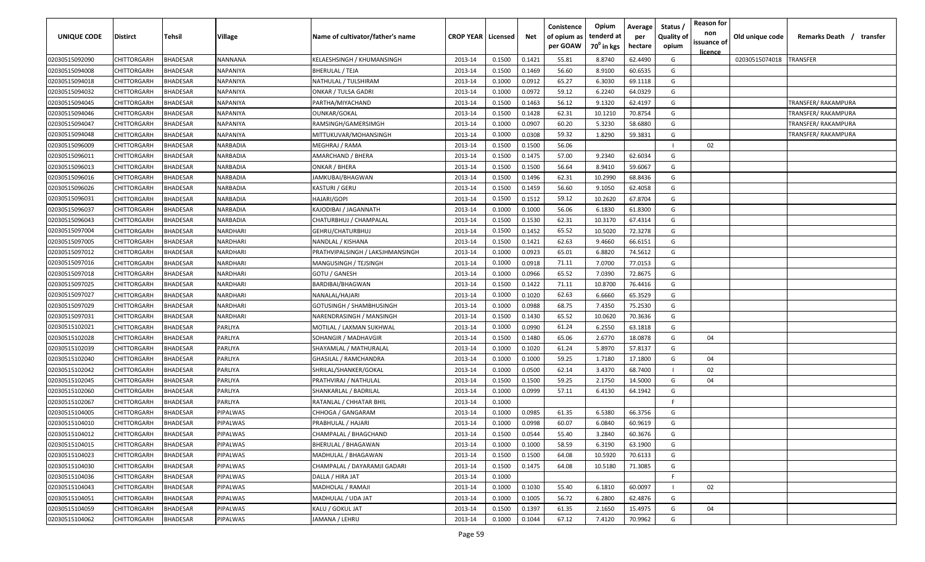| UNIQUE CODE    | <b>Distirct</b>    | Tehsil          | Village         | Name of cultivator/father's name | <b>CROP YEAR   Licensed</b> |        | Net    | Conistence<br>of opium as<br>per GOAW | Opium<br>tenderd at<br>70 <sup>0</sup> in kgs | Average<br>per<br>hectare | Status /<br><b>Quality of</b><br>opium | <b>Reason for</b><br>non<br>issuance of<br>licence | Old unique code | Remarks Death / transfer |
|----------------|--------------------|-----------------|-----------------|----------------------------------|-----------------------------|--------|--------|---------------------------------------|-----------------------------------------------|---------------------------|----------------------------------------|----------------------------------------------------|-----------------|--------------------------|
| 02030515092090 | <b>CHITTORGARH</b> | <b>BHADESAR</b> | NANNANA         | KELAESHSINGH / KHUMANSINGH       | 2013-14                     | 0.1500 | 0.1421 | 55.81                                 | 8.8740                                        | 62.4490                   | G                                      |                                                    | 02030515074018  | <b>TRANSFER</b>          |
| 02030515094008 | CHITTORGARH        | <b>BHADESAR</b> | NAPANIYA        | <b>BHERULAL / TEJA</b>           | 2013-14                     | 0.1500 | 0.1469 | 56.60                                 | 8.9100                                        | 60.6535                   | G                                      |                                                    |                 |                          |
| 02030515094018 | CHITTORGARH        | <b>BHADESAR</b> | NAPANIYA        | NATHULAL / TULSHIRAM             | 2013-14                     | 0.1000 | 0.0912 | 65.27                                 | 6.3030                                        | 69.1118                   | G                                      |                                                    |                 |                          |
| 02030515094032 | CHITTORGARH        | <b>BHADESAR</b> | NAPANIYA        | ONKAR / TULSA GADRI              | 2013-14                     | 0.1000 | 0.0972 | 59.12                                 | 6.2240                                        | 64.0329                   | G                                      |                                                    |                 |                          |
| 02030515094045 | CHITTORGARH        | <b>BHADESAR</b> | NAPANIYA        | PARTHA/MIYACHAND                 | 2013-14                     | 0.1500 | 0.1463 | 56.12                                 | 9.1320                                        | 62.4197                   | G                                      |                                                    |                 | TRANSFER/ RAKAMPURA      |
| 02030515094046 | CHITTORGARH        | <b>BHADESAR</b> | NAPANIYA        | OUNKAR/GOKAL                     | 2013-14                     | 0.1500 | 0.1428 | 62.31                                 | 10.1210                                       | 70.8754                   | G                                      |                                                    |                 | TRANSFER/ RAKAMPURA      |
| 02030515094047 | CHITTORGARH        | <b>BHADESAR</b> | NAPANIYA        | RAMSINGH/GAMERSIMGH              | 2013-14                     | 0.1000 | 0.0907 | 60.20                                 | 5.3230                                        | 58.6880                   | G                                      |                                                    |                 | TRANSFER/ RAKAMPURA      |
| 02030515094048 | CHITTORGARH        | <b>BHADESAR</b> | NAPANIYA        | MITTUKUVAR/MOHANSINGH            | 2013-14                     | 0.1000 | 0.0308 | 59.32                                 | 1.8290                                        | 59.3831                   | G                                      |                                                    |                 | TRANSFER/ RAKAMPURA      |
| 02030515096009 | CHITTORGARH        | <b>BHADESAR</b> | NARBADIA        | MEGHRAJ / RAMA                   | 2013-14                     | 0.1500 | 0.1500 | 56.06                                 |                                               |                           |                                        | 02                                                 |                 |                          |
| 02030515096011 | CHITTORGARH        | <b>BHADESAR</b> | NARBADIA        | AMARCHAND / BHERA                | 2013-14                     | 0.1500 | 0.1475 | 57.00                                 | 9.2340                                        | 62.6034                   | G                                      |                                                    |                 |                          |
| 02030515096013 | CHITTORGARH        | BHADESAR        | VARBADIA        | ONKAR / BHERA                    | 2013-14                     | 0.1500 | 0.1500 | 56.64                                 | 8.9410                                        | 59.6067                   | G                                      |                                                    |                 |                          |
| 02030515096016 | CHITTORGARH        | <b>BHADESAR</b> | <b>NARBADIA</b> | IAMKUBAI/BHAGWAN                 | 2013-14                     | 0.1500 | 0.1496 | 62.31                                 | 10.2990                                       | 68.8436                   | G                                      |                                                    |                 |                          |
| 02030515096026 | CHITTORGARH        | <b>BHADESAR</b> | <b>VARBADIA</b> | KASTURI / GERU                   | 2013-14                     | 0.1500 | 0.1459 | 56.60                                 | 9.1050                                        | 62.4058                   | G                                      |                                                    |                 |                          |
| 02030515096031 | CHITTORGARH        | <b>BHADESAR</b> | NARBADIA        | HAJARI/GOPI                      | 2013-14                     | 0.1500 | 0.1512 | 59.12                                 | 10.2620                                       | 67.8704                   | G                                      |                                                    |                 |                          |
| 02030515096037 | CHITTORGARH        | <b>BHADESAR</b> | NARBADIA        | KAJODIBAI / JAGANNATH            | 2013-14                     | 0.1000 | 0.1000 | 56.06                                 | 6.1830                                        | 61.8300                   | G                                      |                                                    |                 |                          |
| 02030515096043 | CHITTORGARH        | <b>BHADESAR</b> | NARBADIA        | CHATURBHUJ / CHAMPALAL           | 2013-14                     | 0.1500 | 0.1530 | 62.31                                 | 10.3170                                       | 67.4314                   | G                                      |                                                    |                 |                          |
| 02030515097004 | CHITTORGARH        | <b>BHADESAR</b> | NARDHARI        | GEHRU/CHATURBHUJ                 | 2013-14                     | 0.1500 | 0.1452 | 65.52                                 | 10.5020                                       | 72.3278                   | G                                      |                                                    |                 |                          |
| 02030515097005 | CHITTORGARH        | <b>BHADESAR</b> | NARDHARI        | NANDLAL / KISHANA                | 2013-14                     | 0.1500 | 0.1421 | 62.63                                 | 9.4660                                        | 66.6151                   | G                                      |                                                    |                 |                          |
| 02030515097012 | CHITTORGARH        | <b>BHADESAR</b> | NARDHARI        | PRATHVIPALSINGH / LAKSJHMANSINGH | 2013-14                     | 0.1000 | 0.0923 | 65.01                                 | 6.8820                                        | 74.5612                   | G                                      |                                                    |                 |                          |
| 02030515097016 | CHITTORGARH        | <b>BHADESAR</b> | NARDHARI        | MANGUSINGH / TEJSINGH            | 2013-14                     | 0.1000 | 0.0918 | 71.11                                 | 7.0700                                        | 77.0153                   | G                                      |                                                    |                 |                          |
| 02030515097018 | CHITTORGARH        | <b>BHADESAR</b> | NARDHARI        | <b>GOTU / GANESH</b>             | 2013-14                     | 0.1000 | 0.0966 | 65.52                                 | 7.0390                                        | 72.8675                   | G                                      |                                                    |                 |                          |
| 02030515097025 | CHITTORGARH        | <b>BHADESAR</b> | NARDHARI        | BARDIBAI/BHAGWAN                 | 2013-14                     | 0.1500 | 0.1422 | 71.11                                 | 10.8700                                       | 76.4416                   | G                                      |                                                    |                 |                          |
| 02030515097027 | CHITTORGARH        | <b>BHADESAR</b> | NARDHARI        | NANALAL/HAJARI                   | 2013-14                     | 0.1000 | 0.1020 | 62.63                                 | 6.6660                                        | 65.3529                   | G                                      |                                                    |                 |                          |
| 02030515097029 | CHITTORGARH        | <b>BHADESAR</b> | NARDHARI        | GOTUSINGH / SHAMBHUSINGH         | 2013-14                     | 0.1000 | 0.0988 | 68.75                                 | 7.4350                                        | 75.2530                   | G                                      |                                                    |                 |                          |
| 02030515097031 | CHITTORGARH        | <b>BHADESAR</b> | NARDHARI        | NARENDRASINGH / MANSINGH         | 2013-14                     | 0.1500 | 0.1430 | 65.52                                 | 10.0620                                       | 70.3636                   | G                                      |                                                    |                 |                          |
| 02030515102021 | CHITTORGARH        | <b>BHADESAR</b> | PARLIYA         | MOTILAL / LAXMAN SUKHWAL         | 2013-14                     | 0.1000 | 0.0990 | 61.24                                 | 6.2550                                        | 63.1818                   | G                                      |                                                    |                 |                          |
| 02030515102028 | CHITTORGARH        | <b>BHADESAR</b> | PARLIYA         | SOHANGIR / MADHAVGIR             | 2013-14                     | 0.1500 | 0.1480 | 65.06                                 | 2.6770                                        | 18.0878                   | G                                      | 04                                                 |                 |                          |
| 02030515102039 | CHITTORGARH        | <b>BHADESAR</b> | PARLIYA         | SHAYAMLAL / MATHURALAL           | 2013-14                     | 0.1000 | 0.1020 | 61.24                                 | 5.8970                                        | 57.8137                   | G                                      |                                                    |                 |                          |
| 02030515102040 | CHITTORGARH        | <b>BHADESAR</b> | PARLIYA         | GHASILAL / RAMCHANDRA            | 2013-14                     | 0.1000 | 0.1000 | 59.25                                 | 1.7180                                        | 17.1800                   | G                                      | 04                                                 |                 |                          |
| 02030515102042 | CHITTORGARH        | <b>BHADESAR</b> | PARLIYA         | SHRILAL/SHANKER/GOKAL            | 2013-14                     | 0.1000 | 0.0500 | 62.14                                 | 3.4370                                        | 68.7400                   |                                        | 02                                                 |                 |                          |
| 02030515102045 | CHITTORGARH        | <b>BHADESAR</b> | PARLIYA         | PRATHVIRAJ / NATHULAL            | 2013-14                     | 0.1500 | 0.1500 | 59.25                                 | 2.1750                                        | 14.5000                   | G                                      | 04                                                 |                 |                          |
| 02030515102060 | CHITTORGARH        | <b>BHADESAR</b> | PARLIYA         | SHANKARLAL / BADRILAL            | 2013-14                     | 0.1000 | 0.0999 | 57.11                                 | 6.4130                                        | 64.1942                   | G                                      |                                                    |                 |                          |
| 02030515102067 | CHITTORGARH        | <b>BHADESAR</b> | PARLIYA         | RATANLAL / CHHATAR BHIL          | 2013-14                     | 0.1000 |        |                                       |                                               |                           | F                                      |                                                    |                 |                          |
| 02030515104005 | CHITTORGARH        | <b>BHADESAR</b> | PIPALWAS        | CHHOGA / GANGARAM                | 2013-14                     | 0.1000 | 0.0985 | 61.35                                 | 6.5380                                        | 66.3756                   | G                                      |                                                    |                 |                          |
| 02030515104010 | CHITTORGARH        | <b>BHADESAR</b> | PIPALWAS        | PRABHULAL / HAJARI               | 2013-14                     | 0.1000 | 0.0998 | 60.07                                 | 6.0840                                        | 60.9619                   | G                                      |                                                    |                 |                          |
| 02030515104012 | <b>CHITTORGARH</b> | <b>BHADESAR</b> | PIPALWAS        | CHAMPALAL / BHAGCHAND            | 2013-14                     | 0.1500 | 0.0544 | 55.40                                 | 3.2840                                        | 60.3676                   | G                                      |                                                    |                 |                          |
| 02030515104015 | <b>CHITTORGARH</b> | <b>BHADESAR</b> | PIPALWAS        | BHERULAL / BHAGAWAN              | 2013-14                     | 0.1000 | 0.1000 | 58.59                                 | 6.3190                                        | 63.1900                   | G                                      |                                                    |                 |                          |
| 02030515104023 | CHITTORGARH        | <b>BHADESAR</b> | PIPALWAS        | MADHULAL / BHAGAWAN              | 2013-14                     | 0.1500 | 0.1500 | 64.08                                 | 10.5920                                       | 70.6133                   | G                                      |                                                    |                 |                          |
| 02030515104030 | CHITTORGARH        | <b>BHADESAR</b> | PIPALWAS        | CHAMPALAL / DAYARAMJI GADARI     | 2013-14                     | 0.1500 | 0.1475 | 64.08                                 | 10.5180                                       | 71.3085                   | G                                      |                                                    |                 |                          |
| 02030515104036 | CHITTORGARH        | <b>BHADESAR</b> | PIPALWAS        | DALLA / HIRA JAT                 | 2013-14                     | 0.1000 |        |                                       |                                               |                           | F.                                     |                                                    |                 |                          |
| 02030515104043 | CHITTORGARH        | <b>BHADESAR</b> | PIPALWAS        | MADHOLAL / RAMAJI                | 2013-14                     | 0.1000 | 0.1030 | 55.40                                 | 6.1810                                        | 60.0097                   |                                        | 02                                                 |                 |                          |
| 02030515104051 | CHITTORGARH        | <b>BHADESAR</b> | PIPALWAS        | MADHULAL / UDA JAT               | 2013-14                     | 0.1000 | 0.1005 | 56.72                                 | 6.2800                                        | 62.4876                   | G                                      |                                                    |                 |                          |
| 02030515104059 | CHITTORGARH        | <b>BHADESAR</b> | PIPALWAS        | KALU / GOKUL JAT                 | 2013-14                     | 0.1500 | 0.1397 | 61.35                                 | 2.1650                                        | 15.4975                   | G                                      | 04                                                 |                 |                          |
| 02030515104062 | <b>CHITTORGARH</b> | <b>BHADESAR</b> | PIPALWAS        | JAMANA / LEHRU                   | 2013-14                     | 0.1000 | 0.1044 | 67.12                                 | 7.4120                                        | 70.9962                   | G                                      |                                                    |                 |                          |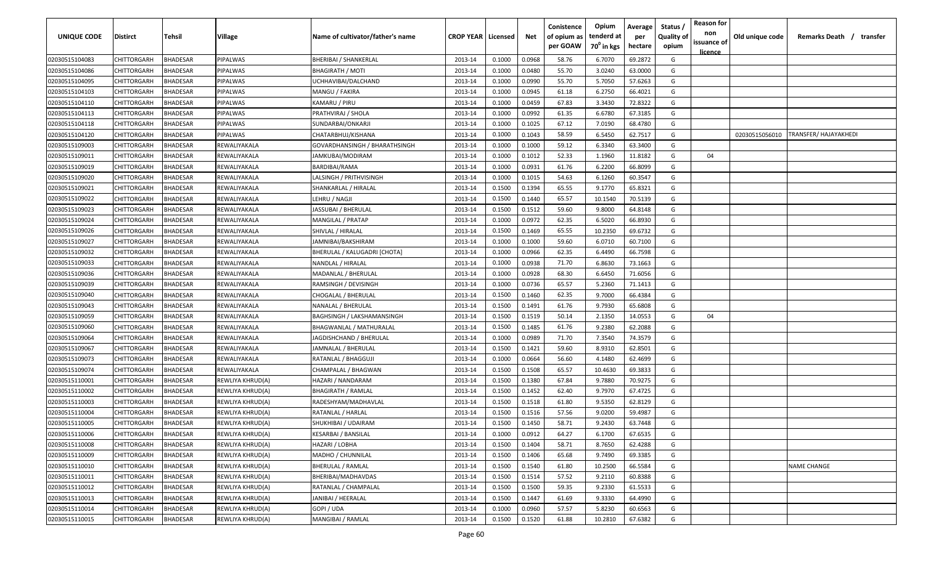| <b>UNIQUE CODE</b> | <b>Distirct</b>    | <b>Tehsil</b>   | Village          | Name of cultivator/father's name | <b>CROP YEAR   Licensed</b> |        | Net    | Conistence<br>of opium as<br>per GOAW | Opium<br>tenderd at<br>70 <sup>0</sup> in kgs | Average<br>per<br>hectare | Status /<br><b>Quality of</b><br>opium | <b>Reason for</b><br>non<br>issuance of<br><u>licence</u> | Old unique code | Remarks Death /<br>transfer |
|--------------------|--------------------|-----------------|------------------|----------------------------------|-----------------------------|--------|--------|---------------------------------------|-----------------------------------------------|---------------------------|----------------------------------------|-----------------------------------------------------------|-----------------|-----------------------------|
| 02030515104083     | CHITTORGARH        | <b>BHADESAR</b> | PIPALWAS         | <b>BHERIBAI / SHANKERLAL</b>     | 2013-14                     | 0.1000 | 0.0968 | 58.76                                 | 6.7070                                        | 69.2872                   | G                                      |                                                           |                 |                             |
| 02030515104086     | CHITTORGARH        | BHADESAR        | PIPALWAS         | <b>BHAGIRATH / MOTI</b>          | 2013-14                     | 0.1000 | 0.0480 | 55.70                                 | 3.0240                                        | 63.0000                   | G                                      |                                                           |                 |                             |
| 02030515104095     | CHITTORGARH        | BHADESAR        | PIPALWAS         | UCHHAVIBAI/DALCHAND              | 2013-14                     | 0.1000 | 0.0990 | 55.70                                 | 5.7050                                        | 57.6263                   | G                                      |                                                           |                 |                             |
| 02030515104103     | CHITTORGARH        | BHADESAR        | PIPALWAS         | MANGU / FAKIRA                   | 2013-14                     | 0.1000 | 0.0945 | 61.18                                 | 6.2750                                        | 66.4021                   | G                                      |                                                           |                 |                             |
| 02030515104110     | CHITTORGARH        | BHADESAR        | PIPALWAS         | KAMARU / PIRU                    | 2013-14                     | 0.1000 | 0.0459 | 67.83                                 | 3.3430                                        | 72.8322                   | G                                      |                                                           |                 |                             |
| 02030515104113     | CHITTORGARH        | BHADESAR        | PIPALWAS         | PRATHVIRAJ / SHOLA               | 2013-14                     | 0.1000 | 0.0992 | 61.35                                 | 6.6780                                        | 67.3185                   | G                                      |                                                           |                 |                             |
| 02030515104118     | CHITTORGARH        | BHADESAR        | PIPALWAS         | SUNDARBAI/ONKARJI                | 2013-14                     | 0.1000 | 0.1025 | 67.12                                 | 7.0190                                        | 68.4780                   | G                                      |                                                           |                 |                             |
| 02030515104120     | CHITTORGARH        | BHADESAR        | PIPALWAS         | CHATARBHUJ/KISHANA               | 2013-14                     | 0.1000 | 0.1043 | 58.59                                 | 6.5450                                        | 62.7517                   | G                                      |                                                           | 02030515056010  | TRANSFER/ HAJAYAKHEDI       |
| 02030515109003     | CHITTORGARH        | BHADESAR        | REWALIYAKALA     | GOVARDHANSINGH / BHARATHSINGH    | 2013-14                     | 0.1000 | 0.1000 | 59.12                                 | 6.3340                                        | 63.3400                   | G                                      |                                                           |                 |                             |
| 02030515109011     | CHITTORGARH        | BHADESAR        | REWALIYAKALA     | JAMKUBAI/MODIRAM                 | 2013-14                     | 0.1000 | 0.1012 | 52.33                                 | 1.1960                                        | 11.8182                   | G                                      | 04                                                        |                 |                             |
| 02030515109019     | CHITTORGARH        | BHADESAR        | REWALIYAKALA     | BARDIBAI/RAMA                    | 2013-14                     | 0.1000 | 0.0931 | 61.76                                 | 6.2200                                        | 66.8099                   | G                                      |                                                           |                 |                             |
| 02030515109020     | CHITTORGARH        | BHADESAR        | REWALIYAKALA     | LALSINGH / PRITHVISINGH          | 2013-14                     | 0.1000 | 0.1015 | 54.63                                 | 6.1260                                        | 60.3547                   | G                                      |                                                           |                 |                             |
| 02030515109021     | CHITTORGARH        | BHADESAR        | REWALIYAKALA     | SHANKARLAL / HIRALAL             | 2013-14                     | 0.1500 | 0.1394 | 65.55                                 | 9.1770                                        | 65.8321                   | G                                      |                                                           |                 |                             |
| 02030515109022     | CHITTORGARH        | BHADESAR        | REWALIYAKALA     | LEHRU / NAGJI                    | 2013-14                     | 0.1500 | 0.1440 | 65.57                                 | 10.1540                                       | 70.5139                   | G                                      |                                                           |                 |                             |
| 02030515109023     | CHITTORGARH        | BHADESAR        | REWALIYAKALA     | JASSUBAI / BHERULAL              | 2013-14                     | 0.1500 | 0.1512 | 59.60                                 | 9.8000                                        | 64.8148                   | G                                      |                                                           |                 |                             |
| 02030515109024     | CHITTORGARH        | BHADESAR        | REWALIYAKALA     | MANGILAL / PRATAP                | 2013-14                     | 0.1000 | 0.0972 | 62.35                                 | 6.5020                                        | 66.8930                   | G                                      |                                                           |                 |                             |
| 02030515109026     | CHITTORGARH        | <b>BHADESAR</b> | REWALIYAKALA     | SHIVLAL / HIRALAL                | 2013-14                     | 0.1500 | 0.1469 | 65.55                                 | 10.2350                                       | 69.6732                   | G                                      |                                                           |                 |                             |
| 02030515109027     | CHITTORGARH        | BHADESAR        | REWALIYAKALA     | JAMNIBAI/BAKSHIRAM               | 2013-14                     | 0.1000 | 0.1000 | 59.60                                 | 6.0710                                        | 60.7100                   | G                                      |                                                           |                 |                             |
| 02030515109032     | CHITTORGARH        | BHADESAR        | REWALIYAKALA     | BHERULAL / KALUGADRI [CHOTA]     | 2013-14                     | 0.1000 | 0.0966 | 62.35                                 | 6.4490                                        | 66.7598                   | G                                      |                                                           |                 |                             |
| 02030515109033     | CHITTORGARH        | BHADESAR        | REWALIYAKALA     | NANDLAL / HIRALAL                | 2013-14                     | 0.1000 | 0.0938 | 71.70                                 | 6.8630                                        | 73.1663                   | G                                      |                                                           |                 |                             |
| 02030515109036     | CHITTORGARH        | BHADESAR        | REWALIYAKALA     | MADANLAL / BHERULAL              | 2013-14                     | 0.1000 | 0.0928 | 68.30                                 | 6.6450                                        | 71.6056                   | G                                      |                                                           |                 |                             |
| 02030515109039     | CHITTORGARH        | BHADESAR        | REWALIYAKALA     | RAMSINGH / DEVISINGH             | 2013-14                     | 0.1000 | 0.0736 | 65.57                                 | 5.2360                                        | 71.1413                   | G                                      |                                                           |                 |                             |
| 02030515109040     | CHITTORGARH        | BHADESAR        | REWALIYAKALA     | CHOGALAL / BHERULAL              | 2013-14                     | 0.1500 | 0.1460 | 62.35                                 | 9.7000                                        | 66.4384                   | G                                      |                                                           |                 |                             |
| 02030515109043     | CHITTORGARH        | BHADESAR        | REWALIYAKALA     | NANALAL / BHERULAL               | 2013-14                     | 0.1500 | 0.1491 | 61.76                                 | 9.7930                                        | 65.6808                   | G                                      |                                                           |                 |                             |
| 02030515109059     | CHITTORGARH        | BHADESAR        | REWALIYAKALA     | BAGHSINGH / LAKSHAMANSINGH       | 2013-14                     | 0.1500 | 0.1519 | 50.14                                 | 2.1350                                        | 14.0553                   | G                                      | 04                                                        |                 |                             |
| 02030515109060     | CHITTORGARH        | BHADESAR        | REWALIYAKALA     | BHAGWANLAL / MATHURALAL          | 2013-14                     | 0.1500 | 0.1485 | 61.76                                 | 9.2380                                        | 62.2088                   | G                                      |                                                           |                 |                             |
| 02030515109064     | CHITTORGARH        | BHADESAR        | REWALIYAKALA     | JAGDISHCHAND / BHERULAL          | 2013-14                     | 0.1000 | 0.0989 | 71.70                                 | 7.3540                                        | 74.3579                   | G                                      |                                                           |                 |                             |
| 02030515109067     | CHITTORGARH        | BHADESAR        | REWALIYAKALA     | JAMNALAL / BHERULAL              | 2013-14                     | 0.1500 | 0.1421 | 59.60                                 | 8.9310                                        | 62.8501                   | G                                      |                                                           |                 |                             |
| 02030515109073     | CHITTORGARH        | BHADESAR        | REWALIYAKALA     | RATANLAL / BHAGGUJI              | 2013-14                     | 0.1000 | 0.0664 | 56.60                                 | 4.1480                                        | 62.4699                   | G                                      |                                                           |                 |                             |
| 02030515109074     | CHITTORGARH        | BHADESAR        | REWALIYAKALA     | CHAMPALAL / BHAGWAN              | 2013-14                     | 0.1500 | 0.1508 | 65.57                                 | 10.4630                                       | 69.3833                   | G                                      |                                                           |                 |                             |
| 02030515110001     | CHITTORGARH        | BHADESAR        | REWLIYA KHRUD(A) | HAZARI / NANDARAM                | 2013-14                     | 0.1500 | 0.1380 | 67.84                                 | 9.7880                                        | 70.9275                   | G                                      |                                                           |                 |                             |
| 02030515110002     | CHITTORGARH        | <b>BHADESAR</b> | REWLIYA KHRUD(A) | <b>BHAGIRATH / RAMLAL</b>        | 2013-14                     | 0.1500 | 0.1452 | 62.40                                 | 9.7970                                        | 67.4725                   | G                                      |                                                           |                 |                             |
| 02030515110003     | CHITTORGARH        | BHADESAR        | REWLIYA KHRUD(A) | RADESHYAM/MADHAVLAL              | 2013-14                     | 0.1500 | 0.1518 | 61.80                                 | 9.5350                                        | 62.8129                   | G                                      |                                                           |                 |                             |
| 02030515110004     | CHITTORGARH        | BHADESAR        | REWLIYA KHRUD(A) | RATANLAL / HARLAL                | 2013-14                     | 0.1500 | 0.1516 | 57.56                                 | 9.0200                                        | 59.4987                   | G                                      |                                                           |                 |                             |
| 02030515110005     | <b>CHITTORGARH</b> | BHADESAR        | REWLIYA KHRUD(A) | SHUKHIBAI / UDAIRAM              | 2013-14                     | 0.1500 | 0.1450 | 58.71                                 | 9.2430                                        | 63.7448                   | G                                      |                                                           |                 |                             |
| 02030515110006     | CHITTORGARH        | <b>BHADESAR</b> | REWLIYA KHRUD(A) | <b>KESARBAI / BANSILAL</b>       | 2013-14                     | 0.1000 | 0.0912 | 64.27                                 | 6.1700                                        | 67.6535                   | G                                      |                                                           |                 |                             |
| 02030515110008     | <b>CHITTORGARH</b> | <b>BHADESAR</b> | REWLIYA KHRUD(A) | HAZARI / LOBHA                   | 2013-14                     | 0.1500 | 0.1404 | 58.71                                 | 8.7650                                        | 62.4288                   | G                                      |                                                           |                 |                             |
| 02030515110009     | CHITTORGARH        | <b>BHADESAR</b> | REWLIYA KHRUD(A) | MADHO / CHUNNILAL                | 2013-14                     | 0.1500 | 0.1406 | 65.68                                 | 9.7490                                        | 69.3385                   | G                                      |                                                           |                 |                             |
| 02030515110010     | CHITTORGARH        | <b>BHADESAR</b> | REWLIYA KHRUD(A) | <b>BHERULAL / RAMLAL</b>         | 2013-14                     | 0.1500 | 0.1540 | 61.80                                 | 10.2500                                       | 66.5584                   | G                                      |                                                           |                 | <b>NAME CHANGE</b>          |
| 02030515110011     | CHITTORGARH        | <b>BHADESAR</b> | REWLIYA KHRUD(A) | BHERIBAI/MADHAVDAS               | 2013-14                     | 0.1500 | 0.1514 | 57.52                                 | 9.2110                                        | 60.8388                   | G                                      |                                                           |                 |                             |
| 02030515110012     | CHITTORGARH        | <b>BHADESAR</b> | REWLIYA KHRUD(A) | RATANLAL / CHAMPALAL             | 2013-14                     | 0.1500 | 0.1500 | 59.35                                 | 9.2330                                        | 61.5533                   | G                                      |                                                           |                 |                             |
| 02030515110013     | CHITTORGARH        | <b>BHADESAR</b> | REWLIYA KHRUD(A) | JANIBAI / HEERALAL               | 2013-14                     | 0.1500 | 0.1447 | 61.69                                 | 9.3330                                        | 64.4990                   | G                                      |                                                           |                 |                             |
| 02030515110014     | <b>CHITTORGARH</b> | <b>BHADESAR</b> | REWLIYA KHRUD(A) | GOPI / UDA                       | 2013-14                     | 0.1000 | 0.0960 | 57.57                                 | 5.8230                                        | 60.6563                   | G                                      |                                                           |                 |                             |
| 02030515110015     | CHITTORGARH        | BHADESAR        | REWLIYA KHRUD(A) | MANGIBAI / RAMLAL                | 2013-14                     | 0.1500 | 0.1520 | 61.88                                 | 10.2810                                       | 67.6382                   | G                                      |                                                           |                 |                             |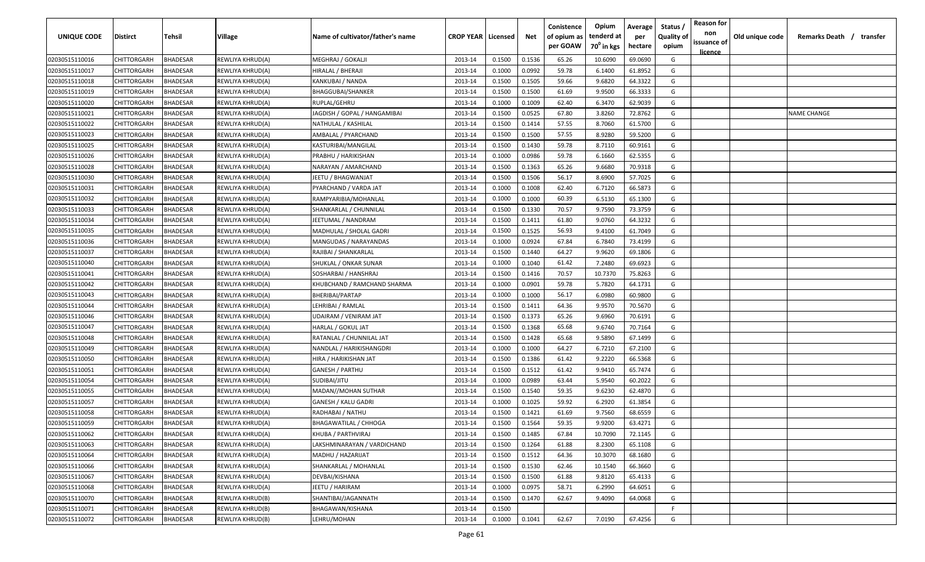| <b>UNIQUE CODE</b> | <b>Distirct</b>    | <b>Tehsil</b>   | Village          | Name of cultivator/father's name | <b>CROP YEAR   Licensed</b> |        | Net    | Conistence<br>of opium as<br>per GOAW | Opium<br>tenderd at<br>70 <sup>0</sup> in kgs | Average<br>per<br>hectare | Status /<br><b>Quality of</b><br>opium | <b>Reason for</b><br>non<br>issuance of | Old unique code | Remarks Death /<br>transfer |
|--------------------|--------------------|-----------------|------------------|----------------------------------|-----------------------------|--------|--------|---------------------------------------|-----------------------------------------------|---------------------------|----------------------------------------|-----------------------------------------|-----------------|-----------------------------|
| 02030515110016     | CHITTORGARH        | <b>BHADESAR</b> | REWLIYA KHRUD(A) | MEGHRAJ / GOKALJI                | 2013-14                     | 0.1500 | 0.1536 | 65.26                                 | 10.6090                                       | 69.0690                   | G                                      | <u>licence</u>                          |                 |                             |
| 02030515110017     | CHITTORGARH        | BHADESAR        | REWLIYA KHRUD(A) | HIRALAL / BHERAJI                | 2013-14                     | 0.1000 | 0.0992 | 59.78                                 | 6.1400                                        | 61.8952                   | G                                      |                                         |                 |                             |
| 02030515110018     | CHITTORGARH        | BHADESAR        | REWLIYA KHRUD(A) | KANKUBAI / NANDA                 | 2013-14                     | 0.1500 | 0.1505 | 59.66                                 | 9.6820                                        | 64.3322                   | G                                      |                                         |                 |                             |
| 02030515110019     | CHITTORGARH        | BHADESAR        | REWLIYA KHRUD(A) | <b>BHAGGUBAI/SHANKER</b>         | 2013-14                     | 0.1500 | 0.1500 | 61.69                                 | 9.9500                                        | 66.3333                   | G                                      |                                         |                 |                             |
| 02030515110020     | CHITTORGARH        | BHADESAR        | REWLIYA KHRUD(A) | RUPLAL/GEHRU                     | 2013-14                     | 0.1000 | 0.1009 | 62.40                                 | 6.3470                                        | 62.9039                   | G                                      |                                         |                 |                             |
| 02030515110021     | CHITTORGARH        | BHADESAR        | REWLIYA KHRUD(A) | JAGDISH / GOPAL / HANGAMIBAI     | 2013-14                     | 0.1500 | 0.0525 | 67.80                                 | 3.8260                                        | 72.8762                   | G                                      |                                         |                 | <b>NAME CHANGE</b>          |
| 02030515110022     | CHITTORGARH        | BHADESAR        | REWLIYA KHRUD(A) | NATHULAL / KASHILAL              | 2013-14                     | 0.1500 | 0.1414 | 57.55                                 | 8.7060                                        | 61.5700                   | G                                      |                                         |                 |                             |
| 02030515110023     | CHITTORGARH        | BHADESAR        | REWLIYA KHRUD(A) | AMBALAL / PYARCHAND              | 2013-14                     | 0.1500 | 0.1500 | 57.55                                 | 8.9280                                        | 59.5200                   | G                                      |                                         |                 |                             |
| 02030515110025     | CHITTORGARH        | BHADESAR        | REWLIYA KHRUD(A) | KASTURIBAI/MANGILAL              | 2013-14                     | 0.1500 | 0.1430 | 59.78                                 | 8.7110                                        | 60.9161                   | G                                      |                                         |                 |                             |
| 02030515110026     | CHITTORGARH        | BHADESAR        | REWLIYA KHRUD(A) | PRABHU / HARIKISHAN              | 2013-14                     | 0.1000 | 0.0986 | 59.78                                 | 6.1660                                        | 62.5355                   | G                                      |                                         |                 |                             |
| 02030515110028     | CHITTORGARH        | BHADESAR        | REWLIYA KHRUD(A) | NARAYAN / AMARCHAND              | 2013-14                     | 0.1500 | 0.1363 | 65.26                                 | 9.6680                                        | 70.9318                   | G                                      |                                         |                 |                             |
| 02030515110030     | CHITTORGARH        | BHADESAR        | REWLIYA KHRUD(A) | IEETU / BHAGWANJAT               | 2013-14                     | 0.1500 | 0.1506 | 56.17                                 | 8.6900                                        | 57.7025                   | G                                      |                                         |                 |                             |
| 02030515110031     | CHITTORGARH        | BHADESAR        | REWLIYA KHRUD(A) | PYARCHAND / VARDA JAT            | 2013-14                     | 0.1000 | 0.1008 | 62.40                                 | 6.7120                                        | 66.5873                   | G                                      |                                         |                 |                             |
| 02030515110032     | CHITTORGARH        | BHADESAR        | REWLIYA KHRUD(A) | RAMPYARIBIA/MOHANLAL             | 2013-14                     | 0.1000 | 0.1000 | 60.39                                 | 6.5130                                        | 65.1300                   | G                                      |                                         |                 |                             |
| 02030515110033     | CHITTORGARH        | BHADESAR        | REWLIYA KHRUD(A) | SHANKARLAL / CHUNNILAL           | 2013-14                     | 0.1500 | 0.1330 | 70.57                                 | 9.7590                                        | 73.3759                   | G                                      |                                         |                 |                             |
| 02030515110034     | CHITTORGARH        | BHADESAR        | REWLIYA KHRUD(A) | JEETUMAL / NANDRAM               | 2013-14                     | 0.1500 | 0.1411 | 61.80                                 | 9.0760                                        | 64.3232                   | G                                      |                                         |                 |                             |
| 02030515110035     | CHITTORGARH        | <b>BHADESAR</b> | REWLIYA KHRUD(A) | MADHULAL / SHOLAL GADRI          | 2013-14                     | 0.1500 | 0.1525 | 56.93                                 | 9.4100                                        | 61.7049                   | G                                      |                                         |                 |                             |
| 02030515110036     | CHITTORGARH        | BHADESAR        | REWLIYA KHRUD(A) | MANGUDAS / NARAYANDAS            | 2013-14                     | 0.1000 | 0.0924 | 67.84                                 | 6.7840                                        | 73.4199                   | G                                      |                                         |                 |                             |
| 02030515110037     | CHITTORGARH        | BHADESAR        | REWLIYA KHRUD(A) | RAJIBAI / SHANKARLAL             | 2013-14                     | 0.1500 | 0.1440 | 64.27                                 | 9.9620                                        | 69.1806                   | G                                      |                                         |                 |                             |
| 02030515110040     | CHITTORGARH        | BHADESAR        | REWLIYA KHRUD(A) | <b>SHUKLAL / ONKAR SUNAR</b>     | 2013-14                     | 0.1000 | 0.1040 | 61.42                                 | 7.2480                                        | 69.6923                   | G                                      |                                         |                 |                             |
| 02030515110041     | CHITTORGARH        | BHADESAR        | REWLIYA KHRUD(A) | SOSHARBAI / HANSHRAJ             | 2013-14                     | 0.1500 | 0.1416 | 70.57                                 | 10.7370                                       | 75.8263                   | G                                      |                                         |                 |                             |
| 02030515110042     | CHITTORGARH        | BHADESAR        | REWLIYA KHRUD(A) | KHUBCHAND / RAMCHAND SHARMA      | 2013-14                     | 0.1000 | 0.0901 | 59.78                                 | 5.7820                                        | 64.1731                   | G                                      |                                         |                 |                             |
| 02030515110043     | CHITTORGARH        | BHADESAR        | REWLIYA KHRUD(A) | BHERIBAI/PARTAP                  | 2013-14                     | 0.1000 | 0.1000 | 56.17                                 | 6.0980                                        | 60.9800                   | G                                      |                                         |                 |                             |
| 02030515110044     | CHITTORGARH        | BHADESAR        | REWLIYA KHRUD(A) | LEHRIBAI / RAMLAL                | 2013-14                     | 0.1500 | 0.1411 | 64.36                                 | 9.9570                                        | 70.5670                   | G                                      |                                         |                 |                             |
| 02030515110046     | CHITTORGARH        | BHADESAR        | REWLIYA KHRUD(A) | UDAIRAM / VENIRAM JAT            | 2013-14                     | 0.1500 | 0.1373 | 65.26                                 | 9.6960                                        | 70.6191                   | G                                      |                                         |                 |                             |
| 02030515110047     | CHITTORGARH        | BHADESAR        | REWLIYA KHRUD(A) | HARLAL / GOKUL JAT               | 2013-14                     | 0.1500 | 0.1368 | 65.68                                 | 9.6740                                        | 70.7164                   | G                                      |                                         |                 |                             |
| 02030515110048     | CHITTORGARH        | BHADESAR        | REWLIYA KHRUD(A) | RATANLAL / CHUNNILAL JAT         | 2013-14                     | 0.1500 | 0.1428 | 65.68                                 | 9.5890                                        | 67.1499                   | G                                      |                                         |                 |                             |
| 02030515110049     | CHITTORGARH        | BHADESAR        | REWLIYA KHRUD(A) | NANDLAL / HARIKISHANGDRI         | 2013-14                     | 0.1000 | 0.1000 | 64.27                                 | 6.7210                                        | 67.2100                   | G                                      |                                         |                 |                             |
| 02030515110050     | CHITTORGARH        | BHADESAR        | REWLIYA KHRUD(A) | HIRA / HARIKISHAN JAT            | 2013-14                     | 0.1500 | 0.1386 | 61.42                                 | 9.2220                                        | 66.5368                   | G                                      |                                         |                 |                             |
| 02030515110051     | CHITTORGARH        | BHADESAR        | REWLIYA KHRUD(A) | GANESH / PARTHU                  | 2013-14                     | 0.1500 | 0.1512 | 61.42                                 | 9.9410                                        | 65.7474                   | G                                      |                                         |                 |                             |
| 02030515110054     | CHITTORGARH        | BHADESAR        | REWLIYA KHRUD(A) | SUDIBAI/JITU                     | 2013-14                     | 0.1000 | 0.0989 | 63.44                                 | 5.9540                                        | 60.2022                   | G                                      |                                         |                 |                             |
| 02030515110055     | CHITTORGARH        | <b>BHADESAR</b> | REWLIYA KHRUD(A) | MADAN//MOHAN SUTHAR              | 2013-14                     | 0.1500 | 0.1540 | 59.35                                 | 9.6230                                        | 62.4870                   | G                                      |                                         |                 |                             |
| 02030515110057     | CHITTORGARH        | BHADESAR        | REWLIYA KHRUD(A) | <b>GANESH / KALU GADRI</b>       | 2013-14                     | 0.1000 | 0.1025 | 59.92                                 | 6.2920                                        | 61.3854                   | G                                      |                                         |                 |                             |
| 02030515110058     | CHITTORGARH        | BHADESAR        | REWLIYA KHRUD(A) | RADHABAI / NATHU                 | 2013-14                     | 0.1500 | 0.1421 | 61.69                                 | 9.7560                                        | 68.6559                   | G                                      |                                         |                 |                             |
| 02030515110059     | CHITTORGARH        | BHADESAR        | REWLIYA KHRUD(A) | <b>BHAGAWATILAL / CHHOGA</b>     | 2013-14                     | 0.1500 | 0.1564 | 59.35                                 | 9.9200                                        | 63.4271                   | G                                      |                                         |                 |                             |
| 02030515110062     | <b>CHITTORGARH</b> | <b>BHADESAR</b> | REWLIYA KHRUD(A) | KHUBA / PARTHVIRAJ               | 2013-14                     | 0.1500 | 0.1485 | 67.84                                 | 10.7090                                       | 72.1145                   | G                                      |                                         |                 |                             |
| 02030515110063     | <b>CHITTORGARH</b> | <b>BHADESAR</b> | REWLIYA KHRUD(A) | LAKSHMINARAYAN / VARDICHAND      | 2013-14                     | 0.1500 | 0.1264 | 61.88                                 | 8.2300                                        | 65.1108                   | G                                      |                                         |                 |                             |
| 02030515110064     | <b>CHITTORGARH</b> | <b>BHADESAR</b> | REWLIYA KHRUD(A) | MADHU / HAZARIJAT                | 2013-14                     | 0.1500 | 0.1512 | 64.36                                 | 10.3070                                       | 68.1680                   | G                                      |                                         |                 |                             |
| 02030515110066     | CHITTORGARH        | <b>BHADESAR</b> | REWLIYA KHRUD(A) | SHANKARLAL / MOHANLAL            | 2013-14                     | 0.1500 | 0.1530 | 62.46                                 | 10.1540                                       | 66.3660                   | G                                      |                                         |                 |                             |
| 02030515110067     | CHITTORGARH        | <b>BHADESAR</b> | REWLIYA KHRUD(A) | DEVBAI/KISHANA                   | 2013-14                     | 0.1500 | 0.1500 | 61.88                                 | 9.8120                                        | 65.4133                   | G                                      |                                         |                 |                             |
| 02030515110068     | CHITTORGARH        | <b>BHADESAR</b> | REWLIYA KHRUD(A) | JEETU / HARIRAM                  | 2013-14                     | 0.1000 | 0.0975 | 58.71                                 | 6.2990                                        | 64.6051                   | G                                      |                                         |                 |                             |
| 02030515110070     | CHITTORGARH        | <b>BHADESAR</b> | REWLIYA KHRUD(B) | SHANTIBAI/JAGANNATH              | 2013-14                     | 0.1500 | 0.1470 | 62.67                                 | 9.4090                                        | 64.0068                   | G                                      |                                         |                 |                             |
| 02030515110071     | CHITTORGARH        | <b>BHADESAR</b> | REWLIYA KHRUD(B) | BHAGAWAN/KISHANA                 | 2013-14                     | 0.1500 |        |                                       |                                               |                           | F.                                     |                                         |                 |                             |
| 02030515110072     | <b>CHITTORGARH</b> | BHADESAR        | REWLIYA KHRUD(B) | LEHRU/MOHAN                      | 2013-14                     | 0.1000 | 0.1041 | 62.67                                 | 7.0190                                        | 67.4256                   | G                                      |                                         |                 |                             |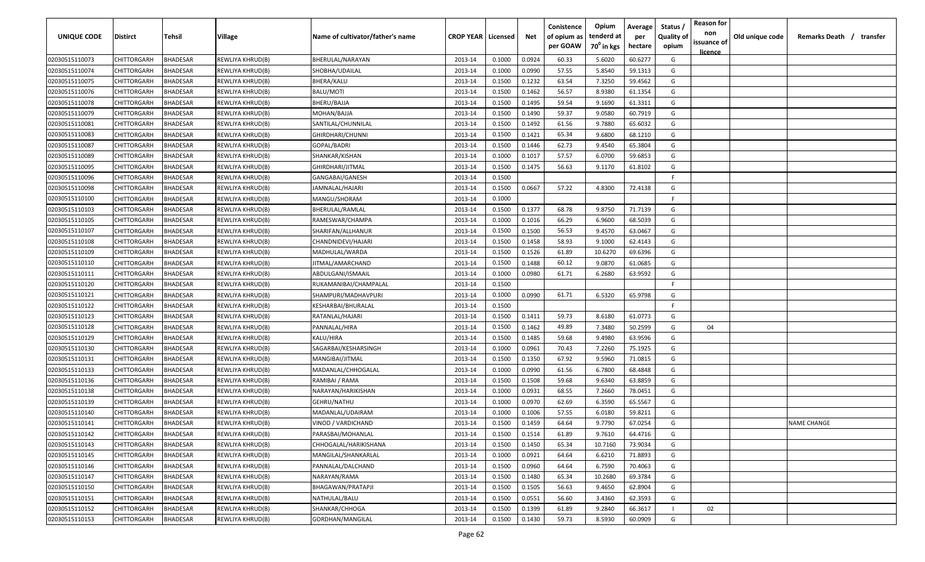| <b>UNIQUE CODE</b> | <b>Distirct</b>    | <b>Tehsil</b>   | Village                 | Name of cultivator/father's name | <b>CROP YEAR   Licensed</b> |        | Net    | Conistence<br>of opium as | Opium<br>tenderd at    | Average<br>per | Status /<br><b>Quality of</b> | <b>Reason for</b><br>non      | Old unique code | Remarks Death /<br>transfer |
|--------------------|--------------------|-----------------|-------------------------|----------------------------------|-----------------------------|--------|--------|---------------------------|------------------------|----------------|-------------------------------|-------------------------------|-----------------|-----------------------------|
|                    |                    |                 |                         |                                  |                             |        |        | per GOAW                  | 70 <sup>0</sup> in kgs | hectare        | opium                         | issuance of<br><u>licence</u> |                 |                             |
| 02030515110073     | CHITTORGARH        | <b>BHADESAR</b> | REWLIYA KHRUD(B)        | BHERULAL/NARAYAN                 | 2013-14                     | 0.1000 | 0.0924 | 60.33                     | 5.6020                 | 60.6277        | G                             |                               |                 |                             |
| 02030515110074     | CHITTORGARH        | BHADESAR        | REWLIYA KHRUD(B)        | SHOBHA/UDAILAL                   | 2013-14                     | 0.1000 | 0.0990 | 57.55                     | 5.8540                 | 59.1313        | G                             |                               |                 |                             |
| 02030515110075     | CHITTORGARH        | BHADESAR        | REWLIYA KHRUD(B)        | BHERA/KALU                       | 2013-14                     | 0.1500 | 0.1232 | 63.54                     | 7.3250                 | 59.4562        | G                             |                               |                 |                             |
| 02030515110076     | CHITTORGARH        | BHADESAR        | REWLIYA KHRUD(B)        | BALU/MOTI                        | 2013-14                     | 0.1500 | 0.1462 | 56.57                     | 8.9380                 | 61.1354        | G                             |                               |                 |                             |
| 02030515110078     | CHITTORGARH        | BHADESAR        | REWLIYA KHRUD(B)        | BHERU/BAJJA                      | 2013-14                     | 0.1500 | 0.1495 | 59.54                     | 9.1690                 | 61.3311        | G                             |                               |                 |                             |
| 02030515110079     | CHITTORGARH        | BHADESAR        | REWLIYA KHRUD(B)        | MOHAN/BAJJA                      | 2013-14                     | 0.1500 | 0.1490 | 59.37                     | 9.0580                 | 60.7919        | G                             |                               |                 |                             |
| 02030515110081     | CHITTORGARH        | BHADESAR        | REWLIYA KHRUD(B)        | SANTILAL/CHUNNILAL               | 2013-14                     | 0.1500 | 0.1492 | 61.56                     | 9.7880                 | 65.6032        | G                             |                               |                 |                             |
| 02030515110083     | CHITTORGARH        | BHADESAR        | REWLIYA KHRUD(B)        | GHIRDHARI/CHUNNI                 | 2013-14                     | 0.1500 | 0.1421 | 65.34                     | 9.6800                 | 68.1210        | G                             |                               |                 |                             |
| 02030515110087     | CHITTORGARH        | BHADESAR        | REWLIYA KHRUD(B)        | GOPAL/BADRI                      | 2013-14                     | 0.1500 | 0.1446 | 62.73                     | 9.4540                 | 65.3804        | G                             |                               |                 |                             |
| 02030515110089     | CHITTORGARH        | BHADESAR        | REWLIYA KHRUD(B)        | SHANKAR/KISHAN                   | 2013-14                     | 0.1000 | 0.1017 | 57.57                     | 6.0700                 | 59.6853        | G                             |                               |                 |                             |
| 02030515110095     | CHITTORGARH        | BHADESAR        | REWLIYA KHRUD(B)        | GHIRDHARI/JITMAL                 | 2013-14                     | 0.1500 | 0.1475 | 56.63                     | 9.1170                 | 61.8102        | G                             |                               |                 |                             |
| 02030515110096     | CHITTORGARH        | BHADESAR        | REWLIYA KHRUD(B)        | GANGABAI/GANESH                  | 2013-14                     | 0.1500 |        |                           |                        |                | -F.                           |                               |                 |                             |
| 02030515110098     | CHITTORGARH        | BHADESAR        | REWLIYA KHRUD(B)        | JAMNALAL/HAJARI                  | 2013-14                     | 0.1500 | 0.0667 | 57.22                     | 4.8300                 | 72.4138        | G                             |                               |                 |                             |
| 02030515110100     | CHITTORGARH        | BHADESAR        | REWLIYA KHRUD(B)        | MANGU/SHORAM                     | 2013-14                     | 0.1000 |        |                           |                        |                | -F.                           |                               |                 |                             |
| 02030515110103     | CHITTORGARH        | BHADESAR        | REWLIYA KHRUD(B)        | BHERULAL/RAMLAL                  | 2013-14                     | 0.1500 | 0.1377 | 68.78                     | 9.8750                 | 71.7139        | G                             |                               |                 |                             |
| 02030515110105     | CHITTORGARH        | BHADESAR        | REWLIYA KHRUD(B)        | RAMESWAR/CHAMPA                  | 2013-14                     | 0.1000 | 0.1016 | 66.29                     | 6.9600                 | 68.5039        | G                             |                               |                 |                             |
| 02030515110107     | CHITTORGARH        | BHADESAR        | REWLIYA KHRUD(B)        | SHARIFAN/ALLHANUR                | 2013-14                     | 0.1500 | 0.1500 | 56.53                     | 9.4570                 | 63.0467        | G                             |                               |                 |                             |
| 02030515110108     | CHITTORGARH        | BHADESAR        | REWLIYA KHRUD(B)        | CHANDNIDEVI/HAJARI               | 2013-14                     | 0.1500 | 0.1458 | 58.93                     | 9.1000                 | 62.4143        | G                             |                               |                 |                             |
| 02030515110109     | CHITTORGARH        | BHADESAR        | REWLIYA KHRUD(B)        | MADHULAL/WARDA                   | 2013-14                     | 0.1500 | 0.1526 | 61.89                     | 10.6270                | 69.6396        | G                             |                               |                 |                             |
| 02030515110110     | CHITTORGARH        | BHADESAR        | REWLIYA KHRUD(B)        | JITMAL/AMARCHAND                 | 2013-14                     | 0.1500 | 0.1488 | 60.12                     | 9.0870                 | 61.0685        | G                             |                               |                 |                             |
| 02030515110111     | CHITTORGARH        | BHADESAR        | REWLIYA KHRUD(B)        | ABDULGANI/ISMAAIL                | 2013-14                     | 0.1000 | 0.0980 | 61.71                     | 6.2680                 | 63.9592        | G                             |                               |                 |                             |
| 02030515110120     | CHITTORGARH        | BHADESAR        | REWLIYA KHRUD(B)        | RUKAMANIBAI/CHAMPALAL            | 2013-14                     | 0.1500 |        |                           |                        |                | -F.                           |                               |                 |                             |
| 02030515110121     | CHITTORGARH        | BHADESAR        | REWLIYA KHRUD(B)        | SHAMPURI/MADHAVPURI              | 2013-14                     | 0.1000 | 0.0990 | 61.71                     | 6.5320                 | 65.9798        | G                             |                               |                 |                             |
| 02030515110122     | CHITTORGARH        | BHADESAR        | REWLIYA KHRUD(B)        | KESHARBAI/BHURALAL               | 2013-14                     | 0.1500 |        |                           |                        |                | -F.                           |                               |                 |                             |
| 02030515110123     | CHITTORGARH        | BHADESAR        | REWLIYA KHRUD(B)        | RATANLAL/HAJARI                  | 2013-14                     | 0.1500 | 0.1411 | 59.73                     | 8.6180                 | 61.0773        | G                             |                               |                 |                             |
| 02030515110128     | CHITTORGARH        | BHADESAR        | REWLIYA KHRUD(B)        | PANNALAL/HIRA                    | 2013-14                     | 0.1500 | 0.1462 | 49.89                     | 7.3480                 | 50.2599        | G                             | 04                            |                 |                             |
| 02030515110129     | CHITTORGARH        | BHADESAR        | REWLIYA KHRUD(B)        | KALU/HIRA                        | 2013-14                     | 0.1500 | 0.1485 | 59.68                     | 9.4980                 | 63.9596        | G                             |                               |                 |                             |
| 02030515110130     | CHITTORGARH        | BHADESAR        | REWLIYA KHRUD(B)        | SAGARBAI/KESHARSINGH             | 2013-14                     | 0.1000 | 0.0961 | 70.43                     | 7.2260                 | 75.1925        | G                             |                               |                 |                             |
| 02030515110131     | CHITTORGARH        | BHADESAR        | REWLIYA KHRUD(B)        | MANGIBAI/JITMAL                  | 2013-14                     | 0.1500 | 0.1350 | 67.92                     | 9.5960                 | 71.0815        | G                             |                               |                 |                             |
| 02030515110133     | CHITTORGARH        | BHADESAR        | REWLIYA KHRUD(B)        | MADANLAL/CHHOGALAL               | 2013-14                     | 0.1000 | 0.0990 | 61.56                     | 6.7800                 | 68.4848        | G                             |                               |                 |                             |
| 02030515110136     | CHITTORGARH        | BHADESAR        | REWLIYA KHRUD(B)        | RAMIBAI / RAMA                   | 2013-14                     | 0.1500 | 0.1508 | 59.68                     | 9.6340                 | 63.8859        | G                             |                               |                 |                             |
| 02030515110138     | CHITTORGARH        | <b>BHADESAR</b> | REWLIYA KHRUD(B)        | NARAYAN/HARIKISHAN               | 2013-14                     | 0.1000 | 0.0931 | 68.55                     | 7.2660                 | 78.0451        | G                             |                               |                 |                             |
| 02030515110139     | CHITTORGARH        | BHADESAR        | REWLIYA KHRUD(B)        | GEHRU/NATHU                      | 2013-14                     | 0.1000 | 0.0970 | 62.69                     | 6.3590                 | 65.5567        | G                             |                               |                 |                             |
| 02030515110140     | CHITTORGARH        | BHADESAR        | REWLIYA KHRUD(B)        | MADANLAL/UDAIRAM                 | 2013-14                     | 0.1000 | 0.1006 | 57.55                     | 6.0180                 | 59.8211        | G                             |                               |                 |                             |
| 02030515110141     | <b>CHITTORGARH</b> | BHADESAR        | <b>REWLIYA KHRUD(B)</b> | VINOD / VARDICHAND               | 2013-14                     | 0.1500 | 0.1459 | 64.64                     | 9.7790                 | 67.0254        | G                             |                               |                 | <b>NAME CHANGE</b>          |
| 02030515110142     | <b>CHITTORGARH</b> | <b>BHADESAR</b> | REWLIYA KHRUD(B)        | PARASBAI/MOHANLAL                | 2013-14                     | 0.1500 | 0.1514 | 61.89                     | 9.7610                 | 64.4716        | G                             |                               |                 |                             |
| 02030515110143     | <b>CHITTORGARH</b> | <b>BHADESAR</b> | REWLIYA KHRUD(B)        | CHHOGALAL/HARIKISHANA            | 2013-14                     | 0.1500 | 0.1450 | 65.34                     | 10.7160                | 73.9034        | G                             |                               |                 |                             |
| 02030515110145     | CHITTORGARH        | <b>BHADESAR</b> | REWLIYA KHRUD(B)        | MANGILAL/SHANKARLAL              | 2013-14                     | 0.1000 | 0.0921 | 64.64                     | 6.6210                 | 71.8893        | G                             |                               |                 |                             |
| 02030515110146     | CHITTORGARH        | <b>BHADESAR</b> | REWLIYA KHRUD(B)        | PANNALAL/DALCHAND                | 2013-14                     | 0.1500 | 0.0960 | 64.64                     | 6.7590                 | 70.4063        | G                             |                               |                 |                             |
| 02030515110147     | CHITTORGARH        | <b>BHADESAR</b> | REWLIYA KHRUD(B)        | NARAYAN/RAMA                     | 2013-14                     | 0.1500 | 0.1480 | 65.34                     | 10.2680                | 69.3784        | G                             |                               |                 |                             |
| 02030515110150     | CHITTORGARH        | <b>BHADESAR</b> | REWLIYA KHRUD(B)        | BHAGAWAN/PRATAPJI                | 2013-14                     | 0.1500 | 0.1505 | 56.63                     | 9.4650                 | 62.8904        | G                             |                               |                 |                             |
| 02030515110151     | CHITTORGARH        | <b>BHADESAR</b> | REWLIYA KHRUD(B)        | NATHULAL/BALU                    | 2013-14                     | 0.1500 | 0.0551 | 56.60                     | 3.4360                 | 62.3593        | G                             |                               |                 |                             |
| 02030515110152     | <b>CHITTORGARH</b> | <b>BHADESAR</b> | REWLIYA KHRUD(B)        | SHANKAR/CHHOGA                   | 2013-14                     | 0.1500 | 0.1399 | 61.89                     | 9.2840                 | 66.3617        |                               | 02                            |                 |                             |
| 02030515110153     | CHITTORGARH        | <b>BHADESAR</b> | REWLIYA KHRUD(B)        | GORDHAN/MANGILAL                 | 2013-14                     | 0.1500 | 0.1430 | 59.73                     | 8.5930                 | 60.0909        | G                             |                               |                 |                             |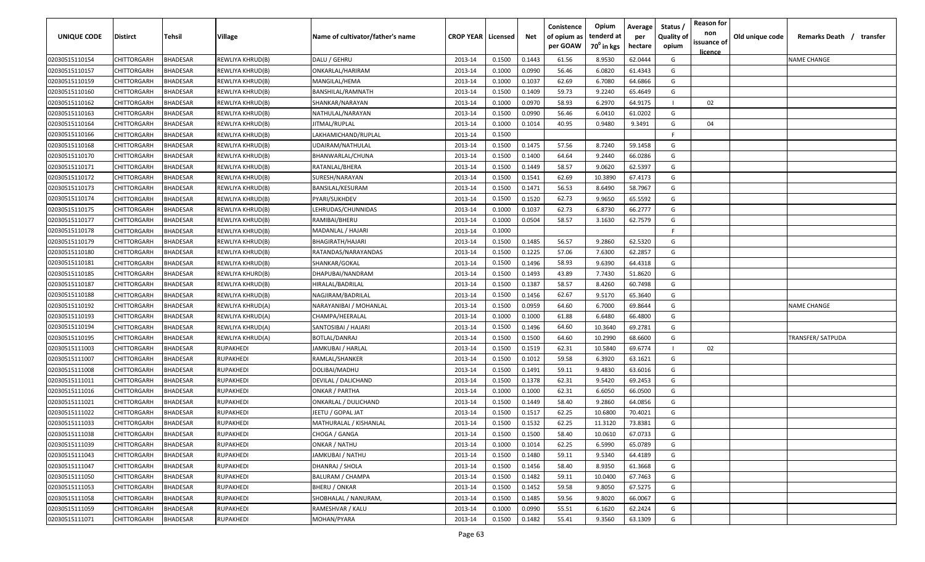| <b>UNIQUE CODE</b> | <b>Distirct</b>    | <b>Tehsil</b>   | Village          | Name of cultivator/father's name | <b>CROP YEAR   Licensed</b> |        | Net    | Conistence<br>of opium as<br>per GOAW | Opium<br>tenderd at<br>70 <sup>0</sup> in kgs | Average<br>per<br>hectare | Status /<br><b>Quality of</b><br>opium | <b>Reason for</b><br>non<br>issuance of<br><u>licence</u> | Old unique code | Remarks Death /<br>transfer |
|--------------------|--------------------|-----------------|------------------|----------------------------------|-----------------------------|--------|--------|---------------------------------------|-----------------------------------------------|---------------------------|----------------------------------------|-----------------------------------------------------------|-----------------|-----------------------------|
| 02030515110154     | CHITTORGARH        | <b>BHADESAR</b> | REWLIYA KHRUD(B) | DALU / GEHRU                     | 2013-14                     | 0.1500 | 0.1443 | 61.56                                 | 8.9530                                        | 62.0444                   | G                                      |                                                           |                 | <b>NAME CHANGE</b>          |
| 02030515110157     | CHITTORGARH        | BHADESAR        | REWLIYA KHRUD(B) | ONKARLAL/HARIRAM                 | 2013-14                     | 0.1000 | 0.0990 | 56.46                                 | 6.0820                                        | 61.4343                   | G                                      |                                                           |                 |                             |
| 02030515110159     | CHITTORGARH        | BHADESAR        | REWLIYA KHRUD(B) | MANGILAL/HEMA                    | 2013-14                     | 0.1000 | 0.1037 | 62.69                                 | 6.7080                                        | 64.6866                   | G                                      |                                                           |                 |                             |
| 02030515110160     | CHITTORGARH        | BHADESAR        | REWLIYA KHRUD(B) | BANSHILAL/RAMNATH                | 2013-14                     | 0.1500 | 0.1409 | 59.73                                 | 9.2240                                        | 65.4649                   | G                                      |                                                           |                 |                             |
| 02030515110162     | CHITTORGARH        | BHADESAR        | REWLIYA KHRUD(B) | SHANKAR/NARAYAN                  | 2013-14                     | 0.1000 | 0.0970 | 58.93                                 | 6.2970                                        | 64.9175                   |                                        | 02                                                        |                 |                             |
| 02030515110163     | CHITTORGARH        | BHADESAR        | REWLIYA KHRUD(B) | NATHULAL/NARAYAN                 | 2013-14                     | 0.1500 | 0.0990 | 56.46                                 | 6.0410                                        | 61.0202                   | G                                      |                                                           |                 |                             |
| 02030515110164     | CHITTORGARH        | BHADESAR        | REWLIYA KHRUD(B) | JITMAL/RUPLAL                    | 2013-14                     | 0.1000 | 0.1014 | 40.95                                 | 0.9480                                        | 9.3491                    | G                                      | 04                                                        |                 |                             |
| 02030515110166     | CHITTORGARH        | BHADESAR        | REWLIYA KHRUD(B) | LAKHAMICHAND/RUPLAL              | 2013-14                     | 0.1500 |        |                                       |                                               |                           | -F.                                    |                                                           |                 |                             |
| 02030515110168     | CHITTORGARH        | BHADESAR        | REWLIYA KHRUD(B) | UDAIRAM/NATHULAL                 | 2013-14                     | 0.1500 | 0.1475 | 57.56                                 | 8.7240                                        | 59.1458                   | G                                      |                                                           |                 |                             |
| 02030515110170     | CHITTORGARH        | BHADESAR        | REWLIYA KHRUD(B) | BHANWARLAL/CHUNA                 | 2013-14                     | 0.1500 | 0.1400 | 64.64                                 | 9.2440                                        | 66.0286                   | G                                      |                                                           |                 |                             |
| 02030515110171     | CHITTORGARH        | BHADESAR        | REWLIYA KHRUD(B) | RATANLAL/BHERA                   | 2013-14                     | 0.1500 | 0.1449 | 58.57                                 | 9.0620                                        | 62.5397                   | G                                      |                                                           |                 |                             |
| 02030515110172     | CHITTORGARH        | BHADESAR        | REWLIYA KHRUD(B) | SURESH/NARAYAN                   | 2013-14                     | 0.1500 | 0.1541 | 62.69                                 | 10.3890                                       | 67.4173                   | G                                      |                                                           |                 |                             |
| 02030515110173     | CHITTORGARH        | BHADESAR        | REWLIYA KHRUD(B) | BANSILAL/KESURAM                 | 2013-14                     | 0.1500 | 0.1471 | 56.53                                 | 8.6490                                        | 58.7967                   | G                                      |                                                           |                 |                             |
| 02030515110174     | CHITTORGARH        | BHADESAR        | REWLIYA KHRUD(B) | PYARI/SUKHDEV                    | 2013-14                     | 0.1500 | 0.1520 | 62.73                                 | 9.9650                                        | 65.5592                   | G                                      |                                                           |                 |                             |
| 02030515110175     | CHITTORGARH        | BHADESAR        | REWLIYA KHRUD(B) | LEHRUDAS/CHUNNIDAS               | 2013-14                     | 0.1000 | 0.1037 | 62.73                                 | 6.8730                                        | 66.2777                   | G                                      |                                                           |                 |                             |
| 02030515110177     | CHITTORGARH        | BHADESAR        | REWLIYA KHRUD(B) | RAMIBAI/BHERU                    | 2013-14                     | 0.1000 | 0.0504 | 58.57                                 | 3.1630                                        | 62.7579                   | G                                      |                                                           |                 |                             |
| 02030515110178     | CHITTORGARH        | <b>BHADESAR</b> | REWLIYA KHRUD(B) | MADANLAL / HAJARI                | 2013-14                     | 0.1000 |        |                                       |                                               |                           | F.                                     |                                                           |                 |                             |
| 02030515110179     | CHITTORGARH        | BHADESAR        | REWLIYA KHRUD(B) | BHAGIRATH/HAJARI                 | 2013-14                     | 0.1500 | 0.1485 | 56.57                                 | 9.2860                                        | 62.5320                   | G                                      |                                                           |                 |                             |
| 02030515110180     | CHITTORGARH        | BHADESAR        | REWLIYA KHRUD(B) | RATANDAS/NARAYANDAS              | 2013-14                     | 0.1500 | 0.1225 | 57.06                                 | 7.6300                                        | 62.2857                   | G                                      |                                                           |                 |                             |
| 02030515110181     | CHITTORGARH        | BHADESAR        | REWLIYA KHRUD(B) | SHANKAR/GOKAL                    | 2013-14                     | 0.1500 | 0.1496 | 58.93                                 | 9.6390                                        | 64.4318                   | G                                      |                                                           |                 |                             |
| 02030515110185     | CHITTORGARH        | BHADESAR        | REWLIYA KHURD(B) | DHAPUBAI/NANDRAM                 | 2013-14                     | 0.1500 | 0.1493 | 43.89                                 | 7.7430                                        | 51.8620                   | G                                      |                                                           |                 |                             |
| 02030515110187     | CHITTORGARH        | BHADESAR        | REWLIYA KHRUD(B) | HIRALAL/BADRILAL                 | 2013-14                     | 0.1500 | 0.1387 | 58.57                                 | 8.4260                                        | 60.7498                   | G                                      |                                                           |                 |                             |
| 02030515110188     | CHITTORGARH        | BHADESAR        | REWLIYA KHRUD(B) | NAGJIRAM/BADRILAL                | 2013-14                     | 0.1500 | 0.1456 | 62.67                                 | 9.5170                                        | 65.3640                   | G                                      |                                                           |                 |                             |
| 02030515110192     | CHITTORGARH        | BHADESAR        | REWLIYA KHRUD(A) | NARAYANIBAI / MOHANLAL           | 2013-14                     | 0.1500 | 0.0959 | 64.60                                 | 6.7000                                        | 69.8644                   | G                                      |                                                           |                 | NAME CHANGE                 |
| 02030515110193     | CHITTORGARH        | BHADESAR        | REWLIYA KHRUD(A) | CHAMPA/HEERALAL                  | 2013-14                     | 0.1000 | 0.1000 | 61.88                                 | 6.6480                                        | 66.4800                   | G                                      |                                                           |                 |                             |
| 02030515110194     | CHITTORGARH        | BHADESAR        | REWLIYA KHRUD(A) | SANTOSIBAI / HAJARI              | 2013-14                     | 0.1500 | 0.1496 | 64.60                                 | 10.3640                                       | 69.2781                   | G                                      |                                                           |                 |                             |
| 02030515110195     | CHITTORGARH        | BHADESAR        | REWLIYA KHRUD(A) | BOTLAL/DANRAJ                    | 2013-14                     | 0.1500 | 0.1500 | 64.60                                 | 10.2990                                       | 68.6600                   | G                                      |                                                           |                 | TRANSFER/SATPUDA            |
| 02030515111003     | CHITTORGARH        | BHADESAR        | RUPAKHEDI        | JAMKUBAI / HARLAL                | 2013-14                     | 0.1500 | 0.1519 | 62.31                                 | 10.5840                                       | 69.6774                   |                                        | 02                                                        |                 |                             |
| 02030515111007     | CHITTORGARH        | BHADESAR        | RUPAKHEDI        | RAMLAL/SHANKER                   | 2013-14                     | 0.1500 | 0.1012 | 59.58                                 | 6.3920                                        | 63.1621                   | G                                      |                                                           |                 |                             |
| 02030515111008     | CHITTORGARH        | BHADESAR        | RUPAKHEDI        | DOLIBAI/MADHU                    | 2013-14                     | 0.1500 | 0.1491 | 59.11                                 | 9.4830                                        | 63.6016                   | G                                      |                                                           |                 |                             |
| 02030515111011     | CHITTORGARH        | BHADESAR        | RUPAKHEDI        | DEVILAL / DALICHAND              | 2013-14                     | 0.1500 | 0.1378 | 62.31                                 | 9.5420                                        | 69.2453                   | G                                      |                                                           |                 |                             |
| 02030515111016     | CHITTORGARH        | <b>BHADESAR</b> | RUPAKHEDI        | ONKAR / PARTHA                   | 2013-14                     | 0.1000 | 0.1000 | 62.31                                 | 6.6050                                        | 66.0500                   | G                                      |                                                           |                 |                             |
| 02030515111021     | CHITTORGARH        | BHADESAR        | RUPAKHEDI        | ONKARLAL / DULICHAND             | 2013-14                     | 0.1500 | 0.1449 | 58.40                                 | 9.2860                                        | 64.0856                   | G                                      |                                                           |                 |                             |
| 02030515111022     | CHITTORGARH        | BHADESAR        | RUPAKHEDI        | JEETU / GOPAL JAT                | 2013-14                     | 0.1500 | 0.1517 | 62.25                                 | 10.6800                                       | 70.4021                   | G                                      |                                                           |                 |                             |
| 02030515111033     | <b>CHITTORGARH</b> | BHADESAR        | RUPAKHEDI        | MATHURALAL / KISHANLAL           | 2013-14                     | 0.1500 | 0.1532 | 62.25                                 | 11.3120                                       | 73.8381                   | G                                      |                                                           |                 |                             |
| 02030515111038     | CHITTORGARH        | <b>BHADESAR</b> | <b>RUPAKHEDI</b> | CHOGA / GANGA                    | 2013-14                     | 0.1500 | 0.1500 | 58.40                                 | 10.0610                                       | 67.0733                   | G                                      |                                                           |                 |                             |
| 02030515111039     | <b>CHITTORGARH</b> | <b>BHADESAR</b> | RUPAKHEDI        | ONKAR / NATHU                    | 2013-14                     | 0.1000 | 0.1014 | 62.25                                 | 6.5990                                        | 65.0789                   | G                                      |                                                           |                 |                             |
| 02030515111043     | CHITTORGARH        | <b>BHADESAR</b> | RUPAKHEDI        | JAMKUBAI / NATHU                 | 2013-14                     | 0.1500 | 0.1480 | 59.11                                 | 9.5340                                        | 64.4189                   | G                                      |                                                           |                 |                             |
| 02030515111047     | CHITTORGARH        | <b>BHADESAR</b> | RUPAKHEDI        | DHANRAJ / SHOLA                  | 2013-14                     | 0.1500 | 0.1456 | 58.40                                 | 8.9350                                        | 61.3668                   | G                                      |                                                           |                 |                             |
| 02030515111050     | CHITTORGARH        | <b>BHADESAR</b> | RUPAKHEDI        | <b>BALURAM / CHAMPA</b>          | 2013-14                     | 0.1500 | 0.1482 | 59.11                                 | 10.0400                                       | 67.7463                   | G                                      |                                                           |                 |                             |
| 02030515111053     | CHITTORGARH        | BHADESAR        | RUPAKHEDI        | <b>BHERU / ONKAR</b>             | 2013-14                     | 0.1500 | 0.1452 | 59.58                                 | 9.8050                                        | 67.5275                   | G                                      |                                                           |                 |                             |
| 02030515111058     | CHITTORGARH        | <b>BHADESAR</b> | RUPAKHEDI        | SHOBHALAL / NANURAM,             | 2013-14                     | 0.1500 | 0.1485 | 59.56                                 | 9.8020                                        | 66.0067                   | G                                      |                                                           |                 |                             |
| 02030515111059     | CHITTORGARH        | BHADESAR        | RUPAKHEDI        | RAMESHVAR / KALU                 | 2013-14                     | 0.1000 | 0.0990 | 55.51                                 | 6.1620                                        | 62.2424                   | G                                      |                                                           |                 |                             |
| 02030515111071     | CHITTORGARH        | <b>BHADESAR</b> | RUPAKHEDI        | MOHAN/PYARA                      | 2013-14                     | 0.1500 | 0.1482 | 55.41                                 | 9.3560                                        | 63.1309                   | G                                      |                                                           |                 |                             |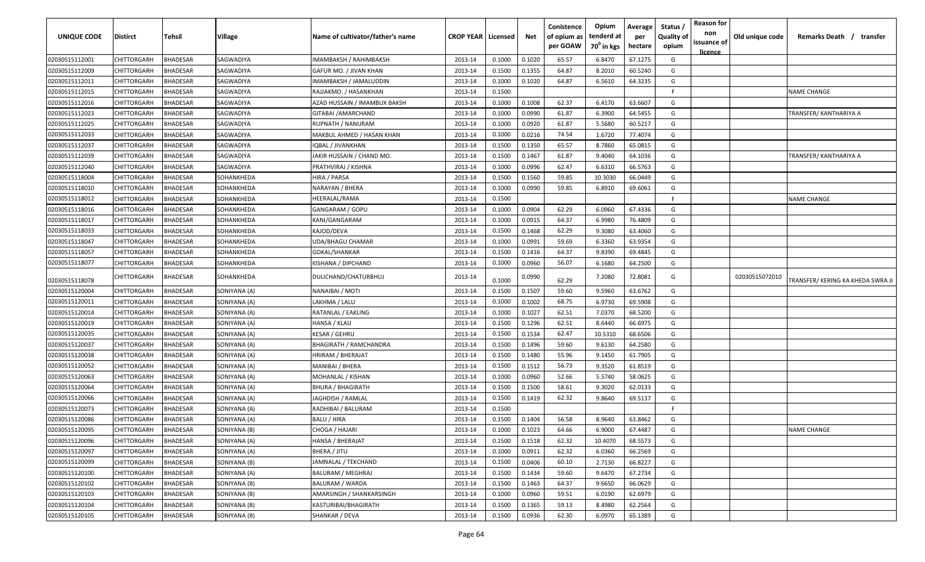| UNIQUE CODE    | <b>Distirct</b>    | <b>Tehsil</b>   | Village      | Name of cultivator/father's name | <b>CROP YEAR   Licensed</b> |        | Net    | Conistence<br>of opium as<br>per GOAW | Opium<br>tenderd at<br>70 <sup>0</sup> in kgs | Average<br>per<br>hectare | Status /<br><b>Quality of</b><br>opium | <b>Reason for</b><br>non<br>issuance of<br><u>licence</u> | Old unique code | Remarks Death / transfer        |
|----------------|--------------------|-----------------|--------------|----------------------------------|-----------------------------|--------|--------|---------------------------------------|-----------------------------------------------|---------------------------|----------------------------------------|-----------------------------------------------------------|-----------------|---------------------------------|
| 02030515112001 | CHITTORGARH        | BHADESAR        | SAGWADIYA    | IMAMBAKSH / RAHIMBAKSH           | 2013-14                     | 0.1000 | 0.1020 | 65.57                                 | 6.8470                                        | 67.1275                   | G                                      |                                                           |                 |                                 |
| 02030515112009 | CHITTORGARH        | <b>BHADESAR</b> | SAGWADIYA    | GAFUR MO. / JIVAN KHAN           | 2013-14                     | 0.1500 | 0.1355 | 64.87                                 | 8.2010                                        | 60.5240                   | G                                      |                                                           |                 |                                 |
| 02030515112011 | CHITTORGARH        | <b>BHADESAR</b> | SAGWADIYA    | IMAMBAKSH / JAMALUDDIN           | 2013-14                     | 0.1000 | 0.1020 | 64.87                                 | 6.5610                                        | 64.3235                   | G                                      |                                                           |                 |                                 |
| 02030515112015 | CHITTORGARH        | <b>BHADESAR</b> | SAGWADIYA    | RAJJAKMO. / HASANKHAN            | 2013-14                     | 0.1500 |        |                                       |                                               |                           | F.                                     |                                                           |                 | <b>NAME CHANGE</b>              |
| 02030515112016 | CHITTORGARH        | <b>BHADESAR</b> | SAGWADIYA    | AZAD HUSSAIN / IMAMBUX BAKSH     | 2013-14                     | 0.1000 | 0.1008 | 62.37                                 | 6.4170                                        | 63.6607                   | G                                      |                                                           |                 |                                 |
| 02030515112023 | CHITTORGARH        | <b>BHADESAR</b> | SAGWADIYA    | GITABAI / AMARCHAND              | 2013-14                     | 0.1000 | 0.0990 | 61.87                                 | 6.3900                                        | 64.5455                   | G                                      |                                                           |                 | TRANSFER/ KANTHARIYA A          |
| 02030515112025 | CHITTORGARH        | <b>BHADESAR</b> | SAGWADIYA    | RUPNATH / NANURAM                | 2013-14                     | 0.1000 | 0.0920 | 61.87                                 | 5.5680                                        | 60.5217                   | G                                      |                                                           |                 |                                 |
| 02030515112033 | CHITTORGARH        | <b>HADESAR</b>  | SAGWADIYA    | MAKBUL AHMED / HASAN KHAN        | 2013-14                     | 0.1000 | 0.0216 | 74.54                                 | 1.6720                                        | 77.4074                   | G                                      |                                                           |                 |                                 |
| 02030515112037 | CHITTORGARH        | <b>HADESAR</b>  | SAGWADIYA    | <b>QBAL / JIVANKHAN</b>          | 2013-14                     | 0.1500 | 0.1350 | 65.57                                 | 8.7860                                        | 65.0815                   | G                                      |                                                           |                 |                                 |
| 02030515112039 | CHITTORGARH        | <b>BHADESAR</b> | SAGWADIYA    | JAKIR HUSSAIN / CHAND MO.        | 2013-14                     | 0.1500 | 0.1467 | 61.87                                 | 9.4040                                        | 64.1036                   | G                                      |                                                           |                 | TRANSFER/ KANTHARIYA A          |
| 02030515112040 | CHITTORGARH        | 3HADESAR        | SAGWADIYA    | PRATHVIRAJ / KISHNA              | 2013-14                     | 0.1000 | 0.0996 | 62.47                                 | 6.6310                                        | 66.5763                   | G                                      |                                                           |                 |                                 |
| 02030515118004 | CHITTORGARH        | 3HADESAR        | SOHANKHEDA   | HIRA / PARSA                     | 2013-14                     | 0.1500 | 0.1560 | 59.85                                 | 10.3030                                       | 66.0449                   | G                                      |                                                           |                 |                                 |
| 02030515118010 | CHITTORGARH        | <b>BHADESAR</b> | SOHANKHEDA   | NARAYAN / BHERA                  | 2013-14                     | 0.1000 | 0.0990 | 59.85                                 | 6.8910                                        | 69.6061                   | G                                      |                                                           |                 |                                 |
| 02030515118012 | CHITTORGARH        | <b>BHADESAR</b> | SOHANKHEDA   | HEERALAL/RAMA                    | 2013-14                     | 0.1500 |        |                                       |                                               |                           | F.                                     |                                                           |                 | NAME CHANGE                     |
| 02030515118016 | CHITTORGARH        | <b>BHADESAR</b> | SOHANKHEDA   | GANGARAM / GOPU                  | 2013-14                     | 0.1000 | 0.0904 | 62.29                                 | 6.0960                                        | 67.4336                   | G                                      |                                                           |                 |                                 |
| 02030515118017 | CHITTORGARH        | <b>HADESAR</b>  | SOHANKHEDA   | KANI/GANGARAM                    | 2013-14                     | 0.1000 | 0.0915 | 64.37                                 | 6.9980                                        | 76.4809                   | G                                      |                                                           |                 |                                 |
| 02030515118033 | CHITTORGARH        | <b>HADESAR</b>  | SOHANKHEDA   | KAJOD/DEVA                       | 2013-14                     | 0.1500 | 0.1468 | 62.29                                 | 9.3080                                        | 63.4060                   | G                                      |                                                           |                 |                                 |
| 02030515118047 | CHITTORGARH        | <b>BHADESAR</b> | SOHANKHEDA   | UDA/BHAGU CHAMAR                 | 2013-14                     | 0.1000 | 0.0991 | 59.69                                 | 6.3360                                        | 63.9354                   | G                                      |                                                           |                 |                                 |
| 02030515118057 | CHITTORGARH        | <b>BHADESAR</b> | SOHANKHEDA   | GOKAL/SHANKAR                    | 2013-14                     | 0.1500 | 0.1416 | 64.37                                 | 9.8390                                        | 69.4845                   | G                                      |                                                           |                 |                                 |
| 02030515118077 | CHITTORGARH        | 3HADESAR        | SOHANKHEDA   | KISHANA / DIPCHAND               | 2013-14                     | 0.1000 | 0.0960 | 56.07                                 | 6.1680                                        | 64.2500                   | G                                      |                                                           |                 |                                 |
| 02030515118078 | CHITTORGARH        | 3HADESAR        | SOHANKHEDA   | DULICHAND/CHATURBHUJ             | 2013-14                     | 0.1000 | 0.0990 | 62.29                                 | 7.2080                                        | 72.8081                   | G                                      |                                                           | 02030515072010  | TRANSFER/KERING KA KHEDA SWRA J |
| 02030515120004 | CHITTORGARH        | <b>BHADESAR</b> | SONIYANA (A) | NANAIBAI / MOTI                  | 2013-14                     | 0.1500 | 0.1507 | 59.60                                 | 9.5960                                        | 63.6762                   | G                                      |                                                           |                 |                                 |
| 02030515120011 | CHITTORGARH        | <b>BHADESAR</b> | SONIYANA (A) | LAKHMA / LALU                    | 2013-14                     | 0.1000 | 0.1002 | 68.75                                 | 6.9730                                        | 69.5908                   | G                                      |                                                           |                 |                                 |
| 02030515120014 | CHITTORGARH        | <b>BHADESAR</b> | SONIYANA (A) | RATANLAL / EAKLING               | 2013-14                     | 0.1000 | 0.1027 | 62.51                                 | 7.0370                                        | 68.5200                   | G                                      |                                                           |                 |                                 |
| 02030515120019 | CHITTORGARH        | <b>BHADESAR</b> | SONIYANA (A) | HANSA / KLAU                     | 2013-14                     | 0.1500 | 0.1296 | 62.51                                 | 8.6440                                        | 66.6975                   | G                                      |                                                           |                 |                                 |
| 02030515120035 | CHITTORGARH        | <b>BHADESAR</b> | SONIYANA (A) | KESAR / GEHRU                    | 2013-14                     | 0.1500 | 0.1534 | 62.47                                 | 10.5310                                       | 68.6506                   | G                                      |                                                           |                 |                                 |
| 02030515120037 | CHITTORGARH        | <b>BHADESAR</b> | SONIYANA (A) | BHAGIRATH / RAMCHANDRA           | 2013-14                     | 0.1500 | 0.1496 | 59.60                                 | 9.6130                                        | 64.2580                   | G                                      |                                                           |                 |                                 |
| 02030515120038 | CHITTORGARH        | <b>BHADESAR</b> | SONIYANA (A) | HRIRAM / BHERAJAT                | 2013-14                     | 0.1500 | 0.1480 | 55.96                                 | 9.1450                                        | 61.7905                   | G                                      |                                                           |                 |                                 |
| 02030515120052 | CHITTORGARH        | <b>HADESAR</b>  | SONIYANA (A) | MANIBAI / BHERA                  | 2013-14                     | 0.1500 | 0.1512 | 56.73                                 | 9.3520                                        | 61.8519                   | G                                      |                                                           |                 |                                 |
| 02030515120063 | CHITTORGARH        | <b>BHADESAR</b> | SONIYANA (A) | MOHANLAL / KISHAN                | 2013-14                     | 0.1000 | 0.0960 | 52.66                                 | 5.5740                                        | 58.0625                   | G                                      |                                                           |                 |                                 |
| 02030515120064 | CHITTORGARH        | <b>BHADESAR</b> | SONIYANA (A) | BHURA / BHAGIRATH                | 2013-14                     | 0.1500 | 0.1500 | 58.61                                 | 9.3020                                        | 62.0133                   | G                                      |                                                           |                 |                                 |
| 02030515120066 | CHITTORGARH        | 3HADESAR        | SONIYANA (A) | IAGHDISH / RAMLAL                | 2013-14                     | 0.1500 | 0.1419 | 62.32                                 | 9.8640                                        | 69.5137                   | G                                      |                                                           |                 |                                 |
| 02030515120073 | CHITTORGARH        | 3HADESAR        | SONIYANA (A) | RADHIBAI / BALURAM               | 2013-14                     | 0.1500 |        |                                       |                                               |                           | F.                                     |                                                           |                 |                                 |
| 02030515120086 | CHITTORGARH        | <b>BHADESAR</b> | SONIYANA (A) | BALU / HIRA                      | 2013-14                     | 0.1500 | 0.1404 | 56.58                                 | 8.9640                                        | 63.8462                   | G                                      |                                                           |                 |                                 |
| 02030515120095 | CHITTORGARH        | <b>BHADESAR</b> | SONIYANA (B) | CHOGA / HAJARI                   | 2013-14                     | 0.1000 | 0.1023 | 64.66                                 | 6.9000                                        | 67.4487                   | G                                      |                                                           |                 | NAME CHANGE                     |
| 02030515120096 | CHITTORGARH        | <b>BHADESAR</b> | SONIYANA (A) | HANSA / BHERAJAT                 | 2013-14                     | 0.1500 | 0.1518 | 62.32                                 | 10.4070                                       | 68.5573                   | G                                      |                                                           |                 |                                 |
| 02030515120097 | CHITTORGARH        | <b>BHADESAR</b> | SONIYANA (A) | BHERA / JITU                     | 2013-14                     | 0.1000 | 0.0911 | 62.32                                 | 6.0360                                        | 66.2569                   | G                                      |                                                           |                 |                                 |
| 02030515120099 | CHITTORGARH        | BHADESAR        | SONIYANA (B) | JAMNALAL / TEKCHAND              | 2013-14                     | 0.1500 | 0.0406 | 60.10                                 | 2.7130                                        | 66.8227                   | G                                      |                                                           |                 |                                 |
| 02030515120100 | CHITTORGARH        | BHADESAR        | SONIYANA (A) | <b>BALURAM / MEGHRAJ</b>         | 2013-14                     | 0.1500 | 0.1434 | 59.60                                 | 9.6470                                        | 67.2734                   | G                                      |                                                           |                 |                                 |
| 02030515120102 | CHITTORGARH        | BHADESAR        | SONIYANA (B) | BALURAM / WARDA                  | 2013-14                     | 0.1500 | 0.1463 | 64.37                                 | 9.6650                                        | 66.0629                   | G                                      |                                                           |                 |                                 |
| 02030515120103 | CHITTORGARH        | <b>BHADESAR</b> | SONIYANA (B) | AMARSINGH / SHANKARSINGH         | 2013-14                     | 0.1000 | 0.0960 | 59.51                                 | 6.0190                                        | 62.6979                   | G                                      |                                                           |                 |                                 |
| 02030515120104 | <b>CHITTORGARH</b> | <b>BHADESAR</b> | SONIYANA (B) | KASTURIBAI/BHAGIRATH             | 2013-14                     | 0.1500 | 0.1365 | 59.13                                 | 8.4980                                        | 62.2564                   | G                                      |                                                           |                 |                                 |
| 02030515120105 | CHITTORGARH        | BHADESAR        | SONIYANA (B) | SHANKAR / DEVA                   | 2013-14                     | 0.1500 | 0.0936 | 62.30                                 | 6.0970                                        | 65.1389                   | G                                      |                                                           |                 |                                 |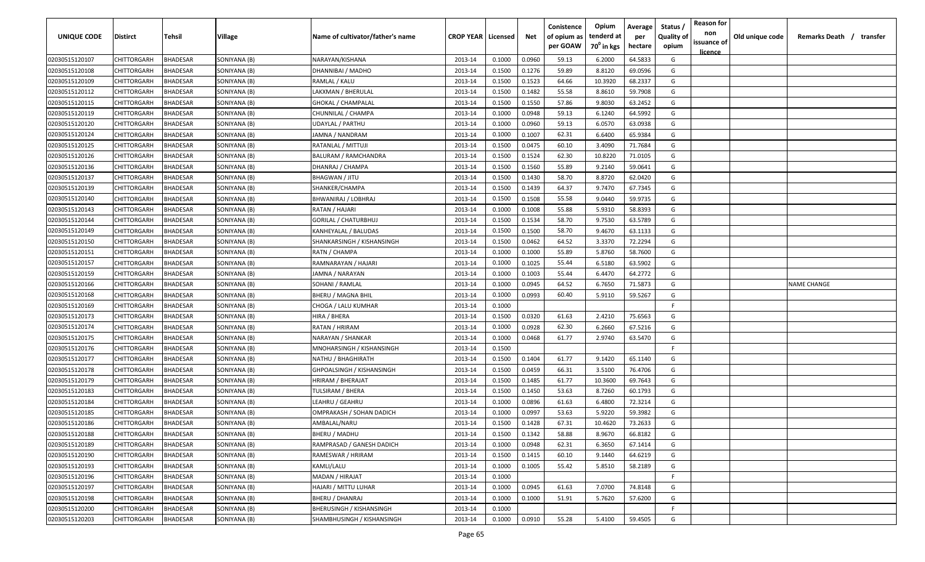| <b>UNIQUE CODE</b> | Distirct           | Tehsil          | Village      | Name of cultivator/father's name | <b>CROP YEAR Licensed</b> |        | Net    | Conistence<br>of opium as | Opium<br>tenderd at    | Average<br>per | Status /<br><b>Quality of</b> | <b>Reason for</b><br>non      | Old unique code | Remarks Death / transfer |
|--------------------|--------------------|-----------------|--------------|----------------------------------|---------------------------|--------|--------|---------------------------|------------------------|----------------|-------------------------------|-------------------------------|-----------------|--------------------------|
|                    |                    |                 |              |                                  |                           |        |        | per GOAW                  | 70 <sup>0</sup> in kgs | hectare        | opium                         | issuance of<br><u>licence</u> |                 |                          |
| 02030515120107     | CHITTORGARH        | <b>BHADESAR</b> | SONIYANA (B) | NARAYAN/KISHANA                  | 2013-14                   | 0.1000 | 0.0960 | 59.13                     | 6.2000                 | 64.5833        | G                             |                               |                 |                          |
| 02030515120108     | CHITTORGARH        | BHADESAR        | SONIYANA (B) | DHANNIBAI / MADHO                | 2013-14                   | 0.1500 | 0.1276 | 59.89                     | 8.8120                 | 69.0596        | G                             |                               |                 |                          |
| 02030515120109     | CHITTORGARH        | BHADESAR        | SONIYANA (B) | RAMLAL / KALU                    | 2013-14                   | 0.1500 | 0.1523 | 64.66                     | 10.3920                | 68.2337        | G                             |                               |                 |                          |
| 02030515120112     | CHITTORGARH        | <b>BHADESAR</b> | SONIYANA (B) | LAKXMAN / BHERULAL               | 2013-14                   | 0.1500 | 0.1482 | 55.58                     | 8.8610                 | 59.7908        | G                             |                               |                 |                          |
| 02030515120115     | CHITTORGARH        | BHADESAR        | SONIYANA (B) | <b>GHOKAL / CHAMPALAL</b>        | 2013-14                   | 0.1500 | 0.1550 | 57.86                     | 9.8030                 | 63.2452        | G                             |                               |                 |                          |
| 02030515120119     | CHITTORGARH        | <b>BHADESAR</b> | SONIYANA (B) | CHUNNILAL / CHAMPA               | 2013-14                   | 0.1000 | 0.0948 | 59.13                     | 6.1240                 | 64.5992        | G                             |                               |                 |                          |
| 02030515120120     | CHITTORGARH        | <b>BHADESAR</b> | SONIYANA (B) | UDAYLAL / PARTHU                 | 2013-14                   | 0.1000 | 0.0960 | 59.13                     | 6.0570                 | 63.0938        | G                             |                               |                 |                          |
| 02030515120124     | CHITTORGARH        | BHADESAR        | SONIYANA (B) | JAMNA / NANDRAM                  | 2013-14                   | 0.1000 | 0.1007 | 62.31                     | 6.6400                 | 65.9384        | G                             |                               |                 |                          |
| 02030515120125     | CHITTORGARH        | BHADESAR        | SONIYANA (B) | RATANLAL / MITTUJI               | 2013-14                   | 0.1500 | 0.0475 | 60.10                     | 3.4090                 | 71.7684        | G                             |                               |                 |                          |
| 02030515120126     | CHITTORGARH        | BHADESAR        | SONIYANA (B) | <b>BALURAM / RAMCHANDRA</b>      | 2013-14                   | 0.1500 | 0.1524 | 62.30                     | 10.8220                | 71.0105        | G                             |                               |                 |                          |
| 02030515120136     | CHITTORGARH        | BHADESAR        | SONIYANA (B) | DHANRAJ / CHAMPA                 | 2013-14                   | 0.1500 | 0.1560 | 55.89                     | 9.2140                 | 59.0641        | G                             |                               |                 |                          |
| 02030515120137     | CHITTORGARH        | BHADESAR        | SONIYANA (B) | <b>BHAGWAN / JITU</b>            | 2013-14                   | 0.1500 | 0.1430 | 58.70                     | 8.8720                 | 62.0420        | G                             |                               |                 |                          |
| 02030515120139     | CHITTORGARH        | BHADESAR        | SONIYANA (B) | SHANKER/CHAMPA                   | 2013-14                   | 0.1500 | 0.1439 | 64.37                     | 9.7470                 | 67.7345        | G                             |                               |                 |                          |
| 02030515120140     | CHITTORGARH        | <b>BHADESAR</b> | SONIYANA (B) | BHWANIRAJ / LOBHRAJ              | 2013-14                   | 0.1500 | 0.1508 | 55.58                     | 9.0440                 | 59.9735        | G                             |                               |                 |                          |
| 02030515120143     | CHITTORGARH        | BHADESAR        | SONIYANA (B) | RATAN / HAJARI                   | 2013-14                   | 0.1000 | 0.1008 | 55.88                     | 5.9310                 | 58.8393        | G                             |                               |                 |                          |
| 02030515120144     | CHITTORGARH        | <b>BHADESAR</b> | SONIYANA (B) | <b>GORILAL / CHATURBHUJ</b>      | 2013-14                   | 0.1500 | 0.1534 | 58.70                     | 9.7530                 | 63.5789        | G                             |                               |                 |                          |
| 02030515120149     | CHITTORGARH        | <b>BHADESAR</b> | SONIYANA (B) | KANHEYALAL / BALUDAS             | 2013-14                   | 0.1500 | 0.1500 | 58.70                     | 9.4670                 | 63.1133        | G                             |                               |                 |                          |
| 02030515120150     | CHITTORGARH        | <b>BHADESAR</b> | SONIYANA (B) | SHANKARSINGH / KISHANSINGH       | 2013-14                   | 0.1500 | 0.0462 | 64.52                     | 3.3370                 | 72.2294        | G                             |                               |                 |                          |
| 02030515120151     | CHITTORGARH        | BHADESAR        | SONIYANA (B) | RATN / CHAMPA                    | 2013-14                   | 0.1000 | 0.1000 | 55.89                     | 5.8760                 | 58.7600        | G                             |                               |                 |                          |
| 02030515120157     | CHITTORGARH        | <b>BHADESAR</b> | SONIYANA (B) | RAMNARAYAN / HAJARI              | 2013-14                   | 0.1000 | 0.1025 | 55.44                     | 6.5180                 | 63.5902        | G                             |                               |                 |                          |
| 02030515120159     | CHITTORGARH        | <b>BHADESAR</b> | SONIYANA (B) | JAMNA / NARAYAN                  | 2013-14                   | 0.1000 | 0.1003 | 55.44                     | 6.4470                 | 64.2772        | G                             |                               |                 |                          |
| 02030515120166     | CHITTORGARH        | <b>BHADESAR</b> | SONIYANA (B) | SOHANI / RAMLAL                  | 2013-14                   | 0.1000 | 0.0945 | 64.52                     | 6.7650                 | 71.5873        | G                             |                               |                 | <b>NAME CHANGE</b>       |
| 02030515120168     | CHITTORGARH        | <b>BHADESAR</b> | SONIYANA (B) | BHERU / MAGNA BHIL               | 2013-14                   | 0.1000 | 0.0993 | 60.40                     | 5.9110                 | 59.5267        | G                             |                               |                 |                          |
| 02030515120169     | CHITTORGARH        | <b>BHADESAR</b> | SONIYANA (B) | CHOGA / LALU KUMHAR              | 2013-14                   | 0.1000 |        |                           |                        |                | -F.                           |                               |                 |                          |
| 02030515120173     | CHITTORGARH        | BHADESAR        | SONIYANA (B) | HIRA / BHERA                     | 2013-14                   | 0.1500 | 0.0320 | 61.63                     | 2.4210                 | 75.6563        | G                             |                               |                 |                          |
| 02030515120174     | CHITTORGARH        | BHADESAR        | SONIYANA (B) | RATAN / HRIRAM                   | 2013-14                   | 0.1000 | 0.0928 | 62.30                     | 6.2660                 | 67.5216        | G                             |                               |                 |                          |
| 02030515120175     | CHITTORGARH        | BHADESAR        | SONIYANA (B) | NARAYAN / SHANKAR                | 2013-14                   | 0.1000 | 0.0468 | 61.77                     | 2.9740                 | 63.5470        | G                             |                               |                 |                          |
| 02030515120176     | CHITTORGARH        | BHADESAR        | SONIYANA (B) | MNOHARSINGH / KISHANSINGH        | 2013-14                   | 0.1500 |        |                           |                        |                | -F.                           |                               |                 |                          |
| 02030515120177     | CHITTORGARH        | BHADESAR        | SONIYANA (B) | NATHU / BHAGHIRATH               | 2013-14                   | 0.1500 | 0.1404 | 61.77                     | 9.1420                 | 65.1140        | G                             |                               |                 |                          |
| 02030515120178     | CHITTORGARH        | BHADESAR        | SONIYANA (B) | GHPOALSINGH / KISHANSINGH        | 2013-14                   | 0.1500 | 0.0459 | 66.31                     | 3.5100                 | 76.4706        | G                             |                               |                 |                          |
| 02030515120179     | CHITTORGARH        | BHADESAR        | SONIYANA (B) | HRIRAM / BHERAJAT                | 2013-14                   | 0.1500 | 0.1485 | 61.77                     | 10.3600                | 69.7643        | G                             |                               |                 |                          |
| 02030515120183     | CHITTORGARH        | BHADESAR        | SONIYANA (B) | TULSIRAM / BHERA                 | 2013-14                   | 0.1500 | 0.1450 | 53.63                     | 8.7260                 | 60.1793        | G                             |                               |                 |                          |
| 02030515120184     | CHITTORGARH        | BHADESAR        | SONIYANA (B) | LEAHRU / GEAHRU                  | 2013-14                   | 0.1000 | 0.0896 | 61.63                     | 6.4800                 | 72.3214        | G                             |                               |                 |                          |
| 02030515120185     | CHITTORGARH        | BHADESAR        | SONIYANA (B) | OMPRAKASH / SOHAN DADICH         | 2013-14                   | 0.1000 | 0.0997 | 53.63                     | 5.9220                 | 59.3982        | G                             |                               |                 |                          |
| 02030515120186     | CHITTORGARH        | BHADESAR        | SONIYANA (B) | AMBALAL/NARU                     | 2013-14                   | 0.1500 | 0.1428 | 67.31                     | 10.4620                | 73.2633        | G                             |                               |                 |                          |
| 02030515120188     | <b>CHITTORGARH</b> | <b>BHADESAR</b> | SONIYANA (B) | <b>BHERU / MADHU</b>             | 2013-14                   | 0.1500 | 0.1342 | 58.88                     | 8.9670                 | 66.8182        | G                             |                               |                 |                          |
| 02030515120189     | CHITTORGARH        | <b>BHADESAR</b> | SONIYANA (B) | RAMPRASAD / GANESH DADICH        | 2013-14                   | 0.1000 | 0.0948 | 62.31                     | 6.3650                 | 67.1414        | G                             |                               |                 |                          |
| 02030515120190     | CHITTORGARH        | <b>BHADESAR</b> | SONIYANA (B) | RAMESWAR / HRIRAM                | 2013-14                   | 0.1500 | 0.1415 | 60.10                     | 9.1440                 | 64.6219        | G                             |                               |                 |                          |
| 02030515120193     | <b>CHITTORGARH</b> | <b>BHADESAR</b> | SONIYANA (B) | KAMLI/LALU                       | 2013-14                   | 0.1000 | 0.1005 | 55.42                     | 5.8510                 | 58.2189        | G                             |                               |                 |                          |
| 02030515120196     | CHITTORGARH        | <b>BHADESAR</b> | SONIYANA (B) | MADAN / HIRAJAT                  | 2013-14                   | 0.1000 |        |                           |                        |                | F.                            |                               |                 |                          |
| 02030515120197     | CHITTORGARH        | BHADESAR        | SONIYANA (B) | HAJARI / MITTU LUHAR             | 2013-14                   | 0.1000 | 0.0945 | 61.63                     | 7.0700                 | 74.8148        | G                             |                               |                 |                          |
| 02030515120198     | CHITTORGARH        | <b>BHADESAR</b> | SONIYANA (B) | <b>BHERU / DHANRAJ</b>           | 2013-14                   | 0.1000 | 0.1000 | 51.91                     | 5.7620                 | 57.6200        | G                             |                               |                 |                          |
| 02030515120200     | CHITTORGARH        | BHADESAR        | SONIYANA (B) | <b>BHERUSINGH / KISHANSINGH</b>  | 2013-14                   | 0.1000 |        |                           |                        |                | F.                            |                               |                 |                          |
| 02030515120203     | <b>CHITTORGARH</b> | <b>BHADESAR</b> | SONIYANA (B) | SHAMBHUSINGH / KISHANSINGH       | 2013-14                   | 0.1000 | 0.0910 | 55.28                     | 5.4100                 | 59.4505        | G                             |                               |                 |                          |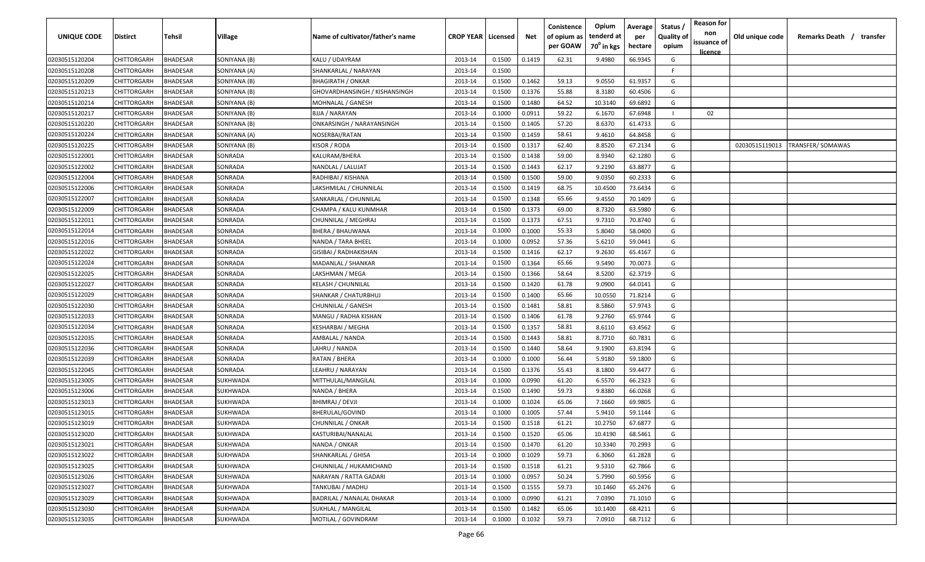| UNIQUE CODE    | <b>Distirct</b> | Tehsil          | <b>Village</b> | Name of cultivator/father's name | <b>CROP YEAR   Licensed</b> |        | Net    | Conistence<br>of opium as<br>per GOAW | Opium<br>tenderd at<br>$70^0$ in kgs | Average<br>per<br>hectare | Status /<br><b>Quality of</b><br>opium | <b>Reason for</b><br>non<br>issuance of | Old unique code | Remarks Death /  | transfer |
|----------------|-----------------|-----------------|----------------|----------------------------------|-----------------------------|--------|--------|---------------------------------------|--------------------------------------|---------------------------|----------------------------------------|-----------------------------------------|-----------------|------------------|----------|
| 02030515120204 | CHITTORGARH     | BHADESAR        | SONIYANA (B)   | KALU / UDAYRAM                   | 2013-14                     | 0.1500 | 0.1419 | 62.31                                 | 9.4980                               | 66.9345                   | G                                      | licence                                 |                 |                  |          |
| 02030515120208 | CHITTORGARH     | BHADESAR        | SONIYANA (A)   | SHANKARLAL / NARAYAN             | 2013-14                     | 0.1500 |        |                                       |                                      |                           | F.                                     |                                         |                 |                  |          |
| 02030515120209 | CHITTORGARH     | <b>BHADESAR</b> | SONIYANA (B)   | <b>BHAGIRATH / ONKAR</b>         | 2013-14                     | 0.1500 | 0.1462 | 59.13                                 | 9.0550                               | 61.9357                   | G                                      |                                         |                 |                  |          |
| 02030515120213 | CHITTORGARH     | BHADESAR        | SONIYANA (B)   | GHOVARDHANSINGH / KISHANSINGH    | 2013-14                     | 0.1500 | 0.1376 | 55.88                                 | 8.3180                               | 60.4506                   | G                                      |                                         |                 |                  |          |
| 02030515120214 | CHITTORGARH     | BHADESAR        | SONIYANA (B)   | MOHNALAL / GANESH                | 2013-14                     | 0.1500 | 0.1480 | 64.52                                 | 10.3140                              | 69.6892                   | G                                      |                                         |                 |                  |          |
| 02030515120217 | CHITTORGARH     | <b>BHADESAR</b> | SONIYANA (B)   | BJJA / NARAYAN                   | 2013-14                     | 0.1000 | 0.0911 | 59.22                                 | 6.1670                               | 67.6948                   |                                        | 02                                      |                 |                  |          |
| 02030515120220 | CHITTORGARH     | <b>BHADESAR</b> | SONIYANA (B)   | ONKARSINGH / NARAYANSINGH        | 2013-14                     | 0.1500 | 0.1405 | 57.20                                 | 8.6370                               | 61.4733                   | G                                      |                                         |                 |                  |          |
| 02030515120224 | CHITTORGARH     | <b>BHADESAR</b> | SONIYANA (A)   | NOSERBAI/RATAN                   | 2013-14                     | 0.1500 | 0.1459 | 58.61                                 | 9.4610                               | 64.8458                   | G                                      |                                         |                 |                  |          |
| 02030515120225 | CHITTORGARH     | BHADESAR        | SONIYANA (B)   | KISOR / RODA                     | 2013-14                     | 0.1500 | 0.1317 | 62.40                                 | 8.8520                               | 67.2134                   | G                                      |                                         | 02030515119013  | TRANSFER/SOMAWAS |          |
| 02030515122001 | CHITTORGARH     | BHADESAR        | SONRADA        | KALURAM/BHERA                    | 2013-14                     | 0.1500 | 0.1438 | 59.00                                 | 8.9340                               | 62.1280                   | G                                      |                                         |                 |                  |          |
| 02030515122002 | CHITTORGARH     | <b>BHADESAR</b> | SONRADA        | NANDLAL / LALUJAT                | 2013-14                     | 0.1500 | 0.1443 | 62.17                                 | 9.2190                               | 63.8877                   | G                                      |                                         |                 |                  |          |
| 02030515122004 | CHITTORGARH     | BHADESAR        | SONRADA        | RADHIBAI / KISHANA               | 2013-14                     | 0.1500 | 0.1500 | 59.00                                 | 9.0350                               | 60.2333                   | G                                      |                                         |                 |                  |          |
| 02030515122006 | CHITTORGARH     | BHADESAR        | SONRADA        | LAKSHMILAL / CHUNNILAL           | 2013-14                     | 0.1500 | 0.1419 | 68.75                                 | 10.4500                              | 73.6434                   | G                                      |                                         |                 |                  |          |
| 02030515122007 | CHITTORGARH     | BHADESAR        | SONRADA        | SANKARLAL / CHUNNILAL            | 2013-14                     | 0.1500 | 0.1348 | 65.66                                 | 9.4550                               | 70.1409                   | G                                      |                                         |                 |                  |          |
| 02030515122009 | CHITTORGARH     | BHADESAR        | SONRADA        | CHAMPA / KALU KUNMHAR            | 2013-14                     | 0.1500 | 0.1373 | 69.00                                 | 8.7320                               | 63.5980                   | G                                      |                                         |                 |                  |          |
| 02030515122011 | CHITTORGARH     | <b>BHADESAR</b> | SONRADA        | CHUNNILAL / MEGHRAJ              | 2013-14                     | 0.1500 | 0.1373 | 67.51                                 | 9.7310                               | 70.8740                   | G                                      |                                         |                 |                  |          |
| 02030515122014 | CHITTORGARH     | BHADESAR        | SONRADA        | <b>BHERA / BHAUWANA</b>          | 2013-14                     | 0.1000 | 0.1000 | 55.33                                 | 5.8040                               | 58.0400                   | G                                      |                                         |                 |                  |          |
| 02030515122016 | CHITTORGARH     | BHADESAR        | SONRADA        | NANDA / TARA BHEEL               | 2013-14                     | 0.1000 | 0.0952 | 57.36                                 | 5.6210                               | 59.0441                   | G                                      |                                         |                 |                  |          |
| 02030515122022 | CHITTORGARH     | BHADESAR        | SONRADA        | GISIBAI / RADHAKISHAN            | 2013-14                     | 0.1500 | 0.1416 | 62.17                                 | 9.2630                               | 65.4167                   | G                                      |                                         |                 |                  |          |
| 02030515122024 | CHITTORGARH     | BHADESAR        | SONRADA        | MADANLAL / SHANKAR               | 2013-14                     | 0.1500 | 0.1364 | 65.66                                 | 9.5490                               | 70.0073                   | G                                      |                                         |                 |                  |          |
| 02030515122025 | CHITTORGARH     | BHADESAR        | SONRADA        | LAKSHMAN / MEGA                  | 2013-14                     | 0.1500 | 0.1366 | 58.64                                 | 8.5200                               | 62.3719                   | G                                      |                                         |                 |                  |          |
| 02030515122027 | CHITTORGARH     | BHADESAR        | SONRADA        | KELASH / CHUNNILAL               | 2013-14                     | 0.1500 | 0.1420 | 61.78                                 | 9.0900                               | 64.0141                   | G                                      |                                         |                 |                  |          |
| 02030515122029 | CHITTORGARH     | <b>BHADESAR</b> | SONRADA        | SHANKAR / CHATURBHUJ             | 2013-14                     | 0.1500 | 0.1400 | 65.66                                 | 10.0550                              | 71.8214                   | G                                      |                                         |                 |                  |          |
| 02030515122030 | CHITTORGARH     | BHADESAR        | SONRADA        | CHUNNILAL / GANESH               | 2013-14                     | 0.1500 | 0.1481 | 58.81                                 | 8.5860                               | 57.9743                   | G                                      |                                         |                 |                  |          |
| 02030515122033 | CHITTORGARH     | BHADESAR        | SONRADA        | MANGU / RADHA KISHAN             | 2013-14                     | 0.1500 | 0.1406 | 61.78                                 | 9.2760                               | 65.9744                   | G                                      |                                         |                 |                  |          |
| 02030515122034 | CHITTORGARH     | BHADESAR        | SONRADA        | KESHARBAI / MEGHA                | 2013-14                     | 0.1500 | 0.1357 | 58.81                                 | 8.6110                               | 63.4562                   | G                                      |                                         |                 |                  |          |
| 02030515122035 | CHITTORGARH     | BHADESAR        | SONRADA        | AMBALAL / NANDA                  | 2013-14                     | 0.1500 | 0.1443 | 58.81                                 | 8.7710                               | 60.7831                   | G                                      |                                         |                 |                  |          |
| 02030515122036 | CHITTORGARH     | <b>BHADESAR</b> | SONRADA        | LAHRU / NANDA                    | 2013-14                     | 0.1500 | 0.1440 | 58.64                                 | 9.1900                               | 63.8194                   | G                                      |                                         |                 |                  |          |
| 02030515122039 | CHITTORGARH     | BHADESAR        | SONRADA        | RATAN / BHERA                    | 2013-14                     | 0.1000 | 0.1000 | 56.44                                 | 5.9180                               | 59.1800                   | G                                      |                                         |                 |                  |          |
| 02030515122045 | CHITTORGARH     | BHADESAR        | SONRADA        | LEAHRU / NARAYAN                 | 2013-14                     | 0.1500 | 0.1376 | 55.43                                 | 8.1800                               | 59.4477                   | G                                      |                                         |                 |                  |          |
| 02030515123005 | CHITTORGARH     | BHADESAR        | SUKHWADA       | MITTHULAL/MANGILAL               | 2013-14                     | 0.1000 | 0.0990 | 61.20                                 | 6.5570                               | 66.2323                   | G                                      |                                         |                 |                  |          |
| 02030515123006 | CHITTORGARH     | BHADESAR        | SUKHWADA       | NANDA / BHERA                    | 2013-14                     | 0.1500 | 0.1490 | 59.73                                 | 9.8380                               | 66.0268                   | G                                      |                                         |                 |                  |          |
| 02030515123013 | CHITTORGARH     | BHADESAR        | SUKHWADA       | <b>BHIMRAJ / DEVJI</b>           | 2013-14                     | 0.1000 | 0.1024 | 65.06                                 | 7.1660                               | 69.9805                   | G                                      |                                         |                 |                  |          |
| 02030515123015 | CHITTORGARH     | BHADESAR        | SUKHWADA       | <b>BHERULAL/GOVIND</b>           | 2013-14                     | 0.1000 | 0.1005 | 57.44                                 | 5.9410                               | 59.1144                   | G                                      |                                         |                 |                  |          |
| 02030515123019 | CHITTORGARH     | BHADESAR        | SUKHWADA       | <b>CHUNNILAL / ONKAR</b>         | 2013-14                     | 0.1500 | 0.1518 | 61.21                                 | 10.2750                              | 67.6877                   | G                                      |                                         |                 |                  |          |
| 02030515123020 | CHITTORGARH     | BHADESAR        | SUKHWADA       | KASTURIBAI/NANALAL               | 2013-14                     | 0.1500 | 0.1520 | 65.06                                 | 10.4190                              | 68.5461                   | G                                      |                                         |                 |                  |          |
| 02030515123021 | CHITTORGARH     | BHADESAR        | SUKHWADA       | NANDA / ONKAR                    | 2013-14                     | 0.1500 | 0.1470 | 61.20                                 | 10.3340                              | 70.2993                   | G                                      |                                         |                 |                  |          |
| 02030515123022 | CHITTORGARH     | <b>BHADESAR</b> | SUKHWADA       | SHANKARLAL / GHISA               | 2013-14                     | 0.1000 | 0.1029 | 59.73                                 | 6.3060                               | 61.2828                   | G                                      |                                         |                 |                  |          |
| 02030515123025 | CHITTORGARH     | <b>BHADESAR</b> | SUKHWADA       | CHUNNILAL / HUKAMICHAND          | 2013-14                     | 0.1500 | 0.1518 | 61.21                                 | 9.5310                               | 62.7866                   | G                                      |                                         |                 |                  |          |
| 02030515123026 | CHITTORGARH     | BHADESAR        | SUKHWADA       | NARAYAN / RATTA GADARI           | 2013-14                     | 0.1000 | 0.0957 | 50.24                                 | 5.7990                               | 60.5956                   | G                                      |                                         |                 |                  |          |
| 02030515123027 | CHITTORGARH     | BHADESAR        | SUKHWADA       | TANKUBAI / MADHU                 | 2013-14                     | 0.1500 | 0.1555 | 59.73                                 | 10.1460                              | 65.2476                   | G                                      |                                         |                 |                  |          |
| 02030515123029 | CHITTORGARH     | BHADESAR        | SUKHWADA       | <b>BADRILAL / NANALAL DHAKAR</b> | 2013-14                     | 0.1000 | 0.0990 | 61.21                                 | 7.0390                               | 71.1010                   | G                                      |                                         |                 |                  |          |
| 02030515123030 | CHITTORGARH     | BHADESAR        | SUKHWADA       | SUKHLAL / MANGILAL               | 2013-14                     | 0.1500 | 0.1482 | 65.06                                 | 10.1400                              | 68.4211                   | G                                      |                                         |                 |                  |          |
| 02030515123035 | CHITTORGARH     | BHADESAR        | SUKHWADA       | MOTILAL / GOVINDRAM              | 2013-14                     | 0.1000 | 0.1032 | 59.73                                 | 7.0910                               | 68.7112                   | G                                      |                                         |                 |                  |          |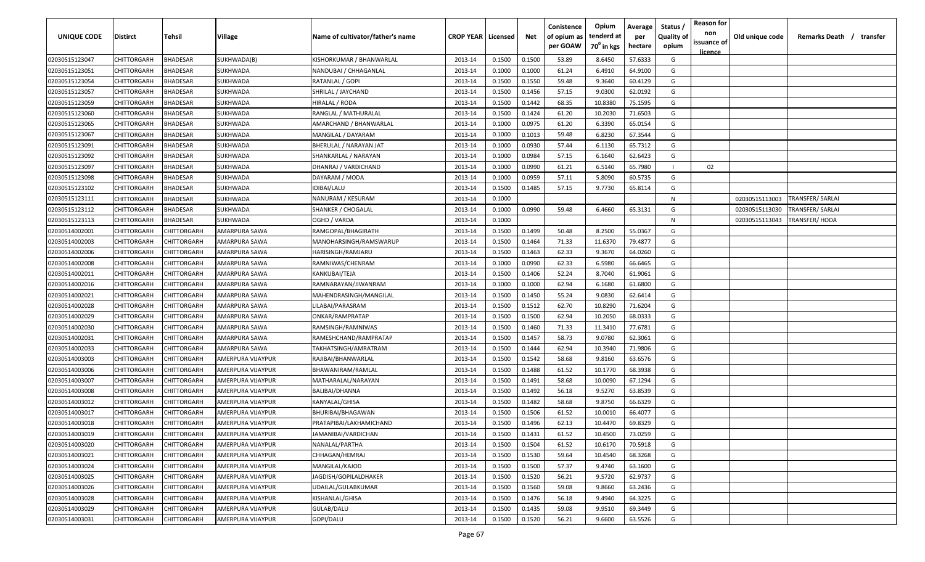| <b>UNIQUE CODE</b> | Distirct           | Tehsil             | Village           | Name of cultivator/father's name | <b>CROP YEAR   Licensed</b> |        | Net    | Conistence<br>of opium as | Opium<br>tenderd at    | Average<br>per | Status /<br><b>Quality of</b> | <b>Reason for</b><br>non      | Old unique code | Remarks Death / transfer |
|--------------------|--------------------|--------------------|-------------------|----------------------------------|-----------------------------|--------|--------|---------------------------|------------------------|----------------|-------------------------------|-------------------------------|-----------------|--------------------------|
|                    |                    |                    |                   |                                  |                             |        |        | per GOAW                  | 70 <sup>0</sup> in kgs | hectare        | opium                         | issuance of<br><u>licence</u> |                 |                          |
| 02030515123047     | CHITTORGARH        | <b>BHADESAR</b>    | SUKHWADA(B)       | KISHORKUMAR / BHANWARLAL         | 2013-14                     | 0.1500 | 0.1500 | 53.89                     | 8.6450                 | 57.6333        | G                             |                               |                 |                          |
| 02030515123051     | CHITTORGARH        | BHADESAR           | SUKHWADA          | NANDUBAI / CHHAGANLAL            | 2013-14                     | 0.1000 | 0.1000 | 61.24                     | 6.4910                 | 64.9100        | G                             |                               |                 |                          |
| 02030515123054     | CHITTORGARH        | BHADESAR           | SUKHWADA          | RATANLAL / GOPI                  | 2013-14                     | 0.1500 | 0.1550 | 59.48                     | 9.3640                 | 60.4129        | G                             |                               |                 |                          |
| 02030515123057     | CHITTORGARH        | BHADESAR           | SUKHWADA          | SHRILAL / JAYCHAND               | 2013-14                     | 0.1500 | 0.1456 | 57.15                     | 9.0300                 | 62.0192        | G                             |                               |                 |                          |
| 02030515123059     | CHITTORGARH        | BHADESAR           | SUKHWADA          | HIRALAL / RODA                   | 2013-14                     | 0.1500 | 0.1442 | 68.35                     | 10.8380                | 75.1595        | G                             |                               |                 |                          |
| 02030515123060     | CHITTORGARH        | BHADESAR           | SUKHWADA          | RANGLAL / MATHURALAL             | 2013-14                     | 0.1500 | 0.1424 | 61.20                     | 10.2030                | 71.6503        | G                             |                               |                 |                          |
| 02030515123065     | CHITTORGARH        | BHADESAR           | SUKHWADA          | AMARCHAND / BHANWARLAL           | 2013-14                     | 0.1000 | 0.0975 | 61.20                     | 6.3390                 | 65.0154        | G                             |                               |                 |                          |
| 02030515123067     | CHITTORGARH        | BHADESAR           | SUKHWADA          | MANGILAL / DAYARAM               | 2013-14                     | 0.1000 | 0.1013 | 59.48                     | 6.8230                 | 67.3544        | G                             |                               |                 |                          |
| 02030515123091     | CHITTORGARH        | BHADESAR           | SUKHWADA          | BHERULAL / NARAYAN JAT           | 2013-14                     | 0.1000 | 0.0930 | 57.44                     | 6.1130                 | 65.7312        | G                             |                               |                 |                          |
| 02030515123092     | CHITTORGARH        | BHADESAR           | SUKHWADA          | SHANKARLAL / NARAYAN             | 2013-14                     | 0.1000 | 0.0984 | 57.15                     | 6.1640                 | 62.6423        | G                             |                               |                 |                          |
| 02030515123097     | CHITTORGARH        | BHADESAR           | SUKHWADA          | DHANRAJ / VARDICHAND             | 2013-14                     | 0.1000 | 0.0990 | 61.21                     | 6.5140                 | 65.7980        |                               | 02                            |                 |                          |
| 02030515123098     | CHITTORGARH        | BHADESAR           | SUKHWADA          | DAYARAM / MODA                   | 2013-14                     | 0.1000 | 0.0959 | 57.11                     | 5.8090                 | 60.5735        | G                             |                               |                 |                          |
| 02030515123102     | CHITTORGARH        | BHADESAR           | SUKHWADA          | IDIBAI/LALU                      | 2013-14                     | 0.1500 | 0.1485 | 57.15                     | 9.7730                 | 65.8114        | G                             |                               |                 |                          |
| 02030515123111     | CHITTORGARH        | <b>BHADESAR</b>    | SUKHWADA          | NANURAM / KESURAM                | 2013-14                     | 0.1000 |        |                           |                        |                | N                             |                               | 02030515113003  | TRANSFER/ SARLAI         |
| 02030515123112     | CHITTORGARH        | BHADESAR           | SUKHWADA          | SHANKER / CHOGALAL               | 2013-14                     | 0.1000 | 0.0990 | 59.48                     | 6.4660                 | 65.3131        | G                             |                               | 02030515113030  | TRANSFER/ SARLAI         |
| 02030515123113     | CHITTORGARH        | <b>BHADESAR</b>    | SUKHWADA          | OGHD / VARDA                     | 2013-14                     | 0.1000 |        |                           |                        |                | N                             |                               | 02030515113043  | <b>TRANSFER/ HODA</b>    |
| 02030514002001     | CHITTORGARH        | CHITTORGARH        | AMARPURA SAWA     | RAMGOPAL/BHAGIRATH               | 2013-14                     | 0.1500 | 0.1499 | 50.48                     | 8.2500                 | 55.0367        | G                             |                               |                 |                          |
| 02030514002003     | <b>CHITTORGARH</b> | CHITTORGARH        | AMARPURA SAWA     | MANOHARSINGH/RAMSWARUP           | 2013-14                     | 0.1500 | 0.1464 | 71.33                     | 11.6370                | 79.4877        | G                             |                               |                 |                          |
| 02030514002006     | CHITTORGARH        | CHITTORGARH        | AMARPURA SAWA     | HARISINGH/RAMJARU                | 2013-14                     | 0.1500 | 0.1463 | 62.33                     | 9.3670                 | 64.0260        | G                             |                               |                 |                          |
| 02030514002008     | CHITTORGARH        | CHITTORGARH        | AMARPURA SAWA     | RAMNIWAS/CHENRAM                 | 2013-14                     | 0.1000 | 0.0990 | 62.33                     | 6.5980                 | 66.6465        | G                             |                               |                 |                          |
| 02030514002011     | CHITTORGARH        | CHITTORGARH        | AMARPURA SAWA     | KANKUBAI/TEJA                    | 2013-14                     | 0.1500 | 0.1406 | 52.24                     | 8.7040                 | 61.9061        | G                             |                               |                 |                          |
| 02030514002016     | CHITTORGARH        | CHITTORGARH        | AMARPURA SAWA     | RAMNARAYAN/JIWANRAM              | 2013-14                     | 0.1000 | 0.1000 | 62.94                     | 6.1680                 | 61.6800        | G                             |                               |                 |                          |
| 02030514002021     | CHITTORGARH        | CHITTORGARH        | AMARPURA SAWA     | MAHENDRASINGH/MANGILAL           | 2013-14                     | 0.1500 | 0.1450 | 55.24                     | 9.0830                 | 62.6414        | G                             |                               |                 |                          |
| 02030514002028     | CHITTORGARH        | CHITTORGARH        | AMARPURA SAWA     | LILABAI/PARASRAM                 | 2013-14                     | 0.1500 | 0.1512 | 62.70                     | 10.8290                | 71.6204        | G                             |                               |                 |                          |
| 02030514002029     | CHITTORGARH        | CHITTORGARH        | AMARPURA SAWA     | ONKAR/RAMPRATAP                  | 2013-14                     | 0.1500 | 0.1500 | 62.94                     | 10.2050                | 68.0333        | G                             |                               |                 |                          |
| 02030514002030     | CHITTORGARH        | CHITTORGARH        | AMARPURA SAWA     | RAMSINGH/RAMNIWAS                | 2013-14                     | 0.1500 | 0.1460 | 71.33                     | 11.3410                | 77.6781        | G                             |                               |                 |                          |
| 02030514002031     | CHITTORGARH        | CHITTORGARH        | AMARPURA SAWA     | RAMESHCHAND/RAMPRATAP            | 2013-14                     | 0.1500 | 0.1457 | 58.73                     | 9.0780                 | 62.3061        | G                             |                               |                 |                          |
| 02030514002033     | CHITTORGARH        | CHITTORGARH        | AMARPURA SAWA     | TAKHATSINGH/AMRATRAM             | 2013-14                     | 0.1500 | 0.1444 | 62.94                     | 10.3940                | 71.9806        | G                             |                               |                 |                          |
| 02030514003003     | CHITTORGARH        | CHITTORGARH        | AMERPURA VIJAYPUR | RAJIBAI/BHANWARLAL               | 2013-14                     | 0.1500 | 0.1542 | 58.68                     | 9.8160                 | 63.6576        | G                             |                               |                 |                          |
| 02030514003006     | CHITTORGARH        | CHITTORGARH        | AMERPURA VIJAYPUR | BHAWANIRAM/RAMLAL                | 2013-14                     | 0.1500 | 0.1488 | 61.52                     | 10.1770                | 68.3938        | G                             |                               |                 |                          |
| 02030514003007     | CHITTORGARH        | CHITTORGARH        | AMERPURA VIJAYPUR | MATHARALAL/NARAYAN               | 2013-14                     | 0.1500 | 0.1491 | 58.68                     | 10.0090                | 67.1294        | G                             |                               |                 |                          |
| 02030514003008     | CHITTORGARH        | CHITTORGARH        | AMERPURA VIJAYPUR | BALIBAI/DHANNA                   | 2013-14                     | 0.1500 | 0.1492 | 56.18                     | 9.5270                 | 63.8539        | G                             |                               |                 |                          |
| 02030514003012     | CHITTORGARH        | CHITTORGARH        | AMERPURA VIJAYPUR | KANYALAL/GHISA                   | 2013-14                     | 0.1500 | 0.1482 | 58.68                     | 9.8750                 | 66.6329        | G                             |                               |                 |                          |
| 02030514003017     | CHITTORGARH        | CHITTORGARH        | AMERPURA VIJAYPUR | BHURIBAI/BHAGAWAN                | 2013-14                     | 0.1500 | 0.1506 | 61.52                     | 10.0010                | 66.4077        | G                             |                               |                 |                          |
| 02030514003018     | <b>CHITTORGARH</b> | CHITTORGARH        | AMERPURA VIJAYPUR | PRATAPIBAI/LAKHAMICHAND          | 2013-14                     | 0.1500 | 0.1496 | 62.13                     | 10.4470                | 69.8329        | G                             |                               |                 |                          |
| 02030514003019     | <b>CHITTORGARH</b> | <b>CHITTORGARH</b> | AMERPURA VIJAYPUR | JAMANIBAI/VARDICHAN              | 2013-14                     | 0.1500 | 0.1431 | 61.52                     | 10.4500                | 73.0259        | G                             |                               |                 |                          |
| 02030514003020     | CHITTORGARH        | CHITTORGARH        | AMERPURA VIJAYPUR | NANALAL/PARTHA                   | 2013-14                     | 0.1500 | 0.1504 | 61.52                     | 10.6170                | 70.5918        | G                             |                               |                 |                          |
| 02030514003021     | CHITTORGARH        | <b>CHITTORGARH</b> | AMERPURA VIJAYPUR | CHHAGAN/HEMRAJ                   | 2013-14                     | 0.1500 | 0.1530 | 59.64                     | 10.4540                | 68.3268        | G                             |                               |                 |                          |
| 02030514003024     | <b>CHITTORGARH</b> | CHITTORGARH        | AMERPURA VIJAYPUR | MANGILAL/KAJOD                   | 2013-14                     | 0.1500 | 0.1500 | 57.37                     | 9.4740                 | 63.1600        | G                             |                               |                 |                          |
| 02030514003025     | CHITTORGARH        | CHITTORGARH        | AMERPURA VIJAYPUR | JAGDISH/GOPILALDHAKER            | 2013-14                     | 0.1500 | 0.1520 | 56.21                     | 9.5720                 | 62.9737        | G                             |                               |                 |                          |
| 02030514003026     | CHITTORGARH        | CHITTORGARH        | AMERPURA VIJAYPUR | UDAILAL/GULABKUMAR               | 2013-14                     | 0.1500 | 0.1560 | 59.08                     | 9.8660                 | 63.2436        | G                             |                               |                 |                          |
| 02030514003028     | CHITTORGARH        | CHITTORGARH        | AMERPURA VIJAYPUR | KISHANLAL/GHISA                  | 2013-14                     | 0.1500 | 0.1476 | 56.18                     | 9.4940                 | 64.3225        | G                             |                               |                 |                          |
| 02030514003029     | CHITTORGARH        | CHITTORGARH        | AMERPURA VIJAYPUR | GULAB/DALU                       | 2013-14                     | 0.1500 | 0.1435 | 59.08                     | 9.9510                 | 69.3449        | G                             |                               |                 |                          |
| 02030514003031     | CHITTORGARH        | CHITTORGARH        | AMERPURA VIJAYPUR | GOPI/DALU                        | 2013-14                     | 0.1500 | 0.1520 | 56.21                     | 9.6600                 | 63.5526        | G                             |                               |                 |                          |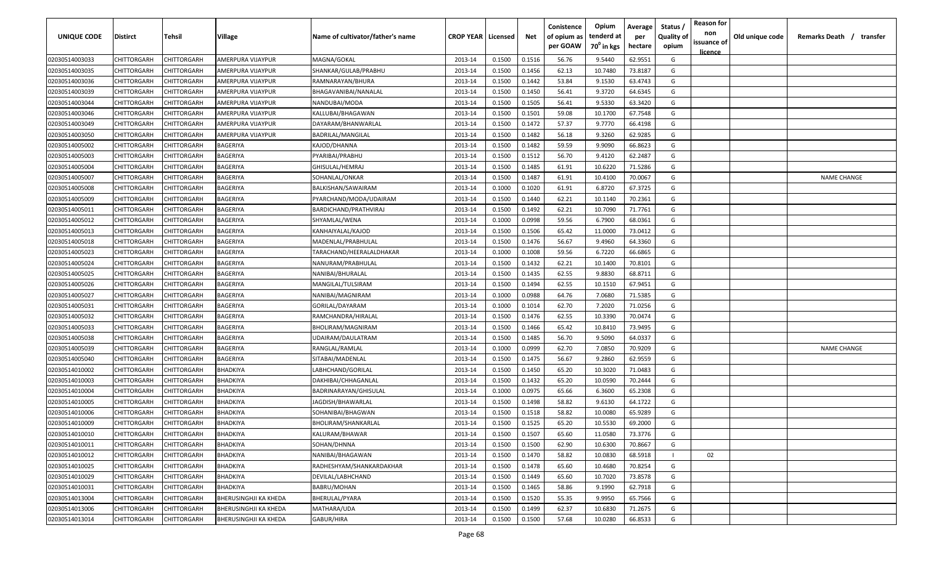| <b>UNIQUE CODE</b> | <b>Distirct</b>    | <b>Tehsil</b>      | Village                      | Name of cultivator/father's name | <b>CROP YEAR   Licensed</b> |        | Net    | Conistence<br>of opium as<br>per GOAW | Opium<br>tenderd at<br>70 <sup>0</sup> in kgs | Average<br>per<br>hectare | Status /<br>Quality of<br>opium | <b>Reason for</b><br>non<br>issuance of<br><u>licence</u> | Old unique code | Remarks Death /<br>transfer |
|--------------------|--------------------|--------------------|------------------------------|----------------------------------|-----------------------------|--------|--------|---------------------------------------|-----------------------------------------------|---------------------------|---------------------------------|-----------------------------------------------------------|-----------------|-----------------------------|
| 02030514003033     | CHITTORGARH        | CHITTORGARH        | AMERPURA VIJAYPUR            | MAGNA/GOKAL                      | 2013-14                     | 0.1500 | 0.1516 | 56.76                                 | 9.5440                                        | 62.9551                   | G                               |                                                           |                 |                             |
| 02030514003035     | CHITTORGARH        | CHITTORGARH        | AMERPURA VIJAYPUR            | SHANKAR/GULAB/PRABHU             | 2013-14                     | 0.1500 | 0.1456 | 62.13                                 | 10.7480                                       | 73.8187                   | G                               |                                                           |                 |                             |
| 02030514003036     | CHITTORGARH        | CHITTORGARH        | AMERPURA VIJAYPUR            | RAMNARAYAN/BHURA                 | 2013-14                     | 0.1500 | 0.1442 | 53.84                                 | 9.1530                                        | 63.4743                   | G                               |                                                           |                 |                             |
| 02030514003039     | CHITTORGARH        | CHITTORGARH        | AMERPURA VIJAYPUR            | BHAGAVANIBAI/NANALAL             | 2013-14                     | 0.1500 | 0.1450 | 56.41                                 | 9.3720                                        | 64.6345                   | G                               |                                                           |                 |                             |
| 02030514003044     | CHITTORGARH        | CHITTORGARH        | AMERPURA VIJAYPUR            | NANDUBAI/MODA                    | 2013-14                     | 0.1500 | 0.1505 | 56.41                                 | 9.5330                                        | 63.3420                   | G                               |                                                           |                 |                             |
| 02030514003046     | CHITTORGARH        | CHITTORGARH        | AMERPURA VIJAYPUR            | KALLUBAI/BHAGAWAN                | 2013-14                     | 0.1500 | 0.1501 | 59.08                                 | 10.1700                                       | 67.7548                   | G                               |                                                           |                 |                             |
| 02030514003049     | CHITTORGARH        | CHITTORGARH        | AMERPURA VIJAYPUR            | DAYARAM/BHANWARLAL               | 2013-14                     | 0.1500 | 0.1472 | 57.37                                 | 9.7770                                        | 66.4198                   | G                               |                                                           |                 |                             |
| 02030514003050     | CHITTORGARH        | CHITTORGARH        | AMERPURA VIJAYPUR            | BADRILAL/MANGILAL                | 2013-14                     | 0.1500 | 0.1482 | 56.18                                 | 9.3260                                        | 62.9285                   | G                               |                                                           |                 |                             |
| 02030514005002     | CHITTORGARH        | CHITTORGARH        | BAGERIYA                     | KAJOD/DHANNA                     | 2013-14                     | 0.1500 | 0.1482 | 59.59                                 | 9.9090                                        | 66.8623                   | G                               |                                                           |                 |                             |
| 02030514005003     | CHITTORGARH        | CHITTORGARH        | BAGERIYA                     | PYARIBAI/PRABHU                  | 2013-14                     | 0.1500 | 0.1512 | 56.70                                 | 9.4120                                        | 62.2487                   | G                               |                                                           |                 |                             |
| 02030514005004     | CHITTORGARH        | CHITTORGARH        | BAGERIYA                     | GHISULAL/HEMRAJ                  | 2013-14                     | 0.1500 | 0.1485 | 61.91                                 | 10.6220                                       | 71.5286                   | G                               |                                                           |                 |                             |
| 02030514005007     | CHITTORGARH        | CHITTORGARH        | BAGERIYA                     | SOHANLAL/ONKAR                   | 2013-14                     | 0.1500 | 0.1487 | 61.91                                 | 10.4100                                       | 70.0067                   | G                               |                                                           |                 | <b>NAME CHANGE</b>          |
| 02030514005008     | CHITTORGARH        | CHITTORGARH        | BAGERIYA                     | BALKISHAN/SAWAIRAM               | 2013-14                     | 0.1000 | 0.1020 | 61.91                                 | 6.8720                                        | 67.3725                   | G                               |                                                           |                 |                             |
| 02030514005009     | CHITTORGARH        | CHITTORGARH        | BAGERIYA                     | PYARCHAND/MODA/UDAIRAM           | 2013-14                     | 0.1500 | 0.1440 | 62.21                                 | 10.1140                                       | 70.2361                   | G                               |                                                           |                 |                             |
| 02030514005011     | CHITTORGARH        | CHITTORGARH        | BAGERIYA                     | BARDICHAND/PRATHVIRAJ            | 2013-14                     | 0.1500 | 0.1492 | 62.21                                 | 10.7090                                       | 71.7761                   | G                               |                                                           |                 |                             |
| 02030514005012     | CHITTORGARH        | CHITTORGARH        | BAGERIYA                     | SHYAMLAL/WENA                    | 2013-14                     | 0.1000 | 0.0998 | 59.56                                 | 6.7900                                        | 68.0361                   | G                               |                                                           |                 |                             |
| 02030514005013     | CHITTORGARH        | CHITTORGARF        | BAGERIYA                     | KANHAIYALAL/KAJOD                | 2013-14                     | 0.1500 | 0.1506 | 65.42                                 | 11.0000                                       | 73.0412                   | G                               |                                                           |                 |                             |
| 02030514005018     | CHITTORGARH        | CHITTORGARH        | BAGERIYA                     | MADENLAL/PRABHULAL               | 2013-14                     | 0.1500 | 0.1476 | 56.67                                 | 9.4960                                        | 64.3360                   | G                               |                                                           |                 |                             |
| 02030514005023     | CHITTORGARH        | CHITTORGARH        | BAGERIYA                     | TARACHAND/HEERALALDHAKAR         | 2013-14                     | 0.1000 | 0.1008 | 59.56                                 | 6.7220                                        | 66.6865                   | G                               |                                                           |                 |                             |
| 02030514005024     | CHITTORGARH        | CHITTORGARH        | BAGERIYA                     | NANURAM/PRABHULAL                | 2013-14                     | 0.1500 | 0.1432 | 62.21                                 | 10.1400                                       | 70.8101                   | G                               |                                                           |                 |                             |
| 02030514005025     | CHITTORGARH        | CHITTORGARH        | BAGERIYA                     | NANIBAI/BHURALAL                 | 2013-14                     | 0.1500 | 0.1435 | 62.55                                 | 9.8830                                        | 68.8711                   | G                               |                                                           |                 |                             |
| 02030514005026     | CHITTORGARH        | CHITTORGARH        | BAGERIYA                     | MANGILAL/TULSIRAM                | 2013-14                     | 0.1500 | 0.1494 | 62.55                                 | 10.1510                                       | 67.9451                   | G                               |                                                           |                 |                             |
| 02030514005027     | CHITTORGARH        | CHITTORGARH        | BAGERIYA                     | NANIBAI/MAGNIRAM                 | 2013-14                     | 0.1000 | 0.0988 | 64.76                                 | 7.0680                                        | 71.5385                   | G                               |                                                           |                 |                             |
| 02030514005031     | CHITTORGARH        | CHITTORGARH        | BAGERIYA                     | GORILAL/DAYARAM                  | 2013-14                     | 0.1000 | 0.1014 | 62.70                                 | 7.2020                                        | 71.0256                   | G                               |                                                           |                 |                             |
| 02030514005032     | CHITTORGARH        | CHITTORGARH        | BAGERIYA                     | RAMCHANDRA/HIRALAL               | 2013-14                     | 0.1500 | 0.1476 | 62.55                                 | 10.3390                                       | 70.0474                   | G                               |                                                           |                 |                             |
| 02030514005033     | CHITTORGARH        | CHITTORGARH        | BAGERIYA                     | BHOLIRAM/MAGNIRAM                | 2013-14                     | 0.1500 | 0.1466 | 65.42                                 | 10.8410                                       | 73.9495                   | G                               |                                                           |                 |                             |
| 02030514005038     | CHITTORGARH        | CHITTORGARH        | BAGERIYA                     | UDAIRAM/DAULATRAM                | 2013-14                     | 0.1500 | 0.1485 | 56.70                                 | 9.5090                                        | 64.0337                   | G                               |                                                           |                 |                             |
| 02030514005039     | CHITTORGARH        | CHITTORGARH        | BAGERIYA                     | RANGLAL/RAMLAL                   | 2013-14                     | 0.1000 | 0.0999 | 62.70                                 | 7.0850                                        | 70.9209                   | G                               |                                                           |                 | <b>NAME CHANGE</b>          |
| 02030514005040     | CHITTORGARH        | CHITTORGARH        | BAGERIYA                     | SITABAI/MADENLAL                 | 2013-14                     | 0.1500 | 0.1475 | 56.67                                 | 9.2860                                        | 62.9559                   | G                               |                                                           |                 |                             |
| 02030514010002     | CHITTORGARH        | CHITTORGARH        | BHADKIYA                     | LABHCHAND/GORILAL                | 2013-14                     | 0.1500 | 0.1450 | 65.20                                 | 10.3020                                       | 71.0483                   | G                               |                                                           |                 |                             |
| 02030514010003     | CHITTORGARH        | CHITTORGARH        | BHADKIYA                     | DAKHIBAI/CHHAGANLAL              | 2013-14                     | 0.1500 | 0.1432 | 65.20                                 | 10.0590                                       | 70.2444                   | G                               |                                                           |                 |                             |
| 02030514010004     | CHITTORGARH        | CHITTORGARH        | BHADKIYA                     | BADRINARAYAN/GHISULAL            | 2013-14                     | 0.1000 | 0.0975 | 65.66                                 | 6.3600                                        | 65.2308                   | G                               |                                                           |                 |                             |
| 02030514010005     | CHITTORGARH        | CHITTORGARH        | BHADKIYA                     | JAGDISH/BHAWARLAL                | 2013-14                     | 0.1500 | 0.1498 | 58.82                                 | 9.6130                                        | 64.1722                   | G                               |                                                           |                 |                             |
| 02030514010006     | CHITTORGARH        | CHITTORGARH        | BHADKIYA                     | SOHANIBAI/BHAGWAN                | 2013-14                     | 0.1500 | 0.1518 | 58.82                                 | 10.0080                                       | 65.9289                   | G                               |                                                           |                 |                             |
| 02030514010009     | CHITTORGARH        | CHITTORGARH        | BHADKIYA                     | BHOLIRAM/SHANKARLAL              | 2013-14                     | 0.1500 | 0.1525 | 65.20                                 | 10.5530                                       | 69.2000                   | G                               |                                                           |                 |                             |
| 02030514010010     | CHITTORGARH        | <b>CHITTORGARH</b> | <b>BHADKIYA</b>              | KALURAM/BHAWAR                   | 2013-14                     | 0.1500 | 0.1507 | 65.60                                 | 11.0580                                       | 73.3776                   | G                               |                                                           |                 |                             |
| 02030514010011     | <b>CHITTORGARH</b> | CHITTORGARH        | BHADKIYA                     | SOHAN/DHNNA                      | 2013-14                     | 0.1500 | 0.1500 | 62.90                                 | 10.6300                                       | 70.8667                   | G                               |                                                           |                 |                             |
| 02030514010012     | <b>CHITTORGARH</b> | CHITTORGARH        | BHADKIYA                     | NANIBAI/BHAGAWAN                 | 2013-14                     | 0.1500 | 0.1470 | 58.82                                 | 10.0830                                       | 68.5918                   |                                 | 02                                                        |                 |                             |
| 02030514010025     | <b>CHITTORGARH</b> | CHITTORGARH        | BHADKIYA                     | RADHESHYAM/SHANKARDAKHAR         | 2013-14                     | 0.1500 | 0.1478 | 65.60                                 | 10.4680                                       | 70.8254                   | G                               |                                                           |                 |                             |
| 02030514010029     | CHITTORGARH        | CHITTORGARH        | BHADKIYA                     | DEVILAL/LABHCHAND                | 2013-14                     | 0.1500 | 0.1449 | 65.60                                 | 10.7020                                       | 73.8578                   | G                               |                                                           |                 |                             |
| 02030514010031     | CHITTORGARH        | CHITTORGARH        | BHADKIYA                     | BABRU/MOHAN                      | 2013-14                     | 0.1500 | 0.1465 | 58.86                                 | 9.1990                                        | 62.7918                   | G                               |                                                           |                 |                             |
| 02030514013004     | CHITTORGARH        | CHITTORGARH        | BHERUSINGHJI KA KHEDA        | BHERULAL/PYARA                   | 2013-14                     | 0.1500 | 0.1520 | 55.35                                 | 9.9950                                        | 65.7566                   | G                               |                                                           |                 |                             |
| 02030514013006     | CHITTORGARH        | CHITTORGARH        | <b>BHERUSINGHJI KA KHEDA</b> | MATHARA/UDA                      | 2013-14                     | 0.1500 | 0.1499 | 62.37                                 | 10.6830                                       | 71.2675                   | G                               |                                                           |                 |                             |
| 02030514013014     | <b>CHITTORGARH</b> | CHITTORGARH        | BHERUSINGHJI KA KHEDA        | GABUR/HIRA                       | 2013-14                     | 0.1500 | 0.1500 | 57.68                                 | 10.0280                                       | 66.8533                   | G                               |                                                           |                 |                             |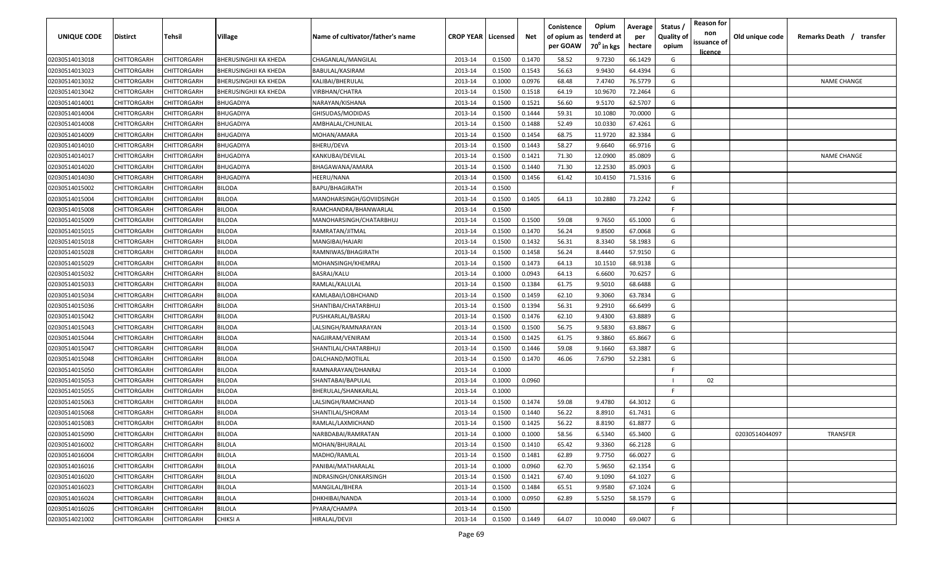| UNIQUE CODE    | <b>Distirct</b>    | Tehsil             | Village               | Name of cultivator/father's name | <b>CROP YEAR   Licensed</b> |        | Net    | Conistence<br>of opium as<br>per GOAW | Opium<br>tenderd at<br>70 <sup>0</sup> in kgs | Average<br>per<br>hectare | Status /<br><b>Quality of</b><br>opium | <b>Reason for</b><br>non<br>issuance of<br><u>licence</u> | Old unique code | Remarks Death /<br>transfer |
|----------------|--------------------|--------------------|-----------------------|----------------------------------|-----------------------------|--------|--------|---------------------------------------|-----------------------------------------------|---------------------------|----------------------------------------|-----------------------------------------------------------|-----------------|-----------------------------|
| 02030514013018 | CHITTORGARH        | CHITTORGARH        | BHERUSINGHJI KA KHEDA | CHAGANLAL/MANGILAL               | 2013-14                     | 0.1500 | 0.1470 | 58.52                                 | 9.7230                                        | 66.1429                   | G                                      |                                                           |                 |                             |
| 02030514013023 | CHITTORGARH        | CHITTORGARH        | BHERUSINGHJI KA KHEDA | BABULAL/KASIRAM                  | 2013-14                     | 0.1500 | 0.1543 | 56.63                                 | 9.9430                                        | 64.4394                   | G                                      |                                                           |                 |                             |
| 02030514013032 | CHITTORGARH        | CHITTORGARH        | BHERUSINGHJI KA KHEDA | KALIBAI/BHERULAL                 | 2013-14                     | 0.1000 | 0.0976 | 68.48                                 | 7.4740                                        | 76.5779                   | G                                      |                                                           |                 | <b>NAME CHANGE</b>          |
| 02030514013042 | CHITTORGARH        | CHITTORGARH        | BHERUSINGHJI KA KHEDA | VIRBHAN/CHATRA                   | 2013-14                     | 0.1500 | 0.1518 | 64.19                                 | 10.9670                                       | 72.2464                   | G                                      |                                                           |                 |                             |
| 02030514014001 | CHITTORGARH        | CHITTORGARH        | <b>BHUGADIYA</b>      | NARAYAN/KISHANA                  | 2013-14                     | 0.1500 | 0.1521 | 56.60                                 | 9.5170                                        | 62.5707                   | G                                      |                                                           |                 |                             |
| 02030514014004 | CHITTORGARH        | CHITTORGARH        | BHUGADIYA             | GHISUDAS/MODIDAS                 | 2013-14                     | 0.1500 | 0.1444 | 59.31                                 | 10.1080                                       | 70.0000                   | G                                      |                                                           |                 |                             |
| 02030514014008 | CHITTORGARH        | CHITTORGARH        | BHUGADIYA             | AMBHALAL/CHUNILAL                | 2013-14                     | 0.1500 | 0.1488 | 52.49                                 | 10.0330                                       | 67.4261                   | G                                      |                                                           |                 |                             |
| 02030514014009 | CHITTORGARH        | CHITTORGARH        | BHUGADIYA             | MOHAN/AMARA                      | 2013-14                     | 0.1500 | 0.1454 | 68.75                                 | 11.9720                                       | 82.3384                   | G                                      |                                                           |                 |                             |
| 02030514014010 | CHITTORGARH        | <b>CHITTORGARH</b> | <b>BHUGADIYA</b>      | BHERU/DEVA                       | 2013-14                     | 0.1500 | 0.1443 | 58.27                                 | 9.6640                                        | 66.9716                   | G                                      |                                                           |                 |                             |
| 02030514014017 | CHITTORGARH        | CHITTORGARH        | BHUGADIYA             | KANKUBAI/DEVILAL                 | 2013-14                     | 0.1500 | 0.1421 | 71.30                                 | 12.0900                                       | 85.0809                   | G                                      |                                                           |                 | <b>NAME CHANGE</b>          |
| 02030514014020 | CHITTORGARH        | CHITTORGARH        | BHUGADIYA             | BHAGAWANA/AMARA                  | 2013-14                     | 0.1500 | 0.1440 | 71.30                                 | 12.2530                                       | 85.0903                   | G                                      |                                                           |                 |                             |
| 02030514014030 | CHITTORGARH        | CHITTORGARH        | BHUGADIYA             | HEERU/NANA                       | 2013-14                     | 0.1500 | 0.1456 | 61.42                                 | 10.4150                                       | 71.5316                   | G                                      |                                                           |                 |                             |
| 02030514015002 | CHITTORGARH        | CHITTORGARH        | BILODA                | <b>BAPU/BHAGIRATH</b>            | 2013-14                     | 0.1500 |        |                                       |                                               |                           | F.                                     |                                                           |                 |                             |
| 02030514015004 | CHITTORGARH        | CHITTORGARH        | BILODA                | MANOHARSINGH/GOVIIDSINGH         | 2013-14                     | 0.1500 | 0.1405 | 64.13                                 | 10.2880                                       | 73.2242                   | G                                      |                                                           |                 |                             |
| 02030514015008 | CHITTORGARH        | CHITTORGARH        | BILODA                | RAMCHANDRA/BHANWARLAL            | 2013-14                     | 0.1500 |        |                                       |                                               |                           | F.                                     |                                                           |                 |                             |
| 02030514015009 | CHITTORGARH        | CHITTORGARH        | BILODA                | MANOHARSINGH/CHATARBHUJ          | 2013-14                     | 0.1500 | 0.1500 | 59.08                                 | 9.7650                                        | 65.1000                   | G                                      |                                                           |                 |                             |
| 02030514015015 | CHITTORGARH        | CHITTORGARH        | BILODA                | RAMRATAN/JITMAL                  | 2013-14                     | 0.1500 | 0.1470 | 56.24                                 | 9.8500                                        | 67.0068                   | G                                      |                                                           |                 |                             |
| 02030514015018 | CHITTORGARH        | CHITTORGARH        | BILODA                | MANGIBAI/HAJARI                  | 2013-14                     | 0.1500 | 0.1432 | 56.31                                 | 8.3340                                        | 58.1983                   | G                                      |                                                           |                 |                             |
| 02030514015028 | CHITTORGARH        | CHITTORGARH        | BILODA                | RAMNIWAS/BHAGIRATH               | 2013-14                     | 0.1500 | 0.1458 | 56.24                                 | 8.4440                                        | 57.9150                   | G                                      |                                                           |                 |                             |
| 02030514015029 | CHITTORGARH        | CHITTORGARH        | BILODA                | MOHANSINGH/KHEMRAJ               | 2013-14                     | 0.1500 | 0.1473 | 64.13                                 | 10.1510                                       | 68.9138                   | G                                      |                                                           |                 |                             |
| 02030514015032 | CHITTORGARH        | CHITTORGARH        | BILODA                | BASRAJ/KALU                      | 2013-14                     | 0.1000 | 0.0943 | 64.13                                 | 6.6600                                        | 70.6257                   | G                                      |                                                           |                 |                             |
| 02030514015033 | CHITTORGARH        | CHITTORGARH        | BILODA                | RAMLAL/KALULAL                   | 2013-14                     | 0.1500 | 0.1384 | 61.75                                 | 9.5010                                        | 68.6488                   | G                                      |                                                           |                 |                             |
| 02030514015034 | CHITTORGARH        | CHITTORGARH        | BILODA                | KAMLABAI/LOBHCHAND               | 2013-14                     | 0.1500 | 0.1459 | 62.10                                 | 9.3060                                        | 63.7834                   | G                                      |                                                           |                 |                             |
| 02030514015036 | CHITTORGARH        | CHITTORGARH        | BILODA                | SHANTIBAI/CHATARBHUJ             | 2013-14                     | 0.1500 | 0.1394 | 56.31                                 | 9.2910                                        | 66.6499                   | G                                      |                                                           |                 |                             |
| 02030514015042 | CHITTORGARH        | CHITTORGARH        | BILODA                | PUSHKARLAL/BASRAJ                | 2013-14                     | 0.1500 | 0.1476 | 62.10                                 | 9.4300                                        | 63.8889                   | G                                      |                                                           |                 |                             |
| 02030514015043 | CHITTORGARH        | CHITTORGARH        | BILODA                | LALSINGH/RAMNARAYAN              | 2013-14                     | 0.1500 | 0.1500 | 56.75                                 | 9.5830                                        | 63.8867                   | G                                      |                                                           |                 |                             |
| 02030514015044 | CHITTORGARH        | CHITTORGARH        | BILODA                | NAGJIRAM/VENIRAM                 | 2013-14                     | 0.1500 | 0.1425 | 61.75                                 | 9.3860                                        | 65.8667                   | G                                      |                                                           |                 |                             |
| 02030514015047 | CHITTORGARH        | CHITTORGARH        | BILODA                | SHANTILAL/CHATARBHUJ             | 2013-14                     | 0.1500 | 0.1446 | 59.08                                 | 9.1660                                        | 63.3887                   | G                                      |                                                           |                 |                             |
| 02030514015048 | CHITTORGARH        | CHITTORGARH        | 3ILODA                | DALCHAND/MOTILAL                 | 2013-14                     | 0.1500 | 0.1470 | 46.06                                 | 7.6790                                        | 52.2381                   | G                                      |                                                           |                 |                             |
| 02030514015050 | CHITTORGARH        | CHITTORGARH        | <b>BILODA</b>         | RAMNARAYAN/DHANRAJ               | 2013-14                     | 0.1000 |        |                                       |                                               |                           | E.                                     |                                                           |                 |                             |
| 02030514015053 | CHITTORGARH        | CHITTORGARH        | BILODA                | SHANTABAI/BAPULAL                | 2013-14                     | 0.1000 | 0.0960 |                                       |                                               |                           |                                        | 02                                                        |                 |                             |
| 02030514015055 | CHITTORGARH        | CHITTORGARH        | BILODA                | BHERULAL/SHANKARLAL              | 2013-14                     | 0.1000 |        |                                       |                                               |                           | F.                                     |                                                           |                 |                             |
| 02030514015063 | CHITTORGARH        | CHITTORGARH        | BILODA                | LALSINGH/RAMCHAND                | 2013-14                     | 0.1500 | 0.1474 | 59.08                                 | 9.4780                                        | 64.3012                   | G                                      |                                                           |                 |                             |
| 02030514015068 | CHITTORGARH        | CHITTORGARH        | BILODA                | SHANTILAL/SHORAM                 | 2013-14                     | 0.1500 | 0.1440 | 56.22                                 | 8.8910                                        | 61.7431                   | G                                      |                                                           |                 |                             |
| 02030514015083 | CHITTORGARH        | CHITTORGARH        | BILODA                | RAMLAL/LAXMICHAND                | 2013-14                     | 0.1500 | 0.1425 | 56.22                                 | 8.8190                                        | 61.8877                   | G                                      |                                                           |                 |                             |
| 02030514015090 | <b>CHITTORGARH</b> | <b>CHITTORGARH</b> | BILODA                | NARBDABAI/RAMRATAN               | 2013-14                     | 0.1000 | 0.1000 | 58.56                                 | 6.5340                                        | 65.3400                   | G                                      |                                                           | 02030514044097  | TRANSFER                    |
| 02030514016002 | CHITTORGARH        | <b>CHITTORGARH</b> | <b>BILOLA</b>         | MOHAN/BHURALAL                   | 2013-14                     | 0.1500 | 0.1410 | 65.42                                 | 9.3360                                        | 66.2128                   | G                                      |                                                           |                 |                             |
| 02030514016004 | CHITTORGARH        | <b>CHITTORGARH</b> | <b>BILOLA</b>         | MADHO/RAMLAL                     | 2013-14                     | 0.1500 | 0.1481 | 62.89                                 | 9.7750                                        | 66.0027                   | G                                      |                                                           |                 |                             |
| 02030514016016 | CHITTORGARH        | CHITTORGARH        | <b>BILOLA</b>         | PANIBAI/MATHARALAL               | 2013-14                     | 0.1000 | 0.0960 | 62.70                                 | 5.9650                                        | 62.1354                   | G                                      |                                                           |                 |                             |
| 02030514016020 | CHITTORGARH        | CHITTORGARH        | <b>BILOLA</b>         | INDRASINGH/ONKARSINGH            | 2013-14                     | 0.1500 | 0.1421 | 67.40                                 | 9.1090                                        | 64.1027                   | G                                      |                                                           |                 |                             |
| 02030514016023 | CHITTORGARH        | CHITTORGARH        | <b>BILOLA</b>         | MANGILAL/BHERA                   | 2013-14                     | 0.1500 | 0.1484 | 65.51                                 | 9.9580                                        | 67.1024                   | G                                      |                                                           |                 |                             |
| 02030514016024 | CHITTORGARH        | CHITTORGARH        | <b>BILOLA</b>         | DHKHIBAI/NANDA                   | 2013-14                     | 0.1000 | 0.0950 | 62.89                                 | 5.5250                                        | 58.1579                   | G                                      |                                                           |                 |                             |
| 02030514016026 | CHITTORGARH        | CHITTORGARH        | <b>BILOLA</b>         | PYARA/CHAMPA                     | 2013-14                     | 0.1500 |        |                                       |                                               |                           | F.                                     |                                                           |                 |                             |
| 02030514021002 | CHITTORGARH        | <b>CHITTORGARH</b> | CHIKSI A              | HIRALAL/DEVJI                    | 2013-14                     | 0.1500 | 0.1449 | 64.07                                 | 10.0040                                       | 69.0407                   | G                                      |                                                           |                 |                             |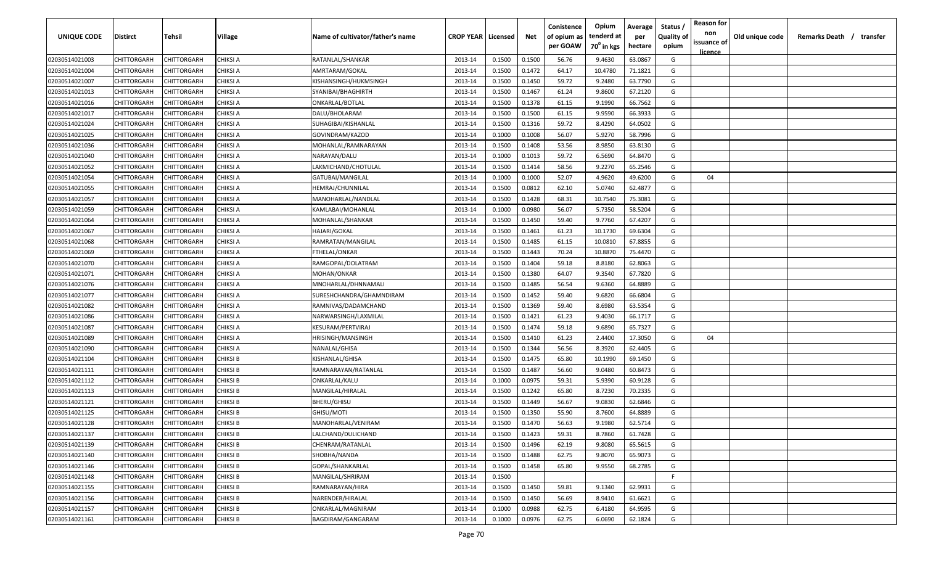| <b>UNIQUE CODE</b> | Distirct           | Tehsil             | Village         | Name of cultivator/father's name | <b>CROP YEAR   Licensed</b> |        | Net    | Conistence<br>of opium as | Opium<br>tenderd at    | Average<br>per | Status /<br><b>Quality of</b> | <b>Reason for</b><br>non | Old unique code | Remarks Death / transfer |
|--------------------|--------------------|--------------------|-----------------|----------------------------------|-----------------------------|--------|--------|---------------------------|------------------------|----------------|-------------------------------|--------------------------|-----------------|--------------------------|
|                    |                    |                    |                 |                                  |                             |        |        | per GOAW                  | 70 <sup>0</sup> in kgs | hectare        | opium                         | issuance of              |                 |                          |
| 02030514021003     | CHITTORGARH        | CHITTORGARH        | <b>CHIKSI A</b> | RATANLAL/SHANKAR                 | 2013-14                     | 0.1500 | 0.1500 | 56.76                     | 9.4630                 | 63.0867        | G                             | <u>licence</u>           |                 |                          |
| 02030514021004     | CHITTORGARH        | CHITTORGARH        | CHIKSI A        | AMRTARAM/GOKAL                   | 2013-14                     | 0.1500 | 0.1472 | 64.17                     | 10.4780                | 71.1821        | G                             |                          |                 |                          |
| 02030514021007     | CHITTORGARH        | CHITTORGARH        | CHIKSI A        | KISHANSINGH/HUKMSINGH            | 2013-14                     | 0.1500 | 0.1450 | 59.72                     | 9.2480                 | 63.7790        | G                             |                          |                 |                          |
| 02030514021013     | CHITTORGARH        | CHITTORGARH        | <b>CHIKSI A</b> | SYANIBAI/BHAGHIRTH               | 2013-14                     | 0.1500 | 0.1467 | 61.24                     | 9.8600                 | 67.2120        | G                             |                          |                 |                          |
| 02030514021016     | CHITTORGARH        | CHITTORGARH        | CHIKSI A        | ONKARLAL/BOTLAL                  | 2013-14                     | 0.1500 | 0.1378 | 61.15                     | 9.1990                 | 66.7562        | G                             |                          |                 |                          |
| 02030514021017     | CHITTORGARH        | CHITTORGARH        | CHIKSI A        | DALU/BHOLARAM                    | 2013-14                     | 0.1500 | 0.1500 | 61.15                     | 9.9590                 | 66.3933        | G                             |                          |                 |                          |
| 02030514021024     | CHITTORGARH        | CHITTORGARH        | CHIKSI A        | SUHAGIBAI/KISHANLAL              | 2013-14                     | 0.1500 | 0.1316 | 59.72                     | 8.4290                 | 64.0502        | G                             |                          |                 |                          |
| 02030514021025     | <b>CHITTORGARH</b> | CHITTORGARH        | CHIKSI A        | GOVINDRAM/KAZOD                  | 2013-14                     | 0.1000 | 0.1008 | 56.07                     | 5.9270                 | 58.7996        | G                             |                          |                 |                          |
| 02030514021036     | CHITTORGARH        | CHITTORGARH        | CHIKSI A        | MOHANLAL/RAMNARAYAN              | 2013-14                     | 0.1500 | 0.1408 | 53.56                     | 8.9850                 | 63.8130        | G                             |                          |                 |                          |
| 02030514021040     | CHITTORGARH        | CHITTORGARH        | CHIKSI A        | NARAYAN/DALU                     | 2013-14                     | 0.1000 | 0.1013 | 59.72                     | 6.5690                 | 64.8470        | G                             |                          |                 |                          |
| 02030514021052     | CHITTORGARH        | CHITTORGARH        | CHIKSI A        | LAKMICHAND/CHOTULAL              | 2013-14                     | 0.1500 | 0.1414 | 58.56                     | 9.2270                 | 65.2546        | G                             |                          |                 |                          |
| 02030514021054     | CHITTORGARH        | CHITTORGARH        | CHIKSI A        | GATUBAI/MANGILAL                 | 2013-14                     | 0.1000 | 0.1000 | 52.07                     | 4.9620                 | 49.6200        | G                             | 04                       |                 |                          |
| 02030514021055     | CHITTORGARH        | CHITTORGARH        | CHIKSI A        | HEMRAJ/CHUNNILAL                 | 2013-14                     | 0.1500 | 0.0812 | 62.10                     | 5.0740                 | 62.4877        | G                             |                          |                 |                          |
| 02030514021057     | CHITTORGARH        | CHITTORGARH        | CHIKSI A        | MANOHARLAL/NANDLAL               | 2013-14                     | 0.1500 | 0.1428 | 68.31                     | 10.7540                | 75.3081        | G                             |                          |                 |                          |
| 02030514021059     | CHITTORGARH        | CHITTORGARH        | CHIKSI A        | KAMLABAI/MOHANLAL                | 2013-14                     | 0.1000 | 0.0980 | 56.07                     | 5.7350                 | 58.5204        | G                             |                          |                 |                          |
| 02030514021064     | CHITTORGARH        | CHITTORGARH        | CHIKSI A        | MOHANLAL/SHANKAR                 | 2013-14                     | 0.1500 | 0.1450 | 59.40                     | 9.7760                 | 67.4207        | G                             |                          |                 |                          |
| 02030514021067     | CHITTORGARH        | CHITTORGARH        | CHIKSI A        | HAJARI/GOKAL                     | 2013-14                     | 0.1500 | 0.1461 | 61.23                     | 10.1730                | 69.6304        | G                             |                          |                 |                          |
| 02030514021068     | CHITTORGARH        | CHITTORGARH        | CHIKSI A        | RAMRATAN/MANGILAL                | 2013-14                     | 0.1500 | 0.1485 | 61.15                     | 10.0810                | 67.8855        | G                             |                          |                 |                          |
| 02030514021069     | CHITTORGARH        | CHITTORGARH        | CHIKSI A        | FTHELAL/ONKAR                    | 2013-14                     | 0.1500 | 0.1443 | 70.24                     | 10.8870                | 75.4470        | G                             |                          |                 |                          |
| 02030514021070     | CHITTORGARH        | CHITTORGARH        | CHIKSI A        | RAMGOPAL/DOLATRAM                | 2013-14                     | 0.1500 | 0.1404 | 59.18                     | 8.8180                 | 62.8063        | G                             |                          |                 |                          |
| 02030514021071     | CHITTORGARH        | CHITTORGARH        | <b>CHIKSI A</b> | MOHAN/ONKAR                      | 2013-14                     | 0.1500 | 0.1380 | 64.07                     | 9.3540                 | 67.7820        | G                             |                          |                 |                          |
| 02030514021076     | CHITTORGARH        | CHITTORGARH        | CHIKSI A        | MNOHARLAL/DHNNAMALI              | 2013-14                     | 0.1500 | 0.1485 | 56.54                     | 9.6360                 | 64.8889        | G                             |                          |                 |                          |
| 02030514021077     | CHITTORGARH        | CHITTORGARH        | CHIKSI A        | SURESHCHANDRA/GHAMNDIRAM         | 2013-14                     | 0.1500 | 0.1452 | 59.40                     | 9.6820                 | 66.6804        | G                             |                          |                 |                          |
| 02030514021082     | CHITTORGARH        | CHITTORGARH        | CHIKSI A        | RAMNIVAS/DADAMCHAND              | 2013-14                     | 0.1500 | 0.1369 | 59.40                     | 8.6980                 | 63.5354        | G                             |                          |                 |                          |
| 02030514021086     | CHITTORGARH        | CHITTORGARH        | CHIKSI A        | NARWARSINGH/LAXMILAL             | 2013-14                     | 0.1500 | 0.1421 | 61.23                     | 9.4030                 | 66.1717        | G                             |                          |                 |                          |
| 02030514021087     | CHITTORGARH        | CHITTORGARH        | CHIKSI A        | KESURAM/PERTVIRAJ                | 2013-14                     | 0.1500 | 0.1474 | 59.18                     | 9.6890                 | 65.7327        | G                             |                          |                 |                          |
| 02030514021089     | CHITTORGARH        | CHITTORGARH        | CHIKSI A        | HRISINGH/MANSINGH                | 2013-14                     | 0.1500 | 0.1410 | 61.23                     | 2.4400                 | 17.3050        | G                             | 04                       |                 |                          |
| 02030514021090     | CHITTORGARH        | CHITTORGARH        | CHIKSI A        | NANALAL/GHISA                    | 2013-14                     | 0.1500 | 0.1344 | 56.56                     | 8.3920                 | 62.4405        | G                             |                          |                 |                          |
| 02030514021104     | CHITTORGARH        | CHITTORGARH        | CHIKSI B        | KISHANLAL/GHISA                  | 2013-14                     | 0.1500 | 0.1475 | 65.80                     | 10.1990                | 69.1450        | G                             |                          |                 |                          |
| 02030514021111     | CHITTORGARH        | CHITTORGARH        | CHIKSI B        | RAMNARAYAN/RATANLAL              | 2013-14                     | 0.1500 | 0.1487 | 56.60                     | 9.0480                 | 60.8473        | G                             |                          |                 |                          |
| 02030514021112     | CHITTORGARH        | CHITTORGARH        | <b>CHIKSI B</b> | ONKARLAL/KALU                    | 2013-14                     | 0.1000 | 0.0975 | 59.31                     | 5.9390                 | 60.9128        | G                             |                          |                 |                          |
| 02030514021113     | CHITTORGARH        | CHITTORGARH        | <b>CHIKSI B</b> | MANGILAL/HIRALAL                 | 2013-14                     | 0.1500 | 0.1242 | 65.80                     | 8.7230                 | 70.2335        | G                             |                          |                 |                          |
| 02030514021121     | CHITTORGARH        | CHITTORGARH        | <b>CHIKSI B</b> | BHERU/GHISU                      | 2013-14                     | 0.1500 | 0.1449 | 56.67                     | 9.0830                 | 62.6846        | G                             |                          |                 |                          |
| 02030514021125     | CHITTORGARH        | CHITTORGARH        | <b>CHIKSI B</b> | GHISU/MOTI                       | 2013-14                     | 0.1500 | 0.1350 | 55.90                     | 8.7600                 | 64.8889        | G                             |                          |                 |                          |
| 02030514021128     | CHITTORGARH        | CHITTORGARH        | <b>CHIKSI B</b> | MANOHARLAL/VENIRAM               | 2013-14                     | 0.1500 | 0.1470 | 56.63                     | 9.1980                 | 62.5714        | G                             |                          |                 |                          |
| 02030514021137     | <b>CHITTORGARH</b> | <b>CHITTORGARH</b> | <b>CHIKSI B</b> | LALCHAND/DULICHAND               | 2013-14                     | 0.1500 | 0.1423 | 59.31                     | 8.7860                 | 61.7428        | G                             |                          |                 |                          |
| 02030514021139     | <b>CHITTORGARH</b> | CHITTORGARH        | <b>CHIKSI B</b> | CHENRAM/RATANLAL                 | 2013-14                     | 0.1500 | 0.1496 | 62.19                     | 9.8080                 | 65.5615        | G                             |                          |                 |                          |
| 02030514021140     | <b>CHITTORGARH</b> | CHITTORGARH        | <b>CHIKSI B</b> | SHOBHA/NANDA                     | 2013-14                     | 0.1500 | 0.1488 | 62.75                     | 9.8070                 | 65.9073        | G                             |                          |                 |                          |
| 02030514021146     | <b>CHITTORGARH</b> | CHITTORGARH        | <b>CHIKSI B</b> | GOPAL/SHANKARLAL                 | 2013-14                     | 0.1500 | 0.1458 | 65.80                     | 9.9550                 | 68.2785        | G                             |                          |                 |                          |
| 02030514021148     | CHITTORGARH        | CHITTORGARH        | <b>CHIKSI B</b> | MANGILAL/SHRIRAM                 | 2013-14                     | 0.1500 |        |                           |                        |                | F.                            |                          |                 |                          |
| 02030514021155     | CHITTORGARH        | CHITTORGARH        | <b>CHIKSI B</b> | RAMNARAYAN/HIRA                  | 2013-14                     | 0.1500 | 0.1450 | 59.81                     | 9.1340                 | 62.9931        | G                             |                          |                 |                          |
| 02030514021156     | CHITTORGARH        | CHITTORGARH        | <b>CHIKSI B</b> | NARENDER/HIRALAL                 | 2013-14                     | 0.1500 | 0.1450 | 56.69                     | 8.9410                 | 61.6621        | G                             |                          |                 |                          |
| 02030514021157     | CHITTORGARH        | CHITTORGARH        | <b>CHIKSI B</b> | ONKARLAL/MAGNIRAM                | 2013-14                     | 0.1000 | 0.0988 | 62.75                     | 6.4180                 | 64.9595        | G                             |                          |                 |                          |
| 02030514021161     | <b>CHITTORGARH</b> | CHITTORGARH        | CHIKSI B        | BAGDIRAM/GANGARAM                | 2013-14                     | 0.1000 | 0.0976 | 62.75                     | 6.0690                 | 62.1824        | G                             |                          |                 |                          |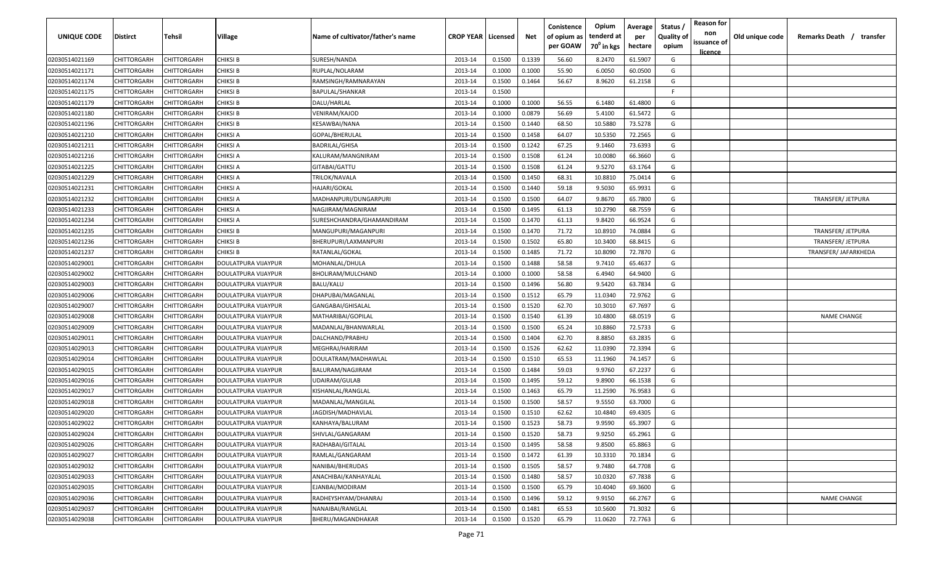| UNIQUE CODE    | Distirct           | Tehsil             | Village             | Name of cultivator/father's name | <b>CROP YEAR   Licensed</b> |        | Net    | Conistence<br>of opium as | Opium<br>tenderd at    | Average<br>per | Status /<br><b>Quality of</b> | <b>Reason for</b><br>non<br>issuance of | Old unique code | Remarks Death / transfer |
|----------------|--------------------|--------------------|---------------------|----------------------------------|-----------------------------|--------|--------|---------------------------|------------------------|----------------|-------------------------------|-----------------------------------------|-----------------|--------------------------|
|                |                    |                    |                     |                                  |                             |        |        | per GOAW                  | 70 <sup>0</sup> in kgs | hectare        | opium                         | <u>licence</u>                          |                 |                          |
| 02030514021169 | CHITTORGARH        | CHITTORGARH        | <b>CHIKSI B</b>     | SURESH/NANDA                     | 2013-14                     | 0.1500 | 0.1339 | 56.60                     | 8.2470                 | 61.5907        | G                             |                                         |                 |                          |
| 02030514021171 | CHITTORGARH        | CHITTORGARH        | CHIKSI B            | RUPLAL/NOLARAM                   | 2013-14                     | 0.1000 | 0.1000 | 55.90                     | 6.0050                 | 60.0500        | G                             |                                         |                 |                          |
| 02030514021174 | CHITTORGARH        | CHITTORGARH        | <b>CHIKSI B</b>     | RAMSINGH/RAMNARAYAN              | 2013-14                     | 0.1500 | 0.1464 | 56.67                     | 8.9620                 | 61.2158        | G                             |                                         |                 |                          |
| 02030514021175 | CHITTORGARH        | CHITTORGARH        | <b>CHIKSI B</b>     | BAPULAL/SHANKAR                  | 2013-14                     | 0.1500 |        |                           |                        |                | -F.                           |                                         |                 |                          |
| 02030514021179 | CHITTORGARH        | CHITTORGARH        | <b>CHIKSI B</b>     | DALU/HARLAL                      | 2013-14                     | 0.1000 | 0.1000 | 56.55                     | 6.1480                 | 61.4800        | G                             |                                         |                 |                          |
| 02030514021180 | CHITTORGARH        | CHITTORGARH        | CHIKSI B            | VENIRAM/KAJOD                    | 2013-14                     | 0.1000 | 0.0879 | 56.69                     | 5.4100                 | 61.5472        | G                             |                                         |                 |                          |
| 02030514021196 | CHITTORGARH        | CHITTORGARH        | CHIKSI B            | KESAWBAI/NANA                    | 2013-14                     | 0.1500 | 0.1440 | 68.50                     | 10.5880                | 73.5278        | G                             |                                         |                 |                          |
| 02030514021210 | CHITTORGARH        | CHITTORGARH        | CHIKSI A            | GOPAL/BHERULAL                   | 2013-14                     | 0.1500 | 0.1458 | 64.07                     | 10.5350                | 72.2565        | G                             |                                         |                 |                          |
| 02030514021211 | CHITTORGARH        | CHITTORGARH        | CHIKSI A            | <b>BADRILAL/GHISA</b>            | 2013-14                     | 0.1500 | 0.1242 | 67.25                     | 9.1460                 | 73.6393        | G                             |                                         |                 |                          |
| 02030514021216 | CHITTORGARH        | CHITTORGARH        | CHIKSI A            | KALURAM/MANGNIRAM                | 2013-14                     | 0.1500 | 0.1508 | 61.24                     | 10.0080                | 66.3660        | G                             |                                         |                 |                          |
| 02030514021225 | CHITTORGARH        | CHITTORGARH        | CHIKSI A            | GITABAI/GATTU                    | 2013-14                     | 0.1500 | 0.1508 | 61.24                     | 9.5270                 | 63.1764        | G                             |                                         |                 |                          |
| 02030514021229 | CHITTORGARH        | CHITTORGARH        | CHIKSI A            | TRILOK/NAVALA                    | 2013-14                     | 0.1500 | 0.1450 | 68.31                     | 10.8810                | 75.0414        | G                             |                                         |                 |                          |
| 02030514021231 | CHITTORGARH        | CHITTORGARH        | CHIKSI A            | HAJARI/GOKAL                     | 2013-14                     | 0.1500 | 0.1440 | 59.18                     | 9.5030                 | 65.9931        | G                             |                                         |                 |                          |
| 02030514021232 | CHITTORGARH        | CHITTORGARH        | CHIKSI A            | MADHANPURI/DUNGARPURI            | 2013-14                     | 0.1500 | 0.1500 | 64.07                     | 9.8670                 | 65.7800        | G                             |                                         |                 | TRANSFER/ JETPURA        |
| 02030514021233 | CHITTORGARH        | CHITTORGARH        | CHIKSI A            | NAGJIRAM/MAGNIRAM                | 2013-14                     | 0.1500 | 0.1495 | 61.13                     | 10.2790                | 68.7559        | G                             |                                         |                 |                          |
| 02030514021234 | CHITTORGARH        | CHITTORGARH        | CHIKSI A            | SURESHCHANDRA/GHAMANDIRAM        | 2013-14                     | 0.1500 | 0.1470 | 61.13                     | 9.8420                 | 66.9524        | G                             |                                         |                 |                          |
| 02030514021235 | CHITTORGARH        | CHITTORGARH        | <b>CHIKSI B</b>     | MANGUPURI/MAGANPURI              | 2013-14                     | 0.1500 | 0.1470 | 71.72                     | 10.8910                | 74.0884        | G                             |                                         |                 | TRANSFER/ JETPURA        |
| 02030514021236 | CHITTORGARH        | CHITTORGARH        | <b>CHIKSI B</b>     | BHERUPURI/LAXMANPURI             | 2013-14                     | 0.1500 | 0.1502 | 65.80                     | 10.3400                | 68.8415        | G                             |                                         |                 | TRANSFER/ JETPURA        |
| 02030514021237 | CHITTORGARH        | CHITTORGARH        | <b>CHIKSI B</b>     | RATANLAL/GOKAL                   | 2013-14                     | 0.1500 | 0.1485 | 71.72                     | 10.8090                | 72.7870        | G                             |                                         |                 | TRANSFER/ JAFARKHEDA     |
| 02030514029001 | CHITTORGARH        | CHITTORGARH        | DOULATPURA VIJAYPUR | MOHANLAL/DHULA                   | 2013-14                     | 0.1500 | 0.1488 | 58.58                     | 9.7410                 | 65.4637        | G                             |                                         |                 |                          |
| 02030514029002 | CHITTORGARH        | CHITTORGARH        | DOULATPURA VIJAYPUR | BHOLIRAM/MULCHAND                | 2013-14                     | 0.1000 | 0.1000 | 58.58                     | 6.4940                 | 64.9400        | G                             |                                         |                 |                          |
| 02030514029003 | CHITTORGARH        | CHITTORGARH        | DOULATPURA VIJAYPUR | BALU/KALU                        | 2013-14                     | 0.1500 | 0.1496 | 56.80                     | 9.5420                 | 63.7834        | G                             |                                         |                 |                          |
| 02030514029006 | CHITTORGARH        | CHITTORGARH        | DOULATPURA VIJAYPUR | DHAPUBAI/MAGANLAL                | 2013-14                     | 0.1500 | 0.1512 | 65.79                     | 11.0340                | 72.9762        | G                             |                                         |                 |                          |
| 02030514029007 | CHITTORGARH        | CHITTORGARH        | DOULATPURA VIJAYPUR | GANGABAI/GHISALAL                | 2013-14                     | 0.1500 | 0.1520 | 62.70                     | 10.3010                | 67.7697        | G                             |                                         |                 |                          |
| 02030514029008 | CHITTORGARH        | CHITTORGARH        | DOULATPURA VIJAYPUR | MATHARIBAI/GOPILAL               | 2013-14                     | 0.1500 | 0.1540 | 61.39                     | 10.4800                | 68.0519        | G                             |                                         |                 | <b>NAME CHANGE</b>       |
| 02030514029009 | CHITTORGARH        | CHITTORGARH        | DOULATPURA VIJAYPUR | MADANLAL/BHANWARLAL              | 2013-14                     | 0.1500 | 0.1500 | 65.24                     | 10.8860                | 72.5733        | G                             |                                         |                 |                          |
| 02030514029011 | CHITTORGARH        | CHITTORGARH        | DOULATPURA VIJAYPUR | DALCHAND/PRABHU                  | 2013-14                     | 0.1500 | 0.1404 | 62.70                     | 8.8850                 | 63.2835        | G                             |                                         |                 |                          |
| 02030514029013 | CHITTORGARH        | CHITTORGARH        | DOULATPURA VIJAYPUR | MEGHRAJ/HARIRAM                  | 2013-14                     | 0.1500 | 0.1526 | 62.62                     | 11.0390                | 72.3394        | G                             |                                         |                 |                          |
| 02030514029014 | CHITTORGARH        | CHITTORGARH        | DOULATPURA VIJAYPUR | DOULATRAM/MADHAWLAL              | 2013-14                     | 0.1500 | 0.1510 | 65.53                     | 11.1960                | 74.1457        | G                             |                                         |                 |                          |
| 02030514029015 | CHITTORGARH        | CHITTORGARH        | DOULATPURA VIJAYPUR | BALURAM/NAGJIRAM                 | 2013-14                     | 0.1500 | 0.1484 | 59.03                     | 9.9760                 | 67.2237        | G                             |                                         |                 |                          |
| 02030514029016 | CHITTORGARH        | CHITTORGARH        | DOULATPURA VIJAYPUR | UDAIRAM/GULAB                    | 2013-14                     | 0.1500 | 0.1495 | 59.12                     | 9.8900                 | 66.1538        | G                             |                                         |                 |                          |
| 02030514029017 | CHITTORGARH        | CHITTORGARH        | DOULATPURA VIJAYPUR | KISHANLAL/RANGLAL                | 2013-14                     | 0.1500 | 0.1463 | 65.79                     | 11.2590                | 76.9583        | G                             |                                         |                 |                          |
| 02030514029018 | CHITTORGARH        | CHITTORGARH        | DOULATPURA VIJAYPUR | MADANLAL/MANGILAL                | 2013-14                     | 0.1500 | 0.1500 | 58.57                     | 9.5550                 | 63.7000        | G                             |                                         |                 |                          |
| 02030514029020 | CHITTORGARH        | CHITTORGARH        | DOULATPURA VIJAYPUR | JAGDISH/MADHAVLAL                | 2013-14                     | 0.1500 | 0.1510 | 62.62                     | 10.4840                | 69.4305        | G                             |                                         |                 |                          |
| 02030514029022 | CHITTORGARH        | CHITTORGARH        | DOULATPURA VIJAYPUR | KANHAYA/BALURAM                  | 2013-14                     | 0.1500 | 0.1523 | 58.73                     | 9.9590                 | 65.3907        | G                             |                                         |                 |                          |
| 02030514029024 | <b>CHITTORGARH</b> | <b>CHITTORGARH</b> | DOULATPURA VIJAYPUR | SHIVLAL/GANGARAM                 | 2013-14                     | 0.1500 | 0.1520 | 58.73                     | 9.9250                 | 65.2961        | G                             |                                         |                 |                          |
| 02030514029026 | CHITTORGARH        | CHITTORGARH        | DOULATPURA VIJAYPUR | RADHABAI/GITALAL                 | 2013-14                     | 0.1500 | 0.1495 | 58.58                     | 9.8500                 | 65.8863        | G                             |                                         |                 |                          |
| 02030514029027 | <b>CHITTORGARH</b> | CHITTORGARH        | DOULATPURA VIJAYPUR | RAMLAL/GANGARAM                  | 2013-14                     | 0.1500 | 0.1472 | 61.39                     | 10.3310                | 70.1834        | G                             |                                         |                 |                          |
| 02030514029032 | <b>CHITTORGARH</b> | CHITTORGARH        | DOULATPURA VIJAYPUR | NANIBAI/BHERUDAS                 | 2013-14                     | 0.1500 | 0.1505 | 58.57                     | 9.7480                 | 64.7708        | G                             |                                         |                 |                          |
| 02030514029033 | CHITTORGARH        | CHITTORGARH        | DOULATPURA VIJAYPUR | ANACHIBAI/KANHAYALAL             | 2013-14                     | 0.1500 | 0.1480 | 58.57                     | 10.0320                | 67.7838        | G                             |                                         |                 |                          |
| 02030514029035 | CHITTORGARH        | CHITTORGARH        | DOULATPURA VIJAYPUR | EJANBAI/MODIRAM                  | 2013-14                     | 0.1500 | 0.1500 | 65.79                     | 10.4040                | 69.3600        | G                             |                                         |                 |                          |
| 02030514029036 | CHITTORGARH        | CHITTORGARH        | DOULATPURA VIJAYPUR | RADHEYSHYAM/DHANRAJ              | 2013-14                     | 0.1500 | 0.1496 | 59.12                     | 9.9150                 | 66.2767        | G                             |                                         |                 | <b>NAME CHANGE</b>       |
| 02030514029037 | CHITTORGARH        | CHITTORGARH        | DOULATPURA VIJAYPUR | NANAIBAI/RANGLAL                 | 2013-14                     | 0.1500 | 0.1481 | 65.53                     | 10.5600                | 71.3032        | G                             |                                         |                 |                          |
| 02030514029038 | <b>CHITTORGARH</b> | CHITTORGARH        | DOULATPURA VIJAYPUR | BHERU/MAGANDHAKAR                | 2013-14                     | 0.1500 | 0.1520 | 65.79                     | 11.0620                | 72.7763        | G                             |                                         |                 |                          |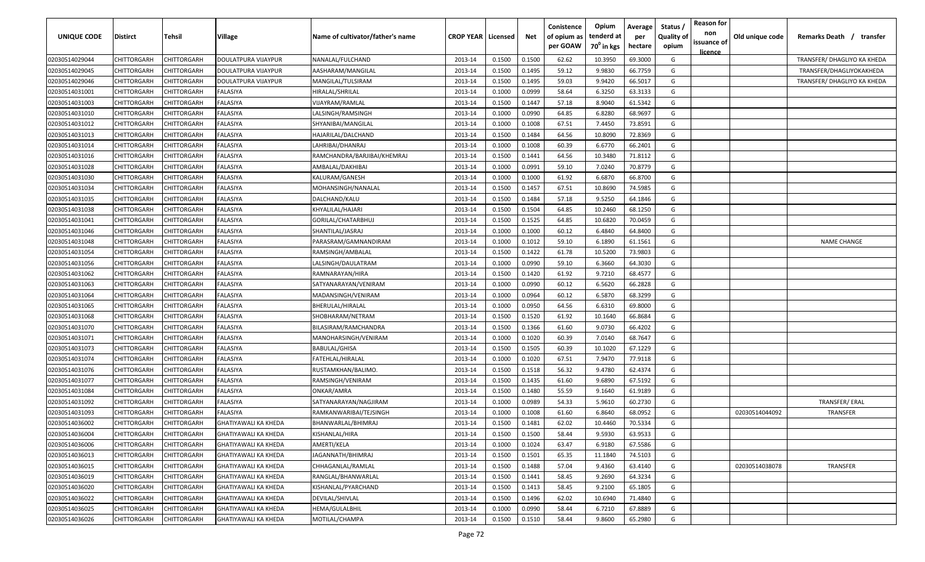| <b>UNIQUE CODE</b> | Distirct           | Tehsil      | Village                     | Name of cultivator/father's name | <b>CROP YEAR   Licensed</b> |        | Net    | Conistence<br>of opium as<br>per GOAW | Opium<br>tenderd at<br>$70^0$ in kgs | Average<br>per<br>hectare | Status /<br><b>Quality of</b><br>opium | <b>Reason for</b><br>non<br>issuance of<br>licence | Old unique code | Remarks Death /<br>transfer |
|--------------------|--------------------|-------------|-----------------------------|----------------------------------|-----------------------------|--------|--------|---------------------------------------|--------------------------------------|---------------------------|----------------------------------------|----------------------------------------------------|-----------------|-----------------------------|
| 02030514029044     | CHITTORGARH        | CHITTORGARH | DOULATPURA VIJAYPUR         | NANALAL/FULCHAND                 | 2013-14                     | 0.1500 | 0.1500 | 62.62                                 | 10.3950                              | 69.3000                   | G                                      |                                                    |                 | TRANSFER/ DHAGLIYO KA KHEDA |
| 02030514029045     | CHITTORGARH        | CHITTORGARH | DOULATPURA VIJAYPUR         | AASHARAM/MANGILAL                | 2013-14                     | 0.1500 | 0.1495 | 59.12                                 | 9.9830                               | 66.7759                   | G                                      |                                                    |                 | TRANSFER/DHAGLIYOKAKHEDA    |
| 02030514029046     | CHITTORGARH        | CHITTORGARH | DOULATPURA VIJAYPUR         | MANGILAL/TULSIRAM                | 2013-14                     | 0.1500 | 0.1495 | 59.03                                 | 9.9420                               | 66.5017                   | G                                      |                                                    |                 | TRANSFER/ DHAGLIYO KA KHEDA |
| 02030514031001     | CHITTORGARH        | CHITTORGARH | FALASIYA                    | HIRALAL/SHRILAL                  | 2013-14                     | 0.1000 | 0.0999 | 58.64                                 | 6.3250                               | 63.3133                   | G                                      |                                                    |                 |                             |
| 02030514031003     | CHITTORGARH        | CHITTORGARH | FALASIYA                    | VIJAYRAM/RAMLAL                  | 2013-14                     | 0.1500 | 0.1447 | 57.18                                 | 8.9040                               | 61.5342                   | G                                      |                                                    |                 |                             |
| 02030514031010     | CHITTORGARH        | CHITTORGARH | FALASIYA                    | LALSINGH/RAMSINGH                | 2013-14                     | 0.1000 | 0.0990 | 64.85                                 | 6.8280                               | 68.9697                   | G                                      |                                                    |                 |                             |
| 02030514031012     | CHITTORGARH        | CHITTORGARH | FALASIYA                    | SHYANIBAI/MANGILAL               | 2013-14                     | 0.1000 | 0.1008 | 67.51                                 | 7.4450                               | 73.8591                   | G                                      |                                                    |                 |                             |
| 02030514031013     | CHITTORGARH        | CHITTORGARH | FALASIYA                    | HAJARILAL/DALCHAND               | 2013-14                     | 0.1500 | 0.1484 | 64.56                                 | 10.8090                              | 72.8369                   | G                                      |                                                    |                 |                             |
| 02030514031014     | <b>CHITTORGARH</b> | CHITTORGARH | FALASIYA                    | LAHRIBAI/DHANRAJ                 | 2013-14                     | 0.1000 | 0.1008 | 60.39                                 | 6.6770                               | 66.2401                   | G                                      |                                                    |                 |                             |
| 02030514031016     | CHITTORGARH        | CHITTORGARH | FALASIYA                    | RAMCHANDRA/BARJIBAI/KHEMRAJ      | 2013-14                     | 0.1500 | 0.1441 | 64.56                                 | 10.3480                              | 71.8112                   | G                                      |                                                    |                 |                             |
| 02030514031028     | CHITTORGARH        | CHITTORGARH | FALASIYA                    | AMBALAL/DAKHIBAI                 | 2013-14                     | 0.1000 | 0.0991 | 59.10                                 | 7.0240                               | 70.8779                   | G                                      |                                                    |                 |                             |
| 02030514031030     | CHITTORGARH        | CHITTORGARH | FALASIYA                    | KALURAM/GANESH                   | 2013-14                     | 0.1000 | 0.1000 | 61.92                                 | 6.6870                               | 66.8700                   | G                                      |                                                    |                 |                             |
| 02030514031034     | CHITTORGARH        | CHITTORGARH | <b>ALASIYA</b>              | MOHANSINGH/NANALAL               | 2013-14                     | 0.1500 | 0.1457 | 67.51                                 | 10.8690                              | 74.5985                   | G                                      |                                                    |                 |                             |
| 02030514031035     | CHITTORGARH        | CHITTORGARH | FALASIYA                    | DALCHAND/KALU                    | 2013-14                     | 0.1500 | 0.1484 | 57.18                                 | 9.5250                               | 64.1846                   | G                                      |                                                    |                 |                             |
| 02030514031038     | CHITTORGARH        | CHITTORGARH | FALASIYA                    | KHYALILAL/HAJARI                 | 2013-14                     | 0.1500 | 0.1504 | 64.85                                 | 10.2460                              | 68.1250                   | G                                      |                                                    |                 |                             |
| 02030514031041     | CHITTORGARH        | CHITTORGARH | FALASIYA                    | GORILAL/CHATARBHUJ               | 2013-14                     | 0.1500 | 0.1525 | 64.85                                 | 10.6820                              | 70.0459                   | G                                      |                                                    |                 |                             |
| 02030514031046     | CHITTORGARH        | CHITTORGARH | FALASIYA                    | SHANTILAL/JASRAJ                 | 2013-14                     | 0.1000 | 0.1000 | 60.12                                 | 6.4840                               | 64.8400                   | G                                      |                                                    |                 |                             |
| 02030514031048     | CHITTORGARH        | CHITTORGARH | FALASIYA                    | PARASRAM/GAMNANDIRAM             | 2013-14                     | 0.1000 | 0.1012 | 59.10                                 | 6.1890                               | 61.1561                   | G                                      |                                                    |                 | <b>NAME CHANGE</b>          |
| 02030514031054     | CHITTORGARH        | CHITTORGARH | FALASIYA                    | RAMSINGH/AMBALAL                 | 2013-14                     | 0.1500 | 0.1422 | 61.78                                 | 10.5200                              | 73.9803                   | G                                      |                                                    |                 |                             |
| 02030514031056     | CHITTORGARH        | CHITTORGARH | FALASIYA                    | LALSINGH/DAULATRAM               | 2013-14                     | 0.1000 | 0.0990 | 59.10                                 | 6.3660                               | 64.3030                   | G                                      |                                                    |                 |                             |
| 02030514031062     | CHITTORGARH        | CHITTORGARH | FALASIYA                    | RAMNARAYAN/HIRA                  | 2013-14                     | 0.1500 | 0.1420 | 61.92                                 | 9.7210                               | 68.4577                   | G                                      |                                                    |                 |                             |
| 02030514031063     | CHITTORGARH        | CHITTORGARH | FALASIYA                    | SATYANARAYAN/VENIRAM             | 2013-14                     | 0.1000 | 0.0990 | 60.12                                 | 6.5620                               | 66.2828                   | G                                      |                                                    |                 |                             |
| 02030514031064     | CHITTORGARH        | CHITTORGARH | FALASIYA                    | MADANSINGH/VENIRAM               | 2013-14                     | 0.1000 | 0.0964 | 60.12                                 | 6.5870                               | 68.3299                   | G                                      |                                                    |                 |                             |
| 02030514031065     | CHITTORGARH        | CHITTORGARH | FALASIYA                    | BHERULAL/HIRALAL                 | 2013-14                     | 0.1000 | 0.0950 | 64.56                                 | 6.6310                               | 69.8000                   | G                                      |                                                    |                 |                             |
| 02030514031068     | CHITTORGARH        | CHITTORGARH | FALASIYA                    | SHOBHARAM/NETRAM                 | 2013-14                     | 0.1500 | 0.1520 | 61.92                                 | 10.1640                              | 66.8684                   | G                                      |                                                    |                 |                             |
| 02030514031070     | CHITTORGARH        | CHITTORGARH | FALASIYA                    | BILASIRAM/RAMCHANDRA             | 2013-14                     | 0.1500 | 0.1366 | 61.60                                 | 9.0730                               | 66.4202                   | G                                      |                                                    |                 |                             |
| 02030514031071     | CHITTORGARH        | CHITTORGARH | FALASIYA                    | MANOHARSINGH/VENIRAM             | 2013-14                     | 0.1000 | 0.1020 | 60.39                                 | 7.0140                               | 68.7647                   | G                                      |                                                    |                 |                             |
| 02030514031073     | CHITTORGARH        | CHITTORGARH | FALASIYA                    | <b>BABULAL/GHISA</b>             | 2013-14                     | 0.1500 | 0.1505 | 60.39                                 | 10.1020                              | 67.1229                   | G                                      |                                                    |                 |                             |
| 02030514031074     | CHITTORGARH        | CHITTORGARH | FALASIYA                    | FATEHLAL/HIRALAL                 | 2013-14                     | 0.1000 | 0.1020 | 67.51                                 | 7.9470                               | 77.9118                   | G                                      |                                                    |                 |                             |
| 02030514031076     | CHITTORGARH        | CHITTORGARH | <b>ALASIYA</b>              | RUSTAMKHAN/BALIMO.               | 2013-14                     | 0.1500 | 0.1518 | 56.32                                 | 9.4780                               | 62.4374                   | G                                      |                                                    |                 |                             |
| 02030514031077     | CHITTORGARH        | CHITTORGARH | FALASIYA                    | RAMSINGH/VENIRAM                 | 2013-14                     | 0.1500 | 0.1435 | 61.60                                 | 9.6890                               | 67.5192                   | G                                      |                                                    |                 |                             |
| 02030514031084     | CHITTORGARH        | CHITTORGARH | FALASIYA                    | ONKAR/AMRA                       | 2013-14                     | 0.1500 | 0.1480 | 55.59                                 | 9.1640                               | 61.9189                   | G                                      |                                                    |                 |                             |
| 02030514031092     | CHITTORGARH        | CHITTORGARH | FALASIYA                    | SATYANARAYAN/NAGJIRAM            | 2013-14                     | 0.1000 | 0.0989 | 54.33                                 | 5.9610                               | 60.2730                   | G                                      |                                                    |                 | TRANSFER/ERAL               |
| 02030514031093     | CHITTORGARH        | CHITTORGARH | FALASIYA                    | RAMKANWARIBAI/TEJSINGH           | 2013-14                     | 0.1000 | 0.1008 | 61.60                                 | 6.8640                               | 68.0952                   | G                                      |                                                    | 02030514044092  | TRANSFER                    |
| 02030514036002     | CHITTORGARH        | CHITTORGARH | <b>GHATIYAWALI KA KHEDA</b> | BHANWARLAL/BHIMRAJ               | 2013-14                     | 0.1500 | 0.1481 | 62.02                                 | 10.4460                              | 70.5334                   | G                                      |                                                    |                 |                             |
| 02030514036004     | CHITTORGARH        | CHITTORGARH | GHATIYAWALI KA KHEDA        | KISHANLAL/HIRA                   | 2013-14                     | 0.1500 | 0.1500 | 58.44                                 | 9.5930                               | 63.9533                   | G                                      |                                                    |                 |                             |
| 02030514036006     | <b>CHITTORGARH</b> | CHITTORGARH | GHATIYAWALI KA KHEDA        | AMERTI/KELA                      | 2013-14                     | 0.1000 | 0.1024 | 63.47                                 | 6.9180                               | 67.5586                   | G                                      |                                                    |                 |                             |
| 02030514036013     | <b>CHITTORGARH</b> | CHITTORGARH | GHATIYAWALI KA KHEDA        | JAGANNATH/BHIMRAJ                | 2013-14                     | 0.1500 | 0.1501 | 65.35                                 | 11.1840                              | 74.5103                   | G                                      |                                                    |                 |                             |
| 02030514036015     | CHITTORGARH        | CHITTORGARH | GHATIYAWALI KA KHEDA        | CHHAGANLAL/RAMLAL                | 2013-14                     | 0.1500 | 0.1488 | 57.04                                 | 9.4360                               | 63.4140                   | G                                      |                                                    | 02030514038078  | <b>TRANSFER</b>             |
| 02030514036019     | <b>CHITTORGARH</b> | CHITTORGARH | GHATIYAWALI KA KHEDA        | RANGLAL/BHANWARLAL               | 2013-14                     | 0.1500 | 0.1441 | 58.45                                 | 9.2690                               | 64.3234                   | G                                      |                                                    |                 |                             |
| 02030514036020     | CHITTORGARH        | CHITTORGARH | GHATIYAWALI KA KHEDA        | KISHANLAL/PYARCHAND              | 2013-14                     | 0.1500 | 0.1413 | 58.45                                 | 9.2100                               | 65.1805                   | G                                      |                                                    |                 |                             |
| 02030514036022     | CHITTORGARH        | CHITTORGARH | GHATIYAWALI KA KHEDA        | DEVILAL/SHIVLAL                  | 2013-14                     | 0.1500 | 0.1496 | 62.02                                 | 10.6940                              | 71.4840                   | G                                      |                                                    |                 |                             |
| 02030514036025     | CHITTORGARH        | CHITTORGARH | <b>GHATIYAWALI KA KHEDA</b> | HEMA/GULALBHIL                   | 2013-14                     | 0.1000 | 0.0990 | 58.44                                 | 6.7210                               | 67.8889                   | G                                      |                                                    |                 |                             |
| 02030514036026     | <b>CHITTORGARH</b> | CHITTORGARH | <b>GHATIYAWALI KA KHEDA</b> | MOTILAL/CHAMPA                   | 2013-14                     | 0.1500 | 0.1510 | 58.44                                 | 9.8600                               | 65.2980                   | G                                      |                                                    |                 |                             |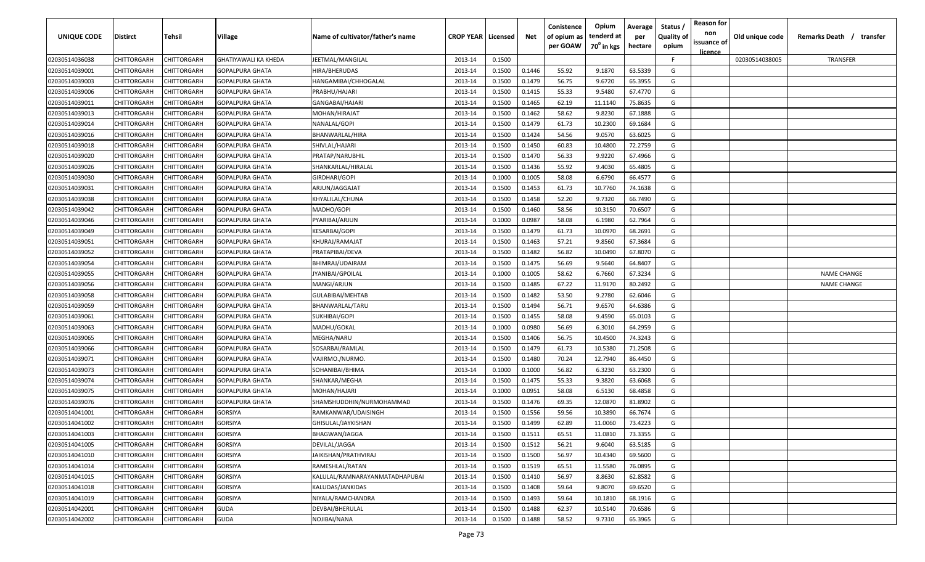| UNIQUE CODE    | <b>Distirct</b>    | Tehsil             | Village                     | Name of cultivator/father's name | <b>CROP YEAR   Licensed</b> |        | Net    | Conistence<br>of opium as<br>per GOAW | Opium<br>tenderd at<br>$70^0$ in kgs | Average<br>per<br>hectare | Status /<br><b>Quality of</b><br>opium | <b>Reason for</b><br>non<br>issuance of | Old unique code | Remarks Death /<br>transfer |
|----------------|--------------------|--------------------|-----------------------------|----------------------------------|-----------------------------|--------|--------|---------------------------------------|--------------------------------------|---------------------------|----------------------------------------|-----------------------------------------|-----------------|-----------------------------|
| 02030514036038 | CHITTORGARH        | CHITTORGARH        | <b>GHATIYAWALI KA KHEDA</b> | JEETMAL/MANGILAL                 | 2013-14                     | 0.1500 |        |                                       |                                      |                           | F.                                     | <u>licence</u>                          | 02030514038005  | <b>TRANSFER</b>             |
| 02030514039001 | CHITTORGARH        | CHITTORGARH        | <b>GOPALPURA GHATA</b>      | HIRA/BHERUDAS                    | 2013-14                     | 0.1500 | 0.1446 | 55.92                                 | 9.1870                               | 63.5339                   | G                                      |                                         |                 |                             |
| 02030514039003 | CHITTORGARH        | CHITTORGARH        | GOPALPURA GHATA             | HANGAMIBAI/CHHOGALAL             | 2013-14                     | 0.1500 | 0.1479 | 56.75                                 | 9.6720                               | 65.3955                   | G                                      |                                         |                 |                             |
| 02030514039006 | CHITTORGARH        | CHITTORGARH        | GOPALPURA GHATA             | PRABHU/HAJARI                    | 2013-14                     | 0.1500 | 0.1415 | 55.33                                 | 9.5480                               | 67.4770                   | G                                      |                                         |                 |                             |
| 02030514039011 | CHITTORGARH        | CHITTORGARH        | GOPALPURA GHATA             | GANGABAI/HAJARI                  | 2013-14                     | 0.1500 | 0.1465 | 62.19                                 | 11.1140                              | 75.8635                   | G                                      |                                         |                 |                             |
| 02030514039013 | CHITTORGARH        | CHITTORGARH        | GOPALPURA GHATA             | MOHAN/HIRAJAT                    | 2013-14                     | 0.1500 | 0.1462 | 58.62                                 | 9.8230                               | 67.1888                   | G                                      |                                         |                 |                             |
| 02030514039014 | CHITTORGARH        | CHITTORGARH        | GOPALPURA GHATA             | NANALAL/GOPI                     | 2013-14                     | 0.1500 | 0.1479 | 61.73                                 | 10.2300                              | 69.1684                   | G                                      |                                         |                 |                             |
| 02030514039016 | CHITTORGARH        | <b>CHITTORGARH</b> | GOPALPURA GHATA             | BHANWARLAL/HIRA                  | 2013-14                     | 0.1500 | 0.1424 | 54.56                                 | 9.0570                               | 63.6025                   | G                                      |                                         |                 |                             |
| 02030514039018 | CHITTORGARH        | <b>CHITTORGARH</b> | GOPALPURA GHATA             | SHIVLAL/HAJARI                   | 2013-14                     | 0.1500 | 0.1450 | 60.83                                 | 10.4800                              | 72.2759                   | G                                      |                                         |                 |                             |
| 02030514039020 | CHITTORGARH        | CHITTORGARH        | GOPALPURA GHATA             | PRATAP/NARUBHIL                  | 2013-14                     | 0.1500 | 0.1470 | 56.33                                 | 9.9220                               | 67.4966                   | G                                      |                                         |                 |                             |
| 02030514039026 | CHITTORGARH        | CHITTORGARH        | GOPALPURA GHATA             | SHANKARLAL/HIRALAL               | 2013-14                     | 0.1500 | 0.1436 | 55.92                                 | 9.4030                               | 65.4805                   | G                                      |                                         |                 |                             |
| 02030514039030 | CHITTORGARH        | CHITTORGARH        | GOPALPURA GHATA             | GIRDHARI/GOPI                    | 2013-14                     | 0.1000 | 0.1005 | 58.08                                 | 6.6790                               | 66.4577                   | G                                      |                                         |                 |                             |
| 02030514039031 | CHITTORGARH        | CHITTORGARH        | GOPALPURA GHATA             | ARJUN/JAGGAJAT                   | 2013-14                     | 0.1500 | 0.1453 | 61.73                                 | 10.7760                              | 74.1638                   | G                                      |                                         |                 |                             |
| 02030514039038 | CHITTORGARH        | CHITTORGARH        | GOPALPURA GHATA             | KHYALILAL/CHUNA                  | 2013-14                     | 0.1500 | 0.1458 | 52.20                                 | 9.7320                               | 66.7490                   | G                                      |                                         |                 |                             |
| 02030514039042 | CHITTORGARH        | CHITTORGARH        | GOPALPURA GHATA             | MADHO/GOPI                       | 2013-14                     | 0.1500 | 0.1460 | 58.56                                 | 10.3150                              | 70.6507                   | G                                      |                                         |                 |                             |
| 02030514039046 | CHITTORGARH        | CHITTORGARH        | GOPALPURA GHATA             | PYARIBAI/ARJUN                   | 2013-14                     | 0.1000 | 0.0987 | 58.08                                 | 6.1980                               | 62.7964                   | G                                      |                                         |                 |                             |
| 02030514039049 | CHITTORGARH        | CHITTORGARH        | GOPALPURA GHATA             | <b>KESARBAI/GOPI</b>             | 2013-14                     | 0.1500 | 0.1479 | 61.73                                 | 10.0970                              | 68.2691                   | G                                      |                                         |                 |                             |
| 02030514039051 | CHITTORGARH        | CHITTORGARH        | GOPALPURA GHATA             | KHURAJ/RAMAJAT                   | 2013-14                     | 0.1500 | 0.1463 | 57.21                                 | 9.8560                               | 67.3684                   | G                                      |                                         |                 |                             |
| 02030514039052 | CHITTORGARH        | CHITTORGARH        | GOPALPURA GHATA             | PRATAPIBAI/DEVA                  | 2013-14                     | 0.1500 | 0.1482 | 56.82                                 | 10.0490                              | 67.8070                   | G                                      |                                         |                 |                             |
| 02030514039054 | CHITTORGARH        | CHITTORGARH        | GOPALPURA GHATA             | BHIMRAJ/UDAIRAM                  | 2013-14                     | 0.1500 | 0.1475 | 56.69                                 | 9.5640                               | 64.8407                   | G                                      |                                         |                 |                             |
| 02030514039055 | CHITTORGARH        | CHITTORGARH        | GOPALPURA GHATA             | JYANIBAI/GPOILAL                 | 2013-14                     | 0.1000 | 0.1005 | 58.62                                 | 6.7660                               | 67.3234                   | G                                      |                                         |                 | <b>NAME CHANGE</b>          |
| 02030514039056 | CHITTORGARH        | CHITTORGARH        | GOPALPURA GHATA             | MANGI/ARJUN                      | 2013-14                     | 0.1500 | 0.1485 | 67.22                                 | 11.9170                              | 80.2492                   | G                                      |                                         |                 | <b>NAME CHANGE</b>          |
| 02030514039058 | CHITTORGARH        | CHITTORGARH        | GOPALPURA GHATA             | GULABIBAI/MEHTAB                 | 2013-14                     | 0.1500 | 0.1482 | 53.50                                 | 9.2780                               | 62.6046                   | G                                      |                                         |                 |                             |
| 02030514039059 | CHITTORGARH        | CHITTORGARH        | GOPALPURA GHATA             | BHANWARLAL/TARU                  | 2013-14                     | 0.1500 | 0.1494 | 56.71                                 | 9.6570                               | 64.6386                   | G                                      |                                         |                 |                             |
| 02030514039061 | CHITTORGARH        | <b>CHITTORGARH</b> | GOPALPURA GHATA             | SUKHIBAI/GOPI                    | 2013-14                     | 0.1500 | 0.1455 | 58.08                                 | 9.4590                               | 65.0103                   | G                                      |                                         |                 |                             |
| 02030514039063 | CHITTORGARH        | <b>CHITTORGARH</b> | GOPALPURA GHATA             | MADHU/GOKAL                      | 2013-14                     | 0.1000 | 0.0980 | 56.69                                 | 6.3010                               | 64.2959                   | G                                      |                                         |                 |                             |
| 02030514039065 | CHITTORGARH        | CHITTORGARH        | GOPALPURA GHATA             | MEGHA/NARU                       | 2013-14                     | 0.1500 | 0.1406 | 56.75                                 | 10.4500                              | 74.3243                   | G                                      |                                         |                 |                             |
| 02030514039066 | CHITTORGARH        | CHITTORGARH        | GOPALPURA GHATA             | SOSARBAI/RAMLAL                  | 2013-14                     | 0.1500 | 0.1479 | 61.73                                 | 10.5380                              | 71.2508                   | G                                      |                                         |                 |                             |
| 02030514039071 | CHITTORGARH        | CHITTORGARH        | GOPALPURA GHATA             | VAJIRMO./NURMO.                  | 2013-14                     | 0.1500 | 0.1480 | 70.24                                 | 12.7940                              | 86.4450                   | G                                      |                                         |                 |                             |
| 02030514039073 | CHITTORGARH        | CHITTORGARH        | GOPALPURA GHATA             | SOHANIBAI/BHIMA                  | 2013-14                     | 0.1000 | 0.1000 | 56.82                                 | 6.3230                               | 63.2300                   | G                                      |                                         |                 |                             |
| 02030514039074 | CHITTORGARH        | CHITTORGARH        | GOPALPURA GHATA             | SHANKAR/MEGHA                    | 2013-14                     | 0.1500 | 0.1475 | 55.33                                 | 9.3820                               | 63.6068                   | G                                      |                                         |                 |                             |
| 02030514039075 | CHITTORGARH        | CHITTORGARH        | GOPALPURA GHATA             | MOHAN/HAJARI                     | 2013-14                     | 0.1000 | 0.0951 | 58.08                                 | 6.5130                               | 68.4858                   | G                                      |                                         |                 |                             |
| 02030514039076 | CHITTORGARH        | CHITTORGARH        | GOPALPURA GHATA             | SHAMSHUDDHIN/NURMOHAMMAD         | 2013-14                     | 0.1500 | 0.1476 | 69.35                                 | 12.0870                              | 81.8902                   | G                                      |                                         |                 |                             |
| 02030514041001 | CHITTORGARH        | CHITTORGARH        | GORSIYA                     | RAMKANWAR/UDAISINGH              | 2013-14                     | 0.1500 | 0.1556 | 59.56                                 | 10.3890                              | 66.7674                   | G                                      |                                         |                 |                             |
| 02030514041002 | CHITTORGARH        | CHITTORGARH        | GORSIYA                     | GHISULAL/JAYKISHAN               | 2013-14                     | 0.1500 | 0.1499 | 62.89                                 | 11.0060                              | 73.4223                   | G                                      |                                         |                 |                             |
| 02030514041003 | <b>CHITTORGARH</b> | <b>CHITTORGARH</b> | GORSIYA                     | <b>BHAGWAN/JAGGA</b>             | 2013-14                     | 0.1500 | 0.1511 | 65.51                                 | 11.0810                              | 73.3355                   | G                                      |                                         |                 |                             |
| 02030514041005 | CHITTORGARH        | <b>CHITTORGARH</b> | GORSIYA                     | DEVILAL/JAGGA                    | 2013-14                     | 0.1500 | 0.1512 | 56.21                                 | 9.6040                               | 63.5185                   | G                                      |                                         |                 |                             |
| 02030514041010 | CHITTORGARH        | CHITTORGARH        | GORSIYA                     | JAIKISHAN/PRATHVIRAJ             | 2013-14                     | 0.1500 | 0.1500 | 56.97                                 | 10.4340                              | 69.5600                   | G                                      |                                         |                 |                             |
| 02030514041014 | CHITTORGARH        | CHITTORGARH        | GORSIYA                     | RAMESHLAL/RATAN                  | 2013-14                     | 0.1500 | 0.1519 | 65.51                                 | 11.5580                              | 76.0895                   | G                                      |                                         |                 |                             |
| 02030514041015 | CHITTORGARH        | CHITTORGARH        | <b>GORSIYA</b>              | KALULAL/RAMNARAYANMATADHAPUBAI   | 2013-14                     | 0.1500 | 0.1410 | 56.97                                 | 8.8630                               | 62.8582                   | G                                      |                                         |                 |                             |
| 02030514041018 | CHITTORGARH        | CHITTORGARH        | GORSIYA                     | KALUDAS/JANKIDAS                 | 2013-14                     | 0.1500 | 0.1408 | 59.64                                 | 9.8070                               | 69.6520                   | G                                      |                                         |                 |                             |
| 02030514041019 | CHITTORGARH        | CHITTORGARH        | GORSIYA                     | NIYALA/RAMCHANDRA                | 2013-14                     | 0.1500 | 0.1493 | 59.64                                 | 10.1810                              | 68.1916                   | G                                      |                                         |                 |                             |
| 02030514042001 | CHITTORGARH        | CHITTORGARH        | <b>GUDA</b>                 | DEVBAI/BHERULAL                  | 2013-14                     | 0.1500 | 0.1488 | 62.37                                 | 10.5140                              | 70.6586                   | G                                      |                                         |                 |                             |
| 02030514042002 | CHITTORGARH        | CHITTORGARH        | <b>GUDA</b>                 | NOJIBAI/NANA                     | 2013-14                     | 0.1500 | 0.1488 | 58.52                                 | 9.7310                               | 65.3965                   | G                                      |                                         |                 |                             |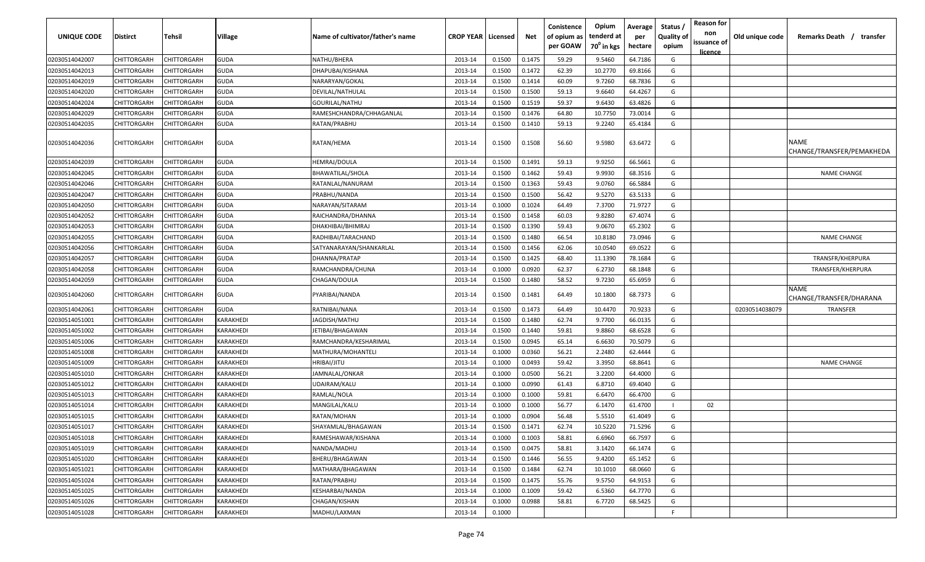| UNIQUE CODE    | <b>Distirct</b>    | Tehsil             | Village     | Name of cultivator/father's name | <b>CROP YEAR   Licensed</b> |        | Net    | Conistence<br>of opium as<br>per GOAW | Opium<br>tenderd at<br>70 <sup>0</sup> in kgs | Average<br>per<br>hectare | Status /<br><b>Quality of</b><br>opium | <b>Reason for</b><br>non<br>issuance of<br>licence | Old unique code | Remarks Death /<br>transfer              |
|----------------|--------------------|--------------------|-------------|----------------------------------|-----------------------------|--------|--------|---------------------------------------|-----------------------------------------------|---------------------------|----------------------------------------|----------------------------------------------------|-----------------|------------------------------------------|
| 02030514042007 | CHITTORGARH        | CHITTORGARH        | <b>GUDA</b> | NATHU/BHERA                      | 2013-14                     | 0.1500 | 0.1475 | 59.29                                 | 9.5460                                        | 64.7186                   | G                                      |                                                    |                 |                                          |
| 02030514042013 | CHITTORGARH        | CHITTORGARH        | <b>GUDA</b> | DHAPUBAI/KISHANA                 | 2013-14                     | 0.1500 | 0.1472 | 62.39                                 | 10.2770                                       | 69.8166                   | G                                      |                                                    |                 |                                          |
| 02030514042019 | CHITTORGARH        | CHITTORGARH        | <b>GUDA</b> | NARARYAN/GOKAL                   | 2013-14                     | 0.1500 | 0.1414 | 60.09                                 | 9.7260                                        | 68.7836                   | G                                      |                                                    |                 |                                          |
| 02030514042020 | CHITTORGARH        | CHITTORGARH        | <b>GUDA</b> | DEVILAL/NATHULAL                 | 2013-14                     | 0.1500 | 0.1500 | 59.13                                 | 9.6640                                        | 64.4267                   | G                                      |                                                    |                 |                                          |
| 02030514042024 | CHITTORGARH        | CHITTORGARH        | <b>GUDA</b> | GOURILAL/NATHU                   | 2013-14                     | 0.1500 | 0.1519 | 59.37                                 | 9.6430                                        | 63.4826                   | G                                      |                                                    |                 |                                          |
| 02030514042029 | CHITTORGARH        | CHITTORGARH        | <b>GUDA</b> | RAMESHCHANDRA/CHHAGANLAL         | 2013-14                     | 0.1500 | 0.1476 | 64.80                                 | 10.7750                                       | 73.0014                   | G                                      |                                                    |                 |                                          |
| 02030514042035 | CHITTORGARH        | CHITTORGARH        | <b>GUDA</b> | RATAN/PRABHU                     | 2013-14                     | 0.1500 | 0.1410 | 59.13                                 | 9.2240                                        | 65.4184                   | G                                      |                                                    |                 |                                          |
| 02030514042036 | CHITTORGARH        | CHITTORGARH        | <b>GUDA</b> | RATAN/HEMA                       | 2013-14                     | 0.1500 | 0.1508 | 56.60                                 | 9.5980                                        | 63.6472                   | G                                      |                                                    |                 | <b>NAME</b><br>CHANGE/TRANSFER/PEMAKHEDA |
| 02030514042039 | CHITTORGARH        | CHITTORGARH        | <b>GUDA</b> | HEMRAJ/DOULA                     | 2013-14                     | 0.1500 | 0.1491 | 59.13                                 | 9.9250                                        | 66.5661                   | G                                      |                                                    |                 |                                          |
| 02030514042045 | CHITTORGARH        | CHITTORGARH        | <b>GUDA</b> | BHAWATILAL/SHOLA                 | 2013-14                     | 0.1500 | 0.1462 | 59.43                                 | 9.9930                                        | 68.3516                   | G                                      |                                                    |                 | <b>NAME CHANGE</b>                       |
| 02030514042046 | CHITTORGARH        | CHITTORGARH        | <b>GUDA</b> | RATANLAL/NANURAM                 | 2013-14                     | 0.1500 | 0.1363 | 59.43                                 | 9.0760                                        | 66.5884                   | G                                      |                                                    |                 |                                          |
| 02030514042047 | CHITTORGARH        | CHITTORGARH        | <b>GUDA</b> | PRABHU/NANDA                     | 2013-14                     | 0.1500 | 0.1500 | 56.42                                 | 9.5270                                        | 63.5133                   | G                                      |                                                    |                 |                                          |
| 02030514042050 | CHITTORGARH        | CHITTORGARH        | <b>GUDA</b> | NARAYAN/SITARAM                  | 2013-14                     | 0.1000 | 0.1024 | 64.49                                 | 7.3700                                        | 71.9727                   | G                                      |                                                    |                 |                                          |
| 02030514042052 | CHITTORGARH        | CHITTORGARH        | <b>GUDA</b> | RAICHANDRA/DHANNA                | 2013-14                     | 0.1500 | 0.1458 | 60.03                                 | 9.8280                                        | 67.4074                   | G                                      |                                                    |                 |                                          |
| 02030514042053 | CHITTORGARH        | CHITTORGARH        | <b>GUDA</b> | DHAKHIBAI/BHIMRAJ                | 2013-14                     | 0.1500 | 0.1390 | 59.43                                 | 9.0670                                        | 65.2302                   | G                                      |                                                    |                 |                                          |
| 02030514042055 | CHITTORGARH        | CHITTORGARH        | <b>GUDA</b> | RADHIBAI/TARACHAND               | 2013-14                     | 0.1500 | 0.1480 | 66.54                                 | 10.8180                                       | 73.0946                   | G                                      |                                                    |                 | <b>NAME CHANGE</b>                       |
| 02030514042056 | CHITTORGARH        | CHITTORGARF        | <b>GUDA</b> | SATYANARAYAN/SHANKARLAL          | 2013-14                     | 0.1500 | 0.1456 | 62.06                                 | 10.0540                                       | 69.0522                   | G                                      |                                                    |                 |                                          |
| 02030514042057 | CHITTORGARH        | CHITTORGARH        | <b>GUDA</b> | DHANNA/PRATAP                    | 2013-14                     | 0.1500 | 0.1425 | 68.40                                 | 11.1390                                       | 78.1684                   | G                                      |                                                    |                 | TRANSFR/KHERPURA                         |
| 02030514042058 | CHITTORGARH        | CHITTORGARH        | <b>GUDA</b> | RAMCHANDRA/CHUNA                 | 2013-14                     | 0.1000 | 0.0920 | 62.37                                 | 6.2730                                        | 68.1848                   | G                                      |                                                    |                 | TRANSFER/KHERPURA                        |
| 02030514042059 | CHITTORGARH        | CHITTORGARH        | <b>GUDA</b> | CHAGAN/DOULA                     | 2013-14                     | 0.1500 | 0.1480 | 58.52                                 | 9.7230                                        | 65.6959                   | G                                      |                                                    |                 |                                          |
| 02030514042060 | CHITTORGARH        | <b>CHITTORGARF</b> | <b>GUDA</b> | PYARIBAI/NANDA                   | 2013-14                     | 0.1500 | 0.1481 | 64.49                                 | 10.1800                                       | 68.7373                   | G                                      |                                                    |                 | <b>NAME</b><br>CHANGE/TRANSFER/DHARANA   |
| 02030514042061 | CHITTORGARH        | CHITTORGARH        | <b>GUDA</b> | RATNIBAI/NANA                    | 2013-14                     | 0.1500 | 0.1473 | 64.49                                 | 10.4470                                       | 70.9233                   | G                                      |                                                    | 02030514038079  | <b>TRANSFER</b>                          |
| 02030514051001 | CHITTORGARH        | CHITTORGARH        | KARAKHEDI   | IAGDISH/MATHU                    | 2013-14                     | 0.1500 | 0.1480 | 62.74                                 | 9.7700                                        | 66.0135                   | G                                      |                                                    |                 |                                          |
| 02030514051002 | CHITTORGARH        | CHITTORGARF        | KARAKHEDI   | JETIBAI/BHAGAWAN                 | 2013-14                     | 0.1500 | 0.1440 | 59.81                                 | 9.8860                                        | 68.6528                   | G                                      |                                                    |                 |                                          |
| 02030514051006 | CHITTORGARH        | CHITTORGARH        | KARAKHEDI   | RAMCHANDRA/KESHARIMAL            | 2013-14                     | 0.1500 | 0.0945 | 65.14                                 | 6.6630                                        | 70.5079                   | G                                      |                                                    |                 |                                          |
| 02030514051008 | CHITTORGARH        | CHITTORGARH        | KARAKHEDI   | MATHURA/MOHANTELI                | 2013-14                     | 0.1000 | 0.0360 | 56.21                                 | 2.2480                                        | 62.4444                   | G                                      |                                                    |                 |                                          |
| 02030514051009 | CHITTORGARH        | CHITTORGARH        | KARAKHEDI   | HRIBAI/JITU                      | 2013-14                     | 0.1000 | 0.0493 | 59.42                                 | 3.3950                                        | 68.8641                   | G                                      |                                                    |                 | <b>NAME CHANGE</b>                       |
| 02030514051010 | CHITTORGARH        | CHITTORGARH        | KARAKHEDI   | <b>IAMNALAL/ONKAR</b>            | 2013-14                     | 0.1000 | 0.0500 | 56.21                                 | 3.2200                                        | 64.4000                   | G                                      |                                                    |                 |                                          |
| 02030514051012 | CHITTORGARH        | CHITTORGARH        | KARAKHEDI   | UDAIRAM/KALU                     | 2013-14                     | 0.1000 | 0.0990 | 61.43                                 | 6.8710                                        | 69.4040                   | G                                      |                                                    |                 |                                          |
| 02030514051013 | CHITTORGARH        | CHITTORGARH        | KARAKHEDI   | RAMLAL/NOLA                      | 2013-14                     | 0.1000 | 0.1000 | 59.81                                 | 6.6470                                        | 66.4700                   | G                                      |                                                    |                 |                                          |
| 02030514051014 | CHITTORGARH        | CHITTORGARH        | KARAKHEDI   | MANGILAL/KALU                    | 2013-14                     | 0.1000 | 0.1000 | 56.77                                 | 6.1470                                        | 61.4700                   |                                        | 02                                                 |                 |                                          |
| 02030514051015 | CHITTORGARH        | <b>CHITTORGARF</b> | KARAKHEDI   | RATAN/MOHAN                      | 2013-14                     | 0.1000 | 0.0904 | 56.48                                 | 5.5510                                        | 61.4049                   | G                                      |                                                    |                 |                                          |
| 02030514051017 | <b>CHITTORGARH</b> | CHITTORGARH        | KARAKHEDI   | SHAYAMLAL/BHAGAWAN               | 2013-14                     | 0.1500 | 0.1471 | 62.74                                 | 10.5220                                       | 71.5296                   | G                                      |                                                    |                 |                                          |
| 02030514051018 | CHITTORGARH        | CHITTORGARH        | KARAKHEDI   | RAMESHAWAR/KISHANA               | 2013-14                     | 0.1000 | 0.1003 | 58.81                                 | 6.6960                                        | 66.7597                   | G                                      |                                                    |                 |                                          |
| 02030514051019 | CHITTORGARH        | CHITTORGARH        | KARAKHEDI   | NANDA/MADHU                      | 2013-14                     | 0.1500 | 0.0475 | 58.81                                 | 3.1420                                        | 66.1474                   | G                                      |                                                    |                 |                                          |
| 02030514051020 | CHITTORGARH        | CHITTORGARH        | KARAKHEDI   | BHERU/BHAGAWAN                   | 2013-14                     | 0.1500 | 0.1446 | 56.55                                 | 9.4200                                        | 65.1452                   | G                                      |                                                    |                 |                                          |
| 02030514051021 | CHITTORGARH        | CHITTORGARH        | KARAKHEDI   | MATHARA/BHAGAWAN                 | 2013-14                     | 0.1500 | 0.1484 | 62.74                                 | 10.1010                                       | 68.0660                   | G                                      |                                                    |                 |                                          |
| 02030514051024 | CHITTORGARH        | CHITTORGARH        | KARAKHEDI   | RATAN/PRABHU                     | 2013-14                     | 0.1500 | 0.1475 | 55.76                                 | 9.5750                                        | 64.9153                   | G                                      |                                                    |                 |                                          |
| 02030514051025 | CHITTORGARH        | CHITTORGARH        | KARAKHEDI   | KESHARBAI/NANDA                  | 2013-14                     | 0.1000 | 0.1009 | 59.42                                 | 6.5360                                        | 64.7770                   | G                                      |                                                    |                 |                                          |
| 02030514051026 | CHITTORGARH        | CHITTORGARH        | KARAKHEDI   | CHAGAN/KISHAN                    | 2013-14                     | 0.1000 | 0.0988 | 58.81                                 | 6.7720                                        | 68.5425                   | G                                      |                                                    |                 |                                          |
| 02030514051028 | <b>CHITTORGARH</b> | CHITTORGARH        | KARAKHEDI   | MADHU/LAXMAN                     | 2013-14                     | 0.1000 |        |                                       |                                               |                           | F                                      |                                                    |                 |                                          |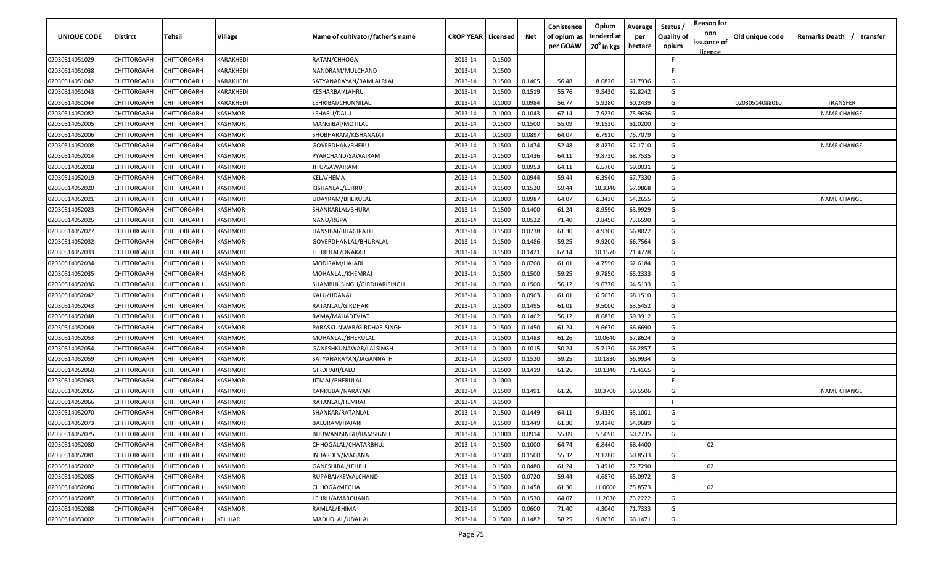| UNIQUE CODE    | Distirct           | Tehsil             | Village   | Name of cultivator/father's name | <b>CROP YEAR   Licensed</b> |        | Net    | Conistence<br>of opium as<br>per GOAW | Opium<br>tenderd at<br>70 <sup>°</sup> in kgs | Average<br>per<br>hectare | Status /<br><b>Quality of</b><br>opium | <b>Reason for</b><br>non<br>issuance of | Old unique code | Remarks Death /<br>transfer |
|----------------|--------------------|--------------------|-----------|----------------------------------|-----------------------------|--------|--------|---------------------------------------|-----------------------------------------------|---------------------------|----------------------------------------|-----------------------------------------|-----------------|-----------------------------|
|                |                    |                    |           |                                  |                             |        |        |                                       |                                               |                           |                                        | <u>licence</u>                          |                 |                             |
| 02030514051029 | CHITTORGARH        | CHITTORGARH        | KARAKHEDI | RATAN/CHHOGA                     | 2013-14                     | 0.1500 |        |                                       |                                               |                           | F.                                     |                                         |                 |                             |
| 02030514051038 | CHITTORGARH        | CHITTORGARH        | KARAKHEDI | NANDRAM/MULCHAND                 | 2013-14                     | 0.1500 |        |                                       |                                               |                           | -F.                                    |                                         |                 |                             |
| 02030514051042 | CHITTORGARH        | CHITTORGARH        | KARAKHEDI | SATYANARAYAN/RAMLALRLAL          | 2013-14                     | 0.1500 | 0.1405 | 56.48                                 | 8.6820                                        | 61.7936                   | G                                      |                                         |                 |                             |
| 02030514051043 | CHITTORGARH        | CHITTORGARH        | KARAKHEDI | KESHARBAI/LAHRU                  | 2013-14                     | 0.1500 | 0.1519 | 55.76                                 | 9.5430                                        | 62.8242                   | G                                      |                                         |                 |                             |
| 02030514051044 | CHITTORGARH        | CHITTORGARH        | KARAKHEDI | LEHRIBAI/CHUNNILAL               | 2013-14                     | 0.1000 | 0.0984 | 56.77                                 | 5.9280                                        | 60.2439                   | G                                      |                                         | 02030514088010  | <b>TRANSFER</b>             |
| 02030514052082 | CHITTORGARH        | CHITTORGARH        | KASHMOR   | LEHARU/DALU                      | 2013-14                     | 0.1000 | 0.1043 | 67.14                                 | 7.9230                                        | 75.9636                   | G                                      |                                         |                 | <b>NAME CHANGE</b>          |
| 02030514052005 | CHITTORGARH        | CHITTORGARH        | KASHMOR   | MANGIBAI/MOTILAL                 | 2013-14                     | 0.1500 | 0.1500 | 55.09                                 | 9.1530                                        | 61.0200                   | G                                      |                                         |                 |                             |
| 02030514052006 | CHITTORGARH        | CHITTORGARH        | KASHMOR   | SHOBHARAM/KISHANAJAT             | 2013-14                     | 0.1500 | 0.0897 | 64.07                                 | 6.7910                                        | 75.7079                   | G                                      |                                         |                 |                             |
| 02030514052008 | CHITTORGARH        | CHITTORGARH        | KASHMOR   | GOVERDHAN/BHERU                  | 2013-14                     | 0.1500 | 0.1474 | 52.48                                 | 8.4270                                        | 57.1710                   | G                                      |                                         |                 | <b>NAME CHANGE</b>          |
| 02030514052014 | CHITTORGARH        | CHITTORGARH        | KASHMOR   | PYARCHAND/SAWAIRAM               | 2013-14                     | 0.1500 | 0.1436 | 64.11                                 | 9.8730                                        | 68.7535                   | G                                      |                                         |                 |                             |
| 02030514052018 | CHITTORGARH        | CHITTORGARH        | KASHMOR   | IITU/SAWAIRAM                    | 2013-14                     | 0.1000 | 0.0953 | 64.11                                 | 6.5760                                        | 69.0031                   | G                                      |                                         |                 |                             |
| 02030514052019 | CHITTORGARH        | CHITTORGARH        | KASHMOR   | KELA/HEMA                        | 2013-14                     | 0.1500 | 0.0944 | 59.44                                 | 6.3940                                        | 67.7330                   | G                                      |                                         |                 |                             |
| 02030514052020 | CHITTORGARH        | CHITTORGARH        | KASHMOR   | KISHANLAL/LEHRU                  | 2013-14                     | 0.1500 | 0.1520 | 59.44                                 | 10.3340                                       | 67.9868                   | G                                      |                                         |                 |                             |
| 02030514052021 | CHITTORGARH        | CHITTORGARH        | KASHMOR   | UDAYRAM/BHERULAL                 | 2013-14                     | 0.1000 | 0.0987 | 64.07                                 | 6.3430                                        | 64.2655                   | G                                      |                                         |                 | <b>NAME CHANGE</b>          |
| 02030514052023 | CHITTORGARH        | CHITTORGARH        | KASHMOR   | SHANKARLAL/BHURA                 | 2013-14                     | 0.1500 | 0.1400 | 61.24                                 | 8.9590                                        | 63.9929                   | G                                      |                                         |                 |                             |
| 02030514052025 | CHITTORGARH        | CHITTORGARH        | KASHMOR   | NANU/RUPA                        | 2013-14                     | 0.1500 | 0.0522 | 71.40                                 | 3.8450                                        | 73.6590                   | G                                      |                                         |                 |                             |
| 02030514052027 | CHITTORGARH        | CHITTORGARH        | KASHMOR   | HANSIBAI/BHAGIRATH               | 2013-14                     | 0.1500 | 0.0738 | 61.30                                 | 4.9300                                        | 66.8022                   | G                                      |                                         |                 |                             |
| 02030514052032 | CHITTORGARH        | CHITTORGARH        | KASHMOR   | GOVERDHANLAL/BHURALAL            | 2013-14                     | 0.1500 | 0.1486 | 59.25                                 | 9.9200                                        | 66.7564                   | G                                      |                                         |                 |                             |
| 02030514052033 | CHITTORGARH        | CHITTORGARH        | KASHMOR   | LEHRULAL/ONAKAR                  | 2013-14                     | 0.1500 | 0.1421 | 67.14                                 | 10.1570                                       | 71.4778                   | G                                      |                                         |                 |                             |
| 02030514052034 | CHITTORGARH        | CHITTORGARH        | KASHMOR   | MODIRAM/HAJARI                   | 2013-14                     | 0.1500 | 0.0760 | 61.01                                 | 4.7590                                        | 62.6184                   | G                                      |                                         |                 |                             |
| 02030514052035 | CHITTORGARH        | CHITTORGARH        | KASHMOR   | MOHANLAL/KHEMRAJ                 | 2013-14                     | 0.1500 | 0.1500 | 59.25                                 | 9.7850                                        | 65.2333                   | G                                      |                                         |                 |                             |
| 02030514052036 | CHITTORGARH        | CHITTORGARH        | KASHMOR   | SHAMBHUSINGH/GIRDHARISINGH       | 2013-14                     | 0.1500 | 0.1500 | 56.12                                 | 9.6770                                        | 64.5133                   | G                                      |                                         |                 |                             |
| 02030514052042 | CHITTORGARH        | CHITTORGARH        | KASHMOR   | KALU/UDANAI                      | 2013-14                     | 0.1000 | 0.0963 | 61.01                                 | 6.5630                                        | 68.1510                   | G                                      |                                         |                 |                             |
| 02030514052043 | CHITTORGARH        | CHITTORGARH        | KASHMOR   | RATANLAL/GIRDHARI                | 2013-14                     | 0.1500 | 0.1495 | 61.01                                 | 9.5000                                        | 63.5452                   | G                                      |                                         |                 |                             |
| 02030514052048 | CHITTORGARH        | CHITTORGARH        | KASHMOR   | RAMA/MAHADEVJAT                  | 2013-14                     | 0.1500 | 0.1462 | 56.12                                 | 8.6830                                        | 59.3912                   | G                                      |                                         |                 |                             |
| 02030514052049 | CHITTORGARH        | CHITTORGARH        | KASHMOR   | PARASKUNWAR/GIRDHARISINGH        | 2013-14                     | 0.1500 | 0.1450 | 61.24                                 | 9.6670                                        | 66.6690                   | G                                      |                                         |                 |                             |
| 02030514052053 | CHITTORGARH        | CHITTORGARH        | KASHMOR   | MOHANLAL/BHERULAL                | 2013-14                     | 0.1500 | 0.1483 | 61.26                                 | 10.0640                                       | 67.8624                   | G                                      |                                         |                 |                             |
| 02030514052054 | CHITTORGARH        | CHITTORGARH        | KASHMOR   | GANESHKUNAWAR/LALSINGH           | 2013-14                     | 0.1000 | 0.1015 | 50.24                                 | 5.7130                                        | 56.2857                   | G                                      |                                         |                 |                             |
| 02030514052059 | CHITTORGARH        | CHITTORGARH        | KASHMOR   | SATYANARAYAN/JAGANNATH           | 2013-14                     | 0.1500 | 0.1520 | 59.25                                 | 10.1830                                       | 66.9934                   | G                                      |                                         |                 |                             |
| 02030514052060 | CHITTORGARH        | CHITTORGARH        | KASHMOR   | GIRDHARI/LALU                    | 2013-14                     | 0.1500 | 0.1419 | 61.26                                 | 10.1340                                       | 71.4165                   | G                                      |                                         |                 |                             |
| 02030514052063 | CHITTORGARH        | CHITTORGARH        | KASHMOR   | JITMAL/BHERULAL                  | 2013-14                     | 0.1000 |        |                                       |                                               |                           | -F.                                    |                                         |                 |                             |
| 02030514052065 | CHITTORGARH        | CHITTORGARH        | KASHMOR   | KANKUBAI/NARAYAN                 | 2013-14                     | 0.1500 | 0.1491 | 61.26                                 | 10.3700                                       | 69.5506                   | G                                      |                                         |                 | <b>NAME CHANGE</b>          |
| 02030514052066 | CHITTORGARH        | CHITTORGARH        | KASHMOR   | RATANLAL/HEMRAJ                  | 2013-14                     | 0.1500 |        |                                       |                                               |                           | -F                                     |                                         |                 |                             |
| 02030514052070 | CHITTORGARH        | CHITTORGARH        | KASHMOR   | SHANKAR/RATANLAL                 | 2013-14                     | 0.1500 | 0.1449 | 64.11                                 | 9.4330                                        | 65.1001                   | G                                      |                                         |                 |                             |
| 02030514052073 | CHITTORGARH        | CHITTORGARH        | KASHMOR   | BALURAM/HAJARI                   | 2013-14                     | 0.1500 | 0.1449 | 61.30                                 | 9.4140                                        | 64.9689                   | G                                      |                                         |                 |                             |
| 02030514052075 | <b>CHITTORGARH</b> | CHITTORGARH        | KASHMOR   | <b>BHUWANISINGH/RAMSIGNH</b>     | 2013-14                     | 0.1000 | 0.0914 | 55.09                                 | 5.5090                                        | 60.2735                   | G                                      |                                         |                 |                             |
| 02030514052080 | CHITTORGARH        | <b>CHITTORGARH</b> | KASHMOR   | CHHOGALAL/CHATARBHUJ             | 2013-14                     | 0.1500 | 0.1000 | 64.74                                 | 6.8440                                        | 68.4400                   |                                        | 02                                      |                 |                             |
| 02030514052081 | CHITTORGARH        | CHITTORGARH        | KASHMOR   | INDARDEV/MAGANA                  | 2013-14                     | 0.1500 | 0.1500 | 55.32                                 | 9.1280                                        | 60.8533                   | G                                      |                                         |                 |                             |
| 02030514052002 | <b>CHITTORGARH</b> | CHITTORGARH        | KASHMOR   | GANESHIBAI/LEHRU                 | 2013-14                     | 0.1500 | 0.0480 | 61.24                                 | 3.4910                                        | 72.7290                   |                                        | 02                                      |                 |                             |
| 02030514052085 | CHITTORGARH        | CHITTORGARH        | KASHMOR   | RUPABAI/KEWALCHAND               | 2013-14                     | 0.1500 | 0.0720 | 59.44                                 | 4.6870                                        | 65.0972                   | G                                      |                                         |                 |                             |
| 02030514052086 | CHITTORGARH        | CHITTORGARH        | KASHMOR   | CHHOGA/MEGHA                     | 2013-14                     | 0.1500 | 0.1458 | 61.30                                 | 11.0600                                       | 75.8573                   |                                        | 02                                      |                 |                             |
| 02030514052087 | CHITTORGARH        | CHITTORGARH        | KASHMOR   | LEHRU/AMARCHAND                  | 2013-14                     | 0.1500 | 0.1530 | 64.07                                 | 11.2030                                       | 73.2222                   | G                                      |                                         |                 |                             |
| 02030514052088 | CHITTORGARH        | CHITTORGARH        | KASHMOR   | RAMLAL/BHIMA                     | 2013-14                     | 0.1000 | 0.0600 | 71.40                                 | 4.3040                                        | 71.7333                   | G                                      |                                         |                 |                             |
| 02030514053002 | <b>CHITTORGARH</b> | CHITTORGARH        | KELJHAR   | MADHOLAL/UDAILAL                 | 2013-14                     | 0.1500 | 0.1482 | 58.25                                 | 9.8030                                        | 66.1471                   | G                                      |                                         |                 |                             |
|                |                    |                    |           |                                  |                             |        |        |                                       |                                               |                           |                                        |                                         |                 |                             |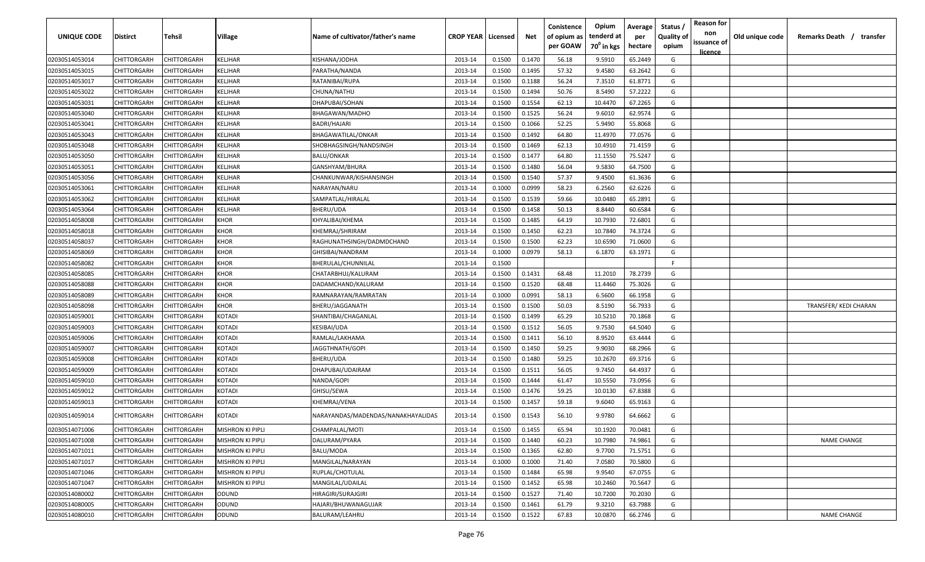| <b>UNIQUE CODE</b> | Distirct           | Tehsil             | Village                 | Name of cultivator/father's name   | <b>CROP YEAR   Licensed</b> |        | Net    | Conistence<br>of opium as<br>per GOAW | Opium<br>tenderd at<br>70 <sup>0</sup> in kgs | Average<br>per<br>hectare | Status /<br><b>Quality of</b><br>opium | <b>Reason for</b><br>non<br>issuance of | Old unique code | Remarks Death / transfer |
|--------------------|--------------------|--------------------|-------------------------|------------------------------------|-----------------------------|--------|--------|---------------------------------------|-----------------------------------------------|---------------------------|----------------------------------------|-----------------------------------------|-----------------|--------------------------|
|                    |                    |                    |                         |                                    |                             |        |        |                                       |                                               |                           |                                        | <u>licence</u>                          |                 |                          |
| 02030514053014     | CHITTORGARH        | CHITTORGARH        | KELJHAR                 | KISHANA/JODHA                      | 2013-14                     | 0.1500 | 0.1470 | 56.18                                 | 9.5910                                        | 65.2449                   | G                                      |                                         |                 |                          |
| 02030514053015     | CHITTORGARH        | CHITTORGARH        | KELJHAR                 | PARATHA/NANDA                      | 2013-14                     | 0.1500 | 0.1495 | 57.32                                 | 9.4580                                        | 63.2642                   | G                                      |                                         |                 |                          |
| 02030514053017     | CHITTORGARH        | CHITTORGARH        | KELJHAR                 | RATANIBAI/RUPA                     | 2013-14                     | 0.1500 | 0.1188 | 56.24                                 | 7.3510                                        | 61.8771                   | G                                      |                                         |                 |                          |
| 02030514053022     | CHITTORGARH        | CHITTORGARH        | KELJHAR                 | CHUNA/NATHU                        | 2013-14                     | 0.1500 | 0.1494 | 50.76                                 | 8.5490                                        | 57.2222                   | G                                      |                                         |                 |                          |
| 02030514053031     | CHITTORGARH        | CHITTORGARH        | KELJHAR                 | DHAPUBAI/SOHAN                     | 2013-14                     | 0.1500 | 0.1554 | 62.13                                 | 10.4470                                       | 67.2265                   | G                                      |                                         |                 |                          |
| 02030514053040     | CHITTORGARH        | CHITTORGARH        | KELJHAR                 | BHAGAWAN/MADHO                     | 2013-14                     | 0.1500 | 0.1525 | 56.24                                 | 9.6010                                        | 62.9574                   | G                                      |                                         |                 |                          |
| 02030514053041     | CHITTORGARH        | <b>CHITTORGARH</b> | KELJHAR                 | BADRI/HAJARI                       | 2013-14                     | 0.1500 | 0.1066 | 52.25                                 | 5.9490                                        | 55.8068                   | G                                      |                                         |                 |                          |
| 02030514053043     | CHITTORGARH        | CHITTORGARH        | KELJHAR                 | BHAGAWATILAL/ONKAR                 | 2013-14                     | 0.1500 | 0.1492 | 64.80                                 | 11.4970                                       | 77.0576                   | G                                      |                                         |                 |                          |
| 02030514053048     | CHITTORGARH        | CHITTORGARH        | KELJHAR                 | SHOBHAGSINGH/NANDSINGH             | 2013-14                     | 0.1500 | 0.1469 | 62.13                                 | 10.4910                                       | 71.4159                   | G                                      |                                         |                 |                          |
| 02030514053050     | CHITTORGARH        | CHITTORGARH        | KELJHAR                 | BALU/ONKAR                         | 2013-14                     | 0.1500 | 0.1477 | 64.80                                 | 11.1550                                       | 75.5247                   | G                                      |                                         |                 |                          |
| 02030514053051     | CHITTORGARH        | CHITTORGARH        | KELJHAR                 | GANSHYAM/BHURA                     | 2013-14                     | 0.1500 | 0.1480 | 56.04                                 | 9.5830                                        | 64.7500                   | G                                      |                                         |                 |                          |
| 02030514053056     | CHITTORGARH        | CHITTORGARH        | KELJHAR                 | CHANKUNWAR/KISHANSINGH             | 2013-14                     | 0.1500 | 0.1540 | 57.37                                 | 9.4500                                        | 61.3636                   | G                                      |                                         |                 |                          |
| 02030514053061     | CHITTORGARH        | CHITTORGARH        | KELJHAR                 | NARAYAN/NARU                       | 2013-14                     | 0.1000 | 0.0999 | 58.23                                 | 6.2560                                        | 62.6226                   | G                                      |                                         |                 |                          |
| 02030514053062     | CHITTORGARH        | CHITTORGARH        | KELJHAR                 | SAMPATLAL/HIRALAL                  | 2013-14                     | 0.1500 | 0.1539 | 59.66                                 | 10.0480                                       | 65.2891                   | G                                      |                                         |                 |                          |
| 02030514053064     | CHITTORGARH        | CHITTORGARH        | KELJHAR                 | BHERU/UDA                          | 2013-14                     | 0.1500 | 0.1458 | 50.13                                 | 8.8440                                        | 60.6584                   | G                                      |                                         |                 |                          |
| 02030514058008     | CHITTORGARH        | CHITTORGARH        | <b>KHOR</b>             | KHYALIBAI/KHEMA                    | 2013-14                     | 0.1500 | 0.1485 | 64.19                                 | 10.7930                                       | 72.6801                   | G                                      |                                         |                 |                          |
| 02030514058018     | CHITTORGARH        | CHITTORGARH        | <b>KHOR</b>             | KHEMRAJ/SHRIRAM                    | 2013-14                     | 0.1500 | 0.1450 | 62.23                                 | 10.7840                                       | 74.3724                   | G                                      |                                         |                 |                          |
| 02030514058037     | CHITTORGARH        | CHITTORGARH        | <b>KHOR</b>             | RAGHUNATHSINGH/DADMDCHAND          | 2013-14                     | 0.1500 | 0.1500 | 62.23                                 | 10.6590                                       | 71.0600                   | G                                      |                                         |                 |                          |
| 02030514058069     | CHITTORGARH        | CHITTORGARH        | KHOR                    | GHISIBAI/NANDRAM                   | 2013-14                     | 0.1000 | 0.0979 | 58.13                                 | 6.1870                                        | 63.1971                   | G                                      |                                         |                 |                          |
| 02030514058082     | CHITTORGARH        | CHITTORGARH        | KHOR                    | BHERULAL/CHUNNILAL                 | 2013-14                     | 0.1500 |        |                                       |                                               |                           | F                                      |                                         |                 |                          |
| 02030514058085     | CHITTORGARH        | CHITTORGARH        | KHOR                    | CHATARBHUJ/KALURAM                 | 2013-14                     | 0.1500 | 0.1431 | 68.48                                 | 11.2010                                       | 78.2739                   | G                                      |                                         |                 |                          |
| 02030514058088     | CHITTORGARH        | CHITTORGARH        | KHOR                    | DADAMCHAND/KALURAM                 | 2013-14                     | 0.1500 | 0.1520 | 68.48                                 | 11.4460                                       | 75.3026                   | G                                      |                                         |                 |                          |
| 02030514058089     | CHITTORGARH        | CHITTORGARH        | KHOR                    | RAMNARAYAN/RAMRATAN                | 2013-14                     | 0.1000 | 0.0991 | 58.13                                 | 6.5600                                        | 66.1958                   | G                                      |                                         |                 |                          |
| 02030514058098     | CHITTORGARH        | CHITTORGARH        | KHOR                    | BHERU/JAGGANATH                    | 2013-14                     | 0.1500 | 0.1500 | 50.03                                 | 8.5190                                        | 56.7933                   | G                                      |                                         |                 | TRANSFER/ KEDI CHARAN    |
| 02030514059001     | CHITTORGARH        | CHITTORGARH        | KOTADI                  | SHANTIBAI/CHAGANLAL                | 2013-14                     | 0.1500 | 0.1499 | 65.29                                 | 10.5210                                       | 70.1868                   | G                                      |                                         |                 |                          |
| 02030514059003     | CHITTORGARH        | CHITTORGARH        | KOTADI                  | KESIBAI/UDA                        | 2013-14                     | 0.1500 | 0.1512 | 56.05                                 | 9.7530                                        | 64.5040                   | G                                      |                                         |                 |                          |
| 02030514059006     | CHITTORGARH        | CHITTORGARH        | KOTADI                  | RAMLAL/LAKHAMA                     | 2013-14                     | 0.1500 | 0.1411 | 56.10                                 | 8.9520                                        | 63.4444                   | G                                      |                                         |                 |                          |
| 02030514059007     | CHITTORGARH        | CHITTORGARH        | KOTADI                  | IAGGTHNATH/GOPI                    | 2013-14                     | 0.1500 | 0.1450 | 59.25                                 | 9.9030                                        | 68.2966                   | G                                      |                                         |                 |                          |
| 02030514059008     | CHITTORGARH        | CHITTORGARH        | KOTADI                  | BHERU/UDA                          | 2013-14                     | 0.1500 | 0.1480 | 59.25                                 | 10.2670                                       | 69.3716                   | G                                      |                                         |                 |                          |
| 02030514059009     | CHITTORGARH        | CHITTORGARH        | KOTADI                  | DHAPUBAI/UDAIRAM                   | 2013-14                     | 0.1500 | 0.1511 | 56.05                                 | 9.7450                                        | 64.4937                   | G                                      |                                         |                 |                          |
| 02030514059010     | CHITTORGARH        | CHITTORGARH        | KOTADI                  | NANDA/GOPI                         | 2013-14                     | 0.1500 | 0.1444 | 61.47                                 | 10.5550                                       | 73.0956                   | G                                      |                                         |                 |                          |
| 02030514059012     | CHITTORGARH        | CHITTORGARH        | KOTADI                  | GHISU/SEWA                         | 2013-14                     | 0.1500 | 0.1476 | 59.25                                 | 10.0130                                       | 67.8388                   | G                                      |                                         |                 |                          |
| 02030514059013     | CHITTORGARH        | CHITTORGARH        | KOTADI                  | KHEMRAJ/VENA                       | 2013-14                     | 0.1500 | 0.1457 | 59.18                                 | 9.6040                                        | 65.9163                   | G                                      |                                         |                 |                          |
| 02030514059014     | CHITTORGARH        | CHITTORGARH        | KOTADI                  | NARAYANDAS/MADENDAS/NANAKHAYALIDAS | 2013-14                     | 0.1500 | 0.1543 | 56.10                                 | 9.9780                                        | 64.6662                   | G                                      |                                         |                 |                          |
| 02030514071006     | CHITTORGARH        | CHITTORGARH        | MISHRON KI PIPLI        | CHAMPALAL/MOTI                     | 2013-14                     | 0.1500 | 0.1455 | 65.94                                 | 10.1920                                       | 70.0481                   | G                                      |                                         |                 |                          |
| 02030514071008     | CHITTORGARH        | <b>CHITTORGARH</b> | <b>MISHRON KI PIPLI</b> | DALURAM/PYARA                      | 2013-14                     | 0.1500 | 0.1440 | 60.23                                 | 10.7980                                       | 74.9861                   | G                                      |                                         |                 | <b>NAME CHANGE</b>       |
| 02030514071011     | CHITTORGARH        | CHITTORGARH        | MISHRON KI PIPLI        | BALU/MODA                          | 2013-14                     | 0.1500 | 0.1365 | 62.80                                 | 9.7700                                        | 71.5751                   | G                                      |                                         |                 |                          |
| 02030514071017     | <b>CHITTORGARH</b> | <b>CHITTORGARH</b> | MISHRON KI PIPLI        | MANGILAL/NARAYAN                   | 2013-14                     | 0.1000 | 0.1000 | 71.40                                 | 7.0580                                        | 70.5800                   | G                                      |                                         |                 |                          |
| 02030514071046     | CHITTORGARH        | CHITTORGARH        | MISHRON KI PIPLI        | RUPLAL/CHOTULAL                    | 2013-14                     | 0.1500 | 0.1484 | 65.98                                 | 9.9540                                        | 67.0755                   | G                                      |                                         |                 |                          |
| 02030514071047     | CHITTORGARH        | CHITTORGARH        | <b>MISHRON KI PIPLI</b> | MANGILAL/UDAILAL                   | 2013-14                     | 0.1500 | 0.1452 | 65.98                                 | 10.2460                                       | 70.5647                   | G                                      |                                         |                 |                          |
| 02030514080002     | CHITTORGARH        | CHITTORGARH        | ODUND                   | HIRAGIRI/SURAJGIRI                 | 2013-14                     | 0.1500 | 0.1527 | 71.40                                 | 10.7200                                       | 70.2030                   | G                                      |                                         |                 |                          |
| 02030514080005     | CHITTORGARH        | CHITTORGARH        | ODUND                   | HAJARI/BHUWANAGUJAR                | 2013-14                     | 0.1500 | 0.1461 | 61.79                                 | 9.3210                                        | 63.7988                   | G                                      |                                         |                 |                          |
| 02030514080010     | CHITTORGARH        | CHITTORGARH        | ODUND                   | <b>BALURAM/LEAHRU</b>              | 2013-14                     | 0.1500 | 0.1522 | 67.83                                 | 10.0870                                       | 66.2746                   | G                                      |                                         |                 | <b>NAME CHANGE</b>       |
|                    |                    |                    |                         |                                    |                             |        |        |                                       |                                               |                           |                                        |                                         |                 |                          |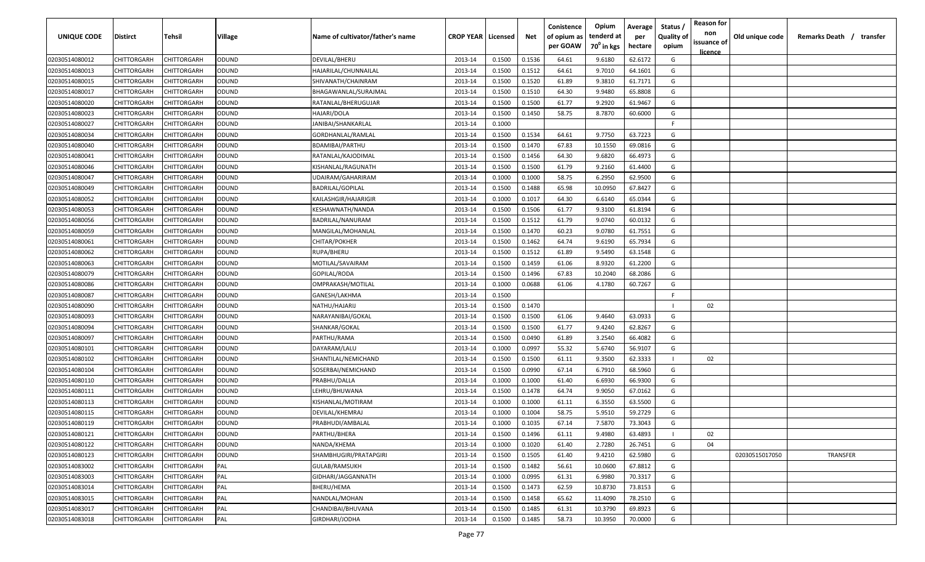| <b>UNIQUE CODE</b> | Distirct           | Tehsil      | Village      | Name of cultivator/father's name | <b>CROP YEAR   Licensed</b> |        | Net    | Conistence<br>of opium as | Opium<br>tenderd at    | Average<br>per | Status /<br><b>Quality of</b> | <b>Reason for</b><br>non      | Old unique code | Remarks Death /<br>transfer |
|--------------------|--------------------|-------------|--------------|----------------------------------|-----------------------------|--------|--------|---------------------------|------------------------|----------------|-------------------------------|-------------------------------|-----------------|-----------------------------|
|                    |                    |             |              |                                  |                             |        |        | per GOAW                  | 70 <sup>0</sup> in kgs | hectare        | opium                         | issuance of<br><u>licence</u> |                 |                             |
| 02030514080012     | CHITTORGARH        | CHITTORGARH | ODUND        | DEVILAL/BHERU                    | 2013-14                     | 0.1500 | 0.1536 | 64.61                     | 9.6180                 | 62.6172        | G                             |                               |                 |                             |
| 02030514080013     | CHITTORGARH        | CHITTORGARH | ODUND        | HAJARILAL/CHUNNAILAL             | 2013-14                     | 0.1500 | 0.1512 | 64.61                     | 9.7010                 | 64.1601        | G                             |                               |                 |                             |
| 02030514080015     | CHITTORGARH        | CHITTORGARH | ODUND        | SHIVANATH/CHAINRAM               | 2013-14                     | 0.1500 | 0.1520 | 61.89                     | 9.3810                 | 61.7171        | G                             |                               |                 |                             |
| 02030514080017     | CHITTORGARH        | CHITTORGARH | ODUND        | BHAGAWANLAL/SURAJMAL             | 2013-14                     | 0.1500 | 0.1510 | 64.30                     | 9.9480                 | 65.8808        | G                             |                               |                 |                             |
| 02030514080020     | CHITTORGARH        | CHITTORGARH | ODUND        | RATANLAL/BHERUGUJAR              | 2013-14                     | 0.1500 | 0.1500 | 61.77                     | 9.2920                 | 61.9467        | G                             |                               |                 |                             |
| 02030514080023     | CHITTORGARH        | CHITTORGARH | ODUND        | HAJARI/DOLA                      | 2013-14                     | 0.1500 | 0.1450 | 58.75                     | 8.7870                 | 60.6000        | G                             |                               |                 |                             |
| 02030514080027     | CHITTORGARH        | CHITTORGARH | ODUND        | JANIBAI/SHANKARLAL               | 2013-14                     | 0.1000 |        |                           |                        |                | -F.                           |                               |                 |                             |
| 02030514080034     | CHITTORGARH        | CHITTORGARH | ODUND        | GORDHANLAL/RAMLAL                | 2013-14                     | 0.1500 | 0.1534 | 64.61                     | 9.7750                 | 63.7223        | G                             |                               |                 |                             |
| 02030514080040     | CHITTORGARH        | CHITTORGARH | ODUND        | BDAMIBAI/PARTHU                  | 2013-14                     | 0.1500 | 0.1470 | 67.83                     | 10.1550                | 69.0816        | G                             |                               |                 |                             |
| 02030514080041     | CHITTORGARH        | CHITTORGARH | ODUND        | RATANLAL/KAJODIMAL               | 2013-14                     | 0.1500 | 0.1456 | 64.30                     | 9.6820                 | 66.4973        | G                             |                               |                 |                             |
| 02030514080046     | CHITTORGARH        | CHITTORGARH | ODUND        | KISHANLAL/RAGUNATH               | 2013-14                     | 0.1500 | 0.1500 | 61.79                     | 9.2160                 | 61.4400        | G                             |                               |                 |                             |
| 02030514080047     | CHITTORGARH        | CHITTORGARH | ODUND        | UDAIRAM/GAHARIRAM                | 2013-14                     | 0.1000 | 0.1000 | 58.75                     | 6.2950                 | 62.9500        | G                             |                               |                 |                             |
| 02030514080049     | CHITTORGARH        | CHITTORGARH | ODUND        | BADRILAL/GOPILAL                 | 2013-14                     | 0.1500 | 0.1488 | 65.98                     | 10.0950                | 67.8427        | G                             |                               |                 |                             |
| 02030514080052     | CHITTORGARH        | CHITTORGARH | ODUND        | KAILASHGIR/HAJARIGIR             | 2013-14                     | 0.1000 | 0.1017 | 64.30                     | 6.6140                 | 65.0344        | G                             |                               |                 |                             |
| 02030514080053     | CHITTORGARH        | CHITTORGARH | ODUND        | KESHAWNATH/NANDA                 | 2013-14                     | 0.1500 | 0.1506 | 61.77                     | 9.3100                 | 61.8194        | G                             |                               |                 |                             |
| 02030514080056     | CHITTORGARH        | CHITTORGARH | ODUND        | BADRILAL/NANURAM                 | 2013-14                     | 0.1500 | 0.1512 | 61.79                     | 9.0740                 | 60.0132        | G                             |                               |                 |                             |
| 02030514080059     | CHITTORGARH        | CHITTORGARH | ODUND        | MANGILAL/MOHANLAL                | 2013-14                     | 0.1500 | 0.1470 | 60.23                     | 9.0780                 | 61.7551        | G                             |                               |                 |                             |
| 02030514080061     | CHITTORGARH        | CHITTORGARH | ODUND        | CHITAR/POKHER                    | 2013-14                     | 0.1500 | 0.1462 | 64.74                     | 9.6190                 | 65.7934        | G                             |                               |                 |                             |
| 02030514080062     | CHITTORGARH        | CHITTORGARH | ODUND        | RUPA/BHERU                       | 2013-14                     | 0.1500 | 0.1512 | 61.89                     | 9.5490                 | 63.1548        | G                             |                               |                 |                             |
| 02030514080063     | CHITTORGARH        | CHITTORGARH | ODUND        | MOTILAL/SAVAIRAM                 | 2013-14                     | 0.1500 | 0.1459 | 61.06                     | 8.9320                 | 61.2200        | G                             |                               |                 |                             |
| 02030514080079     | CHITTORGARH        | CHITTORGARH | ODUND        | GOPILAL/RODA                     | 2013-14                     | 0.1500 | 0.1496 | 67.83                     | 10.2040                | 68.2086        | G                             |                               |                 |                             |
| 02030514080086     | CHITTORGARH        | CHITTORGARH | ODUND        | OMPRAKASH/MOTILAL                | 2013-14                     | 0.1000 | 0.0688 | 61.06                     | 4.1780                 | 60.7267        | G                             |                               |                 |                             |
| 02030514080087     | CHITTORGARH        | CHITTORGARH | ODUND        | GANESH/LAKHMA                    | 2013-14                     | 0.1500 |        |                           |                        |                | -F.                           |                               |                 |                             |
| 02030514080090     | CHITTORGARH        | CHITTORGARH | ODUND        | NATHU/HAJARIJ                    | 2013-14                     | 0.1500 | 0.1470 |                           |                        |                |                               | 02                            |                 |                             |
| 02030514080093     | CHITTORGARH        | CHITTORGARH | ODUND        | NARAYANIBAI/GOKAL                | 2013-14                     | 0.1500 | 0.1500 | 61.06                     | 9.4640                 | 63.0933        | G                             |                               |                 |                             |
| 02030514080094     | CHITTORGARH        | CHITTORGARH | ODUND        | SHANKAR/GOKAL                    | 2013-14                     | 0.1500 | 0.1500 | 61.77                     | 9.4240                 | 62.8267        | G                             |                               |                 |                             |
| 02030514080097     | CHITTORGARH        | CHITTORGARH | ODUND        | PARTHU/RAMA                      | 2013-14                     | 0.1500 | 0.0490 | 61.89                     | 3.2540                 | 66.4082        | G                             |                               |                 |                             |
| 02030514080101     | CHITTORGARH        | CHITTORGARH | ODUND        | DAYARAM/LALU                     | 2013-14                     | 0.1000 | 0.0997 | 55.32                     | 5.6740                 | 56.9107        | G                             |                               |                 |                             |
| 02030514080102     | CHITTORGARH        | CHITTORGARH | ODUND        | SHANTILAL/NEMICHAND              | 2013-14                     | 0.1500 | 0.1500 | 61.11                     | 9.3500                 | 62.3333        |                               | 02                            |                 |                             |
| 02030514080104     | CHITTORGARH        | CHITTORGARH | ODUND        | SOSERBAI/NEMICHAND               | 2013-14                     | 0.1500 | 0.0990 | 67.14                     | 6.7910                 | 68.5960        | G                             |                               |                 |                             |
| 02030514080110     | CHITTORGARH        | CHITTORGARH | ODUND        | PRABHU/DALLA                     | 2013-14                     | 0.1000 | 0.1000 | 61.40                     | 6.6930                 | 66.9300        | G                             |                               |                 |                             |
| 02030514080111     | CHITTORGARH        | CHITTORGARH | ODUND        | LEHRU/BHUWANA                    | 2013-14                     | 0.1500 | 0.1478 | 64.74                     | 9.9050                 | 67.0162        | G                             |                               |                 |                             |
| 02030514080113     | CHITTORGARH        | CHITTORGARH | ODUND        | KISHANLAL/MOTIRAM                | 2013-14                     | 0.1000 | 0.1000 | 61.11                     | 6.3550                 | 63.5500        | G                             |                               |                 |                             |
| 02030514080115     | CHITTORGARH        | CHITTORGARH | ODUND        | DEVILAL/KHEMRAJ                  | 2013-14                     | 0.1000 | 0.1004 | 58.75                     | 5.9510                 | 59.2729        | G                             |                               |                 |                             |
| 02030514080119     | CHITTORGARH        | CHITTORGARH | ODUND        | PRABHUDI/AMBALAL                 | 2013-14                     | 0.1000 | 0.1035 | 67.14                     | 7.5870                 | 73.3043        | G                             |                               |                 |                             |
| 02030514080121     | CHITTORGARH        | CHITTORGARH | <b>ODUND</b> | PARTHU/BHERA                     | 2013-14                     | 0.1500 | 0.1496 | 61.11                     | 9.4980                 | 63.4893        |                               | 02                            |                 |                             |
| 02030514080122     | <b>CHITTORGARH</b> | CHITTORGARH | ODUND        | NANDA/KHEMA                      | 2013-14                     | 0.1000 | 0.1020 | 61.40                     | 2.7280                 | 26.7451        | G                             | 04                            |                 |                             |
| 02030514080123     | CHITTORGARH        | CHITTORGARH | ODUND        | SHAMBHUGIRI/PRATAPGIRI           | 2013-14                     | 0.1500 | 0.1505 | 61.40                     | 9.4210                 | 62.5980        | G                             |                               | 02030515017050  | TRANSFER                    |
| 02030514083002     | CHITTORGARH        | CHITTORGARH | PAL          | GULAB/RAMSUKH                    | 2013-14                     | 0.1500 | 0.1482 | 56.61                     | 10.0600                | 67.8812        | G                             |                               |                 |                             |
| 02030514083003     | CHITTORGARH        | CHITTORGARH | PAL          | GIDHARI/JAGGANNATH               | 2013-14                     | 0.1000 | 0.0995 | 61.31                     | 6.9980                 | 70.3317        | G                             |                               |                 |                             |
| 02030514083014     | CHITTORGARH        | CHITTORGARH | PAL          | BHERU/HEMA                       | 2013-14                     | 0.1500 | 0.1473 | 62.59                     | 10.8730                | 73.8153        | G                             |                               |                 |                             |
| 02030514083015     | CHITTORGARH        | CHITTORGARH | PAL          | NANDLAL/MOHAN                    | 2013-14                     | 0.1500 | 0.1458 | 65.62                     | 11.4090                | 78.2510        | G                             |                               |                 |                             |
| 02030514083017     | CHITTORGARH        | CHITTORGARH | PAL          | CHANDIBAI/BHUVANA                | 2013-14                     | 0.1500 | 0.1485 | 61.31                     | 10.3790                | 69.8923        | G                             |                               |                 |                             |
| 02030514083018     | CHITTORGARH        | CHITTORGARH | PAL          | GIRDHARI/JODHA                   | 2013-14                     | 0.1500 | 0.1485 | 58.73                     | 10.3950                | 70.0000        | G                             |                               |                 |                             |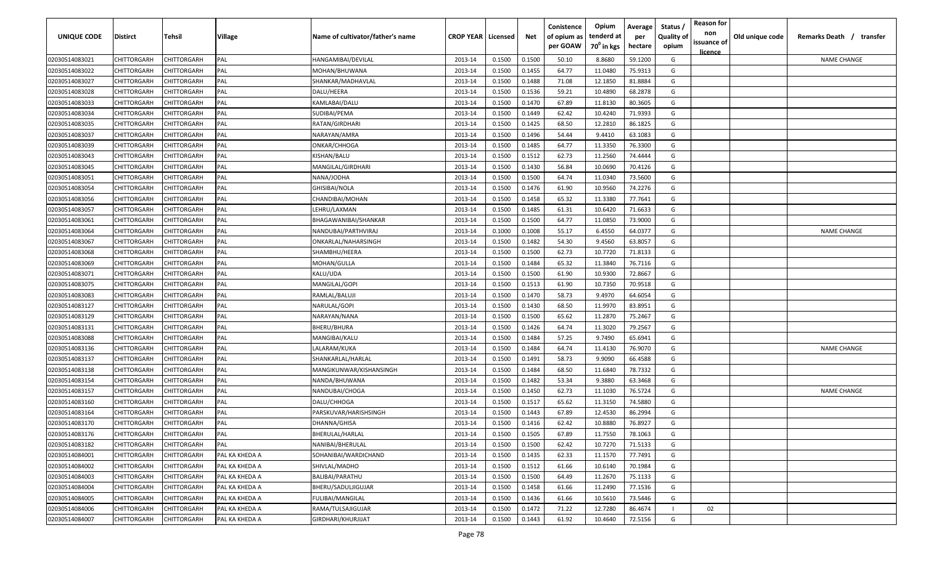| UNIQUE CODE    | Distirct    | Tehsil             | Village        | Name of cultivator/father's name | <b>CROP YEAR   Licensed</b> |        | Net    | Conistence<br>of opium as<br>per GOAW | Opium<br>tenderd at<br>70 <sup>0</sup> in kgs | Average<br>per<br>hectare | Status /<br><b>Quality of</b><br>opium | <b>Reason for</b><br>non<br>issuance of<br><u>licence</u> | Old unique code | Remarks Death /<br>transfer |
|----------------|-------------|--------------------|----------------|----------------------------------|-----------------------------|--------|--------|---------------------------------------|-----------------------------------------------|---------------------------|----------------------------------------|-----------------------------------------------------------|-----------------|-----------------------------|
| 02030514083021 | CHITTORGARH | CHITTORGARH        | PAL            | HANGAMIBAI/DEVILAL               | 2013-14                     | 0.1500 | 0.1500 | 50.10                                 | 8.8680                                        | 59.1200                   | G                                      |                                                           |                 | <b>NAME CHANGE</b>          |
| 02030514083022 | CHITTORGARH | CHITTORGARH        | PAL            | MOHAN/BHUWANA                    | 2013-14                     | 0.1500 | 0.1455 | 64.77                                 | 11.0480                                       | 75.9313                   | G                                      |                                                           |                 |                             |
| 02030514083027 | CHITTORGARH | CHITTORGARH        | PAL            | SHANKAR/MADHAVLAL                | 2013-14                     | 0.1500 | 0.1488 | 71.08                                 | 12.1850                                       | 81.8884                   | G                                      |                                                           |                 |                             |
| 02030514083028 | CHITTORGARH | CHITTORGARH        | PAL            | DALU/HEERA                       | 2013-14                     | 0.1500 | 0.1536 | 59.21                                 | 10.4890                                       | 68.2878                   | G                                      |                                                           |                 |                             |
| 02030514083033 | CHITTORGARH | CHITTORGARH        | PAL            | KAMLABAI/DALU                    | 2013-14                     | 0.1500 | 0.1470 | 67.89                                 | 11.8130                                       | 80.3605                   | G                                      |                                                           |                 |                             |
| 02030514083034 | CHITTORGARH | CHITTORGARH        | PAL            | SUDIBAI/PEMA                     | 2013-14                     | 0.1500 | 0.1449 | 62.42                                 | 10.4240                                       | 71.9393                   | G                                      |                                                           |                 |                             |
| 02030514083035 | CHITTORGARH | <b>CHITTORGARH</b> | PAL            | RATAN/GIRDHARI                   | 2013-14                     | 0.1500 | 0.1425 | 68.50                                 | 12.2810                                       | 86.1825                   | G                                      |                                                           |                 |                             |
| 02030514083037 | CHITTORGARH | <b>CHITTORGARH</b> | PAL            | NARAYAN/AMRA                     | 2013-14                     | 0.1500 | 0.1496 | 54.44                                 | 9.4410                                        | 63.1083                   | G                                      |                                                           |                 |                             |
| 02030514083039 | CHITTORGARH | CHITTORGARH        | PAL            | ONKAR/CHHOGA                     | 2013-14                     | 0.1500 | 0.1485 | 64.77                                 | 11.3350                                       | 76.3300                   | G                                      |                                                           |                 |                             |
| 02030514083043 | CHITTORGARH | CHITTORGARH        | PAL            | KISHAN/BALU                      | 2013-14                     | 0.1500 | 0.1512 | 62.73                                 | 11.2560                                       | 74.4444                   | G                                      |                                                           |                 |                             |
| 02030514083045 | CHITTORGARH | CHITTORGARH        | PAL            | MANGILAL/GIRDHARI                | 2013-14                     | 0.1500 | 0.1430 | 56.84                                 | 10.0690                                       | 70.4126                   | G                                      |                                                           |                 |                             |
| 02030514083051 | CHITTORGARH | CHITTORGARH        | PAL            | NANA/JODHA                       | 2013-14                     | 0.1500 | 0.1500 | 64.74                                 | 11.0340                                       | 73.5600                   | G                                      |                                                           |                 |                             |
| 02030514083054 | CHITTORGARH | CHITTORGARH        | PAL            | GHISIBAI/NOLA                    | 2013-14                     | 0.1500 | 0.1476 | 61.90                                 | 10.9560                                       | 74.2276                   | G                                      |                                                           |                 |                             |
| 02030514083056 | CHITTORGARH | CHITTORGARH        | PAL            | CHANDIBAI/MOHAN                  | 2013-14                     | 0.1500 | 0.1458 | 65.32                                 | 11.3380                                       | 77.7641                   | G                                      |                                                           |                 |                             |
| 02030514083057 | CHITTORGARH | CHITTORGARH        | PAL            | LEHRU/LAXMAN                     | 2013-14                     | 0.1500 | 0.1485 | 61.31                                 | 10.6420                                       | 71.6633                   | G                                      |                                                           |                 |                             |
| 02030514083061 | CHITTORGARH | CHITTORGARH        | PAL            | BHAGAWANIBAI/SHANKAR             | 2013-14                     | 0.1500 | 0.1500 | 64.77                                 | 11.0850                                       | 73.9000                   | G                                      |                                                           |                 |                             |
| 02030514083064 | CHITTORGARH | CHITTORGARH        | PAL            | NANDUBAI/PARTHVIRAJ              | 2013-14                     | 0.1000 | 0.1008 | 55.17                                 | 6.4550                                        | 64.0377                   | G                                      |                                                           |                 | <b>NAME CHANGE</b>          |
| 02030514083067 | CHITTORGARH | CHITTORGARH        | PAL            | ONKARLAL/NAHARSINGH              | 2013-14                     | 0.1500 | 0.1482 | 54.30                                 | 9.4560                                        | 63.8057                   | G                                      |                                                           |                 |                             |
| 02030514083068 | CHITTORGARH | CHITTORGARH        | PAL            | SHAMBHU/HEERA                    | 2013-14                     | 0.1500 | 0.1500 | 62.73                                 | 10.7720                                       | 71.8133                   | G                                      |                                                           |                 |                             |
| 02030514083069 | CHITTORGARH | CHITTORGARH        | PAL            | MOHAN/GULLA                      | 2013-14                     | 0.1500 | 0.1484 | 65.32                                 | 11.3840                                       | 76.7116                   | G                                      |                                                           |                 |                             |
| 02030514083071 | CHITTORGARH | CHITTORGARH        | PAL            | KALU/UDA                         | 2013-14                     | 0.1500 | 0.1500 | 61.90                                 | 10.9300                                       | 72.8667                   | G                                      |                                                           |                 |                             |
| 02030514083075 | CHITTORGARH | CHITTORGARH        | PAL            | MANGILAL/GOPI                    | 2013-14                     | 0.1500 | 0.1513 | 61.90                                 | 10.7350                                       | 70.9518                   | G                                      |                                                           |                 |                             |
| 02030514083083 | CHITTORGARH | CHITTORGARH        | PAL            | RAMLAL/BALUJI                    | 2013-14                     | 0.1500 | 0.1470 | 58.73                                 | 9.4970                                        | 64.6054                   | G                                      |                                                           |                 |                             |
| 02030514083127 | CHITTORGARH | CHITTORGARH        | PAL            | NARULAL/GOPI                     | 2013-14                     | 0.1500 | 0.1430 | 68.50                                 | 11.9970                                       | 83.8951                   | G                                      |                                                           |                 |                             |
| 02030514083129 | CHITTORGARH | CHITTORGARH        | PAL            | NARAYAN/NANA                     | 2013-14                     | 0.1500 | 0.1500 | 65.62                                 | 11.2870                                       | 75.2467                   | G                                      |                                                           |                 |                             |
| 02030514083131 | CHITTORGARH | CHITTORGARH        | PAL            | BHERU/BHURA                      | 2013-14                     | 0.1500 | 0.1426 | 64.74                                 | 11.3020                                       | 79.2567                   | G                                      |                                                           |                 |                             |
| 02030514083088 | CHITTORGARH | CHITTORGARH        | PAL            | MANGIBAI/KALU                    | 2013-14                     | 0.1500 | 0.1484 | 57.25                                 | 9.7490                                        | 65.6941                   | G                                      |                                                           |                 |                             |
| 02030514083136 | CHITTORGARH | CHITTORGARH        | PAL            | LALARAM/KUKA                     | 2013-14                     | 0.1500 | 0.1484 | 64.74                                 | 11.4130                                       | 76.9070                   | G                                      |                                                           |                 | <b>NAME CHANGE</b>          |
| 02030514083137 | CHITTORGARH | CHITTORGARH        | PAL            | SHANKARLAL/HARLAL                | 2013-14                     | 0.1500 | 0.1491 | 58.73                                 | 9.9090                                        | 66.4588                   | G                                      |                                                           |                 |                             |
| 02030514083138 | CHITTORGARH | CHITTORGARH        | PAL            | MANGIKUNWAR/KISHANSINGH          | 2013-14                     | 0.1500 | 0.1484 | 68.50                                 | 11.6840                                       | 78.7332                   | G                                      |                                                           |                 |                             |
| 02030514083154 | CHITTORGARH | CHITTORGARH        | PAL            | NANDA/BHUWANA                    | 2013-14                     | 0.1500 | 0.1482 | 53.34                                 | 9.3880                                        | 63.3468                   | G                                      |                                                           |                 |                             |
| 02030514083157 | CHITTORGARH | <b>CHITTORGARH</b> | PAL            | NANDUBAI/CHOGA                   | 2013-14                     | 0.1500 | 0.1450 | 62.73                                 | 11.1030                                       | 76.5724                   | G                                      |                                                           |                 | <b>NAME CHANGE</b>          |
| 02030514083160 | CHITTORGARH | <b>CHITTORGARH</b> | PAL            | DALU/CHHOGA                      | 2013-14                     | 0.1500 | 0.1517 | 65.62                                 | 11.3150                                       | 74.5880                   | G                                      |                                                           |                 |                             |
| 02030514083164 | CHITTORGARH | CHITTORGARH        | PAL            | PARSKUVAR/HARISHSINGH            | 2013-14                     | 0.1500 | 0.1443 | 67.89                                 | 12.4530                                       | 86.2994                   | G                                      |                                                           |                 |                             |
| 02030514083170 | CHITTORGARH | CHITTORGARH        | PAL            | DHANNA/GHISA                     | 2013-14                     | 0.1500 | 0.1416 | 62.42                                 | 10.8880                                       | 76.8927                   | G                                      |                                                           |                 |                             |
| 02030514083176 | CHITTORGARH | <b>CHITTORGARH</b> | PAL            | BHERULAL/HARLAL                  | 2013-14                     | 0.1500 | 0.1505 | 67.89                                 | 11.7550                                       | 78.1063                   | G                                      |                                                           |                 |                             |
| 02030514083182 | CHITTORGARH | <b>CHITTORGARH</b> | PAL            | NANIBAI/BHERULAL                 | 2013-14                     | 0.1500 | 0.1500 | 62.42                                 | 10.7270                                       | 71.5133                   | G                                      |                                                           |                 |                             |
| 02030514084001 | CHITTORGARH | <b>CHITTORGARH</b> | PAL KA KHEDA A | SOHANIBAI/WARDICHAND             | 2013-14                     | 0.1500 | 0.1435 | 62.33                                 | 11.1570                                       | 77.7491                   | G                                      |                                                           |                 |                             |
| 02030514084002 | CHITTORGARH | CHITTORGARH        | PAL KA KHEDA A | SHIVLAL/MADHO                    | 2013-14                     | 0.1500 | 0.1512 | 61.66                                 | 10.6140                                       | 70.1984                   | G                                      |                                                           |                 |                             |
| 02030514084003 | CHITTORGARH | CHITTORGARH        | PAL KA KHEDA A | BALIBAI/PARATHU                  | 2013-14                     | 0.1500 | 0.1500 | 64.49                                 | 11.2670                                       | 75.1133                   | G                                      |                                                           |                 |                             |
| 02030514084004 | CHITTORGARH | CHITTORGARH        | PAL KA KHEDA A | BHERU/SADULJIGUJAR               | 2013-14                     | 0.1500 | 0.1458 | 61.66                                 | 11.2490                                       | 77.1536                   | G                                      |                                                           |                 |                             |
| 02030514084005 | CHITTORGARH | CHITTORGARH        | PAL KA KHEDA A | FULIBAI/MANGILAL                 | 2013-14                     | 0.1500 | 0.1436 | 61.66                                 | 10.5610                                       | 73.5446                   | G                                      |                                                           |                 |                             |
| 02030514084006 | CHITTORGARH | CHITTORGARH        | PAL KA KHEDA A | RAMA/TULSAJIGUJAR                | 2013-14                     | 0.1500 | 0.1472 | 71.22                                 | 12.7280                                       | 86.4674                   | $\perp$                                | 02                                                        |                 |                             |
| 02030514084007 | CHITTORGARH | CHITTORGARH        | PAL KA KHEDA A | GIRDHARI/KHURJIJAT               | 2013-14                     | 0.1500 | 0.1443 | 61.92                                 | 10.4640                                       | 72.5156                   | G                                      |                                                           |                 |                             |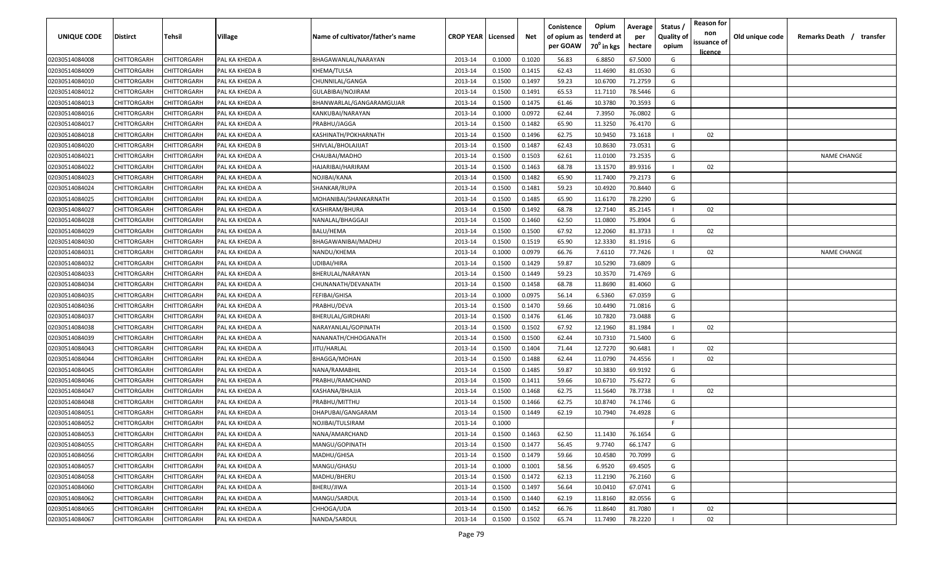| UNIQUE CODE                      | <b>Distirct</b>            | Tehsil                     | Village        | Name of cultivator/father's name | <b>CROP YEAR   Licensed</b> |        | Net    | Conistence<br>of opium as | Opium<br>tenderd at    | Average<br>per | Status /<br><b>Quality of</b> | <b>Reason for</b><br>non | Old unique code | Remarks Death /<br>transfer |
|----------------------------------|----------------------------|----------------------------|----------------|----------------------------------|-----------------------------|--------|--------|---------------------------|------------------------|----------------|-------------------------------|--------------------------|-----------------|-----------------------------|
|                                  |                            |                            |                |                                  |                             |        |        | per GOAW                  | 70 <sup>0</sup> in kgs | hectare        | opium                         | issuance of              |                 |                             |
| 02030514084008                   | CHITTORGARH                | CHITTORGARH                | PAL KA KHEDA A | BHAGAWANLAL/NARAYAN              | 2013-14                     | 0.1000 | 0.1020 | 56.83                     | 6.8850                 | 67.5000        | G                             | licence                  |                 |                             |
| 02030514084009                   | CHITTORGARH                | CHITTORGARH                | PAL KA KHEDA B | KHEMA/TULSA                      | 2013-14                     | 0.1500 | 0.1415 | 62.43                     | 11.4690                | 81.0530        | G                             |                          |                 |                             |
| 02030514084010                   | CHITTORGARH                | CHITTORGARH                | PAL KA KHEDA A | CHUNNILAL/GANGA                  | 2013-14                     | 0.1500 | 0.1497 | 59.23                     | 10.6700                | 71.2759        | G                             |                          |                 |                             |
| 02030514084012                   | CHITTORGARH                | CHITTORGARH                | PAL KA KHEDA A | GULABIBAI/NOJIRAM                | 2013-14                     | 0.1500 | 0.1491 | 65.53                     | 11.7110                | 78.5446        | G                             |                          |                 |                             |
| 02030514084013                   | CHITTORGARH                | CHITTORGARH                | PAL KA KHEDA A | BHANWARLAL/GANGARAMGUJAR         | 2013-14                     | 0.1500 | 0.1475 | 61.46                     | 10.3780                | 70.3593        | G                             |                          |                 |                             |
| 02030514084016                   | CHITTORGARH                | CHITTORGARH                | PAL KA KHEDA A | KANKUBAI/NARAYAN                 | 2013-14                     | 0.1000 | 0.0972 | 62.44                     | 7.3950                 | 76.0802        | G                             |                          |                 |                             |
| 02030514084017                   | CHITTORGARH                | <b>CHITTORGARF</b>         | PAL KA KHEDA A | PRABHU/JAGGA                     | 2013-14                     | 0.1500 | 0.1482 | 65.90                     | 11.3250                | 76.4170        | G                             |                          |                 |                             |
| 02030514084018                   | CHITTORGARH                | CHITTORGARH                | PAL KA KHEDA A | <b>KASHINATH/POKHARNATH</b>      | 2013-14                     | 0.1500 | 0.1496 | 62.75                     | 10.9450                | 73.1618        |                               | 02                       |                 |                             |
| 02030514084020                   | CHITTORGARH                | CHITTORGARH                | PAL KA KHEDA B | SHIVLAL/BHOLAJIJAT               | 2013-14                     | 0.1500 | 0.1487 | 62.43                     | 10.8630                | 73.0531        | G                             |                          |                 |                             |
| 02030514084021                   | CHITTORGARH                | CHITTORGARH                | PAL KA KHEDA A | CHAUBAI/MADHO                    | 2013-14                     | 0.1500 | 0.1503 | 62.61                     | 11.0100                | 73.2535        | G                             |                          |                 | <b>NAME CHANGE</b>          |
| 02030514084022                   | CHITTORGARH                | CHITTORGARH                | PAL KA KHEDA A | HAJARIBAI/HARIRAM                | 2013-14                     | 0.1500 | 0.1463 | 68.78                     | 13.1570                | 89.9316        |                               | 02                       |                 |                             |
| 02030514084023                   | CHITTORGARH                | CHITTORGARH                | PAL KA KHEDA A | NOJIBAI/KANA                     | 2013-14                     | 0.1500 | 0.1482 | 65.90                     | 11.7400                | 79.2173        | G                             |                          |                 |                             |
| 02030514084024                   | CHITTORGARH                | CHITTORGARH                | PAL KA KHEDA A | SHANKAR/RUPA                     | 2013-14                     | 0.1500 | 0.1481 | 59.23                     | 10.4920                | 70.8440        | G                             |                          |                 |                             |
| 02030514084025                   | CHITTORGARH                | CHITTORGARH                | PAL KA KHEDA A | MOHANIBAI/SHANKARNATH            | 2013-14                     | 0.1500 | 0.1485 | 65.90                     | 11.6170                | 78.2290        | G                             |                          |                 |                             |
| 02030514084027                   | CHITTORGARH                | CHITTORGARH                | PAL KA KHEDA A | KASHIRAM/BHURA                   | 2013-14                     | 0.1500 | 0.1492 | 68.78                     | 12.7140                | 85.2145        |                               | 02                       |                 |                             |
| 02030514084028                   | CHITTORGARH                | CHITTORGARH                | PAL KA KHEDA A | NANALAL/BHAGGAJI                 | 2013-14                     | 0.1500 | 0.1460 | 62.50                     | 11.0800                | 75.8904        | G                             |                          |                 |                             |
| 02030514084029                   | CHITTORGARH                | CHITTORGARH                | PAL KA KHEDA A | BALU/HEMA                        | 2013-14                     | 0.1500 | 0.1500 | 67.92                     | 12.2060                | 81.3733        |                               | 02                       |                 |                             |
| 02030514084030                   | CHITTORGARH                | CHITTORGARH                | PAL KA KHEDA A | BHAGAWANIBAI/MADHU               | 2013-14                     | 0.1500 | 0.1519 | 65.90                     | 12.3330                | 81.1916        | G                             |                          |                 |                             |
| 02030514084031                   | CHITTORGARH                | CHITTORGARH                | PAL KA KHEDA A | NANDU/KHEMA                      | 2013-14                     | 0.1000 | 0.0979 | 66.76                     | 7.6110                 | 77.7426        |                               | 02                       |                 | <b>NAME CHANGE</b>          |
| 02030514084032                   | CHITTORGARH                | CHITTORGARH                | PAL KA KHEDA A | UDIBAI/HIRA                      | 2013-14                     | 0.1500 | 0.1429 | 59.87                     | 10.5290                | 73.6809        | G                             |                          |                 |                             |
| 02030514084033                   | CHITTORGARH                | CHITTORGARH                | PAL KA KHEDA A | BHERULAL/NARAYAN                 | 2013-14                     | 0.1500 | 0.1449 | 59.23                     | 10.3570                | 71.4769        | G                             |                          |                 |                             |
| 02030514084034                   | CHITTORGARH                | CHITTORGARH                | PAL KA KHEDA A | CHUNANATH/DEVANATH               | 2013-14                     | 0.1500 | 0.1458 | 68.78                     | 11.8690                | 81.4060        | G                             |                          |                 |                             |
| 02030514084035                   | CHITTORGARH                | CHITTORGARH                | PAL KA KHEDA A | FEFIBAI/GHISA                    | 2013-14                     | 0.1000 | 0.0975 | 56.14                     | 6.5360                 | 67.0359        | G                             |                          |                 |                             |
| 02030514084036                   | CHITTORGARH                | CHITTORGARF                | PAL KA KHEDA A | PRABHU/DEVA                      | 2013-14                     | 0.1500 | 0.1470 | 59.66                     | 10.4490                | 71.0816        | G                             |                          |                 |                             |
| 02030514084037                   | CHITTORGARH                | CHITTORGARH                | PAL KA KHEDA A | BHERULAL/GIRDHARI                | 2013-14                     | 0.1500 | 0.1476 | 61.46                     | 10.7820                | 73.0488        | G                             |                          |                 |                             |
| 02030514084038                   | CHITTORGARH                | CHITTORGARH                | PAL KA KHEDA A | NARAYANLAL/GOPINATH              | 2013-14                     | 0.1500 | 0.1502 | 67.92                     | 12.1960                | 81.1984        |                               | 02                       |                 |                             |
| 02030514084039                   | CHITTORGARH                | CHITTORGARH                | PAL KA KHEDA A | NANANATH/CHHOGANATH              | 2013-14                     | 0.1500 | 0.1500 | 62.44                     | 10.7310                | 71.5400        | G                             |                          |                 |                             |
| 02030514084043                   | CHITTORGARH                | CHITTORGARH                | PAL KA KHEDA A | IITU/HARLAL                      | 2013-14                     | 0.1500 | 0.1404 | 71.44                     | 12.7270                | 90.6481        |                               | 02                       |                 |                             |
|                                  | CHITTORGARH                | CHITTORGARH                | PAL KA KHEDA A |                                  | 2013-14                     | 0.1500 | 0.1488 | 62.44                     | 11.0790                | 74.4556        |                               | 02                       |                 |                             |
| 02030514084044                   |                            |                            | PAL KA KHEDA A | 3HAGGA/MOHAN                     | 2013-14                     | 0.1500 | 0.1485 | 59.87                     | 10.3830                | 69.9192        | G                             |                          |                 |                             |
| 02030514084045<br>02030514084046 | CHITTORGARH                | CHITTORGARH<br>CHITTORGARH | PAL KA KHEDA A | NANA/RAMABHIL                    | 2013-14                     | 0.1500 | 0.1411 | 59.66                     | 10.6710                | 75.6272        | G                             |                          |                 |                             |
|                                  | CHITTORGARH                | <b>CHITTORGARF</b>         | PAL KA KHEDA A | PRABHU/RAMCHAND                  | 2013-14                     | 0.1500 | 0.1468 | 62.75                     | 11.5640                | 78.7738        |                               | 02                       |                 |                             |
| 02030514084047<br>02030514084048 | CHITTORGARH<br>CHITTORGARH | CHITTORGARH                | PAL KA KHEDA A | KASHANA/BHAJJA<br>PRABHU/MITTHU  | 2013-14                     | 0.1500 | 0.1466 | 62.75                     | 10.8740                | 74.1746        | G                             |                          |                 |                             |
|                                  |                            |                            |                |                                  |                             | 0.1500 | 0.1449 | 62.19                     | 10.7940                | 74.4928        | G                             |                          |                 |                             |
| 02030514084051                   | CHITTORGARH                | CHITTORGARH<br>CHITTORGARH | PAL KA KHEDA A | DHAPUBAI/GANGARAM                | 2013-14                     |        |        |                           |                        |                | F.                            |                          |                 |                             |
| 02030514084052                   | CHITTORGARH                |                            | PAL KA KHEDA A | NOJIBAI/TULSIRAM                 | 2013-14                     | 0.1000 |        |                           |                        |                |                               |                          |                 |                             |
| 02030514084053                   | <b>CHITTORGARH</b>         | CHITTORGARH                | PAL KA KHEDA A | NANA/AMARCHAND                   | 2013-14                     | 0.1500 | 0.1463 | 62.50                     | 11.1430                | 76.1654        | G                             |                          |                 |                             |
| 02030514084055                   | <b>CHITTORGARH</b>         | CHITTORGARH                | PAL KA KHEDA A | MANGU/GOPINATH                   | 2013-14                     | 0.1500 | 0.1477 | 56.45                     | 9.7740                 | 66.1747        | G                             |                          |                 |                             |
| 02030514084056                   | <b>CHITTORGARH</b>         | CHITTORGARH                | PAL KA KHEDA A | MADHU/GHISA                      | 2013-14                     | 0.1500 | 0.1479 | 59.66                     | 10.4580                | 70.7099        | G                             |                          |                 |                             |
| 02030514084057                   | <b>CHITTORGARH</b>         | CHITTORGARH                | PAL KA KHEDA A | MANGU/GHASU                      | 2013-14                     | 0.1000 | 0.1001 | 58.56                     | 6.9520                 | 69.4505        | G                             |                          |                 |                             |
| 02030514084058                   | CHITTORGARH                | CHITTORGARH                | PAL KA KHEDA A | MADHU/BHERU                      | 2013-14                     | 0.1500 | 0.1472 | 62.13                     | 11.2190                | 76.2160        | G                             |                          |                 |                             |
| 02030514084060                   | CHITTORGARH                | CHITTORGARH                | PAL KA KHEDA A | BHERU/JIWA                       | 2013-14                     | 0.1500 | 0.1497 | 56.64                     | 10.0410                | 67.0741        | G                             |                          |                 |                             |
| 02030514084062                   | CHITTORGARH                | CHITTORGARH                | PAL KA KHEDA A | MANGU/SARDUL                     | 2013-14                     | 0.1500 | 0.1440 | 62.19                     | 11.8160                | 82.0556        | G                             |                          |                 |                             |
| 02030514084065                   | CHITTORGARH                | CHITTORGARH                | PAL KA KHEDA A | CHHOGA/UDA                       | 2013-14                     | 0.1500 | 0.1452 | 66.76                     | 11.8640                | 81.7080        |                               | 02                       |                 |                             |
| 02030514084067                   | <b>CHITTORGARH</b>         | CHITTORGARH                | PAL KA KHEDA A | NANDA/SARDUL                     | 2013-14                     | 0.1500 | 0.1502 | 65.74                     | 11.7490                | 78.2220        |                               | 02                       |                 |                             |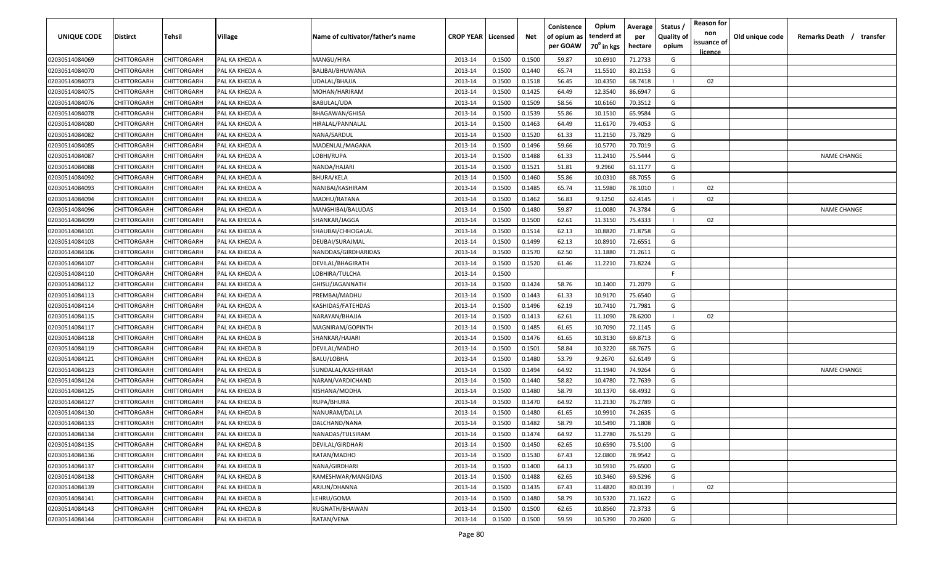| UNIQUE CODE    | Distirct           | Tehsil             | Village        | Name of cultivator/father's name | <b>CROP YEAR   Licensed</b> |        | Net    | Conistence<br>of opium as | Opium<br>tenderd at    | Average<br>per | Status /<br><b>Quality of</b> | <b>Reason for</b><br>non<br>issuance of | Old unique code | Remarks Death / transfer |
|----------------|--------------------|--------------------|----------------|----------------------------------|-----------------------------|--------|--------|---------------------------|------------------------|----------------|-------------------------------|-----------------------------------------|-----------------|--------------------------|
|                |                    |                    |                |                                  |                             |        |        | per GOAW                  | 70 <sup>0</sup> in kgs | hectare        | opium                         | <u>licence</u>                          |                 |                          |
| 02030514084069 | CHITTORGARH        | CHITTORGARH        | PAL KA KHEDA A | MANGU/HIRA                       | 2013-14                     | 0.1500 | 0.1500 | 59.87                     | 10.6910                | 71.2733        | G                             |                                         |                 |                          |
| 02030514084070 | CHITTORGARH        | CHITTORGARH        | PAL KA KHEDA A | BALIBAI/BHUWANA                  | 2013-14                     | 0.1500 | 0.1440 | 65.74                     | 11.5510                | 80.2153        | G                             |                                         |                 |                          |
| 02030514084073 | CHITTORGARH        | CHITTORGARH        | PAL KA KHEDA A | UDALAL/BHAJJA                    | 2013-14                     | 0.1500 | 0.1518 | 56.45                     | 10.4350                | 68.7418        |                               | 02                                      |                 |                          |
| 02030514084075 | CHITTORGARH        | CHITTORGARH        | PAL KA KHEDA A | MOHAN/HARIRAM                    | 2013-14                     | 0.1500 | 0.1425 | 64.49                     | 12.3540                | 86.6947        | G                             |                                         |                 |                          |
| 02030514084076 | CHITTORGARH        | CHITTORGARH        | PAL KA KHEDA A | BABULAL/UDA                      | 2013-14                     | 0.1500 | 0.1509 | 58.56                     | 10.6160                | 70.3512        | G                             |                                         |                 |                          |
| 02030514084078 | CHITTORGARH        | CHITTORGARH        | PAL KA KHEDA A | BHAGAWAN/GHISA                   | 2013-14                     | 0.1500 | 0.1539 | 55.86                     | 10.1510                | 65.9584        | G                             |                                         |                 |                          |
| 02030514084080 | CHITTORGARH        | CHITTORGARH        | PAL KA KHEDA A | HIRALAL/PANNALAL                 | 2013-14                     | 0.1500 | 0.1463 | 64.49                     | 11.6170                | 79.4053        | G                             |                                         |                 |                          |
| 02030514084082 | CHITTORGARH        | CHITTORGARH        | PAL KA KHEDA A | NANA/SARDUL                      | 2013-14                     | 0.1500 | 0.1520 | 61.33                     | 11.2150                | 73.7829        | G                             |                                         |                 |                          |
| 02030514084085 | CHITTORGARH        | CHITTORGARH        | PAL KA KHEDA A | MADENLAL/MAGANA                  | 2013-14                     | 0.1500 | 0.1496 | 59.66                     | 10.5770                | 70.7019        | G                             |                                         |                 |                          |
| 02030514084087 | CHITTORGARH        | CHITTORGARH        | PAL KA KHEDA A | LOBHI/RUPA                       | 2013-14                     | 0.1500 | 0.1488 | 61.33                     | 11.2410                | 75.5444        | G                             |                                         |                 | <b>NAME CHANGE</b>       |
| 02030514084088 | CHITTORGARH        | CHITTORGARH        | PAL KA KHEDA A | NANDA/HAJARI                     | 2013-14                     | 0.1500 | 0.1521 | 51.81                     | 9.2960                 | 61.1177        | G                             |                                         |                 |                          |
| 02030514084092 | CHITTORGARH        | CHITTORGARH        | PAL KA KHEDA A | BHURA/KELA                       | 2013-14                     | 0.1500 | 0.1460 | 55.86                     | 10.0310                | 68.7055        | G                             |                                         |                 |                          |
| 02030514084093 | CHITTORGARH        | CHITTORGARH        | PAL KA KHEDA A | NANIBAI/KASHIRAM                 | 2013-14                     | 0.1500 | 0.1485 | 65.74                     | 11.5980                | 78.1010        |                               | 02                                      |                 |                          |
| 02030514084094 | CHITTORGARH        | CHITTORGARH        | PAL KA KHEDA A | MADHU/RATANA                     | 2013-14                     | 0.1500 | 0.1462 | 56.83                     | 9.1250                 | 62.4145        |                               | 02                                      |                 |                          |
| 02030514084096 | CHITTORGARH        | CHITTORGARH        | PAL KA KHEDA A | MANGHIBAI/BALUDAS                | 2013-14                     | 0.1500 | 0.1480 | 59.87                     | 11.0080                | 74.3784        | G                             |                                         |                 | <b>NAME CHANGE</b>       |
| 02030514084099 | CHITTORGARH        | CHITTORGARH        | PAL KA KHEDA A | SHANKAR/JAGGA                    | 2013-14                     | 0.1500 | 0.1500 | 62.61                     | 11.3150                | 75.4333        |                               | 02                                      |                 |                          |
| 02030514084101 | CHITTORGARH        | CHITTORGARH        | PAL KA KHEDA A | SHAUBAI/CHHOGALAL                | 2013-14                     | 0.1500 | 0.1514 | 62.13                     | 10.8820                | 71.8758        | G                             |                                         |                 |                          |
| 02030514084103 | CHITTORGARH        | CHITTORGARH        | PAL KA KHEDA A | DEUBAI/SURAJMAL                  | 2013-14                     | 0.1500 | 0.1499 | 62.13                     | 10.8910                | 72.6551        | G                             |                                         |                 |                          |
| 02030514084106 | CHITTORGARH        | CHITTORGARH        | PAL KA KHEDA A | NANDDAS/GIRDHARIDAS              | 2013-14                     | 0.1500 | 0.1570 | 62.50                     | 11.1880                | 71.2611        | G                             |                                         |                 |                          |
| 02030514084107 | CHITTORGARH        | CHITTORGARH        | PAL KA KHEDA A | DEVILAL/BHAGIRATH                | 2013-14                     | 0.1500 | 0.1520 | 61.46                     | 11.2210                | 73.8224        | G                             |                                         |                 |                          |
| 02030514084110 | CHITTORGARH        | CHITTORGARH        | PAL KA KHEDA A | LOBHIRA/TULCHA                   | 2013-14                     | 0.1500 |        |                           |                        |                | -F.                           |                                         |                 |                          |
| 02030514084112 | CHITTORGARH        | CHITTORGARH        | PAL KA KHEDA A | GHISU/JAGANNATH                  | 2013-14                     | 0.1500 | 0.1424 | 58.76                     | 10.1400                | 71.2079        | G                             |                                         |                 |                          |
| 02030514084113 | CHITTORGARH        | CHITTORGARH        | PAL KA KHEDA A | PREMBAI/MADHU                    | 2013-14                     | 0.1500 | 0.1443 | 61.33                     | 10.9170                | 75.6540        | G                             |                                         |                 |                          |
| 02030514084114 | CHITTORGARH        | CHITTORGARH        | PAL KA KHEDA A | KASHIDAS/FATEHDAS                | 2013-14                     | 0.1500 | 0.1496 | 62.19                     | 10.7410                | 71.7981        | G                             |                                         |                 |                          |
| 02030514084115 | CHITTORGARH        | CHITTORGARH        | PAL KA KHEDA A | NARAYAN/BHAJJA                   | 2013-14                     | 0.1500 | 0.1413 | 62.61                     | 11.1090                | 78.6200        |                               | 02                                      |                 |                          |
| 02030514084117 | CHITTORGARH        | CHITTORGARH        | PAL KA KHEDA B | MAGNIRAM/GOPINTH                 | 2013-14                     | 0.1500 | 0.1485 | 61.65                     | 10.7090                | 72.1145        | G                             |                                         |                 |                          |
| 02030514084118 | CHITTORGARH        | CHITTORGARH        | PAL KA KHEDA B | SHANKAR/HAJARI                   | 2013-14                     | 0.1500 | 0.1476 | 61.65                     | 10.3130                | 69.8713        | G                             |                                         |                 |                          |
| 02030514084119 | CHITTORGARH        | CHITTORGARH        | PAL KA KHEDA B | DEVILAL/MADHO                    | 2013-14                     | 0.1500 | 0.1501 | 58.84                     | 10.3220                | 68.7675        | G                             |                                         |                 |                          |
| 02030514084121 | CHITTORGARH        | CHITTORGARH        | PAL KA KHEDA B | BALU/LOBHA                       | 2013-14                     | 0.1500 | 0.1480 | 53.79                     | 9.2670                 | 62.6149        | G                             |                                         |                 |                          |
| 02030514084123 | CHITTORGARH        | CHITTORGARH        | PAL KA KHEDA B | SUNDALAL/KASHIRAM                | 2013-14                     | 0.1500 | 0.1494 | 64.92                     | 11.1940                | 74.9264        | G                             |                                         |                 | <b>NAME CHANGE</b>       |
| 02030514084124 | CHITTORGARH        | CHITTORGARH        | PAL KA KHEDA B | NARAN/VARDICHAND                 | 2013-14                     | 0.1500 | 0.1440 | 58.82                     | 10.4780                | 72.7639        | G                             |                                         |                 |                          |
| 02030514084125 | CHITTORGARH        | CHITTORGARH        | PAL KA KHEDA B | KISHANA/MODHA                    | 2013-14                     | 0.1500 | 0.1480 | 58.79                     | 10.1370                | 68.4932        | G                             |                                         |                 |                          |
| 02030514084127 | CHITTORGARH        | CHITTORGARH        | PAL KA KHEDA B | RUPA/BHURA                       | 2013-14                     | 0.1500 | 0.1470 | 64.92                     | 11.2130                | 76.2789        | G                             |                                         |                 |                          |
| 02030514084130 | CHITTORGARH        | CHITTORGARH        | PAL KA KHEDA B | NANURAM/DALLA                    | 2013-14                     | 0.1500 | 0.1480 | 61.65                     | 10.9910                | 74.2635        | G                             |                                         |                 |                          |
| 02030514084133 | CHITTORGARH        | CHITTORGARH        | PAL KA KHEDA B | DALCHAND/NANA                    | 2013-14                     | 0.1500 | 0.1482 | 58.79                     | 10.5490                | 71.1808        | G                             |                                         |                 |                          |
| 02030514084134 | <b>CHITTORGARH</b> | CHITTORGARH        | PAL KA KHEDA B | NANADAS/TULSIRAM                 | 2013-14                     | 0.1500 | 0.1474 | 64.92                     | 11.2780                | 76.5129        | G                             |                                         |                 |                          |
| 02030514084135 | <b>CHITTORGARH</b> | CHITTORGARH        | PAL KA KHEDA B | DEVILAL/GIRDHARI                 | 2013-14                     | 0.1500 | 0.1450 | 62.65                     | 10.6590                | 73.5100        | G                             |                                         |                 |                          |
| 02030514084136 | CHITTORGARH        | <b>CHITTORGARH</b> | PAL KA KHEDA B | RATAN/MADHO                      | 2013-14                     | 0.1500 | 0.1530 | 67.43                     | 12.0800                | 78.9542        | G                             |                                         |                 |                          |
| 02030514084137 | <b>CHITTORGARH</b> | CHITTORGARH        | PAL KA KHEDA B | NANA/GIRDHARI                    | 2013-14                     | 0.1500 | 0.1400 | 64.13                     | 10.5910                | 75.6500        | G                             |                                         |                 |                          |
| 02030514084138 | CHITTORGARH        | CHITTORGARH        | PAL KA KHEDA B | RAMESHWAR/MANGIDAS               | 2013-14                     | 0.1500 | 0.1488 | 62.65                     | 10.3460                | 69.5296        | G                             |                                         |                 |                          |
| 02030514084139 | CHITTORGARH        | CHITTORGARH        | PAL KA KHEDA B | ARJUN/DHANNA                     | 2013-14                     | 0.1500 | 0.1435 | 67.43                     | 11.4820                | 80.0139        |                               | 02                                      |                 |                          |
| 02030514084141 | CHITTORGARH        | CHITTORGARH        | PAL KA KHEDA B | LEHRU/GOMA                       | 2013-14                     | 0.1500 | 0.1480 | 58.79                     | 10.5320                | 71.1622        | G                             |                                         |                 |                          |
| 02030514084143 | CHITTORGARH        | CHITTORGARH        | PAL KA KHEDA B | RUGNATH/BHAWAN                   | 2013-14                     | 0.1500 | 0.1500 | 62.65                     | 10.8560                | 72.3733        | G                             |                                         |                 |                          |
| 02030514084144 | CHITTORGARH        | CHITTORGARH        | PAL KA KHEDA B | RATAN/VENA                       | 2013-14                     | 0.1500 | 0.1500 | 59.59                     | 10.5390                | 70.2600        | G                             |                                         |                 |                          |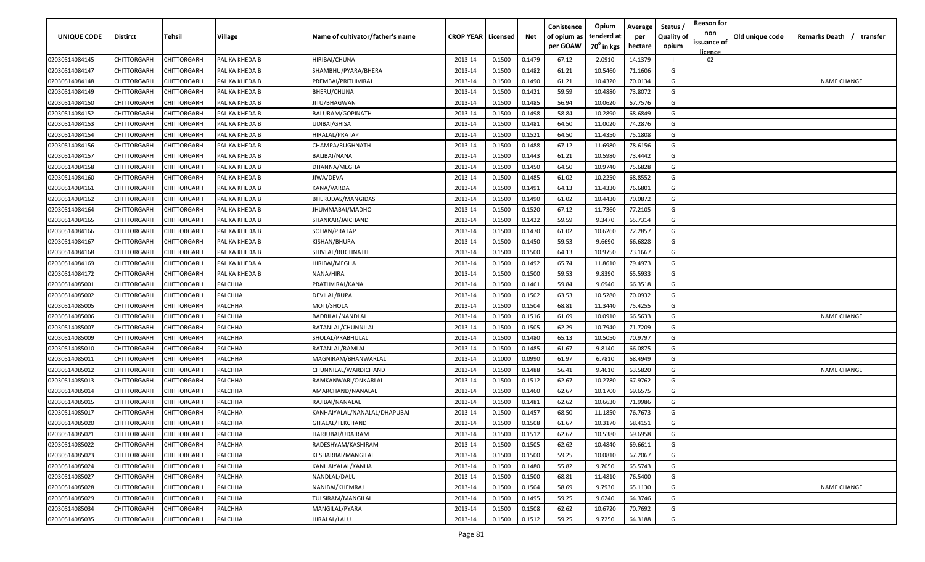| <b>UNIQUE CODE</b>               | <b>Distirct</b>            | <b>Tehsil</b>              | Village        | Name of cultivator/father's name | <b>CROP YEAR   Licensed</b> |                  | Net              | Conistence<br>of opium as<br>per GOAW | Opium<br>tenderd at<br>70 <sup>0</sup> in kgs | Average<br>per<br>hectare | Status /<br><b>Quality of</b><br>opium | <b>Reason for</b><br>non<br>issuance of | Old unique code | Remarks Death /<br>transfer |
|----------------------------------|----------------------------|----------------------------|----------------|----------------------------------|-----------------------------|------------------|------------------|---------------------------------------|-----------------------------------------------|---------------------------|----------------------------------------|-----------------------------------------|-----------------|-----------------------------|
| 02030514084145                   | CHITTORGARH                | CHITTORGARH                | PAL KA KHEDA B | HIRIBAI/CHUNA                    | 2013-14                     | 0.1500           | 0.1479           | 67.12                                 | 2.0910                                        | 14.1379                   |                                        | <b>licence</b><br>02                    |                 |                             |
| 02030514084147                   | CHITTORGARH                | CHITTORGARH                | PAL KA KHEDA B | SHAMBHU/PYARA/BHERA              | 2013-14                     | 0.1500           | 0.1482           | 61.21                                 | 10.5460                                       | 71.1606                   | G                                      |                                         |                 |                             |
| 02030514084148                   | CHITTORGARH                | CHITTORGARH                | PAL KA KHEDA B | PREMBAI/PRITHIVIRAJ              | 2013-14                     | 0.1500           | 0.1490           | 61.21                                 | 10.4320                                       | 70.0134                   | G                                      |                                         |                 | <b>NAME CHANGE</b>          |
| 02030514084149                   | CHITTORGARH                | CHITTORGARH                | PAL KA KHEDA B | BHERU/CHUNA                      | 2013-14                     | 0.1500           | 0.1421           | 59.59                                 | 10.4880                                       | 73.8072                   | G                                      |                                         |                 |                             |
| 02030514084150                   | CHITTORGARH                | CHITTORGARH                | PAL KA KHEDA B | JITU/BHAGWAN                     | 2013-14                     | 0.1500           | 0.1485           | 56.94                                 | 10.0620                                       | 67.7576                   | G                                      |                                         |                 |                             |
| 02030514084152                   | CHITTORGARH                | CHITTORGARH                | PAL KA KHEDA B | BALURAM/GOPINATH                 | 2013-14                     | 0.1500           | 0.1498           | 58.84                                 | 10.2890                                       | 68.6849                   | G                                      |                                         |                 |                             |
| 02030514084153                   | CHITTORGARH                | CHITTORGARH                | PAL KA KHEDA B | UDIBAI/GHISA                     | 2013-14                     | 0.1500           | 0.1481           | 64.50                                 | 11.0020                                       | 74.2876                   | G                                      |                                         |                 |                             |
| 02030514084154                   | CHITTORGARH                | CHITTORGARH                | PAL KA KHEDA B | HIRALAL/PRATAP                   | 2013-14                     | 0.1500           | 0.1521           | 64.50                                 | 11.4350                                       | 75.1808                   | G                                      |                                         |                 |                             |
| 02030514084156                   | CHITTORGARH                | CHITTORGARH                | PAL KA KHEDA B | CHAMPA/RUGHNATH                  | 2013-14                     | 0.1500           | 0.1488           | 67.12                                 | 11.6980                                       | 78.6156                   | G                                      |                                         |                 |                             |
| 02030514084157                   | CHITTORGARH                | CHITTORGARH                | PAL KA KHEDA B | BALIBAI/NANA                     | 2013-14                     | 0.1500           | 0.1443           | 61.21                                 | 10.5980                                       | 73.4442                   | G                                      |                                         |                 |                             |
| 02030514084158                   | CHITTORGARH                | CHITTORGARH                | PAL KA KHEDA B | DHANNA/MEGHA                     | 2013-14                     | 0.1500           | 0.1450           | 64.50                                 | 10.9740                                       | 75.6828                   | G                                      |                                         |                 |                             |
| 02030514084160                   | CHITTORGARH                | CHITTORGARH                | PAL KA KHEDA B | IIWA/DEVA                        | 2013-14                     | 0.1500           | 0.1485           | 61.02                                 | 10.2250                                       | 68.8552                   | G                                      |                                         |                 |                             |
| 02030514084161                   | CHITTORGARH                | CHITTORGARH                | PAL KA KHEDA B | KANA/VARDA                       | 2013-14                     | 0.1500           | 0.1491           | 64.13                                 | 11.4330                                       | 76.6801                   | G                                      |                                         |                 |                             |
| 02030514084162                   | CHITTORGARH                | CHITTORGARH                | PAL KA KHEDA B | BHERUDAS/MANGIDAS                | 2013-14                     | 0.1500           | 0.1490           | 61.02                                 | 10.4430                                       | 70.0872                   | G                                      |                                         |                 |                             |
| 02030514084164                   | CHITTORGARH                | CHITTORGARH                | PAL KA KHEDA B | JHUMMABAI/MADHO                  | 2013-14                     | 0.1500           | 0.1520           | 67.12                                 | 11.7360                                       | 77.2105                   | G                                      |                                         |                 |                             |
| 02030514084165                   | CHITTORGARH                | CHITTORGARH                | PAL KA KHEDA B | SHANKAR/JAICHAND                 | 2013-14                     | 0.1500           | 0.1422           | 59.59                                 | 9.3470                                        | 65.7314                   | G                                      |                                         |                 |                             |
| 02030514084166                   | CHITTORGARH                | CHITTORGARF                | PAL KA KHEDA B | SOHAN/PRATAP                     | 2013-14                     | 0.1500           | 0.1470           | 61.02                                 | 10.6260                                       | 72.2857                   | G                                      |                                         |                 |                             |
| 02030514084167                   | CHITTORGARH                | CHITTORGARH                | PAL KA KHEDA B | KISHAN/BHURA                     | 2013-14                     | 0.1500           | 0.1450           | 59.53                                 | 9.6690                                        | 66.6828                   | G                                      |                                         |                 |                             |
|                                  | CHITTORGARH                | CHITTORGARH                | PAL KA KHEDA B |                                  | 2013-14                     | 0.1500           | 0.1500           | 64.13                                 | 10.9750                                       | 73.1667                   | G                                      |                                         |                 |                             |
| 02030514084168                   |                            |                            | PAL KA KHEDA A | SHIVLAL/RUGHNATH                 |                             |                  | 0.1492           | 65.74                                 |                                               | 79.4973                   | G                                      |                                         |                 |                             |
| 02030514084169                   | CHITTORGARH                | CHITTORGARH                | PAL KA KHEDA B | HIRIBAI/MEGHA                    | 2013-14                     | 0.1500           |                  |                                       | 11.8610                                       |                           | G                                      |                                         |                 |                             |
| 02030514084172<br>02030514085001 | CHITTORGARH<br>CHITTORGARH | CHITTORGARH<br>CHITTORGARH | PALCHHA        | NANA/HIRA<br>PRATHVIRAJ/KANA     | 2013-14<br>2013-14          | 0.1500<br>0.1500 | 0.1500<br>0.1461 | 59.53<br>59.84                        | 9.8390<br>9.6940                              | 65.5933<br>66.3518        | G                                      |                                         |                 |                             |
|                                  |                            |                            |                |                                  | 2013-14                     | 0.1500           | 0.1502           | 63.53                                 | 10.5280                                       |                           | G                                      |                                         |                 |                             |
| 02030514085002                   | CHITTORGARH                | CHITTORGARH                | PALCHHA        | DEVILAL/RUPA                     |                             |                  |                  | 68.81                                 | 11.3440                                       | 70.0932                   |                                        |                                         |                 |                             |
| 02030514085005                   | CHITTORGARH                | CHITTORGARH                | PALCHHA        | MOTI/SHOLA                       | 2013-14                     | 0.1500           | 0.1504           |                                       |                                               | 75.4255                   | G                                      |                                         |                 |                             |
| 02030514085006                   | CHITTORGARH                | CHITTORGARH                | PALCHHA        | BADRILAL/NANDLAL                 | 2013-14                     | 0.1500           | 0.1516           | 61.69                                 | 10.0910                                       | 66.5633                   | G                                      |                                         |                 | <b>NAME CHANGE</b>          |
| 02030514085007                   | CHITTORGARH                | CHITTORGARH                | PALCHHA        | RATANLAL/CHUNNILAL               | 2013-14                     | 0.1500           | 0.1505           | 62.29                                 | 10.7940                                       | 71.7209                   | G                                      |                                         |                 |                             |
| 02030514085009                   | CHITTORGARH                | CHITTORGARH                | PALCHHA        | SHOLAL/PRABHULAL                 | 2013-14                     | 0.1500           | 0.1480           | 65.13                                 | 10.5050                                       | 70.9797                   | G                                      |                                         |                 |                             |
| 02030514085010                   | CHITTORGARH                | CHITTORGARH                | PALCHHA        | RATANLAL/RAMLAL                  | 2013-14                     | 0.1500           | 0.1485           | 61.67                                 | 9.8140                                        | 66.0875                   | G                                      |                                         |                 |                             |
| 02030514085011                   | CHITTORGARH                | CHITTORGARH                | PALCHHA        | MAGNIRAM/BHANWARLAL              | 2013-14                     | 0.1000           | 0.0990           | 61.97                                 | 6.7810                                        | 68.4949                   | G                                      |                                         |                 |                             |
| 02030514085012                   | CHITTORGARH                | CHITTORGARH                | PALCHHA        | CHUNNILAL/WARDICHAND             | 2013-14                     | 0.1500           | 0.1488           | 56.41                                 | 9.4610                                        | 63.5820                   | G                                      |                                         |                 | <b>NAME CHANGE</b>          |
| 02030514085013                   | CHITTORGARH                | CHITTORGARH                | PALCHHA        | RAMKANWARI/ONKARLAL              | 2013-14                     | 0.1500           | 0.1512           | 62.67                                 | 10.2780                                       | 67.9762                   | G                                      |                                         |                 |                             |
| 02030514085014                   | CHITTORGARH                | CHITTORGARH                | PALCHHA        | AMARCHAND/NANALAL                | 2013-14                     | 0.1500           | 0.1460           | 62.67                                 | 10.1700                                       | 69.6575                   | G                                      |                                         |                 |                             |
| 02030514085015                   | CHITTORGARH                | CHITTORGARH                | PALCHHA        | RAJIBAI/NANALAL                  | 2013-14                     | 0.1500           | 0.1481           | 62.62                                 | 10.6630                                       | 71.9986                   | G                                      |                                         |                 |                             |
| 02030514085017                   | CHITTORGARH                | CHITTORGARH                | PALCHHA        | KANHAIYALAL/NANALAL/DHAPUBAI     | 2013-14                     | 0.1500           | 0.1457           | 68.50                                 | 11.1850                                       | 76.7673                   | G                                      |                                         |                 |                             |
| 02030514085020                   | <b>CHITTORGARH</b>         | CHITTORGARH                | PALCHHA        | GITALAL/TEKCHAND                 | 2013-14                     | 0.1500           | 0.1508           | 61.67                                 | 10.3170                                       | 68.4151                   | G                                      |                                         |                 |                             |
| 02030514085021                   | CHITTORGARH                | <b>CHITTORGARH</b>         | PALCHHA        | HARJUBAI/UDAIRAM                 | 2013-14                     | 0.1500           | 0.1512           | 62.67                                 | 10.5380                                       | 69.6958                   | G                                      |                                         |                 |                             |
| 02030514085022                   | <b>CHITTORGARH</b>         | CHITTORGARH                | PALCHHA        | RADESHYAM/KASHIRAM               | 2013-14                     | 0.1500           | 0.1505           | 62.62                                 | 10.4840                                       | 69.6611                   | G                                      |                                         |                 |                             |
| 02030514085023                   | CHITTORGARH                | CHITTORGARH                | PALCHHA        | KESHARBAI/MANGILAL               | 2013-14                     | 0.1500           | 0.1500           | 59.25                                 | 10.0810                                       | 67.2067                   | G                                      |                                         |                 |                             |
| 02030514085024                   | CHITTORGARH                | CHITTORGARH                | PALCHHA        | KANHAIYALAL/KANHA                | 2013-14                     | 0.1500           | 0.1480           | 55.82                                 | 9.7050                                        | 65.5743                   | G                                      |                                         |                 |                             |
| 02030514085027                   | CHITTORGARH                | CHITTORGARH                | PALCHHA        | NANDLAL/DALU                     | 2013-14                     | 0.1500           | 0.1500           | 68.81                                 | 11.4810                                       | 76.5400                   | G                                      |                                         |                 |                             |
| 02030514085028                   | CHITTORGARH                | CHITTORGARH                | PALCHHA        | NANIBAI/KHEMRAJ                  | 2013-14                     | 0.1500           | 0.1504           | 58.69                                 | 9.7930                                        | 65.1130                   | G                                      |                                         |                 | <b>NAME CHANGE</b>          |
| 02030514085029                   | CHITTORGARH                | CHITTORGARH                | PALCHHA        | TULSIRAM/MANGILAL                | 2013-14                     | 0.1500           | 0.1495           | 59.25                                 | 9.6240                                        | 64.3746                   | G                                      |                                         |                 |                             |
| 02030514085034                   | CHITTORGARH                | CHITTORGARH                | PALCHHA        | MANGILAL/PYARA                   | 2013-14                     | 0.1500           | 0.1508           | 62.62                                 | 10.6720                                       | 70.7692                   | G                                      |                                         |                 |                             |
| 02030514085035                   | CHITTORGARH                | CHITTORGARH                | PALCHHA        | HIRALAL/LALU                     | 2013-14                     | 0.1500           | 0.1512           | 59.25                                 | 9.7250                                        | 64.3188                   | G                                      |                                         |                 |                             |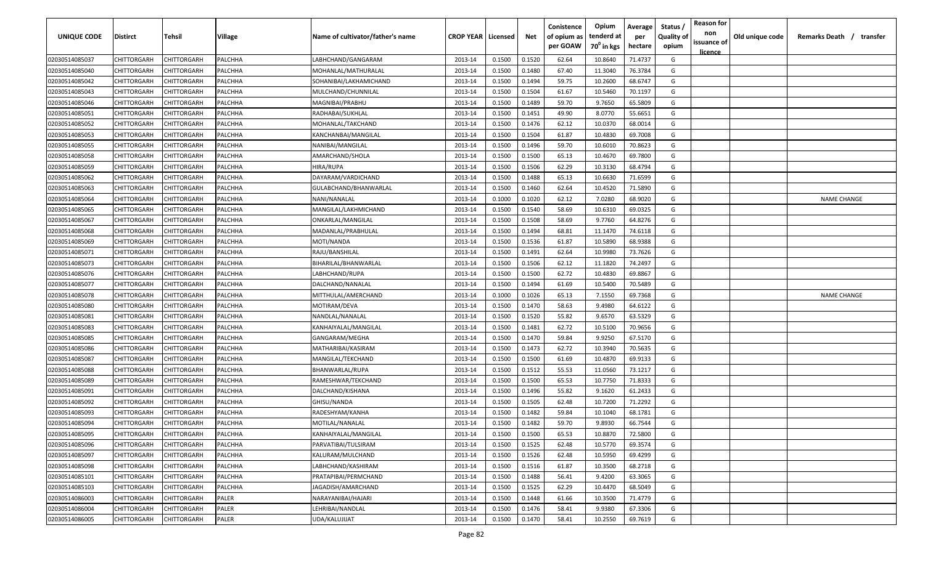| <b>UNIQUE CODE</b> | Distirct           | Tehsil      | Village | Name of cultivator/father's name | <b>CROP YEAR   Licensed</b> |        | Net    | Conistence<br>of opium as | Opium<br>tenderd at    | Average<br>per | Status /<br><b>Quality of</b> | <b>Reason for</b><br>non<br>issuance of | Old unique code | Remarks Death / transfer |
|--------------------|--------------------|-------------|---------|----------------------------------|-----------------------------|--------|--------|---------------------------|------------------------|----------------|-------------------------------|-----------------------------------------|-----------------|--------------------------|
|                    |                    |             |         |                                  |                             |        |        | per GOAW                  | 70 <sup>0</sup> in kgs | hectare        | opium                         | <u>licence</u>                          |                 |                          |
| 02030514085037     | CHITTORGARH        | CHITTORGARH | PALCHHA | LABHCHAND/GANGARAM               | 2013-14                     | 0.1500 | 0.1520 | 62.64                     | 10.8640                | 71.4737        | G                             |                                         |                 |                          |
| 02030514085040     | CHITTORGARH        | CHITTORGARH | PALCHHA | MOHANLAL/MATHURALAL              | 2013-14                     | 0.1500 | 0.1480 | 67.40                     | 11.3040                | 76.3784        | G                             |                                         |                 |                          |
| 02030514085042     | CHITTORGARH        | CHITTORGARH | PALCHHA | SOHANIBAI/LAKHAMICHAND           | 2013-14                     | 0.1500 | 0.1494 | 59.75                     | 10.2600                | 68.6747        | G                             |                                         |                 |                          |
| 02030514085043     | CHITTORGARH        | CHITTORGARH | PALCHHA | MULCHAND/CHUNNILAL               | 2013-14                     | 0.1500 | 0.1504 | 61.67                     | 10.5460                | 70.1197        | G                             |                                         |                 |                          |
| 02030514085046     | CHITTORGARH        | CHITTORGARH | PALCHHA | MAGNIBAI/PRABHU                  | 2013-14                     | 0.1500 | 0.1489 | 59.70                     | 9.7650                 | 65.5809        | G                             |                                         |                 |                          |
| 02030514085051     | CHITTORGARH        | CHITTORGARH | PALCHHA | RADHABAI/SUKHLAL                 | 2013-14                     | 0.1500 | 0.1451 | 49.90                     | 8.0770                 | 55.6651        | G                             |                                         |                 |                          |
| 02030514085052     | CHITTORGARH        | CHITTORGARH | PALCHHA | MOHANLAL/TAKCHAND                | 2013-14                     | 0.1500 | 0.1476 | 62.12                     | 10.0370                | 68.0014        | G                             |                                         |                 |                          |
| 02030514085053     | CHITTORGARH        | CHITTORGARH | PALCHHA | KANCHANBAI/MANGILAL              | 2013-14                     | 0.1500 | 0.1504 | 61.87                     | 10.4830                | 69.7008        | G                             |                                         |                 |                          |
| 02030514085055     | CHITTORGARH        | CHITTORGARH | PALCHHA | NANIBAI/MANGILAL                 | 2013-14                     | 0.1500 | 0.1496 | 59.70                     | 10.6010                | 70.8623        | G                             |                                         |                 |                          |
| 02030514085058     | CHITTORGARH        | CHITTORGARH | PALCHHA | AMARCHAND/SHOLA                  | 2013-14                     | 0.1500 | 0.1500 | 65.13                     | 10.4670                | 69.7800        | G                             |                                         |                 |                          |
| 02030514085059     | CHITTORGARH        | CHITTORGARH | PALCHHA | HIRA/RUPA                        | 2013-14                     | 0.1500 | 0.1506 | 62.29                     | 10.3130                | 68.4794        | G                             |                                         |                 |                          |
| 02030514085062     | CHITTORGARH        | CHITTORGARH | PALCHHA | DAYARAM/VARDICHAND               | 2013-14                     | 0.1500 | 0.1488 | 65.13                     | 10.6630                | 71.6599        | G                             |                                         |                 |                          |
| 02030514085063     | CHITTORGARH        | CHITTORGARH | PALCHHA | GULABCHAND/BHANWARLAL            | 2013-14                     | 0.1500 | 0.1460 | 62.64                     | 10.4520                | 71.5890        | G                             |                                         |                 |                          |
| 02030514085064     | CHITTORGARH        | CHITTORGARH | PALCHHA | NANI/NANALAL                     | 2013-14                     | 0.1000 | 0.1020 | 62.12                     | 7.0280                 | 68.9020        | G                             |                                         |                 | <b>NAME CHANGE</b>       |
| 02030514085065     | CHITTORGARH        | CHITTORGARH | PALCHHA | MANGILAL/LAKHMICHAND             | 2013-14                     | 0.1500 | 0.1540 | 58.69                     | 10.6310                | 69.0325        | G                             |                                         |                 |                          |
| 02030514085067     | CHITTORGARH        | CHITTORGARH | PALCHHA | ONKARLAL/MANGILAL                | 2013-14                     | 0.1500 | 0.1508 | 58.69                     | 9.7760                 | 64.8276        | G                             |                                         |                 |                          |
| 02030514085068     | CHITTORGARH        | CHITTORGARH | PALCHHA | MADANLAL/PRABHULAL               | 2013-14                     | 0.1500 | 0.1494 | 68.81                     | 11.1470                | 74.6118        | G                             |                                         |                 |                          |
| 02030514085069     | CHITTORGARH        | CHITTORGARH | PALCHHA | MOTI/NANDA                       | 2013-14                     | 0.1500 | 0.1536 | 61.87                     | 10.5890                | 68.9388        | G                             |                                         |                 |                          |
| 02030514085071     | CHITTORGARH        | CHITTORGARH | PALCHHA | RAJU/BANSHILAL                   | 2013-14                     | 0.1500 | 0.1491 | 62.64                     | 10.9980                | 73.7626        | G                             |                                         |                 |                          |
| 02030514085073     | CHITTORGARH        | CHITTORGARH | PALCHHA | BIHARILAL/BHANWARLAL             | 2013-14                     | 0.1500 | 0.1506 | 62.12                     | 11.1820                | 74.2497        | G                             |                                         |                 |                          |
| 02030514085076     | CHITTORGARH        | CHITTORGARH | PALCHHA | LABHCHAND/RUPA                   | 2013-14                     | 0.1500 | 0.1500 | 62.72                     | 10.4830                | 69.8867        | G                             |                                         |                 |                          |
| 02030514085077     | CHITTORGARH        | CHITTORGARH | PALCHHA | DALCHAND/NANALAL                 | 2013-14                     | 0.1500 | 0.1494 | 61.69                     | 10.5400                | 70.5489        | G                             |                                         |                 |                          |
| 02030514085078     | CHITTORGARH        | CHITTORGARH | PALCHHA | MITTHULAL/AMERCHAND              | 2013-14                     | 0.1000 | 0.1026 | 65.13                     | 7.1550                 | 69.7368        | G                             |                                         |                 | <b>NAME CHANGE</b>       |
| 02030514085080     | CHITTORGARH        | CHITTORGARH | PALCHHA | MOTIRAM/DEVA                     | 2013-14                     | 0.1500 | 0.1470 | 58.63                     | 9.4980                 | 64.6122        | G                             |                                         |                 |                          |
| 02030514085081     | CHITTORGARH        | CHITTORGARH | PALCHHA | NANDLAL/NANALAL                  | 2013-14                     | 0.1500 | 0.1520 | 55.82                     | 9.6570                 | 63.5329        | G                             |                                         |                 |                          |
| 02030514085083     | CHITTORGARH        | CHITTORGARH | PALCHHA | KANHAIYALAL/MANGILAL             | 2013-14                     | 0.1500 | 0.1481 | 62.72                     | 10.5100                | 70.9656        | G                             |                                         |                 |                          |
| 02030514085085     | CHITTORGARH        | CHITTORGARH | PALCHHA | GANGARAM/MEGHA                   | 2013-14                     | 0.1500 | 0.1470 | 59.84                     | 9.9250                 | 67.5170        | G                             |                                         |                 |                          |
| 02030514085086     | CHITTORGARH        | CHITTORGARH | PALCHHA | MATHARIBAI/KASIRAM               | 2013-14                     | 0.1500 | 0.1473 | 62.72                     | 10.3940                | 70.5635        | G                             |                                         |                 |                          |
| 02030514085087     | CHITTORGARH        | CHITTORGARH | PALCHHA | MANGILAL/TEKCHAND                | 2013-14                     | 0.1500 | 0.1500 | 61.69                     | 10.4870                | 69.9133        | G                             |                                         |                 |                          |
| 02030514085088     | CHITTORGARH        | CHITTORGARH | PALCHHA | BHANWARLAL/RUPA                  | 2013-14                     | 0.1500 | 0.1512 | 55.53                     | 11.0560                | 73.1217        | G                             |                                         |                 |                          |
| 02030514085089     | CHITTORGARH        | CHITTORGARH | PALCHHA | RAMESHWAR/TEKCHAND               | 2013-14                     | 0.1500 | 0.1500 | 65.53                     | 10.7750                | 71.8333        | G                             |                                         |                 |                          |
| 02030514085091     | CHITTORGARH        | CHITTORGARH | PALCHHA | DALCHAND/KISHANA                 | 2013-14                     | 0.1500 | 0.1496 | 55.82                     | 9.1620                 | 61.2433        | G                             |                                         |                 |                          |
| 02030514085092     | CHITTORGARH        | CHITTORGARH | PALCHHA | GHISU/NANDA                      | 2013-14                     | 0.1500 | 0.1505 | 62.48                     | 10.7200                | 71.2292        | G                             |                                         |                 |                          |
| 02030514085093     | CHITTORGARH        | CHITTORGARH | PALCHHA | RADESHYAM/KANHA                  | 2013-14                     | 0.1500 | 0.1482 | 59.84                     | 10.1040                | 68.1781        | G                             |                                         |                 |                          |
| 02030514085094     | CHITTORGARH        | CHITTORGARH | PALCHHA | MOTILAL/NANALAL                  | 2013-14                     | 0.1500 | 0.1482 | 59.70                     | 9.8930                 | 66.7544        | G                             |                                         |                 |                          |
| 02030514085095     | <b>CHITTORGARH</b> | CHITTORGARH | PALCHHA | KANHAIYALAL/MANGILAL             | 2013-14                     | 0.1500 | 0.1500 | 65.53                     | 10.8870                | 72.5800        | G                             |                                         |                 |                          |
| 02030514085096     | CHITTORGARH        | CHITTORGARH | PALCHHA | PARVATIBAI/TULSIRAM              | 2013-14                     | 0.1500 | 0.1525 | 62.48                     | 10.5770                | 69.3574        | G                             |                                         |                 |                          |
| 02030514085097     | <b>CHITTORGARH</b> | CHITTORGARH | PALCHHA | KALURAM/MULCHAND                 | 2013-14                     | 0.1500 | 0.1526 | 62.48                     | 10.5950                | 69.4299        | G                             |                                         |                 |                          |
| 02030514085098     | <b>CHITTORGARH</b> | CHITTORGARH | PALCHHA | LABHCHAND/KASHIRAM               | 2013-14                     | 0.1500 | 0.1516 | 61.87                     | 10.3500                | 68.2718        | G                             |                                         |                 |                          |
| 02030514085101     | CHITTORGARH        | CHITTORGARH | PALCHHA | PRATAPIBAI/PERMCHAND             | 2013-14                     | 0.1500 | 0.1488 | 56.41                     | 9.4200                 | 63.3065        | G                             |                                         |                 |                          |
| 02030514085103     | CHITTORGARH        | CHITTORGARH | PALCHHA | JAGADISH/AMARCHAND               | 2013-14                     | 0.1500 | 0.1525 | 62.29                     | 10.4470                | 68.5049        | G                             |                                         |                 |                          |
| 02030514086003     | CHITTORGARH        | CHITTORGARH | PALER   | NARAYANIBAI/HAJARI               | 2013-14                     | 0.1500 | 0.1448 | 61.66                     | 10.3500                | 71.4779        | G                             |                                         |                 |                          |
| 02030514086004     | CHITTORGARH        | CHITTORGARH | PALER   | LEHRIBAI/NANDLAL                 | 2013-14                     | 0.1500 | 0.1476 | 58.41                     | 9.9380                 | 67.3306        | G                             |                                         |                 |                          |
| 02030514086005     | CHITTORGARH        | CHITTORGARH | PALER   | UDA/KALUJIJAT                    | 2013-14                     | 0.1500 | 0.1470 | 58.41                     | 10.2550                | 69.7619        | G                             |                                         |                 |                          |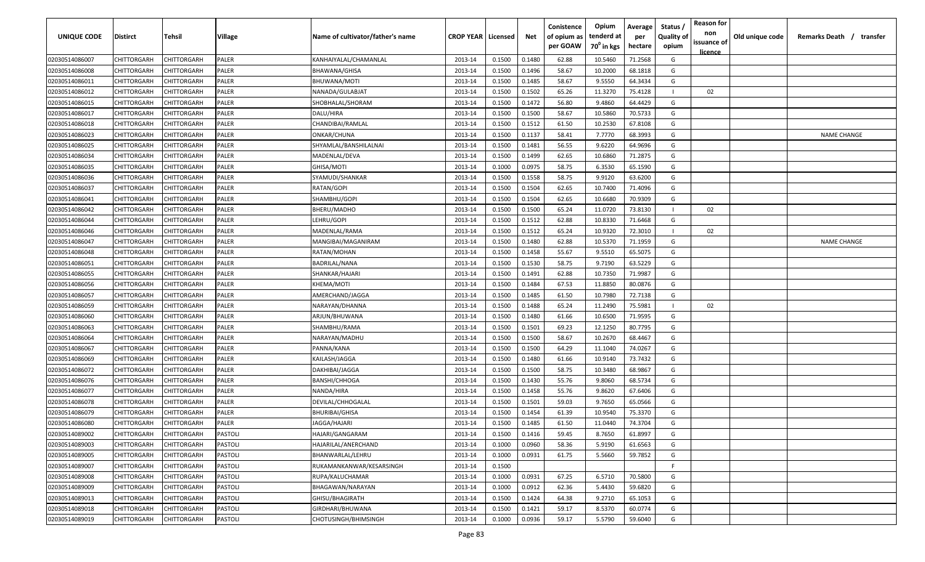| UNIQUE CODE    | Distirct           | Tehsil             | Village     | Name of cultivator/father's name | <b>CROP YEAR   Licensed</b> |        | Net    | Conistence<br>of opium as<br>per GOAW | Opium<br>tenderd at<br>70 <sup>°</sup> in kgs | Average<br>per<br>hectare | Status /<br><b>Quality of</b><br>opium | <b>Reason for</b><br>non<br>issuance of<br><u>licence</u> | Old unique code | Remarks Death /<br>transfer |
|----------------|--------------------|--------------------|-------------|----------------------------------|-----------------------------|--------|--------|---------------------------------------|-----------------------------------------------|---------------------------|----------------------------------------|-----------------------------------------------------------|-----------------|-----------------------------|
| 02030514086007 | CHITTORGARH        | CHITTORGARH        | PALER       | KANHAIYALAL/CHAMANLAL            | 2013-14                     | 0.1500 | 0.1480 | 62.88                                 | 10.5460                                       | 71.2568                   | G                                      |                                                           |                 |                             |
| 02030514086008 | CHITTORGARH        | CHITTORGARH        | PALER       | <b>BHAWANA/GHISA</b>             | 2013-14                     | 0.1500 | 0.1496 | 58.67                                 | 10.2000                                       | 68.1818                   | G                                      |                                                           |                 |                             |
| 02030514086011 | CHITTORGARH        | CHITTORGARH        | PALER       | BHUWANA/MOTI                     | 2013-14                     | 0.1500 | 0.1485 | 58.67                                 | 9.5550                                        | 64.3434                   | G                                      |                                                           |                 |                             |
| 02030514086012 | CHITTORGARH        | CHITTORGARH        | PALER       | NANADA/GULABJAT                  | 2013-14                     | 0.1500 | 0.1502 | 65.26                                 | 11.3270                                       | 75.4128                   |                                        | 02                                                        |                 |                             |
| 02030514086015 | CHITTORGARH        | CHITTORGARH        | PALER       | SHOBHALAL/SHORAM                 | 2013-14                     | 0.1500 | 0.1472 | 56.80                                 | 9.4860                                        | 64.4429                   | G                                      |                                                           |                 |                             |
| 02030514086017 | CHITTORGARH        | CHITTORGARH        | PALER       | DALU/HIRA                        | 2013-14                     | 0.1500 | 0.1500 | 58.67                                 | 10.5860                                       | 70.5733                   | G                                      |                                                           |                 |                             |
| 02030514086018 | CHITTORGARH        | <b>CHITTORGARH</b> | PALER       | CHANDIBAI/RAMLAL                 | 2013-14                     | 0.1500 | 0.1512 | 61.50                                 | 10.2530                                       | 67.8108                   | G                                      |                                                           |                 |                             |
| 02030514086023 | CHITTORGARH        | <b>CHITTORGARH</b> | PALER       | ONKAR/CHUNA                      | 2013-14                     | 0.1500 | 0.1137 | 58.41                                 | 7.7770                                        | 68.3993                   | G                                      |                                                           |                 | <b>NAME CHANGE</b>          |
| 02030514086025 | CHITTORGARH        | CHITTORGARH        | PALER       | SHYAMLAL/BANSHILALNAI            | 2013-14                     | 0.1500 | 0.1481 | 56.55                                 | 9.6220                                        | 64.9696                   | G                                      |                                                           |                 |                             |
| 02030514086034 | CHITTORGARH        | CHITTORGARH        | <b>ALER</b> | MADENLAL/DEVA                    | 2013-14                     | 0.1500 | 0.1499 | 62.65                                 | 10.6860                                       | 71.2875                   | G                                      |                                                           |                 |                             |
| 02030514086035 | CHITTORGARH        | CHITTORGARH        | PALER       | GHISA/MOTI                       | 2013-14                     | 0.1000 | 0.0975 | 58.75                                 | 6.3530                                        | 65.1590                   | G                                      |                                                           |                 |                             |
| 02030514086036 | CHITTORGARH        | CHITTORGARH        | PALER       | SYAMUDI/SHANKAR                  | 2013-14                     | 0.1500 | 0.1558 | 58.75                                 | 9.9120                                        | 63.6200                   | G                                      |                                                           |                 |                             |
| 02030514086037 | CHITTORGARH        | CHITTORGARH        | PALER       | RATAN/GOPI                       | 2013-14                     | 0.1500 | 0.1504 | 62.65                                 | 10.7400                                       | 71.4096                   | G                                      |                                                           |                 |                             |
| 02030514086041 | CHITTORGARH        | CHITTORGARH        | PALER       | SHAMBHU/GOPI                     | 2013-14                     | 0.1500 | 0.1504 | 62.65                                 | 10.6680                                       | 70.9309                   | G                                      |                                                           |                 |                             |
| 02030514086042 | CHITTORGARH        | CHITTORGARH        | PALER       | BHERU/MADHO                      | 2013-14                     | 0.1500 | 0.1500 | 65.24                                 | 11.0720                                       | 73.8130                   |                                        | 02                                                        |                 |                             |
| 02030514086044 | CHITTORGARH        | CHITTORGARH        | PALER       | LEHRU/GOPI                       | 2013-14                     | 0.1500 | 0.1512 | 62.88                                 | 10.8330                                       | 71.6468                   | G                                      |                                                           |                 |                             |
| 02030514086046 | CHITTORGARH        | CHITTORGARH        | PALER       | MADENLAL/RAMA                    | 2013-14                     | 0.1500 | 0.1512 | 65.24                                 | 10.9320                                       | 72.3010                   |                                        | 02                                                        |                 |                             |
| 02030514086047 | CHITTORGARH        | CHITTORGARH        | PALER       | MANGIBAI/MAGANIRAM               | 2013-14                     | 0.1500 | 0.1480 | 62.88                                 | 10.5370                                       | 71.1959                   | G                                      |                                                           |                 | <b>NAME CHANGE</b>          |
| 02030514086048 | CHITTORGARH        | CHITTORGARH        | PALER       | RATAN/MOHAN                      | 2013-14                     | 0.1500 | 0.1458 | 55.67                                 | 9.5510                                        | 65.5075                   | G                                      |                                                           |                 |                             |
| 02030514086051 | CHITTORGARH        | CHITTORGARH        | PALER       | <b>BADRILAL/NANA</b>             | 2013-14                     | 0.1500 | 0.1530 | 58.75                                 | 9.7190                                        | 63.5229                   | G                                      |                                                           |                 |                             |
| 02030514086055 | CHITTORGARH        | CHITTORGARH        | PALER       | SHANKAR/HAJARI                   | 2013-14                     | 0.1500 | 0.1491 | 62.88                                 | 10.7350                                       | 71.9987                   | G                                      |                                                           |                 |                             |
| 02030514086056 | CHITTORGARH        | CHITTORGARH        | PALER       | KHEMA/MOTI                       | 2013-14                     | 0.1500 | 0.1484 | 67.53                                 | 11.8850                                       | 80.0876                   | G                                      |                                                           |                 |                             |
| 02030514086057 | CHITTORGARH        | CHITTORGARH        | PALER       | AMERCHAND/JAGGA                  | 2013-14                     | 0.1500 | 0.1485 | 61.50                                 | 10.7980                                       | 72.7138                   | G                                      |                                                           |                 |                             |
| 02030514086059 | CHITTORGARH        | CHITTORGARH        | PALER       | NARAYAN/DHANNA                   | 2013-14                     | 0.1500 | 0.1488 | 65.24                                 | 11.2490                                       | 75.5981                   |                                        | 02                                                        |                 |                             |
| 02030514086060 | CHITTORGARH        | <b>CHITTORGARH</b> | PALER       | ARJUN/BHUWANA                    | 2013-14                     | 0.1500 | 0.1480 | 61.66                                 | 10.6500                                       | 71.9595                   | G                                      |                                                           |                 |                             |
| 02030514086063 | CHITTORGARH        | CHITTORGARH        | PALER       | SHAMBHU/RAMA                     | 2013-14                     | 0.1500 | 0.1501 | 69.23                                 | 12.1250                                       | 80.7795                   | G                                      |                                                           |                 |                             |
| 02030514086064 | CHITTORGARH        | CHITTORGARH        | <b>ALER</b> | NARAYAN/MADHU                    | 2013-14                     | 0.1500 | 0.1500 | 58.67                                 | 10.2670                                       | 68.4467                   | G                                      |                                                           |                 |                             |
| 02030514086067 | CHITTORGARH        | CHITTORGARH        | <b>ALER</b> | PANNA/KANA                       | 2013-14                     | 0.1500 | 0.1500 | 64.29                                 | 11.1040                                       | 74.0267                   | G                                      |                                                           |                 |                             |
| 02030514086069 | <b>CHITTORGARH</b> | CHITTORGARH        | PALER       | KAILASH/JAGGA                    | 2013-14                     | 0.1500 | 0.1480 | 61.66                                 | 10.9140                                       | 73.7432                   | G                                      |                                                           |                 |                             |
| 02030514086072 | CHITTORGARH        | CHITTORGARH        | PALER       | DAKHIBAI/JAGGA                   | 2013-14                     | 0.1500 | 0.1500 | 58.75                                 | 10.3480                                       | 68.9867                   | G                                      |                                                           |                 |                             |
| 02030514086076 | CHITTORGARH        | CHITTORGARH        | PALER       | BANSHI/CHHOGA                    | 2013-14                     | 0.1500 | 0.1430 | 55.76                                 | 9.8060                                        | 68.5734                   | G                                      |                                                           |                 |                             |
| 02030514086077 | CHITTORGARH        | <b>CHITTORGARH</b> | PALER       | NANDA/HIRA                       | 2013-14                     | 0.1500 | 0.1458 | 55.76                                 | 9.8620                                        | 67.6406                   | G                                      |                                                           |                 |                             |
| 02030514086078 | CHITTORGARH        | CHITTORGARH        | PALER       | DEVILAL/CHHOGALAL                | 2013-14                     | 0.1500 | 0.1501 | 59.03                                 | 9.7650                                        | 65.0566                   | G                                      |                                                           |                 |                             |
| 02030514086079 | CHITTORGARH        | CHITTORGARH        | PALER       | <b>BHURIBAI/GHISA</b>            | 2013-14                     | 0.1500 | 0.1454 | 61.39                                 | 10.9540                                       | 75.3370                   | G                                      |                                                           |                 |                             |
| 02030514086080 | CHITTORGARH        | CHITTORGARH        | <b>ALER</b> | JAGGA/HAJARI                     | 2013-14                     | 0.1500 | 0.1485 | 61.50                                 | 11.0440                                       | 74.3704                   | G                                      |                                                           |                 |                             |
| 02030514089002 | CHITTORGARH        | <b>CHITTORGARH</b> | PASTOLI     | HAJARI/GANGARAM                  | 2013-14                     | 0.1500 | 0.1416 | 59.45                                 | 8.7650                                        | 61.8997                   | G                                      |                                                           |                 |                             |
| 02030514089003 | CHITTORGARH        | <b>CHITTORGARH</b> | PASTOLI     | HAJARILAL/ANERCHAND              | 2013-14                     | 0.1000 | 0.0960 | 58.36                                 | 5.9190                                        | 61.6563                   | G                                      |                                                           |                 |                             |
| 02030514089005 | CHITTORGARH        | <b>CHITTORGARH</b> | PASTOLI     | BHANWARLAL/LEHRU                 | 2013-14                     | 0.1000 | 0.0931 | 61.75                                 | 5.5660                                        | 59.7852                   | G                                      |                                                           |                 |                             |
| 02030514089007 | CHITTORGARH        | CHITTORGARH        | PASTOLI     | RUKAMANKANWAR/KESARSINGH         | 2013-14                     | 0.1500 |        |                                       |                                               |                           | F.                                     |                                                           |                 |                             |
| 02030514089008 | CHITTORGARH        | CHITTORGARH        | PASTOLI     | RUPA/KALUCHAMAR                  | 2013-14                     | 0.1000 | 0.0931 | 67.25                                 | 6.5710                                        | 70.5800                   | G                                      |                                                           |                 |                             |
| 02030514089009 | CHITTORGARH        | CHITTORGARH        | PASTOLI     | BHAGAWAN/NARAYAN                 | 2013-14                     | 0.1000 | 0.0912 | 62.36                                 | 5.4430                                        | 59.6820                   | G                                      |                                                           |                 |                             |
| 02030514089013 | CHITTORGARH        | CHITTORGARH        | PASTOLI     | GHISU/BHAGIRATH                  | 2013-14                     | 0.1500 | 0.1424 | 64.38                                 | 9.2710                                        | 65.1053                   | G                                      |                                                           |                 |                             |
| 02030514089018 | CHITTORGARH        | CHITTORGARH        | PASTOLI     | GIRDHARI/BHUWANA                 | 2013-14                     | 0.1500 | 0.1421 | 59.17                                 | 8.5370                                        | 60.0774                   | G                                      |                                                           |                 |                             |
| 02030514089019 | CHITTORGARH        | CHITTORGARH        | PASTOLI     | CHOTUSINGH/BHIMSINGH             | 2013-14                     | 0.1000 | 0.0936 | 59.17                                 | 5.5790                                        | 59.6040                   | G                                      |                                                           |                 |                             |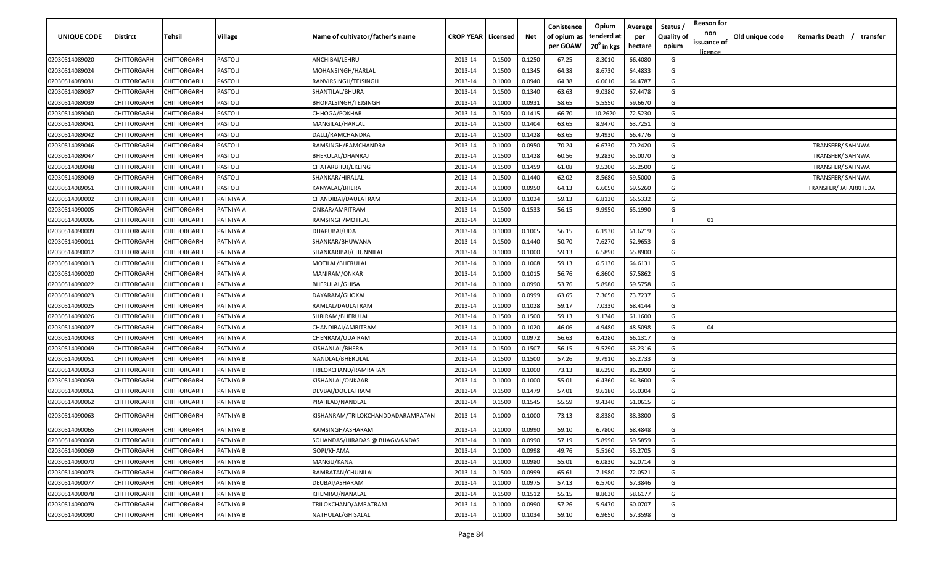| UNIQUE CODE                      | <b>Distirct</b>            | Tehsil                     | Village                | Name of cultivator/father's name                     | <b>CROP YEAR   Licensed</b> |                  | Net              | Conistence<br>of opium as<br>per GOAW | Opium<br>tenderd at<br>70 <sup>0</sup> in kgs | Average<br>per<br>hectare | Status /<br><b>Quality of</b><br>opium | <b>Reason for</b><br>non<br>issuance of | Old unique code | Remarks Death /<br>transfer |
|----------------------------------|----------------------------|----------------------------|------------------------|------------------------------------------------------|-----------------------------|------------------|------------------|---------------------------------------|-----------------------------------------------|---------------------------|----------------------------------------|-----------------------------------------|-----------------|-----------------------------|
| 02030514089020                   | CHITTORGARH                | CHITTORGARH                | <b>PASTOLI</b>         | ANCHIBAI/LEHRU                                       | 2013-14                     | 0.1500           | 0.1250           | 67.25                                 | 8.3010                                        | 66.4080                   | G                                      | licence                                 |                 |                             |
| 02030514089024                   | CHITTORGARH                | CHITTORGARH                | <b>PASTOLI</b>         | MOHANSINGH/HARLAL                                    | 2013-14                     | 0.1500           | 0.1345           | 64.38                                 | 8.6730                                        | 64.4833                   | G                                      |                                         |                 |                             |
| 02030514089031                   | CHITTORGARH                | CHITTORGARH                | <b>PASTOLI</b>         | RANVIRSINGH/TEJSINGH                                 | 2013-14                     | 0.1000           | 0.0940           | 64.38                                 | 6.0610                                        | 64.4787                   | G                                      |                                         |                 |                             |
| 02030514089037                   | CHITTORGARH                | CHITTORGARH                | <b>PASTOLI</b>         | SHANTILAL/BHURA                                      | 2013-14                     | 0.1500           | 0.1340           | 63.63                                 | 9.0380                                        | 67.4478                   | G                                      |                                         |                 |                             |
| 02030514089039                   | CHITTORGARH                | CHITTORGARH                | <b>PASTOLI</b>         | BHOPALSINGH/TEJSINGH                                 | 2013-14                     | 0.1000           | 0.0931           | 58.65                                 | 5.5550                                        | 59.6670                   | G                                      |                                         |                 |                             |
| 02030514089040                   | CHITTORGARH                | CHITTORGARH                | <b>PASTOLI</b>         | CHHOGA/POKHAR                                        | 2013-14                     | 0.1500           | 0.1415           | 66.70                                 | 10.2620                                       | 72.5230                   | G                                      |                                         |                 |                             |
| 02030514089041                   | CHITTORGARH                | CHITTORGARH                | <b>PASTOLI</b>         | MANGILAL/HARLAL                                      | 2013-14                     | 0.1500           | 0.1404           | 63.65                                 | 8.9470                                        | 63.7251                   | G                                      |                                         |                 |                             |
| 02030514089042                   | CHITTORGARH                | CHITTORGARH                | <b>PASTOLI</b>         | DALLI/RAMCHANDRA                                     | 2013-14                     | 0.1500           | 0.1428           | 63.65                                 | 9.4930                                        | 66.4776                   | G                                      |                                         |                 |                             |
| 02030514089046                   | CHITTORGARH                | CHITTORGARH                | <b>PASTOLI</b>         | RAMSINGH/RAMCHANDRA                                  | 2013-14                     | 0.1000           | 0.0950           | 70.24                                 | 6.6730                                        | 70.2420                   | G                                      |                                         |                 | TRANSFER/SAHNWA             |
| 02030514089047                   | CHITTORGARH                | CHITTORGARH                | PASTOLI                | BHERULAL/DHANRAJ                                     | 2013-14                     | 0.1500           | 0.1428           | 60.56                                 | 9.2830                                        | 65.0070                   | G                                      |                                         |                 | TRANSFER/SAHNWA             |
| 02030514089048                   | CHITTORGARH                | CHITTORGARH                | PASTOLI                | CHATARBHUJ/EKLING                                    | 2013-14                     | 0.1500           | 0.1459           | 61.08                                 | 9.5200                                        | 65.2500                   | G                                      |                                         |                 | TRANSFER/SAHNWA             |
| 02030514089049                   | CHITTORGARH                | CHITTORGARH                | <b>PASTOLI</b>         | SHANKAR/HIRALAL                                      | 2013-14                     | 0.1500           | 0.1440           | 62.02                                 | 8.5680                                        | 59.5000                   | G                                      |                                         |                 | TRANSFER/ SAHNWA            |
| 02030514089051                   | CHITTORGARH                | CHITTORGARH                | <b>PASTOLI</b>         | KANYALAL/BHERA                                       | 2013-14                     | 0.1000           | 0.0950           | 64.13                                 | 6.6050                                        | 69.5260                   | G                                      |                                         |                 | TRANSFER/ JAFARKHEDA        |
| 02030514090002                   | CHITTORGARH                | CHITTORGARH                | PATNIYA A              | CHANDIBAI/DAULATRAM                                  | 2013-14                     | 0.1000           | 0.1024           | 59.13                                 | 6.8130                                        | 66.5332                   | G                                      |                                         |                 |                             |
| 02030514090005                   | CHITTORGARH                | CHITTORGARF                | PATNIYA A              | ONKAR/AMRITRAM                                       | 2013-14                     | 0.1500           | 0.1533           | 56.15                                 | 9.9950                                        | 65.1990                   | G                                      |                                         |                 |                             |
| 02030514090006                   | CHITTORGARH                | <b>CHITTORGARF</b>         | PATNIYA A              | RAMSINGH/MOTILAL                                     | 2013-14                     | 0.1000           |                  |                                       |                                               |                           | E                                      | 01                                      |                 |                             |
| 02030514090009                   | CHITTORGARH                | CHITTORGARH                | PATNIYA A              | DHAPUBAI/UDA                                         | 2013-14                     | 0.1000           | 0.1005           | 56.15                                 | 6.1930                                        | 61.6219                   | G                                      |                                         |                 |                             |
| 02030514090011                   | CHITTORGARH                | CHITTORGARH                | PATNIYA A              | SHANKAR/BHUWANA                                      | 2013-14                     | 0.1500           | 0.1440           | 50.70                                 | 7.6270                                        | 52.9653                   | G                                      |                                         |                 |                             |
|                                  | CHITTORGARH                |                            | PATNIYA A              | SHANKARIBAI/CHUNNILAL                                | 2013-14                     | 0.1000           | 0.1000           | 59.13                                 | 6.5890                                        | 65.8900                   | G                                      |                                         |                 |                             |
| 02030514090012                   | CHITTORGARH                | CHITTORGARH                | PATNIYA A              |                                                      | 2013-14                     |                  | 0.1008           |                                       | 6.5130                                        |                           | G                                      |                                         |                 |                             |
| 02030514090013                   | CHITTORGARH                | CHITTORGARH                | PATNIYA A              | MOTILAL/BHERULAL<br>MANIRAM/ONKAR                    | 2013-14                     | 0.1000           | 0.1015           | 59.13<br>56.76                        | 6.8600                                        | 64.6131<br>67.5862        | G                                      |                                         |                 |                             |
| 02030514090020                   | CHITTORGARH                | CHITTORGARH<br>CHITTORGARH | PATNIYA A              | BHERULAL/GHISA                                       | 2013-14                     | 0.1000<br>0.1000 | 0.0990           | 53.76                                 | 5.8980                                        | 59.5758                   | G                                      |                                         |                 |                             |
| 02030514090022<br>02030514090023 |                            | CHITTORGARH                |                        |                                                      | 2013-14                     | 0.1000           | 0.0999           | 63.65                                 | 7.3650                                        | 73.7237                   | G                                      |                                         |                 |                             |
| 02030514090025                   | CHITTORGARH<br>CHITTORGARH |                            | PATNIYA A              | DAYARAM/GHOKAL                                       | 2013-14                     | 0.1000           | 0.1028           | 59.17                                 | 7.0330                                        | 68.4144                   | G                                      |                                         |                 |                             |
|                                  |                            | <b>CHITTORGARF</b>         | PATNIYA A              | RAMLAL/DAULATRAM                                     |                             |                  |                  |                                       |                                               |                           |                                        |                                         |                 |                             |
| 02030514090026                   | CHITTORGARH                | CHITTORGARH                | PATNIYA A              | SHRIRAM/BHERULAL                                     | 2013-14                     | 0.1500           | 0.1500           | 59.13                                 | 9.1740                                        | 61.1600                   | G                                      |                                         |                 |                             |
| 02030514090027                   | CHITTORGARH                | CHITTORGARH                | PATNIYA A              | CHANDIBAI/AMRITRAM                                   | 2013-14                     | 0.1000           | 0.1020           | 46.06                                 | 4.9480                                        | 48.5098                   | G                                      | 04                                      |                 |                             |
| 02030514090043                   | CHITTORGARH                | CHITTORGARH                | PATNIYA A              | CHENRAM/UDAIRAM                                      | 2013-14                     | 0.1000           | 0.0972           | 56.63                                 | 6.4280                                        | 66.1317                   | G                                      |                                         |                 |                             |
| 02030514090049                   | CHITTORGARH                | CHITTORGARH                | PATNIYA A              | KISHANLAL/BHERA                                      | 2013-14                     | 0.1500           | 0.1507           | 56.15                                 | 9.5290                                        | 63.2316                   | G                                      |                                         |                 |                             |
| 02030514090051                   | CHITTORGARH                | CHITTORGARH                | PATNIYA B              | NANDLAL/BHERULAL                                     | 2013-14                     | 0.1500           | 0.1500           | 57.26                                 | 9.7910                                        | 65.2733                   | G                                      |                                         |                 |                             |
| 02030514090053                   | CHITTORGARH                | CHITTORGARH                | PATNIYA B              | TRILOKCHAND/RAMRATAN                                 | 2013-14                     | 0.1000           | 0.1000           | 73.13                                 | 8.6290                                        | 86.2900                   | G                                      |                                         |                 |                             |
| 02030514090059                   | CHITTORGARH                | CHITTORGARH                | PATNIYA B              | KISHANLAL/ONKAAR                                     | 2013-14                     | 0.1000           | 0.1000           | 55.01                                 | 6.4360                                        | 64.3600                   | G                                      |                                         |                 |                             |
| 02030514090061                   | CHITTORGARH                | <b>CHITTORGARF</b>         | PATNIYA B              | DEVBAI/DOULATRAM                                     | 2013-14                     | 0.1500           | 0.1479           | 57.01                                 | 9.6180                                        | 65.0304                   | G                                      |                                         |                 |                             |
| 02030514090062<br>02030514090063 | CHITTORGARH<br>CHITTORGARH | CHITTORGARH<br>CHITTORGARH | PATNIYA B<br>PATNIYA B | PRAHLAD/NANDLAI<br>KISHANRAM/TRILOKCHANDDADARAMRATAN | 2013-14<br>2013-14          | 0.1500<br>0.1000 | 0.1545<br>0.1000 | 55.59<br>73.13                        | 9.4340<br>8.8380                              | 61.0615<br>88.3800        | G<br>G                                 |                                         |                 |                             |
| 02030514090065                   | <b>CHITTORGARH</b>         | <b>CHITTORGARH</b>         | PATNIYA B              | RAMSINGH/ASHARAM                                     | 2013-14                     | 0.1000           | 0.0990           | 59.10                                 | 6.7800                                        | 68.4848                   | G                                      |                                         |                 |                             |
| 02030514090068                   | <b>CHITTORGARH</b>         | <b>CHITTORGARH</b>         | PATNIYA B              | SOHANDAS/HIRADAS @ BHAGWANDAS                        | 2013-14                     | 0.1000           | 0.0990           | 57.19                                 | 5.8990                                        | 59.5859                   | G                                      |                                         |                 |                             |
| 02030514090069                   | <b>CHITTORGARH</b>         | CHITTORGARH                | PATNIYA B              | GOPI/KHAMA                                           | 2013-14                     | 0.1000           | 0.0998           | 49.76                                 | 5.5160                                        | 55.2705                   | G                                      |                                         |                 |                             |
| 02030514090070                   | <b>CHITTORGARH</b>         | CHITTORGARH                | PATNIYA B              | MANGU/KANA                                           | 2013-14                     | 0.1000           | 0.0980           | 55.01                                 | 6.0830                                        | 62.0714                   | G                                      |                                         |                 |                             |
| 02030514090073                   | CHITTORGARH                | CHITTORGARH                | PATNIYA B              | RAMRATAN/CHUNILAL                                    | 2013-14                     | 0.1500           | 0.0999           | 65.61                                 | 7.1980                                        | 72.0521                   | G                                      |                                         |                 |                             |
| 02030514090077                   | <b>CHITTORGARH</b>         | CHITTORGARH                | PATNIYA B              | DEUBAI/ASHARAM                                       | 2013-14                     | 0.1000           | 0.0975           | 57.13                                 | 6.5700                                        | 67.3846                   | G                                      |                                         |                 |                             |
| 02030514090078                   | CHITTORGARH                | CHITTORGARH                | PATNIYA B              | KHEMRAJ/NANALAL                                      | 2013-14                     | 0.1500           | 0.1512           | 55.15                                 | 8.8630                                        | 58.6177                   | G                                      |                                         |                 |                             |
| 02030514090079                   | CHITTORGARH                | CHITTORGARH                | PATNIYA B              | TRILOKCHAND/AMRATRAM                                 | 2013-14                     | 0.1000           | 0.0990           | 57.26                                 | 5.9470                                        | 60.0707                   | G                                      |                                         |                 |                             |
| 02030514090090                   | <b>CHITTORGARH</b>         | CHITTORGARH                | PATNIYA B              | NATHULAL/GHISALAL                                    | 2013-14                     | 0.1000           | 0.1034           | 59.10                                 | 6.9650                                        | 67.3598                   | G                                      |                                         |                 |                             |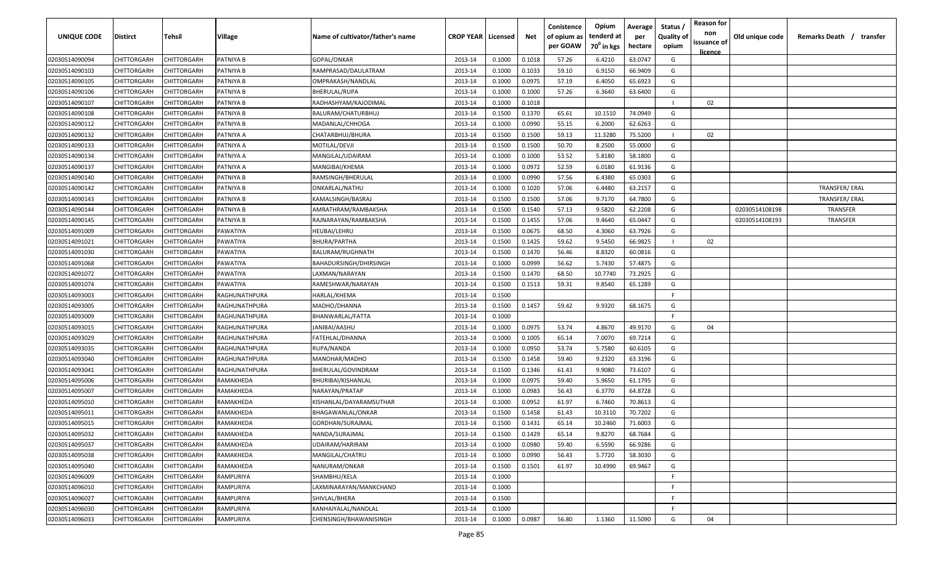| UNIQUE CODE    | Distirct    | Tehsil             | Village       | Name of cultivator/father's name | <b>CROP YEAR   Licensed</b> |        | Net    | Conistence<br>of opium as<br>per GOAW | Opium<br>tenderd at<br>70 <sup>0</sup> in kgs | Average<br>per<br>hectare | Status /<br><b>Quality of</b><br>opium | <b>Reason for</b><br>non<br>issuance of<br><u>licence</u> | Old unique code | Remarks Death /<br>transfer |
|----------------|-------------|--------------------|---------------|----------------------------------|-----------------------------|--------|--------|---------------------------------------|-----------------------------------------------|---------------------------|----------------------------------------|-----------------------------------------------------------|-----------------|-----------------------------|
| 02030514090094 | CHITTORGARH | CHITTORGARH        | PATNIYA B     | GOPAL/ONKAR                      | 2013-14                     | 0.1000 | 0.1018 | 57.26                                 | 6.4210                                        | 63.0747                   | G                                      |                                                           |                 |                             |
| 02030514090103 | CHITTORGARH | CHITTORGARH        | PATNIYA B     | RAMPRASAD/DAULATRAM              | 2013-14                     | 0.1000 | 0.1033 | 59.10                                 | 6.9150                                        | 66.9409                   | G                                      |                                                           |                 |                             |
| 02030514090105 | CHITTORGARH | CHITTORGARH        | PATNIYA B     | OMPRAKASH/NANDLAL                | 2013-14                     | 0.1000 | 0.0975 | 57.19                                 | 6.4050                                        | 65.6923                   | G                                      |                                                           |                 |                             |
| 02030514090106 | CHITTORGARH | CHITTORGARH        | PATNIYA B     | <b>BHERULAL/RUPA</b>             | 2013-14                     | 0.1000 | 0.1000 | 57.26                                 | 6.3640                                        | 63.6400                   | G                                      |                                                           |                 |                             |
| 02030514090107 | CHITTORGARH | CHITTORGARH        | PATNIYA B     | RADHASHYAM/KAJODIMAL             | 2013-14                     | 0.1000 | 0.1018 |                                       |                                               |                           |                                        | 02                                                        |                 |                             |
| 02030514090108 | CHITTORGARH | CHITTORGARH        | PATNIYA B     | BALURAM/CHATURBHUJ               | 2013-14                     | 0.1500 | 0.1370 | 65.61                                 | 10.1510                                       | 74.0949                   | G                                      |                                                           |                 |                             |
| 02030514090112 | CHITTORGARH | CHITTORGARH        | PATNIYA B     | MADANLAL/CHHOGA                  | 2013-14                     | 0.1000 | 0.0990 | 55.15                                 | 6.2000                                        | 62.6263                   | G                                      |                                                           |                 |                             |
| 02030514090132 | CHITTORGARH | <b>CHITTORGARH</b> | PATNIYA A     | CHATARBHUJ/BHURA                 | 2013-14                     | 0.1500 | 0.1500 | 59.13                                 | 11.3280                                       | 75.5200                   |                                        | 02                                                        |                 |                             |
| 02030514090133 | CHITTORGARH | CHITTORGARH        | PATNIYA A     | MOTILAL/DEVJI                    | 2013-14                     | 0.1500 | 0.1500 | 50.70                                 | 8.2500                                        | 55.0000                   | G                                      |                                                           |                 |                             |
| 02030514090134 | CHITTORGARH | CHITTORGARH        | A AYINTA      | MANGILAL/UDAIRAM                 | 2013-14                     | 0.1000 | 0.1000 | 53.52                                 | 5.8180                                        | 58.1800                   | G                                      |                                                           |                 |                             |
| 02030514090137 | CHITTORGARH | CHITTORGARH        | ATNIYA A      | MANGIBAI/KHEMA                   | 2013-14                     | 0.1000 | 0.0972 | 52.59                                 | 6.0180                                        | 61.9136                   | G                                      |                                                           |                 |                             |
| 02030514090140 | CHITTORGARH | CHITTORGARH        | PATNIYA B     | RAMSINGH/BHERULAL                | 2013-14                     | 0.1000 | 0.0990 | 57.56                                 | 6.4380                                        | 65.0303                   | G                                      |                                                           |                 |                             |
| 02030514090142 | CHITTORGARH | CHITTORGARH        | PATNIYA B     | ONKARLAL/NATHU                   | 2013-14                     | 0.1000 | 0.1020 | 57.06                                 | 6.4480                                        | 63.2157                   | G                                      |                                                           |                 | TRANSFER/ERAL               |
| 02030514090143 | CHITTORGARH | CHITTORGARH        | PATNIYA B     | KAMALSINGH/BASRAJ                | 2013-14                     | 0.1500 | 0.1500 | 57.06                                 | 9.7170                                        | 64.7800                   | G                                      |                                                           |                 | TRANSFER/ERAL               |
| 02030514090144 | CHITTORGARH | CHITTORGARH        | PATNIYA B     | AMRATHRAM/RAMBAKSHA              | 2013-14                     | 0.1500 | 0.1540 | 57.13                                 | 9.5820                                        | 62.2208                   | G                                      |                                                           | 02030514108198  | TRANSFER                    |
| 02030514090145 | CHITTORGARH | CHITTORGARH        | PATNIYA B     | RAJNARAYAN/RAMBAKSHA             | 2013-14                     | 0.1500 | 0.1455 | 57.06                                 | 9.4640                                        | 65.0447                   | G                                      |                                                           | 02030514108193  | TRANSFER                    |
| 02030514091009 | CHITTORGARH | CHITTORGARH        | PAWATIYA      | HEUBAI/LEHRU                     | 2013-14                     | 0.1500 | 0.0675 | 68.50                                 | 4.3060                                        | 63.7926                   | G                                      |                                                           |                 |                             |
| 02030514091021 | CHITTORGARH | CHITTORGARH        | PAWATIYA      | <b>BHURA/PARTHA</b>              | 2013-14                     | 0.1500 | 0.1425 | 59.62                                 | 9.5450                                        | 66.9825                   | $\blacksquare$                         | 02                                                        |                 |                             |
| 02030514091030 | CHITTORGARH | CHITTORGARH        | PAWATIYA      | <b>BALURAM/RUGHNATH</b>          | 2013-14                     | 0.1500 | 0.1470 | 56.46                                 | 8.8320                                        | 60.0816                   | G                                      |                                                           |                 |                             |
| 02030514091068 | CHITTORGARH | CHITTORGARH        | PAWATIYA      | BAHADURSINGH/DHIRSINGH           | 2013-14                     | 0.1000 | 0.0999 | 56.62                                 | 5.7430                                        | 57.4875                   | G                                      |                                                           |                 |                             |
| 02030514091072 | CHITTORGARH | CHITTORGARH        | PAWATIYA      | LAXMAN/NARAYAN                   | 2013-14                     | 0.1500 | 0.1470 | 68.50                                 | 10.7740                                       | 73.2925                   | G                                      |                                                           |                 |                             |
| 02030514091074 | CHITTORGARH | CHITTORGARH        | PAWATIYA      | RAMESHWAR/NARAYAN                | 2013-14                     | 0.1500 | 0.1513 | 59.31                                 | 9.8540                                        | 65.1289                   | G                                      |                                                           |                 |                             |
| 02030514093003 | CHITTORGARH | CHITTORGARH        | RAGHUNATHPURA | HARLAL/KHEMA                     | 2013-14                     | 0.1500 |        |                                       |                                               |                           | -F                                     |                                                           |                 |                             |
| 02030514093005 | CHITTORGARH | CHITTORGARH        | RAGHUNATHPURA | MADHO/DHANNA                     | 2013-14                     | 0.1500 | 0.1457 | 59.42                                 | 9.9320                                        | 68.1675                   | G                                      |                                                           |                 |                             |
| 02030514093009 | CHITTORGARH | CHITTORGARH        | RAGHUNATHPURA | BHANWARLAL/FATTA                 | 2013-14                     | 0.1000 |        |                                       |                                               |                           | F.                                     |                                                           |                 |                             |
| 02030514093015 | CHITTORGARH | CHITTORGARH        | RAGHUNATHPURA | JANIBAI/AASHU                    | 2013-14                     | 0.1000 | 0.0975 | 53.74                                 | 4.8670                                        | 49.9170                   | G                                      | 04                                                        |                 |                             |
| 02030514093029 | CHITTORGARH | CHITTORGARH        | RAGHUNATHPURA | FATEHLAL/DHANNA                  | 2013-14                     | 0.1000 | 0.1005 | 65.14                                 | 7.0070                                        | 69.7214                   | G                                      |                                                           |                 |                             |
| 02030514093035 | CHITTORGARH | CHITTORGARH        | RAGHUNATHPURA | RUPA/NANDA                       | 2013-14                     | 0.1000 | 0.0950 | 53.74                                 | 5.7580                                        | 60.6105                   | G                                      |                                                           |                 |                             |
| 02030514093040 | CHITTORGARH | CHITTORGARH        | RAGHUNATHPURA | MANOHAR/MADHO                    | 2013-14                     | 0.1500 | 0.1458 | 59.40                                 | 9.2320                                        | 63.3196                   | G                                      |                                                           |                 |                             |
| 02030514093041 | CHITTORGARH | CHITTORGARH        | RAGHUNATHPURA | BHERULAL/GOVINDRAM               | 2013-14                     | 0.1500 | 0.1346 | 61.43                                 | 9.9080                                        | 73.6107                   | G                                      |                                                           |                 |                             |
| 02030514095006 | CHITTORGARH | CHITTORGARH        | RAMAKHEDA     | BHURIBAI/KISHANLAL               | 2013-14                     | 0.1000 | 0.0975 | 59.40                                 | 5.9650                                        | 61.1795                   | G                                      |                                                           |                 |                             |
| 02030514095007 | CHITTORGARH | <b>CHITTORGARH</b> | RAMAKHEDA     | NARAYAN/PRATAP                   | 2013-14                     | 0.1000 | 0.0983 | 56.43                                 | 6.3770                                        | 64.8728                   | G                                      |                                                           |                 |                             |
| 02030514095010 | CHITTORGARH | CHITTORGARH        | RAMAKHEDA     | KISHANLAL/DAYARAMSUTHAR          | 2013-14                     | 0.1000 | 0.0952 | 61.97                                 | 6.7460                                        | 70.8613                   | G                                      |                                                           |                 |                             |
| 02030514095011 | CHITTORGARH | CHITTORGARH        | RAMAKHEDA     | BHAGAWANLAL/ONKAR                | 2013-14                     | 0.1500 | 0.1458 | 61.43                                 | 10.3110                                       | 70.7202                   | G                                      |                                                           |                 |                             |
| 02030514095015 | CHITTORGARH | CHITTORGARH        | RAMAKHEDA     | GORDHAN/SURAJMAL                 | 2013-14                     | 0.1500 | 0.1431 | 65.14                                 | 10.2460                                       | 71.6003                   | G                                      |                                                           |                 |                             |
| 02030514095032 | CHITTORGARH | <b>CHITTORGARH</b> | RAMAKHEDA     | NANDA/SURAJMAL                   | 2013-14                     | 0.1500 | 0.1429 | 65.14                                 | 9.8270                                        | 68.7684                   | G                                      |                                                           |                 |                             |
| 02030514095037 | CHITTORGARH | CHITTORGARH        | RAMAKHEDA     | UDAIRAM/HARIRAM                  | 2013-14                     | 0.1000 | 0.0980 | 59.40                                 | 6.5590                                        | 66.9286                   | G                                      |                                                           |                 |                             |
| 02030514095038 | CHITTORGARH | CHITTORGARH        | RAMAKHEDA     | MANGILAL/CHATRU                  | 2013-14                     | 0.1000 | 0.0990 | 56.43                                 | 5.7720                                        | 58.3030                   | G                                      |                                                           |                 |                             |
| 02030514095040 | CHITTORGARH | CHITTORGARH        | RAMAKHEDA     | NANURAM/ONKAR                    | 2013-14                     | 0.1500 | 0.1501 | 61.97                                 | 10.4990                                       | 69.9467                   | G                                      |                                                           |                 |                             |
| 02030514096009 | CHITTORGARH | CHITTORGARH        | RAMPURIYA     | SHAMBHU/KELA                     | 2013-14                     | 0.1000 |        |                                       |                                               |                           | F.                                     |                                                           |                 |                             |
| 02030514096010 | CHITTORGARH | CHITTORGARH        | RAMPURIYA     | LAXMINARAYAN/MANKCHAND           | 2013-14                     | 0.1000 |        |                                       |                                               |                           | F.                                     |                                                           |                 |                             |
| 02030514096027 | CHITTORGARH | CHITTORGARH        | RAMPURIYA     | SHIVLAL/BHERA                    | 2013-14                     | 0.1500 |        |                                       |                                               |                           | F.                                     |                                                           |                 |                             |
| 02030514096030 | CHITTORGARH | CHITTORGARH        | RAMPURIYA     | KANHAIYALAL/NANDLAL              | 2013-14                     | 0.1000 |        |                                       |                                               |                           | E                                      |                                                           |                 |                             |
| 02030514096033 | CHITTORGARH | CHITTORGARH        | RAMPURIYA     | CHENSINGH/BHAWANISINGH           | 2013-14                     | 0.1000 | 0.0987 | 56.80                                 | 1.1360                                        | 11.5090                   | G                                      | 04                                                        |                 |                             |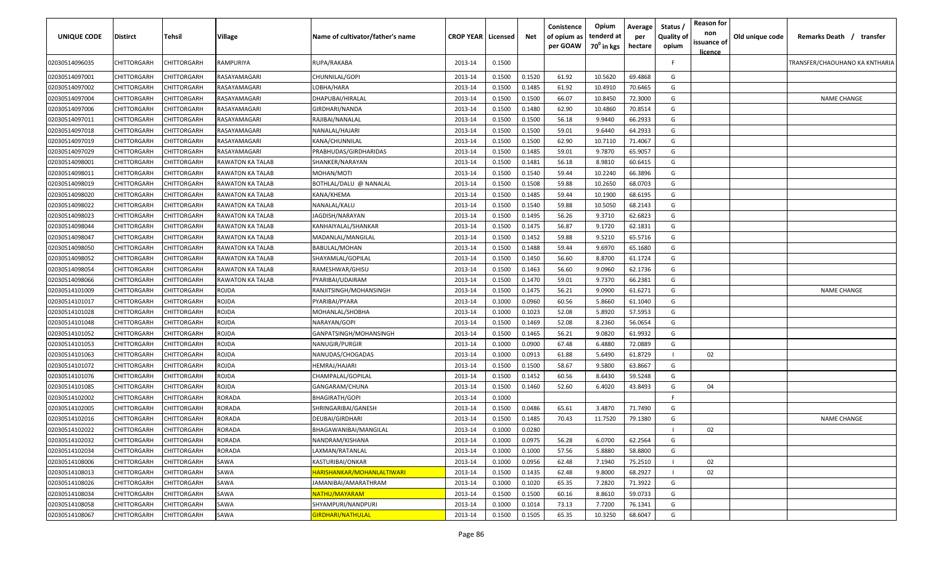| <b>UNIQUE CODE</b> | <b>Distirct</b>    | Tehsil             | Village                 | Name of cultivator/father's name | <b>CROP YEAR Licensed</b> |        | Net    | Conistence<br>of opium as<br>per GOAW | Opium<br>tenderd at<br>$70^0$ in kgs | Average<br>per<br>hectare | Status /<br><b>Quality of</b><br>opium | <b>Reason for</b><br>non<br>issuance of<br>licence | Old unique code | Remarks Death /                | transfer |
|--------------------|--------------------|--------------------|-------------------------|----------------------------------|---------------------------|--------|--------|---------------------------------------|--------------------------------------|---------------------------|----------------------------------------|----------------------------------------------------|-----------------|--------------------------------|----------|
| 02030514096035     | CHITTORGARH        | CHITTORGARH        | RAMPURIYA               | RUPA/RAKABA                      | 2013-14                   | 0.1500 |        |                                       |                                      |                           | F.                                     |                                                    |                 | TRANSFER/CHAOUHANO KA KNTHARIA |          |
| 02030514097001     | CHITTORGARH        | CHITTORGARH        | RASAYAMAGARI            | CHUNNILAL/GOPI                   | 2013-14                   | 0.1500 | 0.1520 | 61.92                                 | 10.5620                              | 69.4868                   | G                                      |                                                    |                 |                                |          |
| 02030514097002     | CHITTORGARH        | CHITTORGARH        | RASAYAMAGARI            | LOBHA/HARA                       | 2013-14                   | 0.1500 | 0.1485 | 61.92                                 | 10.4910                              | 70.6465                   | G                                      |                                                    |                 |                                |          |
| 02030514097004     | CHITTORGARH        | CHITTORGARH        | RASAYAMAGARI            | DHAPUBAI/HIRALAL                 | 2013-14                   | 0.1500 | 0.1500 | 66.07                                 | 10.8450                              | 72.3000                   | G                                      |                                                    |                 | <b>NAME CHANGE</b>             |          |
| 02030514097006     | CHITTORGARH        | CHITTORGARH        | RASAYAMAGARI            | GIRDHARI/NANDA                   | 2013-14                   | 0.1500 | 0.1480 | 62.90                                 | 10.4860                              | 70.8514                   | G                                      |                                                    |                 |                                |          |
| 02030514097011     | CHITTORGARH        | CHITTORGARH        | RASAYAMAGARI            | RAJIBAI/NANALAL                  | 2013-14                   | 0.1500 | 0.1500 | 56.18                                 | 9.9440                               | 66.2933                   | G                                      |                                                    |                 |                                |          |
| 02030514097018     | CHITTORGARH        | CHITTORGARH        | RASAYAMAGARI            | NANALAL/HAJARI                   | 2013-14                   | 0.1500 | 0.1500 | 59.01                                 | 9.6440                               | 64.2933                   | G                                      |                                                    |                 |                                |          |
| 02030514097019     | CHITTORGARH        | <b>CHITTORGARF</b> | RASAYAMAGARI            | KANA/CHUNNILAL                   | 2013-14                   | 0.1500 | 0.1500 | 62.90                                 | 10.7110                              | 71.4067                   | G                                      |                                                    |                 |                                |          |
| 02030514097029     | CHITTORGARH        | CHITTORGARH        | RASAYAMAGARI            | PRABHUDAS/GIRDHARIDAS            | 2013-14                   | 0.1500 | 0.1485 | 59.01                                 | 9.7870                               | 65.9057                   | G                                      |                                                    |                 |                                |          |
| 02030514098001     | CHITTORGARH        | CHITTORGARH        | <b>RAWATON KA TALAB</b> | SHANKER/NARAYAN                  | 2013-14                   | 0.1500 | 0.1481 | 56.18                                 | 8.9810                               | 60.6415                   | G                                      |                                                    |                 |                                |          |
| 02030514098011     | CHITTORGARH        | CHITTORGARH        | <b>RAWATON KA TALAB</b> | MOHAN/MOTI                       | 2013-14                   | 0.1500 | 0.1540 | 59.44                                 | 10.2240                              | 66.3896                   | G                                      |                                                    |                 |                                |          |
| 02030514098019     | CHITTORGARH        | CHITTORGARH        | RAWATON KA TALAB        | BOTHLAL/DALU @ NANALAL           | 2013-14                   | 0.1500 | 0.1508 | 59.88                                 | 10.2650                              | 68.0703                   | G                                      |                                                    |                 |                                |          |
| 02030514098020     | CHITTORGARH        | CHITTORGARH        | RAWATON KA TALAB        | KANA/KHEMA                       | 2013-14                   | 0.1500 | 0.1485 | 59.44                                 | 10.1900                              | 68.6195                   | G                                      |                                                    |                 |                                |          |
| 02030514098022     | CHITTORGARH        | CHITTORGARH        | RAWATON KA TALAB        | NANALAL/KALU                     | 2013-14                   | 0.1500 | 0.1540 | 59.88                                 | 10.5050                              | 68.2143                   | G                                      |                                                    |                 |                                |          |
| 02030514098023     | CHITTORGARH        | CHITTORGARH        | <b>RAWATON KA TALAB</b> | JAGDISH/NARAYAN                  | 2013-14                   | 0.1500 | 0.1495 | 56.26                                 | 9.3710                               | 62.6823                   | G                                      |                                                    |                 |                                |          |
| 02030514098044     | CHITTORGARH        | CHITTORGARH        | <b>RAWATON KA TALAB</b> | KANHAIYALAL/SHANKAR              | 2013-14                   | 0.1500 | 0.1475 | 56.87                                 | 9.1720                               | 62.1831                   | G                                      |                                                    |                 |                                |          |
| 02030514098047     | CHITTORGARH        | CHITTORGARH        | <b>RAWATON KA TALAB</b> | MADANLAL/MANGILAL                | 2013-14                   | 0.1500 | 0.1452 | 59.88                                 | 9.5210                               | 65.5716                   | G                                      |                                                    |                 |                                |          |
| 02030514098050     | CHITTORGARH        | CHITTORGARH        | <b>RAWATON KA TALAB</b> | BABULAL/MOHAN                    | 2013-14                   | 0.1500 | 0.1488 | 59.44                                 | 9.6970                               | 65.1680                   | G                                      |                                                    |                 |                                |          |
| 02030514098052     | CHITTORGARH        | CHITTORGARH        | <b>RAWATON KA TALAB</b> | SHAYAMLAL/GOPILAL                | 2013-14                   | 0.1500 | 0.1450 | 56.60                                 | 8.8700                               | 61.1724                   | G                                      |                                                    |                 |                                |          |
| 02030514098054     | CHITTORGARH        | CHITTORGARH        | <b>RAWATON KA TALAB</b> | RAMESHWAR/GHISU                  | 2013-14                   | 0.1500 | 0.1463 | 56.60                                 | 9.0960                               | 62.1736                   | G                                      |                                                    |                 |                                |          |
| 02030514098066     | CHITTORGARH        | CHITTORGARH        | <b>RAWATON KA TALAB</b> | PYARIBAI/UDAIRAM                 | 2013-14                   | 0.1500 | 0.1470 | 59.01                                 | 9.7370                               | 66.2381                   | G                                      |                                                    |                 |                                |          |
| 02030514101009     | CHITTORGARH        | CHITTORGARH        | <b>ROJDA</b>            | RANJITSINGH/MOHANSINGH           | 2013-14                   | 0.1500 | 0.1475 | 56.21                                 | 9.0900                               | 61.6271                   | G                                      |                                                    |                 | <b>NAME CHANGE</b>             |          |
| 02030514101017     | CHITTORGARH        | CHITTORGARH        | ROJDA                   | PYARIBAI/PYARA                   | 2013-14                   | 0.1000 | 0.0960 | 60.56                                 | 5.8660                               | 61.1040                   | G                                      |                                                    |                 |                                |          |
| 02030514101028     | CHITTORGARH        | CHITTORGARH        | ROJDA                   | MOHANLAL/SHOBHA                  | 2013-14                   | 0.1000 | 0.1023 | 52.08                                 | 5.8920                               | 57.5953                   | G                                      |                                                    |                 |                                |          |
| 02030514101048     | CHITTORGARH        | CHITTORGARH        | ROJDA                   | <b>VARAYAN/GOPI</b>              | 2013-14                   | 0.1500 | 0.1469 | 52.08                                 | 8.2360                               | 56.0654                   | G                                      |                                                    |                 |                                |          |
| 02030514101052     | CHITTORGARH        | CHITTORGARH        | ROJDA                   | GANPATSINGH/MOHANSINGH           | 2013-14                   | 0.1500 | 0.1465 | 56.21                                 | 9.0820                               | 61.9932                   | G                                      |                                                    |                 |                                |          |
| 02030514101053     | CHITTORGARH        | CHITTORGARH        | ROJDA                   | NANUGIR/PURGIR                   | 2013-14                   | 0.1000 | 0.0900 | 67.48                                 | 6.4880                               | 72.0889                   | G                                      |                                                    |                 |                                |          |
| 02030514101063     | CHITTORGARH        | CHITTORGARH        | ROJDA                   | NANUDAS/CHOGADAS                 | 2013-14                   | 0.1000 | 0.0913 | 61.88                                 | 5.6490                               | 61.8729                   |                                        | 02                                                 |                 |                                |          |
| 02030514101072     | CHITTORGARH        | CHITTORGARH        | ROJDA                   | HEMRAJ/HAJARI                    | 2013-14                   | 0.1500 | 0.1500 | 58.67                                 | 9.5800                               | 63.8667                   | G                                      |                                                    |                 |                                |          |
| 02030514101076     | CHITTORGARH        | CHITTORGARH        | <b>ROJDA</b>            | CHAMPALAL/GOPILAL                | 2013-14                   | 0.1500 | 0.1452 | 60.56                                 | 8.6430                               | 59.5248                   | G                                      |                                                    |                 |                                |          |
| 02030514101085     | CHITTORGARH        | CHITTORGARH        | ROJDA                   | GANGARAM/CHUNA                   | 2013-14                   | 0.1500 | 0.1460 | 52.60                                 | 6.4020                               | 43.8493                   | G                                      | 04                                                 |                 |                                |          |
| 02030514102002     | CHITTORGARH        | CHITTORGARH        | <b>RORADA</b>           | BHAGIRATH/GOPI                   | 2013-14                   | 0.1000 |        |                                       |                                      |                           | F.                                     |                                                    |                 |                                |          |
| 02030514102005     | CHITTORGARH        | CHITTORGARH        | <b>RORADA</b>           | SHRINGARIBAI/GANESH              | 2013-14                   | 0.1500 | 0.0486 | 65.61                                 | 3.4870                               | 71.7490                   | G                                      |                                                    |                 |                                |          |
| 02030514102016     | CHITTORGARH        | CHITTORGARH        | <b>RORADA</b>           | DEUBAI/GIRDHARI                  | 2013-14                   | 0.1500 | 0.1485 | 70.43                                 | 11.7520                              | 79.1380                   | G                                      |                                                    |                 | <b>NAME CHANGE</b>             |          |
| 02030514102022     | <b>CHITTORGARH</b> | <b>CHITTORGARH</b> | <b>RORADA</b>           | BHAGAWANIBAI/MANGILAL            | 2013-14                   | 0.1000 | 0.0280 |                                       |                                      |                           |                                        | 02                                                 |                 |                                |          |
| 02030514102032     | <b>CHITTORGARH</b> | CHITTORGARH        | RORADA                  | NANDRAM/KISHANA                  | 2013-14                   | 0.1000 | 0.0975 | 56.28                                 | 6.0700                               | 62.2564                   | G                                      |                                                    |                 |                                |          |
| 02030514102034     | <b>CHITTORGARH</b> | CHITTORGARH        | RORADA                  | LAXMAN/RATANLAL                  | 2013-14                   | 0.1000 | 0.1000 | 57.56                                 | 5.8880                               | 58.8800                   | G                                      |                                                    |                 |                                |          |
| 02030514108006     | <b>CHITTORGARH</b> | CHITTORGARH        | SAWA                    | KASTURIBAI/ONKAR                 | 2013-14                   | 0.1000 | 0.0956 | 62.48                                 | 7.1940                               | 75.2510                   |                                        | 02                                                 |                 |                                |          |
| 02030514108013     | <b>CHITTORGARH</b> | CHITTORGARH        | SAWA                    | HARISHANKAR/MOHANLALTIWARI       | 2013-14                   | 0.1500 | 0.1435 | 62.48                                 | 9.8000                               | 68.2927                   |                                        | 02                                                 |                 |                                |          |
| 02030514108026     | <b>CHITTORGARH</b> | CHITTORGARH        | SAWA                    | JAMANIBAI/AMARATHRAM             | 2013-14                   | 0.1000 | 0.1020 | 65.35                                 | 7.2820                               | 71.3922                   | G                                      |                                                    |                 |                                |          |
| 02030514108034     | CHITTORGARH        | CHITTORGARH        | SAWA                    | NATHU/MAYARAM                    | 2013-14                   | 0.1500 | 0.1500 | 60.16                                 | 8.8610                               | 59.0733                   | G                                      |                                                    |                 |                                |          |
| 02030514108058     | <b>CHITTORGARH</b> | CHITTORGARH        | SAWA                    | SHYAMPURI/NANDPURI               | 2013-14                   | 0.1000 | 0.1014 | 73.13                                 | 7.7200                               | 76.1341                   | G                                      |                                                    |                 |                                |          |
| 02030514108067     | CHITTORGARH        | CHITTORGARH        | SAWA                    | <b>GIRDHARI/NATHULAL</b>         | 2013-14                   | 0.1500 | 0.1505 | 65.35                                 | 10.3250                              | 68.6047                   | G                                      |                                                    |                 |                                |          |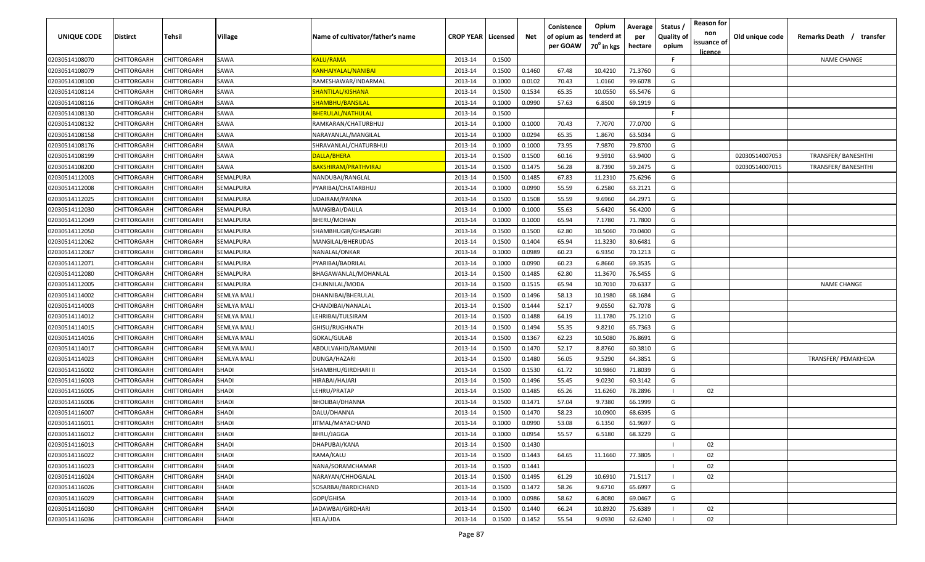| UNIQUE CODE    | <b>Distirct</b>    | Tehsil             | Village            | Name of cultivator/father's name  | <b>CROP YEAR</b> | Licensed | Net    | Conistence<br>of opium as<br>per GOAW | Opium<br>tenderd at<br>$70^0$ in kgs | Average<br>per<br>hectare | Status /<br><b>Quality of</b><br>opium | <b>Reason for</b><br>non<br>issuance of<br><u>licence</u> | Old unique code | Remarks Death /<br>transfer |
|----------------|--------------------|--------------------|--------------------|-----------------------------------|------------------|----------|--------|---------------------------------------|--------------------------------------|---------------------------|----------------------------------------|-----------------------------------------------------------|-----------------|-----------------------------|
| 02030514108070 | CHITTORGARH        | CHITTORGARH        | SAWA               | KALU/RAMA                         | 2013-14          | 0.1500   |        |                                       |                                      |                           | F.                                     |                                                           |                 | <b>NAME CHANGE</b>          |
| 02030514108079 | CHITTORGARH        | CHITTORGARH        | SAWA               | KANHAIYALAL/NANIBAI               | 2013-14          | 0.1500   | 0.1460 | 67.48                                 | 10.4210                              | 71.3760                   | G                                      |                                                           |                 |                             |
| 02030514108100 | CHITTORGARH        | CHITTORGARH        | SAWA               | RAMESHAWAR/INDARMAL               | 2013-14          | 0.1000   | 0.0102 | 70.43                                 | 1.0160                               | 99.6078                   | G                                      |                                                           |                 |                             |
| 02030514108114 | CHITTORGARH        | CHITTORGARH        | SAWA               | <mark>SHANTILAL/KISHANA</mark>    | 2013-14          | 0.1500   | 0.1534 | 65.35                                 | 10.0550                              | 65.5476                   | G                                      |                                                           |                 |                             |
| 02030514108116 | CHITTORGARH        | CHITTORGARH        | SAWA               | SHAMBHU/BANSILAL                  | 2013-14          | 0.1000   | 0.0990 | 57.63                                 | 6.8500                               | 69.1919                   | G                                      |                                                           |                 |                             |
| 02030514108130 | CHITTORGARH        | CHITTORGARH        | SAWA               | <b>BHERULAL/NATHULAL</b>          | 2013-14          | 0.1500   |        |                                       |                                      |                           | -F                                     |                                                           |                 |                             |
| 02030514108132 | CHITTORGARH        | CHITTORGARH        | SAWA               | RAMKARAN/CHATURBHUJ               | 2013-14          | 0.1000   | 0.1000 | 70.43                                 | 7.7070                               | 77.0700                   | G                                      |                                                           |                 |                             |
| 02030514108158 | CHITTORGARH        | CHITTORGARH        | SAWA               | NARAYANLAL/MANGILAL               | 2013-14          | 0.1000   | 0.0294 | 65.35                                 | 1.8670                               | 63.5034                   | G                                      |                                                           |                 |                             |
| 02030514108176 | CHITTORGARH        | CHITTORGARH        | SAWA               | SHRAVANLAL/CHATURBHUJ             | 2013-14          | 0.1000   | 0.1000 | 73.95                                 | 7.9870                               | 79.8700                   | G                                      |                                                           |                 |                             |
| 02030514108199 | CHITTORGARH        | CHITTORGARH        | SAWA               | )ALLA/BHERA                       | 2013-14          | 0.1500   | 0.1500 | 60.16                                 | 9.5910                               | 63.9400                   | G                                      |                                                           | 02030514007053  | <b>TRANSFER/ BANESHTHI</b>  |
| 02030514108200 | <b>CHITTORGARH</b> | CHITTORGARH        | SAWA               | <mark>BAKSHIRAM/PRATHVIRAJ</mark> | 2013-14          | 0.1500   | 0.1475 | 56.28                                 | 8.7390                               | 59.2475                   | G                                      |                                                           | 02030514007015  | <b>TRANSFER/ BANESHTHI</b>  |
| 02030514112003 | CHITTORGARH        | CHITTORGARH        | SEMALPURA          | NANDUBAI/RANGLAL                  | 2013-14          | 0.1500   | 0.1485 | 67.83                                 | 11.2310                              | 75.6296                   | G                                      |                                                           |                 |                             |
| 02030514112008 | CHITTORGARH        | CHITTORGARH        | SEMALPURA          | PYARIBAI/CHATARBHUJ               | 2013-14          | 0.1000   | 0.0990 | 55.59                                 | 6.2580                               | 63.2121                   | G                                      |                                                           |                 |                             |
| 02030514112025 | CHITTORGARH        | CHITTORGARH        | SEMALPURA          | UDAIRAM/PANNA                     | 2013-14          | 0.1500   | 0.1508 | 55.59                                 | 9.6960                               | 64.2971                   | G                                      |                                                           |                 |                             |
| 02030514112030 | CHITTORGARH        | CHITTORGARH        | SEMALPURA          | MANGIBAI/DAULA                    | 2013-14          | 0.1000   | 0.1000 | 55.63                                 | 5.6420                               | 56.4200                   | G                                      |                                                           |                 |                             |
| 02030514112049 | CHITTORGARH        | CHITTORGARH        | SEMALPURA          | BHERU/MOHAN                       | 2013-14          | 0.1000   | 0.1000 | 65.94                                 | 7.1780                               | 71.7800                   | G                                      |                                                           |                 |                             |
| 02030514112050 | CHITTORGARH        | CHITTORGARH        | SEMALPURA          | SHAMBHUGIR/GHISAGIRI              | 2013-14          | 0.1500   | 0.1500 | 62.80                                 | 10.5060                              | 70.0400                   | G                                      |                                                           |                 |                             |
| 02030514112062 | CHITTORGARH        | CHITTORGARH        | SEMALPURA          | MANGILAL/BHERUDAS                 | 2013-14          | 0.1500   | 0.1404 | 65.94                                 | 11.3230                              | 80.6481                   | G                                      |                                                           |                 |                             |
| 02030514112067 | CHITTORGARH        | CHITTORGARH        | SEMALPURA          | NANALAL/ONKAR                     | 2013-14          | 0.1000   | 0.0989 | 60.23                                 | 6.9350                               | 70.1213                   | G                                      |                                                           |                 |                             |
| 02030514112071 | CHITTORGARH        | CHITTORGARH        | SEMALPURA          | PYARIBAI/BADRILAL                 | 2013-14          | 0.1000   | 0.0990 | 60.23                                 | 6.8660                               | 69.3535                   | G                                      |                                                           |                 |                             |
| 02030514112080 | CHITTORGARH        | CHITTORGARH        | SEMALPURA          | BHAGAWANLAL/MOHANLAL              | 2013-14          | 0.1500   | 0.1485 | 62.80                                 | 11.3670                              | 76.5455                   | G                                      |                                                           |                 |                             |
| 02030514112005 | CHITTORGARH        | CHITTORGARH        | SEMALPURA          | CHUNNILAL/MODA                    | 2013-14          | 0.1500   | 0.1515 | 65.94                                 | 10.7010                              | 70.6337                   | G                                      |                                                           |                 | <b>NAME CHANGE</b>          |
| 02030514114002 | CHITTORGARH        | <b>CHITTORGARH</b> | SEMLYA MALI        | DHANNIBAI/BHERULAL                | 2013-14          | 0.1500   | 0.1496 | 58.13                                 | 10.1980                              | 68.1684                   | G                                      |                                                           |                 |                             |
| 02030514114003 | CHITTORGARH        | <b>CHITTORGARH</b> | <b>SEMLYA MALI</b> | CHANDIBAI/NANALAL                 | 2013-14          | 0.1500   | 0.1444 | 52.17                                 | 9.0550                               | 62.7078                   | G                                      |                                                           |                 |                             |
| 02030514114012 | CHITTORGARH        | CHITTORGARH        | SEMLYA MALI        | LEHRIBAI/TULSIRAM                 | 2013-14          | 0.1500   | 0.1488 | 64.19                                 | 11.1780                              | 75.1210                   | G                                      |                                                           |                 |                             |
| 02030514114015 | CHITTORGARH        | CHITTORGARH        | SEMLYA MALI        | GHISU/RUGHNATH                    | 2013-14          | 0.1500   | 0.1494 | 55.35                                 | 9.8210                               | 65.7363                   | G                                      |                                                           |                 |                             |
| 02030514114016 | CHITTORGARH        | CHITTORGARH        | SEMLYA MALI        | GOKAL/GULAB                       | 2013-14          | 0.1500   | 0.1367 | 62.23                                 | 10.5080                              | 76.8691                   | G                                      |                                                           |                 |                             |
| 02030514114017 | CHITTORGARH        | CHITTORGARH        | SEMLYA MALI        | ABDULVAHID/RAMJANI                | 2013-14          | 0.1500   | 0.1470 | 52.17                                 | 8.8760                               | 60.3810                   | G                                      |                                                           |                 |                             |
| 02030514114023 | CHITTORGARH        | CHITTORGARH        | SEMLYA MALI        | DUNGA/HAZARI                      | 2013-14          | 0.1500   | 0.1480 | 56.05                                 | 9.5290                               | 64.3851                   | G                                      |                                                           |                 | TRANSFER/ PEMAKHEDA         |
| 02030514116002 | CHITTORGARH        | CHITTORGARH        | SHADI              | SHAMBHU/GIRDHARI II               | 2013-14          | 0.1500   | 0.1530 | 61.72                                 | 10.9860                              | 71.8039                   | G                                      |                                                           |                 |                             |
| 02030514116003 | CHITTORGARH        | CHITTORGARH        | <b>SHADI</b>       | HIRABAI/HAJARI                    | 2013-14          | 0.1500   | 0.1496 | 55.45                                 | 9.0230                               | 60.3142                   | G                                      |                                                           |                 |                             |
| 02030514116005 | CHITTORGARH        | CHITTORGARH        | <b>SHADI</b>       | LEHRU/PRATAP                      | 2013-14          | 0.1500   | 0.1485 | 65.26                                 | 11.6260                              | 78.2896                   |                                        | 02                                                        |                 |                             |
| 02030514116006 | CHITTORGARH        | CHITTORGARH        | <b>SHADI</b>       | BHOLIBAI/DHANNA                   | 2013-14          | 0.1500   | 0.1471 | 57.04                                 | 9.7380                               | 66.1999                   | G                                      |                                                           |                 |                             |
| 02030514116007 | CHITTORGARH        | CHITTORGARH        | SHADI              | DALU/DHANNA                       | 2013-14          | 0.1500   | 0.1470 | 58.23                                 | 10.0900                              | 68.6395                   | G                                      |                                                           |                 |                             |
| 02030514116011 | CHITTORGARH        | CHITTORGARH        | SHADI              | <b>JITMAL/MAYACHAND</b>           | 2013-14          | 0.1000   | 0.0990 | 53.08                                 | 6.1350                               | 61.9697                   | G                                      |                                                           |                 |                             |
| 02030514116012 | <b>CHITTORGARH</b> | <b>CHITTORGARH</b> | <b>SHADI</b>       | BHRU/JAGGA                        | 2013-14          | 0.1000   | 0.0954 | 55.57                                 | 6.5180                               | 68.3229                   | G                                      |                                                           |                 |                             |
| 02030514116013 | CHITTORGARH        | <b>CHITTORGARH</b> | <b>SHADI</b>       | DHAPUBAI/KANA                     | 2013-14          | 0.1500   | 0.1430 |                                       |                                      |                           |                                        | 02                                                        |                 |                             |
| 02030514116022 | CHITTORGARH        | CHITTORGARH        | <b>SHADI</b>       | RAMA/KALU                         | 2013-14          | 0.1500   | 0.1443 | 64.65                                 | 11.1660                              | 77.3805                   |                                        | 02                                                        |                 |                             |
| 02030514116023 | CHITTORGARH        | CHITTORGARH        | <b>SHADI</b>       | NANA/SORAMCHAMAR                  | 2013-14          | 0.1500   | 0.1441 |                                       |                                      |                           |                                        | 02                                                        |                 |                             |
| 02030514116024 | CHITTORGARH        | CHITTORGARH        | <b>SHADI</b>       | NARAYAN/CHHOGALAL                 | 2013-14          | 0.1500   | 0.1495 | 61.29                                 | 10.6910                              | 71.5117                   |                                        | 02                                                        |                 |                             |
| 02030514116026 | CHITTORGARH        | CHITTORGARH        | SHADI              | SOSARBAI/BARDICHAND               | 2013-14          | 0.1500   | 0.1472 | 58.26                                 | 9.6710                               | 65.6997                   | G                                      |                                                           |                 |                             |
| 02030514116029 | CHITTORGARH        | CHITTORGARH        | SHADI              | GOPI/GHISA                        | 2013-14          | 0.1000   | 0.0986 | 58.62                                 | 6.8080                               | 69.0467                   | G                                      |                                                           |                 |                             |
| 02030514116030 | CHITTORGARH        | CHITTORGARH        | SHADI              | JADAWBAI/GIRDHARI                 | 2013-14          | 0.1500   | 0.1440 | 66.24                                 | 10.8920                              | 75.6389                   |                                        | 02                                                        |                 |                             |
| 02030514116036 | CHITTORGARH        | CHITTORGARH        | <b>SHADI</b>       | KELA/UDA                          | 2013-14          | 0.1500   | 0.1452 | 55.54                                 | 9.0930                               | 62.6240                   |                                        | 02                                                        |                 |                             |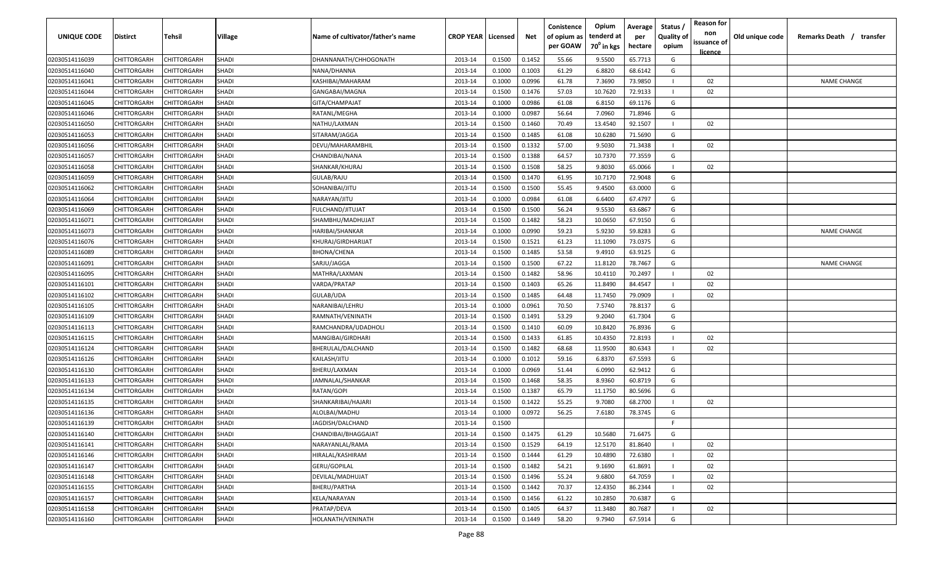| UNIQUE CODE    | Distirct    | Tehsil             | Village      | Name of cultivator/father's name | <b>CROP YEAR   Licensed</b> |        | Net    | Conistence<br>of opium as<br>per GOAW | Opium<br>tenderd at<br>70 <sup>0</sup> in kgs | Average<br>per<br>hectare | Status /<br><b>Quality of</b><br>opium | <b>Reason for</b><br>non<br>issuance of<br><u>licence</u> | Old unique code | Remarks Death /<br>transfer |
|----------------|-------------|--------------------|--------------|----------------------------------|-----------------------------|--------|--------|---------------------------------------|-----------------------------------------------|---------------------------|----------------------------------------|-----------------------------------------------------------|-----------------|-----------------------------|
| 02030514116039 | CHITTORGARH | CHITTORGARH        | <b>SHADI</b> | DHANNANATH/CHHOGONATH            | 2013-14                     | 0.1500 | 0.1452 | 55.66                                 | 9.5500                                        | 65.7713                   | G                                      |                                                           |                 |                             |
| 02030514116040 | CHITTORGARH | CHITTORGARH        | <b>SHADI</b> | NANA/DHANNA                      | 2013-14                     | 0.1000 | 0.1003 | 61.29                                 | 6.8820                                        | 68.6142                   | G                                      |                                                           |                 |                             |
| 02030514116041 | CHITTORGARH | CHITTORGARH        | SHADI        | KASHIBAI/MAHARAM                 | 2013-14                     | 0.1000 | 0.0996 | 61.78                                 | 7.3690                                        | 73.9850                   |                                        | 02                                                        |                 | <b>NAME CHANGE</b>          |
| 02030514116044 | CHITTORGARH | CHITTORGARH        | <b>SHADI</b> | GANGABAI/MAGNA                   | 2013-14                     | 0.1500 | 0.1476 | 57.03                                 | 10.7620                                       | 72.9133                   |                                        | 02                                                        |                 |                             |
| 02030514116045 | CHITTORGARH | CHITTORGARH        | <b>SHADI</b> | GITA/CHAMPAJAT                   | 2013-14                     | 0.1000 | 0.0986 | 61.08                                 | 6.8150                                        | 69.1176                   | G                                      |                                                           |                 |                             |
| 02030514116046 | CHITTORGARH | CHITTORGARH        | <b>SHADI</b> | RATANL/MEGHA                     | 2013-14                     | 0.1000 | 0.0987 | 56.64                                 | 7.0960                                        | 71.8946                   | G                                      |                                                           |                 |                             |
| 02030514116050 | CHITTORGARH | <b>CHITTORGARH</b> | SHADI        | NATHU/LAXMAN                     | 2013-14                     | 0.1500 | 0.1460 | 70.49                                 | 13.4540                                       | 92.1507                   |                                        | 02                                                        |                 |                             |
| 02030514116053 | CHITTORGARH | <b>CHITTORGARH</b> | <b>SHADI</b> | SITARAM/JAGGA                    | 2013-14                     | 0.1500 | 0.1485 | 61.08                                 | 10.6280                                       | 71.5690                   | G                                      |                                                           |                 |                             |
| 02030514116056 | CHITTORGARH | CHITTORGARH        | <b>SHADI</b> | DEVU/MAHARAMBHIL                 | 2013-14                     | 0.1500 | 0.1332 | 57.00                                 | 9.5030                                        | 71.3438                   | $\mathbf{I}$                           | 02                                                        |                 |                             |
| 02030514116057 | CHITTORGARH | CHITTORGARH        | SHADI        | CHANDIBAI/NANA                   | 2013-14                     | 0.1500 | 0.1388 | 64.57                                 | 10.7370                                       | 77.3559                   | G                                      |                                                           |                 |                             |
| 02030514116058 | CHITTORGARH | CHITTORGARH        | SHADI        | SHANKAR/KHURAJ                   | 2013-14                     | 0.1500 | 0.1508 | 58.25                                 | 9.8030                                        | 65.0066                   |                                        | 02                                                        |                 |                             |
| 02030514116059 | CHITTORGARH | CHITTORGARH        | <b>SHADI</b> | GULAB/RAJU                       | 2013-14                     | 0.1500 | 0.1470 | 61.95                                 | 10.7170                                       | 72.9048                   | G                                      |                                                           |                 |                             |
| 02030514116062 | CHITTORGARH | CHITTORGARH        | <b>SHADI</b> | SOHANIBAI/JITU                   | 2013-14                     | 0.1500 | 0.1500 | 55.45                                 | 9.4500                                        | 63.0000                   | G                                      |                                                           |                 |                             |
| 02030514116064 | CHITTORGARH | CHITTORGARH        | <b>SHADI</b> | NARAYAN/JITU                     | 2013-14                     | 0.1000 | 0.0984 | 61.08                                 | 6.6400                                        | 67.4797                   | G                                      |                                                           |                 |                             |
| 02030514116069 | CHITTORGARH | CHITTORGARH        | <b>SHADI</b> | FULCHAND/JITUJAT                 | 2013-14                     | 0.1500 | 0.1500 | 56.24                                 | 9.5530                                        | 63.6867                   | G                                      |                                                           |                 |                             |
| 02030514116071 | CHITTORGARH | CHITTORGARH        | SHADI        | SHAMBHU/MADHUJAT                 | 2013-14                     | 0.1500 | 0.1482 | 58.23                                 | 10.0650                                       | 67.9150                   | G                                      |                                                           |                 |                             |
| 02030514116073 | CHITTORGARH | CHITTORGARH        | <b>SHADI</b> | HARIBAI/SHANKAR                  | 2013-14                     | 0.1000 | 0.0990 | 59.23                                 | 5.9230                                        | 59.8283                   | G                                      |                                                           |                 | <b>NAME CHANGE</b>          |
| 02030514116076 | CHITTORGARH | CHITTORGARH        | <b>SHADI</b> | KHURAJ/GIRDHARIJAT               | 2013-14                     | 0.1500 | 0.1521 | 61.23                                 | 11.1090                                       | 73.0375                   | G                                      |                                                           |                 |                             |
| 02030514116089 | CHITTORGARH | CHITTORGARH        | <b>SHADI</b> | BHONA/CHENA                      | 2013-14                     | 0.1500 | 0.1485 | 53.58                                 | 9.4910                                        | 63.9125                   | G                                      |                                                           |                 |                             |
| 02030514116091 | CHITTORGARH | CHITTORGARH        | <b>SHADI</b> | SARJU/JAGGA                      | 2013-14                     | 0.1500 | 0.1500 | 67.22                                 | 11.8120                                       | 78.7467                   | G                                      |                                                           |                 | <b>NAME CHANGE</b>          |
| 02030514116095 | CHITTORGARH | CHITTORGARH        | <b>SHADI</b> | MATHRA/LAXMAN                    | 2013-14                     | 0.1500 | 0.1482 | 58.96                                 | 10.4110                                       | 70.2497                   |                                        | 02                                                        |                 |                             |
| 02030514116101 | CHITTORGARH | CHITTORGARH        | <b>SHADI</b> | VARDA/PRATAP                     | 2013-14                     | 0.1500 | 0.1403 | 65.26                                 | 11.8490                                       | 84.4547                   |                                        | 02                                                        |                 |                             |
| 02030514116102 | CHITTORGARH | CHITTORGARH        | SHADI        | GULAB/UDA                        | 2013-14                     | 0.1500 | 0.1485 | 64.48                                 | 11.7450                                       | 79.0909                   |                                        | 02                                                        |                 |                             |
| 02030514116105 | CHITTORGARH | CHITTORGARH        | <b>SHADI</b> | NARANIBAI/LEHRU                  | 2013-14                     | 0.1000 | 0.0961 | 70.50                                 | 7.5740                                        | 78.8137                   | G                                      |                                                           |                 |                             |
| 02030514116109 | CHITTORGARH | <b>CHITTORGARH</b> | <b>SHADI</b> | RAMNATH/VENINATH                 | 2013-14                     | 0.1500 | 0.1491 | 53.29                                 | 9.2040                                        | 61.7304                   | G                                      |                                                           |                 |                             |
| 02030514116113 | CHITTORGARH | CHITTORGARH        | <b>SHADI</b> | RAMCHANDRA/UDADHOLI              | 2013-14                     | 0.1500 | 0.1410 | 60.09                                 | 10.8420                                       | 76.8936                   | G                                      |                                                           |                 |                             |
| 02030514116115 | CHITTORGARH | CHITTORGARH        | SHADI        | MANGIBAI/GIRDHARI                | 2013-14                     | 0.1500 | 0.1433 | 61.85                                 | 10.4350                                       | 72.8193                   |                                        | 02                                                        |                 |                             |
| 02030514116124 | CHITTORGARH | CHITTORGARH        | SHADI        | BHERULAL/DALCHAND                | 2013-14                     | 0.1500 | 0.1482 | 68.68                                 | 11.9500                                       | 80.6343                   |                                        | 02                                                        |                 |                             |
| 02030514116126 | CHITTORGARH | CHITTORGARH        | <b>SHADI</b> | KAILASH/JITU                     | 2013-14                     | 0.1000 | 0.1012 | 59.16                                 | 6.8370                                        | 67.5593                   | G                                      |                                                           |                 |                             |
| 02030514116130 | CHITTORGARH | CHITTORGARH        | <b>SHADI</b> | BHERU/LAXMAN                     | 2013-14                     | 0.1000 | 0.0969 | 51.44                                 | 6.0990                                        | 62.9412                   | G                                      |                                                           |                 |                             |
| 02030514116133 | CHITTORGARH | CHITTORGARH        | <b>SHADI</b> | JAMNALAL/SHANKAR                 | 2013-14                     | 0.1500 | 0.1468 | 58.35                                 | 8.9360                                        | 60.8719                   | G                                      |                                                           |                 |                             |
| 02030514116134 | CHITTORGARH | <b>CHITTORGARH</b> | <b>SHADI</b> | RATAN/GOPI                       | 2013-14                     | 0.1500 | 0.1387 | 65.79                                 | 11.1750                                       | 80.5696                   | G                                      |                                                           |                 |                             |
| 02030514116135 | CHITTORGARH | <b>CHITTORGARH</b> | <b>SHADI</b> | SHANKARIBAI/HAJARI               | 2013-14                     | 0.1500 | 0.1422 | 55.25                                 | 9.7080                                        | 68.2700                   |                                        | 02                                                        |                 |                             |
| 02030514116136 | CHITTORGARH | CHITTORGARH        | <b>SHADI</b> | ALOLBAI/MADHU                    | 2013-14                     | 0.1000 | 0.0972 | 56.25                                 | 7.6180                                        | 78.3745                   | G                                      |                                                           |                 |                             |
| 02030514116139 | CHITTORGARH | CHITTORGARH        | SHADI        | JAGDISH/DALCHAND                 | 2013-14                     | 0.1500 |        |                                       |                                               |                           | F.                                     |                                                           |                 |                             |
| 02030514116140 | CHITTORGARH | <b>CHITTORGARH</b> | <b>SHADI</b> | CHANDIBAI/BHAGGAJAT              | 2013-14                     | 0.1500 | 0.1475 | 61.29                                 | 10.5680                                       | 71.6475                   | G                                      |                                                           |                 |                             |
| 02030514116141 | CHITTORGARH | <b>CHITTORGARH</b> | <b>SHADI</b> | NARAYANLAL/RAMA                  | 2013-14                     | 0.1500 | 0.1529 | 64.19                                 | 12.5170                                       | 81.8640                   |                                        | 02                                                        |                 |                             |
| 02030514116146 | CHITTORGARH | <b>CHITTORGARH</b> | <b>SHADI</b> | HIRALAL/KASHIRAM                 | 2013-14                     | 0.1500 | 0.1444 | 61.29                                 | 10.4890                                       | 72.6380                   |                                        | 02                                                        |                 |                             |
| 02030514116147 | CHITTORGARH | CHITTORGARH        | <b>SHADI</b> | GERU/GOPILAL                     | 2013-14                     | 0.1500 | 0.1482 | 54.21                                 | 9.1690                                        | 61.8691                   |                                        | 02                                                        |                 |                             |
| 02030514116148 | CHITTORGARH | CHITTORGARH        | <b>SHADI</b> | DEVILAL/MADHUJAT                 | 2013-14                     | 0.1500 | 0.1496 | 55.24                                 | 9.6800                                        | 64.7059                   |                                        | 02                                                        |                 |                             |
| 02030514116155 | CHITTORGARH | CHITTORGARH        | <b>SHADI</b> | BHERU/PARTHA                     | 2013-14                     | 0.1500 | 0.1442 | 70.37                                 | 12.4350                                       | 86.2344                   |                                        | 02                                                        |                 |                             |
| 02030514116157 | CHITTORGARH | CHITTORGARH        | <b>SHADI</b> | <b>KELA/NARAYAN</b>              | 2013-14                     | 0.1500 | 0.1456 | 61.22                                 | 10.2850                                       | 70.6387                   | G                                      |                                                           |                 |                             |
| 02030514116158 | CHITTORGARH | CHITTORGARH        | SHADI        | PRATAP/DEVA                      | 2013-14                     | 0.1500 | 0.1405 | 64.37                                 | 11.3480                                       | 80.7687                   | $\perp$                                | 02                                                        |                 |                             |
| 02030514116160 | CHITTORGARH | CHITTORGARH        | SHADI        | HOLANATH/VENINATH                | 2013-14                     | 0.1500 | 0.1449 | 58.20                                 | 9.7940                                        | 67.5914                   | G                                      |                                                           |                 |                             |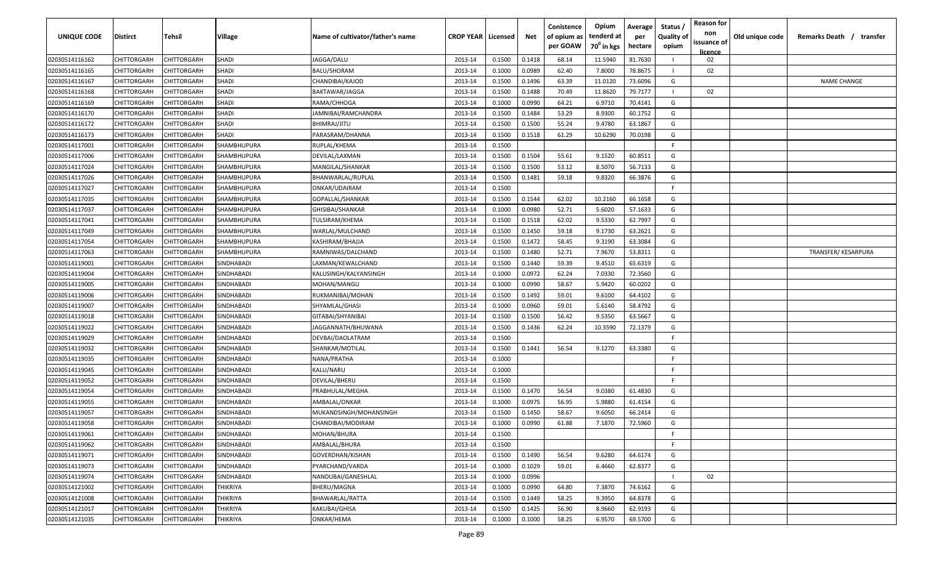| <b>UNIQUE CODE</b> | <b>Distirct</b>    | <b>Tehsil</b> | Village           | Name of cultivator/father's name | <b>CROP YEAR   Licensed</b> |        | Net    | Conistence<br>of opium as | Opium<br>tenderd at    | Average<br>per | Status /<br><b>Quality of</b> | <b>Reason for</b><br>non<br>issuance of | Old unique code | Remarks Death /<br>transfer |
|--------------------|--------------------|---------------|-------------------|----------------------------------|-----------------------------|--------|--------|---------------------------|------------------------|----------------|-------------------------------|-----------------------------------------|-----------------|-----------------------------|
|                    |                    |               |                   |                                  |                             |        |        | per GOAW                  | 70 <sup>0</sup> in kgs | hectare        | opium                         | <b>licence</b>                          |                 |                             |
| 02030514116162     | CHITTORGARH        | CHITTORGARH   | <b>SHADI</b>      | JAGGA/DALU                       | 2013-14                     | 0.1500 | 0.1418 | 68.14                     | 11.5940                | 81.7630        |                               | 02                                      |                 |                             |
| 02030514116165     | CHITTORGARH        | CHITTORGARH   | SHADI             | BALU/SHORAM                      | 2013-14                     | 0.1000 | 0.0989 | 62.40                     | 7.8000                 | 78.8675        |                               | 02                                      |                 |                             |
| 02030514116167     | CHITTORGARH        | CHITTORGARH   | <b>SHADI</b>      | CHANDIBAI/KAJOD                  | 2013-14                     | 0.1500 | 0.1496 | 63.39                     | 11.0120                | 73.6096        | G                             |                                         |                 | <b>NAME CHANGE</b>          |
| 02030514116168     | CHITTORGARH        | CHITTORGARH   | SHADI             | BAKTAWAR/JAGGA                   | 2013-14                     | 0.1500 | 0.1488 | 70.49                     | 11.8620                | 79.7177        |                               | 02                                      |                 |                             |
| 02030514116169     | CHITTORGARH        | CHITTORGARH   | SHADI             | RAMA/CHHOGA                      | 2013-14                     | 0.1000 | 0.0990 | 64.21                     | 6.9710                 | 70.4141        | G                             |                                         |                 |                             |
| 02030514116170     | CHITTORGARH        | CHITTORGARH   | SHADI             | JAMNIBAI/RAMCHANDRA              | 2013-14                     | 0.1500 | 0.1484 | 53.29                     | 8.9300                 | 60.1752        | G                             |                                         |                 |                             |
| 02030514116172     | CHITTORGARH        | CHITTORGARH   | <b>SHADI</b>      | BHIMRAJ/JITU                     | 2013-14                     | 0.1500 | 0.1500 | 55.24                     | 9.4780                 | 63.1867        | G                             |                                         |                 |                             |
| 02030514116173     | CHITTORGARH        | CHITTORGARH   | SHADI             | PARASRAM/DHANNA                  | 2013-14                     | 0.1500 | 0.1518 | 61.29                     | 10.6290                | 70.0198        | G                             |                                         |                 |                             |
| 02030514117001     | CHITTORGARH        | CHITTORGARH   | SHAMBHUPURA       | RUPLAL/KHEMA                     | 2013-14                     | 0.1500 |        |                           |                        |                | -F                            |                                         |                 |                             |
| 02030514117006     | CHITTORGARH        | CHITTORGARH   | SHAMBHUPURA       | DEVILAL/LAXMAN                   | 2013-14                     | 0.1500 | 0.1504 | 55.61                     | 9.1520                 | 60.8511        | G                             |                                         |                 |                             |
| 02030514117024     | CHITTORGARH        | CHITTORGARH   | SHAMBHUPURA       | MANGILAL/SHANKAR                 | 2013-14                     | 0.1500 | 0.1500 | 53.12                     | 8.5070                 | 56.7133        | G                             |                                         |                 |                             |
| 02030514117026     | CHITTORGARH        | CHITTORGARH   | SHAMBHUPURA       | BHANWARLAL/RUPLAL                | 2013-14                     | 0.1500 | 0.1481 | 59.18                     | 9.8320                 | 66.3876        | G                             |                                         |                 |                             |
| 02030514117027     | CHITTORGARH        | CHITTORGARH   | SHAMBHUPURA       | ONKAR/UDAIRAM                    | 2013-14                     | 0.1500 |        |                           |                        |                | F.                            |                                         |                 |                             |
| 02030514117035     | CHITTORGARH        | CHITTORGARH   | SHAMBHUPURA       | GOPALLAL/SHANKAR                 | 2013-14                     | 0.1500 | 0.1544 | 62.02                     | 10.2160                | 66.1658        | G                             |                                         |                 |                             |
| 02030514117037     | CHITTORGARH        | CHITTORGARH   | SHAMBHUPURA       | GHISIBAI/SHANKAR                 | 2013-14                     | 0.1000 | 0.0980 | 52.71                     | 5.6020                 | 57.1633        | G                             |                                         |                 |                             |
| 02030514117041     | CHITTORGARH        | CHITTORGARH   | SHAMBHUPURA       | TULSIRAM/KHEMA                   | 2013-14                     | 0.1500 | 0.1518 | 62.02                     | 9.5330                 | 62.7997        | G                             |                                         |                 |                             |
| 02030514117049     | CHITTORGARH        | CHITTORGARH   | SHAMBHUPURA       | WARLAL/MULCHAND                  | 2013-14                     | 0.1500 | 0.1450 | 59.18                     | 9.1730                 | 63.2621        | G                             |                                         |                 |                             |
| 02030514117054     | CHITTORGARH        | CHITTORGARH   | SHAMBHUPURA       | KASHIRAM/BHAJJA                  | 2013-14                     | 0.1500 | 0.1472 | 58.45                     | 9.3190                 | 63.3084        | G                             |                                         |                 |                             |
| 02030514117063     | CHITTORGARH        | CHITTORGARH   | SHAMBHUPURA       | RAMNIWAS/DALCHAND                | 2013-14                     | 0.1500 | 0.1480 | 52.71                     | 7.9670                 | 53.8311        | G                             |                                         |                 | TRANSFER/KESARPURA          |
| 02030514119001     | CHITTORGARH        | CHITTORGARH   | SINDHABADI        | LAXMAN/KEWALCHAND                | 2013-14                     | 0.1500 | 0.1440 | 59.39                     | 9.4510                 | 65.6319        | G                             |                                         |                 |                             |
| 02030514119004     | CHITTORGARH        | CHITTORGARH   | SINDHABADI        | KALUSINGH/KALYANSINGH            | 2013-14                     | 0.1000 | 0.0972 | 62.24                     | 7.0330                 | 72.3560        | G                             |                                         |                 |                             |
| 02030514119005     | CHITTORGARH        | CHITTORGARH   | SINDHABADI        | MOHAN/MANGU                      | 2013-14                     | 0.1000 | 0.0990 | 58.67                     | 5.9420                 | 60.0202        | G                             |                                         |                 |                             |
| 02030514119006     | CHITTORGARH        | CHITTORGARH   | SINDHABADI        | RUKMANIBAI/MOHAN                 | 2013-14                     | 0.1500 | 0.1492 | 59.01                     | 9.6100                 | 64.4102        | G                             |                                         |                 |                             |
| 02030514119007     | CHITTORGARH        | CHITTORGARH   | SINDHABADI        | SHYAMLAL/GHASI                   | 2013-14                     | 0.1000 | 0.0960 | 59.01                     | 5.6140                 | 58.4792        | G                             |                                         |                 |                             |
| 02030514119018     | CHITTORGARH        | CHITTORGARH   | SINDHABADI        | GITABAI/SHYANIBAI                | 2013-14                     | 0.1500 | 0.1500 | 56.42                     | 9.5350                 | 63.5667        | G                             |                                         |                 |                             |
| 02030514119022     | CHITTORGARH        | CHITTORGARH   | SINDHABADI        | JAGGANNATH/BHUWANA               | 2013-14                     | 0.1500 | 0.1436 | 62.24                     | 10.3590                | 72.1379        | G                             |                                         |                 |                             |
| 02030514119029     | CHITTORGARH        | CHITTORGARH   | SINDHABADI        | DEVBAI/DAOLATRAM                 | 2013-14                     | 0.1500 |        |                           |                        |                | -F.                           |                                         |                 |                             |
| 02030514119032     | CHITTORGARH        | CHITTORGARH   | SINDHABADI        | SHANKAR/MOTILAL                  | 2013-14                     | 0.1500 | 0.1441 | 56.54                     | 9.1270                 | 63.3380        | G                             |                                         |                 |                             |
| 02030514119035     | CHITTORGARH        | CHITTORGARH   | SINDHABADI        | NANA/PRATHA                      | 2013-14                     | 0.1000 |        |                           |                        |                | -F.                           |                                         |                 |                             |
| 02030514119045     | CHITTORGARH        | CHITTORGARH   | SINDHABADI        | KALU/NARU                        | 2013-14                     | 0.1000 |        |                           |                        |                | -F.                           |                                         |                 |                             |
| 02030514119052     | CHITTORGARH        | CHITTORGARH   | <b>SINDHABADI</b> | DEVILAL/BHERU                    | 2013-14                     | 0.1500 |        |                           |                        |                | -F.                           |                                         |                 |                             |
| 02030514119054     | CHITTORGARH        | CHITTORGARH   | SINDHABADI        | PRABHULAL/MEGHA                  | 2013-14                     | 0.1500 | 0.1470 | 56.54                     | 9.0380                 | 61.4830        | G                             |                                         |                 |                             |
| 02030514119055     | CHITTORGARH        | CHITTORGARH   | SINDHABADI        | AMBALAL/ONKAR                    | 2013-14                     | 0.1000 | 0.0975 | 56.95                     | 5.9880                 | 61.4154        | G                             |                                         |                 |                             |
| 02030514119057     | CHITTORGARH        | CHITTORGARH   | SINDHABADI        | MUKANDSINGH/MOHANSINGH           | 2013-14                     | 0.1500 | 0.1450 | 58.67                     | 9.6050                 | 66.2414        | G                             |                                         |                 |                             |
| 02030514119058     | CHITTORGARH        | CHITTORGARH   | SINDHABADI        | CHANDIBAI/MODIRAM                | 2013-14                     | 0.1000 | 0.0990 | 61.88                     | 7.1870                 | 72.5960        | G                             |                                         |                 |                             |
| 02030514119061     | CHITTORGARH        | CHITTORGARH   | SINDHABADI        | MOHAN/BHURA                      | 2013-14                     | 0.1500 |        |                           |                        |                | F                             |                                         |                 |                             |
| 02030514119062     | <b>CHITTORGARH</b> | CHITTORGARH   | SINDHABADI        | AMBALAL/BHURA                    | 2013-14                     | 0.1500 |        |                           |                        |                | F.                            |                                         |                 |                             |
| 02030514119071     | <b>CHITTORGARH</b> | CHITTORGARH   | SINDHABADI        | GOVERDHAN/KISHAN                 | 2013-14                     | 0.1500 | 0.1490 | 56.54                     | 9.6280                 | 64.6174        | G                             |                                         |                 |                             |
| 02030514119073     | <b>CHITTORGARH</b> | CHITTORGARH   | SINDHABADI        | PYARCHAND/VARDA                  | 2013-14                     | 0.1000 | 0.1029 | 59.01                     | 6.4660                 | 62.8377        | G                             |                                         |                 |                             |
| 02030514119074     | CHITTORGARH        | CHITTORGARH   | SINDHABADI        | NANDUBAI/GANESHLAL               | 2013-14                     | 0.1000 | 0.0996 |                           |                        |                |                               | 02                                      |                 |                             |
| 02030514121002     | CHITTORGARH        | CHITTORGARH   | THIKRIYA          | BHERU/MAGNA                      | 2013-14                     | 0.1000 | 0.0990 | 64.80                     | 7.3870                 | 74.6162        | G                             |                                         |                 |                             |
| 02030514121008     | CHITTORGARH        | CHITTORGARH   | THIKRIYA          | BHAWARLAL/RATTA                  | 2013-14                     | 0.1500 | 0.1449 | 58.25                     | 9.3950                 | 64.8378        | G                             |                                         |                 |                             |
| 02030514121017     | CHITTORGARH        | CHITTORGARH   | THIKRIYA          | KAKUBAI/GHISA                    | 2013-14                     | 0.1500 | 0.1425 | 56.90                     | 8.9660                 | 62.9193        | G                             |                                         |                 |                             |
| 02030514121035     | <b>CHITTORGARH</b> | CHITTORGARH   | THIKRIYA          | ONKAR/HEMA                       | 2013-14                     | 0.1000 | 0.1000 | 58.25                     | 6.9570                 | 69.5700        | G                             |                                         |                 |                             |
|                    |                    |               |                   |                                  |                             |        |        |                           |                        |                |                               |                                         |                 |                             |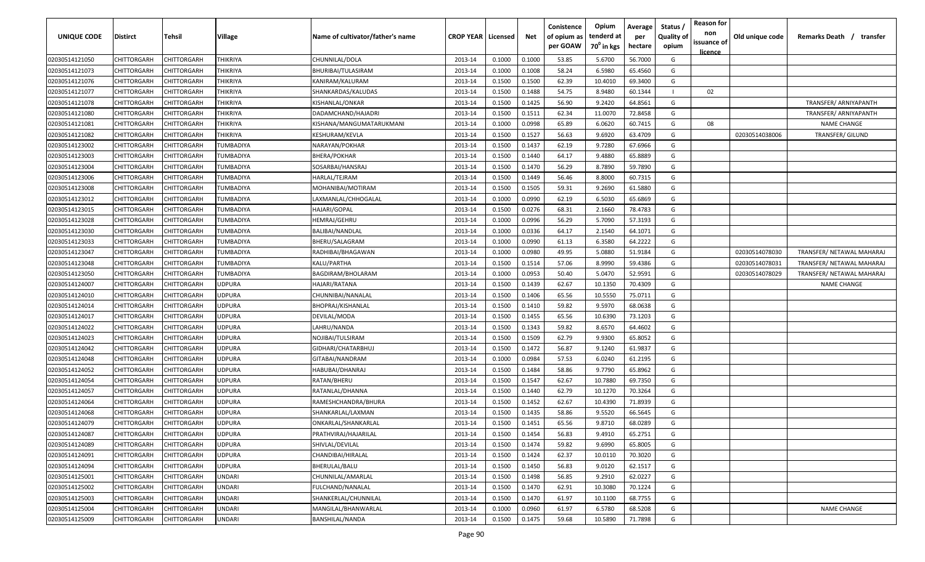| UNIQUE CODE    | <b>Distirct</b>    | Tehsil      | Village         | Name of cultivator/father's name | <b>CROP YEAR   Licensed</b> |        | Net    | Conistence<br>of opium as<br>per GOAW | Opium<br>tenderd at<br>70 <sup>0</sup> in kgs | Average<br>per<br>hectare | Status /<br><b>Quality of</b><br>opium | <b>Reason for</b><br>non<br>issuance of | Old unique code | Remarks Death /<br>transfer |
|----------------|--------------------|-------------|-----------------|----------------------------------|-----------------------------|--------|--------|---------------------------------------|-----------------------------------------------|---------------------------|----------------------------------------|-----------------------------------------|-----------------|-----------------------------|
| 02030514121050 | CHITTORGARH        | CHITTORGARH | <b>THIKRIYA</b> | CHUNNILAL/DOLA                   | 2013-14                     | 0.1000 | 0.1000 | 53.85                                 | 5.6700                                        | 56.7000                   | G                                      | licence                                 |                 |                             |
| 02030514121073 | CHITTORGARH        | CHITTORGARH | THIKRIYA        | BHURIBAI/TULASIRAM               | 2013-14                     | 0.1000 | 0.1008 | 58.24                                 | 6.5980                                        | 65.4560                   | G                                      |                                         |                 |                             |
| 02030514121076 | CHITTORGARH        | CHITTORGARH | THIKRIYA        | KANIRAM/KALURAM                  | 2013-14                     | 0.1500 | 0.1500 | 62.39                                 | 10.4010                                       | 69.3400                   | G                                      |                                         |                 |                             |
| 02030514121077 | CHITTORGARH        | CHITTORGARH | THIKRIYA        | SHANKARDAS/KALUDAS               | 2013-14                     | 0.1500 | 0.1488 | 54.75                                 | 8.9480                                        | 60.1344                   |                                        | 02                                      |                 |                             |
| 02030514121078 | CHITTORGARH        | CHITTORGARH | THIKRIYA        | KISHANLAL/ONKAR                  | 2013-14                     | 0.1500 | 0.1425 | 56.90                                 | 9.2420                                        | 64.8561                   | G                                      |                                         |                 | TRANSFER/ ARNIYAPANTH       |
| 02030514121080 | CHITTORGARH        | CHITTORGARH | THIKRIYA        | DADAMCHAND/HAJADRI               | 2013-14                     | 0.1500 | 0.1511 | 62.34                                 | 11.0070                                       | 72.8458                   | G                                      |                                         |                 | TRANSFER/ ARNIYAPANTH       |
| 02030514121081 | CHITTORGARH        | CHITTORGARH | THIKRIYA        | KISHANA/MANGUMATARUKMANI         | 2013-14                     | 0.1000 | 0.0998 | 65.89                                 | 6.0620                                        | 60.7415                   | G                                      | 08                                      |                 | <b>NAME CHANGE</b>          |
| 02030514121082 | CHITTORGARH        | CHITTORGARH | THIKRIYA        | KESHURAM/KEVLA                   | 2013-14                     | 0.1500 | 0.1527 | 56.63                                 | 9.6920                                        | 63.4709                   | G                                      |                                         | 02030514038006  | TRANSFER/ GILUND            |
| 02030514123002 | CHITTORGARH        | CHITTORGARH | TUMBADIYA       | NARAYAN/POKHAR                   | 2013-14                     | 0.1500 | 0.1437 | 62.19                                 | 9.7280                                        | 67.6966                   | G                                      |                                         |                 |                             |
| 02030514123003 | CHITTORGARH        | CHITTORGARH | TUMBADIYA       | BHERA/POKHAR                     | 2013-14                     | 0.1500 | 0.1440 | 64.17                                 | 9.4880                                        | 65.8889                   | G                                      |                                         |                 |                             |
| 02030514123004 | CHITTORGARH        | CHITTORGARH | TUMBADIYA       | SOSARBAI/HANSRAJ                 | 2013-14                     | 0.1500 | 0.1470 | 56.29                                 | 8.7890                                        | 59.7890                   | G                                      |                                         |                 |                             |
| 02030514123006 | CHITTORGARH        | CHITTORGARH | TUMBADIYA       | HARLAL/TEJRAM                    | 2013-14                     | 0.1500 | 0.1449 | 56.46                                 | 8.8000                                        | 60.7315                   | G                                      |                                         |                 |                             |
| 02030514123008 | CHITTORGARH        | CHITTORGARH | TUMBADIYA       | MOHANIBAI/MOTIRAM                | 2013-14                     | 0.1500 | 0.1505 | 59.31                                 | 9.2690                                        | 61.5880                   | G                                      |                                         |                 |                             |
| 02030514123012 | CHITTORGARH        | CHITTORGARF | TUMBADIYA       | LAXMANLAL/CHHOGALAL              | 2013-14                     | 0.1000 | 0.0990 | 62.19                                 | 6.5030                                        | 65.6869                   | G                                      |                                         |                 |                             |
| 02030514123015 | CHITTORGARH        | CHITTORGARF | TUMBADIYA       | HAJARI/GOPAL                     | 2013-14                     | 0.1500 | 0.0276 | 68.31                                 | 2.1660                                        | 78.4783                   | G                                      |                                         |                 |                             |
| 02030514123028 | CHITTORGARH        | CHITTORGARF | TUMBADIYA       | HEMRAJ/GEHRU                     | 2013-14                     | 0.1000 | 0.0996 | 56.29                                 | 5.7090                                        | 57.3193                   | G                                      |                                         |                 |                             |
| 02030514123030 | CHITTORGARH        | CHITTORGARH | TUMBADIYA       | BALIBAI/NANDLAL                  | 2013-14                     | 0.1000 | 0.0336 | 64.17                                 | 2.1540                                        | 64.1071                   | G                                      |                                         |                 |                             |
| 02030514123033 | CHITTORGARH        | CHITTORGARH | TUMBADIYA       | BHERU/SALAGRAM                   | 2013-14                     | 0.1000 | 0.0990 | 61.13                                 | 6.3580                                        | 64.2222                   | G                                      |                                         |                 |                             |
| 02030514123047 | CHITTORGARH        | CHITTORGARH | TUMBADIYA       | RADHIBAI/BHAGAWAN                | 2013-14                     | 0.1000 | 0.0980 | 49.95                                 | 5.0880                                        | 51.9184                   | G                                      |                                         | 02030514078030  | TRANSFER/ NETAWAL MAHARAJ   |
| 02030514123048 | CHITTORGARH        | CHITTORGARF | TUMBADIYA       | KALU/PARTHA                      | 2013-14                     | 0.1500 | 0.1514 | 57.06                                 | 8.9990                                        | 59.4386                   | G                                      |                                         | 02030514078031  | TRANSFER/ NETAWAL MAHARAJ   |
| 02030514123050 | CHITTORGARH        | CHITTORGARF | TUMBADIYA       | BAGDIRAM/BHOLARAM                | 2013-14                     | 0.1000 | 0.0953 | 50.40                                 | 5.0470                                        | 52.9591                   | G                                      |                                         | 02030514078029  | TRANSFER/ NETAWAL MAHARAJ   |
| 02030514124007 | CHITTORGARH        | CHITTORGARH | <b>UDPURA</b>   | HAJARI/RATANA                    | 2013-14                     | 0.1500 | 0.1439 | 62.67                                 | 10.1350                                       | 70.4309                   | G                                      |                                         |                 | <b>NAME CHANGE</b>          |
| 02030514124010 | <b>CHITTORGARH</b> | CHITTORGARF | <b>UDPURA</b>   | CHUNNIBAI/NANALAL                | 2013-14                     | 0.1500 | 0.1406 | 65.56                                 | 10.5550                                       | 75.0711                   | G                                      |                                         |                 |                             |
| 02030514124014 | CHITTORGARH        | CHITTORGARF | UDPURA          | BHOPRAJ/KISHANLAL                | 2013-14                     | 0.1500 | 0.1410 | 59.82                                 | 9.5970                                        | 68.0638                   | G                                      |                                         |                 |                             |
| 02030514124017 | CHITTORGARH        | CHITTORGARH | UDPURA          | DEVILAL/MODA                     | 2013-14                     | 0.1500 | 0.1455 | 65.56                                 | 10.6390                                       | 73.1203                   | G                                      |                                         |                 |                             |
| 02030514124022 | CHITTORGARH        | CHITTORGARH | UDPURA          | LAHRU/NANDA                      | 2013-14                     | 0.1500 | 0.1343 | 59.82                                 | 8.6570                                        | 64.4602                   | G                                      |                                         |                 |                             |
| 02030514124023 | CHITTORGARH        | CHITTORGARH | UDPURA          | NOJIBAI/TULSIRAM                 | 2013-14                     | 0.1500 | 0.1509 | 62.79                                 | 9.9300                                        | 65.8052                   | G                                      |                                         |                 |                             |
| 02030514124042 | CHITTORGARH        | CHITTORGARH | UDPURA          | GIDHARI/CHATARBHUJ               | 2013-14                     | 0.1500 | 0.1472 | 56.87                                 | 9.1240                                        | 61.9837                   | G                                      |                                         |                 |                             |
| 02030514124048 | CHITTORGARH        | CHITTORGARH | UDPURA          | GITABAI/NANDRAM                  | 2013-14                     | 0.1000 | 0.0984 | 57.53                                 | 6.0240                                        | 61.2195                   | G                                      |                                         |                 |                             |
| 02030514124052 | CHITTORGARH        | CHITTORGARH | <b>UDPURA</b>   | HABUBAI/DHANRAJ                  | 2013-14                     | 0.1500 | 0.1484 | 58.86                                 | 9.7790                                        | 65.8962                   | G                                      |                                         |                 |                             |
| 02030514124054 | CHITTORGARH        | CHITTORGARF | <b>UDPURA</b>   | RATAN/BHERU                      | 2013-14                     | 0.1500 | 0.1547 | 62.67                                 | 10.7880                                       | 69.7350                   | G                                      |                                         |                 |                             |
| 02030514124057 | CHITTORGARH        | CHITTORGARF | <b>UDPURA</b>   | RATANLAL/DHANNA                  | 2013-14                     | 0.1500 | 0.1440 | 62.79                                 | 10.1270                                       | 70.3264                   | G                                      |                                         |                 |                             |
| 02030514124064 | CHITTORGARH        | CHITTORGARH | <b>UDPURA</b>   | RAMESHCHANDRA/BHURA              | 2013-14                     | 0.1500 | 0.1452 | 62.67                                 | 10.4390                                       | 71.8939                   | G                                      |                                         |                 |                             |
| 02030514124068 | CHITTORGARH        | CHITTORGARH | <b>UDPURA</b>   | SHANKARLAL/LAXMAN                | 2013-14                     | 0.1500 | 0.1435 | 58.86                                 | 9.5520                                        | 66.5645                   | G                                      |                                         |                 |                             |
| 02030514124079 | CHITTORGARH        | CHITTORGARH | <b>UDPURA</b>   | ONKARLAL/SHANKARLAL              | 2013-14                     | 0.1500 | 0.1451 | 65.56                                 | 9.8710                                        | 68.0289                   | G                                      |                                         |                 |                             |
| 02030514124087 | CHITTORGARH        | CHITTORGARH | <b>UDPURA</b>   | PRATHVIRAJ/HAJARILAL             | 2013-14                     | 0.1500 | 0.1454 | 56.83                                 | 9.4910                                        | 65.2751                   | G                                      |                                         |                 |                             |
| 02030514124089 | CHITTORGARH        | CHITTORGARH | <b>UDPURA</b>   | SHIVLAL/DEVILAL                  | 2013-14                     | 0.1500 | 0.1474 | 59.82                                 | 9.6990                                        | 65.8005                   | G                                      |                                         |                 |                             |
| 02030514124091 | CHITTORGARH        | CHITTORGARH | <b>UDPURA</b>   | CHANDIBAI/HIRALAL                | 2013-14                     | 0.1500 | 0.1424 | 62.37                                 | 10.0110                                       | 70.3020                   | G                                      |                                         |                 |                             |
| 02030514124094 | CHITTORGARH        | CHITTORGARH | <b>UDPURA</b>   | BHERULAL/BALU                    | 2013-14                     | 0.1500 | 0.1450 | 56.83                                 | 9.0120                                        | 62.1517                   | G                                      |                                         |                 |                             |
| 02030514125001 | CHITTORGARH        | CHITTORGARH | <b>UNDARI</b>   | CHUNNILAL/AMARLAL                | 2013-14                     | 0.1500 | 0.1498 | 56.85                                 | 9.2910                                        | 62.0227                   | G                                      |                                         |                 |                             |
| 02030514125002 | CHITTORGARH        | CHITTORGARH | <b>UNDARI</b>   | FULCHAND/NANALAL                 | 2013-14                     | 0.1500 | 0.1470 | 62.91                                 | 10.3080                                       | 70.1224                   | G                                      |                                         |                 |                             |
| 02030514125003 | CHITTORGARH        | CHITTORGARH | UNDARI          | SHANKERLAL/CHUNNILAL             | 2013-14                     | 0.1500 | 0.1470 | 61.97                                 | 10.1100                                       | 68.7755                   | G                                      |                                         |                 |                             |
| 02030514125004 | CHITTORGARH        | CHITTORGARH | UNDARI          | MANGILAL/BHANWARLAL              | 2013-14                     | 0.1000 | 0.0960 | 61.97                                 | 6.5780                                        | 68.5208                   | G                                      |                                         |                 | <b>NAME CHANGE</b>          |
| 02030514125009 | CHITTORGARH        | CHITTORGARH | UNDARI          | BANSHILAL/NANDA                  | 2013-14                     | 0.1500 | 0.1475 | 59.68                                 | 10.5890                                       | 71.7898                   | G                                      |                                         |                 |                             |